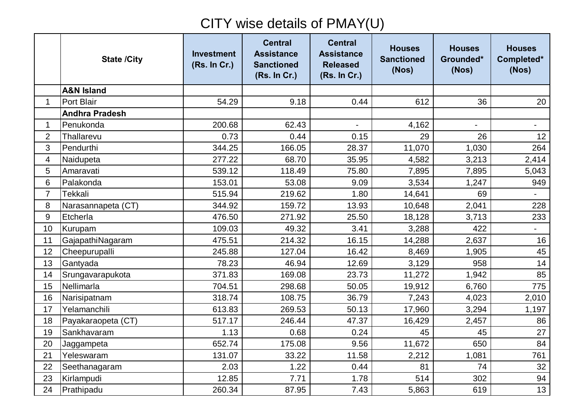## CITY wise details of PMAY(U)

|                | <b>State /City</b>    | <b>Investment</b><br>(Rs. In Cr.) | <b>Central</b><br><b>Assistance</b><br><b>Sanctioned</b><br>(Rs. In Cr.) | <b>Central</b><br><b>Assistance</b><br><b>Released</b><br>(Rs. In Cr.) | <b>Houses</b><br><b>Sanctioned</b><br>(Nos) | <b>Houses</b><br>Grounded*<br>(Nos) | <b>Houses</b><br>Completed*<br>(Nos) |
|----------------|-----------------------|-----------------------------------|--------------------------------------------------------------------------|------------------------------------------------------------------------|---------------------------------------------|-------------------------------------|--------------------------------------|
|                | <b>A&amp;N Island</b> |                                   |                                                                          |                                                                        |                                             |                                     |                                      |
| $\mathbf{1}$   | Port Blair            | 54.29                             | 9.18                                                                     | 0.44                                                                   | 612                                         | 36                                  | 20                                   |
|                | <b>Andhra Pradesh</b> |                                   |                                                                          |                                                                        |                                             |                                     |                                      |
| $\mathbf 1$    | Penukonda             | 200.68                            | 62.43                                                                    | $\mathbf{r}$                                                           | 4,162                                       | $\overline{\phantom{0}}$            | $\blacksquare$                       |
| $\overline{2}$ | Thallarevu            | 0.73                              | 0.44                                                                     | 0.15                                                                   | 29                                          | 26                                  | 12 <sub>2</sub>                      |
| 3              | Pendurthi             | 344.25                            | 166.05                                                                   | 28.37                                                                  | 11,070                                      | 1,030                               | 264                                  |
| 4              | Naidupeta             | 277.22                            | 68.70                                                                    | 35.95                                                                  | 4,582                                       | 3,213                               | 2,414                                |
| 5              | Amaravati             | 539.12                            | 118.49                                                                   | 75.80                                                                  | 7,895                                       | 7,895                               | 5,043                                |
| 6              | Palakonda             | 153.01                            | 53.08                                                                    | 9.09                                                                   | 3,534                                       | 1,247                               | 949                                  |
| $\overline{7}$ | Tekkali               | 515.94                            | 219.62                                                                   | 1.80                                                                   | 14,641                                      | 69                                  |                                      |
| 8              | Narasannapeta (CT)    | 344.92                            | 159.72                                                                   | 13.93                                                                  | 10,648                                      | 2,041                               | 228                                  |
| 9              | Etcherla              | 476.50                            | 271.92                                                                   | 25.50                                                                  | 18,128                                      | 3,713                               | 233                                  |
| 10             | Kurupam               | 109.03                            | 49.32                                                                    | 3.41                                                                   | 3,288                                       | 422                                 | $\blacksquare$                       |
| 11             | GajapathiNagaram      | 475.51                            | 214.32                                                                   | 16.15                                                                  | 14,288                                      | 2,637                               | 16                                   |
| 12             | Cheepurupalli         | 245.88                            | 127.04                                                                   | 16.42                                                                  | 8,469                                       | 1,905                               | 45                                   |
| 13             | Gantyada              | 78.23                             | 46.94                                                                    | 12.69                                                                  | 3,129                                       | 958                                 | 14                                   |
| 14             | Srungavarapukota      | 371.83                            | 169.08                                                                   | 23.73                                                                  | 11,272                                      | 1,942                               | 85                                   |
| 15             | Nellimarla            | 704.51                            | 298.68                                                                   | 50.05                                                                  | 19,912                                      | 6,760                               | 775                                  |
| 16             | Narisipatnam          | 318.74                            | 108.75                                                                   | 36.79                                                                  | 7,243                                       | 4,023                               | 2,010                                |
| 17             | Yelamanchili          | 613.83                            | 269.53                                                                   | 50.13                                                                  | 17,960                                      | 3,294                               | 1,197                                |
| 18             | Payakaraopeta (CT)    | 517.17                            | 246.44                                                                   | 47.37                                                                  | 16,429                                      | 2,457                               | 86                                   |
| 19             | Sankhavaram           | 1.13                              | 0.68                                                                     | 0.24                                                                   | 45                                          | 45                                  | 27                                   |
| 20             | Jaggampeta            | 652.74                            | 175.08                                                                   | 9.56                                                                   | 11,672                                      | 650                                 | 84                                   |
| 21             | Yeleswaram            | 131.07                            | 33.22                                                                    | 11.58                                                                  | 2,212                                       | 1,081                               | 761                                  |
| 22             | Seethanagaram         | 2.03                              | 1.22                                                                     | 0.44                                                                   | 81                                          | 74                                  | 32                                   |
| 23             | Kirlampudi            | 12.85                             | 7.71                                                                     | 1.78                                                                   | 514                                         | 302                                 | 94                                   |
| 24             | Prathipadu            | 260.34                            | 87.95                                                                    | 7.43                                                                   | 5,863                                       | 619                                 | 13                                   |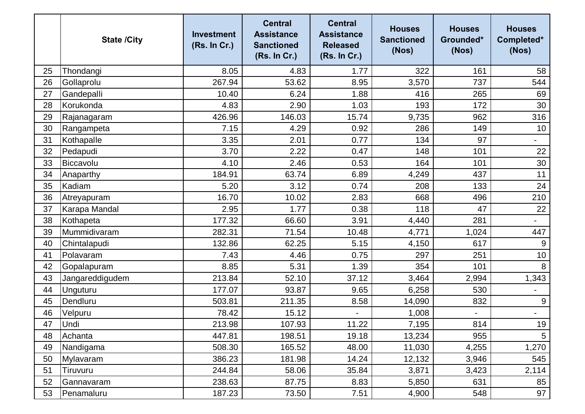|    | <b>State /City</b> | <b>Investment</b><br>(Rs. In Cr.) | <b>Central</b><br><b>Assistance</b><br><b>Sanctioned</b><br>(Rs. In Cr.) | <b>Central</b><br><b>Assistance</b><br><b>Released</b><br>(Rs. In Cr.) | <b>Houses</b><br><b>Sanctioned</b><br>(Nos) | <b>Houses</b><br>Grounded*<br>(Nos) | <b>Houses</b><br>Completed*<br>(Nos) |
|----|--------------------|-----------------------------------|--------------------------------------------------------------------------|------------------------------------------------------------------------|---------------------------------------------|-------------------------------------|--------------------------------------|
| 25 | Thondangi          | 8.05                              | 4.83                                                                     | 1.77                                                                   | 322                                         | 161                                 | 58                                   |
| 26 | Gollaprolu         | 267.94                            | 53.62                                                                    | 8.95                                                                   | 3,570                                       | 737                                 | 544                                  |
| 27 | Gandepalli         | 10.40                             | 6.24                                                                     | 1.88                                                                   | 416                                         | 265                                 | 69                                   |
| 28 | Korukonda          | 4.83                              | 2.90                                                                     | 1.03                                                                   | 193                                         | 172                                 | 30                                   |
| 29 | Rajanagaram        | 426.96                            | 146.03                                                                   | 15.74                                                                  | 9,735                                       | 962                                 | 316                                  |
| 30 | Rangampeta         | 7.15                              | 4.29                                                                     | 0.92                                                                   | 286                                         | 149                                 | 10                                   |
| 31 | Kothapalle         | 3.35                              | 2.01                                                                     | 0.77                                                                   | 134                                         | 97                                  | $\overline{\phantom{a}}$             |
| 32 | Pedapudi           | 3.70                              | 2.22                                                                     | 0.47                                                                   | 148                                         | 101                                 | 22                                   |
| 33 | Biccavolu          | 4.10                              | 2.46                                                                     | 0.53                                                                   | 164                                         | 101                                 | 30                                   |
| 34 | Anaparthy          | 184.91                            | 63.74                                                                    | 6.89                                                                   | 4,249                                       | 437                                 | 11                                   |
| 35 | Kadiam             | 5.20                              | 3.12                                                                     | 0.74                                                                   | 208                                         | 133                                 | 24                                   |
| 36 | Atreyapuram        | 16.70                             | 10.02                                                                    | 2.83                                                                   | 668                                         | 496                                 | 210                                  |
| 37 | Karapa Mandal      | 2.95                              | 1.77                                                                     | 0.38                                                                   | 118                                         | 47                                  | 22                                   |
| 38 | Kothapeta          | 177.32                            | 66.60                                                                    | 3.91                                                                   | 4,440                                       | 281                                 |                                      |
| 39 | Mummidivaram       | 282.31                            | 71.54                                                                    | 10.48                                                                  | 4,771                                       | 1,024                               | 447                                  |
| 40 | Chintalapudi       | 132.86                            | 62.25                                                                    | 5.15                                                                   | 4,150                                       | 617                                 | 9                                    |
| 41 | Polavaram          | 7.43                              | 4.46                                                                     | 0.75                                                                   | 297                                         | 251                                 | 10                                   |
| 42 | Gopalapuram        | 8.85                              | 5.31                                                                     | 1.39                                                                   | 354                                         | 101                                 | 8                                    |
| 43 | Jangareddigudem    | 213.84                            | 52.10                                                                    | 37.12                                                                  | 3,464                                       | 2,994                               | 1,343                                |
| 44 | Unguturu           | 177.07                            | 93.87                                                                    | 9.65                                                                   | 6,258                                       | 530                                 | $\overline{\phantom{a}}$             |
| 45 | Dendluru           | 503.81                            | 211.35                                                                   | 8.58                                                                   | 14,090                                      | 832                                 | $9\,$                                |
| 46 | Velpuru            | 78.42                             | 15.12                                                                    |                                                                        | 1,008                                       |                                     |                                      |
| 47 | Undi               | 213.98                            | 107.93                                                                   | 11.22                                                                  | 7,195                                       | 814                                 | 19                                   |
| 48 | Achanta            | 447.81                            | 198.51                                                                   | 19.18                                                                  | 13,234                                      | 955                                 | 5                                    |
| 49 | Nandigama          | 508.30                            | 165.52                                                                   | 48.00                                                                  | 11,030                                      | 4,255                               | 1,270                                |
| 50 | Mylavaram          | 386.23                            | 181.98                                                                   | 14.24                                                                  | 12,132                                      | 3,946                               | 545                                  |
| 51 | Tiruvuru           | 244.84                            | 58.06                                                                    | 35.84                                                                  | 3,871                                       | 3,423                               | 2,114                                |
| 52 | Gannavaram         | 238.63                            | 87.75                                                                    | 8.83                                                                   | 5,850                                       | 631                                 | 85                                   |
| 53 | Penamaluru         | 187.23                            | 73.50                                                                    | 7.51                                                                   | 4,900                                       | 548                                 | 97                                   |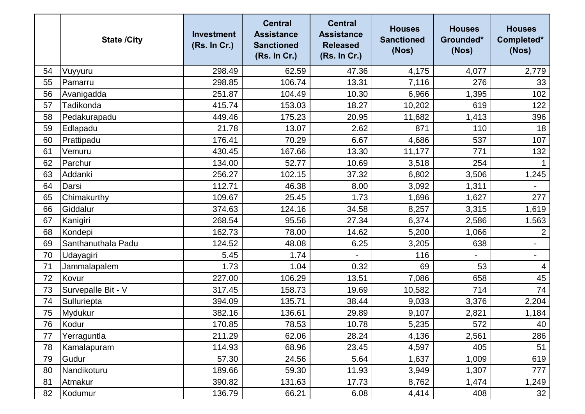|    | <b>State /City</b> | <b>Investment</b><br>(Rs. In Cr.) | <b>Central</b><br><b>Assistance</b><br><b>Sanctioned</b><br>(Rs. In Cr.) | <b>Central</b><br><b>Assistance</b><br><b>Released</b><br>(Rs. In Cr.) | <b>Houses</b><br><b>Sanctioned</b><br>(Nos) | <b>Houses</b><br>Grounded*<br>(Nos) | <b>Houses</b><br>Completed*<br>(Nos) |
|----|--------------------|-----------------------------------|--------------------------------------------------------------------------|------------------------------------------------------------------------|---------------------------------------------|-------------------------------------|--------------------------------------|
| 54 | Vuyyuru            | 298.49                            | 62.59                                                                    | 47.36                                                                  | 4,175                                       | 4,077                               | 2,779                                |
| 55 | Pamarru            | 298.85                            | 106.74                                                                   | 13.31                                                                  | 7,116                                       | 276                                 | 33                                   |
| 56 | Avanigadda         | 251.87                            | 104.49                                                                   | 10.30                                                                  | 6,966                                       | 1,395                               | 102                                  |
| 57 | <b>Tadikonda</b>   | 415.74                            | 153.03                                                                   | 18.27                                                                  | 10,202                                      | 619                                 | 122                                  |
| 58 | Pedakurapadu       | 449.46                            | 175.23                                                                   | 20.95                                                                  | 11,682                                      | 1,413                               | 396                                  |
| 59 | Edlapadu           | 21.78                             | 13.07                                                                    | 2.62                                                                   | 871                                         | 110                                 | 18                                   |
| 60 | Prattipadu         | 176.41                            | 70.29                                                                    | 6.67                                                                   | 4,686                                       | 537                                 | 107                                  |
| 61 | Vemuru             | 430.45                            | 167.66                                                                   | 13.30                                                                  | 11,177                                      | 771                                 | 132                                  |
| 62 | Parchur            | 134.00                            | 52.77                                                                    | 10.69                                                                  | 3,518                                       | 254                                 |                                      |
| 63 | Addanki            | 256.27                            | 102.15                                                                   | 37.32                                                                  | 6,802                                       | 3,506                               | 1,245                                |
| 64 | Darsi              | 112.71                            | 46.38                                                                    | 8.00                                                                   | 3,092                                       | 1,311                               |                                      |
| 65 | Chimakurthy        | 109.67                            | 25.45                                                                    | 1.73                                                                   | 1,696                                       | 1,627                               | 277                                  |
| 66 | Giddalur           | 374.63                            | 124.16                                                                   | 34.58                                                                  | 8,257                                       | 3,315                               | 1,619                                |
| 67 | Kanigiri           | 268.54                            | 95.56                                                                    | 27.34                                                                  | 6,374                                       | 2,586                               | 1,563                                |
| 68 | Kondepi            | 162.73                            | 78.00                                                                    | 14.62                                                                  | 5,200                                       | 1,066                               | $\overline{2}$                       |
| 69 | Santhanuthala Padu | 124.52                            | 48.08                                                                    | 6.25                                                                   | 3,205                                       | 638                                 | $\overline{\phantom{a}}$             |
| 70 | Udayagiri          | 5.45                              | 1.74                                                                     |                                                                        | 116                                         | $\overline{\phantom{0}}$            | $\qquad \qquad \blacksquare$         |
| 71 | Jammalapalem       | 1.73                              | 1.04                                                                     | 0.32                                                                   | 69                                          | 53                                  | 4                                    |
| 72 | Kovur              | 227.00                            | 106.29                                                                   | 13.51                                                                  | 7,086                                       | 658                                 | 45                                   |
| 73 | Survepalle Bit - V | 317.45                            | 158.73                                                                   | 19.69                                                                  | 10,582                                      | 714                                 | 74                                   |
| 74 | Sulluriepta        | 394.09                            | 135.71                                                                   | 38.44                                                                  | 9,033                                       | 3,376                               | 2,204                                |
| 75 | Mydukur            | 382.16                            | 136.61                                                                   | 29.89                                                                  | 9,107                                       | 2,821                               | 1,184                                |
| 76 | Kodur              | 170.85                            | 78.53                                                                    | 10.78                                                                  | 5,235                                       | 572                                 | 40                                   |
| 77 | Yerraguntla        | 211.29                            | 62.06                                                                    | 28.24                                                                  | 4,136                                       | 2,561                               | 286                                  |
| 78 | Kamalapuram        | 114.93                            | 68.96                                                                    | 23.45                                                                  | 4,597                                       | 405                                 | 51                                   |
| 79 | Gudur              | 57.30                             | 24.56                                                                    | 5.64                                                                   | 1,637                                       | 1,009                               | 619                                  |
| 80 | Nandikoturu        | 189.66                            | 59.30                                                                    | 11.93                                                                  | 3,949                                       | 1,307                               | 777                                  |
| 81 | Atmakur            | 390.82                            | 131.63                                                                   | 17.73                                                                  | 8,762                                       | 1,474                               | 1,249                                |
| 82 | Kodumur            | 136.79                            | 66.21                                                                    | 6.08                                                                   | 4,414                                       | 408                                 | 32                                   |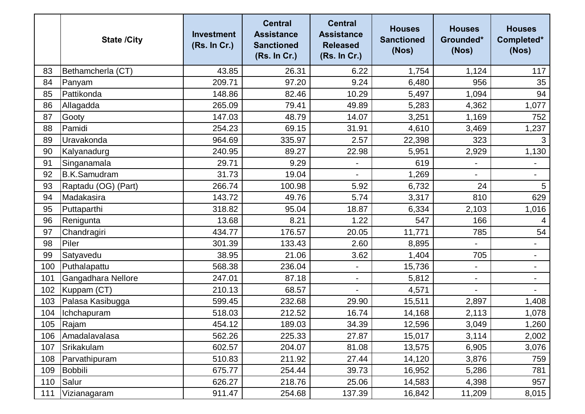|     | <b>State /City</b>  | <b>Investment</b><br>(Rs. In Cr.) | <b>Central</b><br><b>Assistance</b><br><b>Sanctioned</b><br>(Rs. In Cr.) | <b>Central</b><br><b>Assistance</b><br><b>Released</b><br>(Rs. In Cr.) | <b>Houses</b><br><b>Sanctioned</b><br>(Nos) | <b>Houses</b><br>Grounded*<br>(Nos) | <b>Houses</b><br>Completed*<br>(Nos) |
|-----|---------------------|-----------------------------------|--------------------------------------------------------------------------|------------------------------------------------------------------------|---------------------------------------------|-------------------------------------|--------------------------------------|
| 83  | Bethamcherla (CT)   | 43.85                             | 26.31                                                                    | 6.22                                                                   | 1,754                                       | 1,124                               | 117                                  |
| 84  | Panyam              | 209.71                            | 97.20                                                                    | 9.24                                                                   | 6,480                                       | 956                                 | 35                                   |
| 85  | Pattikonda          | 148.86                            | 82.46                                                                    | 10.29                                                                  | 5,497                                       | 1,094                               | 94                                   |
| 86  | Allagadda           | 265.09                            | 79.41                                                                    | 49.89                                                                  | 5,283                                       | 4,362                               | 1,077                                |
| 87  | Gooty               | 147.03                            | 48.79                                                                    | 14.07                                                                  | 3,251                                       | 1,169                               | 752                                  |
| 88  | Pamidi              | 254.23                            | 69.15                                                                    | 31.91                                                                  | 4,610                                       | 3,469                               | 1,237                                |
| 89  | Uravakonda          | 964.69                            | 335.97                                                                   | 2.57                                                                   | 22,398                                      | 323                                 | 3                                    |
| 90  | Kalyanadurg         | 240.95                            | 89.27                                                                    | 22.98                                                                  | 5,951                                       | 2,929                               | 1,130                                |
| 91  | Singanamala         | 29.71                             | 9.29                                                                     | $\blacksquare$                                                         | 619                                         | $\blacksquare$                      | $\overline{\phantom{a}}$             |
| 92  | <b>B.K.Samudram</b> | 31.73                             | 19.04                                                                    | $\blacksquare$                                                         | 1,269                                       | $\overline{\phantom{a}}$            | $\overline{\phantom{a}}$             |
| 93  | Raptadu (OG) (Part) | 266.74                            | 100.98                                                                   | 5.92                                                                   | 6,732                                       | 24                                  | $5\phantom{.0}$                      |
| 94  | Madakasira          | 143.72                            | 49.76                                                                    | 5.74                                                                   | 3,317                                       | 810                                 | 629                                  |
| 95  | Puttaparthi         | 318.82                            | 95.04                                                                    | 18.87                                                                  | 6,334                                       | 2,103                               | 1,016                                |
| 96  | Renigunta           | 13.68                             | 8.21                                                                     | 1.22                                                                   | 547                                         | 166                                 | 4                                    |
| 97  | Chandragiri         | 434.77                            | 176.57                                                                   | 20.05                                                                  | 11,771                                      | 785                                 | 54                                   |
| 98  | Piler               | 301.39                            | 133.43                                                                   | 2.60                                                                   | 8,895                                       | $\overline{\phantom{0}}$            |                                      |
| 99  | Satyavedu           | 38.95                             | 21.06                                                                    | 3.62                                                                   | 1,404                                       | 705                                 | $\overline{\phantom{a}}$             |
| 100 | Puthalapattu        | 568.38                            | 236.04                                                                   |                                                                        | 15,736                                      |                                     |                                      |
| 101 | Gangadhara Nellore  | 247.01                            | 87.18                                                                    | $\overline{\phantom{a}}$                                               | 5,812                                       | $\qquad \qquad \blacksquare$        | $\blacksquare$                       |
| 102 | Kuppam (CT)         | 210.13                            | 68.57                                                                    |                                                                        | 4,571                                       |                                     |                                      |
| 103 | Palasa Kasibugga    | 599.45                            | 232.68                                                                   | 29.90                                                                  | 15,511                                      | 2,897                               | 1,408                                |
| 104 | Ichchapuram         | 518.03                            | 212.52                                                                   | 16.74                                                                  | 14,168                                      | 2,113                               | 1,078                                |
|     | 105 Rajam           | 454.12                            | 189.03                                                                   | 34.39                                                                  | 12,596                                      | 3,049                               | 1,260                                |
| 106 | Amadalavalasa       | 562.26                            | 225.33                                                                   | 27.87                                                                  | 15,017                                      | 3,114                               | 2,002                                |
| 107 | Srikakulam          | 602.57                            | 204.07                                                                   | 81.08                                                                  | 13,575                                      | 6,905                               | 3,076                                |
| 108 | Parvathipuram       | 510.83                            | 211.92                                                                   | 27.44                                                                  | 14,120                                      | 3,876                               | 759                                  |
| 109 | Bobbili             | 675.77                            | 254.44                                                                   | 39.73                                                                  | 16,952                                      | 5,286                               | 781                                  |
| 110 | Salur               | 626.27                            | 218.76                                                                   | 25.06                                                                  | 14,583                                      | 4,398                               | 957                                  |
| 111 | Vizianagaram        | 911.47                            | 254.68                                                                   | 137.39                                                                 | 16,842                                      | 11,209                              | 8,015                                |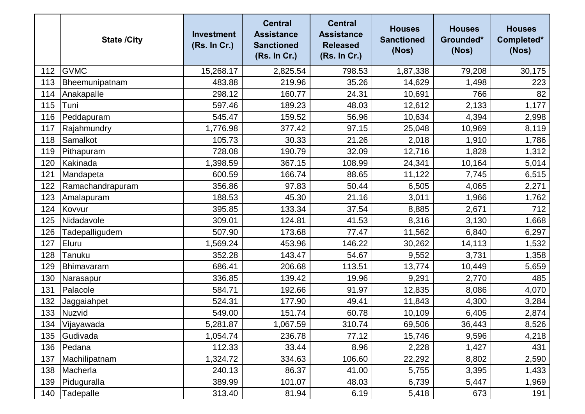|     | <b>State /City</b> | <b>Investment</b><br>(Rs. In Cr.) | <b>Central</b><br><b>Assistance</b><br><b>Sanctioned</b><br>(Rs. In Cr.) | <b>Central</b><br><b>Assistance</b><br><b>Released</b><br>(Rs. In Cr.) | <b>Houses</b><br><b>Sanctioned</b><br>(Nos) | <b>Houses</b><br>Grounded*<br>(Nos) | <b>Houses</b><br>Completed*<br>(Nos) |
|-----|--------------------|-----------------------------------|--------------------------------------------------------------------------|------------------------------------------------------------------------|---------------------------------------------|-------------------------------------|--------------------------------------|
| 112 | <b>GVMC</b>        | 15,268.17                         | 2,825.54                                                                 | 798.53                                                                 | 1,87,338                                    | 79,208                              | 30,175                               |
| 113 | Bheemunipatnam     | 483.88                            | 219.96                                                                   | 35.26                                                                  | 14,629                                      | 1,498                               | 223                                  |
| 114 | Anakapalle         | 298.12                            | 160.77                                                                   | 24.31                                                                  | 10,691                                      | 766                                 | 82                                   |
| 115 | Tuni               | 597.46                            | 189.23                                                                   | 48.03                                                                  | 12,612                                      | 2,133                               | 1,177                                |
| 116 | Peddapuram         | 545.47                            | 159.52                                                                   | 56.96                                                                  | 10,634                                      | 4,394                               | 2,998                                |
| 117 | Rajahmundry        | 1,776.98                          | 377.42                                                                   | 97.15                                                                  | 25,048                                      | 10,969                              | 8,119                                |
| 118 | Samalkot           | 105.73                            | 30.33                                                                    | 21.26                                                                  | 2,018                                       | 1,910                               | 1,786                                |
| 119 | Pithapuram         | 728.08                            | 190.79                                                                   | 32.09                                                                  | 12,716                                      | 1,828                               | 1,312                                |
| 120 | Kakinada           | 1,398.59                          | 367.15                                                                   | 108.99                                                                 | 24,341                                      | 10,164                              | 5,014                                |
| 121 | Mandapeta          | 600.59                            | 166.74                                                                   | 88.65                                                                  | 11,122                                      | 7,745                               | 6,515                                |
| 122 | Ramachandrapuram   | 356.86                            | 97.83                                                                    | 50.44                                                                  | 6,505                                       | 4,065                               | 2,271                                |
| 123 | Amalapuram         | 188.53                            | 45.30                                                                    | 21.16                                                                  | 3,011                                       | 1,966                               | 1,762                                |
| 124 | Kovvur             | 395.85                            | 133.34                                                                   | 37.54                                                                  | 8,885                                       | 2,671                               | 712                                  |
| 125 | Nidadavole         | 309.01                            | 124.81                                                                   | 41.53                                                                  | 8,316                                       | 3,130                               | 1,668                                |
| 126 | Tadepalligudem     | 507.90                            | 173.68                                                                   | 77.47                                                                  | 11,562                                      | 6,840                               | 6,297                                |
| 127 | Eluru              | 1,569.24                          | 453.96                                                                   | 146.22                                                                 | 30,262                                      | 14,113                              | 1,532                                |
| 128 | Tanuku             | 352.28                            | 143.47                                                                   | 54.67                                                                  | 9,552                                       | 3,731                               | 1,358                                |
| 129 | Bhimavaram         | 686.41                            | 206.68                                                                   | 113.51                                                                 | 13,774                                      | 10,449                              | 5,659                                |
| 130 | Narasapur          | 336.85                            | 139.42                                                                   | 19.96                                                                  | 9,291                                       | 2,770                               | 485                                  |
| 131 | Palacole           | 584.71                            | 192.66                                                                   | 91.97                                                                  | 12,835                                      | 8,086                               | 4,070                                |
| 132 | Jaggaiahpet        | 524.31                            | 177.90                                                                   | 49.41                                                                  | 11,843                                      | 4,300                               | 3,284                                |
| 133 | Nuzvid             | 549.00                            | 151.74                                                                   | 60.78                                                                  | 10,109                                      | 6,405                               | 2,874                                |
| 134 | Vijayawada         | 5,281.87                          | 1,067.59                                                                 | 310.74                                                                 | 69,506                                      | 36,443                              | 8,526                                |
| 135 | Gudivada           | 1,054.74                          | 236.78                                                                   | 77.12                                                                  | 15,746                                      | 9,596                               | 4,218                                |
| 136 | Pedana             | 112.33                            | 33.44                                                                    | 8.96                                                                   | 2,228                                       | 1,427                               | 431                                  |
| 137 | Machilipatnam      | 1,324.72                          | 334.63                                                                   | 106.60                                                                 | 22,292                                      | 8,802                               | 2,590                                |
| 138 | Macherla           | 240.13                            | 86.37                                                                    | 41.00                                                                  | 5,755                                       | 3,395                               | 1,433                                |
| 139 | Piduguralla        | 389.99                            | 101.07                                                                   | 48.03                                                                  | 6,739                                       | 5,447                               | 1,969                                |
| 140 | Tadepalle          | 313.40                            | 81.94                                                                    | 6.19                                                                   | 5,418                                       | 673                                 | 191                                  |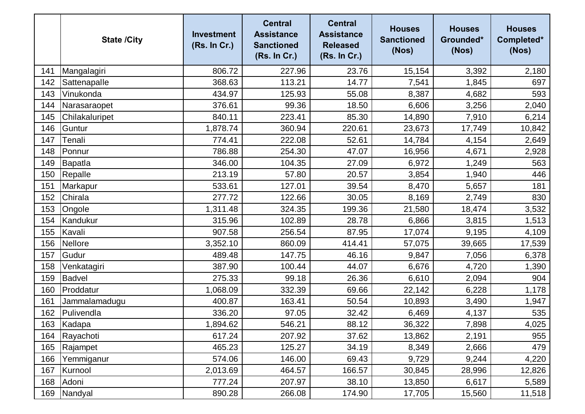|     | <b>State /City</b> | <b>Investment</b><br>(Rs. In Cr.) | <b>Central</b><br><b>Assistance</b><br><b>Sanctioned</b><br>(Rs. In Cr.) | <b>Central</b><br><b>Assistance</b><br><b>Released</b><br>(Rs. In Cr.) | <b>Houses</b><br><b>Sanctioned</b><br>(Nos) | <b>Houses</b><br>Grounded*<br>(Nos) | <b>Houses</b><br>Completed*<br>(Nos) |
|-----|--------------------|-----------------------------------|--------------------------------------------------------------------------|------------------------------------------------------------------------|---------------------------------------------|-------------------------------------|--------------------------------------|
| 141 | Mangalagiri        | 806.72                            | 227.96                                                                   | 23.76                                                                  | 15,154                                      | 3,392                               | 2,180                                |
| 142 | Sattenapalle       | 368.63                            | 113.21                                                                   | 14.77                                                                  | 7,541                                       | 1,845                               | 697                                  |
| 143 | Vinukonda          | 434.97                            | 125.93                                                                   | 55.08                                                                  | 8,387                                       | 4,682                               | 593                                  |
| 144 | Narasaraopet       | 376.61                            | 99.36                                                                    | 18.50                                                                  | 6,606                                       | 3,256                               | 2,040                                |
| 145 | Chilakaluripet     | 840.11                            | 223.41                                                                   | 85.30                                                                  | 14,890                                      | 7,910                               | 6,214                                |
| 146 | Guntur             | 1,878.74                          | 360.94                                                                   | 220.61                                                                 | 23,673                                      | 17,749                              | 10,842                               |
| 147 | Tenali             | 774.41                            | 222.08                                                                   | 52.61                                                                  | 14,784                                      | 4,154                               | 2,649                                |
| 148 | Ponnur             | 786.88                            | 254.30                                                                   | 47.07                                                                  | 16,956                                      | 4,671                               | 2,928                                |
| 149 | Bapatla            | 346.00                            | 104.35                                                                   | 27.09                                                                  | 6,972                                       | 1,249                               | 563                                  |
| 150 | Repalle            | 213.19                            | 57.80                                                                    | 20.57                                                                  | 3,854                                       | 1,940                               | 446                                  |
| 151 | Markapur           | 533.61                            | 127.01                                                                   | 39.54                                                                  | 8,470                                       | 5,657                               | 181                                  |
| 152 | Chirala            | 277.72                            | 122.66                                                                   | 30.05                                                                  | 8,169                                       | 2,749                               | 830                                  |
| 153 | Ongole             | 1,311.48                          | 324.35                                                                   | 199.36                                                                 | 21,580                                      | 18,474                              | 3,532                                |
| 154 | Kandukur           | 315.96                            | 102.89                                                                   | 28.78                                                                  | 6,866                                       | 3,815                               | 1,513                                |
| 155 | Kavali             | 907.58                            | 256.54                                                                   | 87.95                                                                  | 17,074                                      | 9,195                               | 4,109                                |
| 156 | Nellore            | 3,352.10                          | 860.09                                                                   | 414.41                                                                 | 57,075                                      | 39,665                              | 17,539                               |
| 157 | Gudur              | 489.48                            | 147.75                                                                   | 46.16                                                                  | 9,847                                       | 7,056                               | 6,378                                |
| 158 | Venkatagiri        | 387.90                            | 100.44                                                                   | 44.07                                                                  | 6,676                                       | 4,720                               | 1,390                                |
| 159 | <b>Badvel</b>      | 275.33                            | 99.18                                                                    | 26.36                                                                  | 6,610                                       | 2,094                               | 904                                  |
| 160 | Proddatur          | 1,068.09                          | 332.39                                                                   | 69.66                                                                  | 22,142                                      | 6,228                               | 1,178                                |
| 161 | Jammalamadugu      | 400.87                            | 163.41                                                                   | 50.54                                                                  | 10,893                                      | 3,490                               | 1,947                                |
| 162 | Pulivendla         | 336.20                            | 97.05                                                                    | 32.42                                                                  | 6,469                                       | 4,137                               | 535                                  |
| 163 | Kadapa             | 1,894.62                          | 546.21                                                                   | 88.12                                                                  | 36,322                                      | 7,898                               | 4,025                                |
| 164 | Rayachoti          | 617.24                            | 207.92                                                                   | 37.62                                                                  | 13,862                                      | 2,191                               | 955                                  |
| 165 | Rajampet           | 465.23                            | 125.27                                                                   | 34.19                                                                  | 8,349                                       | 2,666                               | 479                                  |
| 166 | Yemmiganur         | 574.06                            | 146.00                                                                   | 69.43                                                                  | 9,729                                       | 9,244                               | 4,220                                |
| 167 | Kurnool            | 2,013.69                          | 464.57                                                                   | 166.57                                                                 | 30,845                                      | 28,996                              | 12,826                               |
| 168 | Adoni              | 777.24                            | 207.97                                                                   | 38.10                                                                  | 13,850                                      | 6,617                               | 5,589                                |
| 169 | Nandyal            | 890.28                            | 266.08                                                                   | 174.90                                                                 | 17,705                                      | 15,560                              | 11,518                               |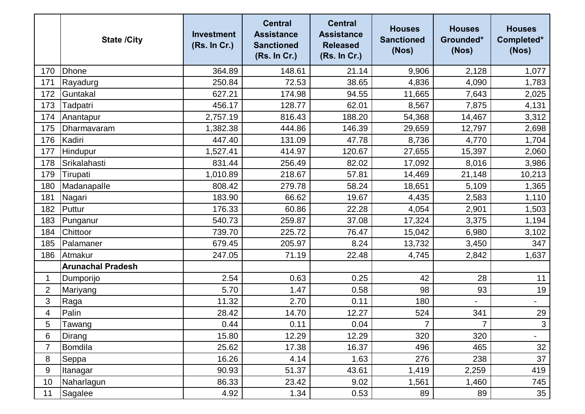|                | <b>State /City</b>       | <b>Investment</b><br>(Rs. In Cr.) | <b>Central</b><br><b>Assistance</b><br><b>Sanctioned</b><br>(Rs. In Cr.) | <b>Central</b><br><b>Assistance</b><br><b>Released</b><br>(Rs. In Cr.) | <b>Houses</b><br><b>Sanctioned</b><br>(Nos) | <b>Houses</b><br>Grounded*<br>(Nos) | <b>Houses</b><br>Completed*<br>(Nos) |
|----------------|--------------------------|-----------------------------------|--------------------------------------------------------------------------|------------------------------------------------------------------------|---------------------------------------------|-------------------------------------|--------------------------------------|
| 170            | <b>Dhone</b>             | 364.89                            | 148.61                                                                   | 21.14                                                                  | 9,906                                       | 2,128                               | 1,077                                |
| 171            | Rayadurg                 | 250.84                            | 72.53                                                                    | 38.65                                                                  | 4,836                                       | 4,090                               | 1,783                                |
| 172            | Guntakal                 | 627.21                            | 174.98                                                                   | 94.55                                                                  | 11,665                                      | 7,643                               | 2,025                                |
| 173            | Tadpatri                 | 456.17                            | 128.77                                                                   | 62.01                                                                  | 8,567                                       | 7,875                               | 4,131                                |
| 174            | Anantapur                | 2,757.19                          | 816.43                                                                   | 188.20                                                                 | 54,368                                      | 14,467                              | 3,312                                |
| 175            | Dharmavaram              | 1,382.38                          | 444.86                                                                   | 146.39                                                                 | 29,659                                      | 12,797                              | 2,698                                |
| 176            | Kadiri                   | 447.40                            | 131.09                                                                   | 47.78                                                                  | 8,736                                       | 4,770                               | 1,704                                |
| 177            | <b>Hindupur</b>          | 1,527.41                          | 414.97                                                                   | 120.67                                                                 | 27,655                                      | 15,397                              | 2,060                                |
| 178            | Srikalahasti             | 831.44                            | 256.49                                                                   | 82.02                                                                  | 17,092                                      | 8,016                               | 3,986                                |
| 179            | Tirupati                 | 1,010.89                          | 218.67                                                                   | 57.81                                                                  | 14,469                                      | 21,148                              | 10,213                               |
| 180            | Madanapalle              | 808.42                            | 279.78                                                                   | 58.24                                                                  | 18,651                                      | 5,109                               | 1,365                                |
| 181            | Nagari                   | 183.90                            | 66.62                                                                    | 19.67                                                                  | 4,435                                       | 2,583                               | 1,110                                |
| 182            | Puttur                   | 176.33                            | 60.86                                                                    | 22.28                                                                  | 4,054                                       | 2,901                               | 1,503                                |
| 183            | Punganur                 | 540.73                            | 259.87                                                                   | 37.08                                                                  | 17,324                                      | 3,375                               | 1,194                                |
| 184            | Chittoor                 | 739.70                            | 225.72                                                                   | 76.47                                                                  | 15,042                                      | 6,980                               | 3,102                                |
| 185            | Palamaner                | 679.45                            | 205.97                                                                   | 8.24                                                                   | 13,732                                      | 3,450                               | 347                                  |
| 186            | Atmakur                  | 247.05                            | 71.19                                                                    | 22.48                                                                  | 4,745                                       | 2,842                               | 1,637                                |
|                | <b>Arunachal Pradesh</b> |                                   |                                                                          |                                                                        |                                             |                                     |                                      |
| 1              | Dumporijo                | 2.54                              | 0.63                                                                     | 0.25                                                                   | 42                                          | 28                                  | 11                                   |
| $\overline{2}$ | Mariyang                 | 5.70                              | 1.47                                                                     | 0.58                                                                   | 98                                          | 93                                  | 19                                   |
| 3              | Raga                     | 11.32                             | 2.70                                                                     | 0.11                                                                   | 180                                         |                                     | $\blacksquare$                       |
| 4              | Palin                    | 28.42                             | 14.70                                                                    | 12.27                                                                  | 524                                         | 341                                 | 29                                   |
| 5              | Tawang                   | 0.44                              | 0.11                                                                     | 0.04                                                                   | $\overline{7}$                              | $\overline{7}$                      | $\mathbf{3}$                         |
| 6              | Dirang                   | 15.80                             | 12.29                                                                    | 12.29                                                                  | 320                                         | 320                                 | $\overline{\phantom{0}}$             |
| 7              | Bomdila                  | 25.62                             | 17.38                                                                    | 16.37                                                                  | 496                                         | 465                                 | 32 <sub>2</sub>                      |
| 8              | Seppa                    | 16.26                             | 4.14                                                                     | 1.63                                                                   | 276                                         | 238                                 | 37                                   |
| 9              | Itanagar                 | 90.93                             | 51.37                                                                    | 43.61                                                                  | 1,419                                       | 2,259                               | 419                                  |
| 10             | Naharlagun               | 86.33                             | 23.42                                                                    | 9.02                                                                   | 1,561                                       | 1,460                               | 745                                  |
| 11             | Sagalee                  | 4.92                              | 1.34                                                                     | 0.53                                                                   | 89                                          | 89                                  | 35                                   |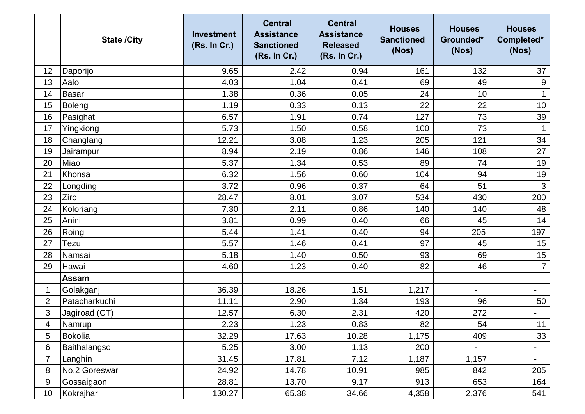|                | <b>State /City</b> | <b>Investment</b><br>(Rs. In Cr.) | <b>Central</b><br><b>Assistance</b><br><b>Sanctioned</b><br>(Rs. In Cr.) | <b>Central</b><br><b>Assistance</b><br><b>Released</b><br>(Rs. In Cr.) | <b>Houses</b><br><b>Sanctioned</b><br>(Nos) | <b>Houses</b><br>Grounded*<br>(Nos) | <b>Houses</b><br>Completed*<br>(Nos) |
|----------------|--------------------|-----------------------------------|--------------------------------------------------------------------------|------------------------------------------------------------------------|---------------------------------------------|-------------------------------------|--------------------------------------|
| 12             | Daporijo           | 9.65                              | 2.42                                                                     | 0.94                                                                   | 161                                         | 132                                 | 37                                   |
| 13             | Aalo               | 4.03                              | 1.04                                                                     | 0.41                                                                   | 69                                          | 49                                  | $9\,$                                |
| 14             | <b>Basar</b>       | 1.38                              | 0.36                                                                     | 0.05                                                                   | 24                                          | 10                                  |                                      |
| 15             | Boleng             | 1.19                              | 0.33                                                                     | 0.13                                                                   | 22                                          | 22                                  | 10                                   |
| 16             | Pasighat           | 6.57                              | 1.91                                                                     | 0.74                                                                   | 127                                         | 73                                  | 39                                   |
| 17             | Yingkiong          | 5.73                              | 1.50                                                                     | 0.58                                                                   | 100                                         | 73                                  | $\mathbf{1}$                         |
| 18             | Changlang          | 12.21                             | 3.08                                                                     | 1.23                                                                   | 205                                         | 121                                 | 34                                   |
| 19             | Jairampur          | 8.94                              | 2.19                                                                     | 0.86                                                                   | 146                                         | 108                                 | 27                                   |
| 20             | Miao               | 5.37                              | 1.34                                                                     | 0.53                                                                   | 89                                          | 74                                  | 19                                   |
| 21             | Khonsa             | 6.32                              | 1.56                                                                     | 0.60                                                                   | 104                                         | 94                                  | 19                                   |
| 22             | Longding           | 3.72                              | 0.96                                                                     | 0.37                                                                   | 64                                          | 51                                  | $\mathfrak{S}$                       |
| 23             | Ziro               | 28.47                             | 8.01                                                                     | 3.07                                                                   | 534                                         | 430                                 | 200                                  |
| 24             | Koloriang          | 7.30                              | 2.11                                                                     | 0.86                                                                   | 140                                         | 140                                 | 48                                   |
| 25             | Anini              | 3.81                              | 0.99                                                                     | 0.40                                                                   | 66                                          | 45                                  | 14                                   |
| 26             | Roing              | 5.44                              | 1.41                                                                     | 0.40                                                                   | 94                                          | 205                                 | 197                                  |
| 27             | Tezu               | 5.57                              | 1.46                                                                     | 0.41                                                                   | 97                                          | 45                                  | 15                                   |
| 28             | Namsai             | 5.18                              | 1.40                                                                     | 0.50                                                                   | 93                                          | 69                                  | 15                                   |
| 29             | Hawai              | 4.60                              | 1.23                                                                     | 0.40                                                                   | 82                                          | 46                                  | $\overline{7}$                       |
|                | <b>Assam</b>       |                                   |                                                                          |                                                                        |                                             |                                     |                                      |
| 1              | Golakganj          | 36.39                             | 18.26                                                                    | 1.51                                                                   | 1,217                                       | $\overline{\phantom{0}}$            | $\overline{\phantom{a}}$             |
| $\overline{2}$ | Patacharkuchi      | 11.11                             | 2.90                                                                     | 1.34                                                                   | 193                                         | 96                                  | 50                                   |
| 3              | Jagiroad (CT)      | 12.57                             | 6.30                                                                     | 2.31                                                                   | 420                                         | 272                                 |                                      |
| 4              | Namrup             | 2.23                              | 1.23                                                                     | 0.83                                                                   | 82                                          | 54                                  | 11                                   |
| 5              | <b>Bokolia</b>     | 32.29                             | 17.63                                                                    | 10.28                                                                  | 1,175                                       | 409                                 | 33                                   |
| 6              | Baithalangso       | 5.25                              | 3.00                                                                     | 1.13                                                                   | 200                                         |                                     | Ξ.                                   |
| 7              | Langhin            | 31.45                             | 17.81                                                                    | 7.12                                                                   | 1,187                                       | 1,157                               | $\overline{\phantom{a}}$             |
| 8              | No.2 Goreswar      | 24.92                             | 14.78                                                                    | 10.91                                                                  | 985                                         | 842                                 | 205                                  |
| 9              | Gossaigaon         | 28.81                             | 13.70                                                                    | 9.17                                                                   | 913                                         | 653                                 | 164                                  |
| 10             | Kokrajhar          | 130.27                            | 65.38                                                                    | 34.66                                                                  | 4,358                                       | 2,376                               | 541                                  |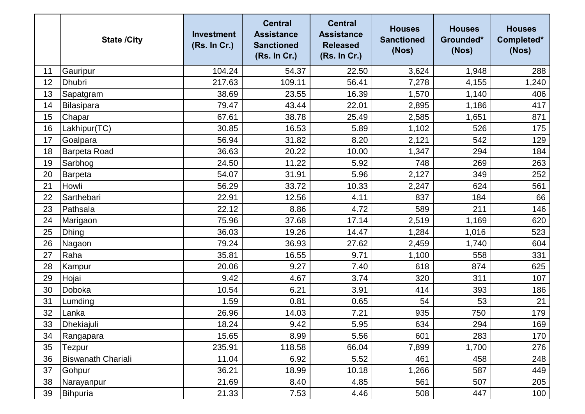|    | <b>State /City</b>        | <b>Investment</b><br>(Rs. In Cr.) | <b>Central</b><br><b>Assistance</b><br><b>Sanctioned</b><br>(Rs. In Cr.) | <b>Central</b><br><b>Assistance</b><br><b>Released</b><br>(Rs. In Cr.) | <b>Houses</b><br><b>Sanctioned</b><br>(Nos) | <b>Houses</b><br>Grounded*<br>(Nos) | <b>Houses</b><br>Completed*<br>(Nos) |
|----|---------------------------|-----------------------------------|--------------------------------------------------------------------------|------------------------------------------------------------------------|---------------------------------------------|-------------------------------------|--------------------------------------|
| 11 | Gauripur                  | 104.24                            | 54.37                                                                    | 22.50                                                                  | 3,624                                       | 1,948                               | 288                                  |
| 12 | <b>Dhubri</b>             | 217.63                            | 109.11                                                                   | 56.41                                                                  | 7,278                                       | 4,155                               | 1,240                                |
| 13 | Sapatgram                 | 38.69                             | 23.55                                                                    | 16.39                                                                  | 1,570                                       | 1,140                               | 406                                  |
| 14 | Bilasipara                | 79.47                             | 43.44                                                                    | 22.01                                                                  | 2,895                                       | 1,186                               | 417                                  |
| 15 | Chapar                    | 67.61                             | 38.78                                                                    | 25.49                                                                  | 2,585                                       | 1,651                               | 871                                  |
| 16 | Lakhipur(TC)              | 30.85                             | 16.53                                                                    | 5.89                                                                   | 1,102                                       | 526                                 | 175                                  |
| 17 | Goalpara                  | 56.94                             | 31.82                                                                    | 8.20                                                                   | 2,121                                       | 542                                 | 129                                  |
| 18 | <b>Barpeta Road</b>       | 36.63                             | 20.22                                                                    | 10.00                                                                  | 1,347                                       | 294                                 | 184                                  |
| 19 | Sarbhog                   | 24.50                             | 11.22                                                                    | 5.92                                                                   | 748                                         | 269                                 | 263                                  |
| 20 | Barpeta                   | 54.07                             | 31.91                                                                    | 5.96                                                                   | 2,127                                       | 349                                 | 252                                  |
| 21 | Howli                     | 56.29                             | 33.72                                                                    | 10.33                                                                  | 2,247                                       | 624                                 | 561                                  |
| 22 | Sarthebari                | 22.91                             | 12.56                                                                    | 4.11                                                                   | 837                                         | 184                                 | 66                                   |
| 23 | Pathsala                  | 22.12                             | 8.86                                                                     | 4.72                                                                   | 589                                         | 211                                 | 146                                  |
| 24 | Marigaon                  | 75.96                             | 37.68                                                                    | 17.14                                                                  | 2,519                                       | 1,169                               | 620                                  |
| 25 | <b>Dhing</b>              | 36.03                             | 19.26                                                                    | 14.47                                                                  | 1,284                                       | 1,016                               | 523                                  |
| 26 | Nagaon                    | 79.24                             | 36.93                                                                    | 27.62                                                                  | 2,459                                       | 1,740                               | 604                                  |
| 27 | Raha                      | 35.81                             | 16.55                                                                    | 9.71                                                                   | 1,100                                       | 558                                 | 331                                  |
| 28 | Kampur                    | 20.06                             | 9.27                                                                     | 7.40                                                                   | 618                                         | 874                                 | 625                                  |
| 29 | Hojai                     | 9.42                              | 4.67                                                                     | 3.74                                                                   | 320                                         | 311                                 | 107                                  |
| 30 | Doboka                    | 10.54                             | 6.21                                                                     | 3.91                                                                   | 414                                         | 393                                 | 186                                  |
| 31 | Lumding                   | 1.59                              | 0.81                                                                     | 0.65                                                                   | 54                                          | 53                                  | 21                                   |
| 32 | Lanka                     | 26.96                             | 14.03                                                                    | 7.21                                                                   | 935                                         | 750                                 | 179                                  |
| 33 | Dhekiajuli                | 18.24                             | 9.42                                                                     | 5.95                                                                   | 634                                         | 294                                 | 169                                  |
| 34 | Rangapara                 | 15.65                             | 8.99                                                                     | 5.56                                                                   | 601                                         | 283                                 | 170                                  |
| 35 | Tezpur                    | 235.91                            | 118.58                                                                   | 66.04                                                                  | 7,899                                       | 1,700                               | 276                                  |
| 36 | <b>Biswanath Chariali</b> | 11.04                             | 6.92                                                                     | 5.52                                                                   | 461                                         | 458                                 | 248                                  |
| 37 | Gohpur                    | 36.21                             | 18.99                                                                    | 10.18                                                                  | 1,266                                       | 587                                 | 449                                  |
| 38 | Narayanpur                | 21.69                             | 8.40                                                                     | 4.85                                                                   | 561                                         | 507                                 | 205                                  |
| 39 | Bihpuria                  | 21.33                             | 7.53                                                                     | 4.46                                                                   | 508                                         | 447                                 | 100                                  |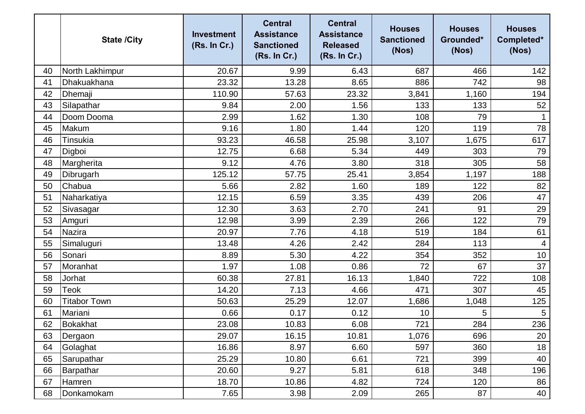|    | <b>State /City</b>  | <b>Investment</b><br>(Rs. In Cr.) | <b>Central</b><br><b>Assistance</b><br><b>Sanctioned</b><br>(Rs. In Cr.) | <b>Central</b><br><b>Assistance</b><br><b>Released</b><br>(Rs. In Cr.) | <b>Houses</b><br><b>Sanctioned</b><br>(Nos) | <b>Houses</b><br>Grounded*<br>(Nos) | <b>Houses</b><br>Completed*<br>(Nos) |
|----|---------------------|-----------------------------------|--------------------------------------------------------------------------|------------------------------------------------------------------------|---------------------------------------------|-------------------------------------|--------------------------------------|
| 40 | North Lakhimpur     | 20.67                             | 9.99                                                                     | 6.43                                                                   | 687                                         | 466                                 | 142                                  |
| 41 | Dhakuakhana         | 23.32                             | 13.28                                                                    | 8.65                                                                   | 886                                         | 742                                 | 98                                   |
| 42 | Dhemaji             | 110.90                            | 57.63                                                                    | 23.32                                                                  | 3,841                                       | 1,160                               | 194                                  |
| 43 | Silapathar          | 9.84                              | 2.00                                                                     | 1.56                                                                   | 133                                         | 133                                 | 52                                   |
| 44 | Doom Dooma          | 2.99                              | 1.62                                                                     | 1.30                                                                   | 108                                         | 79                                  | $\mathbf{1}$                         |
| 45 | Makum               | 9.16                              | 1.80                                                                     | 1.44                                                                   | 120                                         | 119                                 | 78                                   |
| 46 | Tinsukia            | 93.23                             | 46.58                                                                    | 25.98                                                                  | 3,107                                       | 1,675                               | 617                                  |
| 47 | Digboi              | 12.75                             | 6.68                                                                     | 5.34                                                                   | 449                                         | 303                                 | 79                                   |
| 48 | Margherita          | 9.12                              | 4.76                                                                     | 3.80                                                                   | 318                                         | 305                                 | 58                                   |
| 49 | Dibrugarh           | 125.12                            | 57.75                                                                    | 25.41                                                                  | 3,854                                       | 1,197                               | 188                                  |
| 50 | Chabua              | 5.66                              | 2.82                                                                     | 1.60                                                                   | 189                                         | 122                                 | 82                                   |
| 51 | Naharkatiya         | 12.15                             | 6.59                                                                     | 3.35                                                                   | 439                                         | 206                                 | 47                                   |
| 52 | Sivasagar           | 12.30                             | 3.63                                                                     | 2.70                                                                   | 241                                         | 91                                  | 29                                   |
| 53 | Amguri              | 12.98                             | 3.99                                                                     | 2.39                                                                   | 266                                         | 122                                 | 79                                   |
| 54 | <b>Nazira</b>       | 20.97                             | 7.76                                                                     | 4.18                                                                   | 519                                         | 184                                 | 61                                   |
| 55 | Simaluguri          | 13.48                             | 4.26                                                                     | 2.42                                                                   | 284                                         | 113                                 | 4                                    |
| 56 | Sonari              | 8.89                              | 5.30                                                                     | 4.22                                                                   | 354                                         | 352                                 | 10                                   |
| 57 | Moranhat            | 1.97                              | 1.08                                                                     | 0.86                                                                   | 72                                          | 67                                  | 37                                   |
| 58 | Jorhat              | 60.38                             | 27.81                                                                    | 16.13                                                                  | 1,840                                       | 722                                 | 108                                  |
| 59 | Teok                | 14.20                             | 7.13                                                                     | 4.66                                                                   | 471                                         | 307                                 | 45                                   |
| 60 | <b>Titabor Town</b> | 50.63                             | 25.29                                                                    | 12.07                                                                  | 1,686                                       | 1,048                               | 125                                  |
| 61 | Mariani             | 0.66                              | 0.17                                                                     | 0.12                                                                   | 10                                          | 5                                   | $\sqrt{5}$                           |
| 62 | Bokakhat            | 23.08                             | 10.83                                                                    | 6.08                                                                   | 721                                         | 284                                 | 236                                  |
| 63 | Dergaon             | 29.07                             | 16.15                                                                    | 10.81                                                                  | 1,076                                       | 696                                 | 20                                   |
| 64 | Golaghat            | 16.86                             | 8.97                                                                     | 6.60                                                                   | 597                                         | 360                                 | 18                                   |
| 65 | Sarupathar          | 25.29                             | 10.80                                                                    | 6.61                                                                   | 721                                         | 399                                 | 40                                   |
| 66 | Barpathar           | 20.60                             | 9.27                                                                     | 5.81                                                                   | 618                                         | 348                                 | 196                                  |
| 67 | Hamren              | 18.70                             | 10.86                                                                    | 4.82                                                                   | 724                                         | 120                                 | 86                                   |
| 68 | Donkamokam          | 7.65                              | 3.98                                                                     | 2.09                                                                   | 265                                         | 87                                  | 40                                   |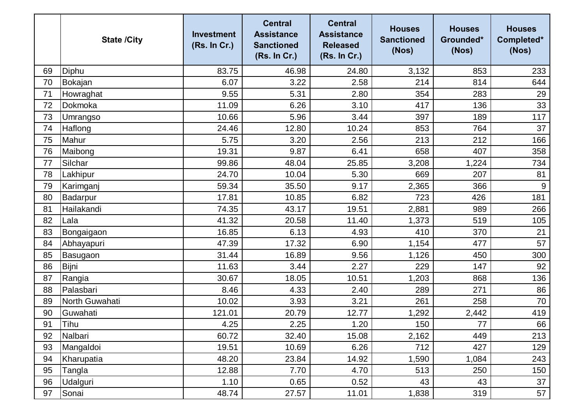|    | <b>State /City</b> | <b>Investment</b><br>(Rs. In Cr.) | <b>Central</b><br><b>Assistance</b><br><b>Sanctioned</b><br>(Rs. In Cr.) | <b>Central</b><br><b>Assistance</b><br><b>Released</b><br>(Rs. In Cr.) | <b>Houses</b><br><b>Sanctioned</b><br>(Nos) | <b>Houses</b><br>Grounded*<br>(Nos) | <b>Houses</b><br>Completed*<br>(Nos) |
|----|--------------------|-----------------------------------|--------------------------------------------------------------------------|------------------------------------------------------------------------|---------------------------------------------|-------------------------------------|--------------------------------------|
| 69 | Diphu              | 83.75                             | 46.98                                                                    | 24.80                                                                  | 3,132                                       | 853                                 | 233                                  |
| 70 | Bokajan            | 6.07                              | 3.22                                                                     | 2.58                                                                   | 214                                         | 814                                 | 644                                  |
| 71 | Howraghat          | 9.55                              | 5.31                                                                     | 2.80                                                                   | 354                                         | 283                                 | 29                                   |
| 72 | Dokmoka            | 11.09                             | 6.26                                                                     | 3.10                                                                   | 417                                         | 136                                 | 33                                   |
| 73 | Umrangso           | 10.66                             | 5.96                                                                     | 3.44                                                                   | 397                                         | 189                                 | 117                                  |
| 74 | Haflong            | 24.46                             | 12.80                                                                    | 10.24                                                                  | 853                                         | 764                                 | 37                                   |
| 75 | Mahur              | 5.75                              | 3.20                                                                     | 2.56                                                                   | 213                                         | 212                                 | 166                                  |
| 76 | Maibong            | 19.31                             | 9.87                                                                     | 6.41                                                                   | 658                                         | 407                                 | 358                                  |
| 77 | Silchar            | 99.86                             | 48.04                                                                    | 25.85                                                                  | 3,208                                       | 1,224                               | 734                                  |
| 78 | Lakhipur           | 24.70                             | 10.04                                                                    | 5.30                                                                   | 669                                         | 207                                 | 81                                   |
| 79 | Karimganj          | 59.34                             | 35.50                                                                    | 9.17                                                                   | 2,365                                       | 366                                 | 9                                    |
| 80 | Badarpur           | 17.81                             | 10.85                                                                    | 6.82                                                                   | 723                                         | 426                                 | 181                                  |
| 81 | Hailakandi         | 74.35                             | 43.17                                                                    | 19.51                                                                  | 2,881                                       | 989                                 | 266                                  |
| 82 | Lala               | 41.32                             | 20.58                                                                    | 11.40                                                                  | 1,373                                       | 519                                 | 105                                  |
| 83 | Bongaigaon         | 16.85                             | 6.13                                                                     | 4.93                                                                   | 410                                         | 370                                 | 21                                   |
| 84 | Abhayapuri         | 47.39                             | 17.32                                                                    | 6.90                                                                   | 1,154                                       | 477                                 | 57                                   |
| 85 | Basugaon           | 31.44                             | 16.89                                                                    | 9.56                                                                   | 1,126                                       | 450                                 | 300                                  |
| 86 | Bijni              | 11.63                             | 3.44                                                                     | 2.27                                                                   | 229                                         | 147                                 | 92                                   |
| 87 | Rangia             | 30.67                             | 18.05                                                                    | 10.51                                                                  | 1,203                                       | 868                                 | 136                                  |
| 88 | Palasbari          | 8.46                              | 4.33                                                                     | 2.40                                                                   | 289                                         | 271                                 | 86                                   |
| 89 | North Guwahati     | 10.02                             | 3.93                                                                     | 3.21                                                                   | 261                                         | 258                                 | 70                                   |
| 90 | Guwahati           | 121.01                            | 20.79                                                                    | 12.77                                                                  | ,292                                        | 2,442                               | 419                                  |
| 91 | Tihu               | 4.25                              | 2.25                                                                     | 1.20                                                                   | 150                                         | 77                                  | 66                                   |
| 92 | Nalbari            | 60.72                             | 32.40                                                                    | 15.08                                                                  | 2,162                                       | 449                                 | 213                                  |
| 93 | Mangaldoi          | 19.51                             | 10.69                                                                    | 6.26                                                                   | 712                                         | 427                                 | 129                                  |
| 94 | Kharupatia         | 48.20                             | 23.84                                                                    | 14.92                                                                  | 1,590                                       | 1,084                               | 243                                  |
| 95 | Tangla             | 12.88                             | 7.70                                                                     | 4.70                                                                   | 513                                         | 250                                 | 150                                  |
| 96 | Udalguri           | 1.10                              | 0.65                                                                     | 0.52                                                                   | 43                                          | 43                                  | 37                                   |
| 97 | Sonai              | 48.74                             | 27.57                                                                    | 11.01                                                                  | 1,838                                       | 319                                 | 57                                   |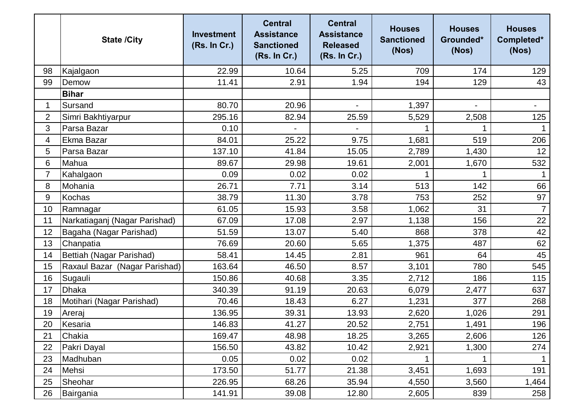|                | <b>State /City</b>            | <b>Investment</b><br>(Rs. In Cr.) | <b>Central</b><br><b>Assistance</b><br><b>Sanctioned</b><br>(Rs. In Cr.) | <b>Central</b><br><b>Assistance</b><br><b>Released</b><br>(Rs. In Cr.) | <b>Houses</b><br><b>Sanctioned</b><br>(Nos) | <b>Houses</b><br>Grounded*<br>(Nos) | <b>Houses</b><br>Completed*<br>(Nos) |
|----------------|-------------------------------|-----------------------------------|--------------------------------------------------------------------------|------------------------------------------------------------------------|---------------------------------------------|-------------------------------------|--------------------------------------|
| 98             | Kajalgaon                     | 22.99                             | 10.64                                                                    | 5.25                                                                   | 709                                         | 174                                 | 129                                  |
| 99             | Demow                         | 11.41                             | 2.91                                                                     | 1.94                                                                   | 194                                         | 129                                 | 43                                   |
|                | <b>Bihar</b>                  |                                   |                                                                          |                                                                        |                                             |                                     |                                      |
| 1              | Sursand                       | 80.70                             | 20.96                                                                    |                                                                        | 1,397                                       |                                     | $\overline{\phantom{a}}$             |
| $\overline{2}$ | Simri Bakhtiyarpur            | 295.16                            | 82.94                                                                    | 25.59                                                                  | 5,529                                       | 2,508                               | 125                                  |
| 3              | Parsa Bazar                   | 0.10                              |                                                                          |                                                                        |                                             |                                     |                                      |
| 4              | Ekma Bazar                    | 84.01                             | 25.22                                                                    | 9.75                                                                   | 1,681                                       | 519                                 | 206                                  |
| 5              | Parsa Bazar                   | 137.10                            | 41.84                                                                    | 15.05                                                                  | 2,789                                       | 1,430                               | 12                                   |
| 6              | Mahua                         | 89.67                             | 29.98                                                                    | 19.61                                                                  | 2,001                                       | 1,670                               | 532                                  |
| $\overline{7}$ | Kahalgaon                     | 0.09                              | 0.02                                                                     | 0.02                                                                   |                                             | 1                                   |                                      |
| 8              | Mohania                       | 26.71                             | 7.71                                                                     | 3.14                                                                   | 513                                         | 142                                 | 66                                   |
| 9              | Kochas                        | 38.79                             | 11.30                                                                    | 3.78                                                                   | 753                                         | 252                                 | 97                                   |
| 10             | Ramnagar                      | 61.05                             | 15.93                                                                    | 3.58                                                                   | 1,062                                       | 31                                  | $\overline{7}$                       |
| 11             | Narkatiaganj (Nagar Parishad) | 67.09                             | 17.08                                                                    | 2.97                                                                   | 1,138                                       | 156                                 | 22                                   |
| 12             | Bagaha (Nagar Parishad)       | 51.59                             | 13.07                                                                    | 5.40                                                                   | 868                                         | 378                                 | 42                                   |
| 13             | Chanpatia                     | 76.69                             | 20.60                                                                    | 5.65                                                                   | 1,375                                       | 487                                 | 62                                   |
| 14             | Bettiah (Nagar Parishad)      | 58.41                             | 14.45                                                                    | 2.81                                                                   | 961                                         | 64                                  | 45                                   |
| 15             | Raxaul Bazar (Nagar Parishad) | 163.64                            | 46.50                                                                    | 8.57                                                                   | 3,101                                       | 780                                 | 545                                  |
| 16             | Sugauli                       | 150.86                            | 40.68                                                                    | 3.35                                                                   | 2,712                                       | 186                                 | 115                                  |
| 17             | <b>Dhaka</b>                  | 340.39                            | 91.19                                                                    | 20.63                                                                  | 6,079                                       | 2,477                               | 637                                  |
| 18             | Motihari (Nagar Parishad)     | 70.46                             | 18.43                                                                    | 6.27                                                                   | 1,231                                       | 377                                 | 268                                  |
| 19             | Areraj                        | 136.95                            | 39.31                                                                    | 13.93                                                                  | 2,620                                       | 1,026                               | 291                                  |
| 20             | Kesaria                       | 146.83                            | 41.27                                                                    | 20.52                                                                  | 2,751                                       | 1,491                               | 196                                  |
| 21             | Chakia                        | 169.47                            | 48.98                                                                    | 18.25                                                                  | 3,265                                       | 2,606                               | 126                                  |
| 22             | Pakri Dayal                   | 156.50                            | 43.82                                                                    | 10.42                                                                  | 2,921                                       | 1,300                               | 274                                  |
| 23             | Madhuban                      | 0.05                              | 0.02                                                                     | 0.02                                                                   |                                             |                                     |                                      |
| 24             | Mehsi                         | 173.50                            | 51.77                                                                    | 21.38                                                                  | 3,451                                       | 1,693                               | 191                                  |
| 25             | Sheohar                       | 226.95                            | 68.26                                                                    | 35.94                                                                  | 4,550                                       | 3,560                               | 1,464                                |
| 26             | Bairgania                     | 141.91                            | 39.08                                                                    | 12.80                                                                  | 2,605                                       | 839                                 | 258                                  |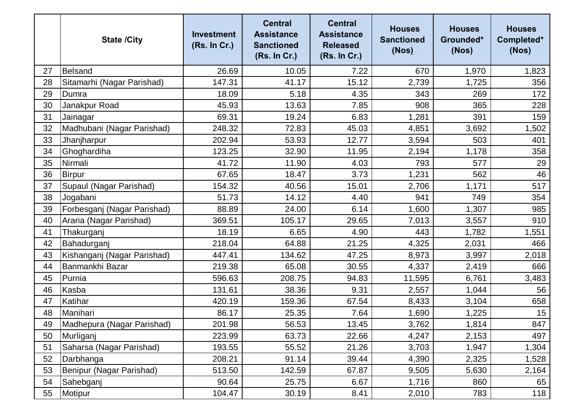|    | <b>State /City</b>          | <b>Investment</b><br>(Rs. In Cr.) | <b>Central</b><br><b>Assistance</b><br><b>Sanctioned</b><br>(Rs. In Cr.) | <b>Central</b><br><b>Assistance</b><br><b>Released</b><br>(Rs. In Cr.) | <b>Houses</b><br><b>Sanctioned</b><br>(Nos) | <b>Houses</b><br>Grounded*<br>(Nos) | <b>Houses</b><br>Completed*<br>(Nos) |
|----|-----------------------------|-----------------------------------|--------------------------------------------------------------------------|------------------------------------------------------------------------|---------------------------------------------|-------------------------------------|--------------------------------------|
| 27 | Belsand                     | 26.69                             | 10.05                                                                    | 7.22                                                                   | 670                                         | 1,970                               | 1,823                                |
| 28 | Sitamarhi (Nagar Parishad)  | 147.31                            | 41.17                                                                    | 15.12                                                                  | 2,739                                       | 1,725                               | 356                                  |
| 29 | Dumra                       | 18.09                             | 5.18                                                                     | 4.35                                                                   | 343                                         | 269                                 | 172                                  |
| 30 | Janakpur Road               | 45.93                             | 13.63                                                                    | 7.85                                                                   | 908                                         | 365                                 | 228                                  |
| 31 | Jainagar                    | 69.31                             | 19.24                                                                    | 6.83                                                                   | 1,281                                       | 391                                 | 159                                  |
| 32 | Madhubani (Nagar Parishad)  | 248.32                            | 72.83                                                                    | 45.03                                                                  | 4,851                                       | 3,692                               | 1,502                                |
| 33 | Jhanjharpur                 | 202.94                            | 53.93                                                                    | 12.77                                                                  | 3,594                                       | 503                                 | 401                                  |
| 34 | Ghoghardiha                 | 123.25                            | 32.90                                                                    | 11.95                                                                  | 2,194                                       | 1,178                               | 358                                  |
| 35 | Nirmali                     | 41.72                             | 11.90                                                                    | 4.03                                                                   | 793                                         | 577                                 | 29                                   |
| 36 | Birpur                      | 67.65                             | 18.47                                                                    | 3.73                                                                   | 1,231                                       | 562                                 | 46                                   |
| 37 | Supaul (Nagar Parishad)     | 154.32                            | 40.56                                                                    | 15.01                                                                  | 2,706                                       | 1,171                               | 517                                  |
| 38 | Jogabani                    | 51.73                             | 14.12                                                                    | 4.40                                                                   | 941                                         | 749                                 | 354                                  |
| 39 | Forbesganj (Nagar Parishad) | 88.89                             | 24.00                                                                    | 6.14                                                                   | 1,600                                       | 1,307                               | 985                                  |
| 40 | Araria (Nagar Parishad)     | 369.51                            | 105.17                                                                   | 29.65                                                                  | 7,013                                       | 3,557                               | 910                                  |
| 41 | Thakurganj                  | 18.19                             | 6.65                                                                     | 4.90                                                                   | 443                                         | 1,782                               | 1,551                                |
| 42 | Bahadurganj                 | 218.04                            | 64.88                                                                    | 21.25                                                                  | 4,325                                       | 2,031                               | 466                                  |
| 43 | Kishanganj (Nagar Parishad) | 447.41                            | 134.62                                                                   | 47.25                                                                  | 8,973                                       | 3,997                               | 2,018                                |
| 44 | Banmankhi Bazar             | 219.38                            | 65.08                                                                    | 30.55                                                                  | 4,337                                       | 2,419                               | 666                                  |
| 45 | Purnia                      | 596.63                            | 208.75                                                                   | 94.83                                                                  | 11,595                                      | 6,761                               | 3,483                                |
| 46 | Kasba                       | 131.61                            | 38.36                                                                    | 9.31                                                                   | 2,557                                       | 1,044                               | 56                                   |
| 47 | Katihar                     | 420.19                            | 159.36                                                                   | 67.54                                                                  | 8,433                                       | 3,104                               | 658                                  |
| 48 | Manihari                    | 86.17                             | 25.35                                                                    | 7.64                                                                   | 1,690                                       | 1,225                               | 15                                   |
| 49 | Madhepura (Nagar Parishad)  | 201.98                            | 56.53                                                                    | 13.45                                                                  | 3,762                                       | 1,814                               | 847                                  |
| 50 | Murliganj                   | 223.99                            | 63.73                                                                    | 22.66                                                                  | 4,247                                       | 2,153                               | 497                                  |
| 51 | Saharsa (Nagar Parishad)    | 193.55                            | 55.52                                                                    | 21.26                                                                  | 3,703                                       | 1,947                               | 1,304                                |
| 52 | Darbhanga                   | 208.21                            | 91.14                                                                    | 39.44                                                                  | 4,390                                       | 2,325                               | 1,528                                |
| 53 | Benipur (Nagar Parishad)    | 513.50                            | 142.59                                                                   | 67.87                                                                  | 9,505                                       | 5,630                               | 2,164                                |
| 54 | Sahebganj                   | 90.64                             | 25.75                                                                    | 6.67                                                                   | 1,716                                       | 860                                 | 65                                   |
| 55 | Motipur                     | 104.47                            | 30.19                                                                    | 8.41                                                                   | 2,010                                       | 783                                 | 118                                  |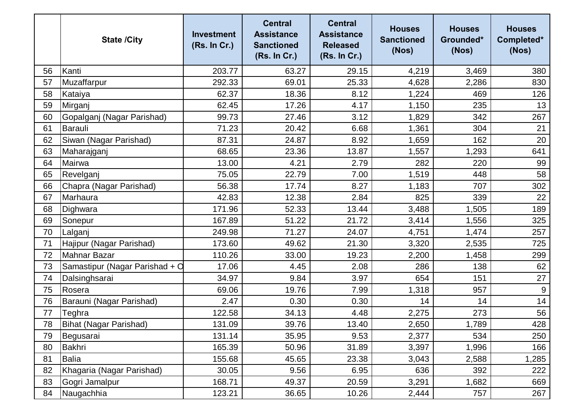|    | <b>State /City</b>             | <b>Investment</b><br>(Rs. In Cr.) | <b>Central</b><br><b>Assistance</b><br><b>Sanctioned</b><br>(Rs. In Cr.) | <b>Central</b><br><b>Assistance</b><br><b>Released</b><br>(Rs. In Cr.) | <b>Houses</b><br><b>Sanctioned</b><br>(Nos) | <b>Houses</b><br>Grounded*<br>(Nos) | <b>Houses</b><br>Completed*<br>(Nos) |
|----|--------------------------------|-----------------------------------|--------------------------------------------------------------------------|------------------------------------------------------------------------|---------------------------------------------|-------------------------------------|--------------------------------------|
| 56 | Kanti                          | 203.77                            | 63.27                                                                    | 29.15                                                                  | 4,219                                       | 3,469                               | 380                                  |
| 57 | Muzaffarpur                    | 292.33                            | 69.01                                                                    | 25.33                                                                  | 4,628                                       | 2,286                               | 830                                  |
| 58 | Kataiya                        | 62.37                             | 18.36                                                                    | 8.12                                                                   | 1,224                                       | 469                                 | 126                                  |
| 59 | Mirganj                        | 62.45                             | 17.26                                                                    | 4.17                                                                   | 1,150                                       | 235                                 | 13                                   |
| 60 | Gopalganj (Nagar Parishad)     | 99.73                             | 27.46                                                                    | 3.12                                                                   | 1,829                                       | 342                                 | 267                                  |
| 61 | Barauli                        | 71.23                             | 20.42                                                                    | 6.68                                                                   | 1,361                                       | 304                                 | 21                                   |
| 62 | Siwan (Nagar Parishad)         | 87.31                             | 24.87                                                                    | 8.92                                                                   | 1,659                                       | 162                                 | 20                                   |
| 63 | Maharajganj                    | 68.65                             | 23.36                                                                    | 13.87                                                                  | 1,557                                       | 1,293                               | 641                                  |
| 64 | Mairwa                         | 13.00                             | 4.21                                                                     | 2.79                                                                   | 282                                         | 220                                 | 99                                   |
| 65 | Revelganj                      | 75.05                             | 22.79                                                                    | 7.00                                                                   | 1,519                                       | 448                                 | 58                                   |
| 66 | Chapra (Nagar Parishad)        | 56.38                             | 17.74                                                                    | 8.27                                                                   | 1,183                                       | 707                                 | 302                                  |
| 67 | Marhaura                       | 42.83                             | 12.38                                                                    | 2.84                                                                   | 825                                         | 339                                 | 22                                   |
| 68 | Dighwara                       | 171.96                            | 52.33                                                                    | 13.44                                                                  | 3,488                                       | 1,505                               | 189                                  |
| 69 | Sonepur                        | 167.89                            | 51.22                                                                    | 21.72                                                                  | 3,414                                       | 1,556                               | 325                                  |
| 70 | Lalganj                        | 249.98                            | 71.27                                                                    | 24.07                                                                  | 4,751                                       | 1,474                               | 257                                  |
| 71 | Hajipur (Nagar Parishad)       | 173.60                            | 49.62                                                                    | 21.30                                                                  | 3,320                                       | 2,535                               | 725                                  |
| 72 | <b>Mahnar Bazar</b>            | 110.26                            | 33.00                                                                    | 19.23                                                                  | 2,200                                       | 1,458                               | 299                                  |
| 73 | Samastipur (Nagar Parishad + O | 17.06                             | 4.45                                                                     | 2.08                                                                   | 286                                         | 138                                 | 62                                   |
| 74 | Dalsinghsarai                  | 34.97                             | 9.84                                                                     | 3.97                                                                   | 654                                         | 151                                 | 27                                   |
| 75 | Rosera                         | 69.06                             | 19.76                                                                    | 7.99                                                                   | 1,318                                       | 957                                 | 9                                    |
| 76 | Barauni (Nagar Parishad)       | 2.47                              | 0.30                                                                     | 0.30                                                                   | 14                                          | 14                                  | 14                                   |
| 77 | Teghra                         | 122.58                            | 34.13                                                                    | 4.48                                                                   | 2,275                                       | 273                                 | 56                                   |
| 78 | Bihat (Nagar Parishad)         | 131.09                            | 39.76                                                                    | 13.40                                                                  | 2,650                                       | 1,789                               | 428                                  |
| 79 | Begusarai                      | 131.14                            | 35.95                                                                    | 9.53                                                                   | 2,377                                       | 534                                 | 250                                  |
| 80 | Bakhri                         | 165.39                            | 50.96                                                                    | 31.89                                                                  | 3,397                                       | 1,996                               | 166                                  |
| 81 | <b>Balia</b>                   | 155.68                            | 45.65                                                                    | 23.38                                                                  | 3,043                                       | 2,588                               | 1,285                                |
| 82 | Khagaria (Nagar Parishad)      | 30.05                             | 9.56                                                                     | 6.95                                                                   | 636                                         | 392                                 | 222                                  |
| 83 | Gogri Jamalpur                 | 168.71                            | 49.37                                                                    | 20.59                                                                  | 3,291                                       | 1,682                               | 669                                  |
| 84 | Naugachhia                     | 123.21                            | 36.65                                                                    | 10.26                                                                  | 2,444                                       | 757                                 | 267                                  |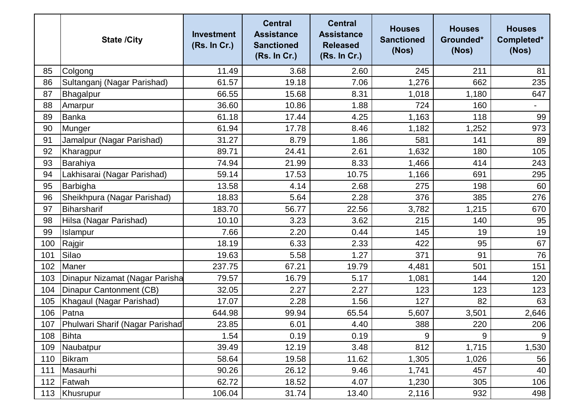|     | <b>State /City</b>                     | <b>Investment</b><br>(Rs. In Cr.) | <b>Central</b><br><b>Assistance</b><br><b>Sanctioned</b><br>(Rs. In Cr.) | <b>Central</b><br><b>Assistance</b><br><b>Released</b><br>(Rs. In Cr.) | <b>Houses</b><br><b>Sanctioned</b><br>(Nos) | <b>Houses</b><br>Grounded*<br>(Nos) | <b>Houses</b><br>Completed*<br>(Nos) |
|-----|----------------------------------------|-----------------------------------|--------------------------------------------------------------------------|------------------------------------------------------------------------|---------------------------------------------|-------------------------------------|--------------------------------------|
| 85  | Colgong                                | 11.49                             | 3.68                                                                     | 2.60                                                                   | 245                                         | 211                                 | 81                                   |
| 86  | Sultanganj (Nagar Parishad)            | 61.57                             | 19.18                                                                    | 7.06                                                                   | 1,276                                       | 662                                 | 235                                  |
| 87  | Bhagalpur                              | 66.55                             | 15.68                                                                    | 8.31                                                                   | 1,018                                       | 1,180                               | 647                                  |
| 88  | Amarpur                                | 36.60                             | 10.86                                                                    | 1.88                                                                   | 724                                         | 160                                 | $\blacksquare$                       |
| 89  | <b>Banka</b>                           | 61.18                             | 17.44                                                                    | 4.25                                                                   | 1,163                                       | 118                                 | 99                                   |
| 90  | Munger                                 | 61.94                             | 17.78                                                                    | 8.46                                                                   | 1,182                                       | 1,252                               | 973                                  |
| 91  | Jamalpur (Nagar Parishad)              | 31.27                             | 8.79                                                                     | 1.86                                                                   | 581                                         | 141                                 | 89                                   |
| 92  | Kharagpur                              | 89.71                             | 24.41                                                                    | 2.61                                                                   | 1,632                                       | 180                                 | 105                                  |
| 93  | Barahiya                               | 74.94                             | 21.99                                                                    | 8.33                                                                   | 1,466                                       | 414                                 | 243                                  |
| 94  | Lakhisarai (Nagar Parishad)            | 59.14                             | 17.53                                                                    | 10.75                                                                  | 1,166                                       | 691                                 | 295                                  |
| 95  | Barbigha                               | 13.58                             | 4.14                                                                     | 2.68                                                                   | 275                                         | 198                                 | 60                                   |
| 96  | Sheikhpura (Nagar Parishad)            | 18.83                             | 5.64                                                                     | 2.28                                                                   | 376                                         | 385                                 | 276                                  |
| 97  | Biharsharif                            | 183.70                            | 56.77                                                                    | 22.56                                                                  | 3,782                                       | 1,215                               | 670                                  |
| 98  | Hilsa (Nagar Parishad)                 | 10.10                             | 3.23                                                                     | 3.62                                                                   | 215                                         | 140                                 | 95                                   |
| 99  | Islampur                               | 7.66                              | 2.20                                                                     | 0.44                                                                   | 145                                         | 19                                  | 19                                   |
| 100 | Rajgir                                 | 18.19                             | 6.33                                                                     | 2.33                                                                   | 422                                         | 95                                  | 67                                   |
| 101 | Silao                                  | 19.63                             | 5.58                                                                     | 1.27                                                                   | 371                                         | 91                                  | 76                                   |
| 102 | Maner                                  | 237.75                            | 67.21                                                                    | 19.79                                                                  | 4,481                                       | 501                                 | 151                                  |
| 103 | Dinapur Nizamat (Nagar Parisha         | 79.57                             | 16.79                                                                    | 5.17                                                                   | 1,081                                       | 144                                 | 120                                  |
| 104 | Dinapur Cantonment (CB)                | 32.05                             | 2.27                                                                     | 2.27                                                                   | 123                                         | 123                                 | 123                                  |
| 105 | Khagaul (Nagar Parishad)               | 17.07                             | 2.28                                                                     | 1.56                                                                   | 127                                         | 82                                  | 63                                   |
| 106 | Patna                                  | 644.98                            | 99.94                                                                    | 65.54                                                                  | 5,607                                       | 3,501                               | 2,646                                |
|     | 107   Phulwari Sharif (Nagar Parishad) | 23.85                             | 6.01                                                                     | 4.40                                                                   | 388                                         | 220                                 | 206                                  |
| 108 | Bihta                                  | 1.54                              | 0.19                                                                     | 0.19                                                                   | 9                                           | 9                                   | 9                                    |
| 109 | Naubatpur                              | 39.49                             | 12.19                                                                    | 3.48                                                                   | 812                                         | 1,715                               | 1,530                                |
| 110 | Bikram                                 | 58.64                             | 19.58                                                                    | 11.62                                                                  | 1,305                                       | 1,026                               | 56                                   |
| 111 | Masaurhi                               | 90.26                             | 26.12                                                                    | 9.46                                                                   | 1,741                                       | 457                                 | 40                                   |
| 112 | Fatwah                                 | 62.72                             | 18.52                                                                    | 4.07                                                                   | 1,230                                       | 305                                 | 106                                  |
| 113 | Khusrupur                              | 106.04                            | 31.74                                                                    | 13.40                                                                  | 2,116                                       | 932                                 | 498                                  |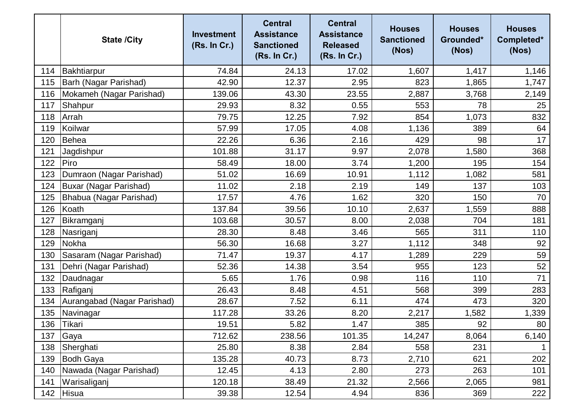|     | <b>State /City</b>          | <b>Investment</b><br>(Rs. In Cr.) | <b>Central</b><br><b>Assistance</b><br><b>Sanctioned</b><br>(Rs. In Cr.) | <b>Central</b><br><b>Assistance</b><br><b>Released</b><br>(Rs. In Cr.) | <b>Houses</b><br><b>Sanctioned</b><br>(Nos) | <b>Houses</b><br>Grounded*<br>(Nos) | <b>Houses</b><br>Completed*<br>(Nos) |
|-----|-----------------------------|-----------------------------------|--------------------------------------------------------------------------|------------------------------------------------------------------------|---------------------------------------------|-------------------------------------|--------------------------------------|
| 114 | Bakhtiarpur                 | 74.84                             | 24.13                                                                    | 17.02                                                                  | 1,607                                       | 1,417                               | 1,146                                |
| 115 | Barh (Nagar Parishad)       | 42.90                             | 12.37                                                                    | 2.95                                                                   | 823                                         | 1,865                               | 1,747                                |
| 116 | Mokameh (Nagar Parishad)    | 139.06                            | 43.30                                                                    | 23.55                                                                  | 2,887                                       | 3,768                               | 2,149                                |
| 117 | Shahpur                     | 29.93                             | 8.32                                                                     | 0.55                                                                   | 553                                         | 78                                  | 25                                   |
| 118 | Arrah                       | 79.75                             | 12.25                                                                    | 7.92                                                                   | 854                                         | 1,073                               | 832                                  |
| 119 | Koilwar                     | 57.99                             | 17.05                                                                    | 4.08                                                                   | 1,136                                       | 389                                 | 64                                   |
| 120 | Behea                       | 22.26                             | 6.36                                                                     | 2.16                                                                   | 429                                         | 98                                  | 17                                   |
| 121 | Jagdishpur                  | 101.88                            | 31.17                                                                    | 9.97                                                                   | 2,078                                       | 1,580                               | 368                                  |
| 122 | Piro                        | 58.49                             | 18.00                                                                    | 3.74                                                                   | 1,200                                       | 195                                 | 154                                  |
| 123 | Dumraon (Nagar Parishad)    | 51.02                             | 16.69                                                                    | 10.91                                                                  | 1,112                                       | 1,082                               | 581                                  |
| 124 | Buxar (Nagar Parishad)      | 11.02                             | 2.18                                                                     | 2.19                                                                   | 149                                         | 137                                 | 103                                  |
| 125 | Bhabua (Nagar Parishad)     | 17.57                             | 4.76                                                                     | 1.62                                                                   | 320                                         | 150                                 | 70                                   |
| 126 | Koath                       | 137.84                            | 39.56                                                                    | 10.10                                                                  | 2,637                                       | 1,559                               | 888                                  |
| 127 | Bikramganj                  | 103.68                            | 30.57                                                                    | 8.00                                                                   | 2,038                                       | 704                                 | 181                                  |
| 128 | Nasriganj                   | 28.30                             | 8.48                                                                     | 3.46                                                                   | 565                                         | 311                                 | 110                                  |
| 129 | Nokha                       | 56.30                             | 16.68                                                                    | 3.27                                                                   | 1,112                                       | 348                                 | 92                                   |
| 130 | Sasaram (Nagar Parishad)    | 71.47                             | 19.37                                                                    | 4.17                                                                   | 1,289                                       | 229                                 | 59                                   |
| 131 | Dehri (Nagar Parishad)      | 52.36                             | 14.38                                                                    | 3.54                                                                   | 955                                         | 123                                 | 52                                   |
| 132 | Daudnagar                   | 5.65                              | 1.76                                                                     | 0.98                                                                   | 116                                         | 110                                 | 71                                   |
| 133 | Rafiganj                    | 26.43                             | 8.48                                                                     | 4.51                                                                   | 568                                         | 399                                 | 283                                  |
| 134 | Aurangabad (Nagar Parishad) | 28.67                             | 7.52                                                                     | 6.11                                                                   | 474                                         | 473                                 | 320                                  |
| 135 | Navinagar                   | 117.28                            | 33.26                                                                    | 8.20                                                                   | 2,217                                       | 1,582                               | 1,339                                |
| 136 | Tikari                      | 19.51                             | 5.82                                                                     | 1.47                                                                   | 385                                         | 92                                  | 80                                   |
| 137 | Gaya                        | 712.62                            | 238.56                                                                   | 101.35                                                                 | 14,247                                      | 8,064                               | 6,140                                |
| 138 | Sherghati                   | 25.80                             | 8.38                                                                     | 2.84                                                                   | 558                                         | 231                                 |                                      |
| 139 | <b>Bodh Gaya</b>            | 135.28                            | 40.73                                                                    | 8.73                                                                   | 2,710                                       | 621                                 | 202                                  |
| 140 | Nawada (Nagar Parishad)     | 12.45                             | 4.13                                                                     | 2.80                                                                   | 273                                         | 263                                 | 101                                  |
| 141 | Warisaliganj                | 120.18                            | 38.49                                                                    | 21.32                                                                  | 2,566                                       | 2,065                               | 981                                  |
| 142 | <b>Hisua</b>                | 39.38                             | 12.54                                                                    | 4.94                                                                   | 836                                         | 369                                 | 222                                  |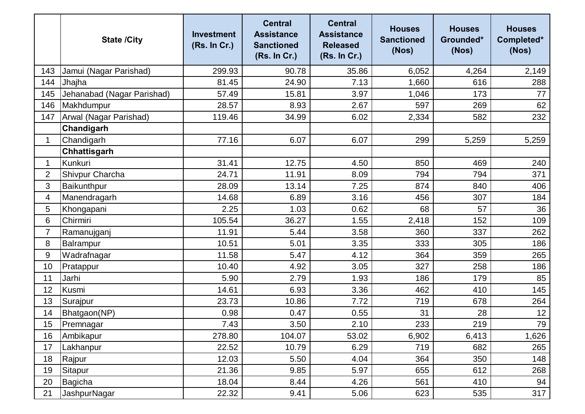|                | <b>State /City</b>         | <b>Investment</b><br>(Rs. In Cr.) | <b>Central</b><br><b>Assistance</b><br><b>Sanctioned</b><br>(Rs. In Cr.) | <b>Central</b><br><b>Assistance</b><br><b>Released</b><br>(Rs. In Cr.) | <b>Houses</b><br><b>Sanctioned</b><br>(Nos) | <b>Houses</b><br>Grounded*<br>(Nos) | <b>Houses</b><br>Completed*<br>(Nos) |
|----------------|----------------------------|-----------------------------------|--------------------------------------------------------------------------|------------------------------------------------------------------------|---------------------------------------------|-------------------------------------|--------------------------------------|
| 143            | Jamui (Nagar Parishad)     | 299.93                            | 90.78                                                                    | 35.86                                                                  | 6,052                                       | 4,264                               | 2,149                                |
| 144            | Jhajha                     | 81.45                             | 24.90                                                                    | 7.13                                                                   | 1,660                                       | 616                                 | 288                                  |
| 145            | Jehanabad (Nagar Parishad) | 57.49                             | 15.81                                                                    | 3.97                                                                   | 1,046                                       | 173                                 | 77                                   |
| 146            | Makhdumpur                 | 28.57                             | 8.93                                                                     | 2.67                                                                   | 597                                         | 269                                 | 62                                   |
| 147            | Arwal (Nagar Parishad)     | 119.46                            | 34.99                                                                    | 6.02                                                                   | 2,334                                       | 582                                 | 232                                  |
|                | Chandigarh                 |                                   |                                                                          |                                                                        |                                             |                                     |                                      |
| $\mathbf{1}$   | Chandigarh                 | 77.16                             | 6.07                                                                     | 6.07                                                                   | 299                                         | 5,259                               | 5,259                                |
|                | Chhattisgarh               |                                   |                                                                          |                                                                        |                                             |                                     |                                      |
| 1              | Kunkuri                    | 31.41                             | 12.75                                                                    | 4.50                                                                   | 850                                         | 469                                 | 240                                  |
| $\overline{2}$ | Shivpur Charcha            | 24.71                             | 11.91                                                                    | 8.09                                                                   | 794                                         | 794                                 | 371                                  |
| 3              | Baikunthpur                | 28.09                             | 13.14                                                                    | 7.25                                                                   | 874                                         | 840                                 | 406                                  |
| 4              | Manendragarh               | 14.68                             | 6.89                                                                     | 3.16                                                                   | 456                                         | 307                                 | 184                                  |
| 5              | Khongapani                 | 2.25                              | 1.03                                                                     | 0.62                                                                   | 68                                          | 57                                  | 36                                   |
| 6              | Chirmiri                   | 105.54                            | 36.27                                                                    | 1.55                                                                   | 2,418                                       | 152                                 | 109                                  |
| $\overline{7}$ | Ramanujganj                | 11.91                             | 5.44                                                                     | 3.58                                                                   | 360                                         | 337                                 | 262                                  |
| 8              | Balrampur                  | 10.51                             | 5.01                                                                     | 3.35                                                                   | 333                                         | 305                                 | 186                                  |
| 9              | Wadrafnagar                | 11.58                             | 5.47                                                                     | 4.12                                                                   | 364                                         | 359                                 | 265                                  |
| 10             | Pratappur                  | 10.40                             | 4.92                                                                     | 3.05                                                                   | 327                                         | 258                                 | 186                                  |
| 11             | Jarhi                      | 5.90                              | 2.79                                                                     | 1.93                                                                   | 186                                         | 179                                 | 85                                   |
| 12             | Kusmi                      | 14.61                             | 6.93                                                                     | 3.36                                                                   | 462                                         | 410                                 | 145                                  |
| 13             | Surajpur                   | 23.73                             | 10.86                                                                    | 7.72                                                                   | 719                                         | 678                                 | 264                                  |
| 14             | Bhatgaon(NP)               | 0.98                              | 0.47                                                                     | 0.55                                                                   | 31                                          | 28                                  | 12                                   |
| 15             | Premnagar                  | 7.43                              | 3.50                                                                     | 2.10                                                                   | 233                                         | 219                                 | 79                                   |
| 16             | Ambikapur                  | 278.80                            | 104.07                                                                   | 53.02                                                                  | 6,902                                       | 6,413                               | 1,626                                |
| 17             | Lakhanpur                  | 22.52                             | 10.79                                                                    | 6.29                                                                   | 719                                         | 682                                 | 265                                  |
| 18             | Rajpur                     | 12.03                             | 5.50                                                                     | 4.04                                                                   | 364                                         | 350                                 | 148                                  |
| 19             | Sitapur                    | 21.36                             | 9.85                                                                     | 5.97                                                                   | 655                                         | 612                                 | 268                                  |
| 20             | Bagicha                    | 18.04                             | 8.44                                                                     | 4.26                                                                   | 561                                         | 410                                 | 94                                   |
| 21             | <b>JashpurNagar</b>        | 22.32                             | 9.41                                                                     | 5.06                                                                   | 623                                         | 535                                 | 317                                  |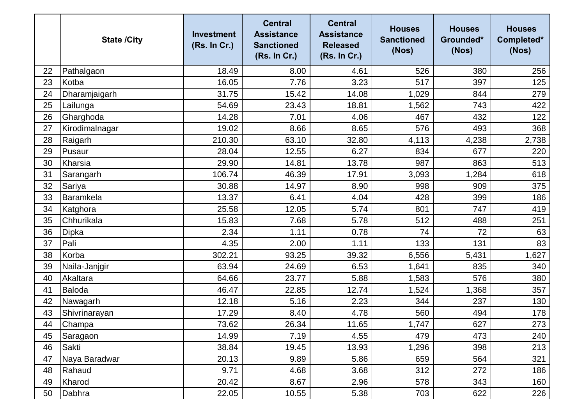|    | <b>State /City</b> | <b>Investment</b><br>(Rs. In Cr.) | <b>Central</b><br><b>Assistance</b><br><b>Sanctioned</b><br>(Rs. In Cr.) | <b>Central</b><br><b>Assistance</b><br><b>Released</b><br>(Rs. In Cr.) | <b>Houses</b><br><b>Sanctioned</b><br>(Nos) | <b>Houses</b><br>Grounded*<br>(Nos) | <b>Houses</b><br>Completed*<br>(Nos) |
|----|--------------------|-----------------------------------|--------------------------------------------------------------------------|------------------------------------------------------------------------|---------------------------------------------|-------------------------------------|--------------------------------------|
| 22 | Pathalgaon         | 18.49                             | 8.00                                                                     | 4.61                                                                   | 526                                         | 380                                 | 256                                  |
| 23 | Kotba              | 16.05                             | 7.76                                                                     | 3.23                                                                   | 517                                         | 397                                 | 125                                  |
| 24 | Dharamjaigarh      | 31.75                             | 15.42                                                                    | 14.08                                                                  | 1,029                                       | 844                                 | 279                                  |
| 25 | Lailunga           | 54.69                             | 23.43                                                                    | 18.81                                                                  | 1,562                                       | 743                                 | 422                                  |
| 26 | Gharghoda          | 14.28                             | 7.01                                                                     | 4.06                                                                   | 467                                         | 432                                 | 122                                  |
| 27 | Kirodimalnagar     | 19.02                             | 8.66                                                                     | 8.65                                                                   | 576                                         | 493                                 | 368                                  |
| 28 | Raigarh            | 210.30                            | 63.10                                                                    | 32.80                                                                  | 4,113                                       | 4,238                               | 2,738                                |
| 29 | Pusaur             | 28.04                             | 12.55                                                                    | 6.27                                                                   | 834                                         | 677                                 | 220                                  |
| 30 | Kharsia            | 29.90                             | 14.81                                                                    | 13.78                                                                  | 987                                         | 863                                 | 513                                  |
| 31 | Sarangarh          | 106.74                            | 46.39                                                                    | 17.91                                                                  | 3,093                                       | 1,284                               | 618                                  |
| 32 | Sariya             | 30.88                             | 14.97                                                                    | 8.90                                                                   | 998                                         | 909                                 | 375                                  |
| 33 | Baramkela          | 13.37                             | 6.41                                                                     | 4.04                                                                   | 428                                         | 399                                 | 186                                  |
| 34 | Katghora           | 25.58                             | 12.05                                                                    | 5.74                                                                   | 801                                         | 747                                 | 419                                  |
| 35 | Chhurikala         | 15.83                             | 7.68                                                                     | 5.78                                                                   | 512                                         | 488                                 | 251                                  |
| 36 | <b>Dipka</b>       | 2.34                              | 1.11                                                                     | 0.78                                                                   | 74                                          | 72                                  | 63                                   |
| 37 | Pali               | 4.35                              | 2.00                                                                     | 1.11                                                                   | 133                                         | 131                                 | 83                                   |
| 38 | Korba              | 302.21                            | 93.25                                                                    | 39.32                                                                  | 6,556                                       | 5,431                               | 1,627                                |
| 39 | Naila-Janjgir      | 63.94                             | 24.69                                                                    | 6.53                                                                   | 1,641                                       | 835                                 | 340                                  |
| 40 | Akaltara           | 64.66                             | 23.77                                                                    | 5.88                                                                   | 1,583                                       | 576                                 | 380                                  |
| 41 | <b>Baloda</b>      | 46.47                             | 22.85                                                                    | 12.74                                                                  | 1,524                                       | 1,368                               | 357                                  |
| 42 | Nawagarh           | 12.18                             | 5.16                                                                     | 2.23                                                                   | 344                                         | 237                                 | 130                                  |
| 43 | Shivrinarayan      | 17.29                             | 8.40                                                                     | 4.78                                                                   | 560                                         | 494                                 | 178                                  |
| 44 | Champa             | 73.62                             | 26.34                                                                    | 11.65                                                                  | 1,747                                       | 627                                 | 273                                  |
| 45 | Saragaon           | 14.99                             | 7.19                                                                     | 4.55                                                                   | 479                                         | 473                                 | 240                                  |
| 46 | Sakti              | 38.84                             | 19.45                                                                    | 13.93                                                                  | 1,296                                       | 398                                 | 213                                  |
| 47 | Naya Baradwar      | 20.13                             | 9.89                                                                     | 5.86                                                                   | 659                                         | 564                                 | 321                                  |
| 48 | Rahaud             | 9.71                              | 4.68                                                                     | 3.68                                                                   | 312                                         | 272                                 | 186                                  |
| 49 | Kharod             | 20.42                             | 8.67                                                                     | 2.96                                                                   | 578                                         | 343                                 | 160                                  |
| 50 | Dabhra             | 22.05                             | 10.55                                                                    | 5.38                                                                   | 703                                         | 622                                 | 226                                  |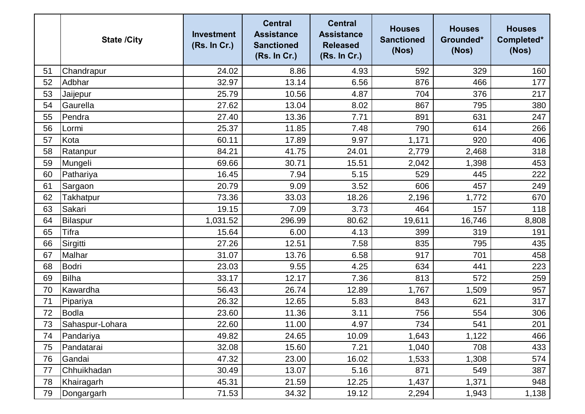|    | <b>State /City</b> | <b>Investment</b><br>(Rs. In Cr.) | <b>Central</b><br><b>Assistance</b><br><b>Sanctioned</b><br>(Rs. In Cr.) | <b>Central</b><br><b>Assistance</b><br><b>Released</b><br>(Rs. In Cr.) | <b>Houses</b><br><b>Sanctioned</b><br>(Nos) | <b>Houses</b><br>Grounded*<br>(Nos) | <b>Houses</b><br>Completed*<br>(Nos) |
|----|--------------------|-----------------------------------|--------------------------------------------------------------------------|------------------------------------------------------------------------|---------------------------------------------|-------------------------------------|--------------------------------------|
| 51 | Chandrapur         | 24.02                             | 8.86                                                                     | 4.93                                                                   | 592                                         | 329                                 | 160                                  |
| 52 | Adbhar             | 32.97                             | 13.14                                                                    | 6.56                                                                   | 876                                         | 466                                 | 177                                  |
| 53 | Jaijepur           | 25.79                             | 10.56                                                                    | 4.87                                                                   | 704                                         | 376                                 | 217                                  |
| 54 | Gaurella           | 27.62                             | 13.04                                                                    | 8.02                                                                   | 867                                         | 795                                 | 380                                  |
| 55 | Pendra             | 27.40                             | 13.36                                                                    | 7.71                                                                   | 891                                         | 631                                 | 247                                  |
| 56 | Lormi              | 25.37                             | 11.85                                                                    | 7.48                                                                   | 790                                         | 614                                 | 266                                  |
| 57 | Kota               | 60.11                             | 17.89                                                                    | 9.97                                                                   | 1,171                                       | 920                                 | 406                                  |
| 58 | Ratanpur           | 84.21                             | 41.75                                                                    | 24.01                                                                  | 2,779                                       | 2,468                               | 318                                  |
| 59 | Mungeli            | 69.66                             | 30.71                                                                    | 15.51                                                                  | 2,042                                       | 1,398                               | 453                                  |
| 60 | Pathariya          | 16.45                             | 7.94                                                                     | 5.15                                                                   | 529                                         | 445                                 | 222                                  |
| 61 | Sargaon            | 20.79                             | 9.09                                                                     | 3.52                                                                   | 606                                         | 457                                 | 249                                  |
| 62 | Takhatpur          | 73.36                             | 33.03                                                                    | 18.26                                                                  | 2,196                                       | 1,772                               | 670                                  |
| 63 | Sakari             | 19.15                             | 7.09                                                                     | 3.73                                                                   | 464                                         | 157                                 | 118                                  |
| 64 | Bilaspur           | 1,031.52                          | 296.99                                                                   | 80.62                                                                  | 19,611                                      | 16,746                              | 8,808                                |
| 65 | <b>Tifra</b>       | 15.64                             | 6.00                                                                     | 4.13                                                                   | 399                                         | 319                                 | 191                                  |
| 66 | Sirgitti           | 27.26                             | 12.51                                                                    | 7.58                                                                   | 835                                         | 795                                 | 435                                  |
| 67 | Malhar             | 31.07                             | 13.76                                                                    | 6.58                                                                   | 917                                         | 701                                 | 458                                  |
| 68 | Bodri              | 23.03                             | 9.55                                                                     | 4.25                                                                   | 634                                         | 441                                 | 223                                  |
| 69 | <b>Bilha</b>       | 33.17                             | 12.17                                                                    | 7.36                                                                   | 813                                         | 572                                 | 259                                  |
| 70 | Kawardha           | 56.43                             | 26.74                                                                    | 12.89                                                                  | 1,767                                       | 1,509                               | 957                                  |
| 71 | Pipariya           | 26.32                             | 12.65                                                                    | 5.83                                                                   | 843                                         | 621                                 | 317                                  |
| 72 | <b>Bodla</b>       | 23.60                             | 11.36                                                                    | 3.11                                                                   | 756                                         | 554                                 | 306                                  |
| 73 | Sahaspur-Lohara    | 22.60                             | 11.00                                                                    | 4.97                                                                   | 734                                         | 541                                 | 201                                  |
| 74 | Pandariya          | 49.82                             | 24.65                                                                    | 10.09                                                                  | 1,643                                       | 1,122                               | 466                                  |
| 75 | Pandatarai         | 32.08                             | 15.60                                                                    | 7.21                                                                   | 1,040                                       | 708                                 | 433                                  |
| 76 | Gandai             | 47.32                             | 23.00                                                                    | 16.02                                                                  | 1,533                                       | 1,308                               | 574                                  |
| 77 | Chhuikhadan        | 30.49                             | 13.07                                                                    | 5.16                                                                   | 871                                         | 549                                 | 387                                  |
| 78 | Khairagarh         | 45.31                             | 21.59                                                                    | 12.25                                                                  | 1,437                                       | 1,371                               | 948                                  |
| 79 | Dongargarh         | 71.53                             | 34.32                                                                    | 19.12                                                                  | 2,294                                       | 1,943                               | 1,138                                |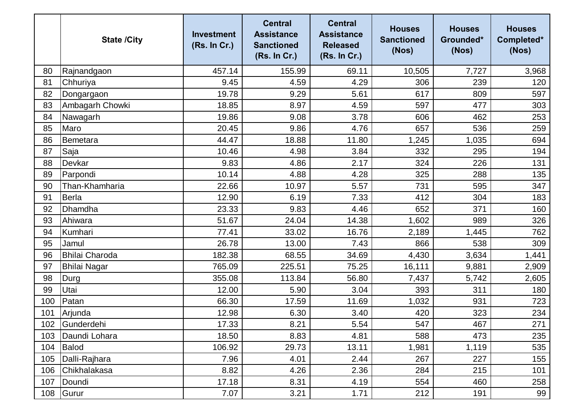|     | <b>State /City</b>    | <b>Investment</b><br>(Rs. In Cr.) | <b>Central</b><br><b>Assistance</b><br><b>Sanctioned</b><br>(Rs. In Cr.) | <b>Central</b><br><b>Assistance</b><br><b>Released</b><br>(Rs. In Cr.) | <b>Houses</b><br><b>Sanctioned</b><br>(Nos) | <b>Houses</b><br>Grounded*<br>(Nos) | <b>Houses</b><br>Completed*<br>(Nos) |
|-----|-----------------------|-----------------------------------|--------------------------------------------------------------------------|------------------------------------------------------------------------|---------------------------------------------|-------------------------------------|--------------------------------------|
| 80  | Rajnandgaon           | 457.14                            | 155.99                                                                   | 69.11                                                                  | 10,505                                      | 7,727                               | 3,968                                |
| 81  | Chhuriya              | 9.45                              | 4.59                                                                     | 4.29                                                                   | 306                                         | 239                                 | 120                                  |
| 82  | Dongargaon            | 19.78                             | 9.29                                                                     | 5.61                                                                   | 617                                         | 809                                 | 597                                  |
| 83  | Ambagarh Chowki       | 18.85                             | 8.97                                                                     | 4.59                                                                   | 597                                         | 477                                 | 303                                  |
| 84  | Nawagarh              | 19.86                             | 9.08                                                                     | 3.78                                                                   | 606                                         | 462                                 | 253                                  |
| 85  | Maro                  | 20.45                             | 9.86                                                                     | 4.76                                                                   | 657                                         | 536                                 | 259                                  |
| 86  | Bemetara              | 44.47                             | 18.88                                                                    | 11.80                                                                  | 1,245                                       | 1,035                               | 694                                  |
| 87  | Saja                  | 10.46                             | 4.98                                                                     | 3.84                                                                   | 332                                         | 295                                 | 194                                  |
| 88  | Devkar                | 9.83                              | 4.86                                                                     | 2.17                                                                   | 324                                         | 226                                 | 131                                  |
| 89  | Parpondi              | 10.14                             | 4.88                                                                     | 4.28                                                                   | 325                                         | 288                                 | 135                                  |
| 90  | Than-Khamharia        | 22.66                             | 10.97                                                                    | 5.57                                                                   | 731                                         | 595                                 | 347                                  |
| 91  | <b>Berla</b>          | 12.90                             | 6.19                                                                     | 7.33                                                                   | 412                                         | 304                                 | 183                                  |
| 92  | Dhamdha               | 23.33                             | 9.83                                                                     | 4.46                                                                   | 652                                         | 371                                 | 160                                  |
| 93  | Ahiwara               | 51.67                             | 24.04                                                                    | 14.38                                                                  | 1,602                                       | 989                                 | 326                                  |
| 94  | Kumhari               | 77.41                             | 33.02                                                                    | 16.76                                                                  | 2,189                                       | 1,445                               | 762                                  |
| 95  | Jamul                 | 26.78                             | 13.00                                                                    | 7.43                                                                   | 866                                         | 538                                 | 309                                  |
| 96  | <b>Bhilai Charoda</b> | 182.38                            | 68.55                                                                    | 34.69                                                                  | 4,430                                       | 3,634                               | 1,441                                |
| 97  | Bhilai Nagar          | 765.09                            | 225.51                                                                   | 75.25                                                                  | 16,111                                      | 9,881                               | 2,909                                |
| 98  | Durg                  | 355.08                            | 113.84                                                                   | 56.80                                                                  | 7,437                                       | 5,742                               | 2,605                                |
| 99  | Utai                  | 12.00                             | 5.90                                                                     | 3.04                                                                   | 393                                         | 311                                 | 180                                  |
| 100 | Patan                 | 66.30                             | 17.59                                                                    | 11.69                                                                  | 1,032                                       | 931                                 | 723                                  |
| 101 | Arjunda               | 12.98                             | 6.30                                                                     | 3.40                                                                   | 420                                         | 323                                 | 234                                  |
| 102 | Gunderdehi            | 17.33                             | 8.21                                                                     | 5.54                                                                   | 547                                         | 467                                 | 271                                  |
| 103 | Daundi Lohara         | 18.50                             | 8.83                                                                     | 4.81                                                                   | 588                                         | 473                                 | 235                                  |
| 104 | Balod                 | 106.92                            | 29.73                                                                    | 13.11                                                                  | 1,981                                       | 1,119                               | 535                                  |
| 105 | Dalli-Rajhara         | 7.96                              | 4.01                                                                     | 2.44                                                                   | 267                                         | 227                                 | 155                                  |
| 106 | Chikhalakasa          | 8.82                              | 4.26                                                                     | 2.36                                                                   | 284                                         | 215                                 | 101                                  |
| 107 | Doundi                | 17.18                             | 8.31                                                                     | 4.19                                                                   | 554                                         | 460                                 | 258                                  |
| 108 | Gurur                 | 7.07                              | 3.21                                                                     | 1.71                                                                   | 212                                         | 191                                 | 99                                   |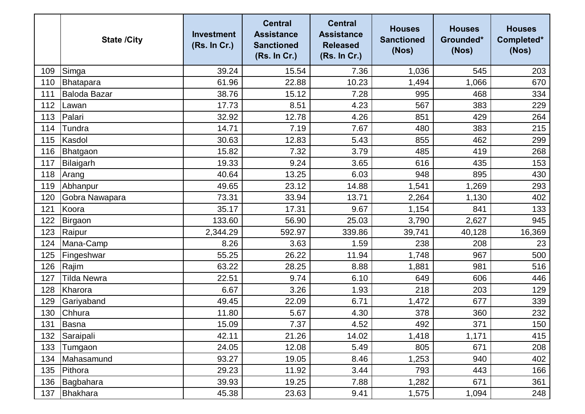|     | <b>State /City</b>  | <b>Investment</b><br>(Rs. In Cr.) | <b>Central</b><br><b>Assistance</b><br><b>Sanctioned</b><br>(Rs. In Cr.) | <b>Central</b><br><b>Assistance</b><br><b>Released</b><br>(Rs. In Cr.) | <b>Houses</b><br><b>Sanctioned</b><br>(Nos) | <b>Houses</b><br>Grounded*<br>(Nos) | <b>Houses</b><br>Completed*<br>(Nos) |
|-----|---------------------|-----------------------------------|--------------------------------------------------------------------------|------------------------------------------------------------------------|---------------------------------------------|-------------------------------------|--------------------------------------|
| 109 | Simga               | 39.24                             | 15.54                                                                    | 7.36                                                                   | 1,036                                       | 545                                 | 203                                  |
| 110 | Bhatapara           | 61.96                             | 22.88                                                                    | 10.23                                                                  | 1,494                                       | 1,066                               | 670                                  |
| 111 | <b>Baloda Bazar</b> | 38.76                             | 15.12                                                                    | 7.28                                                                   | 995                                         | 468                                 | 334                                  |
| 112 | Lawan               | 17.73                             | 8.51                                                                     | 4.23                                                                   | 567                                         | 383                                 | 229                                  |
| 113 | Palari              | 32.92                             | 12.78                                                                    | 4.26                                                                   | 851                                         | 429                                 | 264                                  |
| 114 | <b>Tundra</b>       | 14.71                             | 7.19                                                                     | 7.67                                                                   | 480                                         | 383                                 | 215                                  |
| 115 | Kasdol              | 30.63                             | 12.83                                                                    | 5.43                                                                   | 855                                         | 462                                 | 299                                  |
| 116 | Bhatgaon            | 15.82                             | 7.32                                                                     | 3.79                                                                   | 485                                         | 419                                 | 268                                  |
| 117 | Bilaigarh           | 19.33                             | 9.24                                                                     | 3.65                                                                   | 616                                         | 435                                 | 153                                  |
| 118 | Arang               | 40.64                             | 13.25                                                                    | 6.03                                                                   | 948                                         | 895                                 | 430                                  |
| 119 | Abhanpur            | 49.65                             | 23.12                                                                    | 14.88                                                                  | 1,541                                       | 1,269                               | 293                                  |
| 120 | Gobra Nawapara      | 73.31                             | 33.94                                                                    | 13.71                                                                  | 2,264                                       | 1,130                               | 402                                  |
| 121 | Koora               | 35.17                             | 17.31                                                                    | 9.67                                                                   | 1,154                                       | 841                                 | 133                                  |
| 122 | Birgaon             | 133.60                            | 56.90                                                                    | 25.03                                                                  | 3,790                                       | 2,627                               | 945                                  |
| 123 | Raipur              | 2,344.29                          | 592.97                                                                   | 339.86                                                                 | 39,741                                      | 40,128                              | 16,369                               |
| 124 | Mana-Camp           | 8.26                              | 3.63                                                                     | 1.59                                                                   | 238                                         | 208                                 | 23                                   |
| 125 | Fingeshwar          | 55.25                             | 26.22                                                                    | 11.94                                                                  | 1,748                                       | 967                                 | 500                                  |
| 126 | Rajim               | 63.22                             | 28.25                                                                    | 8.88                                                                   | 1,881                                       | 981                                 | 516                                  |
| 127 | <b>Tilda Newra</b>  | 22.51                             | 9.74                                                                     | 6.10                                                                   | 649                                         | 606                                 | 446                                  |
| 128 | Kharora             | 6.67                              | 3.26                                                                     | 1.93                                                                   | 218                                         | 203                                 | 129                                  |
| 129 | Gariyaband          | 49.45                             | 22.09                                                                    | 6.71                                                                   | 1,472                                       | 677                                 | 339                                  |
| 130 | Chhura              | 11.80                             | 5.67                                                                     | 4.30                                                                   | 378                                         | 360                                 | 232                                  |
| 131 | Basna               | 15.09                             | 7.37                                                                     | 4.52                                                                   | 492                                         | 371                                 | 150                                  |
| 132 | Saraipali           | 42.11                             | 21.26                                                                    | 14.02                                                                  | 1,418                                       | 1,171                               | 415                                  |
| 133 | Tumgaon             | 24.05                             | 12.08                                                                    | 5.49                                                                   | 805                                         | 671                                 | 208                                  |
| 134 | Mahasamund          | 93.27                             | 19.05                                                                    | 8.46                                                                   | 1,253                                       | 940                                 | 402                                  |
| 135 | Pithora             | 29.23                             | 11.92                                                                    | 3.44                                                                   | 793                                         | 443                                 | 166                                  |
| 136 | Bagbahara           | 39.93                             | 19.25                                                                    | 7.88                                                                   | 1,282                                       | 671                                 | 361                                  |
| 137 | Bhakhara            | 45.38                             | 23.63                                                                    | 9.41                                                                   | 1,575                                       | 1,094                               | 248                                  |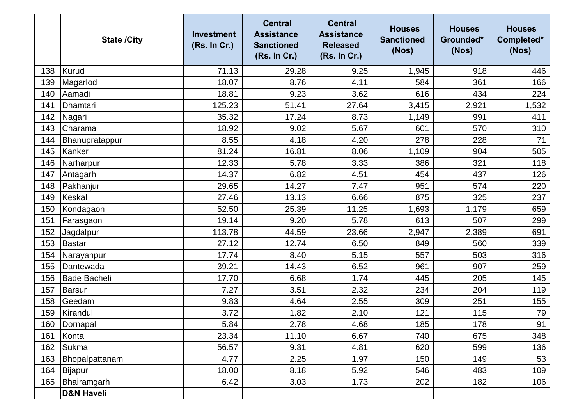|     | <b>State /City</b>    | <b>Investment</b><br>(Rs. In Cr.) | <b>Central</b><br><b>Assistance</b><br><b>Sanctioned</b><br>(Rs. In Cr.) | <b>Central</b><br><b>Assistance</b><br><b>Released</b><br>(Rs. In Cr.) | <b>Houses</b><br><b>Sanctioned</b><br>(Nos) | <b>Houses</b><br>Grounded*<br>(Nos) | <b>Houses</b><br>Completed*<br>(Nos) |
|-----|-----------------------|-----------------------------------|--------------------------------------------------------------------------|------------------------------------------------------------------------|---------------------------------------------|-------------------------------------|--------------------------------------|
| 138 | Kurud                 | 71.13                             | 29.28                                                                    | 9.25                                                                   | 1,945                                       | 918                                 | 446                                  |
| 139 | Magarlod              | 18.07                             | 8.76                                                                     | 4.11                                                                   | 584                                         | 361                                 | 166                                  |
| 140 | Aamadi                | 18.81                             | 9.23                                                                     | 3.62                                                                   | 616                                         | 434                                 | 224                                  |
| 141 | Dhamtari              | 125.23                            | 51.41                                                                    | 27.64                                                                  | 3,415                                       | 2,921                               | 1,532                                |
| 142 | Nagari                | 35.32                             | 17.24                                                                    | 8.73                                                                   | 1,149                                       | 991                                 | 411                                  |
| 143 | Charama               | 18.92                             | 9.02                                                                     | 5.67                                                                   | 601                                         | 570                                 | 310                                  |
| 144 | Bhanupratappur        | 8.55                              | 4.18                                                                     | 4.20                                                                   | 278                                         | 228                                 | 71                                   |
| 145 | Kanker                | 81.24                             | 16.81                                                                    | 8.06                                                                   | 1,109                                       | 904                                 | 505                                  |
| 146 | Narharpur             | 12.33                             | 5.78                                                                     | 3.33                                                                   | 386                                         | 321                                 | 118                                  |
| 147 | Antagarh              | 14.37                             | 6.82                                                                     | 4.51                                                                   | 454                                         | 437                                 | 126                                  |
| 148 | Pakhanjur             | 29.65                             | 14.27                                                                    | 7.47                                                                   | 951                                         | 574                                 | 220                                  |
| 149 | Keskal                | 27.46                             | 13.13                                                                    | 6.66                                                                   | 875                                         | 325                                 | 237                                  |
| 150 | Kondagaon             | 52.50                             | 25.39                                                                    | 11.25                                                                  | 1,693                                       | 1,179                               | 659                                  |
| 151 | Farasgaon             | 19.14                             | 9.20                                                                     | 5.78                                                                   | 613                                         | 507                                 | 299                                  |
| 152 | Jagdalpur             | 113.78                            | 44.59                                                                    | 23.66                                                                  | 2,947                                       | 2,389                               | 691                                  |
| 153 | Bastar                | 27.12                             | 12.74                                                                    | 6.50                                                                   | 849                                         | 560                                 | 339                                  |
| 154 | Narayanpur            | 17.74                             | 8.40                                                                     | 5.15                                                                   | 557                                         | 503                                 | 316                                  |
| 155 | Dantewada             | 39.21                             | 14.43                                                                    | 6.52                                                                   | 961                                         | 907                                 | 259                                  |
| 156 | <b>Bade Bacheli</b>   | 17.70                             | 6.68                                                                     | 1.74                                                                   | 445                                         | 205                                 | 145                                  |
| 157 | Barsur                | 7.27                              | 3.51                                                                     | 2.32                                                                   | 234                                         | 204                                 | 119                                  |
| 158 | Geedam                | 9.83                              | 4.64                                                                     | 2.55                                                                   | 309                                         | 251                                 | 155                                  |
| 159 | Kirandul              | 3.72                              | 1.82                                                                     | 2.10                                                                   | 121                                         | 115                                 | 79                                   |
|     | 160 Dornapal          | 5.84                              | 2.78                                                                     | 4.68                                                                   | 185                                         | 178                                 | 91                                   |
| 161 | Konta                 | 23.34                             | 11.10                                                                    | 6.67                                                                   | 740                                         | 675                                 | 348                                  |
| 162 | Sukma                 | 56.57                             | 9.31                                                                     | 4.81                                                                   | 620                                         | 599                                 | 136                                  |
| 163 | Bhopalpattanam        | 4.77                              | 2.25                                                                     | 1.97                                                                   | 150                                         | 149                                 | 53                                   |
| 164 | Bijapur               | 18.00                             | 8.18                                                                     | 5.92                                                                   | 546                                         | 483                                 | 109                                  |
| 165 | Bhairamgarh           | 6.42                              | 3.03                                                                     | 1.73                                                                   | 202                                         | 182                                 | 106                                  |
|     | <b>D&amp;N Haveli</b> |                                   |                                                                          |                                                                        |                                             |                                     |                                      |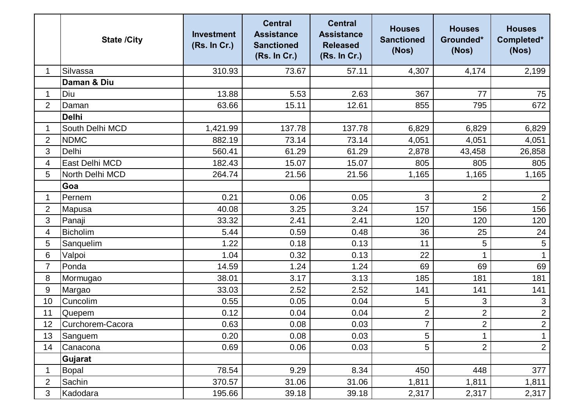|                | <b>State /City</b> | <b>Investment</b><br>(Rs. In Cr.) | <b>Central</b><br><b>Assistance</b><br><b>Sanctioned</b><br>(Rs. In Cr.) | <b>Central</b><br><b>Assistance</b><br><b>Released</b><br>(Rs. In Cr.) | <b>Houses</b><br><b>Sanctioned</b><br>(Nos) | <b>Houses</b><br>Grounded*<br>(Nos) | <b>Houses</b><br>Completed*<br>(Nos) |
|----------------|--------------------|-----------------------------------|--------------------------------------------------------------------------|------------------------------------------------------------------------|---------------------------------------------|-------------------------------------|--------------------------------------|
| 1              | Silvassa           | 310.93                            | 73.67                                                                    | 57.11                                                                  | 4,307                                       | 4,174                               | 2,199                                |
|                | Daman & Diu        |                                   |                                                                          |                                                                        |                                             |                                     |                                      |
| 1              | Diu                | 13.88                             | 5.53                                                                     | 2.63                                                                   | 367                                         | 77                                  | 75                                   |
| $\overline{2}$ | Daman              | 63.66                             | 15.11                                                                    | 12.61                                                                  | 855                                         | 795                                 | 672                                  |
|                | <b>Delhi</b>       |                                   |                                                                          |                                                                        |                                             |                                     |                                      |
| 1              | South Delhi MCD    | 1,421.99                          | 137.78                                                                   | 137.78                                                                 | 6,829                                       | 6,829                               | 6,829                                |
| $\overline{2}$ | <b>NDMC</b>        | 882.19                            | 73.14                                                                    | 73.14                                                                  | 4,051                                       | 4,051                               | 4,051                                |
| 3              | Delhi              | 560.41                            | 61.29                                                                    | 61.29                                                                  | 2,878                                       | 43,458                              | 26,858                               |
| 4              | East Delhi MCD     | 182.43                            | 15.07                                                                    | 15.07                                                                  | 805                                         | 805                                 | 805                                  |
| 5              | North Delhi MCD    | 264.74                            | 21.56                                                                    | 21.56                                                                  | 1,165                                       | 1,165                               | 1,165                                |
|                | Goa                |                                   |                                                                          |                                                                        |                                             |                                     |                                      |
| 1              | Pernem             | 0.21                              | 0.06                                                                     | 0.05                                                                   | 3                                           | $\overline{2}$                      | $\overline{2}$                       |
| $\overline{2}$ | Mapusa             | 40.08                             | 3.25                                                                     | 3.24                                                                   | 157                                         | 156                                 | 156                                  |
| 3              | Panaji             | 33.32                             | 2.41                                                                     | 2.41                                                                   | 120                                         | 120                                 | 120                                  |
| 4              | <b>Bicholim</b>    | 5.44                              | 0.59                                                                     | 0.48                                                                   | 36                                          | 25                                  | 24                                   |
| 5              | Sanquelim          | 1.22                              | 0.18                                                                     | 0.13                                                                   | 11                                          | 5                                   | 5                                    |
| 6              | Valpoi             | 1.04                              | 0.32                                                                     | 0.13                                                                   | 22                                          |                                     |                                      |
| $\overline{7}$ | Ponda              | 14.59                             | 1.24                                                                     | 1.24                                                                   | 69                                          | 69                                  | 69                                   |
| 8              | Mormugao           | 38.01                             | 3.17                                                                     | 3.13                                                                   | 185                                         | 181                                 | 181                                  |
| 9              | Margao             | 33.03                             | 2.52                                                                     | 2.52                                                                   | 141                                         | 141                                 | 141                                  |
| 10             | Cuncolim           | 0.55                              | 0.05                                                                     | 0.04                                                                   | 5                                           | 3                                   | $\mathfrak{S}$                       |
| 11             | Quepem             | 0.12                              | 0.04                                                                     | 0.04                                                                   | $\overline{2}$                              | $\overline{2}$                      | $\overline{2}$                       |
| 12             | Curchorem-Cacora   | 0.63                              | 0.08                                                                     | 0.03                                                                   | $\overline{7}$                              | $\overline{c}$                      | $\overline{2}$                       |
| 13             | Sanguem            | 0.20                              | 0.08                                                                     | 0.03                                                                   | 5                                           | 1                                   |                                      |
| 14             | Canacona           | 0.69                              | 0.06                                                                     | 0.03                                                                   | 5                                           | $\overline{2}$                      | $\overline{2}$                       |
|                | Gujarat            |                                   |                                                                          |                                                                        |                                             |                                     |                                      |
| 1              | Bopal              | 78.54                             | 9.29                                                                     | 8.34                                                                   | 450                                         | 448                                 | 377                                  |
| $\overline{2}$ | Sachin             | 370.57                            | 31.06                                                                    | 31.06                                                                  | 1,811                                       | 1,811                               | 1,811                                |
| 3              | Kadodara           | 195.66                            | 39.18                                                                    | 39.18                                                                  | 2,317                                       | 2,317                               | 2,317                                |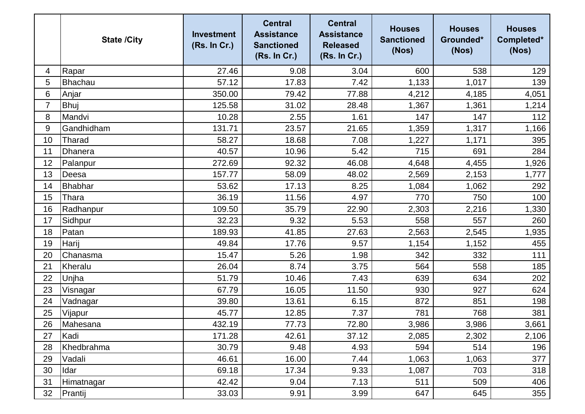|    | <b>State /City</b> | <b>Investment</b><br>(Rs. In Cr.) | <b>Central</b><br><b>Assistance</b><br><b>Sanctioned</b><br>(Rs. In Cr.) | <b>Central</b><br><b>Assistance</b><br><b>Released</b><br>(Rs. In Cr.) | <b>Houses</b><br><b>Sanctioned</b><br>(Nos) | <b>Houses</b><br>Grounded*<br>(Nos) | <b>Houses</b><br>Completed*<br>(Nos) |
|----|--------------------|-----------------------------------|--------------------------------------------------------------------------|------------------------------------------------------------------------|---------------------------------------------|-------------------------------------|--------------------------------------|
| 4  | Rapar              | 27.46                             | 9.08                                                                     | 3.04                                                                   | 600                                         | 538                                 | 129                                  |
| 5  | Bhachau            | 57.12                             | 17.83                                                                    | 7.42                                                                   | 1,133                                       | 1,017                               | 139                                  |
| 6  | Anjar              | 350.00                            | 79.42                                                                    | 77.88                                                                  | 4,212                                       | 4,185                               | 4,051                                |
| 7  | <b>Bhuj</b>        | 125.58                            | 31.02                                                                    | 28.48                                                                  | 1,367                                       | 1,361                               | 1,214                                |
| 8  | Mandvi             | 10.28                             | 2.55                                                                     | 1.61                                                                   | 147                                         | 147                                 | 112                                  |
| 9  | Gandhidham         | 131.71                            | 23.57                                                                    | 21.65                                                                  | 1,359                                       | 1,317                               | 1,166                                |
| 10 | Tharad             | 58.27                             | 18.68                                                                    | 7.08                                                                   | 1,227                                       | 1,171                               | 395                                  |
| 11 | Dhanera            | 40.57                             | 10.96                                                                    | 5.42                                                                   | 715                                         | 691                                 | 284                                  |
| 12 | Palanpur           | 272.69                            | 92.32                                                                    | 46.08                                                                  | 4,648                                       | 4,455                               | 1,926                                |
| 13 | Deesa              | 157.77                            | 58.09                                                                    | 48.02                                                                  | 2,569                                       | 2,153                               | 1,777                                |
| 14 | <b>Bhabhar</b>     | 53.62                             | 17.13                                                                    | 8.25                                                                   | 1,084                                       | 1,062                               | 292                                  |
| 15 | Thara              | 36.19                             | 11.56                                                                    | 4.97                                                                   | 770                                         | 750                                 | 100                                  |
| 16 | Radhanpur          | 109.50                            | 35.79                                                                    | 22.90                                                                  | 2,303                                       | 2,216                               | 1,330                                |
| 17 | Sidhpur            | 32.23                             | 9.32                                                                     | 5.53                                                                   | 558                                         | 557                                 | 260                                  |
| 18 | Patan              | 189.93                            | 41.85                                                                    | 27.63                                                                  | 2,563                                       | 2,545                               | 1,935                                |
| 19 | Harij              | 49.84                             | 17.76                                                                    | 9.57                                                                   | 1,154                                       | 1,152                               | 455                                  |
| 20 | Chanasma           | 15.47                             | 5.26                                                                     | 1.98                                                                   | 342                                         | 332                                 | 111                                  |
| 21 | Kheralu            | 26.04                             | 8.74                                                                     | 3.75                                                                   | 564                                         | 558                                 | 185                                  |
| 22 | Unjha              | 51.79                             | 10.46                                                                    | 7.43                                                                   | 639                                         | 634                                 | 202                                  |
| 23 | Visnagar           | 67.79                             | 16.05                                                                    | 11.50                                                                  | 930                                         | 927                                 | 624                                  |
| 24 | Vadnagar           | 39.80                             | 13.61                                                                    | 6.15                                                                   | 872                                         | 851                                 | 198                                  |
| 25 | Vijapur            | 45.77                             | 12.85                                                                    | 7.37                                                                   | 781                                         | 768                                 | 381                                  |
| 26 | Mahesana           | 432.19                            | 77.73                                                                    | 72.80                                                                  | 3,986                                       | 3,986                               | 3,661                                |
| 27 | Kadi               | 171.28                            | 42.61                                                                    | 37.12                                                                  | 2,085                                       | 2,302                               | 2,106                                |
| 28 | Khedbrahma         | 30.79                             | 9.48                                                                     | 4.93                                                                   | 594                                         | 514                                 | 196                                  |
| 29 | Vadali             | 46.61                             | 16.00                                                                    | 7.44                                                                   | 1,063                                       | 1,063                               | 377                                  |
| 30 | Idar               | 69.18                             | 17.34                                                                    | 9.33                                                                   | 1,087                                       | 703                                 | 318                                  |
| 31 | Himatnagar         | 42.42                             | 9.04                                                                     | 7.13                                                                   | 511                                         | 509                                 | 406                                  |
| 32 | Prantij            | 33.03                             | 9.91                                                                     | 3.99                                                                   | 647                                         | 645                                 | 355                                  |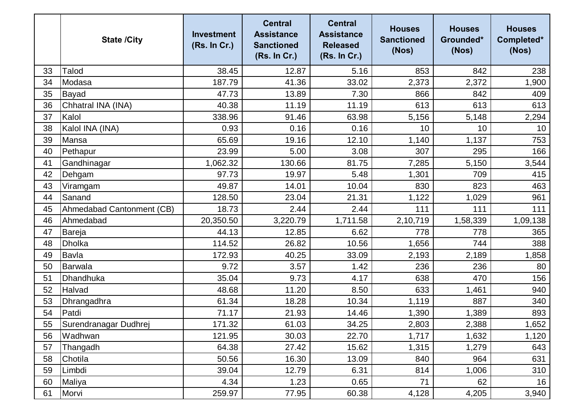|    | <b>State /City</b>        | <b>Investment</b><br>(Rs. In Cr.) | <b>Central</b><br><b>Assistance</b><br><b>Sanctioned</b><br>(Rs. In Cr.) | <b>Central</b><br><b>Assistance</b><br><b>Released</b><br>(Rs. In Cr.) | <b>Houses</b><br><b>Sanctioned</b><br>(Nos) | <b>Houses</b><br>Grounded*<br>(Nos) | <b>Houses</b><br>Completed*<br>(Nos) |
|----|---------------------------|-----------------------------------|--------------------------------------------------------------------------|------------------------------------------------------------------------|---------------------------------------------|-------------------------------------|--------------------------------------|
| 33 | Talod                     | 38.45                             | 12.87                                                                    | 5.16                                                                   | 853                                         | 842                                 | 238                                  |
| 34 | Modasa                    | 187.79                            | 41.36                                                                    | 33.02                                                                  | 2,373                                       | 2,372                               | 1,900                                |
| 35 | Bayad                     | 47.73                             | 13.89                                                                    | 7.30                                                                   | 866                                         | 842                                 | 409                                  |
| 36 | Chhatral INA (INA)        | 40.38                             | 11.19                                                                    | 11.19                                                                  | 613                                         | 613                                 | 613                                  |
| 37 | Kalol                     | 338.96                            | 91.46                                                                    | 63.98                                                                  | 5,156                                       | 5,148                               | 2,294                                |
| 38 | Kalol INA (INA)           | 0.93                              | 0.16                                                                     | 0.16                                                                   | 10                                          | 10                                  | 10                                   |
| 39 | Mansa                     | 65.69                             | 19.16                                                                    | 12.10                                                                  | 1,140                                       | 1,137                               | 753                                  |
| 40 | Pethapur                  | 23.99                             | 5.00                                                                     | 3.08                                                                   | 307                                         | 295                                 | 166                                  |
| 41 | Gandhinagar               | 1,062.32                          | 130.66                                                                   | 81.75                                                                  | 7,285                                       | 5,150                               | 3,544                                |
| 42 | Dehgam                    | 97.73                             | 19.97                                                                    | 5.48                                                                   | 1,301                                       | 709                                 | 415                                  |
| 43 | Viramgam                  | 49.87                             | 14.01                                                                    | 10.04                                                                  | 830                                         | 823                                 | 463                                  |
| 44 | Sanand                    | 128.50                            | 23.04                                                                    | 21.31                                                                  | 1,122                                       | 1,029                               | 961                                  |
| 45 | Ahmedabad Cantonment (CB) | 18.73                             | 2.44                                                                     | 2.44                                                                   | 111                                         | 111                                 | 111                                  |
| 46 | Ahmedabad                 | 20,350.50                         | 3,220.79                                                                 | 1,711.58                                                               | 2,10,719                                    | 1,58,339                            | 1,09,138                             |
| 47 | Bareja                    | 44.13                             | 12.85                                                                    | 6.62                                                                   | 778                                         | 778                                 | 365                                  |
| 48 | <b>Dholka</b>             | 114.52                            | 26.82                                                                    | 10.56                                                                  | 1,656                                       | 744                                 | 388                                  |
| 49 | <b>Bavla</b>              | 172.93                            | 40.25                                                                    | 33.09                                                                  | 2,193                                       | 2,189                               | 1,858                                |
| 50 | Barwala                   | 9.72                              | 3.57                                                                     | 1.42                                                                   | 236                                         | 236                                 | 80                                   |
| 51 | Dhandhuka                 | 35.04                             | 9.73                                                                     | 4.17                                                                   | 638                                         | 470                                 | 156                                  |
| 52 | Halvad                    | 48.68                             | 11.20                                                                    | 8.50                                                                   | 633                                         | 1,461                               | 940                                  |
| 53 | Dhrangadhra               | 61.34                             | 18.28                                                                    | 10.34                                                                  | 1,119                                       | 887                                 | 340                                  |
| 54 | Patdi                     | 71.17                             | 21.93                                                                    | 14.46                                                                  | 1,390                                       | 1,389                               | 893                                  |
| 55 | Surendranagar Dudhrej     | 171.32                            | 61.03                                                                    | 34.25                                                                  | 2,803                                       | 2,388                               | 1,652                                |
| 56 | Wadhwan                   | 121.95                            | 30.03                                                                    | 22.70                                                                  | 1,717                                       | 1,632                               | 1,120                                |
| 57 | Thangadh                  | 64.38                             | 27.42                                                                    | 15.62                                                                  | 1,315                                       | 1,279                               | 643                                  |
| 58 | Chotila                   | 50.56                             | 16.30                                                                    | 13.09                                                                  | 840                                         | 964                                 | 631                                  |
| 59 | Limbdi                    | 39.04                             | 12.79                                                                    | 6.31                                                                   | 814                                         | 1,006                               | 310                                  |
| 60 | Maliya                    | 4.34                              | 1.23                                                                     | 0.65                                                                   | 71                                          | 62                                  | 16                                   |
| 61 | Morvi                     | 259.97                            | 77.95                                                                    | 60.38                                                                  | 4,128                                       | 4,205                               | 3,940                                |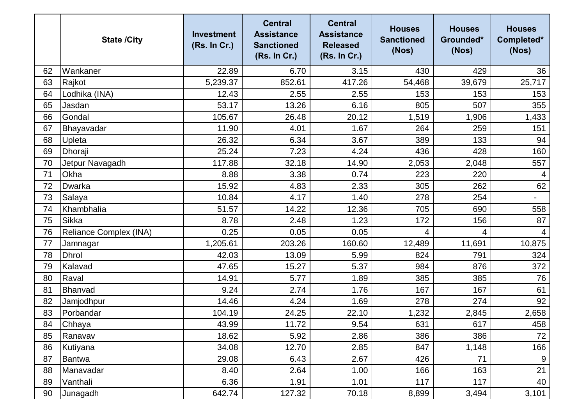|    | <b>State /City</b>     | <b>Investment</b><br>(Rs. In Cr.) | <b>Central</b><br><b>Assistance</b><br><b>Sanctioned</b><br>(Rs. In Cr.) | <b>Central</b><br><b>Assistance</b><br><b>Released</b><br>(Rs. In Cr.) | <b>Houses</b><br><b>Sanctioned</b><br>(Nos) | <b>Houses</b><br>Grounded*<br>(Nos) | <b>Houses</b><br>Completed*<br>(Nos) |
|----|------------------------|-----------------------------------|--------------------------------------------------------------------------|------------------------------------------------------------------------|---------------------------------------------|-------------------------------------|--------------------------------------|
| 62 | Wankaner               | 22.89                             | 6.70                                                                     | 3.15                                                                   | 430                                         | 429                                 | 36                                   |
| 63 | Rajkot                 | 5,239.37                          | 852.61                                                                   | 417.26                                                                 | 54,468                                      | 39,679                              | 25,717                               |
| 64 | Lodhika (INA)          | 12.43                             | 2.55                                                                     | 2.55                                                                   | 153                                         | 153                                 | 153                                  |
| 65 | Jasdan                 | 53.17                             | 13.26                                                                    | 6.16                                                                   | 805                                         | 507                                 | 355                                  |
| 66 | Gondal                 | 105.67                            | 26.48                                                                    | 20.12                                                                  | 1,519                                       | 1,906                               | 1,433                                |
| 67 | Bhayavadar             | 11.90                             | 4.01                                                                     | 1.67                                                                   | 264                                         | 259                                 | 151                                  |
| 68 | Upleta                 | 26.32                             | 6.34                                                                     | 3.67                                                                   | 389                                         | 133                                 | 94                                   |
| 69 | Dhoraji                | 25.24                             | 7.23                                                                     | 4.24                                                                   | 436                                         | 428                                 | 160                                  |
| 70 | Jetpur Navagadh        | 117.88                            | 32.18                                                                    | 14.90                                                                  | 2,053                                       | 2,048                               | 557                                  |
| 71 | Okha                   | 8.88                              | 3.38                                                                     | 0.74                                                                   | 223                                         | 220                                 | $\overline{4}$                       |
| 72 | Dwarka                 | 15.92                             | 4.83                                                                     | 2.33                                                                   | 305                                         | 262                                 | 62                                   |
| 73 | Salaya                 | 10.84                             | 4.17                                                                     | 1.40                                                                   | 278                                         | 254                                 | $\blacksquare$                       |
| 74 | Khambhalia             | 51.57                             | 14.22                                                                    | 12.36                                                                  | 705                                         | 690                                 | 558                                  |
| 75 | Sikka                  | 8.78                              | 2.48                                                                     | 1.23                                                                   | 172                                         | 156                                 | 87                                   |
| 76 | Reliance Complex (INA) | 0.25                              | 0.05                                                                     | 0.05                                                                   | 4                                           | 4                                   | $\overline{4}$                       |
| 77 | Jamnagar               | 1,205.61                          | 203.26                                                                   | 160.60                                                                 | 12,489                                      | 11,691                              | 10,875                               |
| 78 | <b>Dhrol</b>           | 42.03                             | 13.09                                                                    | 5.99                                                                   | 824                                         | 791                                 | 324                                  |
| 79 | Kalavad                | 47.65                             | 15.27                                                                    | 5.37                                                                   | 984                                         | 876                                 | 372                                  |
| 80 | Raval                  | 14.91                             | 5.77                                                                     | 1.89                                                                   | 385                                         | 385                                 | 76                                   |
| 81 | Bhanvad                | 9.24                              | 2.74                                                                     | 1.76                                                                   | 167                                         | 167                                 | 61                                   |
| 82 | Jamjodhpur             | 14.46                             | 4.24                                                                     | 1.69                                                                   | 278                                         | 274                                 | 92                                   |
| 83 | Porbandar              | 104.19                            | 24.25                                                                    | 22.10                                                                  | 1,232                                       | 2,845                               | 2,658                                |
| 84 | Chhaya                 | 43.99                             | 11.72                                                                    | 9.54                                                                   | 631                                         | 617                                 | 458                                  |
| 85 | Ranavav                | 18.62                             | 5.92                                                                     | 2.86                                                                   | 386                                         | 386                                 | 72                                   |
| 86 | Kutiyana               | 34.08                             | 12.70                                                                    | 2.85                                                                   | 847                                         | 1,148                               | 166                                  |
| 87 | Bantwa                 | 29.08                             | 6.43                                                                     | 2.67                                                                   | 426                                         | 71                                  | 9                                    |
| 88 | Manavadar              | 8.40                              | 2.64                                                                     | 1.00                                                                   | 166                                         | 163                                 | 21                                   |
| 89 | Vanthali               | 6.36                              | 1.91                                                                     | 1.01                                                                   | 117                                         | 117                                 | 40                                   |
| 90 | Junagadh               | 642.74                            | 127.32                                                                   | 70.18                                                                  | 8,899                                       | 3,494                               | 3,101                                |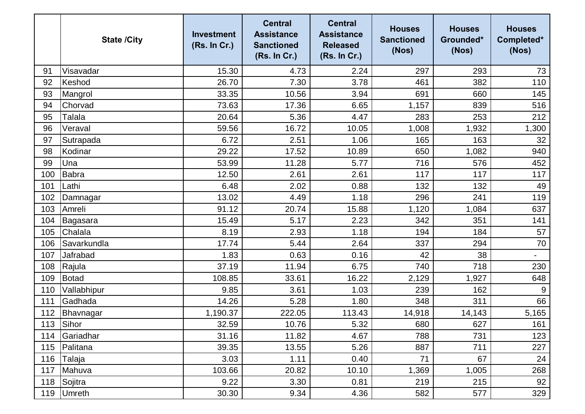|     | <b>State /City</b> | <b>Investment</b><br>(Rs. In Cr.) | <b>Central</b><br><b>Assistance</b><br><b>Sanctioned</b><br>(Rs. In Cr.) | <b>Central</b><br><b>Assistance</b><br><b>Released</b><br>(Rs. In Cr.) | <b>Houses</b><br><b>Sanctioned</b><br>(Nos) | <b>Houses</b><br>Grounded*<br>(Nos) | <b>Houses</b><br>Completed*<br>(Nos) |
|-----|--------------------|-----------------------------------|--------------------------------------------------------------------------|------------------------------------------------------------------------|---------------------------------------------|-------------------------------------|--------------------------------------|
| 91  | Visavadar          | 15.30                             | 4.73                                                                     | 2.24                                                                   | 297                                         | 293                                 | 73                                   |
| 92  | Keshod             | 26.70                             | 7.30                                                                     | 3.78                                                                   | 461                                         | 382                                 | 110                                  |
| 93  | Mangrol            | 33.35                             | 10.56                                                                    | 3.94                                                                   | 691                                         | 660                                 | 145                                  |
| 94  | Chorvad            | 73.63                             | 17.36                                                                    | 6.65                                                                   | 1,157                                       | 839                                 | 516                                  |
| 95  | Talala             | 20.64                             | 5.36                                                                     | 4.47                                                                   | 283                                         | 253                                 | 212                                  |
| 96  | Veraval            | 59.56                             | 16.72                                                                    | 10.05                                                                  | 1,008                                       | 1,932                               | 1,300                                |
| 97  | Sutrapada          | 6.72                              | 2.51                                                                     | 1.06                                                                   | 165                                         | 163                                 | 32                                   |
| 98  | Kodinar            | 29.22                             | 17.52                                                                    | 10.89                                                                  | 650                                         | 1,082                               | 940                                  |
| 99  | Una                | 53.99                             | 11.28                                                                    | 5.77                                                                   | 716                                         | 576                                 | 452                                  |
| 100 | <b>Babra</b>       | 12.50                             | 2.61                                                                     | 2.61                                                                   | 117                                         | 117                                 | 117                                  |
| 101 | Lathi              | 6.48                              | 2.02                                                                     | 0.88                                                                   | 132                                         | 132                                 | 49                                   |
| 102 | Damnagar           | 13.02                             | 4.49                                                                     | 1.18                                                                   | 296                                         | 241                                 | 119                                  |
| 103 | Amreli             | 91.12                             | 20.74                                                                    | 15.88                                                                  | 1,120                                       | 1,084                               | 637                                  |
| 104 | Bagasara           | 15.49                             | 5.17                                                                     | 2.23                                                                   | 342                                         | 351                                 | 141                                  |
| 105 | Chalala            | 8.19                              | 2.93                                                                     | 1.18                                                                   | 194                                         | 184                                 | 57                                   |
| 106 | Savarkundla        | 17.74                             | 5.44                                                                     | 2.64                                                                   | 337                                         | 294                                 | 70                                   |
| 107 | Jafrabad           | 1.83                              | 0.63                                                                     | 0.16                                                                   | 42                                          | 38                                  | $\overline{\phantom{a}}$             |
| 108 | Rajula             | 37.19                             | 11.94                                                                    | 6.75                                                                   | 740                                         | 718                                 | 230                                  |
| 109 | <b>Botad</b>       | 108.85                            | 33.61                                                                    | 16.22                                                                  | 2,129                                       | 1,927                               | 648                                  |
| 110 | Vallabhipur        | 9.85                              | 3.61                                                                     | 1.03                                                                   | 239                                         | 162                                 | 9                                    |
| 111 | Gadhada            | 14.26                             | 5.28                                                                     | 1.80                                                                   | 348                                         | 311                                 | 66                                   |
| 112 | Bhavnagar          | 1,190.37                          | 222.05                                                                   | 113.43                                                                 | 14,918                                      | 14,143                              | 5,165                                |
| 113 | Sihor              | 32.59                             | 10.76                                                                    | 5.32                                                                   | 680                                         | 627                                 | 161                                  |
| 114 | Gariadhar          | 31.16                             | 11.82                                                                    | 4.67                                                                   | 788                                         | 731                                 | 123                                  |
| 115 | Palitana           | 39.35                             | 13.55                                                                    | 5.26                                                                   | 887                                         | 711                                 | 227                                  |
| 116 | Talaja             | 3.03                              | 1.11                                                                     | 0.40                                                                   | 71                                          | 67                                  | 24                                   |
| 117 | Mahuva             | 103.66                            | 20.82                                                                    | 10.10                                                                  | 1,369                                       | 1,005                               | 268                                  |
| 118 | Sojitra            | 9.22                              | 3.30                                                                     | 0.81                                                                   | 219                                         | 215                                 | 92                                   |
| 119 | <b>Umreth</b>      | 30.30                             | 9.34                                                                     | 4.36                                                                   | 582                                         | 577                                 | 329                                  |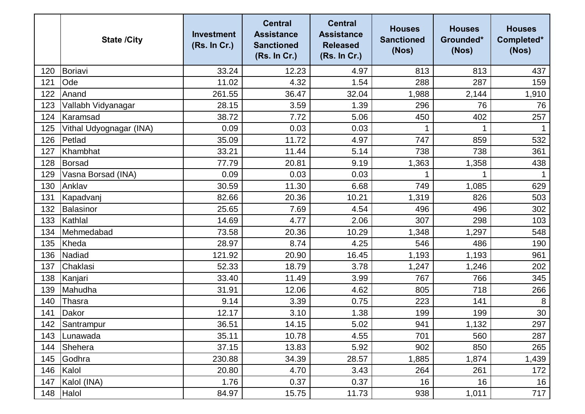|     | <b>State /City</b>      | <b>Investment</b><br>(Rs. In Cr.) | <b>Central</b><br><b>Assistance</b><br><b>Sanctioned</b><br>(Rs. In Cr.) | <b>Central</b><br><b>Assistance</b><br><b>Released</b><br>(Rs. In Cr.) | <b>Houses</b><br><b>Sanctioned</b><br>(Nos) | <b>Houses</b><br>Grounded*<br>(Nos) | <b>Houses</b><br>Completed*<br>(Nos) |
|-----|-------------------------|-----------------------------------|--------------------------------------------------------------------------|------------------------------------------------------------------------|---------------------------------------------|-------------------------------------|--------------------------------------|
| 120 | Boriavi                 | 33.24                             | 12.23                                                                    | 4.97                                                                   | 813                                         | 813                                 | 437                                  |
| 121 | Ode                     | 11.02                             | 4.32                                                                     | 1.54                                                                   | 288                                         | 287                                 | 159                                  |
| 122 | Anand                   | 261.55                            | 36.47                                                                    | 32.04                                                                  | 1,988                                       | 2,144                               | 1,910                                |
| 123 | Vallabh Vidyanagar      | 28.15                             | 3.59                                                                     | 1.39                                                                   | 296                                         | 76                                  | 76                                   |
| 124 | Karamsad                | 38.72                             | 7.72                                                                     | 5.06                                                                   | 450                                         | 402                                 | 257                                  |
| 125 | Vithal Udyognagar (INA) | 0.09                              | 0.03                                                                     | 0.03                                                                   |                                             | 1                                   |                                      |
| 126 | Petlad                  | 35.09                             | 11.72                                                                    | 4.97                                                                   | 747                                         | 859                                 | 532                                  |
| 127 | Khambhat                | 33.21                             | 11.44                                                                    | 5.14                                                                   | 738                                         | 738                                 | 361                                  |
| 128 | Borsad                  | 77.79                             | 20.81                                                                    | 9.19                                                                   | 1,363                                       | 1,358                               | 438                                  |
| 129 | Vasna Borsad (INA)      | 0.09                              | 0.03                                                                     | 0.03                                                                   |                                             | 1                                   |                                      |
| 130 | Anklav                  | 30.59                             | 11.30                                                                    | 6.68                                                                   | 749                                         | 1,085                               | 629                                  |
| 131 | Kapadvanj               | 82.66                             | 20.36                                                                    | 10.21                                                                  | 1,319                                       | 826                                 | 503                                  |
| 132 | Balasinor               | 25.65                             | 7.69                                                                     | 4.54                                                                   | 496                                         | 496                                 | 302                                  |
| 133 | Kathlal                 | 14.69                             | 4.77                                                                     | 2.06                                                                   | 307                                         | 298                                 | 103                                  |
| 134 | Mehmedabad              | 73.58                             | 20.36                                                                    | 10.29                                                                  | 1,348                                       | 1,297                               | 548                                  |
| 135 | Kheda                   | 28.97                             | 8.74                                                                     | 4.25                                                                   | 546                                         | 486                                 | 190                                  |
| 136 | Nadiad                  | 121.92                            | 20.90                                                                    | 16.45                                                                  | 1,193                                       | 1,193                               | 961                                  |
| 137 | Chaklasi                | 52.33                             | 18.79                                                                    | 3.78                                                                   | 1,247                                       | 1,246                               | 202                                  |
| 138 | Kanjari                 | 33.40                             | 11.49                                                                    | 3.99                                                                   | 767                                         | 766                                 | 345                                  |
| 139 | Mahudha                 | 31.91                             | 12.06                                                                    | 4.62                                                                   | 805                                         | 718                                 | 266                                  |
| 140 | Thasra                  | 9.14                              | 3.39                                                                     | 0.75                                                                   | 223                                         | 141                                 | 8                                    |
| 141 | Dakor                   | 12.17                             | 3.10                                                                     | 1.38                                                                   | 199                                         | 199                                 | 30                                   |
| 142 | Santrampur              | 36.51                             | 14.15                                                                    | 5.02                                                                   | 941                                         | 1,132                               | 297                                  |
| 143 | Lunawada                | 35.11                             | 10.78                                                                    | 4.55                                                                   | 701                                         | 560                                 | 287                                  |
| 144 | Shehera                 | 37.15                             | 13.83                                                                    | 5.92                                                                   | 902                                         | 850                                 | 265                                  |
| 145 | Godhra                  | 230.88                            | 34.39                                                                    | 28.57                                                                  | 1,885                                       | 1,874                               | 1,439                                |
| 146 | Kalol                   | 20.80                             | 4.70                                                                     | 3.43                                                                   | 264                                         | 261                                 | 172                                  |
| 147 | Kalol (INA)             | 1.76                              | 0.37                                                                     | 0.37                                                                   | 16                                          | 16                                  | 16                                   |
| 148 | Halol                   | 84.97                             | 15.75                                                                    | 11.73                                                                  | 938                                         | 1,011                               | 717                                  |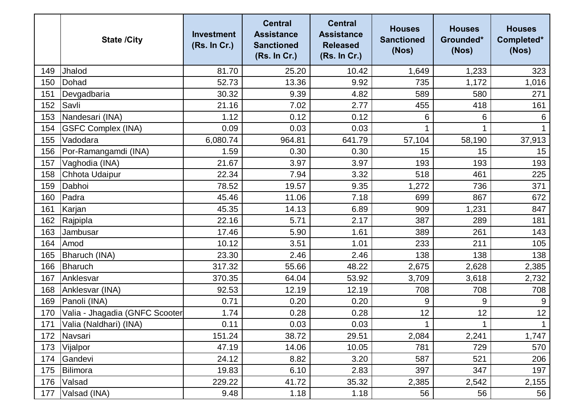|     | <b>State /City</b>             | <b>Investment</b><br>(Rs. In Cr.) | <b>Central</b><br><b>Assistance</b><br><b>Sanctioned</b><br>(Rs. In Cr.) | <b>Central</b><br><b>Assistance</b><br><b>Released</b><br>(Rs. In Cr.) | <b>Houses</b><br><b>Sanctioned</b><br>(Nos) | <b>Houses</b><br>Grounded*<br>(Nos) | <b>Houses</b><br>Completed*<br>(Nos) |
|-----|--------------------------------|-----------------------------------|--------------------------------------------------------------------------|------------------------------------------------------------------------|---------------------------------------------|-------------------------------------|--------------------------------------|
| 149 | Jhalod                         | 81.70                             | 25.20                                                                    | 10.42                                                                  | 1,649                                       | 1,233                               | 323                                  |
| 150 | Dohad                          | 52.73                             | 13.36                                                                    | 9.92                                                                   | 735                                         | 1,172                               | 1,016                                |
| 151 | Devgadbaria                    | 30.32                             | 9.39                                                                     | 4.82                                                                   | 589                                         | 580                                 | 271                                  |
| 152 | Savli                          | 21.16                             | 7.02                                                                     | 2.77                                                                   | 455                                         | 418                                 | 161                                  |
| 153 | Nandesari (INA)                | 1.12                              | 0.12                                                                     | 0.12                                                                   | 6                                           | 6                                   | 6                                    |
| 154 | <b>GSFC Complex (INA)</b>      | 0.09                              | 0.03                                                                     | 0.03                                                                   |                                             | 1                                   |                                      |
| 155 | Vadodara                       | 6,080.74                          | 964.81                                                                   | 641.79                                                                 | 57,104                                      | 58,190                              | 37,913                               |
| 156 | Por-Ramangamdi (INA)           | 1.59                              | 0.30                                                                     | 0.30                                                                   | 15                                          | 15                                  | 15                                   |
| 157 | Vaghodia (INA)                 | 21.67                             | 3.97                                                                     | 3.97                                                                   | 193                                         | 193                                 | 193                                  |
| 158 | Chhota Udaipur                 | 22.34                             | 7.94                                                                     | 3.32                                                                   | 518                                         | 461                                 | 225                                  |
| 159 | Dabhoi                         | 78.52                             | 19.57                                                                    | 9.35                                                                   | 1,272                                       | 736                                 | 371                                  |
| 160 | Padra                          | 45.46                             | 11.06                                                                    | 7.18                                                                   | 699                                         | 867                                 | 672                                  |
| 161 | Karjan                         | 45.35                             | 14.13                                                                    | 6.89                                                                   | 909                                         | 1,231                               | 847                                  |
| 162 | Rajpipla                       | 22.16                             | 5.71                                                                     | 2.17                                                                   | 387                                         | 289                                 | 181                                  |
| 163 | Jambusar                       | 17.46                             | 5.90                                                                     | 1.61                                                                   | 389                                         | 261                                 | 143                                  |
| 164 | Amod                           | 10.12                             | 3.51                                                                     | 1.01                                                                   | 233                                         | 211                                 | 105                                  |
| 165 | <b>Bharuch (INA)</b>           | 23.30                             | 2.46                                                                     | 2.46                                                                   | 138                                         | 138                                 | 138                                  |
| 166 | <b>Bharuch</b>                 | 317.32                            | 55.66                                                                    | 48.22                                                                  | 2,675                                       | 2,628                               | 2,385                                |
| 167 | Anklesvar                      | 370.35                            | 64.04                                                                    | 53.92                                                                  | 3,709                                       | 3,618                               | 2,732                                |
| 168 | Anklesvar (INA)                | 92.53                             | 12.19                                                                    | 12.19                                                                  | 708                                         | 708                                 | 708                                  |
| 169 | Panoli (INA)                   | 0.71                              | 0.20                                                                     | 0.20                                                                   | 9                                           | 9                                   | 9                                    |
| 170 | Valia - Jhagadia (GNFC Scooter | 1.74                              | 0.28                                                                     | 0.28                                                                   | 12                                          | 12                                  | 12                                   |
|     | 171 Valia (Naldhari) (INA)     | 0.11                              | 0.03                                                                     | 0.03                                                                   | 1                                           | $\mathbf 1$                         | 1                                    |
| 172 | Navsari                        | 151.24                            | 38.72                                                                    | 29.51                                                                  | 2,084                                       | 2,241                               | 1,747                                |
|     | 173   Vijalpor                 | 47.19                             | 14.06                                                                    | 10.05                                                                  | 781                                         | 729                                 | 570                                  |
| 174 | Gandevi                        | 24.12                             | 8.82                                                                     | 3.20                                                                   | 587                                         | 521                                 | 206                                  |
| 175 | Bilimora                       | 19.83                             | 6.10                                                                     | 2.83                                                                   | 397                                         | 347                                 | 197                                  |
| 176 | Valsad                         | 229.22                            | 41.72                                                                    | 35.32                                                                  | 2,385                                       | 2,542                               | 2,155                                |
| 177 | Valsad (INA)                   | 9.48                              | 1.18                                                                     | 1.18                                                                   | 56                                          | 56                                  | 56                                   |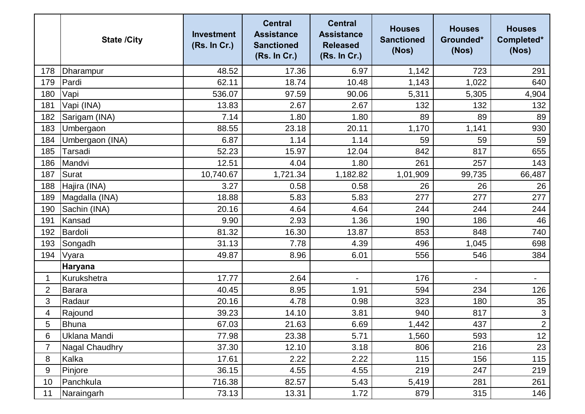|                | <b>State /City</b>    | <b>Investment</b><br>(Rs. In Cr.) | <b>Central</b><br><b>Assistance</b><br><b>Sanctioned</b><br>(Rs. In Cr.) | <b>Central</b><br><b>Assistance</b><br><b>Released</b><br>(Rs. In Cr.) | <b>Houses</b><br><b>Sanctioned</b><br>(Nos) | <b>Houses</b><br>Grounded*<br>(Nos) | <b>Houses</b><br>Completed*<br>(Nos) |
|----------------|-----------------------|-----------------------------------|--------------------------------------------------------------------------|------------------------------------------------------------------------|---------------------------------------------|-------------------------------------|--------------------------------------|
| 178            | Dharampur             | 48.52                             | 17.36                                                                    | 6.97                                                                   | 1,142                                       | 723                                 | 291                                  |
| 179            | Pardi                 | 62.11                             | 18.74                                                                    | 10.48                                                                  | 1,143                                       | 1,022                               | 640                                  |
| 180            | Vapi                  | 536.07                            | 97.59                                                                    | 90.06                                                                  | 5,311                                       | 5,305                               | 4,904                                |
| 181            | Vapi (INA)            | 13.83                             | 2.67                                                                     | 2.67                                                                   | 132                                         | 132                                 | 132                                  |
| 182            | Sarigam (INA)         | 7.14                              | 1.80                                                                     | 1.80                                                                   | 89                                          | 89                                  | 89                                   |
| 183            | Umbergaon             | 88.55                             | 23.18                                                                    | 20.11                                                                  | 1,170                                       | 1,141                               | 930                                  |
| 184            | Umbergaon (INA)       | 6.87                              | 1.14                                                                     | 1.14                                                                   | 59                                          | 59                                  | 59                                   |
| 185            | Tarsadi               | 52.23                             | 15.97                                                                    | 12.04                                                                  | 842                                         | 817                                 | 655                                  |
| 186            | Mandvi                | 12.51                             | 4.04                                                                     | 1.80                                                                   | 261                                         | 257                                 | 143                                  |
| 187            | Surat                 | 10,740.67                         | 1,721.34                                                                 | 1,182.82                                                               | 1,01,909                                    | 99,735                              | 66,487                               |
| 188            | Hajira (INA)          | 3.27                              | 0.58                                                                     | 0.58                                                                   | 26                                          | 26                                  | 26                                   |
| 189            | Magdalla (INA)        | 18.88                             | 5.83                                                                     | 5.83                                                                   | 277                                         | 277                                 | 277                                  |
| 190            | Sachin (INA)          | 20.16                             | 4.64                                                                     | 4.64                                                                   | 244                                         | 244                                 | 244                                  |
| 191            | Kansad                | 9.90                              | 2.93                                                                     | 1.36                                                                   | 190                                         | 186                                 | 46                                   |
| 192            | Bardoli               | 81.32                             | 16.30                                                                    | 13.87                                                                  | 853                                         | 848                                 | 740                                  |
| 193            | Songadh               | 31.13                             | 7.78                                                                     | 4.39                                                                   | 496                                         | 1,045                               | 698                                  |
| 194            | Vyara                 | 49.87                             | 8.96                                                                     | 6.01                                                                   | 556                                         | 546                                 | 384                                  |
|                | <b>Haryana</b>        |                                   |                                                                          |                                                                        |                                             |                                     |                                      |
| 1              | Kurukshetra           | 17.77                             | 2.64                                                                     |                                                                        | 176                                         | $\overline{\phantom{0}}$            | $\qquad \qquad \blacksquare$         |
| $\overline{2}$ | <b>Barara</b>         | 40.45                             | 8.95                                                                     | 1.91                                                                   | 594                                         | 234                                 | 126                                  |
| 3              | Radaur                | 20.16                             | 4.78                                                                     | 0.98                                                                   | 323                                         | 180                                 | 35                                   |
| 4              | Rajound               | 39.23                             | 14.10                                                                    | 3.81                                                                   | 940                                         | 817                                 | $\sqrt{3}$                           |
| 5              | Bhuna                 | 67.03                             | 21.63                                                                    | 6.69                                                                   | 1,442                                       | 437                                 | $\overline{2}$                       |
| 6              | Uklana Mandi          | 77.98                             | 23.38                                                                    | 5.71                                                                   | 1,560                                       | 593                                 | 12                                   |
| 7              | <b>Nagal Chaudhry</b> | 37.30                             | 12.10                                                                    | 3.18                                                                   | 806                                         | 216                                 | 23                                   |
| 8              | Kalka                 | 17.61                             | 2.22                                                                     | 2.22                                                                   | 115                                         | 156                                 | 115                                  |
| 9              | Pinjore               | 36.15                             | 4.55                                                                     | 4.55                                                                   | 219                                         | 247                                 | 219                                  |
| 10             | Panchkula             | 716.38                            | 82.57                                                                    | 5.43                                                                   | 5,419                                       | 281                                 | 261                                  |
| 11             | Naraingarh            | 73.13                             | 13.31                                                                    | 1.72                                                                   | 879                                         | 315                                 | 146                                  |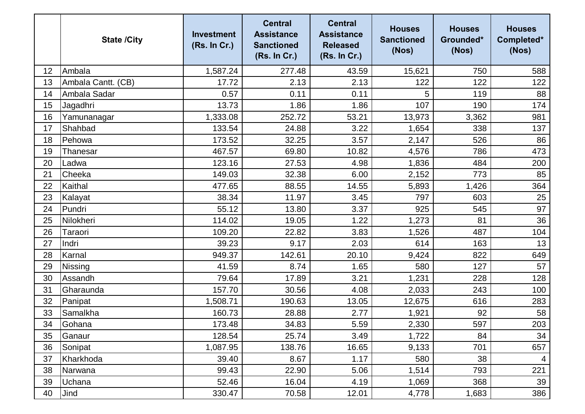|    | <b>State /City</b> | <b>Investment</b><br>(Rs. In Cr.) | <b>Central</b><br><b>Assistance</b><br><b>Sanctioned</b><br>(Rs. In Cr.) | <b>Central</b><br><b>Assistance</b><br><b>Released</b><br>(Rs. In Cr.) | <b>Houses</b><br><b>Sanctioned</b><br>(Nos) | <b>Houses</b><br>Grounded*<br>(Nos) | <b>Houses</b><br>Completed*<br>(Nos) |
|----|--------------------|-----------------------------------|--------------------------------------------------------------------------|------------------------------------------------------------------------|---------------------------------------------|-------------------------------------|--------------------------------------|
| 12 | Ambala             | 1,587.24                          | 277.48                                                                   | 43.59                                                                  | 15,621                                      | 750                                 | 588                                  |
| 13 | Ambala Cantt. (CB) | 17.72                             | 2.13                                                                     | 2.13                                                                   | 122                                         | 122                                 | 122                                  |
| 14 | Ambala Sadar       | 0.57                              | 0.11                                                                     | 0.11                                                                   | 5                                           | 119                                 | 88                                   |
| 15 | Jagadhri           | 13.73                             | 1.86                                                                     | 1.86                                                                   | 107                                         | 190                                 | 174                                  |
| 16 | Yamunanagar        | 1,333.08                          | 252.72                                                                   | 53.21                                                                  | 13,973                                      | 3,362                               | 981                                  |
| 17 | Shahbad            | 133.54                            | 24.88                                                                    | 3.22                                                                   | 1,654                                       | 338                                 | 137                                  |
| 18 | Pehowa             | 173.52                            | 32.25                                                                    | 3.57                                                                   | 2,147                                       | 526                                 | 86                                   |
| 19 | <b>Thanesar</b>    | 467.57                            | 69.80                                                                    | 10.82                                                                  | 4,576                                       | 786                                 | 473                                  |
| 20 | Ladwa              | 123.16                            | 27.53                                                                    | 4.98                                                                   | 1,836                                       | 484                                 | 200                                  |
| 21 | Cheeka             | 149.03                            | 32.38                                                                    | 6.00                                                                   | 2,152                                       | 773                                 | 85                                   |
| 22 | Kaithal            | 477.65                            | 88.55                                                                    | 14.55                                                                  | 5,893                                       | 1,426                               | 364                                  |
| 23 | Kalayat            | 38.34                             | 11.97                                                                    | 3.45                                                                   | 797                                         | 603                                 | 25                                   |
| 24 | Pundri             | 55.12                             | 13.80                                                                    | 3.37                                                                   | 925                                         | 545                                 | 97                                   |
| 25 | Nilokheri          | 114.02                            | 19.05                                                                    | 1.22                                                                   | 1,273                                       | 81                                  | 36                                   |
| 26 | Taraori            | 109.20                            | 22.82                                                                    | 3.83                                                                   | 1,526                                       | 487                                 | 104                                  |
| 27 | Indri              | 39.23                             | 9.17                                                                     | 2.03                                                                   | 614                                         | 163                                 | 13                                   |
| 28 | Karnal             | 949.37                            | 142.61                                                                   | 20.10                                                                  | 9,424                                       | 822                                 | 649                                  |
| 29 | Nissing            | 41.59                             | 8.74                                                                     | 1.65                                                                   | 580                                         | 127                                 | 57                                   |
| 30 | Assandh            | 79.64                             | 17.89                                                                    | 3.21                                                                   | 1,231                                       | 228                                 | 128                                  |
| 31 | Gharaunda          | 157.70                            | 30.56                                                                    | 4.08                                                                   | 2,033                                       | 243                                 | 100                                  |
| 32 | Panipat            | 1,508.71                          | 190.63                                                                   | 13.05                                                                  | 12,675                                      | 616                                 | 283                                  |
| 33 | Samalkha           | 160.73                            | 28.88                                                                    | 2.77                                                                   | 1,921                                       | 92                                  | 58                                   |
| 34 | Gohana             | 173.48                            | 34.83                                                                    | 5.59                                                                   | 2,330                                       | 597                                 | 203                                  |
| 35 | Ganaur             | 128.54                            | 25.74                                                                    | 3.49                                                                   | 1,722                                       | 84                                  | 34                                   |
| 36 | Sonipat            | 1,087.95                          | 138.76                                                                   | 16.65                                                                  | 9,133                                       | 701                                 | 657                                  |
| 37 | Kharkhoda          | 39.40                             | 8.67                                                                     | 1.17                                                                   | 580                                         | 38                                  | 4                                    |
| 38 | Narwana            | 99.43                             | 22.90                                                                    | 5.06                                                                   | 1,514                                       | 793                                 | 221                                  |
| 39 | Uchana             | 52.46                             | 16.04                                                                    | 4.19                                                                   | 1,069                                       | 368                                 | 39                                   |
| 40 | Jind               | 330.47                            | 70.58                                                                    | 12.01                                                                  | 4,778                                       | 1,683                               | 386                                  |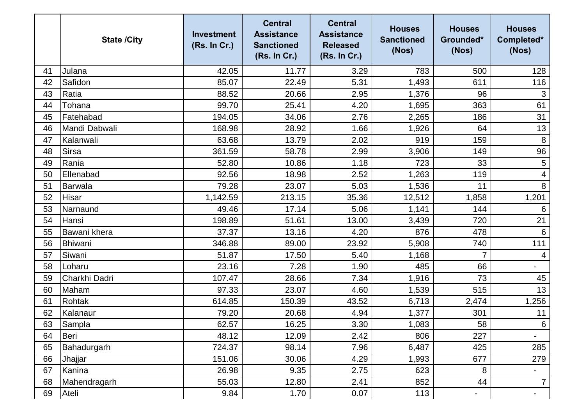|    | <b>State /City</b> | <b>Investment</b><br>(Rs. In Cr.) | <b>Central</b><br><b>Assistance</b><br><b>Sanctioned</b><br>(Rs. In Cr.) | <b>Central</b><br><b>Assistance</b><br><b>Released</b><br>(Rs. In Cr.) | <b>Houses</b><br><b>Sanctioned</b><br>(Nos) | <b>Houses</b><br>Grounded*<br>(Nos) | <b>Houses</b><br>Completed*<br>(Nos) |
|----|--------------------|-----------------------------------|--------------------------------------------------------------------------|------------------------------------------------------------------------|---------------------------------------------|-------------------------------------|--------------------------------------|
| 41 | Julana             | 42.05                             | 11.77                                                                    | 3.29                                                                   | 783                                         | 500                                 | 128                                  |
| 42 | Safidon            | 85.07                             | 22.49                                                                    | 5.31                                                                   | 1,493                                       | 611                                 | 116                                  |
| 43 | Ratia              | 88.52                             | 20.66                                                                    | 2.95                                                                   | 1,376                                       | 96                                  | 3                                    |
| 44 | Tohana             | 99.70                             | 25.41                                                                    | 4.20                                                                   | 1,695                                       | 363                                 | 61                                   |
| 45 | Fatehabad          | 194.05                            | 34.06                                                                    | 2.76                                                                   | 2,265                                       | 186                                 | 31                                   |
| 46 | Mandi Dabwali      | 168.98                            | 28.92                                                                    | 1.66                                                                   | 1,926                                       | 64                                  | 13                                   |
| 47 | Kalanwali          | 63.68                             | 13.79                                                                    | 2.02                                                                   | 919                                         | 159                                 | 8                                    |
| 48 | <b>Sirsa</b>       | 361.59                            | 58.78                                                                    | 2.99                                                                   | 3,906                                       | 149                                 | 96                                   |
| 49 | Rania              | 52.80                             | 10.86                                                                    | 1.18                                                                   | 723                                         | 33                                  | $\sqrt{5}$                           |
| 50 | Ellenabad          | 92.56                             | 18.98                                                                    | 2.52                                                                   | 1,263                                       | 119                                 | 4                                    |
| 51 | Barwala            | 79.28                             | 23.07                                                                    | 5.03                                                                   | 1,536                                       | 11                                  | $\,8\,$                              |
| 52 | Hisar              | 1,142.59                          | 213.15                                                                   | 35.36                                                                  | 12,512                                      | 1,858                               | 1,201                                |
| 53 | Narnaund           | 49.46                             | 17.14                                                                    | 5.06                                                                   | 1,141                                       | 144                                 | 6                                    |
| 54 | Hansi              | 198.89                            | 51.61                                                                    | 13.00                                                                  | 3,439                                       | 720                                 | 21                                   |
| 55 | Bawani khera       | 37.37                             | 13.16                                                                    | 4.20                                                                   | 876                                         | 478                                 | 6                                    |
| 56 | Bhiwani            | 346.88                            | 89.00                                                                    | 23.92                                                                  | 5,908                                       | 740                                 | 111                                  |
| 57 | Siwani             | 51.87                             | 17.50                                                                    | 5.40                                                                   | 1,168                                       | $\overline{7}$                      | 4                                    |
| 58 | Loharu             | 23.16                             | 7.28                                                                     | 1.90                                                                   | 485                                         | 66                                  |                                      |
| 59 | Charkhi Dadri      | 107.47                            | 28.66                                                                    | 7.34                                                                   | 1,916                                       | 73                                  | 45                                   |
| 60 | Maham              | 97.33                             | 23.07                                                                    | 4.60                                                                   | 1,539                                       | 515                                 | 13                                   |
| 61 | Rohtak             | 614.85                            | 150.39                                                                   | 43.52                                                                  | 6,713                                       | 2,474                               | 1,256                                |
| 62 | Kalanaur           | 79.20                             | 20.68                                                                    | 4.94                                                                   | 1,377                                       | 301                                 | 11                                   |
| 63 | Sampla             | 62.57                             | 16.25                                                                    | 3.30                                                                   | 1,083                                       | 58                                  | $6\phantom{.}6$                      |
| 64 | Beri               | 48.12                             | 12.09                                                                    | 2.42                                                                   | 806                                         | 227                                 | $\overline{\phantom{a}}$             |
| 65 | Bahadurgarh        | 724.37                            | 98.14                                                                    | 7.96                                                                   | 6,487                                       | 425                                 | 285                                  |
| 66 | Jhajjar            | 151.06                            | 30.06                                                                    | 4.29                                                                   | 1,993                                       | 677                                 | 279                                  |
| 67 | Kanina             | 26.98                             | 9.35                                                                     | 2.75                                                                   | 623                                         | 8                                   | $\overline{\phantom{a}}$             |
| 68 | Mahendragarh       | 55.03                             | 12.80                                                                    | 2.41                                                                   | 852                                         | 44                                  | $\overline{7}$                       |
| 69 | Ateli              | 9.84                              | 1.70                                                                     | 0.07                                                                   | 113                                         | $\blacksquare$                      | $\blacksquare$                       |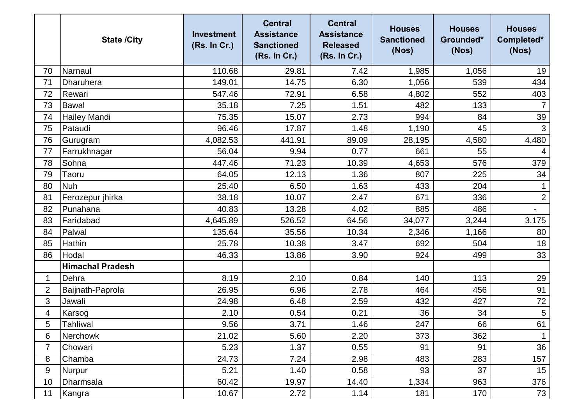|                | <b>State /City</b>      | <b>Investment</b><br>(Rs. In Cr.) | <b>Central</b><br><b>Assistance</b><br><b>Sanctioned</b><br>(Rs. In Cr.) | <b>Central</b><br><b>Assistance</b><br><b>Released</b><br>(Rs. In Cr.) | <b>Houses</b><br><b>Sanctioned</b><br>(Nos) | <b>Houses</b><br>Grounded*<br>(Nos) | <b>Houses</b><br>Completed*<br>(Nos) |
|----------------|-------------------------|-----------------------------------|--------------------------------------------------------------------------|------------------------------------------------------------------------|---------------------------------------------|-------------------------------------|--------------------------------------|
| 70             | Narnaul                 | 110.68                            | 29.81                                                                    | 7.42                                                                   | 1,985                                       | 1,056                               | 19                                   |
| 71             | Dharuhera               | 149.01                            | 14.75                                                                    | 6.30                                                                   | 1,056                                       | 539                                 | 434                                  |
| 72             | Rewari                  | 547.46                            | 72.91                                                                    | 6.58                                                                   | 4,802                                       | 552                                 | 403                                  |
| 73             | <b>Bawal</b>            | 35.18                             | 7.25                                                                     | 1.51                                                                   | 482                                         | 133                                 | $\overline{7}$                       |
| 74             | <b>Hailey Mandi</b>     | 75.35                             | 15.07                                                                    | 2.73                                                                   | 994                                         | 84                                  | 39                                   |
| 75             | Pataudi                 | 96.46                             | 17.87                                                                    | 1.48                                                                   | 1,190                                       | 45                                  | 3                                    |
| 76             | Gurugram                | 4,082.53                          | 441.91                                                                   | 89.09                                                                  | 28,195                                      | 4,580                               | 4,480                                |
| 77             | Farrukhnagar            | 56.04                             | 9.94                                                                     | 0.77                                                                   | 661                                         | 55                                  | 4                                    |
| 78             | Sohna                   | 447.46                            | 71.23                                                                    | 10.39                                                                  | 4,653                                       | 576                                 | 379                                  |
| 79             | Taoru                   | 64.05                             | 12.13                                                                    | 1.36                                                                   | 807                                         | 225                                 | 34                                   |
| 80             | <b>Nuh</b>              | 25.40                             | 6.50                                                                     | 1.63                                                                   | 433                                         | 204                                 | $\mathbf 1$                          |
| 81             | Ferozepur jhirka        | 38.18                             | 10.07                                                                    | 2.47                                                                   | 671                                         | 336                                 | $\overline{2}$                       |
| 82             | Punahana                | 40.83                             | 13.28                                                                    | 4.02                                                                   | 885                                         | 486                                 |                                      |
| 83             | Faridabad               | 4,645.89                          | 526.52                                                                   | 64.56                                                                  | 34,077                                      | 3,244                               | 3,175                                |
| 84             | Palwal                  | 135.64                            | 35.56                                                                    | 10.34                                                                  | 2,346                                       | 1,166                               | 80                                   |
| 85             | Hathin                  | 25.78                             | 10.38                                                                    | 3.47                                                                   | 692                                         | 504                                 | 18                                   |
| 86             | Hodal                   | 46.33                             | 13.86                                                                    | 3.90                                                                   | 924                                         | 499                                 | 33                                   |
|                | <b>Himachal Pradesh</b> |                                   |                                                                          |                                                                        |                                             |                                     |                                      |
| 1              | Dehra                   | 8.19                              | 2.10                                                                     | 0.84                                                                   | 140                                         | 113                                 | 29                                   |
| $\overline{2}$ | Baijnath-Paprola        | 26.95                             | 6.96                                                                     | 2.78                                                                   | 464                                         | 456                                 | 91                                   |
| 3              | Jawali                  | 24.98                             | 6.48                                                                     | 2.59                                                                   | 432                                         | 427                                 | 72                                   |
| 4              | Karsog                  | 2.10                              | 0.54                                                                     | 0.21                                                                   | 36                                          | 34                                  | $\sqrt{5}$                           |
| 5              | Tahliwal                | 9.56                              | 3.71                                                                     | 1.46                                                                   | 247                                         | 66                                  | 61                                   |
| 6              | <b>Nerchowk</b>         | 21.02                             | 5.60                                                                     | 2.20                                                                   | 373                                         | 362                                 | $\mathbf 1$                          |
| 7              | Chowari                 | 5.23                              | 1.37                                                                     | 0.55                                                                   | 91                                          | 91                                  | 36                                   |
| 8              | Chamba                  | 24.73                             | 7.24                                                                     | 2.98                                                                   | 483                                         | 283                                 | 157                                  |
| 9              | Nurpur                  | 5.21                              | 1.40                                                                     | 0.58                                                                   | 93                                          | 37                                  | 15                                   |
| 10             | Dharmsala               | 60.42                             | 19.97                                                                    | 14.40                                                                  | 1,334                                       | 963                                 | 376                                  |
| 11             | Kangra                  | 10.67                             | 2.72                                                                     | 1.14                                                                   | 181                                         | 170                                 | 73                                   |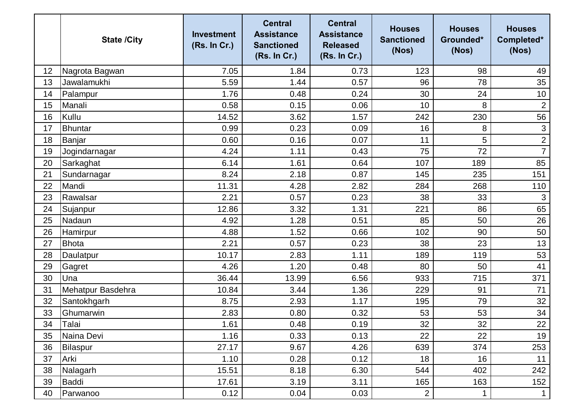|    | <b>State /City</b> | <b>Investment</b><br>(Rs. In Cr.) | <b>Central</b><br><b>Assistance</b><br><b>Sanctioned</b><br>(Rs. In Cr.) | <b>Central</b><br><b>Assistance</b><br><b>Released</b><br>(Rs. In Cr.) | <b>Houses</b><br><b>Sanctioned</b><br>(Nos) | <b>Houses</b><br>Grounded*<br>(Nos) | <b>Houses</b><br>Completed*<br>(Nos) |
|----|--------------------|-----------------------------------|--------------------------------------------------------------------------|------------------------------------------------------------------------|---------------------------------------------|-------------------------------------|--------------------------------------|
| 12 | Nagrota Bagwan     | 7.05                              | 1.84                                                                     | 0.73                                                                   | 123                                         | 98                                  | 49                                   |
| 13 | Jawalamukhi        | 5.59                              | 1.44                                                                     | 0.57                                                                   | 96                                          | 78                                  | 35                                   |
| 14 | Palampur           | 1.76                              | 0.48                                                                     | 0.24                                                                   | 30                                          | 24                                  | 10                                   |
| 15 | Manali             | 0.58                              | 0.15                                                                     | 0.06                                                                   | 10                                          | 8                                   | $\mathbf{2}$                         |
| 16 | Kullu              | 14.52                             | 3.62                                                                     | 1.57                                                                   | 242                                         | 230                                 | 56                                   |
| 17 | Bhuntar            | 0.99                              | 0.23                                                                     | 0.09                                                                   | 16                                          | 8                                   | $\mathbf{3}$                         |
| 18 | Banjar             | 0.60                              | 0.16                                                                     | 0.07                                                                   | 11                                          | 5                                   | $\overline{2}$                       |
| 19 | Jogindarnagar      | 4.24                              | 1.11                                                                     | 0.43                                                                   | 75                                          | 72                                  | $\overline{7}$                       |
| 20 | Sarkaghat          | 6.14                              | 1.61                                                                     | 0.64                                                                   | 107                                         | 189                                 | 85                                   |
| 21 | Sundarnagar        | 8.24                              | 2.18                                                                     | 0.87                                                                   | 145                                         | 235                                 | 151                                  |
| 22 | Mandi              | 11.31                             | 4.28                                                                     | 2.82                                                                   | 284                                         | 268                                 | 110                                  |
| 23 | Rawalsar           | 2.21                              | 0.57                                                                     | 0.23                                                                   | 38                                          | 33                                  | $\mathfrak{S}$                       |
| 24 | Sujanpur           | 12.86                             | 3.32                                                                     | 1.31                                                                   | 221                                         | 86                                  | 65                                   |
| 25 | Nadaun             | 4.92                              | 1.28                                                                     | 0.51                                                                   | 85                                          | 50                                  | 26                                   |
| 26 | Hamirpur           | 4.88                              | 1.52                                                                     | 0.66                                                                   | 102                                         | 90                                  | 50                                   |
| 27 | <b>Bhota</b>       | 2.21                              | 0.57                                                                     | 0.23                                                                   | 38                                          | 23                                  | 13                                   |
| 28 | Daulatpur          | 10.17                             | 2.83                                                                     | 1.11                                                                   | 189                                         | 119                                 | 53                                   |
| 29 | Gagret             | 4.26                              | 1.20                                                                     | 0.48                                                                   | 80                                          | 50                                  | 41                                   |
| 30 | Una                | 36.44                             | 13.99                                                                    | 6.56                                                                   | 933                                         | 715                                 | 371                                  |
| 31 | Mehatpur Basdehra  | 10.84                             | 3.44                                                                     | 1.36                                                                   | 229                                         | 91                                  | 71                                   |
| 32 | Santokhgarh        | 8.75                              | 2.93                                                                     | 1.17                                                                   | 195                                         | 79                                  | 32                                   |
| 33 | Ghumarwin          | 2.83                              | 0.80                                                                     | 0.32                                                                   | 53                                          | 53                                  | 34                                   |
| 34 | Talai              | 1.61                              | 0.48                                                                     | 0.19                                                                   | 32                                          | 32                                  | 22                                   |
| 35 | Naina Devi         | 1.16                              | 0.33                                                                     | 0.13                                                                   | 22                                          | 22                                  | 19                                   |
| 36 | Bilaspur           | 27.17                             | 9.67                                                                     | 4.26                                                                   | 639                                         | 374                                 | 253                                  |
| 37 | Arki               | 1.10                              | 0.28                                                                     | 0.12                                                                   | 18                                          | 16                                  | 11                                   |
| 38 | Nalagarh           | 15.51                             | 8.18                                                                     | 6.30                                                                   | 544                                         | 402                                 | 242                                  |
| 39 | Baddi              | 17.61                             | 3.19                                                                     | 3.11                                                                   | 165                                         | 163                                 | 152                                  |
| 40 | Parwanoo           | 0.12                              | 0.04                                                                     | 0.03                                                                   | $\overline{2}$                              | $\mathbf 1$                         | $\mathbf 1$                          |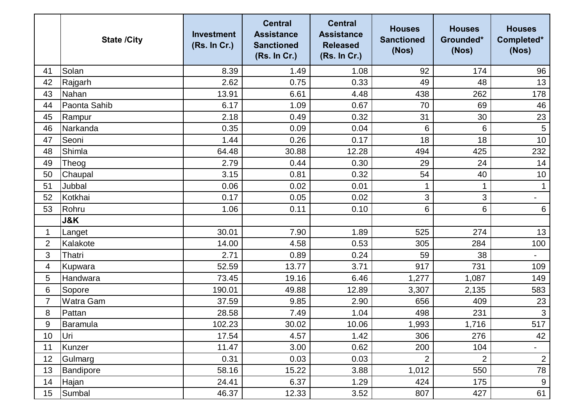|                | <b>State /City</b> | <b>Investment</b><br>(Rs. In Cr.) | <b>Central</b><br><b>Assistance</b><br><b>Sanctioned</b><br>(Rs. In Cr.) | <b>Central</b><br><b>Assistance</b><br><b>Released</b><br>(Rs. In Cr.) | <b>Houses</b><br><b>Sanctioned</b><br>(Nos) | <b>Houses</b><br>Grounded*<br>(Nos) | <b>Houses</b><br>Completed*<br>(Nos) |
|----------------|--------------------|-----------------------------------|--------------------------------------------------------------------------|------------------------------------------------------------------------|---------------------------------------------|-------------------------------------|--------------------------------------|
| 41             | Solan              | 8.39                              | 1.49                                                                     | 1.08                                                                   | 92                                          | 174                                 | 96                                   |
| 42             | Rajgarh            | 2.62                              | 0.75                                                                     | 0.33                                                                   | 49                                          | 48                                  | 13                                   |
| 43             | Nahan              | 13.91                             | 6.61                                                                     | 4.48                                                                   | 438                                         | 262                                 | 178                                  |
| 44             | Paonta Sahib       | 6.17                              | 1.09                                                                     | 0.67                                                                   | 70                                          | 69                                  | 46                                   |
| 45             | Rampur             | 2.18                              | 0.49                                                                     | 0.32                                                                   | 31                                          | 30                                  | 23                                   |
| 46             | Narkanda           | 0.35                              | 0.09                                                                     | 0.04                                                                   | 6                                           | 6                                   | $\sqrt{5}$                           |
| 47             | Seoni              | 1.44                              | 0.26                                                                     | 0.17                                                                   | 18                                          | 18                                  | 10                                   |
| 48             | Shimla             | 64.48                             | 30.88                                                                    | 12.28                                                                  | 494                                         | 425                                 | 232                                  |
| 49             | Theog              | 2.79                              | 0.44                                                                     | 0.30                                                                   | 29                                          | 24                                  | 14                                   |
| 50             | Chaupal            | 3.15                              | 0.81                                                                     | 0.32                                                                   | 54                                          | 40                                  | 10                                   |
| 51             | Jubbal             | 0.06                              | 0.02                                                                     | 0.01                                                                   |                                             | 1                                   | $\mathbf 1$                          |
| 52             | Kotkhai            | 0.17                              | 0.05                                                                     | 0.02                                                                   | 3                                           | 3                                   | $\qquad \qquad \blacksquare$         |
| 53             | Rohru              | 1.06                              | 0.11                                                                     | 0.10                                                                   | 6                                           | 6                                   | $6\,$                                |
|                | <b>J&amp;K</b>     |                                   |                                                                          |                                                                        |                                             |                                     |                                      |
| 1              | Langet             | 30.01                             | 7.90                                                                     | 1.89                                                                   | 525                                         | 274                                 | 13                                   |
| $\overline{2}$ | Kalakote           | 14.00                             | 4.58                                                                     | 0.53                                                                   | 305                                         | 284                                 | 100                                  |
| 3              | Thatri             | 2.71                              | 0.89                                                                     | 0.24                                                                   | 59                                          | 38                                  | $\overline{\phantom{a}}$             |
| 4              | Kupwara            | 52.59                             | 13.77                                                                    | 3.71                                                                   | 917                                         | 731                                 | 109                                  |
| 5              | Handwara           | 73.45                             | 19.16                                                                    | 6.46                                                                   | 1,277                                       | 1,087                               | 149                                  |
| 6              | Sopore             | 190.01                            | 49.88                                                                    | 12.89                                                                  | 3,307                                       | 2,135                               | 583                                  |
| 7              | <b>Watra Gam</b>   | 37.59                             | 9.85                                                                     | 2.90                                                                   | 656                                         | 409                                 | 23                                   |
| 8              | Pattan             | 28.58                             | 7.49                                                                     | 1.04                                                                   | 498                                         | 231                                 | $\mathbf{3}$                         |
| 9              | Baramula           | 102.23                            | 30.02                                                                    | 10.06                                                                  | 1,993                                       | 1,716                               | 517                                  |
| 10             | Uri                | 17.54                             | 4.57                                                                     | 1.42                                                                   | 306                                         | 276                                 | 42                                   |
| 11             | Kunzer             | 11.47                             | 3.00                                                                     | 0.62                                                                   | 200                                         | 104                                 | $\blacksquare$                       |
| 12             | Gulmarg            | 0.31                              | 0.03                                                                     | 0.03                                                                   | $\overline{2}$                              | $\overline{2}$                      | $\mathbf{2}$                         |
| 13             | Bandipore          | 58.16                             | 15.22                                                                    | 3.88                                                                   | 1,012                                       | 550                                 | 78                                   |
| 14             | Hajan              | 24.41                             | 6.37                                                                     | 1.29                                                                   | 424                                         | 175                                 | 9                                    |
| 15             | Sumbal             | 46.37                             | 12.33                                                                    | 3.52                                                                   | 807                                         | 427                                 | 61                                   |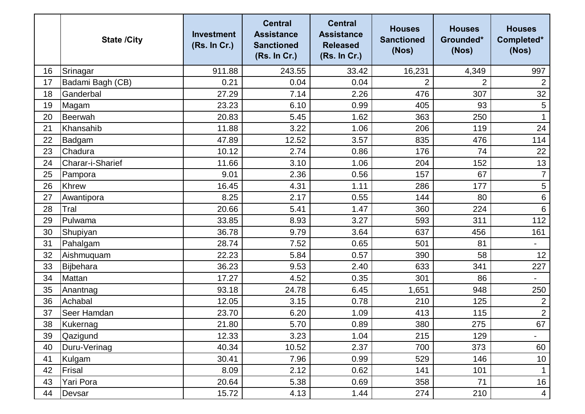|    | <b>State /City</b> | <b>Investment</b><br>(Rs. In Cr.) | <b>Central</b><br><b>Assistance</b><br><b>Sanctioned</b><br>(Rs. In Cr.) | <b>Central</b><br><b>Assistance</b><br><b>Released</b><br>(Rs. In Cr.) | <b>Houses</b><br><b>Sanctioned</b><br>(Nos) | <b>Houses</b><br>Grounded*<br>(Nos) | <b>Houses</b><br>Completed*<br>(Nos) |
|----|--------------------|-----------------------------------|--------------------------------------------------------------------------|------------------------------------------------------------------------|---------------------------------------------|-------------------------------------|--------------------------------------|
| 16 | Srinagar           | 911.88                            | 243.55                                                                   | 33.42                                                                  | 16,231                                      | 4,349                               | 997                                  |
| 17 | Badami Bagh (CB)   | 0.21                              | 0.04                                                                     | 0.04                                                                   | $\overline{2}$                              | $\overline{2}$                      | $\overline{2}$                       |
| 18 | Ganderbal          | 27.29                             | 7.14                                                                     | 2.26                                                                   | 476                                         | 307                                 | 32                                   |
| 19 | Magam              | 23.23                             | 6.10                                                                     | 0.99                                                                   | 405                                         | 93                                  | 5                                    |
| 20 | Beerwah            | 20.83                             | 5.45                                                                     | 1.62                                                                   | 363                                         | 250                                 |                                      |
| 21 | Khansahib          | 11.88                             | 3.22                                                                     | 1.06                                                                   | 206                                         | 119                                 | 24                                   |
| 22 | Badgam             | 47.89                             | 12.52                                                                    | 3.57                                                                   | 835                                         | 476                                 | 114                                  |
| 23 | Chadura            | 10.12                             | 2.74                                                                     | 0.86                                                                   | 176                                         | 74                                  | 22                                   |
| 24 | Charar-i-Sharief   | 11.66                             | 3.10                                                                     | 1.06                                                                   | 204                                         | 152                                 | 13                                   |
| 25 | Pampora            | 9.01                              | 2.36                                                                     | 0.56                                                                   | 157                                         | 67                                  | $\overline{7}$                       |
| 26 | <b>Khrew</b>       | 16.45                             | 4.31                                                                     | 1.11                                                                   | 286                                         | 177                                 | $\sqrt{5}$                           |
| 27 | Awantipora         | 8.25                              | 2.17                                                                     | 0.55                                                                   | 144                                         | 80                                  | $\,6\,$                              |
| 28 | Tral               | 20.66                             | 5.41                                                                     | 1.47                                                                   | 360                                         | 224                                 | $6\phantom{1}6$                      |
| 29 | Pulwama            | 33.85                             | 8.93                                                                     | 3.27                                                                   | 593                                         | 311                                 | 112                                  |
| 30 | Shupiyan           | 36.78                             | 9.79                                                                     | 3.64                                                                   | 637                                         | 456                                 | 161                                  |
| 31 | Pahalgam           | 28.74                             | 7.52                                                                     | 0.65                                                                   | 501                                         | 81                                  | $\overline{\phantom{0}}$             |
| 32 | Aishmuquam         | 22.23                             | 5.84                                                                     | 0.57                                                                   | 390                                         | 58                                  | 12                                   |
| 33 | Bijbehara          | 36.23                             | 9.53                                                                     | 2.40                                                                   | 633                                         | 341                                 | 227                                  |
| 34 | Mattan             | 17.27                             | 4.52                                                                     | 0.35                                                                   | 301                                         | 86                                  | $\overline{\phantom{a}}$             |
| 35 | Anantnag           | 93.18                             | 24.78                                                                    | 6.45                                                                   | 1,651                                       | 948                                 | 250                                  |
| 36 | Achabal            | 12.05                             | 3.15                                                                     | 0.78                                                                   | 210                                         | 125                                 | $\mathbf{2}$                         |
| 37 | Seer Hamdan        | 23.70                             | 6.20                                                                     | 1.09                                                                   | 413                                         | 115                                 | $\overline{2}$                       |
| 38 | Kukernag           | 21.80                             | 5.70                                                                     | 0.89                                                                   | 380                                         | 275                                 | 67                                   |
| 39 | Qazigund           | 12.33                             | 3.23                                                                     | 1.04                                                                   | 215                                         | 129                                 | $\blacksquare$                       |
| 40 | Duru-Verinag       | 40.34                             | 10.52                                                                    | 2.37                                                                   | 700                                         | 373                                 | 60                                   |
| 41 | Kulgam             | 30.41                             | 7.96                                                                     | 0.99                                                                   | 529                                         | 146                                 | 10                                   |
| 42 | Frisal             | 8.09                              | 2.12                                                                     | 0.62                                                                   | 141                                         | 101                                 | $\mathbf 1$                          |
| 43 | Yari Pora          | 20.64                             | 5.38                                                                     | 0.69                                                                   | 358                                         | 71                                  | 16                                   |
| 44 | Devsar             | 15.72                             | 4.13                                                                     | 1.44                                                                   | 274                                         | 210                                 | $\overline{4}$                       |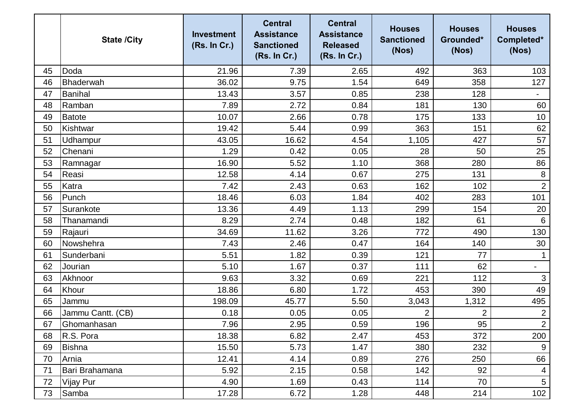|    | <b>State /City</b> | <b>Investment</b><br>(Rs. In Cr.) | <b>Central</b><br><b>Assistance</b><br><b>Sanctioned</b><br>(Rs. In Cr.) | <b>Central</b><br><b>Assistance</b><br><b>Released</b><br>(Rs. In Cr.) | <b>Houses</b><br><b>Sanctioned</b><br>(Nos) | <b>Houses</b><br>Grounded*<br>(Nos) | <b>Houses</b><br>Completed*<br>(Nos) |
|----|--------------------|-----------------------------------|--------------------------------------------------------------------------|------------------------------------------------------------------------|---------------------------------------------|-------------------------------------|--------------------------------------|
| 45 | Doda               | 21.96                             | 7.39                                                                     | 2.65                                                                   | 492                                         | 363                                 | 103                                  |
| 46 | Bhaderwah          | 36.02                             | 9.75                                                                     | 1.54                                                                   | 649                                         | 358                                 | 127                                  |
| 47 | Banihal            | 13.43                             | 3.57                                                                     | 0.85                                                                   | 238                                         | 128                                 | $\overline{\phantom{0}}$             |
| 48 | Ramban             | 7.89                              | 2.72                                                                     | 0.84                                                                   | 181                                         | 130                                 | 60                                   |
| 49 | <b>Batote</b>      | 10.07                             | 2.66                                                                     | 0.78                                                                   | 175                                         | 133                                 | 10 <sup>°</sup>                      |
| 50 | Kishtwar           | 19.42                             | 5.44                                                                     | 0.99                                                                   | 363                                         | 151                                 | 62                                   |
| 51 | Udhampur           | 43.05                             | 16.62                                                                    | 4.54                                                                   | 1,105                                       | 427                                 | 57                                   |
| 52 | Chenani            | 1.29                              | 0.42                                                                     | 0.05                                                                   | 28                                          | 50                                  | 25                                   |
| 53 | Ramnagar           | 16.90                             | 5.52                                                                     | 1.10                                                                   | 368                                         | 280                                 | 86                                   |
| 54 | Reasi              | 12.58                             | 4.14                                                                     | 0.67                                                                   | 275                                         | 131                                 | 8                                    |
| 55 | Katra              | 7.42                              | 2.43                                                                     | 0.63                                                                   | 162                                         | 102                                 | $\overline{2}$                       |
| 56 | Punch              | 18.46                             | 6.03                                                                     | 1.84                                                                   | 402                                         | 283                                 | 101                                  |
| 57 | Surankote          | 13.36                             | 4.49                                                                     | 1.13                                                                   | 299                                         | 154                                 | 20                                   |
| 58 | Thanamandi         | 8.29                              | 2.74                                                                     | 0.48                                                                   | 182                                         | 61                                  | 6                                    |
| 59 | Rajauri            | 34.69                             | 11.62                                                                    | 3.26                                                                   | 772                                         | 490                                 | 130                                  |
| 60 | Nowshehra          | 7.43                              | 2.46                                                                     | 0.47                                                                   | 164                                         | 140                                 | 30                                   |
| 61 | Sunderbani         | 5.51                              | 1.82                                                                     | 0.39                                                                   | 121                                         | 77                                  | $\mathbf 1$                          |
| 62 | Jourian            | 5.10                              | 1.67                                                                     | 0.37                                                                   | 111                                         | 62                                  | $\overline{\phantom{a}}$             |
| 63 | Akhnoor            | 9.63                              | 3.32                                                                     | 0.69                                                                   | 221                                         | 112                                 | 3                                    |
| 64 | Khour              | 18.86                             | 6.80                                                                     | 1.72                                                                   | 453                                         | 390                                 | 49                                   |
| 65 | Jammu              | 198.09                            | 45.77                                                                    | 5.50                                                                   | 3,043                                       | 1,312                               | 495                                  |
| 66 | Jammu Cantt. (CB)  | 0.18                              | 0.05                                                                     | 0.05                                                                   | $\overline{2}$                              | $\overline{2}$                      | $\overline{2}$                       |
| 67 | Ghomanhasan        | 7.96                              | 2.95                                                                     | 0.59                                                                   | 196                                         | 95                                  | $\overline{2}$                       |
| 68 | R.S. Pora          | 18.38                             | 6.82                                                                     | 2.47                                                                   | 453                                         | 372                                 | 200                                  |
| 69 | Bishna             | 15.50                             | 5.73                                                                     | 1.47                                                                   | 380                                         | 232                                 | 9                                    |
| 70 | Arnia              | 12.41                             | 4.14                                                                     | 0.89                                                                   | 276                                         | 250                                 | 66                                   |
| 71 | Bari Brahamana     | 5.92                              | 2.15                                                                     | 0.58                                                                   | 142                                         | 92                                  | $\overline{4}$                       |
| 72 | <b>Vijay Pur</b>   | 4.90                              | 1.69                                                                     | 0.43                                                                   | 114                                         | 70                                  | $5\overline{)}$                      |
| 73 | Samba              | 17.28                             | 6.72                                                                     | 1.28                                                                   | 448                                         | 214                                 | 102                                  |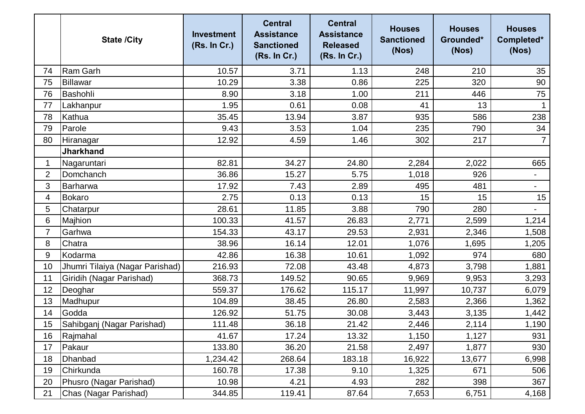|                | <b>State /City</b>              | <b>Investment</b><br>(Rs. In Cr.) | <b>Central</b><br><b>Assistance</b><br><b>Sanctioned</b><br>(Rs. In Cr.) | <b>Central</b><br><b>Assistance</b><br><b>Released</b><br>(Rs. In Cr.) | <b>Houses</b><br><b>Sanctioned</b><br>(Nos) | <b>Houses</b><br>Grounded*<br>(Nos) | <b>Houses</b><br>Completed*<br>(Nos) |
|----------------|---------------------------------|-----------------------------------|--------------------------------------------------------------------------|------------------------------------------------------------------------|---------------------------------------------|-------------------------------------|--------------------------------------|
| 74             | <b>Ram Garh</b>                 | 10.57                             | 3.71                                                                     | 1.13                                                                   | 248                                         | 210                                 | 35                                   |
| 75             | Billawar                        | 10.29                             | 3.38                                                                     | 0.86                                                                   | 225                                         | 320                                 | 90                                   |
| 76             | Bashohli                        | 8.90                              | 3.18                                                                     | 1.00                                                                   | 211                                         | 446                                 | 75                                   |
| 77             | Lakhanpur                       | 1.95                              | 0.61                                                                     | 0.08                                                                   | 41                                          | 13                                  |                                      |
| 78             | Kathua                          | 35.45                             | 13.94                                                                    | 3.87                                                                   | 935                                         | 586                                 | 238                                  |
| 79             | Parole                          | 9.43                              | 3.53                                                                     | 1.04                                                                   | 235                                         | 790                                 | 34                                   |
| 80             | Hiranagar                       | 12.92                             | 4.59                                                                     | 1.46                                                                   | 302                                         | 217                                 | $\overline{7}$                       |
|                | <b>Jharkhand</b>                |                                   |                                                                          |                                                                        |                                             |                                     |                                      |
| 1              | Nagaruntari                     | 82.81                             | 34.27                                                                    | 24.80                                                                  | 2,284                                       | 2,022                               | 665                                  |
| $\overline{2}$ | Domchanch                       | 36.86                             | 15.27                                                                    | 5.75                                                                   | 1,018                                       | 926                                 | $\overline{\phantom{a}}$             |
| 3              | Barharwa                        | 17.92                             | 7.43                                                                     | 2.89                                                                   | 495                                         | 481                                 | $\overline{\phantom{a}}$             |
| 4              | <b>Bokaro</b>                   | 2.75                              | 0.13                                                                     | 0.13                                                                   | 15                                          | 15                                  | 15                                   |
| 5              | Chatarpur                       | 28.61                             | 11.85                                                                    | 3.88                                                                   | 790                                         | 280                                 |                                      |
| 6              | Majhion                         | 100.33                            | 41.57                                                                    | 26.83                                                                  | 2,771                                       | 2,599                               | 1,214                                |
| $\overline{7}$ | Garhwa                          | 154.33                            | 43.17                                                                    | 29.53                                                                  | 2,931                                       | 2,346                               | 1,508                                |
| 8              | Chatra                          | 38.96                             | 16.14                                                                    | 12.01                                                                  | 1,076                                       | 1,695                               | 1,205                                |
| 9              | Kodarma                         | 42.86                             | 16.38                                                                    | 10.61                                                                  | 1,092                                       | 974                                 | 680                                  |
| 10             | Jhumri Tilaiya (Nagar Parishad) | 216.93                            | 72.08                                                                    | 43.48                                                                  | 4,873                                       | 3,798                               | 1,881                                |
| 11             | Giridih (Nagar Parishad)        | 368.73                            | 149.52                                                                   | 90.65                                                                  | 9,969                                       | 9,953                               | 3,293                                |
| 12             | Deoghar                         | 559.37                            | 176.62                                                                   | 115.17                                                                 | 11,997                                      | 10,737                              | 6,079                                |
| 13             | Madhupur                        | 104.89                            | 38.45                                                                    | 26.80                                                                  | 2,583                                       | 2,366                               | 1,362                                |
| 14             | Godda                           | 126.92                            | 51.75                                                                    | 30.08                                                                  | 3,443                                       | 3,135                               | 1,442                                |
| 15             | Sahibganj (Nagar Parishad)      | 111.48                            | 36.18                                                                    | 21.42                                                                  | 2,446                                       | 2,114                               | 1,190                                |
| 16             | Rajmahal                        | 41.67                             | 17.24                                                                    | 13.32                                                                  | 1,150                                       | 1,127                               | 931                                  |
| 17             | Pakaur                          | 133.80                            | 36.20                                                                    | 21.58                                                                  | 2,497                                       | 1,877                               | 930                                  |
| 18             | Dhanbad                         | 1,234.42                          | 268.64                                                                   | 183.18                                                                 | 16,922                                      | 13,677                              | 6,998                                |
| 19             | Chirkunda                       | 160.78                            | 17.38                                                                    | 9.10                                                                   | 1,325                                       | 671                                 | 506                                  |
| 20             | Phusro (Nagar Parishad)         | 10.98                             | 4.21                                                                     | 4.93                                                                   | 282                                         | 398                                 | 367                                  |
| 21             | Chas (Nagar Parishad)           | 344.85                            | 119.41                                                                   | 87.64                                                                  | 7,653                                       | 6,751                               | 4,168                                |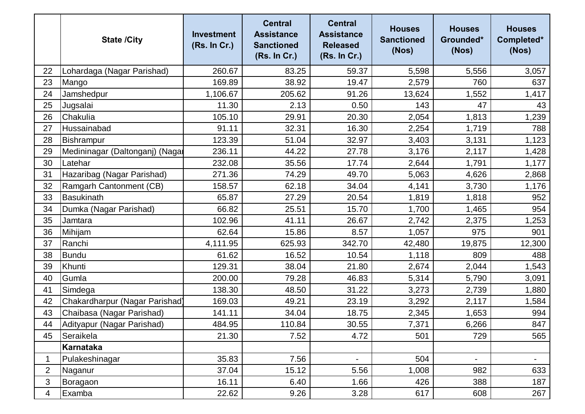|                | <b>State /City</b>              | <b>Investment</b><br>(Rs. In Cr.) | <b>Central</b><br><b>Assistance</b><br><b>Sanctioned</b><br>(Rs. In Cr.) | <b>Central</b><br><b>Assistance</b><br><b>Released</b><br>(Rs. In Cr.) | <b>Houses</b><br><b>Sanctioned</b><br>(Nos) | <b>Houses</b><br>Grounded*<br>(Nos) | <b>Houses</b><br>Completed*<br>(Nos) |
|----------------|---------------------------------|-----------------------------------|--------------------------------------------------------------------------|------------------------------------------------------------------------|---------------------------------------------|-------------------------------------|--------------------------------------|
| 22             | Lohardaga (Nagar Parishad)      | 260.67                            | 83.25                                                                    | 59.37                                                                  | 5,598                                       | 5,556                               | 3,057                                |
| 23             | Mango                           | 169.89                            | 38.92                                                                    | 19.47                                                                  | 2,579                                       | 760                                 | 637                                  |
| 24             | Jamshedpur                      | 1,106.67                          | 205.62                                                                   | 91.26                                                                  | 13,624                                      | 1,552                               | 1,417                                |
| 25             | Jugsalai                        | 11.30                             | 2.13                                                                     | 0.50                                                                   | 143                                         | 47                                  | 43                                   |
| 26             | Chakulia                        | 105.10                            | 29.91                                                                    | 20.30                                                                  | 2,054                                       | 1,813                               | 1,239                                |
| 27             | Hussainabad                     | 91.11                             | 32.31                                                                    | 16.30                                                                  | 2,254                                       | 1,719                               | 788                                  |
| 28             | Bishrampur                      | 123.39                            | 51.04                                                                    | 32.97                                                                  | 3,403                                       | 3,131                               | 1,123                                |
| 29             | Medininagar (Daltonganj) (Nagar | 236.11                            | 44.22                                                                    | 27.78                                                                  | 3,176                                       | 2,117                               | 1,428                                |
| 30             | Latehar                         | 232.08                            | 35.56                                                                    | 17.74                                                                  | 2,644                                       | 1,791                               | 1,177                                |
| 31             | Hazaribag (Nagar Parishad)      | 271.36                            | 74.29                                                                    | 49.70                                                                  | 5,063                                       | 4,626                               | 2,868                                |
| 32             | Ramgarh Cantonment (CB)         | 158.57                            | 62.18                                                                    | 34.04                                                                  | 4,141                                       | 3,730                               | 1,176                                |
| 33             | <b>Basukinath</b>               | 65.87                             | 27.29                                                                    | 20.54                                                                  | 1,819                                       | 1,818                               | 952                                  |
| 34             | Dumka (Nagar Parishad)          | 66.82                             | 25.51                                                                    | 15.70                                                                  | 1,700                                       | 1,465                               | 954                                  |
| 35             | Jamtara                         | 102.96                            | 41.11                                                                    | 26.67                                                                  | 2,742                                       | 2,375                               | 1,253                                |
| 36             | Mihijam                         | 62.64                             | 15.86                                                                    | 8.57                                                                   | 1,057                                       | 975                                 | 901                                  |
| 37             | Ranchi                          | 4,111.95                          | 625.93                                                                   | 342.70                                                                 | 42,480                                      | 19,875                              | 12,300                               |
| 38             | <b>Bundu</b>                    | 61.62                             | 16.52                                                                    | 10.54                                                                  | 1,118                                       | 809                                 | 488                                  |
| 39             | Khunti                          | 129.31                            | 38.04                                                                    | 21.80                                                                  | 2,674                                       | 2,044                               | 1,543                                |
| 40             | Gumla                           | 200.00                            | 79.28                                                                    | 46.83                                                                  | 5,314                                       | 5,790                               | 3,091                                |
| 41             | Simdega                         | 138.30                            | 48.50                                                                    | 31.22                                                                  | 3,273                                       | 2,739                               | 1,880                                |
| 42             | Chakardharpur (Nagar Parishad)  | 169.03                            | 49.21                                                                    | 23.19                                                                  | 3,292                                       | 2,117                               | 1,584                                |
| 43             | Chaibasa (Nagar Parishad)       | 141.11                            | 34.04                                                                    | 18.75                                                                  | 2,345                                       | 1,653                               | 994                                  |
| 44             | Adityapur (Nagar Parishad)      | 484.95                            | 110.84                                                                   | 30.55                                                                  | 7,371                                       | 6,266                               | 847                                  |
| 45             | Seraikela                       | 21.30                             | 7.52                                                                     | 4.72                                                                   | 501                                         | 729                                 | 565                                  |
|                | <b>Karnataka</b>                |                                   |                                                                          |                                                                        |                                             |                                     |                                      |
| 1              | Pulakeshinagar                  | 35.83                             | 7.56                                                                     |                                                                        | 504                                         | $\blacksquare$                      | $\overline{\phantom{a}}$             |
| $\overline{2}$ | Naganur                         | 37.04                             | 15.12                                                                    | 5.56                                                                   | 1,008                                       | 982                                 | 633                                  |
| 3              | Boragaon                        | 16.11                             | 6.40                                                                     | 1.66                                                                   | 426                                         | 388                                 | 187                                  |
| 4              | Examba                          | 22.62                             | 9.26                                                                     | 3.28                                                                   | 617                                         | 608                                 | 267                                  |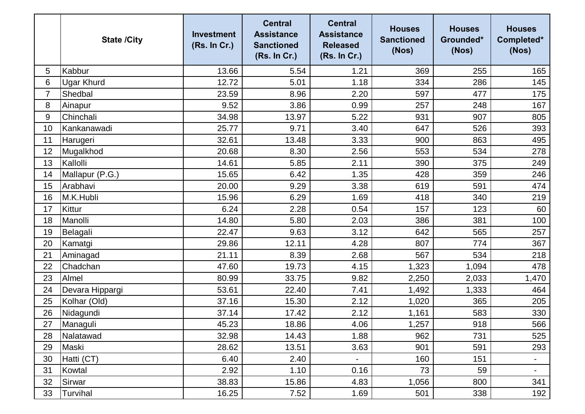|    | <b>State /City</b> | <b>Investment</b><br>(Rs. In Cr.) | <b>Central</b><br><b>Assistance</b><br><b>Sanctioned</b><br>(Rs. In Cr.) | <b>Central</b><br><b>Assistance</b><br><b>Released</b><br>(Rs. In Cr.) | <b>Houses</b><br><b>Sanctioned</b><br>(Nos) | <b>Houses</b><br>Grounded*<br>(Nos) | <b>Houses</b><br>Completed*<br>(Nos) |
|----|--------------------|-----------------------------------|--------------------------------------------------------------------------|------------------------------------------------------------------------|---------------------------------------------|-------------------------------------|--------------------------------------|
| 5  | Kabbur             | 13.66                             | 5.54                                                                     | 1.21                                                                   | 369                                         | 255                                 | 165                                  |
| 6  | <b>Ugar Khurd</b>  | 12.72                             | 5.01                                                                     | 1.18                                                                   | 334                                         | 286                                 | 145                                  |
| 7  | Shedbal            | 23.59                             | 8.96                                                                     | 2.20                                                                   | 597                                         | 477                                 | 175                                  |
| 8  | Ainapur            | 9.52                              | 3.86                                                                     | 0.99                                                                   | 257                                         | 248                                 | 167                                  |
| 9  | Chinchali          | 34.98                             | 13.97                                                                    | 5.22                                                                   | 931                                         | 907                                 | 805                                  |
| 10 | Kankanawadi        | 25.77                             | 9.71                                                                     | 3.40                                                                   | 647                                         | 526                                 | 393                                  |
| 11 | Harugeri           | 32.61                             | 13.48                                                                    | 3.33                                                                   | 900                                         | 863                                 | 495                                  |
| 12 | Mugalkhod          | 20.68                             | 8.30                                                                     | 2.56                                                                   | 553                                         | 534                                 | 278                                  |
| 13 | Kallolli           | 14.61                             | 5.85                                                                     | 2.11                                                                   | 390                                         | 375                                 | 249                                  |
| 14 | Mallapur (P.G.)    | 15.65                             | 6.42                                                                     | 1.35                                                                   | 428                                         | 359                                 | 246                                  |
| 15 | Arabhavi           | 20.00                             | 9.29                                                                     | 3.38                                                                   | 619                                         | 591                                 | 474                                  |
| 16 | M.K.Hubli          | 15.96                             | 6.29                                                                     | 1.69                                                                   | 418                                         | 340                                 | 219                                  |
| 17 | Kittur             | 6.24                              | 2.28                                                                     | 0.54                                                                   | 157                                         | 123                                 | 60                                   |
| 18 | Manolli            | 14.80                             | 5.80                                                                     | 2.03                                                                   | 386                                         | 381                                 | 100                                  |
| 19 | Belagali           | 22.47                             | 9.63                                                                     | 3.12                                                                   | 642                                         | 565                                 | 257                                  |
| 20 | Kamatgi            | 29.86                             | 12.11                                                                    | 4.28                                                                   | 807                                         | 774                                 | 367                                  |
| 21 | Aminagad           | 21.11                             | 8.39                                                                     | 2.68                                                                   | 567                                         | 534                                 | 218                                  |
| 22 | Chadchan           | 47.60                             | 19.73                                                                    | 4.15                                                                   | 1,323                                       | 1,094                               | 478                                  |
| 23 | Almel              | 80.99                             | 33.75                                                                    | 9.82                                                                   | 2,250                                       | 2,033                               | 1,470                                |
| 24 | Devara Hippargi    | 53.61                             | 22.40                                                                    | 7.41                                                                   | 1,492                                       | 1,333                               | 464                                  |
| 25 | Kolhar (Old)       | 37.16                             | 15.30                                                                    | 2.12                                                                   | 1,020                                       | 365                                 | 205                                  |
| 26 | Nidagundi          | 37.14                             | 17.42                                                                    | 2.12                                                                   | 1,161                                       | 583                                 | 330                                  |
| 27 | Managuli           | 45.23                             | 18.86                                                                    | 4.06                                                                   | 1,257                                       | 918                                 | 566                                  |
| 28 | Nalatawad          | 32.98                             | 14.43                                                                    | 1.88                                                                   | 962                                         | 731                                 | 525                                  |
| 29 | Maski              | 28.62                             | 13.51                                                                    | 3.63                                                                   | 901                                         | 591                                 | 293                                  |
| 30 | Hatti (CT)         | 6.40                              | 2.40                                                                     |                                                                        | 160                                         | 151                                 | $\blacksquare$                       |
| 31 | Kowtal             | 2.92                              | 1.10                                                                     | 0.16                                                                   | 73                                          | 59                                  | $\blacksquare$                       |
| 32 | Sirwar             | 38.83                             | 15.86                                                                    | 4.83                                                                   | 1,056                                       | 800                                 | 341                                  |
| 33 | Turvihal           | 16.25                             | 7.52                                                                     | 1.69                                                                   | 501                                         | 338                                 | 192                                  |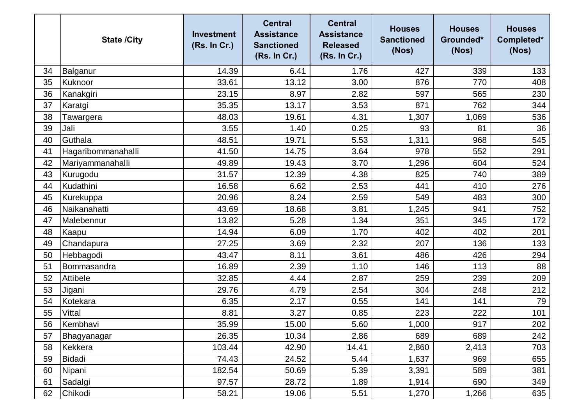|    | <b>State /City</b> | <b>Investment</b><br>(Rs. In Cr.) | <b>Central</b><br><b>Assistance</b><br><b>Sanctioned</b><br>(Rs. In Cr.) | <b>Central</b><br><b>Assistance</b><br><b>Released</b><br>(Rs. In Cr.) | <b>Houses</b><br><b>Sanctioned</b><br>(Nos) | <b>Houses</b><br>Grounded*<br>(Nos) | <b>Houses</b><br>Completed*<br>(Nos) |
|----|--------------------|-----------------------------------|--------------------------------------------------------------------------|------------------------------------------------------------------------|---------------------------------------------|-------------------------------------|--------------------------------------|
| 34 | Balganur           | 14.39                             | 6.41                                                                     | 1.76                                                                   | 427                                         | 339                                 | 133                                  |
| 35 | Kuknoor            | 33.61                             | 13.12                                                                    | 3.00                                                                   | 876                                         | 770                                 | 408                                  |
| 36 | Kanakgiri          | 23.15                             | 8.97                                                                     | 2.82                                                                   | 597                                         | 565                                 | 230                                  |
| 37 | Karatgi            | 35.35                             | 13.17                                                                    | 3.53                                                                   | 871                                         | 762                                 | 344                                  |
| 38 | Tawargera          | 48.03                             | 19.61                                                                    | 4.31                                                                   | 1,307                                       | 1,069                               | 536                                  |
| 39 | Jali               | 3.55                              | 1.40                                                                     | 0.25                                                                   | 93                                          | 81                                  | 36                                   |
| 40 | Guthala            | 48.51                             | 19.71                                                                    | 5.53                                                                   | 1,311                                       | 968                                 | 545                                  |
| 41 | Hagaribommanahalli | 41.50                             | 14.75                                                                    | 3.64                                                                   | 978                                         | 552                                 | 291                                  |
| 42 | Mariyammanahalli   | 49.89                             | 19.43                                                                    | 3.70                                                                   | 1,296                                       | 604                                 | 524                                  |
| 43 | Kurugodu           | 31.57                             | 12.39                                                                    | 4.38                                                                   | 825                                         | 740                                 | 389                                  |
| 44 | Kudathini          | 16.58                             | 6.62                                                                     | 2.53                                                                   | 441                                         | 410                                 | 276                                  |
| 45 | Kurekuppa          | 20.96                             | 8.24                                                                     | 2.59                                                                   | 549                                         | 483                                 | 300                                  |
| 46 | Naikanahatti       | 43.69                             | 18.68                                                                    | 3.81                                                                   | 1,245                                       | 941                                 | 752                                  |
| 47 | Malebennur         | 13.82                             | 5.28                                                                     | 1.34                                                                   | 351                                         | 345                                 | 172                                  |
| 48 | Kaapu              | 14.94                             | 6.09                                                                     | 1.70                                                                   | 402                                         | 402                                 | 201                                  |
| 49 | Chandapura         | 27.25                             | 3.69                                                                     | 2.32                                                                   | 207                                         | 136                                 | 133                                  |
| 50 | Hebbagodi          | 43.47                             | 8.11                                                                     | 3.61                                                                   | 486                                         | 426                                 | 294                                  |
| 51 | Bommasandra        | 16.89                             | 2.39                                                                     | 1.10                                                                   | 146                                         | 113                                 | 88                                   |
| 52 | Attibele           | 32.85                             | 4.44                                                                     | 2.87                                                                   | 259                                         | 239                                 | 209                                  |
| 53 | Jigani             | 29.76                             | 4.79                                                                     | 2.54                                                                   | 304                                         | 248                                 | 212                                  |
| 54 | Kotekara           | 6.35                              | 2.17                                                                     | 0.55                                                                   | 141                                         | 141                                 | 79                                   |
| 55 | Vittal             | 8.81                              | 3.27                                                                     | 0.85                                                                   | 223                                         | 222                                 | 101                                  |
| 56 | Kembhavi           | 35.99                             | 15.00                                                                    | 5.60                                                                   | 1,000                                       | 917                                 | 202                                  |
| 57 | Bhagyanagar        | 26.35                             | 10.34                                                                    | 2.86                                                                   | 689                                         | 689                                 | 242                                  |
| 58 | Kekkera            | 103.44                            | 42.90                                                                    | 14.41                                                                  | 2,860                                       | 2,413                               | 703                                  |
| 59 | Bidadi             | 74.43                             | 24.52                                                                    | 5.44                                                                   | 1,637                                       | 969                                 | 655                                  |
| 60 | Nipani             | 182.54                            | 50.69                                                                    | 5.39                                                                   | 3,391                                       | 589                                 | 381                                  |
| 61 | Sadalgi            | 97.57                             | 28.72                                                                    | 1.89                                                                   | 1,914                                       | 690                                 | 349                                  |
| 62 | Chikodi            | 58.21                             | 19.06                                                                    | 5.51                                                                   | 1,270                                       | 1,266                               | 635                                  |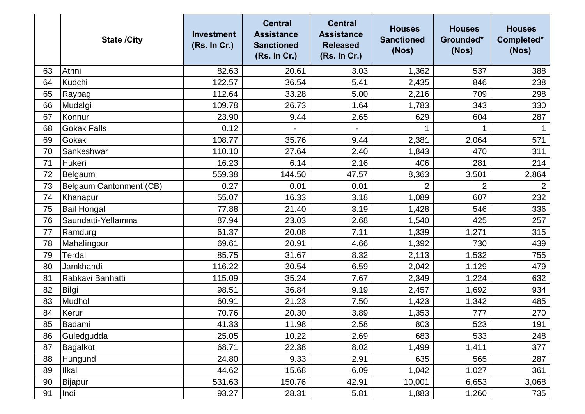|    | <b>State /City</b>      | <b>Investment</b><br>(Rs. In Cr.) | <b>Central</b><br><b>Assistance</b><br><b>Sanctioned</b><br>(Rs. In Cr.) | <b>Central</b><br><b>Assistance</b><br><b>Released</b><br>(Rs. In Cr.) | <b>Houses</b><br><b>Sanctioned</b><br>(Nos) | <b>Houses</b><br>Grounded*<br>(Nos) | <b>Houses</b><br>Completed*<br>(Nos) |
|----|-------------------------|-----------------------------------|--------------------------------------------------------------------------|------------------------------------------------------------------------|---------------------------------------------|-------------------------------------|--------------------------------------|
| 63 | Athni                   | 82.63                             | 20.61                                                                    | 3.03                                                                   | 1,362                                       | 537                                 | 388                                  |
| 64 | Kudchi                  | 122.57                            | 36.54                                                                    | 5.41                                                                   | 2,435                                       | 846                                 | 238                                  |
| 65 | Raybag                  | 112.64                            | 33.28                                                                    | 5.00                                                                   | 2,216                                       | 709                                 | 298                                  |
| 66 | Mudalgi                 | 109.78                            | 26.73                                                                    | 1.64                                                                   | 1,783                                       | 343                                 | 330                                  |
| 67 | Konnur                  | 23.90                             | 9.44                                                                     | 2.65                                                                   | 629                                         | 604                                 | 287                                  |
| 68 | <b>Gokak Falls</b>      | 0.12                              |                                                                          |                                                                        |                                             | 1                                   |                                      |
| 69 | Gokak                   | 108.77                            | 35.76                                                                    | 9.44                                                                   | 2,381                                       | 2,064                               | 571                                  |
| 70 | Sankeshwar              | 110.10                            | 27.64                                                                    | 2.40                                                                   | 1,843                                       | 470                                 | 311                                  |
| 71 | Hukeri                  | 16.23                             | 6.14                                                                     | 2.16                                                                   | 406                                         | 281                                 | 214                                  |
| 72 | Belgaum                 | 559.38                            | 144.50                                                                   | 47.57                                                                  | 8,363                                       | 3,501                               | 2,864                                |
| 73 | Belgaum Cantonment (CB) | 0.27                              | 0.01                                                                     | 0.01                                                                   | $\overline{2}$                              | $\overline{2}$                      | 2                                    |
| 74 | Khanapur                | 55.07                             | 16.33                                                                    | 3.18                                                                   | 1,089                                       | 607                                 | 232                                  |
| 75 | <b>Bail Hongal</b>      | 77.88                             | 21.40                                                                    | 3.19                                                                   | 1,428                                       | 546                                 | 336                                  |
| 76 | Saundatti-Yellamma      | 87.94                             | 23.03                                                                    | 2.68                                                                   | 1,540                                       | 425                                 | 257                                  |
| 77 | Ramdurg                 | 61.37                             | 20.08                                                                    | 7.11                                                                   | 1,339                                       | 1,271                               | 315                                  |
| 78 | Mahalingpur             | 69.61                             | 20.91                                                                    | 4.66                                                                   | 1,392                                       | 730                                 | 439                                  |
| 79 | Terdal                  | 85.75                             | 31.67                                                                    | 8.32                                                                   | 2,113                                       | 1,532                               | 755                                  |
| 80 | Jamkhandi               | 116.22                            | 30.54                                                                    | 6.59                                                                   | 2,042                                       | 1,129                               | 479                                  |
| 81 | Rabkavi Banhatti        | 115.09                            | 35.24                                                                    | 7.67                                                                   | 2,349                                       | 1,224                               | 632                                  |
| 82 | Bilgi                   | 98.51                             | 36.84                                                                    | 9.19                                                                   | 2,457                                       | 1,692                               | 934                                  |
| 83 | Mudhol                  | 60.91                             | 21.23                                                                    | 7.50                                                                   | 1,423                                       | 1,342                               | 485                                  |
| 84 | Kerur                   | 70.76                             | 20.30                                                                    | 3.89                                                                   | 1,353                                       | 777                                 | 270                                  |
| 85 | Badami                  | 41.33                             | 11.98                                                                    | 2.58                                                                   | 803                                         | 523                                 | 191                                  |
| 86 | Guledgudda              | 25.05                             | 10.22                                                                    | 2.69                                                                   | 683                                         | 533                                 | 248                                  |
| 87 | Bagalkot                | 68.71                             | 22.38                                                                    | 8.02                                                                   | 1,499                                       | 1,411                               | 377                                  |
| 88 | Hungund                 | 24.80                             | 9.33                                                                     | 2.91                                                                   | 635                                         | 565                                 | 287                                  |
| 89 | <b>Ilkal</b>            | 44.62                             | 15.68                                                                    | 6.09                                                                   | 1,042                                       | 1,027                               | 361                                  |
| 90 | Bijapur                 | 531.63                            | 150.76                                                                   | 42.91                                                                  | 10,001                                      | 6,653                               | 3,068                                |
| 91 | Indi                    | 93.27                             | 28.31                                                                    | 5.81                                                                   | 1,883                                       | 1,260                               | 735                                  |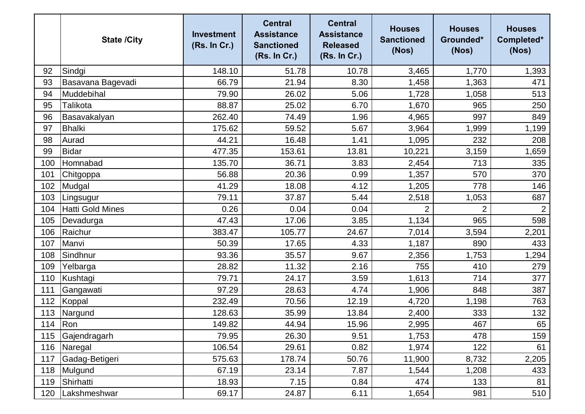|     | <b>State /City</b>      | <b>Investment</b><br>(Rs. In Cr.) | <b>Central</b><br><b>Assistance</b><br><b>Sanctioned</b><br>(Rs. In Cr.) | <b>Central</b><br><b>Assistance</b><br><b>Released</b><br>(Rs. In Cr.) | <b>Houses</b><br><b>Sanctioned</b><br>(Nos) | <b>Houses</b><br>Grounded*<br>(Nos) | <b>Houses</b><br>Completed*<br>(Nos) |
|-----|-------------------------|-----------------------------------|--------------------------------------------------------------------------|------------------------------------------------------------------------|---------------------------------------------|-------------------------------------|--------------------------------------|
| 92  | Sindgi                  | 148.10                            | 51.78                                                                    | 10.78                                                                  | 3,465                                       | 1,770                               | 1,393                                |
| 93  | Basavana Bagevadi       | 66.79                             | 21.94                                                                    | 8.30                                                                   | 1,458                                       | 1,363                               | 471                                  |
| 94  | Muddebihal              | 79.90                             | 26.02                                                                    | 5.06                                                                   | 1,728                                       | 1,058                               | 513                                  |
| 95  | Talikota                | 88.87                             | 25.02                                                                    | 6.70                                                                   | 1,670                                       | 965                                 | 250                                  |
| 96  | Basavakalyan            | 262.40                            | 74.49                                                                    | 1.96                                                                   | 4,965                                       | 997                                 | 849                                  |
| 97  | Bhalki                  | 175.62                            | 59.52                                                                    | 5.67                                                                   | 3,964                                       | 1,999                               | 1,199                                |
| 98  | Aurad                   | 44.21                             | 16.48                                                                    | 1.41                                                                   | 1,095                                       | 232                                 | 208                                  |
| 99  | <b>Bidar</b>            | 477.35                            | 153.61                                                                   | 13.81                                                                  | 10,221                                      | 3,159                               | 1,659                                |
| 100 | Homnabad                | 135.70                            | 36.71                                                                    | 3.83                                                                   | 2,454                                       | 713                                 | 335                                  |
| 101 | Chitgoppa               | 56.88                             | 20.36                                                                    | 0.99                                                                   | 1,357                                       | 570                                 | 370                                  |
| 102 | Mudgal                  | 41.29                             | 18.08                                                                    | 4.12                                                                   | 1,205                                       | 778                                 | 146                                  |
| 103 | Lingsugur               | 79.11                             | 37.87                                                                    | 5.44                                                                   | 2,518                                       | 1,053                               | 687                                  |
| 104 | Hatti Gold Mines        | 0.26                              | 0.04                                                                     | 0.04                                                                   |                                             | $\overline{2}$                      |                                      |
| 105 | Devadurga               | 47.43                             | 17.06                                                                    | 3.85                                                                   | 1,134                                       | 965                                 | 598                                  |
| 106 | Raichur                 | 383.47                            | 105.77                                                                   | 24.67                                                                  | 7,014                                       | 3,594                               | 2,201                                |
| 107 | Manvi                   | 50.39                             | 17.65                                                                    | 4.33                                                                   | 1,187                                       | 890                                 | 433                                  |
| 108 | Sindhnur                | 93.36                             | 35.57                                                                    | 9.67                                                                   | 2,356                                       | 1,753                               | 1,294                                |
| 109 | Yelbarga                | 28.82                             | 11.32                                                                    | 2.16                                                                   | 755                                         | 410                                 | 279                                  |
| 110 | Kushtagi                | 79.71                             | 24.17                                                                    | 3.59                                                                   | 1,613                                       | 714                                 | 377                                  |
| 111 | Gangawati               | 97.29                             | 28.63                                                                    | 4.74                                                                   | 1,906                                       | 848                                 | 387                                  |
| 112 | Koppal                  | 232.49                            | 70.56                                                                    | 12.19                                                                  | 4,720                                       | 1,198                               | 763                                  |
| 113 | Nargund                 | 128.63                            | 35.99                                                                    | 13.84                                                                  | 2,400                                       | 333                                 | 132                                  |
|     | 114 $\sqrt{\text{Ron}}$ | 149.82                            | 44.94                                                                    | 15.96                                                                  | 2,995                                       | 467                                 | 65                                   |
| 115 | Gajendragarh            | 79.95                             | 26.30                                                                    | 9.51                                                                   | 1,753                                       | 478                                 | 159                                  |
| 116 | Naregal                 | 106.54                            | 29.61                                                                    | 0.82                                                                   | 1,974                                       | 122                                 | 61                                   |
| 117 | Gadag-Betigeri          | 575.63                            | 178.74                                                                   | 50.76                                                                  | 11,900                                      | 8,732                               | 2,205                                |
| 118 | Mulgund                 | 67.19                             | 23.14                                                                    | 7.87                                                                   | 1,544                                       | 1,208                               | 433                                  |
| 119 | Shirhatti               | 18.93                             | 7.15                                                                     | 0.84                                                                   | 474                                         | 133                                 | 81                                   |
| 120 | Lakshmeshwar            | 69.17                             | 24.87                                                                    | 6.11                                                                   | 1,654                                       | 981                                 | 510                                  |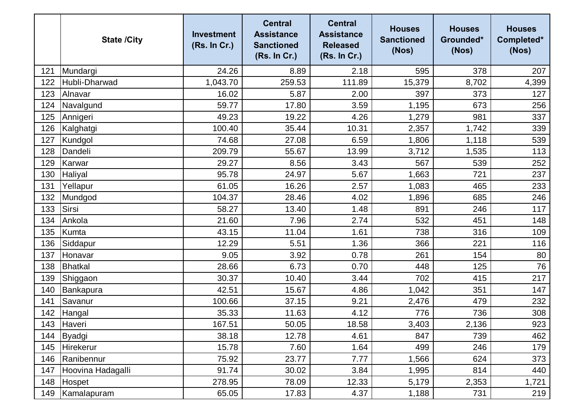|     | <b>State /City</b> | <b>Investment</b><br>(Rs. In Cr.) | <b>Central</b><br><b>Assistance</b><br><b>Sanctioned</b><br>(Rs. In Cr.) | <b>Central</b><br><b>Assistance</b><br><b>Released</b><br>(Rs. In Cr.) | <b>Houses</b><br><b>Sanctioned</b><br>(Nos) | <b>Houses</b><br>Grounded*<br>(Nos) | <b>Houses</b><br>Completed*<br>(Nos) |
|-----|--------------------|-----------------------------------|--------------------------------------------------------------------------|------------------------------------------------------------------------|---------------------------------------------|-------------------------------------|--------------------------------------|
| 121 | Mundargi           | 24.26                             | 8.89                                                                     | 2.18                                                                   | 595                                         | 378                                 | 207                                  |
| 122 | Hubli-Dharwad      | 1,043.70                          | 259.53                                                                   | 111.89                                                                 | 15,379                                      | 8,702                               | 4,399                                |
| 123 | Alnavar            | 16.02                             | 5.87                                                                     | 2.00                                                                   | 397                                         | 373                                 | 127                                  |
| 124 | Navalgund          | 59.77                             | 17.80                                                                    | 3.59                                                                   | 1,195                                       | 673                                 | 256                                  |
| 125 | Annigeri           | 49.23                             | 19.22                                                                    | 4.26                                                                   | 1,279                                       | 981                                 | 337                                  |
| 126 | Kalghatgi          | 100.40                            | 35.44                                                                    | 10.31                                                                  | 2,357                                       | 1,742                               | 339                                  |
| 127 | Kundgol            | 74.68                             | 27.08                                                                    | 6.59                                                                   | 1,806                                       | 1,118                               | 539                                  |
| 128 | Dandeli            | 209.79                            | 55.67                                                                    | 13.99                                                                  | 3,712                                       | 1,535                               | 113                                  |
| 129 | Karwar             | 29.27                             | 8.56                                                                     | 3.43                                                                   | 567                                         | 539                                 | 252                                  |
| 130 | Haliyal            | 95.78                             | 24.97                                                                    | 5.67                                                                   | 1,663                                       | 721                                 | 237                                  |
| 131 | Yellapur           | 61.05                             | 16.26                                                                    | 2.57                                                                   | 1,083                                       | 465                                 | 233                                  |
| 132 | Mundgod            | 104.37                            | 28.46                                                                    | 4.02                                                                   | 1,896                                       | 685                                 | 246                                  |
| 133 | Sirsi              | 58.27                             | 13.40                                                                    | 1.48                                                                   | 891                                         | 246                                 | 117                                  |
| 134 | Ankola             | 21.60                             | 7.96                                                                     | 2.74                                                                   | 532                                         | 451                                 | 148                                  |
| 135 | <b>Kumta</b>       | 43.15                             | 11.04                                                                    | 1.61                                                                   | 738                                         | 316                                 | 109                                  |
| 136 | Siddapur           | 12.29                             | 5.51                                                                     | 1.36                                                                   | 366                                         | 221                                 | 116                                  |
| 137 | Honavar            | 9.05                              | 3.92                                                                     | 0.78                                                                   | 261                                         | 154                                 | 80                                   |
| 138 | Bhatkal            | 28.66                             | 6.73                                                                     | 0.70                                                                   | 448                                         | 125                                 | 76                                   |
| 139 | Shiggaon           | 30.37                             | 10.40                                                                    | 3.44                                                                   | 702                                         | 415                                 | 217                                  |
| 140 | Bankapura          | 42.51                             | 15.67                                                                    | 4.86                                                                   | 1,042                                       | 351                                 | 147                                  |
| 141 | Savanur            | 100.66                            | 37.15                                                                    | 9.21                                                                   | 2,476                                       | 479                                 | 232                                  |
| 142 | Hangal             | 35.33                             | 11.63                                                                    | 4.12                                                                   | 776                                         | 736                                 | 308                                  |
| 143 | Haveri             | 167.51                            | 50.05                                                                    | 18.58                                                                  | 3,403                                       | 2,136                               | 923                                  |
| 144 | Byadgi             | 38.18                             | 12.78                                                                    | 4.61                                                                   | 847                                         | 739                                 | 462                                  |
| 145 | Hirekerur          | 15.78                             | 7.60                                                                     | 1.64                                                                   | 499                                         | 246                                 | 179                                  |
| 146 | Ranibennur         | 75.92                             | 23.77                                                                    | 7.77                                                                   | 1,566                                       | 624                                 | 373                                  |
| 147 | Hoovina Hadagalli  | 91.74                             | 30.02                                                                    | 3.84                                                                   | 1,995                                       | 814                                 | 440                                  |
| 148 | Hospet             | 278.95                            | 78.09                                                                    | 12.33                                                                  | 5,179                                       | 2,353                               | 1,721                                |
| 149 | Kamalapuram        | 65.05                             | 17.83                                                                    | 4.37                                                                   | 1,188                                       | 731                                 | 219                                  |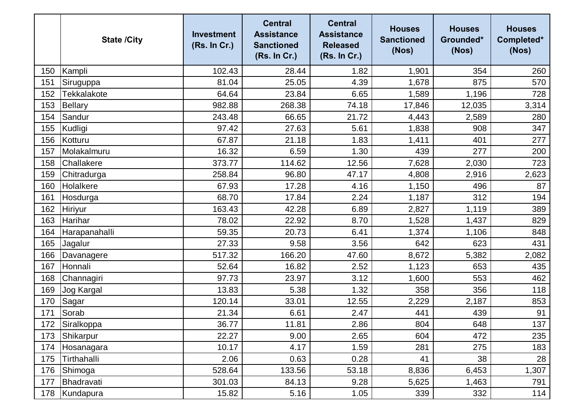|     | <b>State /City</b> | <b>Investment</b><br>(Rs. In Cr.) | <b>Central</b><br><b>Assistance</b><br><b>Sanctioned</b><br>(Rs. In Cr.) | <b>Central</b><br><b>Assistance</b><br><b>Released</b><br>(Rs. In Cr.) | <b>Houses</b><br><b>Sanctioned</b><br>(Nos) | <b>Houses</b><br>Grounded*<br>(Nos) | <b>Houses</b><br>Completed*<br>(Nos) |
|-----|--------------------|-----------------------------------|--------------------------------------------------------------------------|------------------------------------------------------------------------|---------------------------------------------|-------------------------------------|--------------------------------------|
| 150 | Kampli             | 102.43                            | 28.44                                                                    | 1.82                                                                   | 1,901                                       | 354                                 | 260                                  |
| 151 | Siruguppa          | 81.04                             | 25.05                                                                    | 4.39                                                                   | 1,678                                       | 875                                 | 570                                  |
| 152 | Tekkalakote        | 64.64                             | 23.84                                                                    | 6.65                                                                   | 1,589                                       | 1,196                               | 728                                  |
| 153 | <b>Bellary</b>     | 982.88                            | 268.38                                                                   | 74.18                                                                  | 17,846                                      | 12,035                              | 3,314                                |
| 154 | Sandur             | 243.48                            | 66.65                                                                    | 21.72                                                                  | 4,443                                       | 2,589                               | 280                                  |
| 155 | Kudligi            | 97.42                             | 27.63                                                                    | 5.61                                                                   | 1,838                                       | 908                                 | 347                                  |
| 156 | Kotturu            | 67.87                             | 21.18                                                                    | 1.83                                                                   | 1,411                                       | 401                                 | 277                                  |
| 157 | Molakalmuru        | 16.32                             | 6.59                                                                     | 1.30                                                                   | 439                                         | 277                                 | 200                                  |
| 158 | Challakere         | 373.77                            | 114.62                                                                   | 12.56                                                                  | 7,628                                       | 2,030                               | 723                                  |
| 159 | Chitradurga        | 258.84                            | 96.80                                                                    | 47.17                                                                  | 4,808                                       | 2,916                               | 2,623                                |
| 160 | Holalkere          | 67.93                             | 17.28                                                                    | 4.16                                                                   | 1,150                                       | 496                                 | 87                                   |
| 161 | Hosdurga           | 68.70                             | 17.84                                                                    | 2.24                                                                   | 1,187                                       | 312                                 | 194                                  |
| 162 | Hiriyur            | 163.43                            | 42.28                                                                    | 6.89                                                                   | 2,827                                       | 1,119                               | 389                                  |
| 163 | Harihar            | 78.02                             | 22.92                                                                    | 8.70                                                                   | 1,528                                       | 1,437                               | 829                                  |
| 164 | Harapanahalli      | 59.35                             | 20.73                                                                    | 6.41                                                                   | 1,374                                       | 1,106                               | 848                                  |
| 165 | Jagalur            | 27.33                             | 9.58                                                                     | 3.56                                                                   | 642                                         | 623                                 | 431                                  |
| 166 | Davanagere         | 517.32                            | 166.20                                                                   | 47.60                                                                  | 8,672                                       | 5,382                               | 2,082                                |
| 167 | Honnali            | 52.64                             | 16.82                                                                    | 2.52                                                                   | 1,123                                       | 653                                 | 435                                  |
| 168 | Channagiri         | 97.73                             | 23.97                                                                    | 3.12                                                                   | 1,600                                       | 553                                 | 462                                  |
| 169 | Jog Kargal         | 13.83                             | 5.38                                                                     | 1.32                                                                   | 358                                         | 356                                 | 118                                  |
| 170 | Sagar              | 120.14                            | 33.01                                                                    | 12.55                                                                  | 2,229                                       | 2,187                               | 853                                  |
| 171 | Sorab              | 21.34                             | 6.61                                                                     | 2.47                                                                   | 441                                         | 439                                 | 91                                   |
| 172 | Siralkoppa         | 36.77                             | 11.81                                                                    | 2.86                                                                   | 804                                         | 648                                 | 137                                  |
| 173 | Shikarpur          | 22.27                             | 9.00                                                                     | 2.65                                                                   | 604                                         | 472                                 | 235                                  |
| 174 | Hosanagara         | 10.17                             | 4.17                                                                     | 1.59                                                                   | 281                                         | 275                                 | 183                                  |
| 175 | Tirthahalli        | 2.06                              | 0.63                                                                     | 0.28                                                                   | 41                                          | 38                                  | 28                                   |
| 176 | Shimoga            | 528.64                            | 133.56                                                                   | 53.18                                                                  | 8,836                                       | 6,453                               | 1,307                                |
| 177 | Bhadravati         | 301.03                            | 84.13                                                                    | 9.28                                                                   | 5,625                                       | 1,463                               | 791                                  |
| 178 | Kundapura          | 15.82                             | 5.16                                                                     | 1.05                                                                   | 339                                         | 332                                 | 114                                  |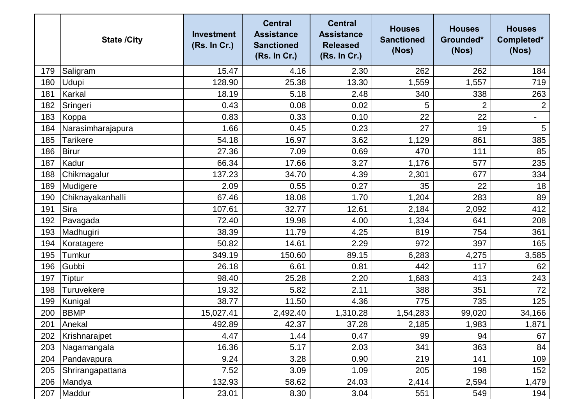|     | <b>State /City</b> | <b>Investment</b><br>(Rs. In Cr.) | <b>Central</b><br><b>Assistance</b><br><b>Sanctioned</b><br>(Rs. In Cr.) | <b>Central</b><br><b>Assistance</b><br><b>Released</b><br>(Rs. In Cr.) | <b>Houses</b><br><b>Sanctioned</b><br>(Nos) | <b>Houses</b><br>Grounded*<br>(Nos) | <b>Houses</b><br>Completed*<br>(Nos) |
|-----|--------------------|-----------------------------------|--------------------------------------------------------------------------|------------------------------------------------------------------------|---------------------------------------------|-------------------------------------|--------------------------------------|
| 179 | Saligram           | 15.47                             | 4.16                                                                     | 2.30                                                                   | 262                                         | 262                                 | 184                                  |
| 180 | <b>Udupi</b>       | 128.90                            | 25.38                                                                    | 13.30                                                                  | 1,559                                       | 1,557                               | 719                                  |
| 181 | Karkal             | 18.19                             | 5.18                                                                     | 2.48                                                                   | 340                                         | 338                                 | 263                                  |
| 182 | Sringeri           | 0.43                              | 0.08                                                                     | 0.02                                                                   | 5                                           | $\overline{2}$                      | $\overline{2}$                       |
| 183 | Koppa              | 0.83                              | 0.33                                                                     | 0.10                                                                   | 22                                          | 22                                  | $\overline{\phantom{a}}$             |
| 184 | Narasimharajapura  | 1.66                              | 0.45                                                                     | 0.23                                                                   | 27                                          | 19                                  | $\overline{5}$                       |
| 185 | Tarikere           | 54.18                             | 16.97                                                                    | 3.62                                                                   | 1,129                                       | 861                                 | 385                                  |
| 186 | <b>Birur</b>       | 27.36                             | 7.09                                                                     | 0.69                                                                   | 470                                         | 111                                 | 85                                   |
| 187 | Kadur              | 66.34                             | 17.66                                                                    | 3.27                                                                   | 1,176                                       | 577                                 | 235                                  |
| 188 | Chikmagalur        | 137.23                            | 34.70                                                                    | 4.39                                                                   | 2,301                                       | 677                                 | 334                                  |
| 189 | Mudigere           | 2.09                              | 0.55                                                                     | 0.27                                                                   | 35                                          | 22                                  | 18                                   |
| 190 | Chiknayakanhalli   | 67.46                             | 18.08                                                                    | 1.70                                                                   | 1,204                                       | 283                                 | 89                                   |
| 191 | <b>Sira</b>        | 107.61                            | 32.77                                                                    | 12.61                                                                  | 2,184                                       | 2,092                               | 412                                  |
| 192 | Pavagada           | 72.40                             | 19.98                                                                    | 4.00                                                                   | 1,334                                       | 641                                 | 208                                  |
| 193 | Madhugiri          | 38.39                             | 11.79                                                                    | 4.25                                                                   | 819                                         | 754                                 | 361                                  |
| 194 | Koratagere         | 50.82                             | 14.61                                                                    | 2.29                                                                   | 972                                         | 397                                 | 165                                  |
| 195 | Tumkur             | 349.19                            | 150.60                                                                   | 89.15                                                                  | 6,283                                       | 4,275                               | 3,585                                |
| 196 | Gubbi              | 26.18                             | 6.61                                                                     | 0.81                                                                   | 442                                         | 117                                 | 62                                   |
| 197 | Tiptur             | 98.40                             | 25.28                                                                    | 2.20                                                                   | 1,683                                       | 413                                 | 243                                  |
| 198 | <b>Turuvekere</b>  | 19.32                             | 5.82                                                                     | 2.11                                                                   | 388                                         | 351                                 | 72                                   |
| 199 | Kunigal            | 38.77                             | 11.50                                                                    | 4.36                                                                   | 775                                         | 735                                 | 125                                  |
| 200 | <b>BBMP</b>        | 15,027.41                         | 2,492.40                                                                 | 1,310.28                                                               | 1,54,283                                    | 99,020                              | 34,166                               |
| 201 | Anekal             | 492.89                            | 42.37                                                                    | 37.28                                                                  | 2,185                                       | 1,983                               | 1,871                                |
| 202 | Krishnarajpet      | 4.47                              | 1.44                                                                     | 0.47                                                                   | 99                                          | 94                                  | 67                                   |
| 203 | Nagamangala        | 16.36                             | 5.17                                                                     | 2.03                                                                   | 341                                         | 363                                 | 84                                   |
| 204 | Pandavapura        | 9.24                              | 3.28                                                                     | 0.90                                                                   | 219                                         | 141                                 | 109                                  |
| 205 | Shrirangapattana   | 7.52                              | 3.09                                                                     | 1.09                                                                   | 205                                         | 198                                 | 152                                  |
| 206 | Mandya             | 132.93                            | 58.62                                                                    | 24.03                                                                  | 2,414                                       | 2,594                               | 1,479                                |
| 207 | Maddur             | 23.01                             | 8.30                                                                     | 3.04                                                                   | 551                                         | 549                                 | 194                                  |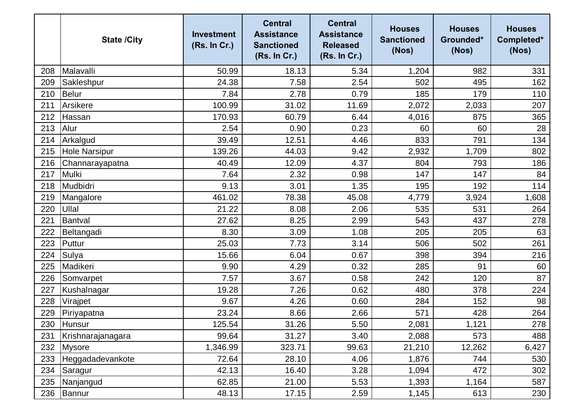|     | <b>State /City</b>   | <b>Investment</b><br>(Rs. In Cr.) | <b>Central</b><br><b>Assistance</b><br><b>Sanctioned</b><br>(Rs. In Cr.) | <b>Central</b><br><b>Assistance</b><br><b>Released</b><br>(Rs. In Cr.) | <b>Houses</b><br><b>Sanctioned</b><br>(Nos) | <b>Houses</b><br>Grounded*<br>(Nos) | <b>Houses</b><br>Completed*<br>(Nos) |
|-----|----------------------|-----------------------------------|--------------------------------------------------------------------------|------------------------------------------------------------------------|---------------------------------------------|-------------------------------------|--------------------------------------|
| 208 | Malavalli            | 50.99                             | 18.13                                                                    | 5.34                                                                   | 1,204                                       | 982                                 | 331                                  |
| 209 | Sakleshpur           | 24.38                             | 7.58                                                                     | 2.54                                                                   | 502                                         | 495                                 | 162                                  |
| 210 | <b>Belur</b>         | 7.84                              | 2.78                                                                     | 0.79                                                                   | 185                                         | 179                                 | 110                                  |
| 211 | Arsikere             | 100.99                            | 31.02                                                                    | 11.69                                                                  | 2,072                                       | 2,033                               | 207                                  |
| 212 | Hassan               | 170.93                            | 60.79                                                                    | 6.44                                                                   | 4,016                                       | 875                                 | 365                                  |
| 213 | Alur                 | 2.54                              | 0.90                                                                     | 0.23                                                                   | 60                                          | 60                                  | 28                                   |
| 214 | Arkalgud             | 39.49                             | 12.51                                                                    | 4.46                                                                   | 833                                         | 791                                 | 134                                  |
| 215 | <b>Hole Narsipur</b> | 139.26                            | 44.03                                                                    | 9.42                                                                   | 2,932                                       | 1,709                               | 802                                  |
| 216 | Channarayapatna      | 40.49                             | 12.09                                                                    | 4.37                                                                   | 804                                         | 793                                 | 186                                  |
| 217 | Mulki                | 7.64                              | 2.32                                                                     | 0.98                                                                   | 147                                         | 147                                 | 84                                   |
| 218 | Mudbidri             | 9.13                              | 3.01                                                                     | 1.35                                                                   | 195                                         | 192                                 | 114                                  |
| 219 | Mangalore            | 461.02                            | 78.38                                                                    | 45.08                                                                  | 4,779                                       | 3,924                               | 1,608                                |
| 220 | Ullal                | 21.22                             | 8.08                                                                     | 2.06                                                                   | 535                                         | 531                                 | 264                                  |
| 221 | Bantval              | 27.62                             | 8.25                                                                     | 2.99                                                                   | 543                                         | 437                                 | 278                                  |
| 222 | Beltangadi           | 8.30                              | 3.09                                                                     | 1.08                                                                   | 205                                         | 205                                 | 63                                   |
| 223 | Puttur               | 25.03                             | 7.73                                                                     | 3.14                                                                   | 506                                         | 502                                 | 261                                  |
| 224 | Sulya                | 15.66                             | 6.04                                                                     | 0.67                                                                   | 398                                         | 394                                 | 216                                  |
| 225 | Madikeri             | 9.90                              | 4.29                                                                     | 0.32                                                                   | 285                                         | 91                                  | 60                                   |
| 226 | Somvarpet            | 7.57                              | 3.67                                                                     | 0.58                                                                   | 242                                         | 120                                 | 87                                   |
| 227 | Kushalnagar          | 19.28                             | 7.26                                                                     | 0.62                                                                   | 480                                         | 378                                 | 224                                  |
| 228 | Virajpet             | 9.67                              | 4.26                                                                     | 0.60                                                                   | 284                                         | 152                                 | 98                                   |
| 229 | Piriyapatna          | 23.24                             | 8.66                                                                     | 2.66                                                                   | 571                                         | 428                                 | 264                                  |
| 230 | Hunsur               | 125.54                            | 31.26                                                                    | 5.50                                                                   | 2,081                                       | 1,121                               | 278                                  |
| 231 | Krishnarajanagara    | 99.64                             | 31.27                                                                    | 3.40                                                                   | 2,088                                       | 573                                 | 488                                  |
| 232 | Mysore               | 1,346.99                          | 323.71                                                                   | 99.63                                                                  | 21,210                                      | 12,262                              | 6,427                                |
| 233 | Heggadadevankote     | 72.64                             | 28.10                                                                    | 4.06                                                                   | 1,876                                       | 744                                 | 530                                  |
| 234 | Saragur              | 42.13                             | 16.40                                                                    | 3.28                                                                   | 1,094                                       | 472                                 | 302                                  |
| 235 | Nanjangud            | 62.85                             | 21.00                                                                    | 5.53                                                                   | 1,393                                       | 1,164                               | 587                                  |
| 236 | Bannur               | 48.13                             | 17.15                                                                    | 2.59                                                                   | 1,145                                       | 613                                 | 230                                  |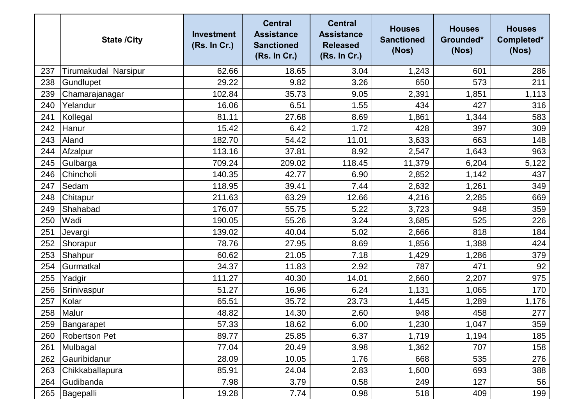|     | <b>State /City</b>   | <b>Investment</b><br>(Rs. In Cr.) | <b>Central</b><br><b>Assistance</b><br><b>Sanctioned</b><br>(Rs. In Cr.) | <b>Central</b><br><b>Assistance</b><br><b>Released</b><br>(Rs. In Cr.) | <b>Houses</b><br><b>Sanctioned</b><br>(Nos) | <b>Houses</b><br>Grounded*<br>(Nos) | <b>Houses</b><br>Completed*<br>(Nos) |
|-----|----------------------|-----------------------------------|--------------------------------------------------------------------------|------------------------------------------------------------------------|---------------------------------------------|-------------------------------------|--------------------------------------|
| 237 | Tirumakudal Narsipur | 62.66                             | 18.65                                                                    | 3.04                                                                   | 1,243                                       | 601                                 | 286                                  |
| 238 | Gundlupet            | 29.22                             | 9.82                                                                     | 3.26                                                                   | 650                                         | 573                                 | 211                                  |
| 239 | Chamarajanagar       | 102.84                            | 35.73                                                                    | 9.05                                                                   | 2,391                                       | 1,851                               | 1,113                                |
| 240 | Yelandur             | 16.06                             | 6.51                                                                     | 1.55                                                                   | 434                                         | 427                                 | 316                                  |
| 241 | Kollegal             | 81.11                             | 27.68                                                                    | 8.69                                                                   | 1,861                                       | 1,344                               | 583                                  |
| 242 | Hanur                | 15.42                             | 6.42                                                                     | 1.72                                                                   | 428                                         | 397                                 | 309                                  |
| 243 | Aland                | 182.70                            | 54.42                                                                    | 11.01                                                                  | 3,633                                       | 663                                 | 148                                  |
| 244 | Afzalpur             | 113.16                            | 37.81                                                                    | 8.92                                                                   | 2,547                                       | 1,643                               | 963                                  |
| 245 | Gulbarga             | 709.24                            | 209.02                                                                   | 118.45                                                                 | 11,379                                      | 6,204                               | 5,122                                |
| 246 | Chincholi            | 140.35                            | 42.77                                                                    | 6.90                                                                   | 2,852                                       | 1,142                               | 437                                  |
| 247 | Sedam                | 118.95                            | 39.41                                                                    | 7.44                                                                   | 2,632                                       | 1,261                               | 349                                  |
| 248 | Chitapur             | 211.63                            | 63.29                                                                    | 12.66                                                                  | 4,216                                       | 2,285                               | 669                                  |
| 249 | Shahabad             | 176.07                            | 55.75                                                                    | 5.22                                                                   | 3,723                                       | 948                                 | 359                                  |
| 250 | Wadi                 | 190.05                            | 55.26                                                                    | 3.24                                                                   | 3,685                                       | 525                                 | 226                                  |
| 251 | Jevargi              | 139.02                            | 40.04                                                                    | 5.02                                                                   | 2,666                                       | 818                                 | 184                                  |
| 252 | Shorapur             | 78.76                             | 27.95                                                                    | 8.69                                                                   | 1,856                                       | 1,388                               | 424                                  |
| 253 | Shahpur              | 60.62                             | 21.05                                                                    | 7.18                                                                   | 1,429                                       | 1,286                               | 379                                  |
| 254 | Gurmatkal            | 34.37                             | 11.83                                                                    | 2.92                                                                   | 787                                         | 471                                 | 92                                   |
| 255 | Yadgir               | 111.27                            | 40.30                                                                    | 14.01                                                                  | 2,660                                       | 2,207                               | 975                                  |
| 256 | Srinivaspur          | 51.27                             | 16.96                                                                    | 6.24                                                                   | 1,131                                       | 1,065                               | 170                                  |
| 257 | Kolar                | 65.51                             | 35.72                                                                    | 23.73                                                                  | 1,445                                       | 1,289                               | 1,176                                |
| 258 | Malur                | 48.82                             | 14.30                                                                    | 2.60                                                                   | 948                                         | 458                                 | 277                                  |
| 259 | Bangarapet           | 57.33                             | 18.62                                                                    | 6.00                                                                   | 1,230                                       | 1,047                               | 359                                  |
| 260 | <b>Robertson Pet</b> | 89.77                             | 25.85                                                                    | 6.37                                                                   | 1,719                                       | 1,194                               | 185                                  |
| 261 | Mulbagal             | 77.04                             | 20.49                                                                    | 3.98                                                                   | 1,362                                       | 707                                 | 158                                  |
| 262 | Gauribidanur         | 28.09                             | 10.05                                                                    | 1.76                                                                   | 668                                         | 535                                 | 276                                  |
| 263 | Chikkaballapura      | 85.91                             | 24.04                                                                    | 2.83                                                                   | 1,600                                       | 693                                 | 388                                  |
| 264 | Gudibanda            | 7.98                              | 3.79                                                                     | 0.58                                                                   | 249                                         | 127                                 | 56                                   |
| 265 | Bagepalli            | 19.28                             | 7.74                                                                     | 0.98                                                                   | 518                                         | 409                                 | 199                                  |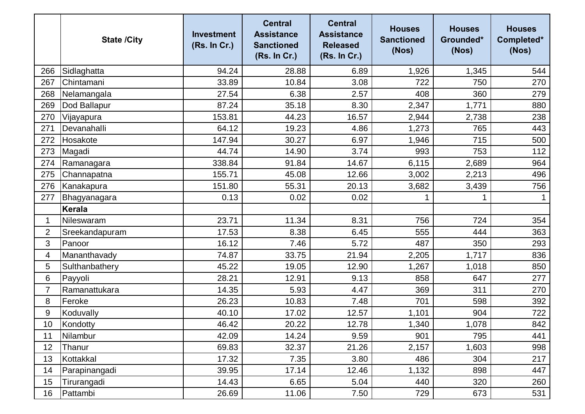|                | <b>State /City</b> | <b>Investment</b><br>(Rs. In Cr.) | <b>Central</b><br><b>Assistance</b><br><b>Sanctioned</b><br>(Rs. In Cr.) | <b>Central</b><br><b>Assistance</b><br><b>Released</b><br>(Rs. In Cr.) | <b>Houses</b><br><b>Sanctioned</b><br>(Nos) | <b>Houses</b><br>Grounded*<br>(Nos) | <b>Houses</b><br>Completed*<br>(Nos) |
|----------------|--------------------|-----------------------------------|--------------------------------------------------------------------------|------------------------------------------------------------------------|---------------------------------------------|-------------------------------------|--------------------------------------|
| 266            | Sidlaghatta        | 94.24                             | 28.88                                                                    | 6.89                                                                   | 1,926                                       | 1,345                               | 544                                  |
| 267            | Chintamani         | 33.89                             | 10.84                                                                    | 3.08                                                                   | 722                                         | 750                                 | 270                                  |
| 268            | Nelamangala        | 27.54                             | 6.38                                                                     | 2.57                                                                   | 408                                         | 360                                 | 279                                  |
| 269            | Dod Ballapur       | 87.24                             | 35.18                                                                    | 8.30                                                                   | 2,347                                       | 1,771                               | 880                                  |
| 270            | Vijayapura         | 153.81                            | 44.23                                                                    | 16.57                                                                  | 2,944                                       | 2,738                               | 238                                  |
| 271            | Devanahalli        | 64.12                             | 19.23                                                                    | 4.86                                                                   | 1,273                                       | 765                                 | 443                                  |
| 272            | Hosakote           | 147.94                            | 30.27                                                                    | 6.97                                                                   | 1,946                                       | 715                                 | 500                                  |
| 273            | Magadi             | 44.74                             | 14.90                                                                    | 3.74                                                                   | 993                                         | 753                                 | 112                                  |
| 274            | Ramanagara         | 338.84                            | 91.84                                                                    | 14.67                                                                  | 6,115                                       | 2,689                               | 964                                  |
| 275            | Channapatna        | 155.71                            | 45.08                                                                    | 12.66                                                                  | 3,002                                       | 2,213                               | 496                                  |
| 276            | Kanakapura         | 151.80                            | 55.31                                                                    | 20.13                                                                  | 3,682                                       | 3,439                               | 756                                  |
| 277            | Bhagyanagara       | 0.13                              | 0.02                                                                     | 0.02                                                                   |                                             |                                     |                                      |
|                | Kerala             |                                   |                                                                          |                                                                        |                                             |                                     |                                      |
| 1              | Nileswaram         | 23.71                             | 11.34                                                                    | 8.31                                                                   | 756                                         | 724                                 | 354                                  |
| $\overline{2}$ | Sreekandapuram     | 17.53                             | 8.38                                                                     | 6.45                                                                   | 555                                         | 444                                 | 363                                  |
| 3              | Panoor             | 16.12                             | 7.46                                                                     | 5.72                                                                   | 487                                         | 350                                 | 293                                  |
| 4              | Mananthavady       | 74.87                             | 33.75                                                                    | 21.94                                                                  | 2,205                                       | 1,717                               | 836                                  |
| 5              | Sulthanbathery     | 45.22                             | 19.05                                                                    | 12.90                                                                  | 1,267                                       | 1,018                               | 850                                  |
| 6              | Payyoli            | 28.21                             | 12.91                                                                    | 9.13                                                                   | 858                                         | 647                                 | 277                                  |
| $\overline{7}$ | Ramanattukara      | 14.35                             | 5.93                                                                     | 4.47                                                                   | 369                                         | 311                                 | 270                                  |
| 8              | Feroke             | 26.23                             | 10.83                                                                    | 7.48                                                                   | 701                                         | 598                                 | 392                                  |
| 9              | Koduvally          | 40.10                             | 17.02                                                                    | 12.57                                                                  | 1,101                                       | 904                                 | 722                                  |
| 10             | Kondotty           | 46.42                             | 20.22                                                                    | 12.78                                                                  | 1,340                                       | 1,078                               | 842                                  |
| 11             | Nilambur           | 42.09                             | 14.24                                                                    | 9.59                                                                   | 901                                         | 795                                 | 441                                  |
| 12             | Thanur             | 69.83                             | 32.37                                                                    | 21.26                                                                  | 2,157                                       | 1,603                               | 998                                  |
| 13             | Kottakkal          | 17.32                             | 7.35                                                                     | 3.80                                                                   | 486                                         | 304                                 | 217                                  |
| 14             | Parapinangadi      | 39.95                             | 17.14                                                                    | 12.46                                                                  | 1,132                                       | 898                                 | 447                                  |
| 15             | Tirurangadi        | 14.43                             | 6.65                                                                     | 5.04                                                                   | 440                                         | 320                                 | 260                                  |
| 16             | Pattambi           | 26.69                             | 11.06                                                                    | 7.50                                                                   | 729                                         | 673                                 | 531                                  |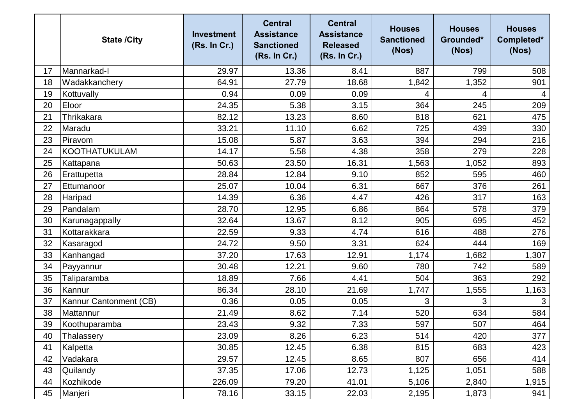|    | <b>State /City</b>     | <b>Investment</b><br>(Rs. In Cr.) | <b>Central</b><br><b>Assistance</b><br><b>Sanctioned</b><br>(Rs. In Cr.) | <b>Central</b><br><b>Assistance</b><br><b>Released</b><br>(Rs. In Cr.) | <b>Houses</b><br><b>Sanctioned</b><br>(Nos) | <b>Houses</b><br>Grounded*<br>(Nos) | <b>Houses</b><br>Completed*<br>(Nos) |
|----|------------------------|-----------------------------------|--------------------------------------------------------------------------|------------------------------------------------------------------------|---------------------------------------------|-------------------------------------|--------------------------------------|
| 17 | Mannarkad-I            | 29.97                             | 13.36                                                                    | 8.41                                                                   | 887                                         | 799                                 | 508                                  |
| 18 | Wadakkanchery          | 64.91                             | 27.79                                                                    | 18.68                                                                  | 1,842                                       | 1,352                               | 901                                  |
| 19 | Kottuvally             | 0.94                              | 0.09                                                                     | 0.09                                                                   | 4                                           | 4                                   | 4                                    |
| 20 | Eloor                  | 24.35                             | 5.38                                                                     | 3.15                                                                   | 364                                         | 245                                 | 209                                  |
| 21 | Thrikakara             | 82.12                             | 13.23                                                                    | 8.60                                                                   | 818                                         | 621                                 | 475                                  |
| 22 | Maradu                 | 33.21                             | 11.10                                                                    | 6.62                                                                   | 725                                         | 439                                 | 330                                  |
| 23 | Piravom                | 15.08                             | 5.87                                                                     | 3.63                                                                   | 394                                         | 294                                 | 216                                  |
| 24 | <b>KOOTHATUKULAM</b>   | 14.17                             | 5.58                                                                     | 4.38                                                                   | 358                                         | 279                                 | 228                                  |
| 25 | Kattapana              | 50.63                             | 23.50                                                                    | 16.31                                                                  | 1,563                                       | 1,052                               | 893                                  |
| 26 | Erattupetta            | 28.84                             | 12.84                                                                    | 9.10                                                                   | 852                                         | 595                                 | 460                                  |
| 27 | Ettumanoor             | 25.07                             | 10.04                                                                    | 6.31                                                                   | 667                                         | 376                                 | 261                                  |
| 28 | Haripad                | 14.39                             | 6.36                                                                     | 4.47                                                                   | 426                                         | 317                                 | 163                                  |
| 29 | Pandalam               | 28.70                             | 12.95                                                                    | 6.86                                                                   | 864                                         | 578                                 | 379                                  |
| 30 | Karunagappally         | 32.64                             | 13.67                                                                    | 8.12                                                                   | 905                                         | 695                                 | 452                                  |
| 31 | Kottarakkara           | 22.59                             | 9.33                                                                     | 4.74                                                                   | 616                                         | 488                                 | 276                                  |
| 32 | Kasaragod              | 24.72                             | 9.50                                                                     | 3.31                                                                   | 624                                         | 444                                 | 169                                  |
| 33 | Kanhangad              | 37.20                             | 17.63                                                                    | 12.91                                                                  | 1,174                                       | 1,682                               | 1,307                                |
| 34 | Payyannur              | 30.48                             | 12.21                                                                    | 9.60                                                                   | 780                                         | 742                                 | 589                                  |
| 35 | Taliparamba            | 18.89                             | 7.66                                                                     | 4.41                                                                   | 504                                         | 363                                 | 292                                  |
| 36 | Kannur                 | 86.34                             | 28.10                                                                    | 21.69                                                                  | 1,747                                       | 1,555                               | 1,163                                |
| 37 | Kannur Cantonment (CB) | 0.36                              | 0.05                                                                     | 0.05                                                                   | 3                                           | 3                                   | 3                                    |
| 38 | Mattannur              | 21.49                             | 8.62                                                                     | 7.14                                                                   | 520                                         | 634                                 | 584                                  |
| 39 | Koothuparamba          | 23.43                             | 9.32                                                                     | 7.33                                                                   | 597                                         | 507                                 | 464                                  |
| 40 | Thalassery             | 23.09                             | 8.26                                                                     | 6.23                                                                   | 514                                         | 420                                 | 377                                  |
| 41 | Kalpetta               | 30.85                             | 12.45                                                                    | 6.38                                                                   | 815                                         | 683                                 | 423                                  |
| 42 | Vadakara               | 29.57                             | 12.45                                                                    | 8.65                                                                   | 807                                         | 656                                 | 414                                  |
| 43 | Quilandy               | 37.35                             | 17.06                                                                    | 12.73                                                                  | 1,125                                       | 1,051                               | 588                                  |
| 44 | Kozhikode              | 226.09                            | 79.20                                                                    | 41.01                                                                  | 5,106                                       | 2,840                               | 1,915                                |
| 45 | Manjeri                | 78.16                             | 33.15                                                                    | 22.03                                                                  | 2,195                                       | 1,873                               | 941                                  |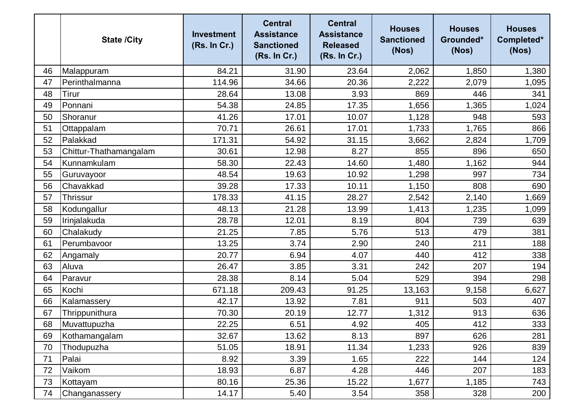|    | <b>State /City</b>     | <b>Investment</b><br>(Rs. In Cr.) | <b>Central</b><br><b>Assistance</b><br><b>Sanctioned</b><br>(Rs. In Cr.) | <b>Central</b><br><b>Assistance</b><br><b>Released</b><br>(Rs. In Cr.) | <b>Houses</b><br><b>Sanctioned</b><br>(Nos) | <b>Houses</b><br>Grounded*<br>(Nos) | <b>Houses</b><br>Completed*<br>(Nos) |
|----|------------------------|-----------------------------------|--------------------------------------------------------------------------|------------------------------------------------------------------------|---------------------------------------------|-------------------------------------|--------------------------------------|
| 46 | Malappuram             | 84.21                             | 31.90                                                                    | 23.64                                                                  | 2,062                                       | 1,850                               | 1,380                                |
| 47 | Perinthalmanna         | 114.96                            | 34.66                                                                    | 20.36                                                                  | 2,222                                       | 2,079                               | 1,095                                |
| 48 | <b>Tirur</b>           | 28.64                             | 13.08                                                                    | 3.93                                                                   | 869                                         | 446                                 | 341                                  |
| 49 | Ponnani                | 54.38                             | 24.85                                                                    | 17.35                                                                  | 1,656                                       | 1,365                               | 1,024                                |
| 50 | Shoranur               | 41.26                             | 17.01                                                                    | 10.07                                                                  | 1,128                                       | 948                                 | 593                                  |
| 51 | Ottappalam             | 70.71                             | 26.61                                                                    | 17.01                                                                  | 1,733                                       | 1,765                               | 866                                  |
| 52 | Palakkad               | 171.31                            | 54.92                                                                    | 31.15                                                                  | 3,662                                       | 2,824                               | 1,709                                |
| 53 | Chittur-Thathamangalam | 30.61                             | 12.98                                                                    | 8.27                                                                   | 855                                         | 896                                 | 650                                  |
| 54 | Kunnamkulam            | 58.30                             | 22.43                                                                    | 14.60                                                                  | 1,480                                       | 1,162                               | 944                                  |
| 55 | Guruvayoor             | 48.54                             | 19.63                                                                    | 10.92                                                                  | 1,298                                       | 997                                 | 734                                  |
| 56 | Chavakkad              | 39.28                             | 17.33                                                                    | 10.11                                                                  | 1,150                                       | 808                                 | 690                                  |
| 57 | <b>Thrissur</b>        | 178.33                            | 41.15                                                                    | 28.27                                                                  | 2,542                                       | 2,140                               | 1,669                                |
| 58 | Kodungallur            | 48.13                             | 21.28                                                                    | 13.99                                                                  | 1,413                                       | 1,235                               | 1,099                                |
| 59 | Irinjalakuda           | 28.78                             | 12.01                                                                    | 8.19                                                                   | 804                                         | 739                                 | 639                                  |
| 60 | Chalakudy              | 21.25                             | 7.85                                                                     | 5.76                                                                   | 513                                         | 479                                 | 381                                  |
| 61 | Perumbavoor            | 13.25                             | 3.74                                                                     | 2.90                                                                   | 240                                         | 211                                 | 188                                  |
| 62 | Angamaly               | 20.77                             | 6.94                                                                     | 4.07                                                                   | 440                                         | 412                                 | 338                                  |
| 63 | Aluva                  | 26.47                             | 3.85                                                                     | 3.31                                                                   | 242                                         | 207                                 | 194                                  |
| 64 | Paravur                | 28.38                             | 8.14                                                                     | 5.04                                                                   | 529                                         | 394                                 | 298                                  |
| 65 | Kochi                  | 671.18                            | 209.43                                                                   | 91.25                                                                  | 13,163                                      | 9,158                               | 6,627                                |
| 66 | Kalamassery            | 42.17                             | 13.92                                                                    | 7.81                                                                   | 911                                         | 503                                 | 407                                  |
| 67 | Thrippunithura         | 70.30                             | 20.19                                                                    | 12.77                                                                  | 1,312                                       | 913                                 | 636                                  |
| 68 | Muvattupuzha           | 22.25                             | 6.51                                                                     | 4.92                                                                   | 405                                         | 412                                 | 333                                  |
| 69 | Kothamangalam          | 32.67                             | 13.62                                                                    | 8.13                                                                   | 897                                         | 626                                 | 281                                  |
| 70 | Thodupuzha             | 51.05                             | 18.91                                                                    | 11.34                                                                  | 1,233                                       | 926                                 | 839                                  |
| 71 | Palai                  | 8.92                              | 3.39                                                                     | 1.65                                                                   | 222                                         | 144                                 | 124                                  |
| 72 | Vaikom                 | 18.93                             | 6.87                                                                     | 4.28                                                                   | 446                                         | 207                                 | 183                                  |
| 73 | Kottayam               | 80.16                             | 25.36                                                                    | 15.22                                                                  | 1,677                                       | 1,185                               | 743                                  |
| 74 | Changanassery          | 14.17                             | 5.40                                                                     | 3.54                                                                   | 358                                         | 328                                 | 200                                  |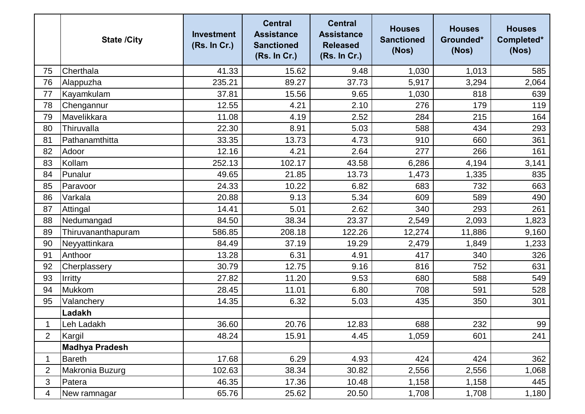|                | <b>State /City</b>    | <b>Investment</b><br>(Rs. In Cr.) | <b>Central</b><br><b>Assistance</b><br><b>Sanctioned</b><br>(Rs. In Cr.) | <b>Central</b><br><b>Assistance</b><br><b>Released</b><br>(Rs. In Cr.) | <b>Houses</b><br><b>Sanctioned</b><br>(Nos) | <b>Houses</b><br>Grounded*<br>(Nos) | <b>Houses</b><br>Completed*<br>(Nos) |
|----------------|-----------------------|-----------------------------------|--------------------------------------------------------------------------|------------------------------------------------------------------------|---------------------------------------------|-------------------------------------|--------------------------------------|
| 75             | Cherthala             | 41.33                             | 15.62                                                                    | 9.48                                                                   | 1,030                                       | 1,013                               | 585                                  |
| 76             | Alappuzha             | 235.21                            | 89.27                                                                    | 37.73                                                                  | 5,917                                       | 3,294                               | 2,064                                |
| 77             | Kayamkulam            | 37.81                             | 15.56                                                                    | 9.65                                                                   | 1,030                                       | 818                                 | 639                                  |
| 78             | Chengannur            | 12.55                             | 4.21                                                                     | 2.10                                                                   | 276                                         | 179                                 | 119                                  |
| 79             | Mavelikkara           | 11.08                             | 4.19                                                                     | 2.52                                                                   | 284                                         | 215                                 | 164                                  |
| 80             | Thiruvalla            | 22.30                             | 8.91                                                                     | 5.03                                                                   | 588                                         | 434                                 | 293                                  |
| 81             | Pathanamthitta        | 33.35                             | 13.73                                                                    | 4.73                                                                   | 910                                         | 660                                 | 361                                  |
| 82             | Adoor                 | 12.16                             | 4.21                                                                     | 2.64                                                                   | 277                                         | 266                                 | 161                                  |
| 83             | Kollam                | 252.13                            | 102.17                                                                   | 43.58                                                                  | 6,286                                       | 4,194                               | 3,141                                |
| 84             | Punalur               | 49.65                             | 21.85                                                                    | 13.73                                                                  | 1,473                                       | 1,335                               | 835                                  |
| 85             | Paravoor              | 24.33                             | 10.22                                                                    | 6.82                                                                   | 683                                         | 732                                 | 663                                  |
| 86             | Varkala               | 20.88                             | 9.13                                                                     | 5.34                                                                   | 609                                         | 589                                 | 490                                  |
| 87             | Attingal              | 14.41                             | 5.01                                                                     | 2.62                                                                   | 340                                         | 293                                 | 261                                  |
| 88             | Nedumangad            | 84.50                             | 38.34                                                                    | 23.37                                                                  | 2,549                                       | 2,093                               | 1,823                                |
| 89             | Thiruvananthapuram    | 586.85                            | 208.18                                                                   | 122.26                                                                 | 12,274                                      | 11,886                              | 9,160                                |
| 90             | Neyyattinkara         | 84.49                             | 37.19                                                                    | 19.29                                                                  | 2,479                                       | 1,849                               | 1,233                                |
| 91             | Anthoor               | 13.28                             | 6.31                                                                     | 4.91                                                                   | 417                                         | 340                                 | 326                                  |
| 92             | Cherplassery          | 30.79                             | 12.75                                                                    | 9.16                                                                   | 816                                         | 752                                 | 631                                  |
| 93             | Irritty               | 27.82                             | 11.20                                                                    | 9.53                                                                   | 680                                         | 588                                 | 549                                  |
| 94             | Mukkom                | 28.45                             | 11.01                                                                    | 6.80                                                                   | 708                                         | 591                                 | 528                                  |
| 95             | Valanchery            | 14.35                             | 6.32                                                                     | 5.03                                                                   | 435                                         | 350                                 | 301                                  |
|                | Ladakh                |                                   |                                                                          |                                                                        |                                             |                                     |                                      |
| 1              | Leh Ladakh            | 36.60                             | 20.76                                                                    | 12.83                                                                  | 688                                         | 232                                 | 99                                   |
| $\overline{2}$ | Kargil                | 48.24                             | 15.91                                                                    | 4.45                                                                   | 1,059                                       | 601                                 | 241                                  |
|                | <b>Madhya Pradesh</b> |                                   |                                                                          |                                                                        |                                             |                                     |                                      |
| 1              | <b>Bareth</b>         | 17.68                             | 6.29                                                                     | 4.93                                                                   | 424                                         | 424                                 | 362                                  |
| $\overline{2}$ | Makronia Buzurg       | 102.63                            | 38.34                                                                    | 30.82                                                                  | 2,556                                       | 2,556                               | 1,068                                |
| 3              | Patera                | 46.35                             | 17.36                                                                    | 10.48                                                                  | 1,158                                       | 1,158                               | 445                                  |
| 4              | New ramnagar          | 65.76                             | 25.62                                                                    | 20.50                                                                  | 1,708                                       | 1,708                               | 1,180                                |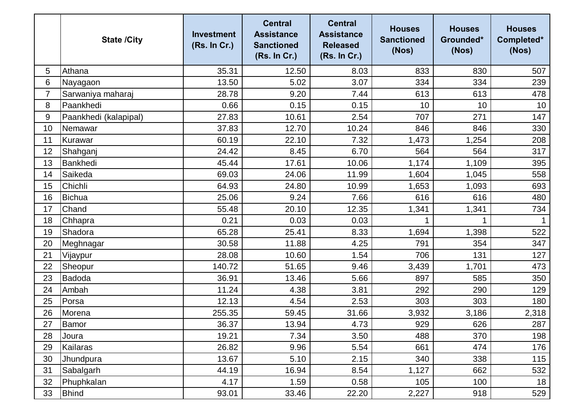|                | <b>State /City</b>    | <b>Investment</b><br>(Rs. In Cr.) | <b>Central</b><br><b>Assistance</b><br><b>Sanctioned</b><br>(Rs. In Cr.) | <b>Central</b><br><b>Assistance</b><br><b>Released</b><br>(Rs. In Cr.) | <b>Houses</b><br><b>Sanctioned</b><br>(Nos) | <b>Houses</b><br>Grounded*<br>(Nos) | <b>Houses</b><br>Completed*<br>(Nos) |
|----------------|-----------------------|-----------------------------------|--------------------------------------------------------------------------|------------------------------------------------------------------------|---------------------------------------------|-------------------------------------|--------------------------------------|
| 5              | Athana                | 35.31                             | 12.50                                                                    | 8.03                                                                   | 833                                         | 830                                 | 507                                  |
| 6              | Nayagaon              | 13.50                             | 5.02                                                                     | 3.07                                                                   | 334                                         | 334                                 | 239                                  |
| $\overline{7}$ | Sarwaniya maharaj     | 28.78                             | 9.20                                                                     | 7.44                                                                   | 613                                         | 613                                 | 478                                  |
| 8              | Paankhedi             | 0.66                              | 0.15                                                                     | 0.15                                                                   | 10                                          | 10                                  | 10                                   |
| 9              | Paankhedi (kalapipal) | 27.83                             | 10.61                                                                    | 2.54                                                                   | 707                                         | 271                                 | 147                                  |
| 10             | Nemawar               | 37.83                             | 12.70                                                                    | 10.24                                                                  | 846                                         | 846                                 | 330                                  |
| 11             | Kurawar               | 60.19                             | 22.10                                                                    | 7.32                                                                   | 1,473                                       | 1,254                               | 208                                  |
| 12             | Shahganj              | 24.42                             | 8.45                                                                     | 6.70                                                                   | 564                                         | 564                                 | 317                                  |
| 13             | Bankhedi              | 45.44                             | 17.61                                                                    | 10.06                                                                  | 1,174                                       | 1,109                               | 395                                  |
| 14             | Saikeda               | 69.03                             | 24.06                                                                    | 11.99                                                                  | 1,604                                       | 1,045                               | 558                                  |
| 15             | Chichli               | 64.93                             | 24.80                                                                    | 10.99                                                                  | 1,653                                       | 1,093                               | 693                                  |
| 16             | <b>Bichua</b>         | 25.06                             | 9.24                                                                     | 7.66                                                                   | 616                                         | 616                                 | 480                                  |
| 17             | Chand                 | 55.48                             | 20.10                                                                    | 12.35                                                                  | 1,341                                       | 1,341                               | 734                                  |
| 18             | Chhapra               | 0.21                              | 0.03                                                                     | 0.03                                                                   |                                             | 1                                   |                                      |
| 19             | Shadora               | 65.28                             | 25.41                                                                    | 8.33                                                                   | 1,694                                       | 1,398                               | 522                                  |
| 20             | Meghnagar             | 30.58                             | 11.88                                                                    | 4.25                                                                   | 791                                         | 354                                 | 347                                  |
| 21             | Vijaypur              | 28.08                             | 10.60                                                                    | 1.54                                                                   | 706                                         | 131                                 | 127                                  |
| 22             | Sheopur               | 140.72                            | 51.65                                                                    | 9.46                                                                   | 3,439                                       | 1,701                               | 473                                  |
| 23             | Badoda                | 36.91                             | 13.46                                                                    | 5.66                                                                   | 897                                         | 585                                 | 350                                  |
| 24             | Ambah                 | 11.24                             | 4.38                                                                     | 3.81                                                                   | 292                                         | 290                                 | 129                                  |
| 25             | Porsa                 | 12.13                             | 4.54                                                                     | 2.53                                                                   | 303                                         | 303                                 | 180                                  |
| 26             | Morena                | 255.35                            | 59.45                                                                    | 31.66                                                                  | 3,932                                       | 3,186                               | 2,318                                |
| 27             | Bamor                 | 36.37                             | 13.94                                                                    | 4.73                                                                   | 929                                         | 626                                 | 287                                  |
| 28             | Joura                 | 19.21                             | 7.34                                                                     | 3.50                                                                   | 488                                         | 370                                 | 198                                  |
| 29             | Kailaras              | 26.82                             | 9.96                                                                     | 5.54                                                                   | 661                                         | 474                                 | 176                                  |
| 30             | Jhundpura             | 13.67                             | 5.10                                                                     | 2.15                                                                   | 340                                         | 338                                 | 115                                  |
| 31             | Sabalgarh             | 44.19                             | 16.94                                                                    | 8.54                                                                   | 1,127                                       | 662                                 | 532                                  |
| 32             | Phuphkalan            | 4.17                              | 1.59                                                                     | 0.58                                                                   | 105                                         | 100                                 | 18                                   |
| 33             | <b>Bhind</b>          | 93.01                             | 33.46                                                                    | 22.20                                                                  | 2,227                                       | 918                                 | 529                                  |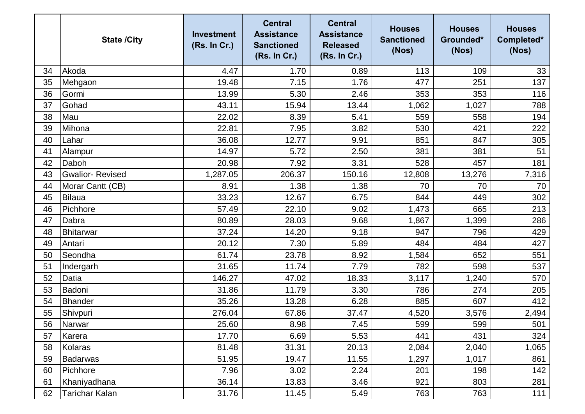|    | <b>State /City</b>     | <b>Investment</b><br>(Rs. In Cr.) | <b>Central</b><br><b>Assistance</b><br><b>Sanctioned</b><br>(Rs. In Cr.) | <b>Central</b><br><b>Assistance</b><br><b>Released</b><br>(Rs. In Cr.) | <b>Houses</b><br><b>Sanctioned</b><br>(Nos) | <b>Houses</b><br>Grounded*<br>(Nos) | <b>Houses</b><br>Completed*<br>(Nos) |
|----|------------------------|-----------------------------------|--------------------------------------------------------------------------|------------------------------------------------------------------------|---------------------------------------------|-------------------------------------|--------------------------------------|
| 34 | Akoda                  | 4.47                              | 1.70                                                                     | 0.89                                                                   | 113                                         | 109                                 | 33                                   |
| 35 | Mehgaon                | 19.48                             | 7.15                                                                     | 1.76                                                                   | 477                                         | 251                                 | 137                                  |
| 36 | Gormi                  | 13.99                             | 5.30                                                                     | 2.46                                                                   | 353                                         | 353                                 | 116                                  |
| 37 | Gohad                  | 43.11                             | 15.94                                                                    | 13.44                                                                  | 1,062                                       | 1,027                               | 788                                  |
| 38 | Mau                    | 22.02                             | 8.39                                                                     | 5.41                                                                   | 559                                         | 558                                 | 194                                  |
| 39 | Mihona                 | 22.81                             | 7.95                                                                     | 3.82                                                                   | 530                                         | 421                                 | 222                                  |
| 40 | Lahar                  | 36.08                             | 12.77                                                                    | 9.91                                                                   | 851                                         | 847                                 | 305                                  |
| 41 | Alampur                | 14.97                             | 5.72                                                                     | 2.50                                                                   | 381                                         | 381                                 | 51                                   |
| 42 | Daboh                  | 20.98                             | 7.92                                                                     | 3.31                                                                   | 528                                         | 457                                 | 181                                  |
| 43 | <b>Gwalior-Revised</b> | 1,287.05                          | 206.37                                                                   | 150.16                                                                 | 12,808                                      | 13,276                              | 7,316                                |
| 44 | Morar Cantt (CB)       | 8.91                              | 1.38                                                                     | 1.38                                                                   | 70                                          | 70                                  | 70                                   |
| 45 | Bilaua                 | 33.23                             | 12.67                                                                    | 6.75                                                                   | 844                                         | 449                                 | 302                                  |
| 46 | Pichhore               | 57.49                             | 22.10                                                                    | 9.02                                                                   | 1,473                                       | 665                                 | 213                                  |
| 47 | Dabra                  | 80.89                             | 28.03                                                                    | 9.68                                                                   | 1,867                                       | 1,399                               | 286                                  |
| 48 | Bhitarwar              | 37.24                             | 14.20                                                                    | 9.18                                                                   | 947                                         | 796                                 | 429                                  |
| 49 | Antari                 | 20.12                             | 7.30                                                                     | 5.89                                                                   | 484                                         | 484                                 | 427                                  |
| 50 | Seondha                | 61.74                             | 23.78                                                                    | 8.92                                                                   | 1,584                                       | 652                                 | 551                                  |
| 51 | Indergarh              | 31.65                             | 11.74                                                                    | 7.79                                                                   | 782                                         | 598                                 | 537                                  |
| 52 | Datia                  | 146.27                            | 47.02                                                                    | 18.33                                                                  | 3,117                                       | 1,240                               | 570                                  |
| 53 | Badoni                 | 31.86                             | 11.79                                                                    | 3.30                                                                   | 786                                         | 274                                 | 205                                  |
| 54 | <b>Bhander</b>         | 35.26                             | 13.28                                                                    | 6.28                                                                   | 885                                         | 607                                 | 412                                  |
| 55 | Shivpuri               | 276.04                            | 67.86                                                                    | 37.47                                                                  | 4,520                                       | 3,576                               | 2,494                                |
| 56 | Narwar                 | 25.60                             | 8.98                                                                     | 7.45                                                                   | 599                                         | 599                                 | 501                                  |
| 57 | Karera                 | 17.70                             | 6.69                                                                     | 5.53                                                                   | 441                                         | 431                                 | 324                                  |
| 58 | Kolaras                | 81.48                             | 31.31                                                                    | 20.13                                                                  | 2,084                                       | 2,040                               | 1,065                                |
| 59 | <b>Badarwas</b>        | 51.95                             | 19.47                                                                    | 11.55                                                                  | 1,297                                       | 1,017                               | 861                                  |
| 60 | Pichhore               | 7.96                              | 3.02                                                                     | 2.24                                                                   | 201                                         | 198                                 | 142                                  |
| 61 | Khaniyadhana           | 36.14                             | 13.83                                                                    | 3.46                                                                   | 921                                         | 803                                 | 281                                  |
| 62 | Tarichar Kalan         | 31.76                             | 11.45                                                                    | 5.49                                                                   | 763                                         | 763                                 | 111                                  |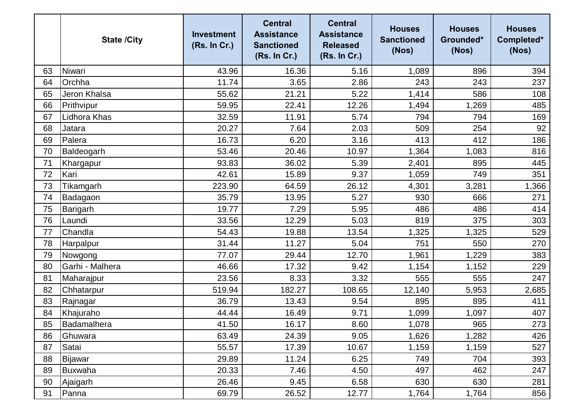|    | <b>State /City</b> | <b>Investment</b><br>(Rs. In Cr.) | <b>Central</b><br><b>Assistance</b><br><b>Sanctioned</b><br>(Rs. In Cr.) | <b>Central</b><br><b>Assistance</b><br><b>Released</b><br>(Rs. In Cr.) | <b>Houses</b><br><b>Sanctioned</b><br>(Nos) | <b>Houses</b><br>Grounded*<br>(Nos) | <b>Houses</b><br>Completed*<br>(Nos) |
|----|--------------------|-----------------------------------|--------------------------------------------------------------------------|------------------------------------------------------------------------|---------------------------------------------|-------------------------------------|--------------------------------------|
| 63 | Niwari             | 43.96                             | 16.36                                                                    | 5.16                                                                   | 1,089                                       | 896                                 | 394                                  |
| 64 | Orchha             | 11.74                             | 3.65                                                                     | 2.86                                                                   | 243                                         | 243                                 | 237                                  |
| 65 | Jeron Khalsa       | 55.62                             | 21.21                                                                    | 5.22                                                                   | 1,414                                       | 586                                 | 108                                  |
| 66 | Prithvipur         | 59.95                             | 22.41                                                                    | 12.26                                                                  | 1,494                                       | 1,269                               | 485                                  |
| 67 | Lidhora Khas       | 32.59                             | 11.91                                                                    | 5.74                                                                   | 794                                         | 794                                 | 169                                  |
| 68 | Jatara             | 20.27                             | 7.64                                                                     | 2.03                                                                   | 509                                         | 254                                 | 92                                   |
| 69 | Palera             | 16.73                             | 6.20                                                                     | 3.16                                                                   | 413                                         | 412                                 | 186                                  |
| 70 | Baldeogarh         | 53.46                             | 20.46                                                                    | 10.97                                                                  | 1,364                                       | 1,083                               | 816                                  |
| 71 | Khargapur          | 93.83                             | 36.02                                                                    | 5.39                                                                   | 2,401                                       | 895                                 | 445                                  |
| 72 | Kari               | 42.61                             | 15.89                                                                    | 9.37                                                                   | 1,059                                       | 749                                 | 351                                  |
| 73 | Tikamgarh          | 223.90                            | 64.59                                                                    | 26.12                                                                  | 4,301                                       | 3,281                               | 1,366                                |
| 74 | Badagaon           | 35.79                             | 13.95                                                                    | 5.27                                                                   | 930                                         | 666                                 | 271                                  |
| 75 | Barigarh           | 19.77                             | 7.29                                                                     | 5.95                                                                   | 486                                         | 486                                 | 414                                  |
| 76 | Laundi             | 33.56                             | 12.29                                                                    | 5.03                                                                   | 819                                         | 375                                 | 303                                  |
| 77 | Chandla            | 54.43                             | 19.88                                                                    | 13.54                                                                  | 1,325                                       | 1,325                               | 529                                  |
| 78 | Harpalpur          | 31.44                             | 11.27                                                                    | 5.04                                                                   | 751                                         | 550                                 | 270                                  |
| 79 | Nowgong            | 77.07                             | 29.44                                                                    | 12.70                                                                  | 1,961                                       | 1,229                               | 383                                  |
| 80 | Garhi - Malhera    | 46.66                             | 17.32                                                                    | 9.42                                                                   | 1,154                                       | 1,152                               | 229                                  |
| 81 | Maharajpur         | 23.56                             | 8.33                                                                     | 3.32                                                                   | 555                                         | 555                                 | 247                                  |
| 82 | Chhatarpur         | 519.94                            | 182.27                                                                   | 108.65                                                                 | 12,140                                      | 5,953                               | 2,685                                |
| 83 | Rajnagar           | 36.79                             | 13.43                                                                    | 9.54                                                                   | 895                                         | 895                                 | 411                                  |
| 84 | Khajuraho          | 44.44                             | 16.49                                                                    | 9.71                                                                   | 1,099                                       | 1,097                               | 407                                  |
| 85 | Badamalhera        | 41.50                             | 16.17                                                                    | 8.60                                                                   | 1,078                                       | 965                                 | 273                                  |
| 86 | Ghuwara            | 63.49                             | 24.39                                                                    | 9.05                                                                   | 1,626                                       | 1,282                               | 426                                  |
| 87 | Satai              | 55.57                             | 17.39                                                                    | 10.67                                                                  | 1,159                                       | 1,159                               | 527                                  |
| 88 | Bijawar            | 29.89                             | 11.24                                                                    | 6.25                                                                   | 749                                         | 704                                 | 393                                  |
| 89 | Buxwaha            | 20.33                             | 7.46                                                                     | 4.50                                                                   | 497                                         | 462                                 | 247                                  |
| 90 | Ajaigarh           | 26.46                             | 9.45                                                                     | 6.58                                                                   | 630                                         | 630                                 | 281                                  |
| 91 | Panna              | 69.79                             | 26.52                                                                    | 12.77                                                                  | 1,764                                       | 1,764                               | 856                                  |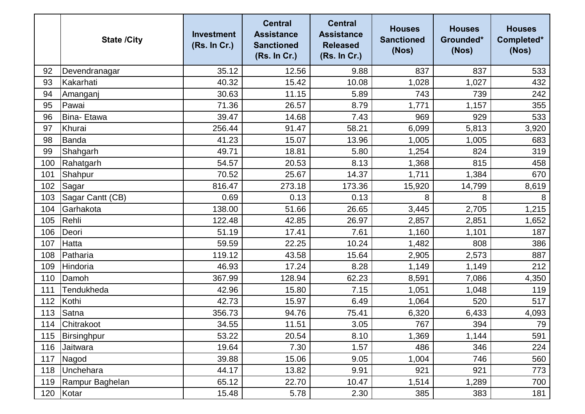|     | <b>State /City</b> | <b>Investment</b><br>(Rs. In Cr.) | <b>Central</b><br><b>Assistance</b><br><b>Sanctioned</b><br>(Rs. In Cr.) | <b>Central</b><br><b>Assistance</b><br><b>Released</b><br>(Rs. In Cr.) | <b>Houses</b><br><b>Sanctioned</b><br>(Nos) | <b>Houses</b><br>Grounded*<br>(Nos) | <b>Houses</b><br>Completed*<br>(Nos) |
|-----|--------------------|-----------------------------------|--------------------------------------------------------------------------|------------------------------------------------------------------------|---------------------------------------------|-------------------------------------|--------------------------------------|
| 92  | Devendranagar      | 35.12                             | 12.56                                                                    | 9.88                                                                   | 837                                         | 837                                 | 533                                  |
| 93  | Kakarhati          | 40.32                             | 15.42                                                                    | 10.08                                                                  | 1,028                                       | 1,027                               | 432                                  |
| 94  | Amanganj           | 30.63                             | 11.15                                                                    | 5.89                                                                   | 743                                         | 739                                 | 242                                  |
| 95  | Pawai              | 71.36                             | 26.57                                                                    | 8.79                                                                   | 1,771                                       | 1,157                               | 355                                  |
| 96  | Bina- Etawa        | 39.47                             | 14.68                                                                    | 7.43                                                                   | 969                                         | 929                                 | 533                                  |
| 97  | Khurai             | 256.44                            | 91.47                                                                    | 58.21                                                                  | 6,099                                       | 5,813                               | 3,920                                |
| 98  | Banda              | 41.23                             | 15.07                                                                    | 13.96                                                                  | 1,005                                       | 1,005                               | 683                                  |
| 99  | Shahgarh           | 49.71                             | 18.81                                                                    | 5.80                                                                   | 1,254                                       | 824                                 | 319                                  |
| 100 | Rahatgarh          | 54.57                             | 20.53                                                                    | 8.13                                                                   | 1,368                                       | 815                                 | 458                                  |
| 101 | Shahpur            | 70.52                             | 25.67                                                                    | 14.37                                                                  | 1,711                                       | 1,384                               | 670                                  |
| 102 | Sagar              | 816.47                            | 273.18                                                                   | 173.36                                                                 | 15,920                                      | 14,799                              | 8,619                                |
| 103 | Sagar Cantt (CB)   | 0.69                              | 0.13                                                                     | 0.13                                                                   | 8                                           | 8                                   | 8                                    |
| 104 | Garhakota          | 138.00                            | 51.66                                                                    | 26.65                                                                  | 3,445                                       | 2,705                               | 1,215                                |
| 105 | Rehli              | 122.48                            | 42.85                                                                    | 26.97                                                                  | 2,857                                       | 2,851                               | 1,652                                |
| 106 | Deori              | 51.19                             | 17.41                                                                    | 7.61                                                                   | 1,160                                       | 1,101                               | 187                                  |
| 107 | Hatta              | 59.59                             | 22.25                                                                    | 10.24                                                                  | 1,482                                       | 808                                 | 386                                  |
| 108 | Patharia           | 119.12                            | 43.58                                                                    | 15.64                                                                  | 2,905                                       | 2,573                               | 887                                  |
| 109 | Hindoria           | 46.93                             | 17.24                                                                    | 8.28                                                                   | 1,149                                       | 1,149                               | 212                                  |
| 110 | Damoh              | 367.99                            | 128.94                                                                   | 62.23                                                                  | 8,591                                       | 7,086                               | 4,350                                |
| 111 | Tendukheda         | 42.96                             | 15.80                                                                    | 7.15                                                                   | 1,051                                       | 1,048                               | 119                                  |
| 112 | Kothi              | 42.73                             | 15.97                                                                    | 6.49                                                                   | 1,064                                       | 520                                 | 517                                  |
| 113 | Satna              | 356.73                            | 94.76                                                                    | 75.41                                                                  | 6,320                                       | 6,433                               | 4,093                                |
| 114 | Chitrakoot         | 34.55                             | 11.51                                                                    | 3.05                                                                   | 767                                         | 394                                 | 79                                   |
| 115 | Birsinghpur        | 53.22                             | 20.54                                                                    | 8.10                                                                   | 1,369                                       | 1,144                               | 591                                  |
| 116 | Jaitwara           | 19.64                             | 7.30                                                                     | 1.57                                                                   | 486                                         | 346                                 | 224                                  |
| 117 | Nagod              | 39.88                             | 15.06                                                                    | 9.05                                                                   | 1,004                                       | 746                                 | 560                                  |
| 118 | Unchehara          | 44.17                             | 13.82                                                                    | 9.91                                                                   | 921                                         | 921                                 | 773                                  |
| 119 | Rampur Baghelan    | 65.12                             | 22.70                                                                    | 10.47                                                                  | 1,514                                       | 1,289                               | 700                                  |
| 120 | Kotar              | 15.48                             | 5.78                                                                     | 2.30                                                                   | 385                                         | 383                                 | 181                                  |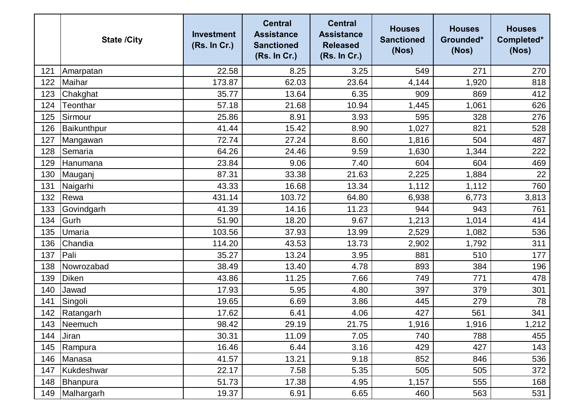|     | <b>State /City</b> | <b>Investment</b><br>(Rs. In Cr.) | <b>Central</b><br><b>Assistance</b><br><b>Sanctioned</b><br>(Rs. In Cr.) | <b>Central</b><br><b>Assistance</b><br><b>Released</b><br>(Rs. In Cr.) | <b>Houses</b><br><b>Sanctioned</b><br>(Nos) | <b>Houses</b><br>Grounded*<br>(Nos) | <b>Houses</b><br>Completed*<br>(Nos) |
|-----|--------------------|-----------------------------------|--------------------------------------------------------------------------|------------------------------------------------------------------------|---------------------------------------------|-------------------------------------|--------------------------------------|
| 121 | Amarpatan          | 22.58                             | 8.25                                                                     | 3.25                                                                   | 549                                         | 271                                 | 270                                  |
| 122 | Maihar             | 173.87                            | 62.03                                                                    | 23.64                                                                  | 4,144                                       | 1,920                               | 818                                  |
| 123 | Chakghat           | 35.77                             | 13.64                                                                    | 6.35                                                                   | 909                                         | 869                                 | 412                                  |
| 124 | Teonthar           | 57.18                             | 21.68                                                                    | 10.94                                                                  | 1,445                                       | 1,061                               | 626                                  |
| 125 | Sirmour            | 25.86                             | 8.91                                                                     | 3.93                                                                   | 595                                         | 328                                 | 276                                  |
| 126 | Baikunthpur        | 41.44                             | 15.42                                                                    | 8.90                                                                   | 1,027                                       | 821                                 | 528                                  |
| 127 | Mangawan           | 72.74                             | 27.24                                                                    | 8.60                                                                   | 1,816                                       | 504                                 | 487                                  |
| 128 | Semaria            | 64.26                             | 24.46                                                                    | 9.59                                                                   | 1,630                                       | 1,344                               | 222                                  |
| 129 | Hanumana           | 23.84                             | 9.06                                                                     | 7.40                                                                   | 604                                         | 604                                 | 469                                  |
| 130 | Mauganj            | 87.31                             | 33.38                                                                    | 21.63                                                                  | 2,225                                       | 1,884                               | 22                                   |
| 131 | Naigarhi           | 43.33                             | 16.68                                                                    | 13.34                                                                  | 1,112                                       | 1,112                               | 760                                  |
| 132 | Rewa               | 431.14                            | 103.72                                                                   | 64.80                                                                  | 6,938                                       | 6,773                               | 3,813                                |
| 133 | Govindgarh         | 41.39                             | 14.16                                                                    | 11.23                                                                  | 944                                         | 943                                 | 761                                  |
| 134 | Gurh               | 51.90                             | 18.20                                                                    | 9.67                                                                   | 1,213                                       | 1,014                               | 414                                  |
| 135 | Umaria             | 103.56                            | 37.93                                                                    | 13.99                                                                  | 2,529                                       | 1,082                               | 536                                  |
| 136 | Chandia            | 114.20                            | 43.53                                                                    | 13.73                                                                  | 2,902                                       | 1,792                               | 311                                  |
| 137 | Pali               | 35.27                             | 13.24                                                                    | 3.95                                                                   | 881                                         | 510                                 | 177                                  |
| 138 | Nowrozabad         | 38.49                             | 13.40                                                                    | 4.78                                                                   | 893                                         | 384                                 | 196                                  |
| 139 | <b>Diken</b>       | 43.86                             | 11.25                                                                    | 7.66                                                                   | 749                                         | 771                                 | 478                                  |
| 140 | Jawad              | 17.93                             | 5.95                                                                     | 4.80                                                                   | 397                                         | 379                                 | 301                                  |
| 141 | Singoli            | 19.65                             | 6.69                                                                     | 3.86                                                                   | 445                                         | 279                                 | 78                                   |
| 142 | Ratangarh          | 17.62                             | 6.41                                                                     | 4.06                                                                   | 427                                         | 561                                 | 341                                  |
|     | 143 Neemuch        | 98.42                             | 29.19                                                                    | 21.75                                                                  | 1,916                                       | 1,916                               | 1,212                                |
| 144 | Jiran              | 30.31                             | 11.09                                                                    | 7.05                                                                   | 740                                         | 788                                 | 455                                  |
| 145 | Rampura            | 16.46                             | 6.44                                                                     | 3.16                                                                   | 429                                         | 427                                 | 143                                  |
| 146 | Manasa             | 41.57                             | 13.21                                                                    | 9.18                                                                   | 852                                         | 846                                 | 536                                  |
| 147 | Kukdeshwar         | 22.17                             | 7.58                                                                     | 5.35                                                                   | 505                                         | 505                                 | 372                                  |
| 148 | Bhanpura           | 51.73                             | 17.38                                                                    | 4.95                                                                   | 1,157                                       | 555                                 | 168                                  |
| 149 | Malhargarh         | 19.37                             | 6.91                                                                     | 6.65                                                                   | 460                                         | 563                                 | 531                                  |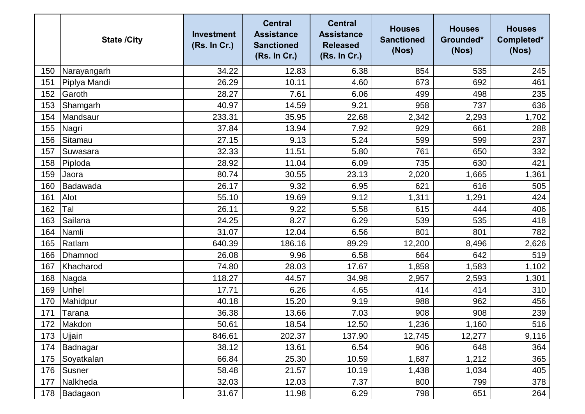|     | <b>State /City</b> | <b>Investment</b><br>(Rs. In Cr.) | <b>Central</b><br><b>Assistance</b><br><b>Sanctioned</b><br>(Rs. In Cr.) | <b>Central</b><br><b>Assistance</b><br><b>Released</b><br>(Rs. In Cr.) | <b>Houses</b><br><b>Sanctioned</b><br>(Nos) | <b>Houses</b><br>Grounded*<br>(Nos) | <b>Houses</b><br>Completed*<br>(Nos) |
|-----|--------------------|-----------------------------------|--------------------------------------------------------------------------|------------------------------------------------------------------------|---------------------------------------------|-------------------------------------|--------------------------------------|
| 150 | Narayangarh        | 34.22                             | 12.83                                                                    | 6.38                                                                   | 854                                         | 535                                 | 245                                  |
| 151 | Piplya Mandi       | 26.29                             | 10.11                                                                    | 4.60                                                                   | 673                                         | 692                                 | 461                                  |
| 152 | Garoth             | 28.27                             | 7.61                                                                     | 6.06                                                                   | 499                                         | 498                                 | 235                                  |
| 153 | Shamgarh           | 40.97                             | 14.59                                                                    | 9.21                                                                   | 958                                         | 737                                 | 636                                  |
| 154 | Mandsaur           | 233.31                            | 35.95                                                                    | 22.68                                                                  | 2,342                                       | 2,293                               | 1,702                                |
| 155 | Nagri              | 37.84                             | 13.94                                                                    | 7.92                                                                   | 929                                         | 661                                 | 288                                  |
| 156 | Sitamau            | 27.15                             | 9.13                                                                     | 5.24                                                                   | 599                                         | 599                                 | 237                                  |
| 157 | Suwasara           | 32.33                             | 11.51                                                                    | 5.80                                                                   | 761                                         | 650                                 | 332                                  |
| 158 | Piploda            | 28.92                             | 11.04                                                                    | 6.09                                                                   | 735                                         | 630                                 | 421                                  |
| 159 | Jaora              | 80.74                             | 30.55                                                                    | 23.13                                                                  | 2,020                                       | 1,665                               | 1,361                                |
| 160 | Badawada           | 26.17                             | 9.32                                                                     | 6.95                                                                   | 621                                         | 616                                 | 505                                  |
| 161 | Alot               | 55.10                             | 19.69                                                                    | 9.12                                                                   | 1,311                                       | 1,291                               | 424                                  |
| 162 | Tal                | 26.11                             | 9.22                                                                     | 5.58                                                                   | 615                                         | 444                                 | 406                                  |
| 163 | Sailana            | 24.25                             | 8.27                                                                     | 6.29                                                                   | 539                                         | 535                                 | 418                                  |
| 164 | Namli              | 31.07                             | 12.04                                                                    | 6.56                                                                   | 801                                         | 801                                 | 782                                  |
| 165 | Ratlam             | 640.39                            | 186.16                                                                   | 89.29                                                                  | 12,200                                      | 8,496                               | 2,626                                |
| 166 | Dhamnod            | 26.08                             | 9.96                                                                     | 6.58                                                                   | 664                                         | 642                                 | 519                                  |
| 167 | Khacharod          | 74.80                             | 28.03                                                                    | 17.67                                                                  | 1,858                                       | 1,583                               | 1,102                                |
| 168 | Nagda              | 118.27                            | 44.57                                                                    | 34.98                                                                  | 2,957                                       | 2,593                               | 1,301                                |
| 169 | Unhel              | 17.71                             | 6.26                                                                     | 4.65                                                                   | 414                                         | 414                                 | 310                                  |
| 170 | Mahidpur           | 40.18                             | 15.20                                                                    | 9.19                                                                   | 988                                         | 962                                 | 456                                  |
| 171 | Tarana             | 36.38                             | 13.66                                                                    | 7.03                                                                   | 908                                         | 908                                 | 239                                  |
| 172 | Makdon             | 50.61                             | 18.54                                                                    | 12.50                                                                  | 1,236                                       | 1,160                               | 516                                  |
| 173 | Ujjain             | 846.61                            | 202.37                                                                   | 137.90                                                                 | 12,745                                      | 12,277                              | 9,116                                |
| 174 | Badnagar           | 38.12                             | 13.61                                                                    | 6.54                                                                   | 906                                         | 648                                 | 364                                  |
| 175 | Soyatkalan         | 66.84                             | 25.30                                                                    | 10.59                                                                  | 1,687                                       | 1,212                               | 365                                  |
| 176 | Susner             | 58.48                             | 21.57                                                                    | 10.19                                                                  | 1,438                                       | 1,034                               | 405                                  |
| 177 | Nalkheda           | 32.03                             | 12.03                                                                    | 7.37                                                                   | 800                                         | 799                                 | 378                                  |
| 178 | Badagaon           | 31.67                             | 11.98                                                                    | 6.29                                                                   | 798                                         | 651                                 | 264                                  |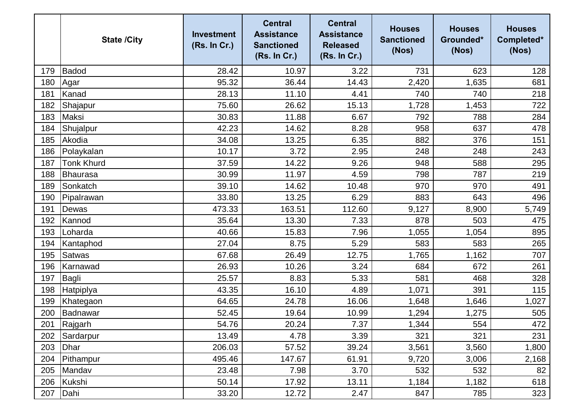|     | <b>State /City</b> | <b>Investment</b><br>(Rs. In Cr.) | <b>Central</b><br><b>Assistance</b><br><b>Sanctioned</b><br>(Rs. In Cr.) | <b>Central</b><br><b>Assistance</b><br><b>Released</b><br>(Rs. In Cr.) | <b>Houses</b><br><b>Sanctioned</b><br>(Nos) | <b>Houses</b><br>Grounded*<br>(Nos) | <b>Houses</b><br>Completed*<br>(Nos) |
|-----|--------------------|-----------------------------------|--------------------------------------------------------------------------|------------------------------------------------------------------------|---------------------------------------------|-------------------------------------|--------------------------------------|
| 179 | Badod              | 28.42                             | 10.97                                                                    | 3.22                                                                   | 731                                         | 623                                 | 128                                  |
| 180 | Agar               | 95.32                             | 36.44                                                                    | 14.43                                                                  | 2,420                                       | 1,635                               | 681                                  |
| 181 | Kanad              | 28.13                             | 11.10                                                                    | 4.41                                                                   | 740                                         | 740                                 | 218                                  |
| 182 | Shajapur           | 75.60                             | 26.62                                                                    | 15.13                                                                  | 1,728                                       | 1,453                               | 722                                  |
| 183 | <b>Maksi</b>       | 30.83                             | 11.88                                                                    | 6.67                                                                   | 792                                         | 788                                 | 284                                  |
| 184 | Shujalpur          | 42.23                             | 14.62                                                                    | 8.28                                                                   | 958                                         | 637                                 | 478                                  |
| 185 | Akodia             | 34.08                             | 13.25                                                                    | 6.35                                                                   | 882                                         | 376                                 | 151                                  |
| 186 | Polaykalan         | 10.17                             | 3.72                                                                     | 2.95                                                                   | 248                                         | 248                                 | 243                                  |
| 187 | <b>Tonk Khurd</b>  | 37.59                             | 14.22                                                                    | 9.26                                                                   | 948                                         | 588                                 | 295                                  |
| 188 | Bhaurasa           | 30.99                             | 11.97                                                                    | 4.59                                                                   | 798                                         | 787                                 | 219                                  |
| 189 | Sonkatch           | 39.10                             | 14.62                                                                    | 10.48                                                                  | 970                                         | 970                                 | 491                                  |
| 190 | Pipalrawan         | 33.80                             | 13.25                                                                    | 6.29                                                                   | 883                                         | 643                                 | 496                                  |
| 191 | Dewas              | 473.33                            | 163.51                                                                   | 112.60                                                                 | 9,127                                       | 8,900                               | 5,749                                |
| 192 | Kannod             | 35.64                             | 13.30                                                                    | 7.33                                                                   | 878                                         | 503                                 | 475                                  |
| 193 | Loharda            | 40.66                             | 15.83                                                                    | 7.96                                                                   | 1,055                                       | 1,054                               | 895                                  |
| 194 | Kantaphod          | 27.04                             | 8.75                                                                     | 5.29                                                                   | 583                                         | 583                                 | 265                                  |
| 195 | <b>Satwas</b>      | 67.68                             | 26.49                                                                    | 12.75                                                                  | 1,765                                       | 1,162                               | 707                                  |
| 196 | Karnawad           | 26.93                             | 10.26                                                                    | 3.24                                                                   | 684                                         | 672                                 | 261                                  |
| 197 | Bagli              | 25.57                             | 8.83                                                                     | 5.33                                                                   | 581                                         | 468                                 | 328                                  |
| 198 | <b>Hatpiplya</b>   | 43.35                             | 16.10                                                                    | 4.89                                                                   | 1,071                                       | 391                                 | 115                                  |
| 199 | Khategaon          | 64.65                             | 24.78                                                                    | 16.06                                                                  | 1,648                                       | 1,646                               | 1,027                                |
| 200 | Badnawar           | 52.45                             | 19.64                                                                    | 10.99                                                                  | 1,294                                       | 1,275                               | 505                                  |
|     | 201 Rajgarh        | 54.76                             | 20.24                                                                    | 7.37                                                                   | 1,344                                       | 554                                 | 472                                  |
| 202 | Sardarpur          | 13.49                             | 4.78                                                                     | 3.39                                                                   | 321                                         | 321                                 | 231                                  |
| 203 | Dhar               | 206.03                            | 57.52                                                                    | 39.24                                                                  | 3,561                                       | 3,560                               | 1,800                                |
| 204 | Pithampur          | 495.46                            | 147.67                                                                   | 61.91                                                                  | 9,720                                       | 3,006                               | 2,168                                |
| 205 | Mandav             | 23.48                             | 7.98                                                                     | 3.70                                                                   | 532                                         | 532                                 | 82                                   |
| 206 | Kukshi             | 50.14                             | 17.92                                                                    | 13.11                                                                  | 1,184                                       | 1,182                               | 618                                  |
| 207 | Dahi               | 33.20                             | 12.72                                                                    | 2.47                                                                   | 847                                         | 785                                 | 323                                  |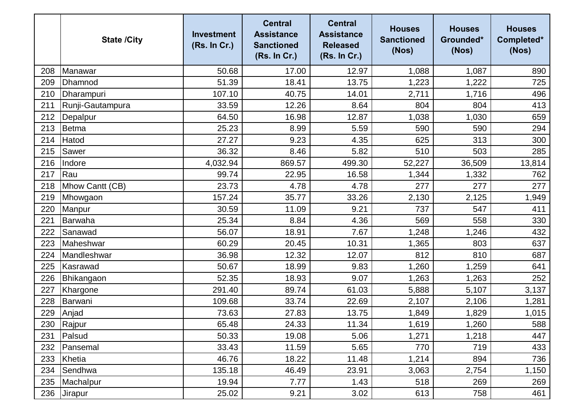|     | <b>State /City</b> | <b>Investment</b><br>(Rs. In Cr.) | <b>Central</b><br><b>Assistance</b><br><b>Sanctioned</b><br>(Rs. In Cr.) | <b>Central</b><br><b>Assistance</b><br><b>Released</b><br>(Rs. In Cr.) | <b>Houses</b><br><b>Sanctioned</b><br>(Nos) | <b>Houses</b><br>Grounded*<br>(Nos) | <b>Houses</b><br>Completed*<br>(Nos) |
|-----|--------------------|-----------------------------------|--------------------------------------------------------------------------|------------------------------------------------------------------------|---------------------------------------------|-------------------------------------|--------------------------------------|
| 208 | Manawar            | 50.68                             | 17.00                                                                    | 12.97                                                                  | 1,088                                       | 1,087                               | 890                                  |
| 209 | Dhamnod            | 51.39                             | 18.41                                                                    | 13.75                                                                  | 1,223                                       | 1,222                               | 725                                  |
| 210 | Dharampuri         | 107.10                            | 40.75                                                                    | 14.01                                                                  | 2,711                                       | 1,716                               | 496                                  |
| 211 | Runji-Gautampura   | 33.59                             | 12.26                                                                    | 8.64                                                                   | 804                                         | 804                                 | 413                                  |
| 212 | Depalpur           | 64.50                             | 16.98                                                                    | 12.87                                                                  | 1,038                                       | 1,030                               | 659                                  |
| 213 | Betma              | 25.23                             | 8.99                                                                     | 5.59                                                                   | 590                                         | 590                                 | 294                                  |
| 214 | Hatod              | 27.27                             | 9.23                                                                     | 4.35                                                                   | 625                                         | 313                                 | 300                                  |
| 215 | Sawer              | 36.32                             | 8.46                                                                     | 5.82                                                                   | 510                                         | 503                                 | 285                                  |
| 216 | Indore             | 4,032.94                          | 869.57                                                                   | 499.30                                                                 | 52,227                                      | 36,509                              | 13,814                               |
| 217 | Rau                | 99.74                             | 22.95                                                                    | 16.58                                                                  | 1,344                                       | 1,332                               | 762                                  |
| 218 | Mhow Cantt (CB)    | 23.73                             | 4.78                                                                     | 4.78                                                                   | 277                                         | 277                                 | 277                                  |
| 219 | Mhowgaon           | 157.24                            | 35.77                                                                    | 33.26                                                                  | 2,130                                       | 2,125                               | 1,949                                |
| 220 | Manpur             | 30.59                             | 11.09                                                                    | 9.21                                                                   | 737                                         | 547                                 | 411                                  |
| 221 | Barwaha            | 25.34                             | 8.84                                                                     | 4.36                                                                   | 569                                         | 558                                 | 330                                  |
| 222 | Sanawad            | 56.07                             | 18.91                                                                    | 7.67                                                                   | 1,248                                       | 1,246                               | 432                                  |
| 223 | Maheshwar          | 60.29                             | 20.45                                                                    | 10.31                                                                  | 1,365                                       | 803                                 | 637                                  |
| 224 | Mandleshwar        | 36.98                             | 12.32                                                                    | 12.07                                                                  | 812                                         | 810                                 | 687                                  |
| 225 | Kasrawad           | 50.67                             | 18.99                                                                    | 9.83                                                                   | 1,260                                       | 1,259                               | 641                                  |
| 226 | Bhikangaon         | 52.35                             | 18.93                                                                    | 9.07                                                                   | 1,263                                       | 1,263                               | 252                                  |
| 227 | Khargone           | 291.40                            | 89.74                                                                    | 61.03                                                                  | 5,888                                       | 5,107                               | 3,137                                |
| 228 | Barwani            | 109.68                            | 33.74                                                                    | 22.69                                                                  | 2,107                                       | 2,106                               | 1,281                                |
| 229 | Anjad              | 73.63                             | 27.83                                                                    | 13.75                                                                  | 1,849                                       | 1,829                               | 1,015                                |
|     | 230 Rajpur         | 65.48                             | 24.33                                                                    | 11.34                                                                  | 1,619                                       | 1,260                               | 588                                  |
| 231 | Palsud             | 50.33                             | 19.08                                                                    | 5.06                                                                   | 1,271                                       | 1,218                               | 447                                  |
| 232 | Pansemal           | 33.43                             | 11.59                                                                    | 5.65                                                                   | 770                                         | 719                                 | 433                                  |
| 233 | Khetia             | 46.76                             | 18.22                                                                    | 11.48                                                                  | 1,214                                       | 894                                 | 736                                  |
| 234 | Sendhwa            | 135.18                            | 46.49                                                                    | 23.91                                                                  | 3,063                                       | 2,754                               | 1,150                                |
| 235 | Machalpur          | 19.94                             | 7.77                                                                     | 1.43                                                                   | 518                                         | 269                                 | 269                                  |
| 236 | <b>Jirapur</b>     | 25.02                             | 9.21                                                                     | 3.02                                                                   | 613                                         | 758                                 | 461                                  |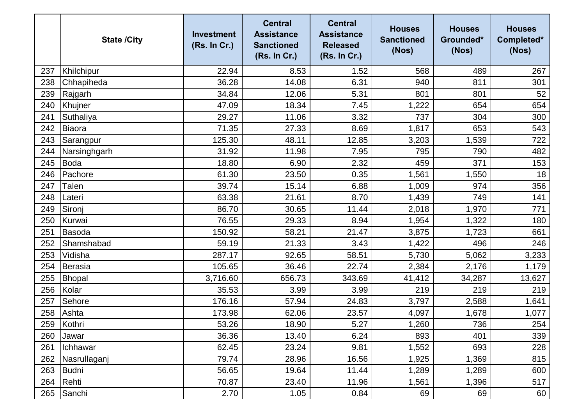|     | <b>State /City</b> | <b>Investment</b><br>(Rs. In Cr.) | <b>Central</b><br><b>Assistance</b><br><b>Sanctioned</b><br>(Rs. In Cr.) | <b>Central</b><br><b>Assistance</b><br><b>Released</b><br>(Rs. In Cr.) | <b>Houses</b><br><b>Sanctioned</b><br>(Nos) | <b>Houses</b><br>Grounded*<br>(Nos) | <b>Houses</b><br>Completed*<br>(Nos) |
|-----|--------------------|-----------------------------------|--------------------------------------------------------------------------|------------------------------------------------------------------------|---------------------------------------------|-------------------------------------|--------------------------------------|
| 237 | Khilchipur         | 22.94                             | 8.53                                                                     | 1.52                                                                   | 568                                         | 489                                 | 267                                  |
| 238 | Chhapiheda         | 36.28                             | 14.08                                                                    | 6.31                                                                   | 940                                         | 811                                 | 301                                  |
| 239 | Rajgarh            | 34.84                             | 12.06                                                                    | 5.31                                                                   | 801                                         | 801                                 | 52                                   |
| 240 | Khujner            | 47.09                             | 18.34                                                                    | 7.45                                                                   | 1,222                                       | 654                                 | 654                                  |
| 241 | Suthaliya          | 29.27                             | 11.06                                                                    | 3.32                                                                   | 737                                         | 304                                 | 300                                  |
| 242 | Biaora             | 71.35                             | 27.33                                                                    | 8.69                                                                   | 1,817                                       | 653                                 | 543                                  |
| 243 | Sarangpur          | 125.30                            | 48.11                                                                    | 12.85                                                                  | 3,203                                       | 1,539                               | 722                                  |
| 244 | Narsinghgarh       | 31.92                             | 11.98                                                                    | 7.95                                                                   | 795                                         | 790                                 | 482                                  |
| 245 | <b>Boda</b>        | 18.80                             | 6.90                                                                     | 2.32                                                                   | 459                                         | 371                                 | 153                                  |
| 246 | Pachore            | 61.30                             | 23.50                                                                    | 0.35                                                                   | 1,561                                       | 1,550                               | 18                                   |
| 247 | Talen              | 39.74                             | 15.14                                                                    | 6.88                                                                   | 1,009                                       | 974                                 | 356                                  |
| 248 | Lateri             | 63.38                             | 21.61                                                                    | 8.70                                                                   | 1,439                                       | 749                                 | 141                                  |
| 249 | Sironj             | 86.70                             | 30.65                                                                    | 11.44                                                                  | 2,018                                       | 1,970                               | 771                                  |
| 250 | Kurwai             | 76.55                             | 29.33                                                                    | 8.94                                                                   | 1,954                                       | 1,322                               | 180                                  |
| 251 | Basoda             | 150.92                            | 58.21                                                                    | 21.47                                                                  | 3,875                                       | 1,723                               | 661                                  |
| 252 | Shamshabad         | 59.19                             | 21.33                                                                    | 3.43                                                                   | 1,422                                       | 496                                 | 246                                  |
| 253 | Vidisha            | 287.17                            | 92.65                                                                    | 58.51                                                                  | 5,730                                       | 5,062                               | 3,233                                |
| 254 | Berasia            | 105.65                            | 36.46                                                                    | 22.74                                                                  | 2,384                                       | 2,176                               | 1,179                                |
| 255 | Bhopal             | 3,716.60                          | 656.73                                                                   | 343.69                                                                 | 41,412                                      | 34,287                              | 13,627                               |
| 256 | Kolar              | 35.53                             | 3.99                                                                     | 3.99                                                                   | 219                                         | 219                                 | 219                                  |
| 257 | Sehore             | 176.16                            | 57.94                                                                    | 24.83                                                                  | 3,797                                       | 2,588                               | 1,641                                |
| 258 | Ashta              | 173.98                            | 62.06                                                                    | 23.57                                                                  | 4,097                                       | 1,678                               | 1,077                                |
| 259 | Kothri             | 53.26                             | 18.90                                                                    | 5.27                                                                   | 1,260                                       | 736                                 | 254                                  |
| 260 | Jawar              | 36.36                             | 13.40                                                                    | 6.24                                                                   | 893                                         | 401                                 | 339                                  |
| 261 | Ichhawar           | 62.45                             | 23.24                                                                    | 9.81                                                                   | 1,552                                       | 693                                 | 228                                  |
| 262 | Nasrullaganj       | 79.74                             | 28.96                                                                    | 16.56                                                                  | 1,925                                       | 1,369                               | 815                                  |
| 263 | Budni              | 56.65                             | 19.64                                                                    | 11.44                                                                  | 1,289                                       | 1,289                               | 600                                  |
| 264 | Rehti              | 70.87                             | 23.40                                                                    | 11.96                                                                  | 1,561                                       | 1,396                               | 517                                  |
| 265 | Sanchi             | 2.70                              | 1.05                                                                     | 0.84                                                                   | 69                                          | 69                                  | 60                                   |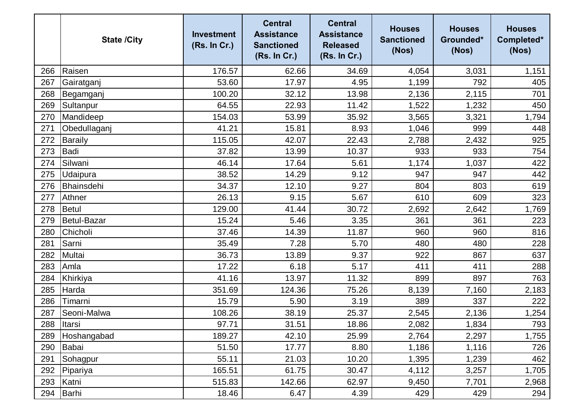|     | <b>State /City</b> | <b>Investment</b><br>(Rs. In Cr.) | <b>Central</b><br><b>Assistance</b><br><b>Sanctioned</b><br>(Rs. In Cr.) | <b>Central</b><br><b>Assistance</b><br><b>Released</b><br>(Rs. In Cr.) | <b>Houses</b><br><b>Sanctioned</b><br>(Nos) | <b>Houses</b><br>Grounded*<br>(Nos) | <b>Houses</b><br>Completed*<br>(Nos) |
|-----|--------------------|-----------------------------------|--------------------------------------------------------------------------|------------------------------------------------------------------------|---------------------------------------------|-------------------------------------|--------------------------------------|
| 266 | Raisen             | 176.57                            | 62.66                                                                    | 34.69                                                                  | 4,054                                       | 3,031                               | 1,151                                |
| 267 | Gairatganj         | 53.60                             | 17.97                                                                    | 4.95                                                                   | 1,199                                       | 792                                 | 405                                  |
| 268 | Begamganj          | 100.20                            | 32.12                                                                    | 13.98                                                                  | 2,136                                       | 2,115                               | 701                                  |
| 269 | Sultanpur          | 64.55                             | 22.93                                                                    | 11.42                                                                  | 1,522                                       | 1,232                               | 450                                  |
| 270 | Mandideep          | 154.03                            | 53.99                                                                    | 35.92                                                                  | 3,565                                       | 3,321                               | 1,794                                |
| 271 | Obedullaganj       | 41.21                             | 15.81                                                                    | 8.93                                                                   | 1,046                                       | 999                                 | 448                                  |
| 272 | <b>Baraily</b>     | 115.05                            | 42.07                                                                    | 22.43                                                                  | 2,788                                       | 2,432                               | 925                                  |
| 273 | Badi               | 37.82                             | 13.99                                                                    | 10.37                                                                  | 933                                         | 933                                 | 754                                  |
| 274 | Silwani            | 46.14                             | 17.64                                                                    | 5.61                                                                   | 1,174                                       | 1,037                               | 422                                  |
| 275 | Udaipura           | 38.52                             | 14.29                                                                    | 9.12                                                                   | 947                                         | 947                                 | 442                                  |
| 276 | Bhainsdehi         | 34.37                             | 12.10                                                                    | 9.27                                                                   | 804                                         | 803                                 | 619                                  |
| 277 | Athner             | 26.13                             | 9.15                                                                     | 5.67                                                                   | 610                                         | 609                                 | 323                                  |
| 278 | <b>Betul</b>       | 129.00                            | 41.44                                                                    | 30.72                                                                  | 2,692                                       | 2,642                               | 1,769                                |
| 279 | <b>Betul-Bazar</b> | 15.24                             | 5.46                                                                     | 3.35                                                                   | 361                                         | 361                                 | 223                                  |
| 280 | Chicholi           | 37.46                             | 14.39                                                                    | 11.87                                                                  | 960                                         | 960                                 | 816                                  |
| 281 | Sarni              | 35.49                             | 7.28                                                                     | 5.70                                                                   | 480                                         | 480                                 | 228                                  |
| 282 | Multai             | 36.73                             | 13.89                                                                    | 9.37                                                                   | 922                                         | 867                                 | 637                                  |
| 283 | Amla               | 17.22                             | 6.18                                                                     | 5.17                                                                   | 411                                         | 411                                 | 288                                  |
| 284 | Khirkiya           | 41.16                             | 13.97                                                                    | 11.32                                                                  | 899                                         | 897                                 | 763                                  |
| 285 | Harda              | 351.69                            | 124.36                                                                   | 75.26                                                                  | 8,139                                       | 7,160                               | 2,183                                |
| 286 | Timarni            | 15.79                             | 5.90                                                                     | 3.19                                                                   | 389                                         | 337                                 | 222                                  |
| 287 | Seoni-Malwa        | 108.26                            | 38.19                                                                    | 25.37                                                                  | 2,545                                       | 2,136                               | 1,254                                |
| 288 | Itarsi             | 97.71                             | 31.51                                                                    | 18.86                                                                  | 2,082                                       | 1,834                               | 793                                  |
| 289 | Hoshangabad        | 189.27                            | 42.10                                                                    | 25.99                                                                  | 2,764                                       | 2,297                               | 1,755                                |
| 290 | Babai              | 51.50                             | 17.77                                                                    | 8.80                                                                   | 1,186                                       | 1,116                               | 726                                  |
| 291 | Sohagpur           | 55.11                             | 21.03                                                                    | 10.20                                                                  | 1,395                                       | 1,239                               | 462                                  |
| 292 | Pipariya           | 165.51                            | 61.75                                                                    | 30.47                                                                  | 4,112                                       | 3,257                               | 1,705                                |
| 293 | Katni              | 515.83                            | 142.66                                                                   | 62.97                                                                  | 9,450                                       | 7,701                               | 2,968                                |
| 294 | Barhi              | 18.46                             | 6.47                                                                     | 4.39                                                                   | 429                                         | 429                                 | 294                                  |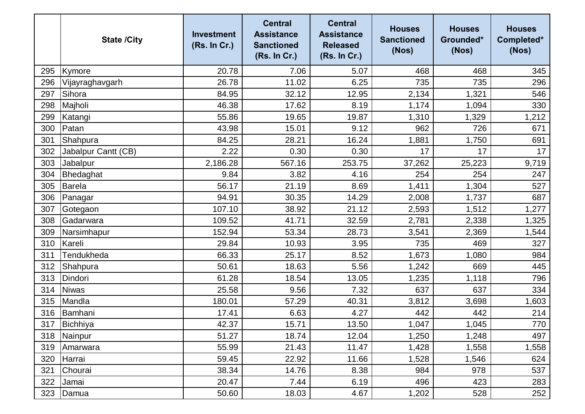|     | <b>State /City</b>  | <b>Investment</b><br>(Rs. In Cr.) | <b>Central</b><br><b>Assistance</b><br><b>Sanctioned</b><br>(Rs. In Cr.) | <b>Central</b><br><b>Assistance</b><br><b>Released</b><br>(Rs. In Cr.) | <b>Houses</b><br><b>Sanctioned</b><br>(Nos) | <b>Houses</b><br>Grounded*<br>(Nos) | <b>Houses</b><br>Completed*<br>(Nos) |
|-----|---------------------|-----------------------------------|--------------------------------------------------------------------------|------------------------------------------------------------------------|---------------------------------------------|-------------------------------------|--------------------------------------|
| 295 | Kymore              | 20.78                             | 7.06                                                                     | 5.07                                                                   | 468                                         | 468                                 | 345                                  |
| 296 | Vijayraghavgarh     | 26.78                             | 11.02                                                                    | 6.25                                                                   | 735                                         | 735                                 | 296                                  |
| 297 | Sihora              | 84.95                             | 32.12                                                                    | 12.95                                                                  | 2,134                                       | 1,321                               | 546                                  |
| 298 | Majholi             | 46.38                             | 17.62                                                                    | 8.19                                                                   | 1,174                                       | 1,094                               | 330                                  |
| 299 | Katangi             | 55.86                             | 19.65                                                                    | 19.87                                                                  | 1,310                                       | 1,329                               | 1,212                                |
| 300 | Patan               | 43.98                             | 15.01                                                                    | 9.12                                                                   | 962                                         | 726                                 | 671                                  |
| 301 | Shahpura            | 84.25                             | 28.21                                                                    | 16.24                                                                  | 1,881                                       | 1,750                               | 691                                  |
| 302 | Jabalpur Cantt (CB) | 2.22                              | 0.30                                                                     | 0.30                                                                   | 17                                          | 17                                  | 17                                   |
| 303 | Jabalpur            | 2,186.28                          | 567.16                                                                   | 253.75                                                                 | 37,262                                      | 25,223                              | 9,719                                |
| 304 | Bhedaghat           | 9.84                              | 3.82                                                                     | 4.16                                                                   | 254                                         | 254                                 | 247                                  |
| 305 | <b>Barela</b>       | 56.17                             | 21.19                                                                    | 8.69                                                                   | 1,411                                       | 1,304                               | 527                                  |
| 306 | Panagar             | 94.91                             | 30.35                                                                    | 14.29                                                                  | 2,008                                       | 1,737                               | 687                                  |
| 307 | Gotegaon            | 107.10                            | 38.92                                                                    | 21.12                                                                  | 2,593                                       | 1,512                               | 1,277                                |
| 308 | Gadarwara           | 109.52                            | 41.71                                                                    | 32.59                                                                  | 2,781                                       | 2,338                               | 1,325                                |
| 309 | Narsimhapur         | 152.94                            | 53.34                                                                    | 28.73                                                                  | 3,541                                       | 2,369                               | 1,544                                |
| 310 | Kareli              | 29.84                             | 10.93                                                                    | 3.95                                                                   | 735                                         | 469                                 | 327                                  |
| 311 | Tendukheda          | 66.33                             | 25.17                                                                    | 8.52                                                                   | 1,673                                       | 1,080                               | 984                                  |
| 312 | Shahpura            | 50.61                             | 18.63                                                                    | 5.56                                                                   | 1,242                                       | 669                                 | 445                                  |
| 313 | Dindori             | 61.28                             | 18.54                                                                    | 13.05                                                                  | 1,235                                       | 1,118                               | 796                                  |
| 314 | <b>Niwas</b>        | 25.58                             | 9.56                                                                     | 7.32                                                                   | 637                                         | 637                                 | 334                                  |
| 315 | Mandla              | 180.01                            | 57.29                                                                    | 40.31                                                                  | 3,812                                       | 3,698                               | 1,603                                |
| 316 | Bamhani             | 17.41                             | 6.63                                                                     | 4.27                                                                   | 442                                         | 442                                 | 214                                  |
|     | 317 Bichhiya        | 42.37                             | 15.71                                                                    | 13.50                                                                  | 1,047                                       | 1,045                               | 770                                  |
| 318 | Nainpur             | 51.27                             | 18.74                                                                    | 12.04                                                                  | 1,250                                       | 1,248                               | 497                                  |
| 319 | Amarwara            | 55.99                             | 21.43                                                                    | 11.47                                                                  | 1,428                                       | 1,558                               | 1,558                                |
| 320 | Harrai              | 59.45                             | 22.92                                                                    | 11.66                                                                  | 1,528                                       | 1,546                               | 624                                  |
| 321 | Chourai             | 38.34                             | 14.76                                                                    | 8.38                                                                   | 984                                         | 978                                 | 537                                  |
| 322 | Jamai               | 20.47                             | 7.44                                                                     | 6.19                                                                   | 496                                         | 423                                 | 283                                  |
| 323 | Damua               | 50.60                             | 18.03                                                                    | 4.67                                                                   | 1,202                                       | 528                                 | 252                                  |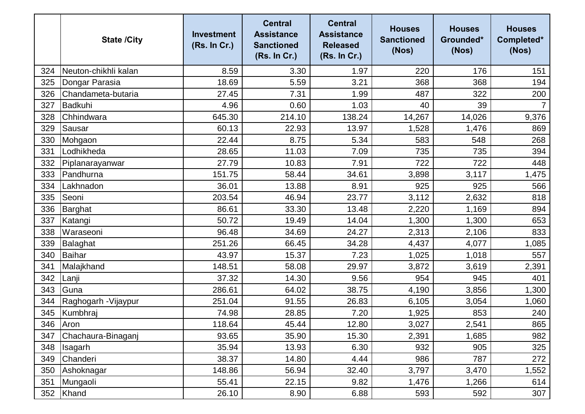|     | <b>State /City</b>   | <b>Investment</b><br>(Rs. In Cr.) | <b>Central</b><br><b>Assistance</b><br><b>Sanctioned</b><br>(Rs. In Cr.) | <b>Central</b><br><b>Assistance</b><br><b>Released</b><br>(Rs. In Cr.) | <b>Houses</b><br><b>Sanctioned</b><br>(Nos) | <b>Houses</b><br>Grounded*<br>(Nos) | <b>Houses</b><br>Completed*<br>(Nos) |
|-----|----------------------|-----------------------------------|--------------------------------------------------------------------------|------------------------------------------------------------------------|---------------------------------------------|-------------------------------------|--------------------------------------|
| 324 | Neuton-chikhli kalan | 8.59                              | 3.30                                                                     | 1.97                                                                   | 220                                         | 176                                 | 151                                  |
| 325 | Dongar Parasia       | 18.69                             | 5.59                                                                     | 3.21                                                                   | 368                                         | 368                                 | 194                                  |
| 326 | Chandameta-butaria   | 27.45                             | 7.31                                                                     | 1.99                                                                   | 487                                         | 322                                 | 200                                  |
| 327 | Badkuhi              | 4.96                              | 0.60                                                                     | 1.03                                                                   | 40                                          | 39                                  |                                      |
| 328 | Chhindwara           | 645.30                            | 214.10                                                                   | 138.24                                                                 | 14,267                                      | 14,026                              | 9,376                                |
| 329 | Sausar               | 60.13                             | 22.93                                                                    | 13.97                                                                  | 1,528                                       | 1,476                               | 869                                  |
| 330 | Mohgaon              | 22.44                             | 8.75                                                                     | 5.34                                                                   | 583                                         | 548                                 | 268                                  |
| 331 | Lodhikheda           | 28.65                             | 11.03                                                                    | 7.09                                                                   | 735                                         | 735                                 | 394                                  |
| 332 | Piplanarayanwar      | 27.79                             | 10.83                                                                    | 7.91                                                                   | 722                                         | 722                                 | 448                                  |
| 333 | Pandhurna            | 151.75                            | 58.44                                                                    | 34.61                                                                  | 3,898                                       | 3,117                               | 1,475                                |
| 334 | Lakhnadon            | 36.01                             | 13.88                                                                    | 8.91                                                                   | 925                                         | 925                                 | 566                                  |
| 335 | Seoni                | 203.54                            | 46.94                                                                    | 23.77                                                                  | 3,112                                       | 2,632                               | 818                                  |
| 336 | Barghat              | 86.61                             | 33.30                                                                    | 13.48                                                                  | 2,220                                       | 1,169                               | 894                                  |
| 337 | Katangi              | 50.72                             | 19.49                                                                    | 14.04                                                                  | 1,300                                       | 1,300                               | 653                                  |
| 338 | Waraseoni            | 96.48                             | 34.69                                                                    | 24.27                                                                  | 2,313                                       | 2,106                               | 833                                  |
| 339 | Balaghat             | 251.26                            | 66.45                                                                    | 34.28                                                                  | 4,437                                       | 4,077                               | 1,085                                |
| 340 | <b>Baihar</b>        | 43.97                             | 15.37                                                                    | 7.23                                                                   | 1,025                                       | 1,018                               | 557                                  |
| 341 | Malajkhand           | 148.51                            | 58.08                                                                    | 29.97                                                                  | 3,872                                       | 3,619                               | 2,391                                |
| 342 | Lanji                | 37.32                             | 14.30                                                                    | 9.56                                                                   | 954                                         | 945                                 | 401                                  |
| 343 | Guna                 | 286.61                            | 64.02                                                                    | 38.75                                                                  | 4,190                                       | 3,856                               | 1,300                                |
| 344 | Raghogarh -Vijaypur  | 251.04                            | 91.55                                                                    | 26.83                                                                  | 6,105                                       | 3,054                               | 1,060                                |
| 345 | Kumbhraj             | 74.98                             | 28.85                                                                    | 7.20                                                                   | 1,925                                       | 853                                 | 240                                  |
| 346 | Aron                 | 118.64                            | 45.44                                                                    | 12.80                                                                  | 3,027                                       | 2,541                               | 865                                  |
| 347 | Chachaura-Binaganj   | 93.65                             | 35.90                                                                    | 15.30                                                                  | 2,391                                       | 1,685                               | 982                                  |
| 348 | Isagarh              | 35.94                             | 13.93                                                                    | 6.30                                                                   | 932                                         | 905                                 | 325                                  |
| 349 | Chanderi             | 38.37                             | 14.80                                                                    | 4.44                                                                   | 986                                         | 787                                 | 272                                  |
| 350 | Ashoknagar           | 148.86                            | 56.94                                                                    | 32.40                                                                  | 3,797                                       | 3,470                               | 1,552                                |
| 351 | Mungaoli             | 55.41                             | 22.15                                                                    | 9.82                                                                   | 1,476                                       | 1,266                               | 614                                  |
| 352 | Khand                | 26.10                             | 8.90                                                                     | 6.88                                                                   | 593                                         | 592                                 | 307                                  |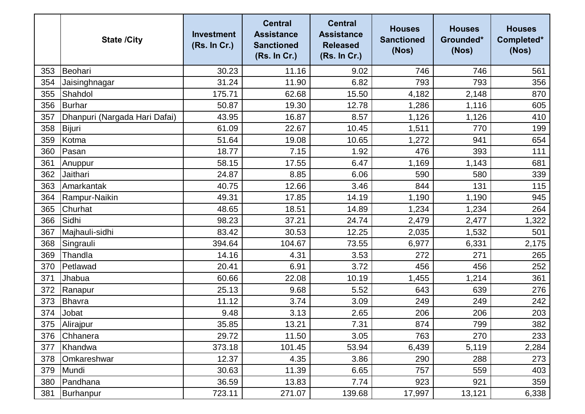|     | <b>State /City</b>            | <b>Investment</b><br>(Rs. In Cr.) | <b>Central</b><br><b>Assistance</b><br><b>Sanctioned</b><br>(Rs. In Cr.) | <b>Central</b><br><b>Assistance</b><br><b>Released</b><br>(Rs. In Cr.) | <b>Houses</b><br><b>Sanctioned</b><br>(Nos) | <b>Houses</b><br>Grounded*<br>(Nos) | <b>Houses</b><br>Completed*<br>(Nos) |
|-----|-------------------------------|-----------------------------------|--------------------------------------------------------------------------|------------------------------------------------------------------------|---------------------------------------------|-------------------------------------|--------------------------------------|
| 353 | Beohari                       | 30.23                             | 11.16                                                                    | 9.02                                                                   | 746                                         | 746                                 | 561                                  |
| 354 | Jaisinghnagar                 | 31.24                             | 11.90                                                                    | 6.82                                                                   | 793                                         | 793                                 | 356                                  |
| 355 | Shahdol                       | 175.71                            | 62.68                                                                    | 15.50                                                                  | 4,182                                       | 2,148                               | 870                                  |
| 356 | <b>Burhar</b>                 | 50.87                             | 19.30                                                                    | 12.78                                                                  | 1,286                                       | 1,116                               | 605                                  |
| 357 | Dhanpuri (Nargada Hari Dafai) | 43.95                             | 16.87                                                                    | 8.57                                                                   | 1,126                                       | 1,126                               | 410                                  |
| 358 | Bijuri                        | 61.09                             | 22.67                                                                    | 10.45                                                                  | 1,511                                       | 770                                 | 199                                  |
| 359 | Kotma                         | 51.64                             | 19.08                                                                    | 10.65                                                                  | 1,272                                       | 941                                 | 654                                  |
| 360 | Pasan                         | 18.77                             | 7.15                                                                     | 1.92                                                                   | 476                                         | 393                                 | 111                                  |
| 361 | Anuppur                       | 58.15                             | 17.55                                                                    | 6.47                                                                   | 1,169                                       | 1,143                               | 681                                  |
| 362 | Jaithari                      | 24.87                             | 8.85                                                                     | 6.06                                                                   | 590                                         | 580                                 | 339                                  |
| 363 | Amarkantak                    | 40.75                             | 12.66                                                                    | 3.46                                                                   | 844                                         | 131                                 | 115                                  |
| 364 | Rampur-Naikin                 | 49.31                             | 17.85                                                                    | 14.19                                                                  | 1,190                                       | 1,190                               | 945                                  |
| 365 | Churhat                       | 48.65                             | 18.51                                                                    | 14.89                                                                  | 1,234                                       | 1,234                               | 264                                  |
| 366 | Sidhi                         | 98.23                             | 37.21                                                                    | 24.74                                                                  | 2,479                                       | 2,477                               | 1,322                                |
| 367 | Majhauli-sidhi                | 83.42                             | 30.53                                                                    | 12.25                                                                  | 2,035                                       | 1,532                               | 501                                  |
| 368 | Singrauli                     | 394.64                            | 104.67                                                                   | 73.55                                                                  | 6,977                                       | 6,331                               | 2,175                                |
| 369 | Thandla                       | 14.16                             | 4.31                                                                     | 3.53                                                                   | 272                                         | 271                                 | 265                                  |
| 370 | Petlawad                      | 20.41                             | 6.91                                                                     | 3.72                                                                   | 456                                         | 456                                 | 252                                  |
| 371 | Jhabua                        | 60.66                             | 22.08                                                                    | 10.19                                                                  | 1,455                                       | 1,214                               | 361                                  |
| 372 | Ranapur                       | 25.13                             | 9.68                                                                     | 5.52                                                                   | 643                                         | 639                                 | 276                                  |
| 373 | Bhavra                        | 11.12                             | 3.74                                                                     | 3.09                                                                   | 249                                         | 249                                 | 242                                  |
| 374 | Jobat                         | 9.48                              | 3.13                                                                     | 2.65                                                                   | 206                                         | 206                                 | 203                                  |
|     | 375 Alirajpur                 | 35.85                             | 13.21                                                                    | 7.31                                                                   | 874                                         | 799                                 | 382                                  |
| 376 | Chhanera                      | 29.72                             | 11.50                                                                    | 3.05                                                                   | 763                                         | 270                                 | 233                                  |
| 377 | Khandwa                       | 373.18                            | 101.45                                                                   | 53.94                                                                  | 6,439                                       | 5,119                               | 2,284                                |
| 378 | Omkareshwar                   | 12.37                             | 4.35                                                                     | 3.86                                                                   | 290                                         | 288                                 | 273                                  |
| 379 | Mundi                         | 30.63                             | 11.39                                                                    | 6.65                                                                   | 757                                         | 559                                 | 403                                  |
| 380 | Pandhana                      | 36.59                             | 13.83                                                                    | 7.74                                                                   | 923                                         | 921                                 | 359                                  |
| 381 | Burhanpur                     | 723.11                            | 271.07                                                                   | 139.68                                                                 | 17,997                                      | 13,121                              | 6,338                                |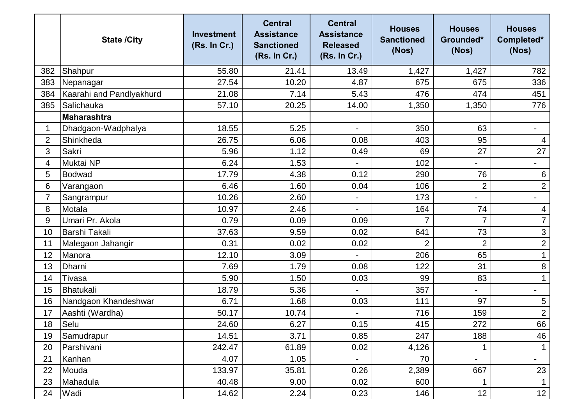|                | <b>State /City</b>       | <b>Investment</b><br>(Rs. In Cr.) | <b>Central</b><br><b>Assistance</b><br><b>Sanctioned</b><br>(Rs. In Cr.) | <b>Central</b><br><b>Assistance</b><br><b>Released</b><br>(Rs. In Cr.) | <b>Houses</b><br><b>Sanctioned</b><br>(Nos) | <b>Houses</b><br>Grounded*<br>(Nos) | <b>Houses</b><br>Completed*<br>(Nos) |
|----------------|--------------------------|-----------------------------------|--------------------------------------------------------------------------|------------------------------------------------------------------------|---------------------------------------------|-------------------------------------|--------------------------------------|
| 382            | Shahpur                  | 55.80                             | 21.41                                                                    | 13.49                                                                  | 1,427                                       | 1,427                               | 782                                  |
| 383            | Nepanagar                | 27.54                             | 10.20                                                                    | 4.87                                                                   | 675                                         | 675                                 | 336                                  |
| 384            | Kaarahi and Pandlyakhurd | 21.08                             | 7.14                                                                     | 5.43                                                                   | 476                                         | 474                                 | 451                                  |
| 385            | Salichauka               | 57.10                             | 20.25                                                                    | 14.00                                                                  | 1,350                                       | 1,350                               | 776                                  |
|                | <b>Maharashtra</b>       |                                   |                                                                          |                                                                        |                                             |                                     |                                      |
| 1              | Dhadgaon-Wadphalya       | 18.55                             | 5.25                                                                     |                                                                        | 350                                         | 63                                  | $\qquad \qquad \blacksquare$         |
| $\overline{2}$ | Shinkheda                | 26.75                             | 6.06                                                                     | 0.08                                                                   | 403                                         | 95                                  | 4                                    |
| 3              | Sakri                    | 5.96                              | 1.12                                                                     | 0.49                                                                   | 69                                          | 27                                  | 27                                   |
| 4              | Muktai NP                | 6.24                              | 1.53                                                                     |                                                                        | 102                                         | Ξ.                                  | $\overline{\phantom{a}}$             |
| 5              | Bodwad                   | 17.79                             | 4.38                                                                     | 0.12                                                                   | 290                                         | 76                                  | 6                                    |
| 6              | Varangaon                | 6.46                              | 1.60                                                                     | 0.04                                                                   | 106                                         | $\overline{2}$                      | $\overline{2}$                       |
| 7              | Sangrampur               | 10.26                             | 2.60                                                                     | $\blacksquare$                                                         | 173                                         | ۰                                   | $\blacksquare$                       |
| 8              | Motala                   | 10.97                             | 2.46                                                                     |                                                                        | 164                                         | 74                                  | 4                                    |
| 9              | Umari Pr. Akola          | 0.79                              | 0.09                                                                     | 0.09                                                                   | 7                                           | $\overline{7}$                      | $\overline{7}$                       |
| 10             | <b>Barshi Takali</b>     | 37.63                             | 9.59                                                                     | 0.02                                                                   | 641                                         | 73                                  | $\mathfrak{S}$                       |
| 11             | Malegaon Jahangir        | 0.31                              | 0.02                                                                     | 0.02                                                                   | $\overline{2}$                              | $\overline{2}$                      | $\overline{c}$                       |
| 12             | Manora                   | 12.10                             | 3.09                                                                     |                                                                        | 206                                         | 65                                  |                                      |
| 13             | Dharni                   | 7.69                              | 1.79                                                                     | 0.08                                                                   | 122                                         | 31                                  | $\bf 8$                              |
| 14             | Tivasa                   | 5.90                              | 1.50                                                                     | 0.03                                                                   | 99                                          | 83                                  | $\mathbf{1}$                         |
| 15             | Bhatukali                | 18.79                             | 5.36                                                                     |                                                                        | 357                                         |                                     | $\overline{\phantom{a}}$             |
| 16             | Nandgaon Khandeshwar     | 6.71                              | 1.68                                                                     | 0.03                                                                   | 111                                         | 97                                  | 5                                    |
| 17             | Aashti (Wardha)          | 50.17                             | 10.74                                                                    |                                                                        | 716                                         | 159                                 | $\overline{c}$                       |
| 18             | Selu                     | 24.60                             | 6.27                                                                     | 0.15                                                                   | 415                                         | 272                                 | 66                                   |
| 19             | Samudrapur               | 14.51                             | 3.71                                                                     | 0.85                                                                   | 247                                         | 188                                 | 46                                   |
| 20             | Parshivani               | 242.47                            | 61.89                                                                    | 0.02                                                                   | 4,126                                       | 1                                   |                                      |
| 21             | Kanhan                   | 4.07                              | 1.05                                                                     |                                                                        | 70                                          | $\overline{\phantom{0}}$            | $\blacksquare$                       |
| 22             | Mouda                    | 133.97                            | 35.81                                                                    | 0.26                                                                   | 2,389                                       | 667                                 | 23                                   |
| 23             | Mahadula                 | 40.48                             | 9.00                                                                     | 0.02                                                                   | 600                                         | $\mathbf{1}$                        | $\mathbf 1$                          |
| 24             | Wadi                     | 14.62                             | 2.24                                                                     | 0.23                                                                   | 146                                         | 12                                  | 12                                   |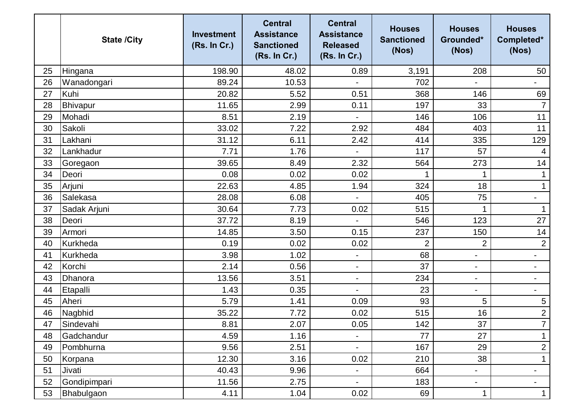|    | <b>State /City</b> | <b>Investment</b><br>(Rs. In Cr.) | <b>Central</b><br><b>Assistance</b><br><b>Sanctioned</b><br>(Rs. In Cr.) | <b>Central</b><br><b>Assistance</b><br><b>Released</b><br>(Rs. In Cr.) | <b>Houses</b><br><b>Sanctioned</b><br>(Nos) | <b>Houses</b><br>Grounded*<br>(Nos) | <b>Houses</b><br>Completed*<br>(Nos) |
|----|--------------------|-----------------------------------|--------------------------------------------------------------------------|------------------------------------------------------------------------|---------------------------------------------|-------------------------------------|--------------------------------------|
| 25 | Hingana            | 198.90                            | 48.02                                                                    | 0.89                                                                   | 3,191                                       | 208                                 | 50                                   |
| 26 | Wanadongari        | 89.24                             | 10.53                                                                    |                                                                        | 702                                         |                                     | $\qquad \qquad -$                    |
| 27 | Kuhi               | 20.82                             | 5.52                                                                     | 0.51                                                                   | 368                                         | 146                                 | 69                                   |
| 28 | Bhivapur           | 11.65                             | 2.99                                                                     | 0.11                                                                   | 197                                         | 33                                  | $\overline{7}$                       |
| 29 | Mohadi             | 8.51                              | 2.19                                                                     |                                                                        | 146                                         | 106                                 | 11                                   |
| 30 | Sakoli             | 33.02                             | 7.22                                                                     | 2.92                                                                   | 484                                         | 403                                 | 11                                   |
| 31 | Lakhani            | 31.12                             | 6.11                                                                     | 2.42                                                                   | 414                                         | 335                                 | 129                                  |
| 32 | Lankhadur          | 7.71                              | 1.76                                                                     |                                                                        | 117                                         | 57                                  | 4                                    |
| 33 | Goregaon           | 39.65                             | 8.49                                                                     | 2.32                                                                   | 564                                         | 273                                 | 14                                   |
| 34 | Deori              | 0.08                              | 0.02                                                                     | 0.02                                                                   |                                             | 1                                   |                                      |
| 35 | Arjuni             | 22.63                             | 4.85                                                                     | 1.94                                                                   | 324                                         | 18                                  | $\mathbf 1$                          |
| 36 | Salekasa           | 28.08                             | 6.08                                                                     |                                                                        | 405                                         | 75                                  | $\overline{\phantom{a}}$             |
| 37 | Sadak Arjuni       | 30.64                             | 7.73                                                                     | 0.02                                                                   | 515                                         |                                     |                                      |
| 38 | Deori              | 37.72                             | 8.19                                                                     |                                                                        | 546                                         | 123                                 | 27                                   |
| 39 | Armori             | 14.85                             | 3.50                                                                     | 0.15                                                                   | 237                                         | 150                                 | 14                                   |
| 40 | Kurkheda           | 0.19                              | 0.02                                                                     | 0.02                                                                   | 2                                           | $\overline{2}$                      | $\overline{2}$                       |
| 41 | Kurkheda           | 3.98                              | 1.02                                                                     | $\blacksquare$                                                         | 68                                          | $\blacksquare$                      | $\overline{\phantom{a}}$             |
| 42 | Korchi             | 2.14                              | 0.56                                                                     | $\overline{\phantom{a}}$                                               | 37                                          | $\overline{\phantom{a}}$            | $\blacksquare$                       |
| 43 | Dhanora            | 13.56                             | 3.51                                                                     | $\blacksquare$                                                         | 234                                         | $\blacksquare$                      | $\qquad \qquad \blacksquare$         |
| 44 | Etapalli           | 1.43                              | 0.35                                                                     | $\overline{\phantom{a}}$                                               | 23                                          | $\overline{\phantom{0}}$            | $\overline{\phantom{a}}$             |
| 45 | Aheri              | 5.79                              | 1.41                                                                     | 0.09                                                                   | 93                                          | 5                                   | 5                                    |
| 46 | Nagbhid            | 35.22                             | 7.72                                                                     | 0.02                                                                   | 515                                         | 16                                  | $\overline{2}$                       |
| 47 | Sindevahi          | 8.81                              | 2.07                                                                     | 0.05                                                                   | 142                                         | 37                                  | $\overline{7}$                       |
| 48 | Gadchandur         | 4.59                              | 1.16                                                                     |                                                                        | 77                                          | 27                                  |                                      |
| 49 | Pombhurna          | 9.56                              | 2.51                                                                     | $\blacksquare$                                                         | 167                                         | 29                                  | $\overline{2}$                       |
| 50 | Korpana            | 12.30                             | 3.16                                                                     | 0.02                                                                   | 210                                         | 38                                  | $\mathbf 1$                          |
| 51 | Jivati             | 40.43                             | 9.96                                                                     | $\overline{\phantom{a}}$                                               | 664                                         | $\overline{\phantom{0}}$            | $\overline{\phantom{a}}$             |
| 52 | Gondipimpari       | 11.56                             | 2.75                                                                     |                                                                        | 183                                         | $\blacksquare$                      | $\blacksquare$                       |
| 53 | Bhabulgaon         | 4.11                              | 1.04                                                                     | 0.02                                                                   | 69                                          | $\mathbf{1}$                        | $\mathbf 1$                          |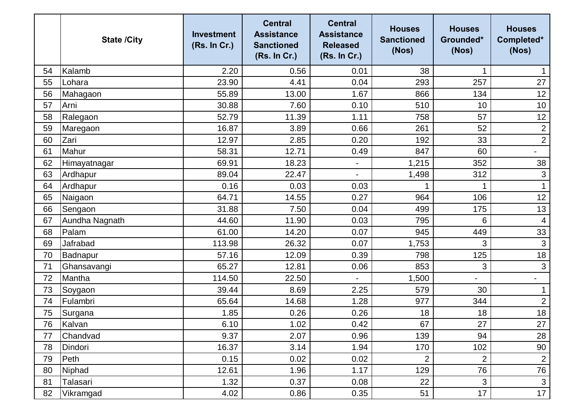|    | <b>State /City</b> | <b>Investment</b><br>(Rs. In Cr.) | <b>Central</b><br><b>Assistance</b><br><b>Sanctioned</b><br>(Rs. In Cr.) | <b>Central</b><br><b>Assistance</b><br><b>Released</b><br>(Rs. In Cr.) | <b>Houses</b><br><b>Sanctioned</b><br>(Nos) | <b>Houses</b><br>Grounded*<br>(Nos) | <b>Houses</b><br>Completed*<br>(Nos) |
|----|--------------------|-----------------------------------|--------------------------------------------------------------------------|------------------------------------------------------------------------|---------------------------------------------|-------------------------------------|--------------------------------------|
| 54 | Kalamb             | 2.20                              | 0.56                                                                     | 0.01                                                                   | 38                                          | 1                                   |                                      |
| 55 | Lohara             | 23.90                             | 4.41                                                                     | 0.04                                                                   | 293                                         | 257                                 | 27                                   |
| 56 | Mahagaon           | 55.89                             | 13.00                                                                    | 1.67                                                                   | 866                                         | 134                                 | 12                                   |
| 57 | Arni               | 30.88                             | 7.60                                                                     | 0.10                                                                   | 510                                         | 10                                  | 10                                   |
| 58 | Ralegaon           | 52.79                             | 11.39                                                                    | 1.11                                                                   | 758                                         | 57                                  | 12                                   |
| 59 | Maregaon           | 16.87                             | 3.89                                                                     | 0.66                                                                   | 261                                         | 52                                  | $\mathbf{2}$                         |
| 60 | Zari               | 12.97                             | 2.85                                                                     | 0.20                                                                   | 192                                         | 33                                  | $\overline{2}$                       |
| 61 | Mahur              | 58.31                             | 12.71                                                                    | 0.49                                                                   | 847                                         | 60                                  |                                      |
| 62 | Himayatnagar       | 69.91                             | 18.23                                                                    | $\overline{\phantom{a}}$                                               | 1,215                                       | 352                                 | 38                                   |
| 63 | Ardhapur           | 89.04                             | 22.47                                                                    |                                                                        | 1,498                                       | 312                                 | $\mathfrak{S}$                       |
| 64 | Ardhapur           | 0.16                              | 0.03                                                                     | 0.03                                                                   |                                             | 1                                   | $\mathbf{1}$                         |
| 65 | Naigaon            | 64.71                             | 14.55                                                                    | 0.27                                                                   | 964                                         | 106                                 | 12                                   |
| 66 | Sengaon            | 31.88                             | 7.50                                                                     | 0.04                                                                   | 499                                         | 175                                 | 13                                   |
| 67 | Aundha Nagnath     | 44.60                             | 11.90                                                                    | 0.03                                                                   | 795                                         | 6                                   | $\overline{4}$                       |
| 68 | Palam              | 61.00                             | 14.20                                                                    | 0.07                                                                   | 945                                         | 449                                 | 33                                   |
| 69 | Jafrabad           | 113.98                            | 26.32                                                                    | 0.07                                                                   | 1,753                                       | 3                                   | $\mathsf 3$                          |
| 70 | Badnapur           | 57.16                             | 12.09                                                                    | 0.39                                                                   | 798                                         | 125                                 | 18                                   |
| 71 | Ghansavangi        | 65.27                             | 12.81                                                                    | 0.06                                                                   | 853                                         | 3                                   | $\mathfrak{B}$                       |
| 72 | Mantha             | 114.50                            | 22.50                                                                    |                                                                        | 1,500                                       | Ξ.                                  | $\qquad \qquad -$                    |
| 73 | Soygaon            | 39.44                             | 8.69                                                                     | 2.25                                                                   | 579                                         | 30                                  |                                      |
| 74 | Fulambri           | 65.64                             | 14.68                                                                    | 1.28                                                                   | 977                                         | 344                                 | $\overline{2}$                       |
| 75 | Surgana            | 1.85                              | 0.26                                                                     | 0.26                                                                   | 18                                          | 18                                  | 18                                   |
| 76 | Kalvan             | 6.10                              | 1.02                                                                     | 0.42                                                                   | 67                                          | 27                                  | 27                                   |
| 77 | Chandvad           | 9.37                              | 2.07                                                                     | 0.96                                                                   | 139                                         | 94                                  | 28                                   |
| 78 | Dindori            | 16.37                             | 3.14                                                                     | 1.94                                                                   | 170                                         | 102                                 | 90                                   |
| 79 | Peth               | 0.15                              | 0.02                                                                     | 0.02                                                                   | $\overline{2}$                              | $\overline{2}$                      | $\overline{2}$                       |
| 80 | Niphad             | 12.61                             | 1.96                                                                     | 1.17                                                                   | 129                                         | 76                                  | 76                                   |
| 81 | Talasari           | 1.32                              | 0.37                                                                     | 0.08                                                                   | 22                                          | 3                                   | 3                                    |
| 82 | Vikramgad          | 4.02                              | 0.86                                                                     | 0.35                                                                   | 51                                          | 17                                  | 17                                   |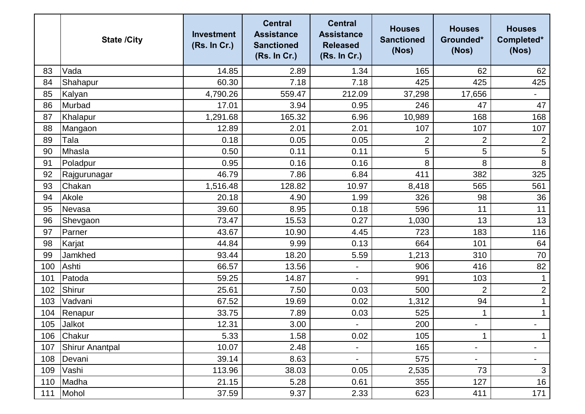|     | <b>State /City</b> | <b>Investment</b><br>(Rs. In Cr.) | <b>Central</b><br><b>Assistance</b><br><b>Sanctioned</b><br>(Rs. In Cr.) | <b>Central</b><br><b>Assistance</b><br><b>Released</b><br>(Rs. In Cr.) | <b>Houses</b><br><b>Sanctioned</b><br>(Nos) | <b>Houses</b><br>Grounded*<br>(Nos) | <b>Houses</b><br>Completed*<br>(Nos) |
|-----|--------------------|-----------------------------------|--------------------------------------------------------------------------|------------------------------------------------------------------------|---------------------------------------------|-------------------------------------|--------------------------------------|
| 83  | Vada               | 14.85                             | 2.89                                                                     | 1.34                                                                   | 165                                         | 62                                  | 62                                   |
| 84  | Shahapur           | 60.30                             | 7.18                                                                     | 7.18                                                                   | 425                                         | 425                                 | 425                                  |
| 85  | Kalyan             | 4,790.26                          | 559.47                                                                   | 212.09                                                                 | 37,298                                      | 17,656                              | $\overline{\phantom{a}}$             |
| 86  | Murbad             | 17.01                             | 3.94                                                                     | 0.95                                                                   | 246                                         | 47                                  | 47                                   |
| 87  | Khalapur           | 1,291.68                          | 165.32                                                                   | 6.96                                                                   | 10,989                                      | 168                                 | 168                                  |
| 88  | Mangaon            | 12.89                             | 2.01                                                                     | 2.01                                                                   | 107                                         | 107                                 | 107                                  |
| 89  | Tala               | 0.18                              | 0.05                                                                     | 0.05                                                                   | 2                                           | $\overline{2}$                      | $\overline{2}$                       |
| 90  | Mhasla             | 0.50                              | 0.11                                                                     | 0.11                                                                   | 5                                           | 5                                   | 5                                    |
| 91  | Poladpur           | 0.95                              | 0.16                                                                     | 0.16                                                                   | 8                                           | 8                                   | $\,8\,$                              |
| 92  | Rajgurunagar       | 46.79                             | 7.86                                                                     | 6.84                                                                   | 411                                         | 382                                 | 325                                  |
| 93  | Chakan             | 1,516.48                          | 128.82                                                                   | 10.97                                                                  | 8,418                                       | 565                                 | 561                                  |
| 94  | Akole              | 20.18                             | 4.90                                                                     | 1.99                                                                   | 326                                         | 98                                  | 36                                   |
| 95  | Nevasa             | 39.60                             | 8.95                                                                     | 0.18                                                                   | 596                                         | 11                                  | 11                                   |
| 96  | Shevgaon           | 73.47                             | 15.53                                                                    | 0.27                                                                   | 1,030                                       | 13                                  | 13                                   |
| 97  | Parner             | 43.67                             | 10.90                                                                    | 4.45                                                                   | 723                                         | 183                                 | 116                                  |
| 98  | Karjat             | 44.84                             | 9.99                                                                     | 0.13                                                                   | 664                                         | 101                                 | 64                                   |
| 99  | Jamkhed            | 93.44                             | 18.20                                                                    | 5.59                                                                   | 1,213                                       | 310                                 | 70                                   |
| 100 | Ashti              | 66.57                             | 13.56                                                                    |                                                                        | 906                                         | 416                                 | 82                                   |
| 101 | Patoda             | 59.25                             | 14.87                                                                    |                                                                        | 991                                         | 103                                 | $\mathbf{1}$                         |
| 102 | Shirur             | 25.61                             | 7.50                                                                     | 0.03                                                                   | 500                                         | $\overline{2}$                      | $\mathbf{2}$                         |
| 103 | Vadvani            | 67.52                             | 19.69                                                                    | 0.02                                                                   | 1,312                                       | 94                                  |                                      |
| 104 | Renapur            | 33.75                             | 7.89                                                                     | 0.03                                                                   | 525                                         | 1                                   | $\mathbf 1$                          |
| 105 | Jalkot             | 12.31                             | 3.00                                                                     |                                                                        | 200                                         |                                     |                                      |
| 106 | <b>Chakur</b>      | 5.33                              | 1.58                                                                     | 0.02                                                                   | 105                                         | 1                                   |                                      |
| 107 | Shirur Anantpal    | 10.07                             | 2.48                                                                     | $\blacksquare$                                                         | 165                                         | $\blacksquare$                      | $\overline{\phantom{a}}$             |
| 108 | Devani             | 39.14                             | 8.63                                                                     |                                                                        | 575                                         | -                                   | $\overline{\phantom{a}}$             |
| 109 | Vashi              | 113.96                            | 38.03                                                                    | 0.05                                                                   | 2,535                                       | 73                                  | 3                                    |
| 110 | Madha              | 21.15                             | 5.28                                                                     | 0.61                                                                   | 355                                         | 127                                 | 16                                   |
| 111 | Mohol              | 37.59                             | 9.37                                                                     | 2.33                                                                   | 623                                         | 411                                 | 171                                  |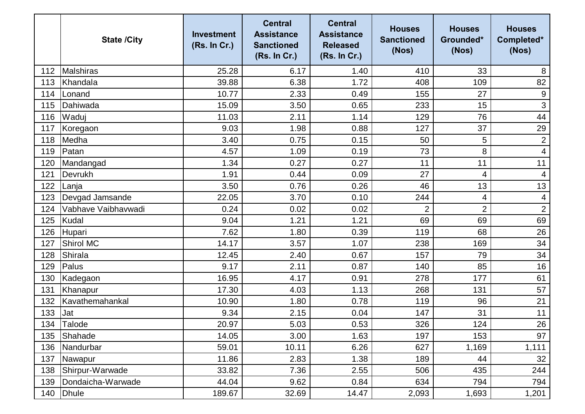|     | <b>State /City</b>  | <b>Investment</b><br>(Rs. In Cr.) | <b>Central</b><br><b>Assistance</b><br><b>Sanctioned</b><br>(Rs. In Cr.) | <b>Central</b><br><b>Assistance</b><br><b>Released</b><br>(Rs. In Cr.) | <b>Houses</b><br><b>Sanctioned</b><br>(Nos) | <b>Houses</b><br>Grounded*<br>(Nos) | <b>Houses</b><br>Completed*<br>(Nos) |
|-----|---------------------|-----------------------------------|--------------------------------------------------------------------------|------------------------------------------------------------------------|---------------------------------------------|-------------------------------------|--------------------------------------|
| 112 | Malshiras           | 25.28                             | 6.17                                                                     | 1.40                                                                   | 410                                         | 33                                  | 8                                    |
| 113 | Khandala            | 39.88                             | 6.38                                                                     | 1.72                                                                   | 408                                         | 109                                 | 82                                   |
| 114 | Lonand              | 10.77                             | 2.33                                                                     | 0.49                                                                   | 155                                         | 27                                  | 9                                    |
| 115 | Dahiwada            | 15.09                             | 3.50                                                                     | 0.65                                                                   | 233                                         | 15                                  | $\mathfrak{S}$                       |
| 116 | Waduj               | 11.03                             | 2.11                                                                     | 1.14                                                                   | 129                                         | 76                                  | 44                                   |
| 117 | Koregaon            | 9.03                              | 1.98                                                                     | 0.88                                                                   | 127                                         | 37                                  | 29                                   |
| 118 | Medha               | 3.40                              | 0.75                                                                     | 0.15                                                                   | 50                                          | 5                                   | $\mathbf 2$                          |
| 119 | Patan               | 4.57                              | 1.09                                                                     | 0.19                                                                   | 73                                          | 8                                   | 4                                    |
| 120 | Mandangad           | 1.34                              | 0.27                                                                     | 0.27                                                                   | 11                                          | 11                                  | 11                                   |
| 121 | Devrukh             | 1.91                              | 0.44                                                                     | 0.09                                                                   | 27                                          | 4                                   | $\overline{4}$                       |
| 122 | Lanja               | 3.50                              | 0.76                                                                     | 0.26                                                                   | 46                                          | 13                                  | 13                                   |
| 123 | Devgad Jamsande     | 22.05                             | 3.70                                                                     | 0.10                                                                   | 244                                         | 4                                   | $\overline{4}$                       |
| 124 | Vabhave Vaibhavwadi | 0.24                              | 0.02                                                                     | 0.02                                                                   | 2                                           | $\overline{2}$                      | $\overline{2}$                       |
| 125 | Kudal               | 9.04                              | 1.21                                                                     | 1.21                                                                   | 69                                          | 69                                  | 69                                   |
| 126 | Hupari              | 7.62                              | 1.80                                                                     | 0.39                                                                   | 119                                         | 68                                  | 26                                   |
| 127 | <b>Shirol MC</b>    | 14.17                             | 3.57                                                                     | 1.07                                                                   | 238                                         | 169                                 | 34                                   |
| 128 | Shirala             | 12.45                             | 2.40                                                                     | 0.67                                                                   | 157                                         | 79                                  | 34                                   |
| 129 | Palus               | 9.17                              | 2.11                                                                     | 0.87                                                                   | 140                                         | 85                                  | 16                                   |
| 130 | Kadegaon            | 16.95                             | 4.17                                                                     | 0.91                                                                   | 278                                         | 177                                 | 61                                   |
| 131 | Khanapur            | 17.30                             | 4.03                                                                     | 1.13                                                                   | 268                                         | 131                                 | 57                                   |
| 132 | Kavathemahankal     | 10.90                             | 1.80                                                                     | 0.78                                                                   | 119                                         | 96                                  | 21                                   |
| 133 | Jat                 | 9.34                              | 2.15                                                                     | 0.04                                                                   | 147                                         | 31                                  | 11                                   |
| 134 | Talode              | 20.97                             | 5.03                                                                     | 0.53                                                                   | 326                                         | 124                                 | 26                                   |
| 135 | Shahade             | 14.05                             | 3.00                                                                     | 1.63                                                                   | 197                                         | 153                                 | 97                                   |
| 136 | Nandurbar           | 59.01                             | 10.11                                                                    | 6.26                                                                   | 627                                         | 1,169                               | 1,111                                |
| 137 | Nawapur             | 11.86                             | 2.83                                                                     | 1.38                                                                   | 189                                         | 44                                  | 32                                   |
| 138 | Shirpur-Warwade     | 33.82                             | 7.36                                                                     | 2.55                                                                   | 506                                         | 435                                 | 244                                  |
| 139 | Dondaicha-Warwade   | 44.04                             | 9.62                                                                     | 0.84                                                                   | 634                                         | 794                                 | 794                                  |
| 140 | Dhule               | 189.67                            | 32.69                                                                    | 14.47                                                                  | 2,093                                       | 1,693                               | 1,201                                |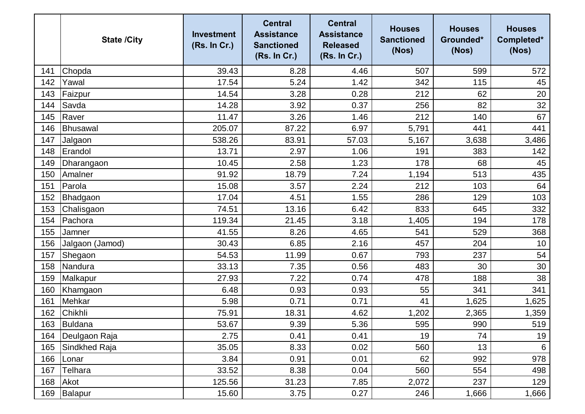|     | <b>State /City</b> | <b>Investment</b><br>(Rs. In Cr.) | <b>Central</b><br><b>Assistance</b><br><b>Sanctioned</b><br>(Rs. In Cr.) | <b>Central</b><br><b>Assistance</b><br><b>Released</b><br>(Rs. In Cr.) | <b>Houses</b><br><b>Sanctioned</b><br>(Nos) | <b>Houses</b><br>Grounded*<br>(Nos) | <b>Houses</b><br>Completed*<br>(Nos) |
|-----|--------------------|-----------------------------------|--------------------------------------------------------------------------|------------------------------------------------------------------------|---------------------------------------------|-------------------------------------|--------------------------------------|
| 141 | Chopda             | 39.43                             | 8.28                                                                     | 4.46                                                                   | 507                                         | 599                                 | 572                                  |
| 142 | Yawal              | 17.54                             | 5.24                                                                     | 1.42                                                                   | 342                                         | 115                                 | 45                                   |
| 143 | Faizpur            | 14.54                             | 3.28                                                                     | 0.28                                                                   | 212                                         | 62                                  | 20                                   |
| 144 | Savda              | 14.28                             | 3.92                                                                     | 0.37                                                                   | 256                                         | 82                                  | 32                                   |
| 145 | Raver              | 11.47                             | 3.26                                                                     | 1.46                                                                   | 212                                         | 140                                 | 67                                   |
| 146 | Bhusawal           | 205.07                            | 87.22                                                                    | 6.97                                                                   | 5,791                                       | 441                                 | 441                                  |
| 147 | Jalgaon            | 538.26                            | 83.91                                                                    | 57.03                                                                  | 5,167                                       | 3,638                               | 3,486                                |
| 148 | Erandol            | 13.71                             | 2.97                                                                     | 1.06                                                                   | 191                                         | 383                                 | 142                                  |
| 149 | Dharangaon         | 10.45                             | 2.58                                                                     | 1.23                                                                   | 178                                         | 68                                  | 45                                   |
| 150 | Amalner            | 91.92                             | 18.79                                                                    | 7.24                                                                   | 1,194                                       | 513                                 | 435                                  |
| 151 | Parola             | 15.08                             | 3.57                                                                     | 2.24                                                                   | 212                                         | 103                                 | 64                                   |
| 152 | Bhadgaon           | 17.04                             | 4.51                                                                     | 1.55                                                                   | 286                                         | 129                                 | 103                                  |
| 153 | Chalisgaon         | 74.51                             | 13.16                                                                    | 6.42                                                                   | 833                                         | 645                                 | 332                                  |
| 154 | Pachora            | 119.34                            | 21.45                                                                    | 3.18                                                                   | 1,405                                       | 194                                 | 178                                  |
| 155 | Jamner             | 41.55                             | 8.26                                                                     | 4.65                                                                   | 541                                         | 529                                 | 368                                  |
| 156 | Jalgaon (Jamod)    | 30.43                             | 6.85                                                                     | 2.16                                                                   | 457                                         | 204                                 | 10                                   |
| 157 | Shegaon            | 54.53                             | 11.99                                                                    | 0.67                                                                   | 793                                         | 237                                 | 54                                   |
| 158 | Nandura            | 33.13                             | 7.35                                                                     | 0.56                                                                   | 483                                         | 30                                  | 30                                   |
| 159 | Malkapur           | 27.93                             | 7.22                                                                     | 0.74                                                                   | 478                                         | 188                                 | 38                                   |
| 160 | Khamgaon           | 6.48                              | 0.93                                                                     | 0.93                                                                   | 55                                          | 341                                 | 341                                  |
| 161 | Mehkar             | 5.98                              | 0.71                                                                     | 0.71                                                                   | 41                                          | 1,625                               | 1,625                                |
| 162 | Chikhli            | 75.91                             | 18.31                                                                    | 4.62                                                                   | 1,202                                       | 2,365                               | 1,359                                |
| 163 | Buldana            | 53.67                             | 9.39                                                                     | 5.36                                                                   | 595                                         | 990                                 | 519                                  |
| 164 | Deulgaon Raja      | 2.75                              | 0.41                                                                     | 0.41                                                                   | 19                                          | 74                                  | 19                                   |
| 165 | Sindkhed Raja      | 35.05                             | 8.33                                                                     | 0.02                                                                   | 560                                         | 13                                  | 6                                    |
| 166 | Lonar              | 3.84                              | 0.91                                                                     | 0.01                                                                   | 62                                          | 992                                 | 978                                  |
| 167 | <b>Telhara</b>     | 33.52                             | 8.38                                                                     | 0.04                                                                   | 560                                         | 554                                 | 498                                  |
| 168 | Akot               | 125.56                            | 31.23                                                                    | 7.85                                                                   | 2,072                                       | 237                                 | 129                                  |
| 169 | Balapur            | 15.60                             | 3.75                                                                     | 0.27                                                                   | 246                                         | 1,666                               | 1,666                                |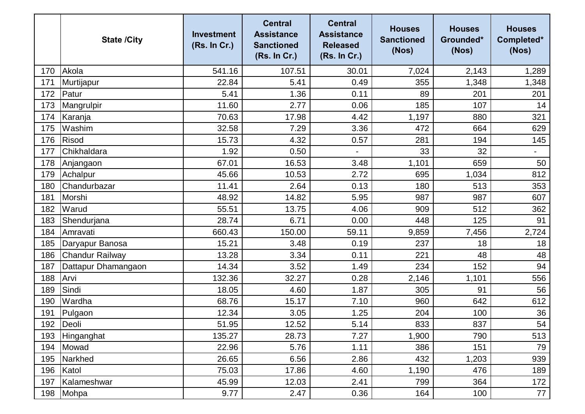|     | <b>State /City</b>     | <b>Investment</b><br>(Rs. In Cr.) | <b>Central</b><br><b>Assistance</b><br><b>Sanctioned</b><br>(Rs. In Cr.) | <b>Central</b><br><b>Assistance</b><br><b>Released</b><br>(Rs. In Cr.) | <b>Houses</b><br><b>Sanctioned</b><br>(Nos) | <b>Houses</b><br>Grounded*<br>(Nos) | <b>Houses</b><br>Completed*<br>(Nos) |
|-----|------------------------|-----------------------------------|--------------------------------------------------------------------------|------------------------------------------------------------------------|---------------------------------------------|-------------------------------------|--------------------------------------|
| 170 | Akola                  | 541.16                            | 107.51                                                                   | 30.01                                                                  | 7,024                                       | 2,143                               | 1,289                                |
| 171 | Murtijapur             | 22.84                             | 5.41                                                                     | 0.49                                                                   | 355                                         | 1,348                               | 1,348                                |
| 172 | Patur                  | 5.41                              | 1.36                                                                     | 0.11                                                                   | 89                                          | 201                                 | 201                                  |
| 173 | Mangrulpir             | 11.60                             | 2.77                                                                     | 0.06                                                                   | 185                                         | 107                                 | 14                                   |
| 174 | Karanja                | 70.63                             | 17.98                                                                    | 4.42                                                                   | 1,197                                       | 880                                 | 321                                  |
| 175 | Washim                 | 32.58                             | 7.29                                                                     | 3.36                                                                   | 472                                         | 664                                 | 629                                  |
| 176 | Risod                  | 15.73                             | 4.32                                                                     | 0.57                                                                   | 281                                         | 194                                 | 145                                  |
| 177 | Chikhaldara            | 1.92                              | 0.50                                                                     |                                                                        | 33                                          | 32                                  | $\overline{\phantom{0}}$             |
| 178 | Anjangaon              | 67.01                             | 16.53                                                                    | 3.48                                                                   | 1,101                                       | 659                                 | 50                                   |
| 179 | Achalpur               | 45.66                             | 10.53                                                                    | 2.72                                                                   | 695                                         | 1,034                               | 812                                  |
| 180 | Chandurbazar           | 11.41                             | 2.64                                                                     | 0.13                                                                   | 180                                         | 513                                 | 353                                  |
| 181 | Morshi                 | 48.92                             | 14.82                                                                    | 5.95                                                                   | 987                                         | 987                                 | 607                                  |
| 182 | Warud                  | 55.51                             | 13.75                                                                    | 4.06                                                                   | 909                                         | 512                                 | 362                                  |
| 183 | Shendurjana            | 28.74                             | 6.71                                                                     | 0.00                                                                   | 448                                         | 125                                 | 91                                   |
| 184 | Amravati               | 660.43                            | 150.00                                                                   | 59.11                                                                  | 9,859                                       | 7,456                               | 2,724                                |
| 185 | Daryapur Banosa        | 15.21                             | 3.48                                                                     | 0.19                                                                   | 237                                         | 18                                  | 18                                   |
| 186 | <b>Chandur Railway</b> | 13.28                             | 3.34                                                                     | 0.11                                                                   | 221                                         | 48                                  | 48                                   |
| 187 | Dattapur Dhamangaon    | 14.34                             | 3.52                                                                     | 1.49                                                                   | 234                                         | 152                                 | 94                                   |
| 188 | Arvi                   | 132.36                            | 32.27                                                                    | 0.28                                                                   | 2,146                                       | 1,101                               | 556                                  |
| 189 | Sindi                  | 18.05                             | 4.60                                                                     | 1.87                                                                   | 305                                         | 91                                  | 56                                   |
| 190 | Wardha                 | 68.76                             | 15.17                                                                    | 7.10                                                                   | 960                                         | 642                                 | 612                                  |
| 191 | Pulgaon                | 12.34                             | 3.05                                                                     | 1.25                                                                   | 204                                         | 100                                 | 36                                   |
| 192 | Deoli                  | 51.95                             | 12.52                                                                    | 5.14                                                                   | 833                                         | 837                                 | 54                                   |
| 193 | Hinganghat             | 135.27                            | 28.73                                                                    | 7.27                                                                   | 1,900                                       | 790                                 | 513                                  |
| 194 | Mowad                  | 22.96                             | 5.76                                                                     | 1.11                                                                   | 386                                         | 151                                 | 79                                   |
| 195 | Narkhed                | 26.65                             | 6.56                                                                     | 2.86                                                                   | 432                                         | 1,203                               | 939                                  |
| 196 | Katol                  | 75.03                             | 17.86                                                                    | 4.60                                                                   | 1,190                                       | 476                                 | 189                                  |
| 197 | Kalameshwar            | 45.99                             | 12.03                                                                    | 2.41                                                                   | 799                                         | 364                                 | 172                                  |
| 198 | Mohpa                  | 9.77                              | 2.47                                                                     | 0.36                                                                   | 164                                         | 100                                 | 77                                   |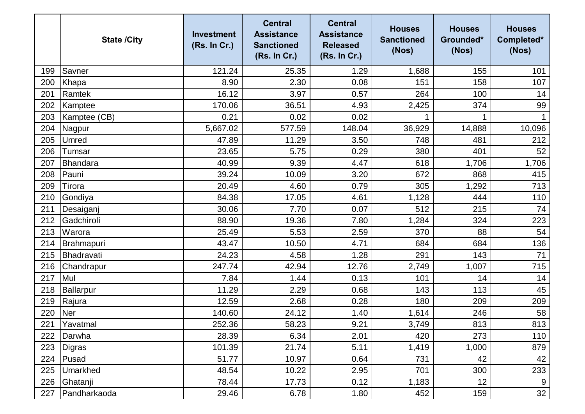|     | <b>State /City</b> | <b>Investment</b><br>(Rs. In Cr.) | <b>Central</b><br><b>Assistance</b><br><b>Sanctioned</b><br>(Rs. In Cr.) | <b>Central</b><br><b>Assistance</b><br><b>Released</b><br>(Rs. In Cr.) | <b>Houses</b><br><b>Sanctioned</b><br>(Nos) | <b>Houses</b><br>Grounded*<br>(Nos) | <b>Houses</b><br>Completed*<br>(Nos) |
|-----|--------------------|-----------------------------------|--------------------------------------------------------------------------|------------------------------------------------------------------------|---------------------------------------------|-------------------------------------|--------------------------------------|
| 199 | Savner             | 121.24                            | 25.35                                                                    | 1.29                                                                   | 1,688                                       | 155                                 | 101                                  |
| 200 | Khapa              | 8.90                              | 2.30                                                                     | 0.08                                                                   | 151                                         | 158                                 | 107                                  |
| 201 | Ramtek             | 16.12                             | 3.97                                                                     | 0.57                                                                   | 264                                         | 100                                 | 14                                   |
| 202 | Kamptee            | 170.06                            | 36.51                                                                    | 4.93                                                                   | 2,425                                       | 374                                 | 99                                   |
| 203 | Kamptee (CB)       | 0.21                              | 0.02                                                                     | 0.02                                                                   |                                             |                                     |                                      |
| 204 | Nagpur             | 5,667.02                          | 577.59                                                                   | 148.04                                                                 | 36,929                                      | 14,888                              | 10,096                               |
| 205 | Umred              | 47.89                             | 11.29                                                                    | 3.50                                                                   | 748                                         | 481                                 | 212                                  |
| 206 | Tumsar             | 23.65                             | 5.75                                                                     | 0.29                                                                   | 380                                         | 401                                 | 52                                   |
| 207 | Bhandara           | 40.99                             | 9.39                                                                     | 4.47                                                                   | 618                                         | 1,706                               | 1,706                                |
| 208 | Pauni              | 39.24                             | 10.09                                                                    | 3.20                                                                   | 672                                         | 868                                 | 415                                  |
| 209 | Tirora             | 20.49                             | 4.60                                                                     | 0.79                                                                   | 305                                         | 1,292                               | 713                                  |
| 210 | Gondiya            | 84.38                             | 17.05                                                                    | 4.61                                                                   | 1,128                                       | 444                                 | 110                                  |
| 211 | Desaiganj          | 30.06                             | 7.70                                                                     | 0.07                                                                   | 512                                         | 215                                 | 74                                   |
| 212 | Gadchiroli         | 88.90                             | 19.36                                                                    | 7.80                                                                   | 1,284                                       | 324                                 | 223                                  |
| 213 | Warora             | 25.49                             | 5.53                                                                     | 2.59                                                                   | 370                                         | 88                                  | 54                                   |
| 214 | Brahmapuri         | 43.47                             | 10.50                                                                    | 4.71                                                                   | 684                                         | 684                                 | 136                                  |
| 215 | Bhadravati         | 24.23                             | 4.58                                                                     | 1.28                                                                   | 291                                         | 143                                 | 71                                   |
| 216 | Chandrapur         | 247.74                            | 42.94                                                                    | 12.76                                                                  | 2,749                                       | 1,007                               | 715                                  |
| 217 | Mul                | 7.84                              | 1.44                                                                     | 0.13                                                                   | 101                                         | 14                                  | 14                                   |
| 218 | Ballarpur          | 11.29                             | 2.29                                                                     | 0.68                                                                   | 143                                         | 113                                 | 45                                   |
| 219 | Rajura             | 12.59                             | 2.68                                                                     | 0.28                                                                   | 180                                         | 209                                 | 209                                  |
| 220 | <b>Ner</b>         | 140.60                            | 24.12                                                                    | 1.40                                                                   | 1,614                                       | 246                                 | 58                                   |
| 221 | Yavatmal           | 252.36                            | 58.23                                                                    | 9.21                                                                   | 3,749                                       | 813                                 | 813                                  |
| 222 | Darwha             | 28.39                             | 6.34                                                                     | 2.01                                                                   | 420                                         | 273                                 | 110                                  |
| 223 | <b>Digras</b>      | 101.39                            | 21.74                                                                    | 5.11                                                                   | 1,419                                       | 1,000                               | 879                                  |
| 224 | Pusad              | 51.77                             | 10.97                                                                    | 0.64                                                                   | 731                                         | 42                                  | 42                                   |
| 225 | <b>Umarkhed</b>    | 48.54                             | 10.22                                                                    | 2.95                                                                   | 701                                         | 300                                 | 233                                  |
| 226 | Ghatanji           | 78.44                             | 17.73                                                                    | 0.12                                                                   | 1,183                                       | 12                                  | 9                                    |
| 227 | Pandharkaoda       | 29.46                             | 6.78                                                                     | 1.80                                                                   | 452                                         | 159                                 | 32                                   |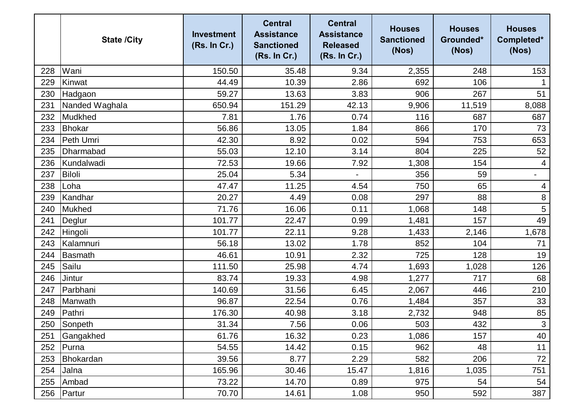|     | <b>State /City</b> | <b>Investment</b><br>(Rs. In Cr.) | <b>Central</b><br><b>Assistance</b><br><b>Sanctioned</b><br>(Rs. In Cr.) | <b>Central</b><br><b>Assistance</b><br><b>Released</b><br>(Rs. In Cr.) | <b>Houses</b><br><b>Sanctioned</b><br>(Nos) | <b>Houses</b><br>Grounded*<br>(Nos) | <b>Houses</b><br>Completed*<br>(Nos) |
|-----|--------------------|-----------------------------------|--------------------------------------------------------------------------|------------------------------------------------------------------------|---------------------------------------------|-------------------------------------|--------------------------------------|
| 228 | Wani               | 150.50                            | 35.48                                                                    | 9.34                                                                   | 2,355                                       | 248                                 | 153                                  |
| 229 | Kinwat             | 44.49                             | 10.39                                                                    | 2.86                                                                   | 692                                         | 106                                 |                                      |
| 230 | Hadgaon            | 59.27                             | 13.63                                                                    | 3.83                                                                   | 906                                         | 267                                 | 51                                   |
| 231 | Nanded Waghala     | 650.94                            | 151.29                                                                   | 42.13                                                                  | 9,906                                       | 11,519                              | 8,088                                |
| 232 | Mudkhed            | 7.81                              | 1.76                                                                     | 0.74                                                                   | 116                                         | 687                                 | 687                                  |
| 233 | Bhokar             | 56.86                             | 13.05                                                                    | 1.84                                                                   | 866                                         | 170                                 | 73                                   |
| 234 | Peth Umri          | 42.30                             | 8.92                                                                     | 0.02                                                                   | 594                                         | 753                                 | 653                                  |
| 235 | Dharmabad          | 55.03                             | 12.10                                                                    | 3.14                                                                   | 804                                         | 225                                 | 52                                   |
| 236 | Kundalwadi         | 72.53                             | 19.66                                                                    | 7.92                                                                   | 1,308                                       | 154                                 | 4                                    |
| 237 | <b>Biloli</b>      | 25.04                             | 5.34                                                                     |                                                                        | 356                                         | 59                                  | $\qquad \qquad -$                    |
| 238 | Loha               | 47.47                             | 11.25                                                                    | 4.54                                                                   | 750                                         | 65                                  | 4                                    |
| 239 | Kandhar            | 20.27                             | 4.49                                                                     | 0.08                                                                   | 297                                         | 88                                  | $\,8\,$                              |
| 240 | <b>Mukhed</b>      | 71.76                             | 16.06                                                                    | 0.11                                                                   | 1,068                                       | 148                                 | 5                                    |
| 241 | Deglur             | 101.77                            | 22.47                                                                    | 0.99                                                                   | 1,481                                       | 157                                 | 49                                   |
| 242 | Hingoli            | 101.77                            | 22.11                                                                    | 9.28                                                                   | 1,433                                       | 2,146                               | 1,678                                |
| 243 | Kalamnuri          | 56.18                             | 13.02                                                                    | 1.78                                                                   | 852                                         | 104                                 | 71                                   |
| 244 | Basmath            | 46.61                             | 10.91                                                                    | 2.32                                                                   | 725                                         | 128                                 | 19                                   |
| 245 | Sailu              | 111.50                            | 25.98                                                                    | 4.74                                                                   | 1,693                                       | 1,028                               | 126                                  |
| 246 | Jintur             | 83.74                             | 19.33                                                                    | 4.98                                                                   | 1,277                                       | 717                                 | 68                                   |
| 247 | Parbhani           | 140.69                            | 31.56                                                                    | 6.45                                                                   | 2,067                                       | 446                                 | 210                                  |
| 248 | Manwath            | 96.87                             | 22.54                                                                    | 0.76                                                                   | 1,484                                       | 357                                 | 33                                   |
| 249 | Pathri             | 176.30                            | 40.98                                                                    | 3.18                                                                   | 2,732                                       | 948                                 | 85                                   |
| 250 | Sonpeth            | 31.34                             | 7.56                                                                     | 0.06                                                                   | 503                                         | 432                                 | $\mathbf{3}$                         |
| 251 | Gangakhed          | 61.76                             | 16.32                                                                    | 0.23                                                                   | 1,086                                       | 157                                 | 40                                   |
| 252 | Purna              | 54.55                             | 14.42                                                                    | 0.15                                                                   | 962                                         | 48                                  | 11                                   |
| 253 | Bhokardan          | 39.56                             | 8.77                                                                     | 2.29                                                                   | 582                                         | 206                                 | 72                                   |
| 254 | Jalna              | 165.96                            | 30.46                                                                    | 15.47                                                                  | 1,816                                       | 1,035                               | 751                                  |
| 255 | Ambad              | 73.22                             | 14.70                                                                    | 0.89                                                                   | 975                                         | 54                                  | 54                                   |
| 256 | Partur             | 70.70                             | 14.61                                                                    | 1.08                                                                   | 950                                         | 592                                 | 387                                  |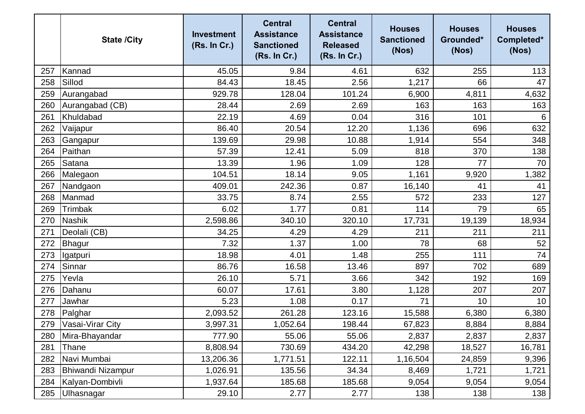|     | <b>State /City</b>       | <b>Investment</b><br>(Rs. In Cr.) | <b>Central</b><br><b>Assistance</b><br><b>Sanctioned</b><br>(Rs. In Cr.) | <b>Central</b><br><b>Assistance</b><br><b>Released</b><br>(Rs. In Cr.) | <b>Houses</b><br><b>Sanctioned</b><br>(Nos) | <b>Houses</b><br>Grounded*<br>(Nos) | <b>Houses</b><br>Completed*<br>(Nos) |
|-----|--------------------------|-----------------------------------|--------------------------------------------------------------------------|------------------------------------------------------------------------|---------------------------------------------|-------------------------------------|--------------------------------------|
| 257 | Kannad                   | 45.05                             | 9.84                                                                     | 4.61                                                                   | 632                                         | 255                                 | 113                                  |
| 258 | Sillod                   | 84.43                             | 18.45                                                                    | 2.56                                                                   | 1,217                                       | 66                                  | 47                                   |
| 259 | Aurangabad               | 929.78                            | 128.04                                                                   | 101.24                                                                 | 6,900                                       | 4,811                               | 4,632                                |
| 260 | Aurangabad (CB)          | 28.44                             | 2.69                                                                     | 2.69                                                                   | 163                                         | 163                                 | 163                                  |
| 261 | Khuldabad                | 22.19                             | 4.69                                                                     | 0.04                                                                   | 316                                         | 101                                 | $6\phantom{1}6$                      |
| 262 | Vaijapur                 | 86.40                             | 20.54                                                                    | 12.20                                                                  | 1,136                                       | 696                                 | 632                                  |
| 263 | Gangapur                 | 139.69                            | 29.98                                                                    | 10.88                                                                  | 1,914                                       | 554                                 | 348                                  |
| 264 | Paithan                  | 57.39                             | 12.41                                                                    | 5.09                                                                   | 818                                         | 370                                 | 138                                  |
| 265 | Satana                   | 13.39                             | 1.96                                                                     | 1.09                                                                   | 128                                         | 77                                  | 70                                   |
| 266 | Malegaon                 | 104.51                            | 18.14                                                                    | 9.05                                                                   | 1,161                                       | 9,920                               | 1,382                                |
| 267 | Nandgaon                 | 409.01                            | 242.36                                                                   | 0.87                                                                   | 16,140                                      | 41                                  | 41                                   |
| 268 | Manmad                   | 33.75                             | 8.74                                                                     | 2.55                                                                   | 572                                         | 233                                 | 127                                  |
| 269 | Trimbak                  | 6.02                              | 1.77                                                                     | 0.81                                                                   | 114                                         | 79                                  | 65                                   |
| 270 | <b>Nashik</b>            | 2,598.86                          | 340.10                                                                   | 320.10                                                                 | 17,731                                      | 19,139                              | 18,934                               |
| 271 | Deolali (CB)             | 34.25                             | 4.29                                                                     | 4.29                                                                   | 211                                         | 211                                 | 211                                  |
| 272 | Bhagur                   | 7.32                              | 1.37                                                                     | 1.00                                                                   | 78                                          | 68                                  | 52                                   |
| 273 | Igatpuri                 | 18.98                             | 4.01                                                                     | 1.48                                                                   | 255                                         | 111                                 | 74                                   |
| 274 | Sinnar                   | 86.76                             | 16.58                                                                    | 13.46                                                                  | 897                                         | 702                                 | 689                                  |
| 275 | Yevla                    | 26.10                             | 5.71                                                                     | 3.66                                                                   | 342                                         | 192                                 | 169                                  |
| 276 | Dahanu                   | 60.07                             | 17.61                                                                    | 3.80                                                                   | 1,128                                       | 207                                 | 207                                  |
| 277 | Jawhar                   | 5.23                              | 1.08                                                                     | 0.17                                                                   | 71                                          | 10                                  | 10                                   |
| 278 | Palghar                  | 2,093.52                          | 261.28                                                                   | 123.16                                                                 | 15,588                                      | 6,380                               | 6,380                                |
| 279 | Vasai-Virar City         | 3,997.31                          | 1,052.64                                                                 | 198.44                                                                 | 67,823                                      | 8,884                               | 8,884                                |
| 280 | Mira-Bhayandar           | 777.90                            | 55.06                                                                    | 55.06                                                                  | 2,837                                       | 2,837                               | 2,837                                |
| 281 | Thane                    | 8,808.94                          | 730.69                                                                   | 434.20                                                                 | 42,298                                      | 18,527                              | 16,781                               |
| 282 | Navi Mumbai              | 13,206.36                         | 1,771.51                                                                 | 122.11                                                                 | 1,16,504                                    | 24,859                              | 9,396                                |
| 283 | <b>Bhiwandi Nizampur</b> | 1,026.91                          | 135.56                                                                   | 34.34                                                                  | 8,469                                       | 1,721                               | 1,721                                |
| 284 | Kalyan-Dombivli          | 1,937.64                          | 185.68                                                                   | 185.68                                                                 | 9,054                                       | 9,054                               | 9,054                                |
| 285 | Ulhasnagar               | 29.10                             | 2.77                                                                     | 2.77                                                                   | 138                                         | 138                                 | 138                                  |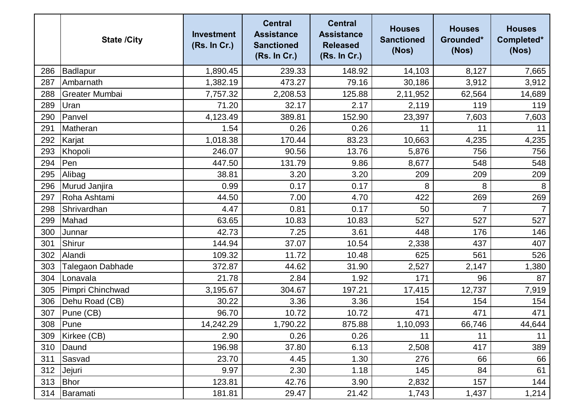|     | <b>State /City</b>    | <b>Investment</b><br>(Rs. In Cr.) | <b>Central</b><br><b>Assistance</b><br><b>Sanctioned</b><br>(Rs. In Cr.) | <b>Central</b><br><b>Assistance</b><br><b>Released</b><br>(Rs. In Cr.) | <b>Houses</b><br><b>Sanctioned</b><br>(Nos) | <b>Houses</b><br>Grounded*<br>(Nos) | <b>Houses</b><br>Completed*<br>(Nos) |
|-----|-----------------------|-----------------------------------|--------------------------------------------------------------------------|------------------------------------------------------------------------|---------------------------------------------|-------------------------------------|--------------------------------------|
| 286 | Badlapur              | 1,890.45                          | 239.33                                                                   | 148.92                                                                 | 14,103                                      | 8,127                               | 7,665                                |
| 287 | Ambarnath             | 1,382.19                          | 473.27                                                                   | 79.16                                                                  | 30,186                                      | 3,912                               | 3,912                                |
| 288 | <b>Greater Mumbai</b> | 7,757.32                          | 2,208.53                                                                 | 125.88                                                                 | 2,11,952                                    | 62,564                              | 14,689                               |
| 289 | Uran                  | 71.20                             | 32.17                                                                    | 2.17                                                                   | 2,119                                       | 119                                 | 119                                  |
| 290 | Panvel                | 4,123.49                          | 389.81                                                                   | 152.90                                                                 | 23,397                                      | 7,603                               | 7,603                                |
| 291 | Matheran              | 1.54                              | 0.26                                                                     | 0.26                                                                   | 11                                          | 11                                  | 11                                   |
| 292 | Karjat                | 1,018.38                          | 170.44                                                                   | 83.23                                                                  | 10,663                                      | 4,235                               | 4,235                                |
| 293 | Khopoli               | 246.07                            | 90.56                                                                    | 13.76                                                                  | 5,876                                       | 756                                 | 756                                  |
| 294 | Pen                   | 447.50                            | 131.79                                                                   | 9.86                                                                   | 8,677                                       | 548                                 | 548                                  |
| 295 | Alibag                | 38.81                             | 3.20                                                                     | 3.20                                                                   | 209                                         | 209                                 | 209                                  |
| 296 | Murud Janjira         | 0.99                              | 0.17                                                                     | 0.17                                                                   | 8                                           | 8                                   | 8                                    |
| 297 | Roha Ashtami          | 44.50                             | 7.00                                                                     | 4.70                                                                   | 422                                         | 269                                 | 269                                  |
| 298 | Shrivardhan           | 4.47                              | 0.81                                                                     | 0.17                                                                   | 50                                          |                                     |                                      |
| 299 | Mahad                 | 63.65                             | 10.83                                                                    | 10.83                                                                  | 527                                         | 527                                 | 527                                  |
| 300 | Junnar                | 42.73                             | 7.25                                                                     | 3.61                                                                   | 448                                         | 176                                 | 146                                  |
| 301 | Shirur                | 144.94                            | 37.07                                                                    | 10.54                                                                  | 2,338                                       | 437                                 | 407                                  |
| 302 | Alandi                | 109.32                            | 11.72                                                                    | 10.48                                                                  | 625                                         | 561                                 | 526                                  |
| 303 | Talegaon Dabhade      | 372.87                            | 44.62                                                                    | 31.90                                                                  | 2,527                                       | 2,147                               | 1,380                                |
| 304 | Lonavala              | 21.78                             | 2.84                                                                     | 1.92                                                                   | 171                                         | 96                                  | 87                                   |
| 305 | Pimpri Chinchwad      | 3,195.67                          | 304.67                                                                   | 197.21                                                                 | 17,415                                      | 12,737                              | 7,919                                |
| 306 | Dehu Road (CB)        | 30.22                             | 3.36                                                                     | 3.36                                                                   | 154                                         | 154                                 | 154                                  |
| 307 | Pune (CB)             | 96.70                             | 10.72                                                                    | 10.72                                                                  | 471                                         | 471                                 | 471                                  |
|     | 308 Pune              | 14,242.29                         | 1,790.22                                                                 | 875.88                                                                 | 1,10,093                                    | 66,746                              | 44,644                               |
| 309 | Kirkee (CB)           | 2.90                              | 0.26                                                                     | 0.26                                                                   | 11                                          | 11                                  | 11                                   |
| 310 | Daund                 | 196.98                            | 37.80                                                                    | 6.13                                                                   | 2,508                                       | 417                                 | 389                                  |
| 311 | Sasvad                | 23.70                             | 4.45                                                                     | 1.30                                                                   | 276                                         | 66                                  | 66                                   |
| 312 | Jejuri                | 9.97                              | 2.30                                                                     | 1.18                                                                   | 145                                         | 84                                  | 61                                   |
| 313 | <b>Bhor</b>           | 123.81                            | 42.76                                                                    | 3.90                                                                   | 2,832                                       | 157                                 | 144                                  |
| 314 | Baramati              | 181.81                            | 29.47                                                                    | 21.42                                                                  | 1,743                                       | 1,437                               | 1,214                                |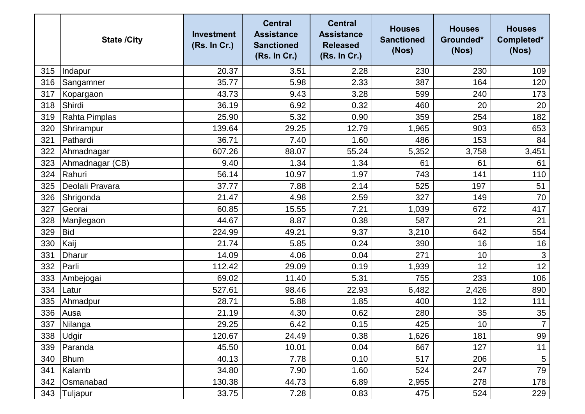|     | <b>State /City</b> | <b>Investment</b><br>(Rs. In Cr.) | <b>Central</b><br><b>Assistance</b><br><b>Sanctioned</b><br>(Rs. In Cr.) | <b>Central</b><br><b>Assistance</b><br><b>Released</b><br>(Rs. In Cr.) | <b>Houses</b><br><b>Sanctioned</b><br>(Nos) | <b>Houses</b><br>Grounded*<br>(Nos) | <b>Houses</b><br>Completed*<br>(Nos) |
|-----|--------------------|-----------------------------------|--------------------------------------------------------------------------|------------------------------------------------------------------------|---------------------------------------------|-------------------------------------|--------------------------------------|
| 315 | Indapur            | 20.37                             | 3.51                                                                     | 2.28                                                                   | 230                                         | 230                                 | 109                                  |
| 316 | Sangamner          | 35.77                             | 5.98                                                                     | 2.33                                                                   | 387                                         | 164                                 | 120                                  |
| 317 | Kopargaon          | 43.73                             | 9.43                                                                     | 3.28                                                                   | 599                                         | 240                                 | 173                                  |
| 318 | Shirdi             | 36.19                             | 6.92                                                                     | 0.32                                                                   | 460                                         | 20                                  | 20                                   |
| 319 | Rahta Pimplas      | 25.90                             | 5.32                                                                     | 0.90                                                                   | 359                                         | 254                                 | 182                                  |
| 320 | Shrirampur         | 139.64                            | 29.25                                                                    | 12.79                                                                  | 1,965                                       | 903                                 | 653                                  |
| 321 | Pathardi           | 36.71                             | 7.40                                                                     | 1.60                                                                   | 486                                         | 153                                 | 84                                   |
| 322 | Ahmadnagar         | 607.26                            | 88.07                                                                    | 55.24                                                                  | 5,352                                       | 3,758                               | 3,451                                |
| 323 | Ahmadnagar (CB)    | 9.40                              | 1.34                                                                     | 1.34                                                                   | 61                                          | 61                                  | 61                                   |
| 324 | Rahuri             | 56.14                             | 10.97                                                                    | 1.97                                                                   | 743                                         | 141                                 | 110                                  |
| 325 | Deolali Pravara    | 37.77                             | 7.88                                                                     | 2.14                                                                   | 525                                         | 197                                 | 51                                   |
| 326 | Shrigonda          | 21.47                             | 4.98                                                                     | 2.59                                                                   | 327                                         | 149                                 | 70                                   |
| 327 | Georai             | 60.85                             | 15.55                                                                    | 7.21                                                                   | 1,039                                       | 672                                 | 417                                  |
| 328 | Manjlegaon         | 44.67                             | 8.87                                                                     | 0.38                                                                   | 587                                         | 21                                  | 21                                   |
| 329 | <b>Bid</b>         | 224.99                            | 49.21                                                                    | 9.37                                                                   | 3,210                                       | 642                                 | 554                                  |
| 330 | Kaij               | 21.74                             | 5.85                                                                     | 0.24                                                                   | 390                                         | 16                                  | 16                                   |
| 331 | Dharur             | 14.09                             | 4.06                                                                     | 0.04                                                                   | 271                                         | 10                                  | $\mathfrak{S}$                       |
| 332 | Parli              | 112.42                            | 29.09                                                                    | 0.19                                                                   | 1,939                                       | 12                                  | 12                                   |
| 333 | Ambejogai          | 69.02                             | 11.40                                                                    | 5.31                                                                   | 755                                         | 233                                 | 106                                  |
| 334 | Latur              | 527.61                            | 98.46                                                                    | 22.93                                                                  | 6,482                                       | 2,426                               | 890                                  |
| 335 | Ahmadpur           | 28.71                             | 5.88                                                                     | 1.85                                                                   | 400                                         | 112                                 | 111                                  |
| 336 | Ausa               | 21.19                             | 4.30                                                                     | 0.62                                                                   | 280                                         | 35                                  | 35                                   |
|     | 337 Nilanga        | 29.25                             | 6.42                                                                     | 0.15                                                                   | 425                                         | $10$                                | $\overline{7}$                       |
| 338 | Udgir              | 120.67                            | 24.49                                                                    | 0.38                                                                   | 1,626                                       | 181                                 | 99                                   |
| 339 | Paranda            | 45.50                             | 10.01                                                                    | 0.04                                                                   | 667                                         | 127                                 | 11                                   |
| 340 | <b>Bhum</b>        | 40.13                             | 7.78                                                                     | 0.10                                                                   | 517                                         | 206                                 | $\overline{5}$                       |
| 341 | Kalamb             | 34.80                             | 7.90                                                                     | 1.60                                                                   | 524                                         | 247                                 | 79                                   |
| 342 | Osmanabad          | 130.38                            | 44.73                                                                    | 6.89                                                                   | 2,955                                       | 278                                 | 178                                  |
|     | 343   Tuljapur     | 33.75                             | 7.28                                                                     | 0.83                                                                   | 475                                         | 524                                 | 229                                  |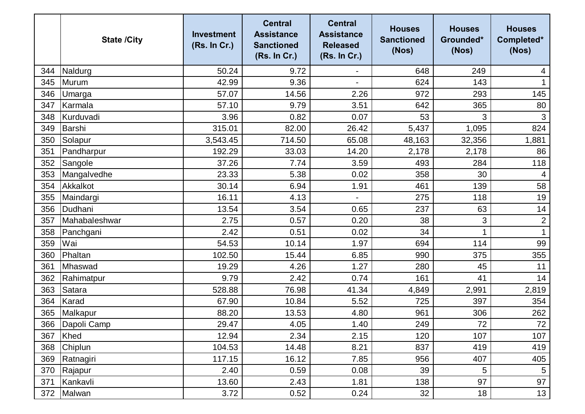|     | <b>State /City</b> | <b>Investment</b><br>(Rs. In Cr.) | <b>Central</b><br><b>Assistance</b><br><b>Sanctioned</b><br>(Rs. In Cr.) | <b>Central</b><br><b>Assistance</b><br><b>Released</b><br>(Rs. In Cr.) | <b>Houses</b><br><b>Sanctioned</b><br>(Nos) | <b>Houses</b><br>Grounded*<br>(Nos) | <b>Houses</b><br>Completed*<br>(Nos) |
|-----|--------------------|-----------------------------------|--------------------------------------------------------------------------|------------------------------------------------------------------------|---------------------------------------------|-------------------------------------|--------------------------------------|
| 344 | Naldurg            | 50.24                             | 9.72                                                                     |                                                                        | 648                                         | 249                                 | 4                                    |
| 345 | Murum              | 42.99                             | 9.36                                                                     | $\blacksquare$                                                         | 624                                         | 143                                 | 1                                    |
| 346 | Umarga             | 57.07                             | 14.56                                                                    | 2.26                                                                   | 972                                         | 293                                 | 145                                  |
| 347 | Karmala            | 57.10                             | 9.79                                                                     | 3.51                                                                   | 642                                         | 365                                 | 80                                   |
| 348 | Kurduvadi          | 3.96                              | 0.82                                                                     | 0.07                                                                   | 53                                          | 3                                   | 3                                    |
| 349 | Barshi             | 315.01                            | 82.00                                                                    | 26.42                                                                  | 5,437                                       | 1,095                               | 824                                  |
| 350 | Solapur            | 3,543.45                          | 714.50                                                                   | 65.08                                                                  | 48,163                                      | 32,356                              | 1,881                                |
| 351 | Pandharpur         | 192.29                            | 33.03                                                                    | 14.20                                                                  | 2,178                                       | 2,178                               | 86                                   |
| 352 | Sangole            | 37.26                             | 7.74                                                                     | 3.59                                                                   | 493                                         | 284                                 | 118                                  |
| 353 | Mangalvedhe        | 23.33                             | 5.38                                                                     | 0.02                                                                   | 358                                         | 30                                  | 4                                    |
| 354 | Akkalkot           | 30.14                             | 6.94                                                                     | 1.91                                                                   | 461                                         | 139                                 | 58                                   |
| 355 | Maindargi          | 16.11                             | 4.13                                                                     | $\overline{\phantom{a}}$                                               | 275                                         | 118                                 | 19                                   |
| 356 | Dudhani            | 13.54                             | 3.54                                                                     | 0.65                                                                   | 237                                         | 63                                  | 14                                   |
| 357 | Mahabaleshwar      | 2.75                              | 0.57                                                                     | 0.20                                                                   | 38                                          | 3                                   | $\sqrt{2}$                           |
| 358 | Panchgani          | 2.42                              | 0.51                                                                     | 0.02                                                                   | 34                                          |                                     | $\mathbf{1}$                         |
| 359 | Wai                | 54.53                             | 10.14                                                                    | 1.97                                                                   | 694                                         | 114                                 | 99                                   |
| 360 | Phaltan            | 102.50                            | 15.44                                                                    | 6.85                                                                   | 990                                         | 375                                 | 355                                  |
| 361 | Mhaswad            | 19.29                             | 4.26                                                                     | 1.27                                                                   | 280                                         | 45                                  | 11                                   |
| 362 | Rahimatpur         | 9.79                              | 2.42                                                                     | 0.74                                                                   | 161                                         | 41                                  | 14                                   |
| 363 | Satara             | 528.88                            | 76.98                                                                    | 41.34                                                                  | 4,849                                       | 2,991                               | 2,819                                |
| 364 | Karad              | 67.90                             | 10.84                                                                    | 5.52                                                                   | 725                                         | 397                                 | 354                                  |
| 365 | Malkapur           | 88.20                             | 13.53                                                                    | 4.80                                                                   | 961                                         | 306                                 | 262                                  |
|     | 366 Dapoli Camp    | 29.47                             | 4.05                                                                     | 1.40                                                                   | 249                                         | $72\,$                              | 72                                   |
| 367 | Khed               | 12.94                             | 2.34                                                                     | 2.15                                                                   | 120                                         | 107                                 | 107                                  |
| 368 | <b>Chiplun</b>     | 104.53                            | 14.48                                                                    | 8.21                                                                   | 837                                         | 419                                 | 419                                  |
| 369 | Ratnagiri          | 117.15                            | 16.12                                                                    | 7.85                                                                   | 956                                         | 407                                 | 405                                  |
| 370 | Rajapur            | 2.40                              | 0.59                                                                     | 0.08                                                                   | 39                                          | 5                                   | $\overline{5}$                       |
| 371 | Kankavli           | 13.60                             | 2.43                                                                     | 1.81                                                                   | 138                                         | 97                                  | 97                                   |
| 372 | Malwan             | 3.72                              | 0.52                                                                     | 0.24                                                                   | 32                                          | 18                                  | 13                                   |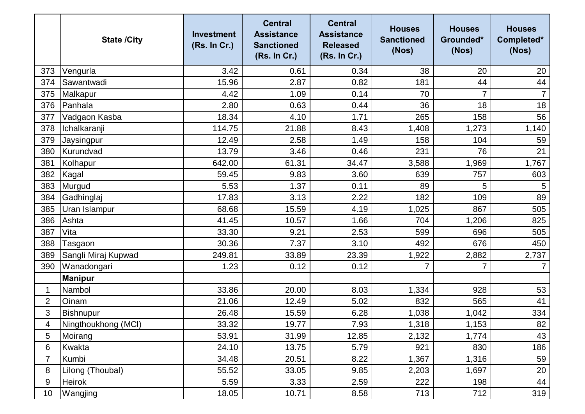|                | <b>State /City</b>  | <b>Investment</b><br>(Rs. In Cr.) | <b>Central</b><br><b>Assistance</b><br><b>Sanctioned</b><br>(Rs. In Cr.) | <b>Central</b><br><b>Assistance</b><br><b>Released</b><br>(Rs. In Cr.) | <b>Houses</b><br><b>Sanctioned</b><br>(Nos) | <b>Houses</b><br>Grounded*<br>(Nos) | <b>Houses</b><br>Completed*<br>(Nos) |
|----------------|---------------------|-----------------------------------|--------------------------------------------------------------------------|------------------------------------------------------------------------|---------------------------------------------|-------------------------------------|--------------------------------------|
| 373            | Vengurla            | 3.42                              | 0.61                                                                     | 0.34                                                                   | 38                                          | 20                                  | 20                                   |
| 374            | Sawantwadi          | 15.96                             | 2.87                                                                     | 0.82                                                                   | 181                                         | 44                                  | 44                                   |
| 375            | Malkapur            | 4.42                              | 1.09                                                                     | 0.14                                                                   | 70                                          | 7                                   | $\overline{7}$                       |
| 376            | Panhala             | 2.80                              | 0.63                                                                     | 0.44                                                                   | 36                                          | 18                                  | 18                                   |
| 377            | Vadgaon Kasba       | 18.34                             | 4.10                                                                     | 1.71                                                                   | 265                                         | 158                                 | 56                                   |
| 378            | Ichalkaranji        | 114.75                            | 21.88                                                                    | 8.43                                                                   | 1,408                                       | 1,273                               | 1,140                                |
| 379            | Jaysingpur          | 12.49                             | 2.58                                                                     | 1.49                                                                   | 158                                         | 104                                 | 59                                   |
| 380            | Kurundvad           | 13.79                             | 3.46                                                                     | 0.46                                                                   | 231                                         | 76                                  | 21                                   |
| 381            | Kolhapur            | 642.00                            | 61.31                                                                    | 34.47                                                                  | 3,588                                       | 1,969                               | 1,767                                |
| 382            | Kagal               | 59.45                             | 9.83                                                                     | 3.60                                                                   | 639                                         | 757                                 | 603                                  |
| 383            | Murgud              | 5.53                              | 1.37                                                                     | 0.11                                                                   | 89                                          | 5                                   | 5                                    |
| 384            | Gadhinglaj          | 17.83                             | 3.13                                                                     | 2.22                                                                   | 182                                         | 109                                 | 89                                   |
| 385            | Uran Islampur       | 68.68                             | 15.59                                                                    | 4.19                                                                   | 1,025                                       | 867                                 | 505                                  |
| 386            | Ashta               | 41.45                             | 10.57                                                                    | 1.66                                                                   | 704                                         | 1,206                               | 825                                  |
| 387            | Vita                | 33.30                             | 9.21                                                                     | 2.53                                                                   | 599                                         | 696                                 | 505                                  |
| 388            | Tasgaon             | 30.36                             | 7.37                                                                     | 3.10                                                                   | 492                                         | 676                                 | 450                                  |
| 389            | Sangli Miraj Kupwad | 249.81                            | 33.89                                                                    | 23.39                                                                  | 1,922                                       | 2,882                               | 2,737                                |
| 390            | Wanadongari         | 1.23                              | 0.12                                                                     | 0.12                                                                   | $\overline{7}$                              | $\overline{7}$                      |                                      |
|                | <b>Manipur</b>      |                                   |                                                                          |                                                                        |                                             |                                     |                                      |
| 1              | Nambol              | 33.86                             | 20.00                                                                    | 8.03                                                                   | 1,334                                       | 928                                 | 53                                   |
| $\overline{2}$ | Oinam               | 21.06                             | 12.49                                                                    | 5.02                                                                   | 832                                         | 565                                 | 41                                   |
| 3              | Bishnupur           | 26.48                             | 15.59                                                                    | 6.28                                                                   | 1,038                                       | 1,042                               | 334                                  |
| 4              | Ningthoukhong (MCI) | 33.32                             | 19.77                                                                    | 7.93                                                                   | 1,318                                       | 1,153                               | 82                                   |
| 5              | Moirang             | 53.91                             | 31.99                                                                    | 12.85                                                                  | 2,132                                       | 1,774                               | 43                                   |
| 6              | <b>Kwakta</b>       | 24.10                             | 13.75                                                                    | 5.79                                                                   | 921                                         | 830                                 | 186                                  |
| 7              | Kumbi               | 34.48                             | 20.51                                                                    | 8.22                                                                   | 1,367                                       | 1,316                               | 59                                   |
| 8              | Lilong (Thoubal)    | 55.52                             | 33.05                                                                    | 9.85                                                                   | 2,203                                       | 1,697                               | 20                                   |
| 9              | Heirok              | 5.59                              | 3.33                                                                     | 2.59                                                                   | 222                                         | 198                                 | 44                                   |
| 10             | Wangjing            | 18.05                             | 10.71                                                                    | 8.58                                                                   | 713                                         | 712                                 | 319                                  |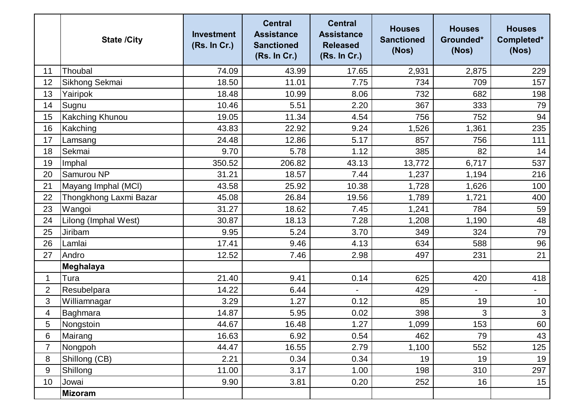|                | <b>State /City</b>     | <b>Investment</b><br>(Rs. In Cr.) | <b>Central</b><br><b>Assistance</b><br><b>Sanctioned</b><br>(Rs. In Cr.) | <b>Central</b><br><b>Assistance</b><br><b>Released</b><br>(Rs. In Cr.) | <b>Houses</b><br><b>Sanctioned</b><br>(Nos) | <b>Houses</b><br>Grounded*<br>(Nos) | <b>Houses</b><br>Completed*<br>(Nos) |
|----------------|------------------------|-----------------------------------|--------------------------------------------------------------------------|------------------------------------------------------------------------|---------------------------------------------|-------------------------------------|--------------------------------------|
| 11             | Thoubal                | 74.09                             | 43.99                                                                    | 17.65                                                                  | 2,931                                       | 2,875                               | 229                                  |
| 12             | Sikhong Sekmai         | 18.50                             | 11.01                                                                    | 7.75                                                                   | 734                                         | 709                                 | 157                                  |
| 13             | Yairipok               | 18.48                             | 10.99                                                                    | 8.06                                                                   | 732                                         | 682                                 | 198                                  |
| 14             | Sugnu                  | 10.46                             | 5.51                                                                     | 2.20                                                                   | 367                                         | 333                                 | 79                                   |
| 15             | <b>Kakching Khunou</b> | 19.05                             | 11.34                                                                    | 4.54                                                                   | 756                                         | 752                                 | 94                                   |
| 16             | Kakching               | 43.83                             | 22.92                                                                    | 9.24                                                                   | 1,526                                       | 1,361                               | 235                                  |
| 17             | Lamsang                | 24.48                             | 12.86                                                                    | 5.17                                                                   | 857                                         | 756                                 | 111                                  |
| 18             | Sekmai                 | 9.70                              | 5.78                                                                     | 1.12                                                                   | 385                                         | 82                                  | 14                                   |
| 19             | Imphal                 | 350.52                            | 206.82                                                                   | 43.13                                                                  | 13,772                                      | 6,717                               | 537                                  |
| 20             | Samurou NP             | 31.21                             | 18.57                                                                    | 7.44                                                                   | 1,237                                       | 1,194                               | 216                                  |
| 21             | Mayang Imphal (MCI)    | 43.58                             | 25.92                                                                    | 10.38                                                                  | 1,728                                       | 1,626                               | 100                                  |
| 22             | Thongkhong Laxmi Bazar | 45.08                             | 26.84                                                                    | 19.56                                                                  | 1,789                                       | 1,721                               | 400                                  |
| 23             | Wangoi                 | 31.27                             | 18.62                                                                    | 7.45                                                                   | 1,241                                       | 784                                 | 59                                   |
| 24             | Lilong (Imphal West)   | 30.87                             | 18.13                                                                    | 7.28                                                                   | 1,208                                       | 1,190                               | 48                                   |
| 25             | Jiribam                | 9.95                              | 5.24                                                                     | 3.70                                                                   | 349                                         | 324                                 | 79                                   |
| 26             | Lamlai                 | 17.41                             | 9.46                                                                     | 4.13                                                                   | 634                                         | 588                                 | 96                                   |
| 27             | Andro                  | 12.52                             | 7.46                                                                     | 2.98                                                                   | 497                                         | 231                                 | 21                                   |
|                | <b>Meghalaya</b>       |                                   |                                                                          |                                                                        |                                             |                                     |                                      |
| 1              | Tura                   | 21.40                             | 9.41                                                                     | 0.14                                                                   | 625                                         | 420                                 | 418                                  |
| $\overline{2}$ | Resubelpara            | 14.22                             | 6.44                                                                     |                                                                        | 429                                         | $\overline{\phantom{0}}$            | $\overline{\phantom{0}}$             |
| 3              | Williamnagar           | 3.29                              | 1.27                                                                     | 0.12                                                                   | 85                                          | 19                                  | 10                                   |
| 4              | Baghmara               | 14.87                             | 5.95                                                                     | 0.02                                                                   | 398                                         | 3                                   | $\mathfrak{3}$                       |
| 5              | Nongstoin              | 44.67                             | 16.48                                                                    | 1.27                                                                   | 1,099                                       | 153                                 | 60                                   |
| 6              | Mairang                | 16.63                             | 6.92                                                                     | 0.54                                                                   | 462                                         | 79                                  | 43                                   |
| 7              | Nongpoh                | 44.47                             | 16.55                                                                    | 2.79                                                                   | 1,100                                       | 552                                 | 125                                  |
| 8              | Shillong (CB)          | 2.21                              | 0.34                                                                     | 0.34                                                                   | 19                                          | 19                                  | 19                                   |
| 9              | Shillong               | 11.00                             | 3.17                                                                     | 1.00                                                                   | 198                                         | 310                                 | 297                                  |
| 10             | Jowai                  | 9.90                              | 3.81                                                                     | 0.20                                                                   | 252                                         | 16                                  | 15                                   |
|                | Mizoram                |                                   |                                                                          |                                                                        |                                             |                                     |                                      |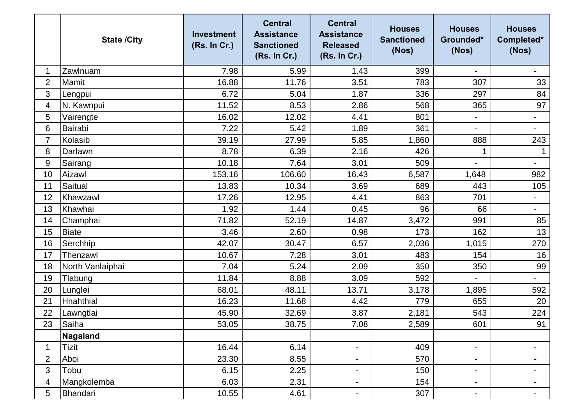|                | <b>State /City</b> | <b>Investment</b><br>(Rs. In Cr.) | <b>Central</b><br><b>Assistance</b><br><b>Sanctioned</b><br>(Rs. In Cr.) | <b>Central</b><br><b>Assistance</b><br><b>Released</b><br>(Rs. In Cr.) | <b>Houses</b><br><b>Sanctioned</b><br>(Nos) | <b>Houses</b><br>Grounded*<br>(Nos) | <b>Houses</b><br>Completed*<br>(Nos) |
|----------------|--------------------|-----------------------------------|--------------------------------------------------------------------------|------------------------------------------------------------------------|---------------------------------------------|-------------------------------------|--------------------------------------|
| 1              | Zawlnuam           | 7.98                              | 5.99                                                                     | 1.43                                                                   | 399                                         |                                     |                                      |
| $\overline{2}$ | Mamit              | 16.88                             | 11.76                                                                    | 3.51                                                                   | 783                                         | 307                                 | 33                                   |
| 3              | Lengpui            | 6.72                              | 5.04                                                                     | 1.87                                                                   | 336                                         | 297                                 | 84                                   |
| 4              | N. Kawnpui         | 11.52                             | 8.53                                                                     | 2.86                                                                   | 568                                         | 365                                 | 97                                   |
| 5              | Vairengte          | 16.02                             | 12.02                                                                    | 4.41                                                                   | 801                                         | -                                   | $\overline{\phantom{a}}$             |
| 6              | Bairabi            | 7.22                              | 5.42                                                                     | 1.89                                                                   | 361                                         | $\overline{\phantom{0}}$            | $\overline{\phantom{a}}$             |
| $\overline{7}$ | Kolasib            | 39.19                             | 27.99                                                                    | 5.85                                                                   | 1,860                                       | 888                                 | 243                                  |
| 8              | Darlawn            | 8.78                              | 6.39                                                                     | 2.16                                                                   | 426                                         |                                     |                                      |
| 9              | Sairang            | 10.18                             | 7.64                                                                     | 3.01                                                                   | 509                                         |                                     | $\qquad \qquad \blacksquare$         |
| 10             | Aizawl             | 153.16                            | 106.60                                                                   | 16.43                                                                  | 6,587                                       | 1,648                               | 982                                  |
| 11             | Saitual            | 13.83                             | 10.34                                                                    | 3.69                                                                   | 689                                         | 443                                 | 105                                  |
| 12             | Khawzawl           | 17.26                             | 12.95                                                                    | 4.41                                                                   | 863                                         | 701                                 | $\overline{\phantom{a}}$             |
| 13             | Khawhai            | 1.92                              | 1.44                                                                     | 0.45                                                                   | 96                                          | 66                                  | $\overline{\phantom{a}}$             |
| 14             | Champhai           | 71.82                             | 52.19                                                                    | 14.87                                                                  | 3,472                                       | 991                                 | 85                                   |
| 15             | <b>Biate</b>       | 3.46                              | 2.60                                                                     | 0.98                                                                   | 173                                         | 162                                 | 13                                   |
| 16             | Serchhip           | 42.07                             | 30.47                                                                    | 6.57                                                                   | 2,036                                       | 1,015                               | 270                                  |
| 17             | Thenzawl           | 10.67                             | 7.28                                                                     | 3.01                                                                   | 483                                         | 154                                 | 16                                   |
| 18             | North Vanlaiphai   | 7.04                              | 5.24                                                                     | 2.09                                                                   | 350                                         | 350                                 | 99                                   |
| 19             | Tlabung            | 11.84                             | 8.88                                                                     | 3.09                                                                   | 592                                         | $\overline{\phantom{0}}$            | $\overline{\phantom{a}}$             |
| 20             | Lunglei            | 68.01                             | 48.11                                                                    | 13.71                                                                  | 3,178                                       | 1,895                               | 592                                  |
| 21             | Hnahthial          | 16.23                             | 11.68                                                                    | 4.42                                                                   | 779                                         | 655                                 | 20                                   |
| 22             | Lawngtlai          | 45.90                             | 32.69                                                                    | 3.87                                                                   | 2,181                                       | 543                                 | 224                                  |
| 23             | Saiha              | 53.05                             | 38.75                                                                    | 7.08                                                                   | 2,589                                       | 601                                 | 91                                   |
|                | Nagaland           |                                   |                                                                          |                                                                        |                                             |                                     |                                      |
| 1              | Tizit              | 16.44                             | 6.14                                                                     | $\overline{\phantom{a}}$                                               | 409                                         | $\blacksquare$                      | $\overline{\phantom{a}}$             |
| $\overline{2}$ | Aboi               | 23.30                             | 8.55                                                                     |                                                                        | 570                                         | Ξ.                                  | $\blacksquare$                       |
| 3              | Tobu               | 6.15                              | 2.25                                                                     | $\blacksquare$                                                         | 150                                         | $\blacksquare$                      | $\blacksquare$                       |
| 4              | Mangkolemba        | 6.03                              | 2.31                                                                     | $\blacksquare$                                                         | 154                                         | $\blacksquare$                      | $\blacksquare$                       |
| 5              | Bhandari           | 10.55                             | 4.61                                                                     | $\blacksquare$                                                         | 307                                         | $\blacksquare$                      | $\blacksquare$                       |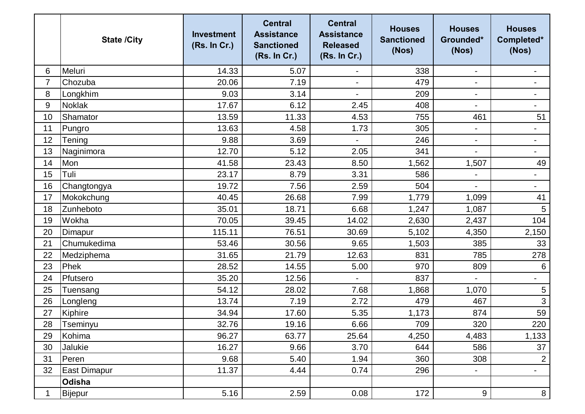|                | <b>State /City</b>  | <b>Investment</b><br>(Rs. In Cr.) | <b>Central</b><br><b>Assistance</b><br><b>Sanctioned</b><br>(Rs. In Cr.) | <b>Central</b><br><b>Assistance</b><br><b>Released</b><br>(Rs. In Cr.) | <b>Houses</b><br><b>Sanctioned</b><br>(Nos) | <b>Houses</b><br>Grounded*<br>(Nos) | <b>Houses</b><br>Completed*<br>(Nos) |
|----------------|---------------------|-----------------------------------|--------------------------------------------------------------------------|------------------------------------------------------------------------|---------------------------------------------|-------------------------------------|--------------------------------------|
| 6              | Meluri              | 14.33                             | 5.07                                                                     |                                                                        | 338                                         | $\overline{\phantom{a}}$            |                                      |
| $\overline{7}$ | Chozuba             | 20.06                             | 7.19                                                                     | $\blacksquare$                                                         | 479                                         | $\overline{\phantom{0}}$            |                                      |
| 8              | Longkhim            | 9.03                              | 3.14                                                                     |                                                                        | 209                                         | $\blacksquare$                      | $\blacksquare$                       |
| 9              | <b>Noklak</b>       | 17.67                             | 6.12                                                                     | 2.45                                                                   | 408                                         | $\blacksquare$                      | $\overline{\phantom{a}}$             |
| 10             | Shamator            | 13.59                             | 11.33                                                                    | 4.53                                                                   | 755                                         | 461                                 | 51                                   |
| 11             | Pungro              | 13.63                             | 4.58                                                                     | 1.73                                                                   | 305                                         | $\qquad \qquad \blacksquare$        | $\overline{\phantom{a}}$             |
| 12             | Tening              | 9.88                              | 3.69                                                                     |                                                                        | 246                                         | $\blacksquare$                      | $\qquad \qquad \blacksquare$         |
| 13             | Naginimora          | 12.70                             | 5.12                                                                     | 2.05                                                                   | 341                                         | $\overline{\phantom{0}}$            |                                      |
| 14             | Mon                 | 41.58                             | 23.43                                                                    | 8.50                                                                   | 1,562                                       | 1,507                               | 49                                   |
| 15             | Tuli                | 23.17                             | 8.79                                                                     | 3.31                                                                   | 586                                         |                                     | $\blacksquare$                       |
| 16             | Changtongya         | 19.72                             | 7.56                                                                     | 2.59                                                                   | 504                                         | $\overline{\phantom{0}}$            | $\qquad \qquad -$                    |
| 17             | Mokokchung          | 40.45                             | 26.68                                                                    | 7.99                                                                   | 1,779                                       | 1,099                               | 41                                   |
| 18             | Zunheboto           | 35.01                             | 18.71                                                                    | 6.68                                                                   | 1,247                                       | 1,087                               | 5                                    |
| 19             | Wokha               | 70.05                             | 39.45                                                                    | 14.02                                                                  | 2,630                                       | 2,437                               | 104                                  |
| 20             | Dimapur             | 115.11                            | 76.51                                                                    | 30.69                                                                  | 5,102                                       | 4,350                               | 2,150                                |
| 21             | Chumukedima         | 53.46                             | 30.56                                                                    | 9.65                                                                   | 1,503                                       | 385                                 | 33                                   |
| 22             | Medziphema          | 31.65                             | 21.79                                                                    | 12.63                                                                  | 831                                         | 785                                 | 278                                  |
| 23             | Phek                | 28.52                             | 14.55                                                                    | 5.00                                                                   | 970                                         | 809                                 | $\,6$                                |
| 24             | Pfutsero            | 35.20                             | 12.56                                                                    |                                                                        | 837                                         | $\blacksquare$                      | $\overline{\phantom{a}}$             |
| 25             | Tuensang            | 54.12                             | 28.02                                                                    | 7.68                                                                   | 1,868                                       | 1,070                               | 5                                    |
| 26             | Longleng            | 13.74                             | 7.19                                                                     | 2.72                                                                   | 479                                         | 467                                 | 3                                    |
| 27             | Kiphire             | 34.94                             | 17.60                                                                    | 5.35                                                                   | 1,173                                       | 874                                 | 59                                   |
| 28             | Tseminyu            | 32.76                             | 19.16                                                                    | 6.66                                                                   | 709                                         | 320                                 | 220                                  |
| 29             | Kohima              | 96.27                             | 63.77                                                                    | 25.64                                                                  | 4,250                                       | 4,483                               | 1,133                                |
| 30             | Jalukie             | 16.27                             | 9.66                                                                     | 3.70                                                                   | 644                                         | 586                                 | 37                                   |
| 31             | Peren               | 9.68                              | 5.40                                                                     | 1.94                                                                   | 360                                         | 308                                 | $\overline{2}$                       |
| 32             | <b>East Dimapur</b> | 11.37                             | 4.44                                                                     | 0.74                                                                   | 296                                         | $\blacksquare$                      | $\overline{\phantom{a}}$             |
|                | Odisha              |                                   |                                                                          |                                                                        |                                             |                                     |                                      |
| 1              | <b>Bijepur</b>      | 5.16                              | 2.59                                                                     | 0.08                                                                   | 172                                         | 9                                   | 8                                    |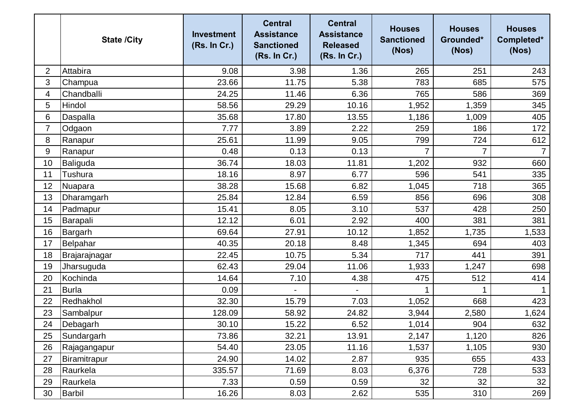|    | <b>State /City</b> | <b>Investment</b><br>(Rs. In Cr.) | <b>Central</b><br><b>Assistance</b><br><b>Sanctioned</b><br>(Rs. In Cr.) | <b>Central</b><br><b>Assistance</b><br><b>Released</b><br>(Rs. In Cr.) | <b>Houses</b><br><b>Sanctioned</b><br>(Nos) | <b>Houses</b><br>Grounded*<br>(Nos) | <b>Houses</b><br>Completed*<br>(Nos) |
|----|--------------------|-----------------------------------|--------------------------------------------------------------------------|------------------------------------------------------------------------|---------------------------------------------|-------------------------------------|--------------------------------------|
| 2  | Attabira           | 9.08                              | 3.98                                                                     | 1.36                                                                   | 265                                         | 251                                 | 243                                  |
| 3  | Champua            | 23.66                             | 11.75                                                                    | 5.38                                                                   | 783                                         | 685                                 | 575                                  |
| 4  | Chandballi         | 24.25                             | 11.46                                                                    | 6.36                                                                   | 765                                         | 586                                 | 369                                  |
| 5  | Hindol             | 58.56                             | 29.29                                                                    | 10.16                                                                  | 1,952                                       | 1,359                               | 345                                  |
| 6  | Daspalla           | 35.68                             | 17.80                                                                    | 13.55                                                                  | 1,186                                       | 1,009                               | 405                                  |
| 7  | Odgaon             | 7.77                              | 3.89                                                                     | 2.22                                                                   | 259                                         | 186                                 | 172                                  |
| 8  | Ranapur            | 25.61                             | 11.99                                                                    | 9.05                                                                   | 799                                         | 724                                 | 612                                  |
| 9  | Ranapur            | 0.48                              | 0.13                                                                     | 0.13                                                                   |                                             | $\overline{7}$                      | 7                                    |
| 10 | Baliguda           | 36.74                             | 18.03                                                                    | 11.81                                                                  | 1,202                                       | 932                                 | 660                                  |
| 11 | <b>Tushura</b>     | 18.16                             | 8.97                                                                     | 6.77                                                                   | 596                                         | 541                                 | 335                                  |
| 12 | Nuapara            | 38.28                             | 15.68                                                                    | 6.82                                                                   | 1,045                                       | 718                                 | 365                                  |
| 13 | Dharamgarh         | 25.84                             | 12.84                                                                    | 6.59                                                                   | 856                                         | 696                                 | 308                                  |
| 14 | Padmapur           | 15.41                             | 8.05                                                                     | 3.10                                                                   | 537                                         | 428                                 | 250                                  |
| 15 | Barapali           | 12.12                             | 6.01                                                                     | 2.92                                                                   | 400                                         | 381                                 | 381                                  |
| 16 | Bargarh            | 69.64                             | 27.91                                                                    | 10.12                                                                  | 1,852                                       | 1,735                               | 1,533                                |
| 17 | Belpahar           | 40.35                             | 20.18                                                                    | 8.48                                                                   | 1,345                                       | 694                                 | 403                                  |
| 18 | Brajarajnagar      | 22.45                             | 10.75                                                                    | 5.34                                                                   | 717                                         | 441                                 | 391                                  |
| 19 | Jharsuguda         | 62.43                             | 29.04                                                                    | 11.06                                                                  | 1,933                                       | 1,247                               | 698                                  |
| 20 | Kochinda           | 14.64                             | 7.10                                                                     | 4.38                                                                   | 475                                         | 512                                 | 414                                  |
| 21 | <b>Burla</b>       | 0.09                              |                                                                          |                                                                        |                                             |                                     |                                      |
| 22 | Redhakhol          | 32.30                             | 15.79                                                                    | 7.03                                                                   | 1,052                                       | 668                                 | 423                                  |
| 23 | Sambalpur          | 128.09                            | 58.92                                                                    | 24.82                                                                  | 3,944                                       | 2,580                               | 1,624                                |
| 24 | Debagarh           | 30.10                             | 15.22                                                                    | 6.52                                                                   | 1,014                                       | 904                                 | 632                                  |
| 25 | Sundargarh         | 73.86                             | 32.21                                                                    | 13.91                                                                  | 2,147                                       | 1,120                               | 826                                  |
| 26 | Rajagangapur       | 54.40                             | 23.05                                                                    | 11.16                                                                  | 1,537                                       | 1,105                               | 930                                  |
| 27 | Biramitrapur       | 24.90                             | 14.02                                                                    | 2.87                                                                   | 935                                         | 655                                 | 433                                  |
| 28 | Raurkela           | 335.57                            | 71.69                                                                    | 8.03                                                                   | 6,376                                       | 728                                 | 533                                  |
| 29 | Raurkela           | 7.33                              | 0.59                                                                     | 0.59                                                                   | 32                                          | 32                                  | 32                                   |
| 30 | Barbil             | 16.26                             | 8.03                                                                     | 2.62                                                                   | 535                                         | 310                                 | 269                                  |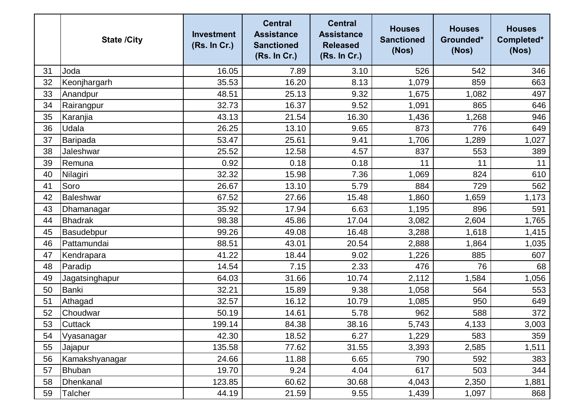|    | <b>State /City</b> | <b>Investment</b><br>(Rs. In Cr.) | <b>Central</b><br><b>Assistance</b><br><b>Sanctioned</b><br>(Rs. In Cr.) | <b>Central</b><br><b>Assistance</b><br><b>Released</b><br>(Rs. In Cr.) | <b>Houses</b><br><b>Sanctioned</b><br>(Nos) | <b>Houses</b><br>Grounded*<br>(Nos) | <b>Houses</b><br>Completed*<br>(Nos) |
|----|--------------------|-----------------------------------|--------------------------------------------------------------------------|------------------------------------------------------------------------|---------------------------------------------|-------------------------------------|--------------------------------------|
| 31 | Joda               | 16.05                             | 7.89                                                                     | 3.10                                                                   | 526                                         | 542                                 | 346                                  |
| 32 | Keonjhargarh       | 35.53                             | 16.20                                                                    | 8.13                                                                   | 1,079                                       | 859                                 | 663                                  |
| 33 | Anandpur           | 48.51                             | 25.13                                                                    | 9.32                                                                   | 1,675                                       | 1,082                               | 497                                  |
| 34 | Rairangpur         | 32.73                             | 16.37                                                                    | 9.52                                                                   | 1,091                                       | 865                                 | 646                                  |
| 35 | Karanjia           | 43.13                             | 21.54                                                                    | 16.30                                                                  | 1,436                                       | 1,268                               | 946                                  |
| 36 | Udala              | 26.25                             | 13.10                                                                    | 9.65                                                                   | 873                                         | 776                                 | 649                                  |
| 37 | <b>Baripada</b>    | 53.47                             | 25.61                                                                    | 9.41                                                                   | 1,706                                       | 1,289                               | 1,027                                |
| 38 | Jaleshwar          | 25.52                             | 12.58                                                                    | 4.57                                                                   | 837                                         | 553                                 | 389                                  |
| 39 | Remuna             | 0.92                              | 0.18                                                                     | 0.18                                                                   | 11                                          | 11                                  | 11                                   |
| 40 | Nilagiri           | 32.32                             | 15.98                                                                    | 7.36                                                                   | 1,069                                       | 824                                 | 610                                  |
| 41 | Soro               | 26.67                             | 13.10                                                                    | 5.79                                                                   | 884                                         | 729                                 | 562                                  |
| 42 | <b>Baleshwar</b>   | 67.52                             | 27.66                                                                    | 15.48                                                                  | 1,860                                       | 1,659                               | 1,173                                |
| 43 | Dhamanagar         | 35.92                             | 17.94                                                                    | 6.63                                                                   | 1,195                                       | 896                                 | 591                                  |
| 44 | <b>Bhadrak</b>     | 98.38                             | 45.86                                                                    | 17.04                                                                  | 3,082                                       | 2,604                               | 1,765                                |
| 45 | Basudebpur         | 99.26                             | 49.08                                                                    | 16.48                                                                  | 3,288                                       | 1,618                               | 1,415                                |
| 46 | Pattamundai        | 88.51                             | 43.01                                                                    | 20.54                                                                  | 2,888                                       | 1,864                               | 1,035                                |
| 47 | Kendrapara         | 41.22                             | 18.44                                                                    | 9.02                                                                   | 1,226                                       | 885                                 | 607                                  |
| 48 | Paradip            | 14.54                             | 7.15                                                                     | 2.33                                                                   | 476                                         | 76                                  | 68                                   |
| 49 | Jagatsinghapur     | 64.03                             | 31.66                                                                    | 10.74                                                                  | 2,112                                       | 1,584                               | 1,056                                |
| 50 | <b>Banki</b>       | 32.21                             | 15.89                                                                    | 9.38                                                                   | 1,058                                       | 564                                 | 553                                  |
| 51 | Athagad            | 32.57                             | 16.12                                                                    | 10.79                                                                  | 1,085                                       | 950                                 | 649                                  |
| 52 | Choudwar           | 50.19                             | 14.61                                                                    | 5.78                                                                   | 962                                         | 588                                 | 372                                  |
| 53 | <b>Cuttack</b>     | 199.14                            | 84.38                                                                    | 38.16                                                                  | 5,743                                       | 4,133                               | 3,003                                |
| 54 | Vyasanagar         | 42.30                             | 18.52                                                                    | 6.27                                                                   | 1,229                                       | 583                                 | 359                                  |
| 55 | Jajapur            | 135.58                            | 77.62                                                                    | 31.55                                                                  | 3,393                                       | 2,585                               | 1,511                                |
| 56 | Kamakshyanagar     | 24.66                             | 11.88                                                                    | 6.65                                                                   | 790                                         | 592                                 | 383                                  |
| 57 | <b>Bhuban</b>      | 19.70                             | 9.24                                                                     | 4.04                                                                   | 617                                         | 503                                 | 344                                  |
| 58 | Dhenkanal          | 123.85                            | 60.62                                                                    | 30.68                                                                  | 4,043                                       | 2,350                               | 1,881                                |
| 59 | <b>Talcher</b>     | 44.19                             | 21.59                                                                    | 9.55                                                                   | 1,439                                       | 1,097                               | 868                                  |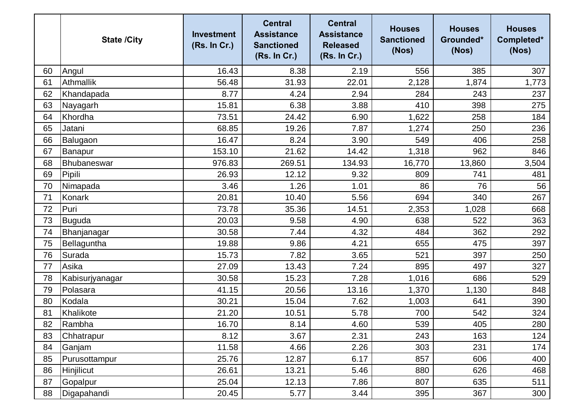|    | <b>State /City</b> | <b>Investment</b><br>(Rs. In Cr.) | <b>Central</b><br><b>Assistance</b><br><b>Sanctioned</b><br>(Rs. In Cr.) | <b>Central</b><br><b>Assistance</b><br><b>Released</b><br>(Rs. In Cr.) | <b>Houses</b><br><b>Sanctioned</b><br>(Nos) | <b>Houses</b><br>Grounded*<br>(Nos) | <b>Houses</b><br>Completed*<br>(Nos) |
|----|--------------------|-----------------------------------|--------------------------------------------------------------------------|------------------------------------------------------------------------|---------------------------------------------|-------------------------------------|--------------------------------------|
| 60 | Angul              | 16.43                             | 8.38                                                                     | 2.19                                                                   | 556                                         | 385                                 | 307                                  |
| 61 | <b>Athmallik</b>   | 56.48                             | 31.93                                                                    | 22.01                                                                  | 2,128                                       | 1,874                               | 1,773                                |
| 62 | Khandapada         | 8.77                              | 4.24                                                                     | 2.94                                                                   | 284                                         | 243                                 | 237                                  |
| 63 | Nayagarh           | 15.81                             | 6.38                                                                     | 3.88                                                                   | 410                                         | 398                                 | 275                                  |
| 64 | Khordha            | 73.51                             | 24.42                                                                    | 6.90                                                                   | 1,622                                       | 258                                 | 184                                  |
| 65 | Jatani             | 68.85                             | 19.26                                                                    | 7.87                                                                   | 1,274                                       | 250                                 | 236                                  |
| 66 | Balugaon           | 16.47                             | 8.24                                                                     | 3.90                                                                   | 549                                         | 406                                 | 258                                  |
| 67 | Banapur            | 153.10                            | 21.62                                                                    | 14.42                                                                  | 1,318                                       | 962                                 | 846                                  |
| 68 | Bhubaneswar        | 976.83                            | 269.51                                                                   | 134.93                                                                 | 16,770                                      | 13,860                              | 3,504                                |
| 69 | Pipili             | 26.93                             | 12.12                                                                    | 9.32                                                                   | 809                                         | 741                                 | 481                                  |
| 70 | Nimapada           | 3.46                              | 1.26                                                                     | 1.01                                                                   | 86                                          | 76                                  | 56                                   |
| 71 | Konark             | 20.81                             | 10.40                                                                    | 5.56                                                                   | 694                                         | 340                                 | 267                                  |
| 72 | Puri               | 73.78                             | 35.36                                                                    | 14.51                                                                  | 2,353                                       | 1,028                               | 668                                  |
| 73 | <b>Buguda</b>      | 20.03                             | 9.58                                                                     | 4.90                                                                   | 638                                         | 522                                 | 363                                  |
| 74 | Bhanjanagar        | 30.58                             | 7.44                                                                     | 4.32                                                                   | 484                                         | 362                                 | 292                                  |
| 75 | Bellaguntha        | 19.88                             | 9.86                                                                     | 4.21                                                                   | 655                                         | 475                                 | 397                                  |
| 76 | Surada             | 15.73                             | 7.82                                                                     | 3.65                                                                   | 521                                         | 397                                 | 250                                  |
| 77 | Asika              | 27.09                             | 13.43                                                                    | 7.24                                                                   | 895                                         | 497                                 | 327                                  |
| 78 | Kabisurjyanagar    | 30.58                             | 15.23                                                                    | 7.28                                                                   | 1,016                                       | 686                                 | 529                                  |
| 79 | Polasara           | 41.15                             | 20.56                                                                    | 13.16                                                                  | 1,370                                       | 1,130                               | 848                                  |
| 80 | Kodala             | 30.21                             | 15.04                                                                    | 7.62                                                                   | 1,003                                       | 641                                 | 390                                  |
| 81 | Khalikote          | 21.20                             | 10.51                                                                    | 5.78                                                                   | 700                                         | 542                                 | 324                                  |
| 82 | Rambha             | 16.70                             | 8.14                                                                     | 4.60                                                                   | 539                                         | 405                                 | 280                                  |
| 83 | Chhatrapur         | 8.12                              | 3.67                                                                     | 2.31                                                                   | 243                                         | 163                                 | 124                                  |
| 84 | Ganjam             | 11.58                             | 4.66                                                                     | 2.26                                                                   | 303                                         | 231                                 | 174                                  |
| 85 | Purusottampur      | 25.76                             | 12.87                                                                    | 6.17                                                                   | 857                                         | 606                                 | 400                                  |
| 86 | Hinjilicut         | 26.61                             | 13.21                                                                    | 5.46                                                                   | 880                                         | 626                                 | 468                                  |
| 87 | Gopalpur           | 25.04                             | 12.13                                                                    | 7.86                                                                   | 807                                         | 635                                 | 511                                  |
| 88 | Digapahandi        | 20.45                             | 5.77                                                                     | 3.44                                                                   | 395                                         | 367                                 | 300                                  |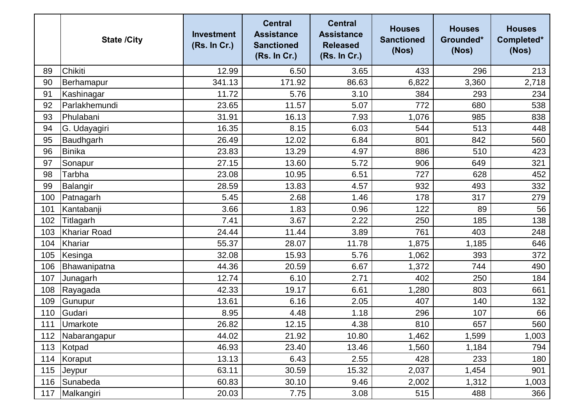|     | <b>State /City</b> | <b>Investment</b><br>(Rs. In Cr.) | <b>Central</b><br><b>Assistance</b><br><b>Sanctioned</b><br>(Rs. In Cr.) | <b>Central</b><br><b>Assistance</b><br><b>Released</b><br>(Rs. In Cr.) | <b>Houses</b><br><b>Sanctioned</b><br>(Nos) | <b>Houses</b><br>Grounded*<br>(Nos) | <b>Houses</b><br>Completed*<br>(Nos) |
|-----|--------------------|-----------------------------------|--------------------------------------------------------------------------|------------------------------------------------------------------------|---------------------------------------------|-------------------------------------|--------------------------------------|
| 89  | Chikiti            | 12.99                             | 6.50                                                                     | 3.65                                                                   | 433                                         | 296                                 | 213                                  |
| 90  | Berhamapur         | 341.13                            | 171.92                                                                   | 86.63                                                                  | 6,822                                       | 3,360                               | 2,718                                |
| 91  | Kashinagar         | 11.72                             | 5.76                                                                     | 3.10                                                                   | 384                                         | 293                                 | 234                                  |
| 92  | Parlakhemundi      | 23.65                             | 11.57                                                                    | 5.07                                                                   | 772                                         | 680                                 | 538                                  |
| 93  | Phulabani          | 31.91                             | 16.13                                                                    | 7.93                                                                   | 1,076                                       | 985                                 | 838                                  |
| 94  | G. Udayagiri       | 16.35                             | 8.15                                                                     | 6.03                                                                   | 544                                         | 513                                 | 448                                  |
| 95  | Baudhgarh          | 26.49                             | 12.02                                                                    | 6.84                                                                   | 801                                         | 842                                 | 560                                  |
| 96  | <b>Binika</b>      | 23.83                             | 13.29                                                                    | 4.97                                                                   | 886                                         | 510                                 | 423                                  |
| 97  | Sonapur            | 27.15                             | 13.60                                                                    | 5.72                                                                   | 906                                         | 649                                 | 321                                  |
| 98  | <b>Tarbha</b>      | 23.08                             | 10.95                                                                    | 6.51                                                                   | 727                                         | 628                                 | 452                                  |
| 99  | Balangir           | 28.59                             | 13.83                                                                    | 4.57                                                                   | 932                                         | 493                                 | 332                                  |
| 100 | Patnagarh          | 5.45                              | 2.68                                                                     | 1.46                                                                   | 178                                         | 317                                 | 279                                  |
| 101 | Kantabanji         | 3.66                              | 1.83                                                                     | 0.96                                                                   | 122                                         | 89                                  | 56                                   |
| 102 | Titlagarh          | 7.41                              | 3.67                                                                     | 2.22                                                                   | 250                                         | 185                                 | 138                                  |
| 103 | Khariar Road       | 24.44                             | 11.44                                                                    | 3.89                                                                   | 761                                         | 403                                 | 248                                  |
| 104 | Khariar            | 55.37                             | 28.07                                                                    | 11.78                                                                  | 1,875                                       | 1,185                               | 646                                  |
| 105 | Kesinga            | 32.08                             | 15.93                                                                    | 5.76                                                                   | 1,062                                       | 393                                 | 372                                  |
| 106 | Bhawanipatna       | 44.36                             | 20.59                                                                    | 6.67                                                                   | 1,372                                       | 744                                 | 490                                  |
| 107 | Junagarh           | 12.74                             | 6.10                                                                     | 2.71                                                                   | 402                                         | 250                                 | 184                                  |
| 108 | Rayagada           | 42.33                             | 19.17                                                                    | 6.61                                                                   | 1,280                                       | 803                                 | 661                                  |
| 109 | Gunupur            | 13.61                             | 6.16                                                                     | 2.05                                                                   | 407                                         | 140                                 | 132                                  |
| 110 | Gudari             | 8.95                              | 4.48                                                                     | 1.18                                                                   | 296                                         | 107                                 | 66                                   |
| 111 | Umarkote           | 26.82                             | 12.15                                                                    | 4.38                                                                   | 810                                         | 657                                 | 560                                  |
| 112 | Nabarangapur       | 44.02                             | 21.92                                                                    | 10.80                                                                  | 1,462                                       | 1,599                               | 1,003                                |
| 113 | Kotpad             | 46.93                             | 23.40                                                                    | 13.46                                                                  | 1,560                                       | 1,184                               | 794                                  |
| 114 | Koraput            | 13.13                             | 6.43                                                                     | 2.55                                                                   | 428                                         | 233                                 | 180                                  |
| 115 | Jeypur             | 63.11                             | 30.59                                                                    | 15.32                                                                  | 2,037                                       | 1,454                               | 901                                  |
| 116 | Sunabeda           | 60.83                             | 30.10                                                                    | 9.46                                                                   | 2,002                                       | 1,312                               | 1,003                                |
| 117 | Malkangiri         | 20.03                             | 7.75                                                                     | 3.08                                                                   | 515                                         | 488                                 | 366                                  |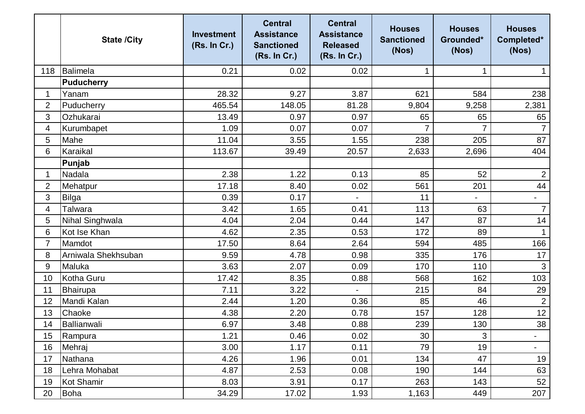|                | <b>State /City</b>  | <b>Investment</b><br>(Rs. In Cr.) | <b>Central</b><br><b>Assistance</b><br><b>Sanctioned</b><br>(Rs. In Cr.) | <b>Central</b><br><b>Assistance</b><br><b>Released</b><br>(Rs. In Cr.) | <b>Houses</b><br><b>Sanctioned</b><br>(Nos) | <b>Houses</b><br>Grounded*<br>(Nos) | <b>Houses</b><br>Completed*<br>(Nos) |
|----------------|---------------------|-----------------------------------|--------------------------------------------------------------------------|------------------------------------------------------------------------|---------------------------------------------|-------------------------------------|--------------------------------------|
| 118            | Balimela            | 0.21                              | 0.02                                                                     | 0.02                                                                   |                                             | 1                                   |                                      |
|                | Puducherry          |                                   |                                                                          |                                                                        |                                             |                                     |                                      |
| 1              | Yanam               | 28.32                             | 9.27                                                                     | 3.87                                                                   | 621                                         | 584                                 | 238                                  |
| 2              | Puducherry          | 465.54                            | 148.05                                                                   | 81.28                                                                  | 9,804                                       | 9,258                               | 2,381                                |
| 3              | Ozhukarai           | 13.49                             | 0.97                                                                     | 0.97                                                                   | 65                                          | 65                                  | 65                                   |
| 4              | Kurumbapet          | 1.09                              | 0.07                                                                     | 0.07                                                                   | 7                                           | $\overline{7}$                      | $\overline{7}$                       |
| 5              | Mahe                | 11.04                             | 3.55                                                                     | 1.55                                                                   | 238                                         | 205                                 | 87                                   |
| 6              | Karaikal            | 113.67                            | 39.49                                                                    | 20.57                                                                  | 2,633                                       | 2,696                               | 404                                  |
|                | Punjab              |                                   |                                                                          |                                                                        |                                             |                                     |                                      |
| $\mathbf{1}$   | Nadala              | 2.38                              | 1.22                                                                     | 0.13                                                                   | 85                                          | 52                                  | $\overline{2}$                       |
| $\overline{2}$ | Mehatpur            | 17.18                             | 8.40                                                                     | 0.02                                                                   | 561                                         | 201                                 | 44                                   |
| 3              | Bilga               | 0.39                              | 0.17                                                                     |                                                                        | 11                                          | $\overline{\phantom{0}}$            | $\qquad \qquad -$                    |
| 4              | Talwara             | 3.42                              | 1.65                                                                     | 0.41                                                                   | 113                                         | 63                                  | $\overline{7}$                       |
| 5              | Nihal Singhwala     | 4.04                              | 2.04                                                                     | 0.44                                                                   | 147                                         | 87                                  | 14                                   |
| 6              | Kot Ise Khan        | 4.62                              | 2.35                                                                     | 0.53                                                                   | 172                                         | 89                                  | $\mathbf 1$                          |
| $\overline{7}$ | Mamdot              | 17.50                             | 8.64                                                                     | 2.64                                                                   | 594                                         | 485                                 | 166                                  |
| 8              | Arniwala Shekhsuban | 9.59                              | 4.78                                                                     | 0.98                                                                   | 335                                         | 176                                 | 17                                   |
| 9              | Maluka              | 3.63                              | 2.07                                                                     | 0.09                                                                   | 170                                         | 110                                 | $\mathbf{3}$                         |
| 10             | Kotha Guru          | 17.42                             | 8.35                                                                     | 0.88                                                                   | 568                                         | 162                                 | 103                                  |
| 11             | <b>Bhairupa</b>     | 7.11                              | 3.22                                                                     |                                                                        | 215                                         | 84                                  | 29                                   |
| 12             | Mandi Kalan         | 2.44                              | 1.20                                                                     | 0.36                                                                   | 85                                          | 46                                  | $\overline{2}$                       |
| 13             | Chaoke              | 4.38                              | 2.20                                                                     | 0.78                                                                   | 157                                         | 128                                 | 12                                   |
| 14             | Ballianwali         | 6.97                              | 3.48                                                                     | 0.88                                                                   | 239                                         | 130                                 | 38                                   |
| 15             | Rampura             | 1.21                              | 0.46                                                                     | 0.02                                                                   | 30                                          | 3                                   | $\blacksquare$                       |
| 16             | Mehraj              | 3.00                              | 1.17                                                                     | 0.11                                                                   | 79                                          | 19                                  | $\blacksquare$                       |
| 17             | Nathana             | 4.26                              | 1.96                                                                     | 0.01                                                                   | 134                                         | 47                                  | 19                                   |
| 18             | Lehra Mohabat       | 4.87                              | 2.53                                                                     | 0.08                                                                   | 190                                         | 144                                 | 63                                   |
| 19             | Kot Shamir          | 8.03                              | 3.91                                                                     | 0.17                                                                   | 263                                         | 143                                 | 52                                   |
| 20             | Boha                | 34.29                             | 17.02                                                                    | 1.93                                                                   | 1,163                                       | 449                                 | 207                                  |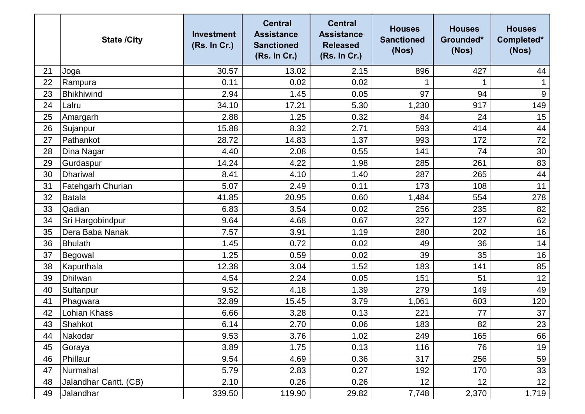|    | <b>State /City</b>       | <b>Investment</b><br>(Rs. In Cr.) | <b>Central</b><br><b>Assistance</b><br><b>Sanctioned</b><br>(Rs. In Cr.) | <b>Central</b><br><b>Assistance</b><br><b>Released</b><br>(Rs. In Cr.) | <b>Houses</b><br><b>Sanctioned</b><br>(Nos) | <b>Houses</b><br>Grounded*<br>(Nos) | <b>Houses</b><br>Completed*<br>(Nos) |
|----|--------------------------|-----------------------------------|--------------------------------------------------------------------------|------------------------------------------------------------------------|---------------------------------------------|-------------------------------------|--------------------------------------|
| 21 | Joga                     | 30.57                             | 13.02                                                                    | 2.15                                                                   | 896                                         | 427                                 | 44                                   |
| 22 | Rampura                  | 0.11                              | 0.02                                                                     | 0.02                                                                   |                                             | 1                                   | $\mathbf 1$                          |
| 23 | <b>Bhikhiwind</b>        | 2.94                              | 1.45                                                                     | 0.05                                                                   | 97                                          | 94                                  | $9\,$                                |
| 24 | Lalru                    | 34.10                             | 17.21                                                                    | 5.30                                                                   | 1,230                                       | 917                                 | 149                                  |
| 25 | Amargarh                 | 2.88                              | 1.25                                                                     | 0.32                                                                   | 84                                          | 24                                  | 15                                   |
| 26 | Sujanpur                 | 15.88                             | 8.32                                                                     | 2.71                                                                   | 593                                         | 414                                 | 44                                   |
| 27 | Pathankot                | 28.72                             | 14.83                                                                    | 1.37                                                                   | 993                                         | 172                                 | 72                                   |
| 28 | Dina Nagar               | 4.40                              | 2.08                                                                     | 0.55                                                                   | 141                                         | 74                                  | 30                                   |
| 29 | Gurdaspur                | 14.24                             | 4.22                                                                     | 1.98                                                                   | 285                                         | 261                                 | 83                                   |
| 30 | <b>Dhariwal</b>          | 8.41                              | 4.10                                                                     | 1.40                                                                   | 287                                         | 265                                 | 44                                   |
| 31 | <b>Fatehgarh Churian</b> | 5.07                              | 2.49                                                                     | 0.11                                                                   | 173                                         | 108                                 | 11                                   |
| 32 | <b>Batala</b>            | 41.85                             | 20.95                                                                    | 0.60                                                                   | 1,484                                       | 554                                 | 278                                  |
| 33 | Qadian                   | 6.83                              | 3.54                                                                     | 0.02                                                                   | 256                                         | 235                                 | 82                                   |
| 34 | Sri Hargobindpur         | 9.64                              | 4.68                                                                     | 0.67                                                                   | 327                                         | 127                                 | 62                                   |
| 35 | Dera Baba Nanak          | 7.57                              | 3.91                                                                     | 1.19                                                                   | 280                                         | 202                                 | 16                                   |
| 36 | <b>Bhulath</b>           | 1.45                              | 0.72                                                                     | 0.02                                                                   | 49                                          | 36                                  | 14                                   |
| 37 | Begowal                  | 1.25                              | 0.59                                                                     | 0.02                                                                   | 39                                          | 35                                  | 16                                   |
| 38 | Kapurthala               | 12.38                             | 3.04                                                                     | 1.52                                                                   | 183                                         | 141                                 | 85                                   |
| 39 | <b>Dhilwan</b>           | 4.54                              | 2.24                                                                     | 0.05                                                                   | 151                                         | 51                                  | 12                                   |
| 40 | Sultanpur                | 9.52                              | 4.18                                                                     | 1.39                                                                   | 279                                         | 149                                 | 49                                   |
| 41 | Phagwara                 | 32.89                             | 15.45                                                                    | 3.79                                                                   | 1,061                                       | 603                                 | 120                                  |
| 42 | Lohian Khass             | 6.66                              | 3.28                                                                     | 0.13                                                                   | 221                                         | 77                                  | 37                                   |
| 43 | Shahkot                  | 6.14                              | 2.70                                                                     | 0.06                                                                   | 183                                         | 82                                  | 23                                   |
| 44 | Nakodar                  | 9.53                              | 3.76                                                                     | 1.02                                                                   | 249                                         | 165                                 | 66                                   |
| 45 | Goraya                   | 3.89                              | 1.75                                                                     | 0.13                                                                   | 116                                         | 76                                  | 19                                   |
| 46 | Phillaur                 | 9.54                              | 4.69                                                                     | 0.36                                                                   | 317                                         | 256                                 | 59                                   |
| 47 | Nurmahal                 | 5.79                              | 2.83                                                                     | 0.27                                                                   | 192                                         | 170                                 | 33                                   |
| 48 | Jalandhar Cantt. (CB)    | 2.10                              | 0.26                                                                     | 0.26                                                                   | 12                                          | 12                                  | 12                                   |
| 49 | Jalandhar                | 339.50                            | 119.90                                                                   | 29.82                                                                  | 7,748                                       | 2,370                               | 1,719                                |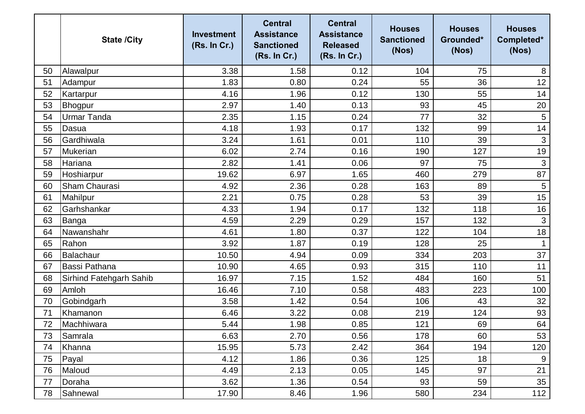|    | <b>State /City</b>      | <b>Investment</b><br>(Rs. In Cr.) | <b>Central</b><br><b>Assistance</b><br><b>Sanctioned</b><br>(Rs. In Cr.) | <b>Central</b><br><b>Assistance</b><br><b>Released</b><br>(Rs. In Cr.) | <b>Houses</b><br><b>Sanctioned</b><br>(Nos) | <b>Houses</b><br>Grounded*<br>(Nos) | <b>Houses</b><br>Completed*<br>(Nos) |
|----|-------------------------|-----------------------------------|--------------------------------------------------------------------------|------------------------------------------------------------------------|---------------------------------------------|-------------------------------------|--------------------------------------|
| 50 | Alawalpur               | 3.38                              | 1.58                                                                     | 0.12                                                                   | 104                                         | 75                                  | 8                                    |
| 51 | Adampur                 | 1.83                              | 0.80                                                                     | 0.24                                                                   | 55                                          | 36                                  | 12                                   |
| 52 | Kartarpur               | 4.16                              | 1.96                                                                     | 0.12                                                                   | 130                                         | 55                                  | 14                                   |
| 53 | Bhogpur                 | 2.97                              | 1.40                                                                     | 0.13                                                                   | 93                                          | 45                                  | 20                                   |
| 54 | <b>Urmar Tanda</b>      | 2.35                              | 1.15                                                                     | 0.24                                                                   | 77                                          | 32                                  | $\overline{5}$                       |
| 55 | Dasua                   | 4.18                              | 1.93                                                                     | 0.17                                                                   | 132                                         | 99                                  | 14                                   |
| 56 | Gardhiwala              | 3.24                              | 1.61                                                                     | 0.01                                                                   | 110                                         | 39                                  | 3                                    |
| 57 | Mukerian                | 6.02                              | 2.74                                                                     | 0.16                                                                   | 190                                         | 127                                 | 19                                   |
| 58 | Hariana                 | 2.82                              | 1.41                                                                     | 0.06                                                                   | 97                                          | 75                                  | 3                                    |
| 59 | Hoshiarpur              | 19.62                             | 6.97                                                                     | 1.65                                                                   | 460                                         | 279                                 | 87                                   |
| 60 | <b>Sham Chaurasi</b>    | 4.92                              | 2.36                                                                     | 0.28                                                                   | 163                                         | 89                                  | $\overline{5}$                       |
| 61 | Mahilpur                | 2.21                              | 0.75                                                                     | 0.28                                                                   | 53                                          | 39                                  | 15                                   |
| 62 | Garhshankar             | 4.33                              | 1.94                                                                     | 0.17                                                                   | 132                                         | 118                                 | 16                                   |
| 63 | Banga                   | 4.59                              | 2.29                                                                     | 0.29                                                                   | 157                                         | 132                                 | $\mathbf{3}$                         |
| 64 | Nawanshahr              | 4.61                              | 1.80                                                                     | 0.37                                                                   | 122                                         | 104                                 | 18                                   |
| 65 | Rahon                   | 3.92                              | 1.87                                                                     | 0.19                                                                   | 128                                         | 25                                  |                                      |
| 66 | Balachaur               | 10.50                             | 4.94                                                                     | 0.09                                                                   | 334                                         | 203                                 | 37                                   |
| 67 | <b>Bassi Pathana</b>    | 10.90                             | 4.65                                                                     | 0.93                                                                   | 315                                         | 110                                 | 11                                   |
| 68 | Sirhind Fatehgarh Sahib | 16.97                             | 7.15                                                                     | 1.52                                                                   | 484                                         | 160                                 | 51                                   |
| 69 | Amloh                   | 16.46                             | 7.10                                                                     | 0.58                                                                   | 483                                         | 223                                 | 100                                  |
| 70 | Gobindgarh              | 3.58                              | 1.42                                                                     | 0.54                                                                   | 106                                         | 43                                  | 32                                   |
| 71 | Khamanon                | 6.46                              | 3.22                                                                     | 0.08                                                                   | 219                                         | 124                                 | 93                                   |
| 72 | Machhiwara              | 5.44                              | 1.98                                                                     | 0.85                                                                   | 121                                         | 69                                  | 64                                   |
| 73 | Samrala                 | 6.63                              | 2.70                                                                     | 0.56                                                                   | 178                                         | 60                                  | 53                                   |
| 74 | Khanna                  | 15.95                             | 5.73                                                                     | 2.42                                                                   | 364                                         | 194                                 | 120                                  |
| 75 | Payal                   | 4.12                              | 1.86                                                                     | 0.36                                                                   | 125                                         | 18                                  | 9                                    |
| 76 | Maloud                  | 4.49                              | 2.13                                                                     | 0.05                                                                   | 145                                         | 97                                  | 21                                   |
| 77 | Doraha                  | 3.62                              | 1.36                                                                     | 0.54                                                                   | 93                                          | 59                                  | 35                                   |
| 78 | Sahnewal                | 17.90                             | 8.46                                                                     | 1.96                                                                   | 580                                         | 234                                 | 112                                  |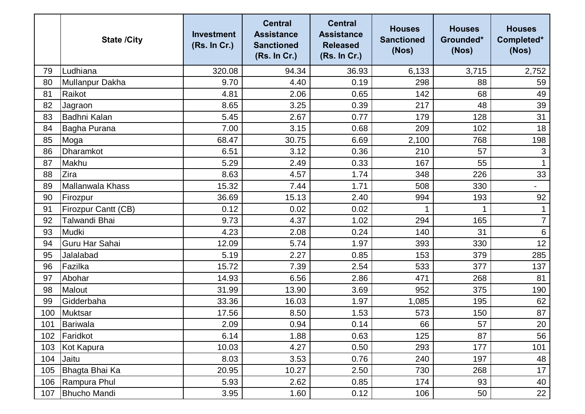|     | <b>State /City</b>         | <b>Investment</b><br>(Rs. In Cr.) | <b>Central</b><br><b>Assistance</b><br><b>Sanctioned</b><br>(Rs. In Cr.) | <b>Central</b><br><b>Assistance</b><br><b>Released</b><br>(Rs. In Cr.) | <b>Houses</b><br><b>Sanctioned</b><br>(Nos) | <b>Houses</b><br>Grounded*<br>(Nos) | <b>Houses</b><br>Completed*<br>(Nos) |
|-----|----------------------------|-----------------------------------|--------------------------------------------------------------------------|------------------------------------------------------------------------|---------------------------------------------|-------------------------------------|--------------------------------------|
| 79  | Ludhiana                   | 320.08                            | 94.34                                                                    | 36.93                                                                  | 6,133                                       | 3,715                               | 2,752                                |
| 80  | Mullanpur Dakha            | 9.70                              | 4.40                                                                     | 0.19                                                                   | 298                                         | 88                                  | 59                                   |
| 81  | Raikot                     | 4.81                              | 2.06                                                                     | 0.65                                                                   | 142                                         | 68                                  | 49                                   |
| 82  | Jagraon                    | 8.65                              | 3.25                                                                     | 0.39                                                                   | 217                                         | 48                                  | 39                                   |
| 83  | Badhni Kalan               | 5.45                              | 2.67                                                                     | 0.77                                                                   | 179                                         | 128                                 | 31                                   |
| 84  | Bagha Purana               | 7.00                              | 3.15                                                                     | 0.68                                                                   | 209                                         | 102                                 | 18                                   |
| 85  | Moga                       | 68.47                             | 30.75                                                                    | 6.69                                                                   | 2,100                                       | 768                                 | 198                                  |
| 86  | Dharamkot                  | 6.51                              | 3.12                                                                     | 0.36                                                                   | 210                                         | 57                                  | 3                                    |
| 87  | Makhu                      | 5.29                              | 2.49                                                                     | 0.33                                                                   | 167                                         | 55                                  | $\mathbf{1}$                         |
| 88  | Zira                       | 8.63                              | 4.57                                                                     | 1.74                                                                   | 348                                         | 226                                 | 33                                   |
| 89  | Mallanwala Khass           | 15.32                             | 7.44                                                                     | 1.71                                                                   | 508                                         | 330                                 |                                      |
| 90  | Firozpur                   | 36.69                             | 15.13                                                                    | 2.40                                                                   | 994                                         | 193                                 | 92                                   |
| 91  | <b>Firozpur Cantt (CB)</b> | 0.12                              | 0.02                                                                     | 0.02                                                                   |                                             |                                     |                                      |
| 92  | Talwandi Bhai              | 9.73                              | 4.37                                                                     | 1.02                                                                   | 294                                         | 165                                 | $\overline{7}$                       |
| 93  | Mudki                      | 4.23                              | 2.08                                                                     | 0.24                                                                   | 140                                         | 31                                  | 6                                    |
| 94  | Guru Har Sahai             | 12.09                             | 5.74                                                                     | 1.97                                                                   | 393                                         | 330                                 | 12                                   |
| 95  | Jalalabad                  | 5.19                              | 2.27                                                                     | 0.85                                                                   | 153                                         | 379                                 | 285                                  |
| 96  | Fazilka                    | 15.72                             | 7.39                                                                     | 2.54                                                                   | 533                                         | 377                                 | 137                                  |
| 97  | Abohar                     | 14.93                             | 6.56                                                                     | 2.86                                                                   | 471                                         | 268                                 | 81                                   |
| 98  | Malout                     | 31.99                             | 13.90                                                                    | 3.69                                                                   | 952                                         | 375                                 | 190                                  |
| 99  | Gidderbaha                 | 33.36                             | 16.03                                                                    | 1.97                                                                   | 1,085                                       | 195                                 | 62                                   |
| 100 | <b>Muktsar</b>             | 17.56                             | 8.50                                                                     | 1.53                                                                   | 573                                         | 150                                 | 87                                   |
| 101 | Bariwala                   | 2.09                              | 0.94                                                                     | 0.14                                                                   | 66                                          | 57                                  | 20                                   |
| 102 | Faridkot                   | 6.14                              | 1.88                                                                     | 0.63                                                                   | 125                                         | 87                                  | 56                                   |
| 103 | Kot Kapura                 | 10.03                             | 4.27                                                                     | 0.50                                                                   | 293                                         | 177                                 | 101                                  |
| 104 | Jaitu                      | 8.03                              | 3.53                                                                     | 0.76                                                                   | 240                                         | 197                                 | 48                                   |
| 105 | Bhagta Bhai Ka             | 20.95                             | 10.27                                                                    | 2.50                                                                   | 730                                         | 268                                 | 17                                   |
| 106 | Rampura Phul               | 5.93                              | 2.62                                                                     | 0.85                                                                   | 174                                         | 93                                  | 40                                   |
| 107 | <b>Bhucho Mandi</b>        | 3.95                              | 1.60                                                                     | 0.12                                                                   | 106                                         | 50                                  | 22                                   |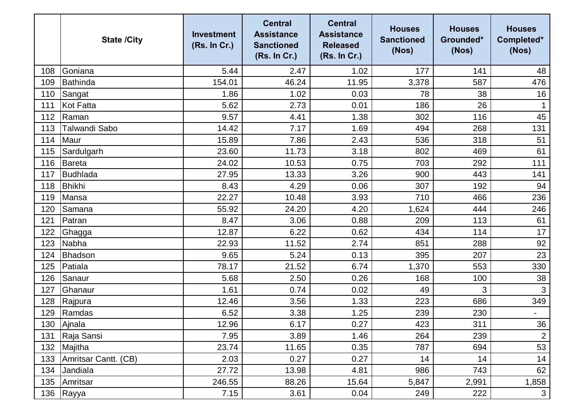|     | <b>State /City</b>   | <b>Investment</b><br>(Rs. In Cr.) | <b>Central</b><br><b>Assistance</b><br><b>Sanctioned</b><br>(Rs. In Cr.) | <b>Central</b><br><b>Assistance</b><br><b>Released</b><br>(Rs. In Cr.) | <b>Houses</b><br><b>Sanctioned</b><br>(Nos) | <b>Houses</b><br>Grounded*<br>(Nos) | <b>Houses</b><br>Completed*<br>(Nos) |
|-----|----------------------|-----------------------------------|--------------------------------------------------------------------------|------------------------------------------------------------------------|---------------------------------------------|-------------------------------------|--------------------------------------|
| 108 | Goniana              | 5.44                              | 2.47                                                                     | 1.02                                                                   | 177                                         | 141                                 | 48                                   |
| 109 | <b>Bathinda</b>      | 154.01                            | 46.24                                                                    | 11.95                                                                  | 3,378                                       | 587                                 | 476                                  |
| 110 | Sangat               | 1.86                              | 1.02                                                                     | 0.03                                                                   | 78                                          | 38                                  | 16                                   |
| 111 | <b>Kot Fatta</b>     | 5.62                              | 2.73                                                                     | 0.01                                                                   | 186                                         | 26                                  |                                      |
| 112 | Raman                | 9.57                              | 4.41                                                                     | 1.38                                                                   | 302                                         | 116                                 | 45                                   |
| 113 | Talwandi Sabo        | 14.42                             | 7.17                                                                     | 1.69                                                                   | 494                                         | 268                                 | 131                                  |
| 114 | Maur                 | 15.89                             | 7.86                                                                     | 2.43                                                                   | 536                                         | 318                                 | 51                                   |
| 115 | Sardulgarh           | 23.60                             | 11.73                                                                    | 3.18                                                                   | 802                                         | 469                                 | 61                                   |
| 116 | Bareta               | 24.02                             | 10.53                                                                    | 0.75                                                                   | 703                                         | 292                                 | 111                                  |
| 117 | Budhlada             | 27.95                             | 13.33                                                                    | 3.26                                                                   | 900                                         | 443                                 | 141                                  |
| 118 | <b>Bhikhi</b>        | 8.43                              | 4.29                                                                     | 0.06                                                                   | 307                                         | 192                                 | 94                                   |
| 119 | Mansa                | 22.27                             | 10.48                                                                    | 3.93                                                                   | 710                                         | 466                                 | 236                                  |
| 120 | Samana               | 55.92                             | 24.20                                                                    | 4.20                                                                   | 1,624                                       | 444                                 | 246                                  |
| 121 | Patran               | 8.47                              | 3.06                                                                     | 0.88                                                                   | 209                                         | 113                                 | 61                                   |
| 122 | Ghagga               | 12.87                             | 6.22                                                                     | 0.62                                                                   | 434                                         | 114                                 | 17                                   |
| 123 | Nabha                | 22.93                             | 11.52                                                                    | 2.74                                                                   | 851                                         | 288                                 | 92                                   |
| 124 | <b>Bhadson</b>       | 9.65                              | 5.24                                                                     | 0.13                                                                   | 395                                         | 207                                 | 23                                   |
| 125 | Patiala              | 78.17                             | 21.52                                                                    | 6.74                                                                   | 1,370                                       | 553                                 | 330                                  |
| 126 | Sanaur               | 5.68                              | 2.50                                                                     | 0.26                                                                   | 168                                         | 100                                 | 38                                   |
| 127 | Ghanaur              | 1.61                              | 0.74                                                                     | 0.02                                                                   | 49                                          | 3                                   | 3                                    |
| 128 | Rajpura              | 12.46                             | 3.56                                                                     | 1.33                                                                   | 223                                         | 686                                 | 349                                  |
| 129 | Ramdas               | 6.52                              | 3.38                                                                     | 1.25                                                                   | 239                                         | 230                                 |                                      |
| 130 | Ajnala               | 12.96                             | 6.17                                                                     | 0.27                                                                   | 423                                         | 311                                 | 36                                   |
| 131 | Raja Sansi           | 7.95                              | 3.89                                                                     | 1.46                                                                   | 264                                         | 239                                 | $\overline{2}$                       |
| 132 | Majitha              | 23.74                             | 11.65                                                                    | 0.35                                                                   | 787                                         | 694                                 | 53                                   |
| 133 | Amritsar Cantt. (CB) | 2.03                              | 0.27                                                                     | 0.27                                                                   | 14                                          | 14                                  | 14                                   |
| 134 | Jandiala             | 27.72                             | 13.98                                                                    | 4.81                                                                   | 986                                         | 743                                 | 62                                   |
| 135 | Amritsar             | 246.55                            | 88.26                                                                    | 15.64                                                                  | 5,847                                       | 2,991                               | 1,858                                |
| 136 | Rayya                | 7.15                              | 3.61                                                                     | 0.04                                                                   | 249                                         | 222                                 | $\mathbf{3}$                         |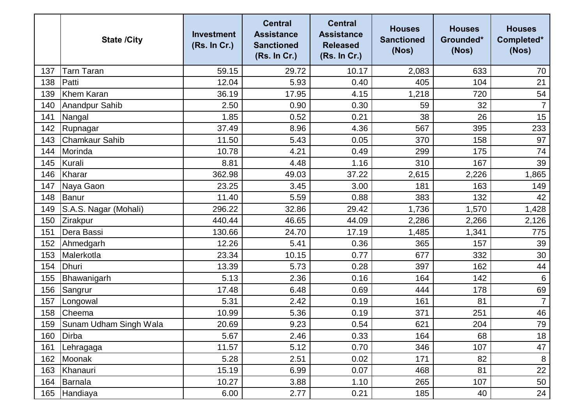|     | <b>State /City</b>     | <b>Investment</b><br>(Rs. In Cr.) | <b>Central</b><br><b>Assistance</b><br><b>Sanctioned</b><br>(Rs. In Cr.) | <b>Central</b><br><b>Assistance</b><br><b>Released</b><br>(Rs. In Cr.) | <b>Houses</b><br><b>Sanctioned</b><br>(Nos) | <b>Houses</b><br>Grounded*<br>(Nos) | <b>Houses</b><br>Completed*<br>(Nos) |
|-----|------------------------|-----------------------------------|--------------------------------------------------------------------------|------------------------------------------------------------------------|---------------------------------------------|-------------------------------------|--------------------------------------|
| 137 | Tarn Taran             | 59.15                             | 29.72                                                                    | 10.17                                                                  | 2,083                                       | 633                                 | 70                                   |
| 138 | Patti                  | 12.04                             | 5.93                                                                     | 0.40                                                                   | 405                                         | 104                                 | 21                                   |
| 139 | Khem Karan             | 36.19                             | 17.95                                                                    | 4.15                                                                   | 1,218                                       | 720                                 | 54                                   |
| 140 | Anandpur Sahib         | 2.50                              | 0.90                                                                     | 0.30                                                                   | 59                                          | 32                                  | $\overline{7}$                       |
| 141 | Nangal                 | 1.85                              | 0.52                                                                     | 0.21                                                                   | 38                                          | 26                                  | 15                                   |
| 142 | Rupnagar               | 37.49                             | 8.96                                                                     | 4.36                                                                   | 567                                         | 395                                 | 233                                  |
| 143 | <b>Chamkaur Sahib</b>  | 11.50                             | 5.43                                                                     | 0.05                                                                   | 370                                         | 158                                 | 97                                   |
| 144 | Morinda                | 10.78                             | 4.21                                                                     | 0.49                                                                   | 299                                         | 175                                 | 74                                   |
| 145 | Kurali                 | 8.81                              | 4.48                                                                     | 1.16                                                                   | 310                                         | 167                                 | 39                                   |
| 146 | Kharar                 | 362.98                            | 49.03                                                                    | 37.22                                                                  | 2,615                                       | 2,226                               | 1,865                                |
| 147 | Naya Gaon              | 23.25                             | 3.45                                                                     | 3.00                                                                   | 181                                         | 163                                 | 149                                  |
| 148 | Banur                  | 11.40                             | 5.59                                                                     | 0.88                                                                   | 383                                         | 132                                 | 42                                   |
| 149 | S.A.S. Nagar (Mohali)  | 296.22                            | 32.86                                                                    | 29.42                                                                  | 1,736                                       | 1,570                               | 1,428                                |
| 150 | Zirakpur               | 440.44                            | 46.65                                                                    | 44.09                                                                  | 2,286                                       | 2,266                               | 2,126                                |
| 151 | Dera Bassi             | 130.66                            | 24.70                                                                    | 17.19                                                                  | 1,485                                       | 1,341                               | 775                                  |
| 152 | Ahmedgarh              | 12.26                             | 5.41                                                                     | 0.36                                                                   | 365                                         | 157                                 | 39                                   |
| 153 | Malerkotla             | 23.34                             | 10.15                                                                    | 0.77                                                                   | 677                                         | 332                                 | 30                                   |
| 154 | <b>Dhuri</b>           | 13.39                             | 5.73                                                                     | 0.28                                                                   | 397                                         | 162                                 | 44                                   |
| 155 | Bhawanigarh            | 5.13                              | 2.36                                                                     | 0.16                                                                   | 164                                         | 142                                 | $6\phantom{1}6$                      |
| 156 | Sangrur                | 17.48                             | 6.48                                                                     | 0.69                                                                   | 444                                         | 178                                 | 69                                   |
| 157 | Longowal               | 5.31                              | 2.42                                                                     | 0.19                                                                   | 161                                         | 81                                  | $\overline{7}$                       |
| 158 | Cheema                 | 10.99                             | 5.36                                                                     | 0.19                                                                   | 371                                         | 251                                 | 46                                   |
| 159 | Sunam Udham Singh Wala | 20.69                             | 9.23                                                                     | 0.54                                                                   | 621                                         | 204                                 | 79                                   |
| 160 | Dirba                  | 5.67                              | 2.46                                                                     | 0.33                                                                   | 164                                         | 68                                  | 18                                   |
| 161 | Lehragaga              | 11.57                             | 5.12                                                                     | 0.70                                                                   | 346                                         | 107                                 | 47                                   |
| 162 | Moonak                 | 5.28                              | 2.51                                                                     | 0.02                                                                   | 171                                         | 82                                  | 8                                    |
| 163 | Khanauri               | 15.19                             | 6.99                                                                     | 0.07                                                                   | 468                                         | 81                                  | 22                                   |
| 164 | Barnala                | 10.27                             | 3.88                                                                     | 1.10                                                                   | 265                                         | 107                                 | 50                                   |
| 165 | Handiaya               | 6.00                              | 2.77                                                                     | 0.21                                                                   | 185                                         | 40                                  | 24                                   |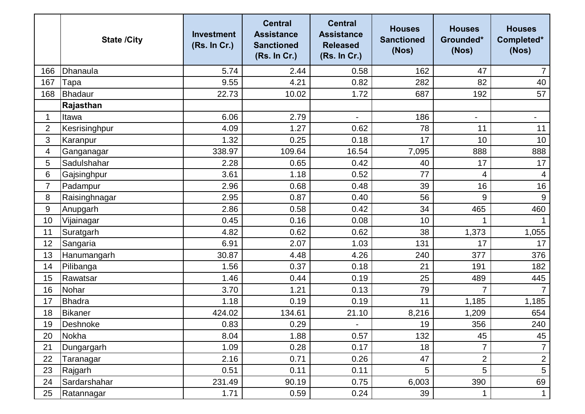|                | <b>State /City</b> | <b>Investment</b><br>(Rs. In Cr.) | <b>Central</b><br><b>Assistance</b><br><b>Sanctioned</b><br>(Rs. In Cr.) | <b>Central</b><br><b>Assistance</b><br><b>Released</b><br>(Rs. In Cr.) | <b>Houses</b><br><b>Sanctioned</b><br>(Nos) | <b>Houses</b><br>Grounded*<br>(Nos) | <b>Houses</b><br>Completed*<br>(Nos) |
|----------------|--------------------|-----------------------------------|--------------------------------------------------------------------------|------------------------------------------------------------------------|---------------------------------------------|-------------------------------------|--------------------------------------|
| 166            | Dhanaula           | 5.74                              | 2.44                                                                     | 0.58                                                                   | 162                                         | 47                                  | $\overline{7}$                       |
| 167            | Tapa               | 9.55                              | 4.21                                                                     | 0.82                                                                   | 282                                         | 82                                  | 40                                   |
| 168            | <b>Bhadaur</b>     | 22.73                             | 10.02                                                                    | 1.72                                                                   | 687                                         | 192                                 | 57                                   |
|                | Rajasthan          |                                   |                                                                          |                                                                        |                                             |                                     |                                      |
| 1              | Itawa              | 6.06                              | 2.79                                                                     |                                                                        | 186                                         | $\overline{\phantom{0}}$            | -                                    |
| $\overline{2}$ | Kesrisinghpur      | 4.09                              | 1.27                                                                     | 0.62                                                                   | 78                                          | 11                                  | 11                                   |
| 3              | Karanpur           | 1.32                              | 0.25                                                                     | 0.18                                                                   | 17                                          | 10                                  | 10                                   |
| 4              | Ganganagar         | 338.97                            | 109.64                                                                   | 16.54                                                                  | 7,095                                       | 888                                 | 888                                  |
| 5              | Sadulshahar        | 2.28                              | 0.65                                                                     | 0.42                                                                   | 40                                          | 17                                  | 17                                   |
| 6              | Gajsinghpur        | 3.61                              | 1.18                                                                     | 0.52                                                                   | 77                                          | 4                                   | 4                                    |
| $\overline{7}$ | Padampur           | 2.96                              | 0.68                                                                     | 0.48                                                                   | 39                                          | 16                                  | 16                                   |
| 8              | Raisinghnagar      | 2.95                              | 0.87                                                                     | 0.40                                                                   | 56                                          | 9                                   | $9\,$                                |
| 9              | Anupgarh           | 2.86                              | 0.58                                                                     | 0.42                                                                   | 34                                          | 465                                 | 460                                  |
| 10             | Vijainagar         | 0.45                              | 0.16                                                                     | 0.08                                                                   | 10                                          | $\mathbf{1}$                        |                                      |
| 11             | Suratgarh          | 4.82                              | 0.62                                                                     | 0.62                                                                   | 38                                          | 1,373                               | 1,055                                |
| 12             | Sangaria           | 6.91                              | 2.07                                                                     | 1.03                                                                   | 131                                         | 17                                  | 17                                   |
| 13             | Hanumangarh        | 30.87                             | 4.48                                                                     | 4.26                                                                   | 240                                         | 377                                 | 376                                  |
| 14             | Pilibanga          | 1.56                              | 0.37                                                                     | 0.18                                                                   | 21                                          | 191                                 | 182                                  |
| 15             | Rawatsar           | 1.46                              | 0.44                                                                     | 0.19                                                                   | 25                                          | 489                                 | 445                                  |
| 16             | Nohar              | 3.70                              | 1.21                                                                     | 0.13                                                                   | 79                                          | $\overline{7}$                      | $\overline{7}$                       |
| 17             | <b>Bhadra</b>      | 1.18                              | 0.19                                                                     | 0.19                                                                   | 11                                          | 1,185                               | 1,185                                |
| 18             | Bikaner            | 424.02                            | 134.61                                                                   | 21.10                                                                  | 8,216                                       | 1,209                               | 654                                  |
| 19             | Deshnoke           | 0.83                              | 0.29                                                                     |                                                                        | 19                                          | 356                                 | 240                                  |
| 20             | Nokha              | 8.04                              | 1.88                                                                     | 0.57                                                                   | 132                                         | 45                                  | 45                                   |
| 21             | Dungargarh         | 1.09                              | 0.28                                                                     | 0.17                                                                   | 18                                          | $\overline{7}$                      | $\overline{7}$                       |
| 22             | Taranagar          | 2.16                              | 0.71                                                                     | 0.26                                                                   | 47                                          | $\overline{2}$                      | $\mathbf 2$                          |
| 23             | Rajgarh            | 0.51                              | 0.11                                                                     | 0.11                                                                   | 5                                           | 5                                   | $\overline{5}$                       |
| 24             | Sardarshahar       | 231.49                            | 90.19                                                                    | 0.75                                                                   | 6,003                                       | 390                                 | 69                                   |
| 25             | Ratannagar         | 1.71                              | 0.59                                                                     | 0.24                                                                   | 39                                          | 1                                   | $\mathbf{1}$                         |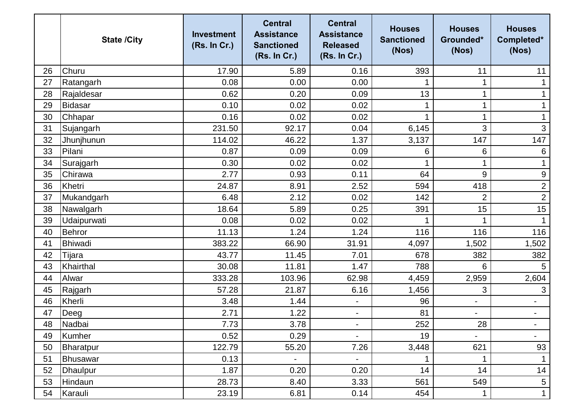|    | <b>State /City</b> | <b>Investment</b><br>(Rs. In Cr.) | <b>Central</b><br><b>Assistance</b><br><b>Sanctioned</b><br>(Rs. In Cr.) | <b>Central</b><br><b>Assistance</b><br><b>Released</b><br>(Rs. In Cr.) | <b>Houses</b><br><b>Sanctioned</b><br>(Nos) | <b>Houses</b><br>Grounded*<br>(Nos) | <b>Houses</b><br>Completed*<br>(Nos) |
|----|--------------------|-----------------------------------|--------------------------------------------------------------------------|------------------------------------------------------------------------|---------------------------------------------|-------------------------------------|--------------------------------------|
| 26 | Churu              | 17.90                             | 5.89                                                                     | 0.16                                                                   | 393                                         | 11                                  | 11                                   |
| 27 | Ratangarh          | 0.08                              | 0.00                                                                     | 0.00                                                                   |                                             | 1                                   |                                      |
| 28 | Rajaldesar         | 0.62                              | 0.20                                                                     | 0.09                                                                   | 13                                          | $\mathbf 1$                         |                                      |
| 29 | <b>Bidasar</b>     | 0.10                              | 0.02                                                                     | 0.02                                                                   |                                             | 1                                   |                                      |
| 30 | Chhapar            | 0.16                              | 0.02                                                                     | 0.02                                                                   |                                             | $\mathbf 1$                         |                                      |
| 31 | Sujangarh          | 231.50                            | 92.17                                                                    | 0.04                                                                   | 6,145                                       | 3                                   | $\mathfrak{S}$                       |
| 32 | Jhunjhunun         | 114.02                            | 46.22                                                                    | 1.37                                                                   | 3,137                                       | 147                                 | 147                                  |
| 33 | Pilani             | 0.87                              | 0.09                                                                     | 0.09                                                                   | 6                                           | 6                                   | 6                                    |
| 34 | Surajgarh          | 0.30                              | 0.02                                                                     | 0.02                                                                   |                                             | $\mathbf 1$                         | $\mathbf 1$                          |
| 35 | Chirawa            | 2.77                              | 0.93                                                                     | 0.11                                                                   | 64                                          | 9                                   | $\boldsymbol{9}$                     |
| 36 | Khetri             | 24.87                             | 8.91                                                                     | 2.52                                                                   | 594                                         | 418                                 | $\overline{2}$                       |
| 37 | Mukandgarh         | 6.48                              | 2.12                                                                     | 0.02                                                                   | 142                                         | $\overline{2}$                      | $\overline{2}$                       |
| 38 | Nawalgarh          | 18.64                             | 5.89                                                                     | 0.25                                                                   | 391                                         | 15                                  | 15                                   |
| 39 | Udaipurwati        | 0.08                              | 0.02                                                                     | 0.02                                                                   |                                             | $\mathbf{1}$                        | $\mathbf{1}$                         |
| 40 | Behror             | 11.13                             | 1.24                                                                     | 1.24                                                                   | 116                                         | 116                                 | 116                                  |
| 41 | <b>Bhiwadi</b>     | 383.22                            | 66.90                                                                    | 31.91                                                                  | 4,097                                       | 1,502                               | 1,502                                |
| 42 | Tijara             | 43.77                             | 11.45                                                                    | 7.01                                                                   | 678                                         | 382                                 | 382                                  |
| 43 | Khairthal          | 30.08                             | 11.81                                                                    | 1.47                                                                   | 788                                         | 6                                   | 5                                    |
| 44 | Alwar              | 333.28                            | 103.96                                                                   | 62.98                                                                  | 4,459                                       | 2,959                               | 2,604                                |
| 45 | Rajgarh            | 57.28                             | 21.87                                                                    | 6.16                                                                   | 1,456                                       | 3                                   | $\mathfrak{S}$                       |
| 46 | Kherli             | 3.48                              | 1.44                                                                     | $\overline{\phantom{a}}$                                               | 96                                          | $\overline{\phantom{0}}$            | -                                    |
| 47 | Deeg               | 2.71                              | 1.22                                                                     | $\overline{\phantom{a}}$                                               | 81                                          |                                     | $\overline{a}$                       |
| 48 | Nadbai             | 7.73                              | 3.78                                                                     |                                                                        | 252                                         | 28                                  |                                      |
| 49 | Kumher             | 0.52                              | 0.29                                                                     | $\overline{\phantom{a}}$                                               | 19                                          |                                     | $\overline{\phantom{0}}$             |
| 50 | <b>Bharatpur</b>   | 122.79                            | 55.20                                                                    | 7.26                                                                   | 3,448                                       | 621                                 | 93                                   |
| 51 | Bhusawar           | 0.13                              |                                                                          |                                                                        |                                             | 1                                   |                                      |
| 52 | <b>Dhaulpur</b>    | 1.87                              | 0.20                                                                     | 0.20                                                                   | 14                                          | 14                                  | 14                                   |
| 53 | Hindaun            | 28.73                             | 8.40                                                                     | 3.33                                                                   | 561                                         | 549                                 | 5                                    |
| 54 | Karauli            | 23.19                             | 6.81                                                                     | 0.14                                                                   | 454                                         | $\mathbf 1$                         | $\mathbf 1$                          |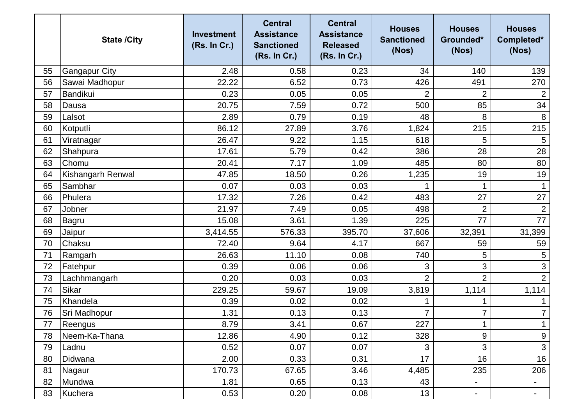|    | <b>State /City</b>   | <b>Investment</b><br>(Rs. In Cr.) | <b>Central</b><br><b>Assistance</b><br><b>Sanctioned</b><br>(Rs. In Cr.) | <b>Central</b><br><b>Assistance</b><br><b>Released</b><br>(Rs. In Cr.) | <b>Houses</b><br><b>Sanctioned</b><br>(Nos) | <b>Houses</b><br>Grounded*<br>(Nos) | <b>Houses</b><br>Completed*<br>(Nos) |
|----|----------------------|-----------------------------------|--------------------------------------------------------------------------|------------------------------------------------------------------------|---------------------------------------------|-------------------------------------|--------------------------------------|
| 55 | <b>Gangapur City</b> | 2.48                              | 0.58                                                                     | 0.23                                                                   | 34                                          | 140                                 | 139                                  |
| 56 | Sawai Madhopur       | 22.22                             | 6.52                                                                     | 0.73                                                                   | 426                                         | 491                                 | 270                                  |
| 57 | Bandikui             | 0.23                              | 0.05                                                                     | 0.05                                                                   | 2                                           | $\overline{2}$                      | $\overline{2}$                       |
| 58 | Dausa                | 20.75                             | 7.59                                                                     | 0.72                                                                   | 500                                         | 85                                  | 34                                   |
| 59 | Lalsot               | 2.89                              | 0.79                                                                     | 0.19                                                                   | 48                                          | 8                                   | $\, 8$                               |
| 60 | Kotputli             | 86.12                             | 27.89                                                                    | 3.76                                                                   | 1,824                                       | 215                                 | 215                                  |
| 61 | Viratnagar           | 26.47                             | 9.22                                                                     | 1.15                                                                   | 618                                         | 5                                   | 5                                    |
| 62 | Shahpura             | 17.61                             | 5.79                                                                     | 0.42                                                                   | 386                                         | 28                                  | 28                                   |
| 63 | Chomu                | 20.41                             | 7.17                                                                     | 1.09                                                                   | 485                                         | 80                                  | 80                                   |
| 64 | Kishangarh Renwal    | 47.85                             | 18.50                                                                    | 0.26                                                                   | 1,235                                       | 19                                  | 19                                   |
| 65 | Sambhar              | 0.07                              | 0.03                                                                     | 0.03                                                                   |                                             | 1                                   |                                      |
| 66 | Phulera              | 17.32                             | 7.26                                                                     | 0.42                                                                   | 483                                         | 27                                  | 27                                   |
| 67 | Jobner               | 21.97                             | 7.49                                                                     | 0.05                                                                   | 498                                         | $\overline{2}$                      | $\overline{2}$                       |
| 68 | Bagru                | 15.08                             | 3.61                                                                     | 1.39                                                                   | 225                                         | 77                                  | 77                                   |
| 69 | Jaipur               | 3,414.55                          | 576.33                                                                   | 395.70                                                                 | 37,606                                      | 32,391                              | 31,399                               |
| 70 | Chaksu               | 72.40                             | 9.64                                                                     | 4.17                                                                   | 667                                         | 59                                  | 59                                   |
| 71 | Ramgarh              | 26.63                             | 11.10                                                                    | 0.08                                                                   | 740                                         | 5                                   | 5                                    |
| 72 | Fatehpur             | 0.39                              | 0.06                                                                     | 0.06                                                                   | 3                                           | 3                                   | $\mathfrak{S}$                       |
| 73 | Lachhmangarh         | 0.20                              | 0.03                                                                     | 0.03                                                                   | $\overline{2}$                              | $\overline{2}$                      | $\overline{2}$                       |
| 74 | Sikar                | 229.25                            | 59.67                                                                    | 19.09                                                                  | 3,819                                       | 1,114                               | 1,114                                |
| 75 | Khandela             | 0.39                              | 0.02                                                                     | 0.02                                                                   |                                             |                                     |                                      |
| 76 | Sri Madhopur         | 1.31                              | 0.13                                                                     | 0.13                                                                   | 7                                           | $\overline{7}$                      | $\overline{7}$                       |
| 77 | Reengus              | 8.79                              | 3.41                                                                     | 0.67                                                                   | 227                                         | 1<br>л.                             | $\mathbf{1}$                         |
| 78 | Neem-Ka-Thana        | 12.86                             | 4.90                                                                     | 0.12                                                                   | 328                                         | 9                                   | $\boldsymbol{9}$                     |
| 79 | Ladnu                | 0.52                              | 0.07                                                                     | 0.07                                                                   | 3                                           | 3                                   | 3                                    |
| 80 | Didwana              | 2.00                              | 0.33                                                                     | 0.31                                                                   | 17                                          | 16                                  | 16                                   |
| 81 | Nagaur               | 170.73                            | 67.65                                                                    | 3.46                                                                   | 4,485                                       | 235                                 | 206                                  |
| 82 | Mundwa               | 1.81                              | 0.65                                                                     | 0.13                                                                   | 43                                          | $\blacksquare$                      | $\blacksquare$                       |
| 83 | Kuchera              | 0.53                              | 0.20                                                                     | 0.08                                                                   | 13                                          | $\blacksquare$                      | $\blacksquare$                       |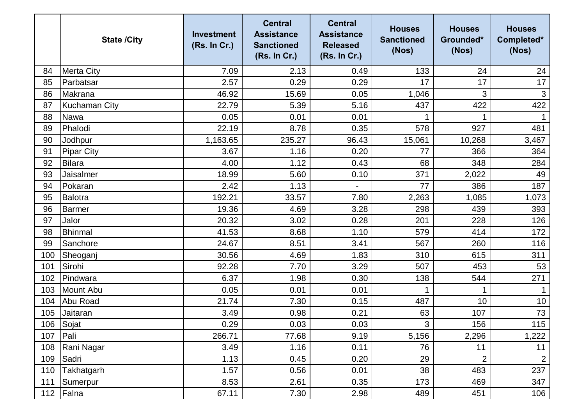|     | <b>State /City</b>   | <b>Investment</b><br>(Rs. In Cr.) | <b>Central</b><br><b>Assistance</b><br><b>Sanctioned</b><br>(Rs. In Cr.) | <b>Central</b><br><b>Assistance</b><br><b>Released</b><br>(Rs. In Cr.) | <b>Houses</b><br><b>Sanctioned</b><br>(Nos) | <b>Houses</b><br>Grounded*<br>(Nos) | <b>Houses</b><br>Completed*<br>(Nos) |
|-----|----------------------|-----------------------------------|--------------------------------------------------------------------------|------------------------------------------------------------------------|---------------------------------------------|-------------------------------------|--------------------------------------|
| 84  | <b>Merta City</b>    | 7.09                              | 2.13                                                                     | 0.49                                                                   | 133                                         | 24                                  | 24                                   |
| 85  | Parbatsar            | 2.57                              | 0.29                                                                     | 0.29                                                                   | 17                                          | 17                                  | 17                                   |
| 86  | Makrana              | 46.92                             | 15.69                                                                    | 0.05                                                                   | 1,046                                       | 3                                   | $\mathsf 3$                          |
| 87  | <b>Kuchaman City</b> | 22.79                             | 5.39                                                                     | 5.16                                                                   | 437                                         | 422                                 | 422                                  |
| 88  | <b>Nawa</b>          | 0.05                              | 0.01                                                                     | 0.01                                                                   |                                             | 1                                   |                                      |
| 89  | Phalodi              | 22.19                             | 8.78                                                                     | 0.35                                                                   | 578                                         | 927                                 | 481                                  |
| 90  | Jodhpur              | 1,163.65                          | 235.27                                                                   | 96.43                                                                  | 15,061                                      | 10,268                              | 3,467                                |
| 91  | <b>Pipar City</b>    | 3.67                              | 1.16                                                                     | 0.20                                                                   | 77                                          | 366                                 | 364                                  |
| 92  | <b>Bilara</b>        | 4.00                              | 1.12                                                                     | 0.43                                                                   | 68                                          | 348                                 | 284                                  |
| 93  | Jaisalmer            | 18.99                             | 5.60                                                                     | 0.10                                                                   | 371                                         | 2,022                               | 49                                   |
| 94  | Pokaran              | 2.42                              | 1.13                                                                     | $\overline{\phantom{0}}$                                               | 77                                          | 386                                 | 187                                  |
| 95  | <b>Balotra</b>       | 192.21                            | 33.57                                                                    | 7.80                                                                   | 2,263                                       | 1,085                               | 1,073                                |
| 96  | Barmer               | 19.36                             | 4.69                                                                     | 3.28                                                                   | 298                                         | 439                                 | 393                                  |
| 97  | Jalor                | 20.32                             | 3.02                                                                     | 0.28                                                                   | 201                                         | 228                                 | 126                                  |
| 98  | <b>Bhinmal</b>       | 41.53                             | 8.68                                                                     | 1.10                                                                   | 579                                         | 414                                 | 172                                  |
| 99  | Sanchore             | 24.67                             | 8.51                                                                     | 3.41                                                                   | 567                                         | 260                                 | 116                                  |
| 100 | Sheoganj             | 30.56                             | 4.69                                                                     | 1.83                                                                   | 310                                         | 615                                 | 311                                  |
| 101 | Sirohi               | 92.28                             | 7.70                                                                     | 3.29                                                                   | 507                                         | 453                                 | 53                                   |
| 102 | Pindwara             | 6.37                              | 1.98                                                                     | 0.30                                                                   | 138                                         | 544                                 | 271                                  |
| 103 | Mount Abu            | 0.05                              | 0.01                                                                     | 0.01                                                                   |                                             |                                     |                                      |
| 104 | Abu Road             | 21.74                             | 7.30                                                                     | 0.15                                                                   | 487                                         | 10                                  | 10                                   |
| 105 | Jaitaran             | 3.49                              | 0.98                                                                     | 0.21                                                                   | 63                                          | 107                                 | 73                                   |
|     | 106 Sojat            | 0.29                              | 0.03                                                                     | 0.03                                                                   | 3                                           | 156                                 | 115                                  |
| 107 | Pali                 | 266.71                            | 77.68                                                                    | 9.19                                                                   | 5,156                                       | 2,296                               | 1,222                                |
| 108 | Rani Nagar           | 3.49                              | 1.16                                                                     | 0.11                                                                   | 76                                          | 11                                  | 11                                   |
| 109 | Sadri                | 1.13                              | 0.45                                                                     | 0.20                                                                   | 29                                          | $\overline{2}$                      | $\overline{2}$                       |
| 110 | Takhatgarh           | 1.57                              | 0.56                                                                     | 0.01                                                                   | 38                                          | 483                                 | 237                                  |
| 111 | Sumerpur             | 8.53                              | 2.61                                                                     | 0.35                                                                   | 173                                         | 469                                 | 347                                  |
|     | 112 Falna            | 67.11                             | 7.30                                                                     | 2.98                                                                   | 489                                         | 451                                 | 106                                  |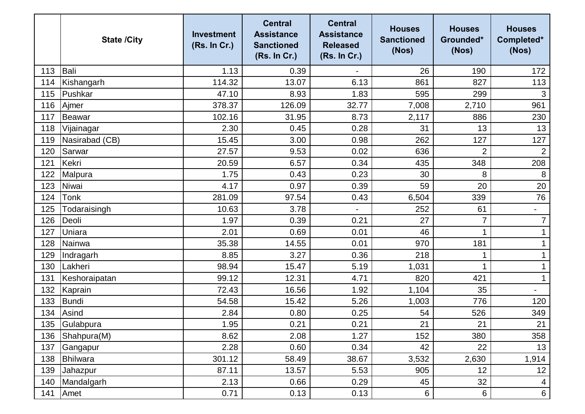|     | <b>State /City</b> | <b>Investment</b><br>(Rs. In Cr.) | <b>Central</b><br><b>Assistance</b><br><b>Sanctioned</b><br>(Rs. In Cr.) | <b>Central</b><br><b>Assistance</b><br><b>Released</b><br>(Rs. In Cr.) | <b>Houses</b><br><b>Sanctioned</b><br>(Nos) | <b>Houses</b><br>Grounded*<br>(Nos) | <b>Houses</b><br>Completed*<br>(Nos) |
|-----|--------------------|-----------------------------------|--------------------------------------------------------------------------|------------------------------------------------------------------------|---------------------------------------------|-------------------------------------|--------------------------------------|
| 113 | Bali               | 1.13                              | 0.39                                                                     |                                                                        | 26                                          | 190                                 | 172                                  |
| 114 | Kishangarh         | 114.32                            | 13.07                                                                    | 6.13                                                                   | 861                                         | 827                                 | 113                                  |
| 115 | Pushkar            | 47.10                             | 8.93                                                                     | 1.83                                                                   | 595                                         | 299                                 | 3                                    |
| 116 | Ajmer              | 378.37                            | 126.09                                                                   | 32.77                                                                  | 7,008                                       | 2,710                               | 961                                  |
| 117 | Beawar             | 102.16                            | 31.95                                                                    | 8.73                                                                   | 2,117                                       | 886                                 | 230                                  |
| 118 | Vijainagar         | 2.30                              | 0.45                                                                     | 0.28                                                                   | 31                                          | 13                                  | 13                                   |
| 119 | Nasirabad (CB)     | 15.45                             | 3.00                                                                     | 0.98                                                                   | 262                                         | 127                                 | 127                                  |
| 120 | Sarwar             | 27.57                             | 9.53                                                                     | 0.02                                                                   | 636                                         | $\overline{2}$                      | $\overline{2}$                       |
| 121 | Kekri              | 20.59                             | 6.57                                                                     | 0.34                                                                   | 435                                         | 348                                 | 208                                  |
| 122 | Malpura            | 1.75                              | 0.43                                                                     | 0.23                                                                   | 30                                          | 8                                   | 8                                    |
| 123 | Niwai              | 4.17                              | 0.97                                                                     | 0.39                                                                   | 59                                          | 20                                  | 20                                   |
| 124 | Tonk               | 281.09                            | 97.54                                                                    | 0.43                                                                   | 6,504                                       | 339                                 | 76                                   |
| 125 | Todaraisingh       | 10.63                             | 3.78                                                                     |                                                                        | 252                                         | 61                                  | $\overline{\phantom{a}}$             |
| 126 | Deoli              | 1.97                              | 0.39                                                                     | 0.21                                                                   | 27                                          | $\overline{7}$                      | $\overline{7}$                       |
| 127 | Uniara             | 2.01                              | 0.69                                                                     | 0.01                                                                   | 46                                          | $\mathbf 1$                         | 1                                    |
| 128 | Nainwa             | 35.38                             | 14.55                                                                    | 0.01                                                                   | 970                                         | 181                                 |                                      |
| 129 | Indragarh          | 8.85                              | 3.27                                                                     | 0.36                                                                   | 218                                         | 1                                   |                                      |
| 130 | Lakheri            | 98.94                             | 15.47                                                                    | 5.19                                                                   | 1,031                                       | 1                                   |                                      |
| 131 | Keshoraipatan      | 99.12                             | 12.31                                                                    | 4.71                                                                   | 820                                         | 421                                 | $\mathbf 1$                          |
| 132 | Kaprain            | 72.43                             | 16.56                                                                    | 1.92                                                                   | 1,104                                       | 35                                  | $\overline{\phantom{a}}$             |
| 133 | <b>Bundi</b>       | 54.58                             | 15.42                                                                    | 5.26                                                                   | 1,003                                       | 776                                 | 120                                  |
| 134 | Asind              | 2.84                              | 0.80                                                                     | 0.25                                                                   | 54                                          | 526                                 | 349                                  |
| 135 | Gulabpura          | 1.95                              | 0.21                                                                     | 0.21                                                                   | 21                                          | 21                                  | 21                                   |
| 136 | Shahpura(M)        | 8.62                              | 2.08                                                                     | 1.27                                                                   | 152                                         | 380                                 | 358                                  |
| 137 | Gangapur           | 2.28                              | 0.60                                                                     | 0.34                                                                   | 42                                          | 22                                  | 13                                   |
| 138 | Bhilwara           | 301.12                            | 58.49                                                                    | 38.67                                                                  | 3,532                                       | 2,630                               | 1,914                                |
| 139 | Jahazpur           | 87.11                             | 13.57                                                                    | 5.53                                                                   | 905                                         | 12                                  | 12                                   |
| 140 | Mandalgarh         | 2.13                              | 0.66                                                                     | 0.29                                                                   | 45                                          | 32                                  | $\overline{4}$                       |
| 141 | Amet               | 0.71                              | 0.13                                                                     | 0.13                                                                   | 6                                           | 6                                   | $6\phantom{.}$                       |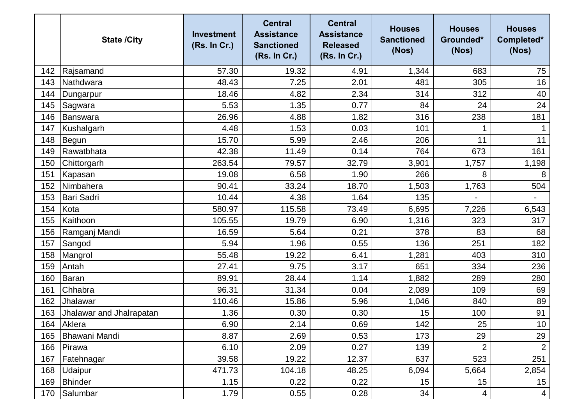|     | <b>State /City</b>       | <b>Investment</b><br>(Rs. In Cr.) | <b>Central</b><br><b>Assistance</b><br><b>Sanctioned</b><br>(Rs. In Cr.) | <b>Central</b><br><b>Assistance</b><br><b>Released</b><br>(Rs. In Cr.) | <b>Houses</b><br><b>Sanctioned</b><br>(Nos) | <b>Houses</b><br>Grounded*<br>(Nos) | <b>Houses</b><br>Completed*<br>(Nos) |
|-----|--------------------------|-----------------------------------|--------------------------------------------------------------------------|------------------------------------------------------------------------|---------------------------------------------|-------------------------------------|--------------------------------------|
| 142 | Rajsamand                | 57.30                             | 19.32                                                                    | 4.91                                                                   | 1,344                                       | 683                                 | 75                                   |
| 143 | Nathdwara                | 48.43                             | 7.25                                                                     | 2.01                                                                   | 481                                         | 305                                 | 16                                   |
| 144 | Dungarpur                | 18.46                             | 4.82                                                                     | 2.34                                                                   | 314                                         | 312                                 | 40                                   |
| 145 | Sagwara                  | 5.53                              | 1.35                                                                     | 0.77                                                                   | 84                                          | 24                                  | 24                                   |
| 146 | Banswara                 | 26.96                             | 4.88                                                                     | 1.82                                                                   | 316                                         | 238                                 | 181                                  |
| 147 | Kushalgarh               | 4.48                              | 1.53                                                                     | 0.03                                                                   | 101                                         | 1                                   |                                      |
| 148 | Begun                    | 15.70                             | 5.99                                                                     | 2.46                                                                   | 206                                         | 11                                  | 11                                   |
| 149 | Rawatbhata               | 42.38                             | 11.49                                                                    | 0.14                                                                   | 764                                         | 673                                 | 161                                  |
| 150 | Chittorgarh              | 263.54                            | 79.57                                                                    | 32.79                                                                  | 3,901                                       | 1,757                               | 1,198                                |
| 151 | Kapasan                  | 19.08                             | 6.58                                                                     | 1.90                                                                   | 266                                         | 8                                   | 8                                    |
| 152 | Nimbahera                | 90.41                             | 33.24                                                                    | 18.70                                                                  | 1,503                                       | 1,763                               | 504                                  |
| 153 | Bari Sadri               | 10.44                             | 4.38                                                                     | 1.64                                                                   | 135                                         |                                     |                                      |
| 154 | Kota                     | 580.97                            | 115.58                                                                   | 73.49                                                                  | 6,695                                       | 7,226                               | 6,543                                |
| 155 | Kaithoon                 | 105.55                            | 19.79                                                                    | 6.90                                                                   | 1,316                                       | 323                                 | 317                                  |
| 156 | Ramganj Mandi            | 16.59                             | 5.64                                                                     | 0.21                                                                   | 378                                         | 83                                  | 68                                   |
| 157 | Sangod                   | 5.94                              | 1.96                                                                     | 0.55                                                                   | 136                                         | 251                                 | 182                                  |
| 158 | Mangrol                  | 55.48                             | 19.22                                                                    | 6.41                                                                   | 1,281                                       | 403                                 | 310                                  |
| 159 | Antah                    | 27.41                             | 9.75                                                                     | 3.17                                                                   | 651                                         | 334                                 | 236                                  |
| 160 | Baran                    | 89.91                             | 28.44                                                                    | 1.14                                                                   | 1,882                                       | 289                                 | 280                                  |
| 161 | Chhabra                  | 96.31                             | 31.34                                                                    | 0.04                                                                   | 2,089                                       | 109                                 | 69                                   |
| 162 | Jhalawar                 | 110.46                            | 15.86                                                                    | 5.96                                                                   | 1,046                                       | 840                                 | 89                                   |
| 163 | Jhalawar and Jhalrapatan | 1.36                              | 0.30                                                                     | 0.30                                                                   | 15                                          | 100                                 | 91                                   |
| 164 | Aklera                   | 6.90                              | 2.14                                                                     | 0.69                                                                   | 142                                         | 25                                  | $10$                                 |
| 165 | Bhawani Mandi            | 8.87                              | 2.69                                                                     | 0.53                                                                   | 173                                         | 29                                  | 29                                   |
| 166 | Pirawa                   | 6.10                              | 2.09                                                                     | 0.27                                                                   | 139                                         | $\overline{2}$                      | $\overline{2}$                       |
| 167 | Fatehnagar               | 39.58                             | 19.22                                                                    | 12.37                                                                  | 637                                         | 523                                 | 251                                  |
| 168 | <b>Udaipur</b>           | 471.73                            | 104.18                                                                   | 48.25                                                                  | 6,094                                       | 5,664                               | 2,854                                |
| 169 | Bhinder                  | 1.15                              | 0.22                                                                     | 0.22                                                                   | 15                                          | 15                                  | 15                                   |
| 170 | Salumbar                 | 1.79                              | 0.55                                                                     | 0.28                                                                   | 34                                          | 4                                   | $\overline{4}$                       |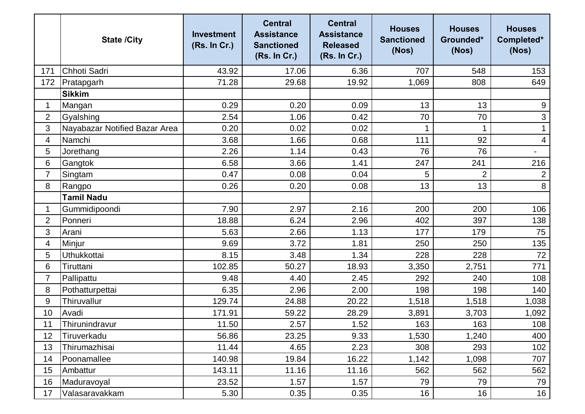|                | <b>State /City</b>            | <b>Investment</b><br>(Rs. In Cr.) | <b>Central</b><br><b>Assistance</b><br><b>Sanctioned</b><br>(Rs. In Cr.) | <b>Central</b><br><b>Assistance</b><br><b>Released</b><br>(Rs. In Cr.) | <b>Houses</b><br><b>Sanctioned</b><br>(Nos) | <b>Houses</b><br>Grounded*<br>(Nos) | <b>Houses</b><br>Completed*<br>(Nos) |
|----------------|-------------------------------|-----------------------------------|--------------------------------------------------------------------------|------------------------------------------------------------------------|---------------------------------------------|-------------------------------------|--------------------------------------|
| 171            | Chhoti Sadri                  | 43.92                             | 17.06                                                                    | 6.36                                                                   | 707                                         | 548                                 | 153                                  |
| 172            | Pratapgarh                    | 71.28                             | 29.68                                                                    | 19.92                                                                  | 1,069                                       | 808                                 | 649                                  |
|                | <b>Sikkim</b>                 |                                   |                                                                          |                                                                        |                                             |                                     |                                      |
| 1              | Mangan                        | 0.29                              | 0.20                                                                     | 0.09                                                                   | 13                                          | 13                                  | $9\,$                                |
| $\overline{2}$ | Gyalshing                     | 2.54                              | 1.06                                                                     | 0.42                                                                   | 70                                          | 70                                  | 3                                    |
| 3              | Nayabazar Notified Bazar Area | 0.20                              | 0.02                                                                     | 0.02                                                                   |                                             | 1                                   |                                      |
| 4              | Namchi                        | 3.68                              | 1.66                                                                     | 0.68                                                                   | 111                                         | 92                                  | 4                                    |
| 5              | Jorethang                     | 2.26                              | 1.14                                                                     | 0.43                                                                   | 76                                          | 76                                  | $\blacksquare$                       |
| 6              | Gangtok                       | 6.58                              | 3.66                                                                     | 1.41                                                                   | 247                                         | 241                                 | 216                                  |
| $\overline{7}$ | Singtam                       | 0.47                              | 0.08                                                                     | 0.04                                                                   | 5                                           | $\overline{2}$                      | $\overline{2}$                       |
| 8              | Rangpo                        | 0.26                              | 0.20                                                                     | 0.08                                                                   | 13                                          | 13                                  | $\bf 8$                              |
|                | <b>Tamil Nadu</b>             |                                   |                                                                          |                                                                        |                                             |                                     |                                      |
| 1              | Gummidipoondi                 | 7.90                              | 2.97                                                                     | 2.16                                                                   | 200                                         | 200                                 | 106                                  |
| $\overline{2}$ | Ponneri                       | 18.88                             | 6.24                                                                     | 2.96                                                                   | 402                                         | 397                                 | 138                                  |
| 3              | Arani                         | 5.63                              | 2.66                                                                     | 1.13                                                                   | 177                                         | 179                                 | 75                                   |
| 4              | Minjur                        | 9.69                              | 3.72                                                                     | 1.81                                                                   | 250                                         | 250                                 | 135                                  |
| 5              | <b>Uthukkottai</b>            | 8.15                              | 3.48                                                                     | 1.34                                                                   | 228                                         | 228                                 | 72                                   |
| 6              | Tiruttani                     | 102.85                            | 50.27                                                                    | 18.93                                                                  | 3,350                                       | 2,751                               | 771                                  |
| $\overline{7}$ | Pallipattu                    | 9.48                              | 4.40                                                                     | 2.45                                                                   | 292                                         | 240                                 | 108                                  |
| 8              | Pothatturpettai               | 6.35                              | 2.96                                                                     | 2.00                                                                   | 198                                         | 198                                 | 140                                  |
| 9              | Thiruvallur                   | 129.74                            | 24.88                                                                    | 20.22                                                                  | 1,518                                       | 1,518                               | 1,038                                |
| 10             | Avadi                         | 171.91                            | 59.22                                                                    | 28.29                                                                  | 3,891                                       | 3,703                               | 1,092                                |
| 11             | Thirunindravur                | 11.50                             | 2.57                                                                     | 1.52                                                                   | 163                                         | 163                                 | 108                                  |
| 12             | Tiruverkadu                   | 56.86                             | 23.25                                                                    | 9.33                                                                   | 1,530                                       | 1,240                               | 400                                  |
| 13             | Thirumazhisai                 | 11.44                             | 4.65                                                                     | 2.23                                                                   | 308                                         | 293                                 | 102                                  |
| 14             | Poonamallee                   | 140.98                            | 19.84                                                                    | 16.22                                                                  | 1,142                                       | 1,098                               | 707                                  |
| 15             | Ambattur                      | 143.11                            | 11.16                                                                    | 11.16                                                                  | 562                                         | 562                                 | 562                                  |
| 16             | Maduravoyal                   | 23.52                             | 1.57                                                                     | 1.57                                                                   | 79                                          | 79                                  | 79                                   |
| 17             | Valasaravakkam                | 5.30                              | 0.35                                                                     | 0.35                                                                   | 16                                          | 16                                  | 16                                   |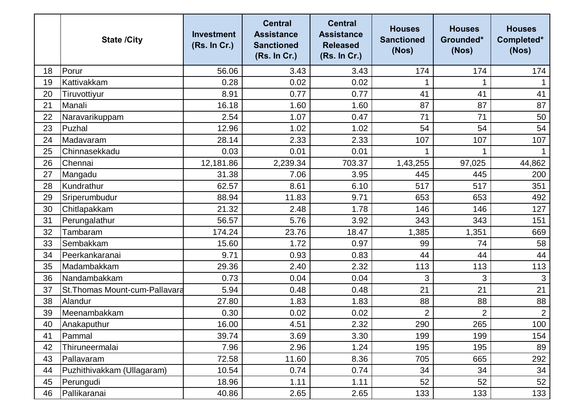|    | <b>State /City</b>            | <b>Investment</b><br>(Rs. In Cr.) | <b>Central</b><br><b>Assistance</b><br><b>Sanctioned</b><br>(Rs. In Cr.) | <b>Central</b><br><b>Assistance</b><br><b>Released</b><br>(Rs. In Cr.) | <b>Houses</b><br><b>Sanctioned</b><br>(Nos) | <b>Houses</b><br>Grounded*<br>(Nos) | <b>Houses</b><br>Completed*<br>(Nos) |
|----|-------------------------------|-----------------------------------|--------------------------------------------------------------------------|------------------------------------------------------------------------|---------------------------------------------|-------------------------------------|--------------------------------------|
| 18 | Porur                         | 56.06                             | 3.43                                                                     | 3.43                                                                   | 174                                         | 174                                 | 174                                  |
| 19 | Kattivakkam                   | 0.28                              | 0.02                                                                     | 0.02                                                                   |                                             |                                     |                                      |
| 20 | Tiruvottiyur                  | 8.91                              | 0.77                                                                     | 0.77                                                                   | 41                                          | 41                                  | 41                                   |
| 21 | Manali                        | 16.18                             | 1.60                                                                     | 1.60                                                                   | 87                                          | 87                                  | 87                                   |
| 22 | Naravarikuppam                | 2.54                              | 1.07                                                                     | 0.47                                                                   | 71                                          | 71                                  | 50                                   |
| 23 | Puzhal                        | 12.96                             | 1.02                                                                     | 1.02                                                                   | 54                                          | 54                                  | 54                                   |
| 24 | Madavaram                     | 28.14                             | 2.33                                                                     | 2.33                                                                   | 107                                         | 107                                 | 107                                  |
| 25 | Chinnasekkadu                 | 0.03                              | 0.01                                                                     | 0.01                                                                   |                                             |                                     |                                      |
| 26 | Chennai                       | 12,181.86                         | 2,239.34                                                                 | 703.37                                                                 | 1,43,255                                    | 97,025                              | 44,862                               |
| 27 | Mangadu                       | 31.38                             | 7.06                                                                     | 3.95                                                                   | 445                                         | 445                                 | 200                                  |
| 28 | Kundrathur                    | 62.57                             | 8.61                                                                     | 6.10                                                                   | 517                                         | 517                                 | 351                                  |
| 29 | Sriperumbudur                 | 88.94                             | 11.83                                                                    | 9.71                                                                   | 653                                         | 653                                 | 492                                  |
| 30 | Chitlapakkam                  | 21.32                             | 2.48                                                                     | 1.78                                                                   | 146                                         | 146                                 | 127                                  |
| 31 | Perungalathur                 | 56.57                             | 5.76                                                                     | 3.92                                                                   | 343                                         | 343                                 | 151                                  |
| 32 | Tambaram                      | 174.24                            | 23.76                                                                    | 18.47                                                                  | 1,385                                       | 1,351                               | 669                                  |
| 33 | Sembakkam                     | 15.60                             | 1.72                                                                     | 0.97                                                                   | 99                                          | 74                                  | 58                                   |
| 34 | Peerkankaranai                | 9.71                              | 0.93                                                                     | 0.83                                                                   | 44                                          | 44                                  | 44                                   |
| 35 | Madambakkam                   | 29.36                             | 2.40                                                                     | 2.32                                                                   | 113                                         | 113                                 | 113                                  |
| 36 | Nandambakkam                  | 0.73                              | 0.04                                                                     | 0.04                                                                   | 3                                           | 3                                   | 3                                    |
| 37 | St.Thomas Mount-cum-Pallavara | 5.94                              | 0.48                                                                     | 0.48                                                                   | 21                                          | 21                                  | 21                                   |
| 38 | Alandur                       | 27.80                             | 1.83                                                                     | 1.83                                                                   | 88                                          | 88                                  | 88                                   |
| 39 | Meenambakkam                  | 0.30                              | 0.02                                                                     | 0.02                                                                   | $\overline{2}$                              | $\overline{2}$                      | $\overline{2}$                       |
| 40 | Anakaputhur                   | 16.00                             | 4.51                                                                     | 2.32                                                                   | 290                                         | 265                                 | 100                                  |
| 41 | Pammal                        | 39.74                             | 3.69                                                                     | 3.30                                                                   | 199                                         | 199                                 | 154                                  |
| 42 | Thiruneermalai                | 7.96                              | 2.96                                                                     | 1.24                                                                   | 195                                         | 195                                 | 89                                   |
| 43 | Pallavaram                    | 72.58                             | 11.60                                                                    | 8.36                                                                   | 705                                         | 665                                 | 292                                  |
| 44 | Puzhithivakkam (Ullagaram)    | 10.54                             | 0.74                                                                     | 0.74                                                                   | 34                                          | 34                                  | 34                                   |
| 45 | Perungudi                     | 18.96                             | 1.11                                                                     | 1.11                                                                   | 52                                          | 52                                  | 52                                   |
| 46 | Pallikaranai                  | 40.86                             | 2.65                                                                     | 2.65                                                                   | 133                                         | 133                                 | 133                                  |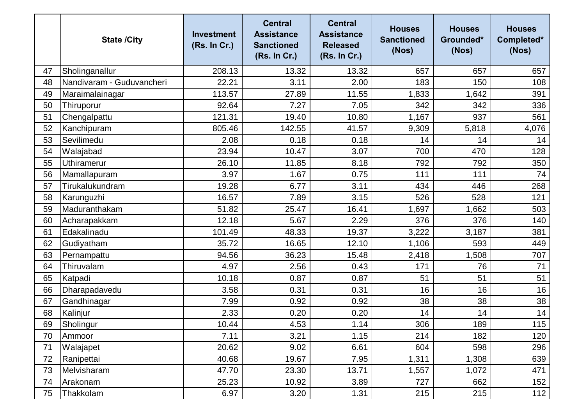|    | <b>State /City</b>        | <b>Investment</b><br>(Rs. In Cr.) | <b>Central</b><br><b>Assistance</b><br><b>Sanctioned</b><br>(Rs. In Cr.) | <b>Central</b><br><b>Assistance</b><br><b>Released</b><br>(Rs. In Cr.) | <b>Houses</b><br><b>Sanctioned</b><br>(Nos) | <b>Houses</b><br>Grounded*<br>(Nos) | <b>Houses</b><br>Completed*<br>(Nos) |
|----|---------------------------|-----------------------------------|--------------------------------------------------------------------------|------------------------------------------------------------------------|---------------------------------------------|-------------------------------------|--------------------------------------|
| 47 | Sholinganallur            | 208.13                            | 13.32                                                                    | 13.32                                                                  | 657                                         | 657                                 | 657                                  |
| 48 | Nandivaram - Guduvancheri | 22.21                             | 3.11                                                                     | 2.00                                                                   | 183                                         | 150                                 | 108                                  |
| 49 | Maraimalainagar           | 113.57                            | 27.89                                                                    | 11.55                                                                  | 1,833                                       | 1,642                               | 391                                  |
| 50 | Thiruporur                | 92.64                             | 7.27                                                                     | 7.05                                                                   | 342                                         | 342                                 | 336                                  |
| 51 | Chengalpattu              | 121.31                            | 19.40                                                                    | 10.80                                                                  | 1,167                                       | 937                                 | 561                                  |
| 52 | Kanchipuram               | 805.46                            | 142.55                                                                   | 41.57                                                                  | 9,309                                       | 5,818                               | 4,076                                |
| 53 | Sevilimedu                | 2.08                              | 0.18                                                                     | 0.18                                                                   | 14                                          | 14                                  | 14                                   |
| 54 | Walajabad                 | 23.94                             | 10.47                                                                    | 3.07                                                                   | 700                                         | 470                                 | 128                                  |
| 55 | <b>Uthiramerur</b>        | 26.10                             | 11.85                                                                    | 8.18                                                                   | 792                                         | 792                                 | 350                                  |
| 56 | Mamallapuram              | 3.97                              | 1.67                                                                     | 0.75                                                                   | 111                                         | 111                                 | 74                                   |
| 57 | Tirukalukundram           | 19.28                             | 6.77                                                                     | 3.11                                                                   | 434                                         | 446                                 | 268                                  |
| 58 | Karunguzhi                | 16.57                             | 7.89                                                                     | 3.15                                                                   | 526                                         | 528                                 | 121                                  |
| 59 | Maduranthakam             | 51.82                             | 25.47                                                                    | 16.41                                                                  | 1,697                                       | 1,662                               | 503                                  |
| 60 | Acharapakkam              | 12.18                             | 5.67                                                                     | 2.29                                                                   | 376                                         | 376                                 | 140                                  |
| 61 | Edakalinadu               | 101.49                            | 48.33                                                                    | 19.37                                                                  | 3,222                                       | 3,187                               | 381                                  |
| 62 | Gudiyatham                | 35.72                             | 16.65                                                                    | 12.10                                                                  | 1,106                                       | 593                                 | 449                                  |
| 63 | Pernampattu               | 94.56                             | 36.23                                                                    | 15.48                                                                  | 2,418                                       | 1,508                               | 707                                  |
| 64 | Thiruvalam                | 4.97                              | 2.56                                                                     | 0.43                                                                   | 171                                         | 76                                  | 71                                   |
| 65 | Katpadi                   | 10.18                             | 0.87                                                                     | 0.87                                                                   | 51                                          | 51                                  | 51                                   |
| 66 | Dharapadavedu             | 3.58                              | 0.31                                                                     | 0.31                                                                   | 16                                          | 16                                  | 16                                   |
| 67 | Gandhinagar               | 7.99                              | 0.92                                                                     | 0.92                                                                   | 38                                          | 38                                  | 38                                   |
| 68 | Kalinjur                  | 2.33                              | 0.20                                                                     | 0.20                                                                   | 14                                          | 14                                  | 14                                   |
| 69 | Sholingur                 | 10.44                             | 4.53                                                                     | 1.14                                                                   | 306                                         | 189                                 | 115                                  |
| 70 | Ammoor                    | 7.11                              | 3.21                                                                     | 1.15                                                                   | 214                                         | 182                                 | 120                                  |
| 71 | Walajapet                 | 20.62                             | 9.02                                                                     | 6.61                                                                   | 604                                         | 598                                 | 296                                  |
| 72 | Ranipettai                | 40.68                             | 19.67                                                                    | 7.95                                                                   | 1,311                                       | 1,308                               | 639                                  |
| 73 | Melvisharam               | 47.70                             | 23.30                                                                    | 13.71                                                                  | 1,557                                       | 1,072                               | 471                                  |
| 74 | Arakonam                  | 25.23                             | 10.92                                                                    | 3.89                                                                   | 727                                         | 662                                 | 152                                  |
| 75 | Thakkolam                 | 6.97                              | 3.20                                                                     | 1.31                                                                   | 215                                         | 215                                 | 112                                  |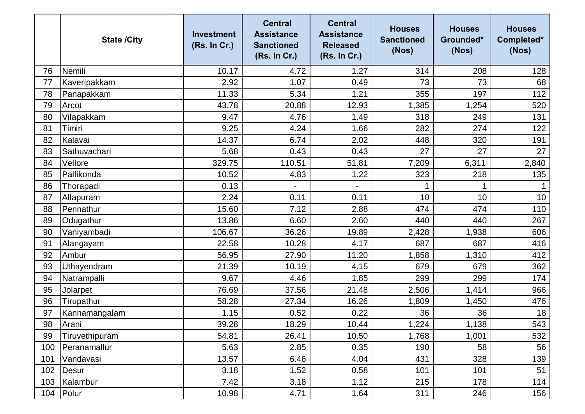|     | <b>State /City</b> | <b>Investment</b><br>(Rs. In Cr.) | <b>Central</b><br><b>Assistance</b><br><b>Sanctioned</b><br>(Rs. In Cr.) | <b>Central</b><br><b>Assistance</b><br><b>Released</b><br>(Rs. In Cr.) | <b>Houses</b><br><b>Sanctioned</b><br>(Nos) | <b>Houses</b><br>Grounded*<br>(Nos) | <b>Houses</b><br>Completed*<br>(Nos) |
|-----|--------------------|-----------------------------------|--------------------------------------------------------------------------|------------------------------------------------------------------------|---------------------------------------------|-------------------------------------|--------------------------------------|
| 76  | Nemili             | 10.17                             | 4.72                                                                     | 1.27                                                                   | 314                                         | 208                                 | 128                                  |
| 77  | Kaveripakkam       | 2.92                              | 1.07                                                                     | 0.49                                                                   | 73                                          | 73                                  | 68                                   |
| 78  | Panapakkam         | 11.33                             | 5.34                                                                     | 1.21                                                                   | 355                                         | 197                                 | 112                                  |
| 79  | Arcot              | 43.78                             | 20.88                                                                    | 12.93                                                                  | 1,385                                       | 1,254                               | 520                                  |
| 80  | Vilapakkam         | 9.47                              | 4.76                                                                     | 1.49                                                                   | 318                                         | 249                                 | 131                                  |
| 81  | Timiri             | 9.25                              | 4.24                                                                     | 1.66                                                                   | 282                                         | 274                                 | 122                                  |
| 82  | Kalavai            | 14.37                             | 6.74                                                                     | 2.02                                                                   | 448                                         | 320                                 | 191                                  |
| 83  | Sathuvachari       | 5.68                              | 0.43                                                                     | 0.43                                                                   | 27                                          | 27                                  | 27                                   |
| 84  | Vellore            | 329.75                            | 110.51                                                                   | 51.81                                                                  | 7,209                                       | 6,311                               | 2,840                                |
| 85  | Pallikonda         | 10.52                             | 4.83                                                                     | 1.22                                                                   | 323                                         | 218                                 | 135                                  |
| 86  | Thorapadi          | 0.13                              |                                                                          |                                                                        |                                             | 1                                   |                                      |
| 87  | Allapuram          | 2.24                              | 0.11                                                                     | 0.11                                                                   | 10                                          | 10                                  | 10                                   |
| 88  | Pennathur          | 15.60                             | 7.12                                                                     | 2.88                                                                   | 474                                         | 474                                 | 110                                  |
| 89  | Odugathur          | 13.86                             | 6.60                                                                     | 2.60                                                                   | 440                                         | 440                                 | 267                                  |
| 90  | Vaniyambadi        | 106.67                            | 36.26                                                                    | 19.89                                                                  | 2,428                                       | 1,938                               | 606                                  |
| 91  | Alangayam          | 22.58                             | 10.28                                                                    | 4.17                                                                   | 687                                         | 687                                 | 416                                  |
| 92  | Ambur              | 56.95                             | 27.90                                                                    | 11.20                                                                  | 1,858                                       | 1,310                               | 412                                  |
| 93  | Uthayendram        | 21.39                             | 10.19                                                                    | 4.15                                                                   | 679                                         | 679                                 | 362                                  |
| 94  | Natrampalli        | 9.67                              | 4.46                                                                     | 1.85                                                                   | 299                                         | 299                                 | 174                                  |
| 95  | Jolarpet           | 76.69                             | 37.56                                                                    | 21.48                                                                  | 2,506                                       | 1,414                               | 966                                  |
| 96  | Tirupathur         | 58.28                             | 27.34                                                                    | 16.26                                                                  | 1,809                                       | 1,450                               | 476                                  |
| 97  | Kannamangalam      | 1.15                              | 0.52                                                                     | 0.22                                                                   | 36                                          | 36                                  | 18                                   |
| 98  | Arani              | 39.28                             | 18.29                                                                    | 10.44                                                                  | 1,224                                       | 1,138                               | 543                                  |
| 99  | Tiruvethipuram     | 54.81                             | 26.41                                                                    | 10.50                                                                  | 1,768                                       | 1,001                               | 532                                  |
| 100 | Peranamallur       | 5.63                              | 2.85                                                                     | 0.35                                                                   | 190                                         | 58                                  | 56                                   |
| 101 | Vandavasi          | 13.57                             | 6.46                                                                     | 4.04                                                                   | 431                                         | 328                                 | 139                                  |
| 102 | <b>Desur</b>       | 3.18                              | 1.52                                                                     | 0.58                                                                   | 101                                         | 101                                 | 51                                   |
| 103 | Kalambur           | 7.42                              | 3.18                                                                     | 1.12                                                                   | 215                                         | 178                                 | 114                                  |
| 104 | Polur              | 10.98                             | 4.71                                                                     | 1.64                                                                   | 311                                         | 246                                 | 156                                  |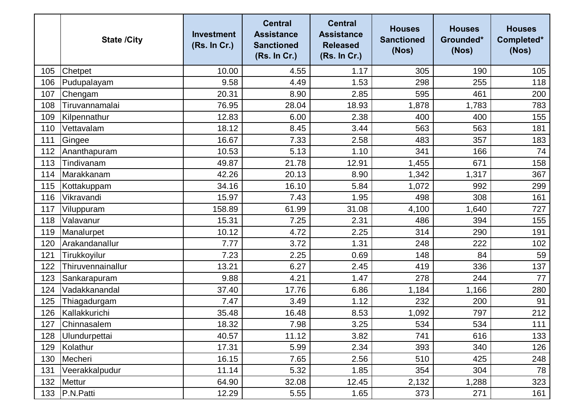|     | <b>State /City</b> | <b>Investment</b><br>(Rs. In Cr.) | <b>Central</b><br><b>Assistance</b><br><b>Sanctioned</b><br>(Rs. In Cr.) | <b>Central</b><br><b>Assistance</b><br><b>Released</b><br>(Rs. In Cr.) | <b>Houses</b><br><b>Sanctioned</b><br>(Nos) | <b>Houses</b><br>Grounded*<br>(Nos) | <b>Houses</b><br>Completed*<br>(Nos) |
|-----|--------------------|-----------------------------------|--------------------------------------------------------------------------|------------------------------------------------------------------------|---------------------------------------------|-------------------------------------|--------------------------------------|
| 105 | Chetpet            | 10.00                             | 4.55                                                                     | 1.17                                                                   | 305                                         | 190                                 | 105                                  |
| 106 | Pudupalayam        | 9.58                              | 4.49                                                                     | 1.53                                                                   | 298                                         | 255                                 | 118                                  |
| 107 | Chengam            | 20.31                             | 8.90                                                                     | 2.85                                                                   | 595                                         | 461                                 | 200                                  |
| 108 | Tiruvannamalai     | 76.95                             | 28.04                                                                    | 18.93                                                                  | 1,878                                       | 1,783                               | 783                                  |
| 109 | Kilpennathur       | 12.83                             | 6.00                                                                     | 2.38                                                                   | 400                                         | 400                                 | 155                                  |
| 110 | Vettavalam         | 18.12                             | 8.45                                                                     | 3.44                                                                   | 563                                         | 563                                 | 181                                  |
| 111 | Gingee             | 16.67                             | 7.33                                                                     | 2.58                                                                   | 483                                         | 357                                 | 183                                  |
| 112 | Ananthapuram       | 10.53                             | 5.13                                                                     | 1.10                                                                   | 341                                         | 166                                 | 74                                   |
| 113 | Tindivanam         | 49.87                             | 21.78                                                                    | 12.91                                                                  | 1,455                                       | 671                                 | 158                                  |
| 114 | Marakkanam         | 42.26                             | 20.13                                                                    | 8.90                                                                   | 1,342                                       | 1,317                               | 367                                  |
| 115 | Kottakuppam        | 34.16                             | 16.10                                                                    | 5.84                                                                   | 1,072                                       | 992                                 | 299                                  |
| 116 | Vikravandi         | 15.97                             | 7.43                                                                     | 1.95                                                                   | 498                                         | 308                                 | 161                                  |
| 117 | Viluppuram         | 158.89                            | 61.99                                                                    | 31.08                                                                  | 4,100                                       | 1,640                               | 727                                  |
| 118 | Valavanur          | 15.31                             | 7.25                                                                     | 2.31                                                                   | 486                                         | 394                                 | 155                                  |
| 119 | Manalurpet         | 10.12                             | 4.72                                                                     | 2.25                                                                   | 314                                         | 290                                 | 191                                  |
| 120 | Arakandanallur     | 7.77                              | 3.72                                                                     | 1.31                                                                   | 248                                         | 222                                 | 102                                  |
| 121 | Tirukkoyilur       | 7.23                              | 2.25                                                                     | 0.69                                                                   | 148                                         | 84                                  | 59                                   |
| 122 | Thiruvennainallur  | 13.21                             | 6.27                                                                     | 2.45                                                                   | 419                                         | 336                                 | 137                                  |
| 123 | Sankarapuram       | 9.88                              | 4.21                                                                     | 1.47                                                                   | 278                                         | 244                                 | 77                                   |
| 124 | Vadakkanandal      | 37.40                             | 17.76                                                                    | 6.86                                                                   | 1,184                                       | 1,166                               | 280                                  |
| 125 | Thiagadurgam       | 7.47                              | 3.49                                                                     | 1.12                                                                   | 232                                         | 200                                 | 91                                   |
| 126 | Kallakkurichi      | 35.48                             | 16.48                                                                    | 8.53                                                                   | 1,092                                       | 797                                 | 212                                  |
| 127 | Chinnasalem        | 18.32                             | 7.98                                                                     | 3.25                                                                   | 534                                         | 534                                 | 111                                  |
| 128 | Ulundurpettai      | 40.57                             | 11.12                                                                    | 3.82                                                                   | 741                                         | 616                                 | 133                                  |
| 129 | Kolathur           | 17.31                             | 5.99                                                                     | 2.34                                                                   | 393                                         | 340                                 | 126                                  |
| 130 | Mecheri            | 16.15                             | 7.65                                                                     | 2.56                                                                   | 510                                         | 425                                 | 248                                  |
| 131 | Veerakkalpudur     | 11.14                             | 5.32                                                                     | 1.85                                                                   | 354                                         | 304                                 | 78                                   |
| 132 | <b>Mettur</b>      | 64.90                             | 32.08                                                                    | 12.45                                                                  | 2,132                                       | 1,288                               | 323                                  |
| 133 | P.N.Patti          | 12.29                             | 5.55                                                                     | 1.65                                                                   | 373                                         | 271                                 | 161                                  |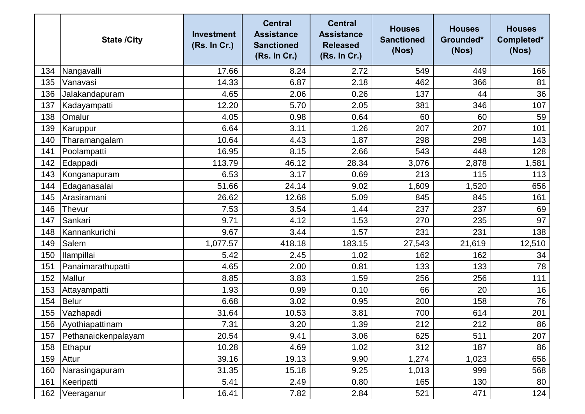|     | <b>State /City</b>  | <b>Investment</b><br>(Rs. In Cr.) | <b>Central</b><br><b>Assistance</b><br><b>Sanctioned</b><br>(Rs. In Cr.) | <b>Central</b><br><b>Assistance</b><br><b>Released</b><br>(Rs. In Cr.) | <b>Houses</b><br><b>Sanctioned</b><br>(Nos) | <b>Houses</b><br>Grounded*<br>(Nos) | <b>Houses</b><br>Completed*<br>(Nos) |
|-----|---------------------|-----------------------------------|--------------------------------------------------------------------------|------------------------------------------------------------------------|---------------------------------------------|-------------------------------------|--------------------------------------|
| 134 | Nangavalli          | 17.66                             | 8.24                                                                     | 2.72                                                                   | 549                                         | 449                                 | 166                                  |
| 135 | Vanavasi            | 14.33                             | 6.87                                                                     | 2.18                                                                   | 462                                         | 366                                 | 81                                   |
| 136 | Jalakandapuram      | 4.65                              | 2.06                                                                     | 0.26                                                                   | 137                                         | 44                                  | 36                                   |
| 137 | Kadayampatti        | 12.20                             | 5.70                                                                     | 2.05                                                                   | 381                                         | 346                                 | 107                                  |
| 138 | Omalur              | 4.05                              | 0.98                                                                     | 0.64                                                                   | 60                                          | 60                                  | 59                                   |
| 139 | Karuppur            | 6.64                              | 3.11                                                                     | 1.26                                                                   | 207                                         | 207                                 | 101                                  |
| 140 | Tharamangalam       | 10.64                             | 4.43                                                                     | 1.87                                                                   | 298                                         | 298                                 | 143                                  |
| 141 | Poolampatti         | 16.95                             | 8.15                                                                     | 2.66                                                                   | 543                                         | 448                                 | 128                                  |
| 142 | Edappadi            | 113.79                            | 46.12                                                                    | 28.34                                                                  | 3,076                                       | 2,878                               | 1,581                                |
| 143 | Konganapuram        | 6.53                              | 3.17                                                                     | 0.69                                                                   | 213                                         | 115                                 | 113                                  |
| 144 | Edaganasalai        | 51.66                             | 24.14                                                                    | 9.02                                                                   | 1,609                                       | 1,520                               | 656                                  |
| 145 | Arasiramani         | 26.62                             | 12.68                                                                    | 5.09                                                                   | 845                                         | 845                                 | 161                                  |
| 146 | <b>Thevur</b>       | 7.53                              | 3.54                                                                     | 1.44                                                                   | 237                                         | 237                                 | 69                                   |
| 147 | Sankari             | 9.71                              | 4.12                                                                     | 1.53                                                                   | 270                                         | 235                                 | 97                                   |
| 148 | Kannankurichi       | 9.67                              | 3.44                                                                     | 1.57                                                                   | 231                                         | 231                                 | 138                                  |
| 149 | Salem               | 1,077.57                          | 418.18                                                                   | 183.15                                                                 | 27,543                                      | 21,619                              | 12,510                               |
| 150 | <b>Ilampillai</b>   | 5.42                              | 2.45                                                                     | 1.02                                                                   | 162                                         | 162                                 | 34                                   |
| 151 | Panaimarathupatti   | 4.65                              | 2.00                                                                     | 0.81                                                                   | 133                                         | 133                                 | 78                                   |
| 152 | Mallur              | 8.85                              | 3.83                                                                     | 1.59                                                                   | 256                                         | 256                                 | 111                                  |
| 153 | Attayampatti        | 1.93                              | 0.99                                                                     | 0.10                                                                   | 66                                          | 20                                  | 16                                   |
| 154 | <b>Belur</b>        | 6.68                              | 3.02                                                                     | 0.95                                                                   | 200                                         | 158                                 | 76                                   |
| 155 | Vazhapadi           | 31.64                             | 10.53                                                                    | 3.81                                                                   | 700                                         | 614                                 | 201                                  |
| 156 | Ayothiapattinam     | 7.31                              | 3.20                                                                     | 1.39                                                                   | 212                                         | 212                                 | 86                                   |
| 157 | Pethanaickenpalayam | 20.54                             | 9.41                                                                     | 3.06                                                                   | 625                                         | 511                                 | 207                                  |
| 158 | Ethapur             | 10.28                             | 4.69                                                                     | 1.02                                                                   | 312                                         | 187                                 | 86                                   |
| 159 | Attur               | 39.16                             | 19.13                                                                    | 9.90                                                                   | 1,274                                       | 1,023                               | 656                                  |
| 160 | Narasingapuram      | 31.35                             | 15.18                                                                    | 9.25                                                                   | 1,013                                       | 999                                 | 568                                  |
| 161 | Keeripatti          | 5.41                              | 2.49                                                                     | 0.80                                                                   | 165                                         | 130                                 | 80                                   |
| 162 | Veeraganur          | 16.41                             | 7.82                                                                     | 2.84                                                                   | 521                                         | 471                                 | 124                                  |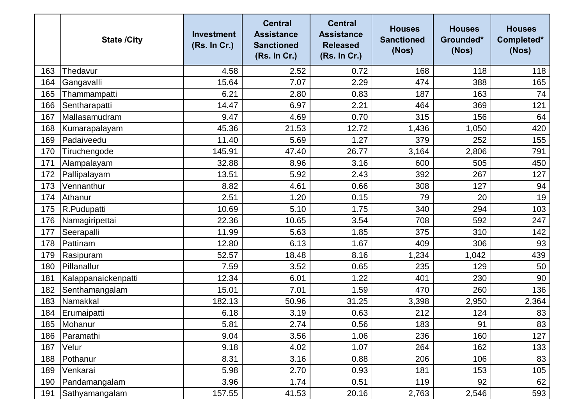|     | <b>State /City</b>  | <b>Investment</b><br>(Rs. In Cr.) | <b>Central</b><br><b>Assistance</b><br><b>Sanctioned</b><br>(Rs. In Cr.) | <b>Central</b><br><b>Assistance</b><br><b>Released</b><br>(Rs. In Cr.) | <b>Houses</b><br><b>Sanctioned</b><br>(Nos) | <b>Houses</b><br>Grounded*<br>(Nos) | <b>Houses</b><br>Completed*<br>(Nos) |
|-----|---------------------|-----------------------------------|--------------------------------------------------------------------------|------------------------------------------------------------------------|---------------------------------------------|-------------------------------------|--------------------------------------|
| 163 | Thedavur            | 4.58                              | 2.52                                                                     | 0.72                                                                   | 168                                         | 118                                 | 118                                  |
| 164 | Gangavalli          | 15.64                             | 7.07                                                                     | 2.29                                                                   | 474                                         | 388                                 | 165                                  |
| 165 | Thammampatti        | 6.21                              | 2.80                                                                     | 0.83                                                                   | 187                                         | 163                                 | 74                                   |
| 166 | Sentharapatti       | 14.47                             | 6.97                                                                     | 2.21                                                                   | 464                                         | 369                                 | 121                                  |
| 167 | Mallasamudram       | 9.47                              | 4.69                                                                     | 0.70                                                                   | 315                                         | 156                                 | 64                                   |
| 168 | Kumarapalayam       | 45.36                             | 21.53                                                                    | 12.72                                                                  | 1,436                                       | 1,050                               | 420                                  |
| 169 | Padaiveedu          | 11.40                             | 5.69                                                                     | 1.27                                                                   | 379                                         | 252                                 | 155                                  |
| 170 | Tiruchengode        | 145.91                            | 47.40                                                                    | 26.77                                                                  | 3,164                                       | 2,806                               | 791                                  |
| 171 | Alampalayam         | 32.88                             | 8.96                                                                     | 3.16                                                                   | 600                                         | 505                                 | 450                                  |
| 172 | Pallipalayam        | 13.51                             | 5.92                                                                     | 2.43                                                                   | 392                                         | 267                                 | 127                                  |
| 173 | Vennanthur          | 8.82                              | 4.61                                                                     | 0.66                                                                   | 308                                         | 127                                 | 94                                   |
| 174 | Athanur             | 2.51                              | 1.20                                                                     | 0.15                                                                   | 79                                          | 20                                  | 19                                   |
| 175 | R.Pudupatti         | 10.69                             | 5.10                                                                     | 1.75                                                                   | 340                                         | 294                                 | 103                                  |
| 176 | Namagiripettai      | 22.36                             | 10.65                                                                    | 3.54                                                                   | 708                                         | 592                                 | 247                                  |
| 177 | Seerapalli          | 11.99                             | 5.63                                                                     | 1.85                                                                   | 375                                         | 310                                 | 142                                  |
| 178 | Pattinam            | 12.80                             | 6.13                                                                     | 1.67                                                                   | 409                                         | 306                                 | 93                                   |
| 179 | Rasipuram           | 52.57                             | 18.48                                                                    | 8.16                                                                   | 1,234                                       | 1,042                               | 439                                  |
| 180 | Pillanallur         | 7.59                              | 3.52                                                                     | 0.65                                                                   | 235                                         | 129                                 | 50                                   |
| 181 | Kalappanaickenpatti | 12.34                             | 6.01                                                                     | 1.22                                                                   | 401                                         | 230                                 | 90                                   |
| 182 | Senthamangalam      | 15.01                             | 7.01                                                                     | 1.59                                                                   | 470                                         | 260                                 | 136                                  |
| 183 | Namakkal            | 182.13                            | 50.96                                                                    | 31.25                                                                  | 3,398                                       | 2,950                               | 2,364                                |
| 184 | Erumaipatti         | 6.18                              | 3.19                                                                     | 0.63                                                                   | 212                                         | 124                                 | 83                                   |
| 185 | Mohanur             | 5.81                              | 2.74                                                                     | 0.56                                                                   | 183                                         | 91                                  | 83                                   |
| 186 | Paramathi           | 9.04                              | 3.56                                                                     | 1.06                                                                   | 236                                         | 160                                 | 127                                  |
| 187 | Velur               | 9.18                              | 4.02                                                                     | 1.07                                                                   | 264                                         | 162                                 | 133                                  |
| 188 | Pothanur            | 8.31                              | 3.16                                                                     | 0.88                                                                   | 206                                         | 106                                 | 83                                   |
| 189 | Venkarai            | 5.98                              | 2.70                                                                     | 0.93                                                                   | 181                                         | 153                                 | 105                                  |
| 190 | Pandamangalam       | 3.96                              | 1.74                                                                     | 0.51                                                                   | 119                                         | 92                                  | 62                                   |
| 191 | Sathyamangalam      | 157.55                            | 41.53                                                                    | 20.16                                                                  | 2,763                                       | 2,546                               | 593                                  |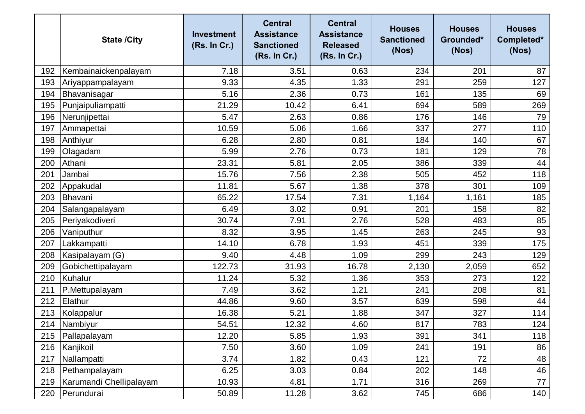|     | <b>State /City</b>      | <b>Investment</b><br>(Rs. In Cr.) | <b>Central</b><br><b>Assistance</b><br><b>Sanctioned</b><br>(Rs. In Cr.) | <b>Central</b><br><b>Assistance</b><br><b>Released</b><br>(Rs. In Cr.) | <b>Houses</b><br><b>Sanctioned</b><br>(Nos) | <b>Houses</b><br>Grounded*<br>(Nos) | <b>Houses</b><br>Completed*<br>(Nos) |
|-----|-------------------------|-----------------------------------|--------------------------------------------------------------------------|------------------------------------------------------------------------|---------------------------------------------|-------------------------------------|--------------------------------------|
| 192 | Kembainaickenpalayam    | 7.18                              | 3.51                                                                     | 0.63                                                                   | 234                                         | 201                                 | 87                                   |
| 193 | Ariyappampalayam        | 9.33                              | 4.35                                                                     | 1.33                                                                   | 291                                         | 259                                 | 127                                  |
| 194 | Bhavanisagar            | 5.16                              | 2.36                                                                     | 0.73                                                                   | 161                                         | 135                                 | 69                                   |
| 195 | Punjaipuliampatti       | 21.29                             | 10.42                                                                    | 6.41                                                                   | 694                                         | 589                                 | 269                                  |
| 196 | Nerunjipettai           | 5.47                              | 2.63                                                                     | 0.86                                                                   | 176                                         | 146                                 | 79                                   |
| 197 | Ammapettai              | 10.59                             | 5.06                                                                     | 1.66                                                                   | 337                                         | 277                                 | 110                                  |
| 198 | Anthiyur                | 6.28                              | 2.80                                                                     | 0.81                                                                   | 184                                         | 140                                 | 67                                   |
| 199 | Olagadam                | 5.99                              | 2.76                                                                     | 0.73                                                                   | 181                                         | 129                                 | 78                                   |
| 200 | Athani                  | 23.31                             | 5.81                                                                     | 2.05                                                                   | 386                                         | 339                                 | 44                                   |
| 201 | Jambai                  | 15.76                             | 7.56                                                                     | 2.38                                                                   | 505                                         | 452                                 | 118                                  |
| 202 | Appakudal               | 11.81                             | 5.67                                                                     | 1.38                                                                   | 378                                         | 301                                 | 109                                  |
| 203 | Bhavani                 | 65.22                             | 17.54                                                                    | 7.31                                                                   | 1,164                                       | 1,161                               | 185                                  |
| 204 | Salangapalayam          | 6.49                              | 3.02                                                                     | 0.91                                                                   | 201                                         | 158                                 | 82                                   |
| 205 | Periyakodiveri          | 30.74                             | 7.91                                                                     | 2.76                                                                   | 528                                         | 483                                 | 85                                   |
| 206 | Vaniputhur              | 8.32                              | 3.95                                                                     | 1.45                                                                   | 263                                         | 245                                 | 93                                   |
| 207 | Lakkampatti             | 14.10                             | 6.78                                                                     | 1.93                                                                   | 451                                         | 339                                 | 175                                  |
| 208 | Kasipalayam (G)         | 9.40                              | 4.48                                                                     | 1.09                                                                   | 299                                         | 243                                 | 129                                  |
| 209 | Gobichettipalayam       | 122.73                            | 31.93                                                                    | 16.78                                                                  | 2,130                                       | 2,059                               | 652                                  |
| 210 | Kuhalur                 | 11.24                             | 5.32                                                                     | 1.36                                                                   | 353                                         | 273                                 | 122                                  |
| 211 | P.Mettupalayam          | 7.49                              | 3.62                                                                     | 1.21                                                                   | 241                                         | 208                                 | 81                                   |
| 212 | Elathur                 | 44.86                             | 9.60                                                                     | 3.57                                                                   | 639                                         | 598                                 | 44                                   |
| 213 | Kolappalur              | 16.38                             | 5.21                                                                     | 1.88                                                                   | 347                                         | 327                                 | 114                                  |
| 214 | Nambiyur                | 54.51                             | 12.32                                                                    | 4.60                                                                   | 817                                         | 783                                 | 124                                  |
| 215 | Pallapalayam            | 12.20                             | 5.85                                                                     | 1.93                                                                   | 391                                         | 341                                 | 118                                  |
| 216 | Kanjikoil               | 7.50                              | 3.60                                                                     | 1.09                                                                   | 241                                         | 191                                 | 86                                   |
| 217 | Nallampatti             | 3.74                              | 1.82                                                                     | 0.43                                                                   | 121                                         | 72                                  | 48                                   |
| 218 | Pethampalayam           | 6.25                              | 3.03                                                                     | 0.84                                                                   | 202                                         | 148                                 | 46                                   |
| 219 | Karumandi Chellipalayam | 10.93                             | 4.81                                                                     | 1.71                                                                   | 316                                         | 269                                 | 77                                   |
| 220 | Perundurai              | 50.89                             | 11.28                                                                    | 3.62                                                                   | 745                                         | 686                                 | 140                                  |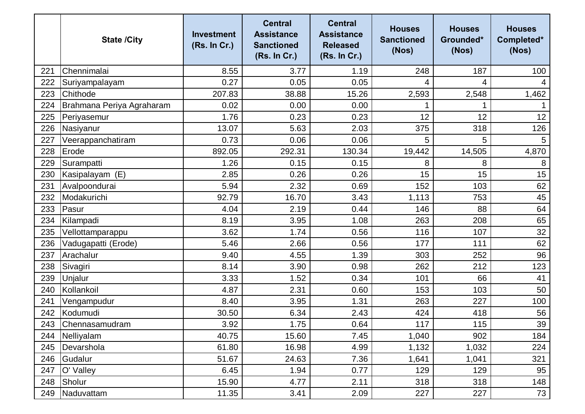|     | <b>State /City</b>        | <b>Investment</b><br>(Rs. In Cr.) | <b>Central</b><br><b>Assistance</b><br><b>Sanctioned</b><br>(Rs. In Cr.) | <b>Central</b><br><b>Assistance</b><br><b>Released</b><br>(Rs. In Cr.) | <b>Houses</b><br><b>Sanctioned</b><br>(Nos) | <b>Houses</b><br>Grounded*<br>(Nos) | <b>Houses</b><br>Completed*<br>(Nos) |
|-----|---------------------------|-----------------------------------|--------------------------------------------------------------------------|------------------------------------------------------------------------|---------------------------------------------|-------------------------------------|--------------------------------------|
| 221 | Chennimalai               | 8.55                              | 3.77                                                                     | 1.19                                                                   | 248                                         | 187                                 | 100                                  |
| 222 | Suriyampalayam            | 0.27                              | 0.05                                                                     | 0.05                                                                   | 4                                           | 4                                   |                                      |
| 223 | Chithode                  | 207.83                            | 38.88                                                                    | 15.26                                                                  | 2,593                                       | 2,548                               | 1,462                                |
| 224 | Brahmana Periya Agraharam | 0.02                              | 0.00                                                                     | 0.00                                                                   |                                             |                                     |                                      |
| 225 | Periyasemur               | 1.76                              | 0.23                                                                     | 0.23                                                                   | 12                                          | 12                                  | 12                                   |
| 226 | Nasiyanur                 | 13.07                             | 5.63                                                                     | 2.03                                                                   | 375                                         | 318                                 | 126                                  |
| 227 | Veerappanchatiram         | 0.73                              | 0.06                                                                     | 0.06                                                                   | 5                                           | 5                                   | 5                                    |
| 228 | Erode                     | 892.05                            | 292.31                                                                   | 130.34                                                                 | 19,442                                      | 14,505                              | 4,870                                |
| 229 | Surampatti                | 1.26                              | 0.15                                                                     | 0.15                                                                   | 8                                           | 8                                   | 8                                    |
| 230 | Kasipalayam (E)           | 2.85                              | 0.26                                                                     | 0.26                                                                   | 15                                          | 15                                  | 15                                   |
| 231 | Avalpoondurai             | 5.94                              | 2.32                                                                     | 0.69                                                                   | 152                                         | 103                                 | 62                                   |
| 232 | Modakurichi               | 92.79                             | 16.70                                                                    | 3.43                                                                   | 1,113                                       | 753                                 | 45                                   |
| 233 | Pasur                     | 4.04                              | 2.19                                                                     | 0.44                                                                   | 146                                         | 88                                  | 64                                   |
| 234 | Kilampadi                 | 8.19                              | 3.95                                                                     | 1.08                                                                   | 263                                         | 208                                 | 65                                   |
| 235 | Vellottamparappu          | 3.62                              | 1.74                                                                     | 0.56                                                                   | 116                                         | 107                                 | 32                                   |
| 236 | Vadugapatti (Erode)       | 5.46                              | 2.66                                                                     | 0.56                                                                   | 177                                         | 111                                 | 62                                   |
| 237 | Arachalur                 | 9.40                              | 4.55                                                                     | 1.39                                                                   | 303                                         | 252                                 | 96                                   |
| 238 | Sivagiri                  | 8.14                              | 3.90                                                                     | 0.98                                                                   | 262                                         | 212                                 | 123                                  |
| 239 | Unjalur                   | 3.33                              | 1.52                                                                     | 0.34                                                                   | 101                                         | 66                                  | 41                                   |
| 240 | Kollankoil                | 4.87                              | 2.31                                                                     | 0.60                                                                   | 153                                         | 103                                 | 50                                   |
| 241 | Vengampudur               | 8.40                              | 3.95                                                                     | 1.31                                                                   | 263                                         | 227                                 | 100                                  |
| 242 | <b>Kodumudi</b>           | 30.50                             | 6.34                                                                     | 2.43                                                                   | 424                                         | 418                                 | 56                                   |
| 243 | Chennasamudram            | 3.92                              | 1.75                                                                     | 0.64                                                                   | 117                                         | 115                                 | 39                                   |
| 244 | Nelliyalam                | 40.75                             | 15.60                                                                    | 7.45                                                                   | 1,040                                       | 902                                 | 184                                  |
|     | 245   Devarshola          | 61.80                             | 16.98                                                                    | 4.99                                                                   | 1,132                                       | 1,032                               | 224                                  |
| 246 | Gudalur                   | 51.67                             | 24.63                                                                    | 7.36                                                                   | 1,641                                       | 1,041                               | 321                                  |
| 247 | O' Valley                 | 6.45                              | 1.94                                                                     | 0.77                                                                   | 129                                         | 129                                 | 95                                   |
| 248 | Sholur                    | 15.90                             | 4.77                                                                     | 2.11                                                                   | 318                                         | 318                                 | 148                                  |
| 249 | Naduvattam                | 11.35                             | 3.41                                                                     | 2.09                                                                   | 227                                         | 227                                 | 73                                   |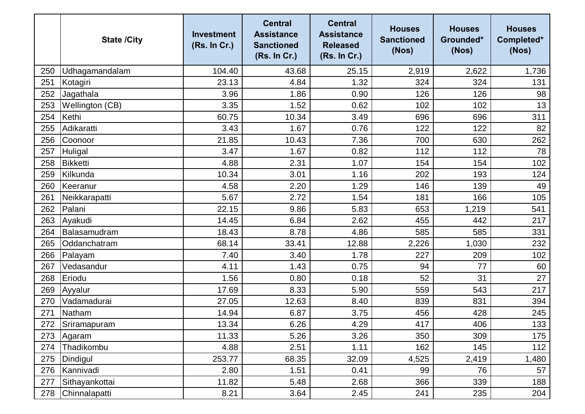|     | <b>State /City</b> | <b>Investment</b><br>(Rs. In Cr.) | <b>Central</b><br><b>Assistance</b><br><b>Sanctioned</b><br>(Rs. In Cr.) | <b>Central</b><br><b>Assistance</b><br><b>Released</b><br>(Rs. In Cr.) | <b>Houses</b><br><b>Sanctioned</b><br>(Nos) | <b>Houses</b><br>Grounded*<br>(Nos) | <b>Houses</b><br>Completed*<br>(Nos) |
|-----|--------------------|-----------------------------------|--------------------------------------------------------------------------|------------------------------------------------------------------------|---------------------------------------------|-------------------------------------|--------------------------------------|
| 250 | Udhagamandalam     | 104.40                            | 43.68                                                                    | 25.15                                                                  | 2,919                                       | 2,622                               | 1,736                                |
| 251 | Kotagiri           | 23.13                             | 4.84                                                                     | 1.32                                                                   | 324                                         | 324                                 | 131                                  |
| 252 | Jagathala          | 3.96                              | 1.86                                                                     | 0.90                                                                   | 126                                         | 126                                 | 98                                   |
| 253 | Wellington (CB)    | 3.35                              | 1.52                                                                     | 0.62                                                                   | 102                                         | 102                                 | 13                                   |
| 254 | Kethi              | 60.75                             | 10.34                                                                    | 3.49                                                                   | 696                                         | 696                                 | 311                                  |
| 255 | Adikaratti         | 3.43                              | 1.67                                                                     | 0.76                                                                   | 122                                         | 122                                 | 82                                   |
| 256 | Coonoor            | 21.85                             | 10.43                                                                    | 7.36                                                                   | 700                                         | 630                                 | 262                                  |
| 257 | Huligal            | 3.47                              | 1.67                                                                     | 0.82                                                                   | 112                                         | 112                                 | 78                                   |
| 258 | <b>Bikketti</b>    | 4.88                              | 2.31                                                                     | 1.07                                                                   | 154                                         | 154                                 | 102                                  |
| 259 | Kilkunda           | 10.34                             | 3.01                                                                     | 1.16                                                                   | 202                                         | 193                                 | 124                                  |
| 260 | Keeranur           | 4.58                              | 2.20                                                                     | 1.29                                                                   | 146                                         | 139                                 | 49                                   |
| 261 | Neikkarapatti      | 5.67                              | 2.72                                                                     | 1.54                                                                   | 181                                         | 166                                 | 105                                  |
| 262 | Palani             | 22.15                             | 9.86                                                                     | 5.83                                                                   | 653                                         | 1,219                               | 541                                  |
| 263 | Ayakudi            | 14.45                             | 6.84                                                                     | 2.62                                                                   | 455                                         | 442                                 | 217                                  |
| 264 | Balasamudram       | 18.43                             | 8.78                                                                     | 4.86                                                                   | 585                                         | 585                                 | 331                                  |
| 265 | Oddanchatram       | 68.14                             | 33.41                                                                    | 12.88                                                                  | 2,226                                       | 1,030                               | 232                                  |
| 266 | Palayam            | 7.40                              | 3.40                                                                     | 1.78                                                                   | 227                                         | 209                                 | 102                                  |
| 267 | Vedasandur         | 4.11                              | 1.43                                                                     | 0.75                                                                   | 94                                          | 77                                  | 60                                   |
| 268 | Eriodu             | 1.56                              | 0.80                                                                     | 0.18                                                                   | 52                                          | 31                                  | 27                                   |
| 269 | Ayyalur            | 17.69                             | 8.33                                                                     | 5.90                                                                   | 559                                         | 543                                 | 217                                  |
| 270 | Vadamadurai        | 27.05                             | 12.63                                                                    | 8.40                                                                   | 839                                         | 831                                 | 394                                  |
| 271 | Natham             | 14.94                             | 6.87                                                                     | 3.75                                                                   | 456                                         | 428                                 | 245                                  |
| 272 | Sriramapuram       | 13.34                             | 6.26                                                                     | 4.29                                                                   | 417                                         | 406                                 | 133                                  |
| 273 | Agaram             | 11.33                             | 5.26                                                                     | 3.26                                                                   | 350                                         | 309                                 | 175                                  |
| 274 | Thadikombu         | 4.88                              | 2.51                                                                     | 1.11                                                                   | 162                                         | 145                                 | 112                                  |
| 275 | Dindigul           | 253.77                            | 68.35                                                                    | 32.09                                                                  | 4,525                                       | 2,419                               | 1,480                                |
| 276 | Kannivadi          | 2.80                              | 1.51                                                                     | 0.41                                                                   | 99                                          | 76                                  | 57                                   |
| 277 | Sithayankottai     | 11.82                             | 5.48                                                                     | 2.68                                                                   | 366                                         | 339                                 | 188                                  |
| 278 | Chinnalapatti      | 8.21                              | 3.64                                                                     | 2.45                                                                   | 241                                         | 235                                 | 204                                  |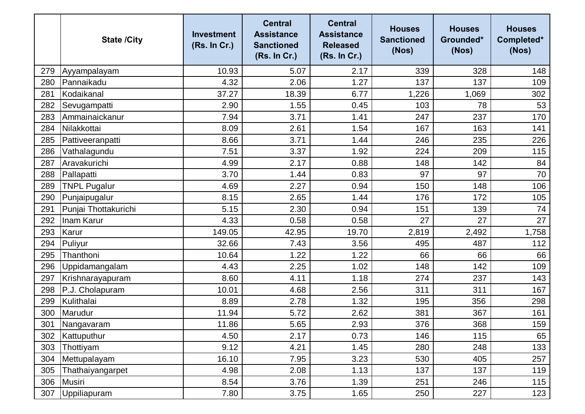|     | <b>State /City</b>   | <b>Investment</b><br>(Rs. In Cr.) | <b>Central</b><br><b>Assistance</b><br><b>Sanctioned</b><br>(Rs. In Cr.) | <b>Central</b><br><b>Assistance</b><br><b>Released</b><br>(Rs. In Cr.) | <b>Houses</b><br><b>Sanctioned</b><br>(Nos) | <b>Houses</b><br>Grounded*<br>(Nos) | <b>Houses</b><br>Completed*<br>(Nos) |
|-----|----------------------|-----------------------------------|--------------------------------------------------------------------------|------------------------------------------------------------------------|---------------------------------------------|-------------------------------------|--------------------------------------|
| 279 | Ayyampalayam         | 10.93                             | 5.07                                                                     | 2.17                                                                   | 339                                         | 328                                 | 148                                  |
| 280 | Pannaikadu           | 4.32                              | 2.06                                                                     | 1.27                                                                   | 137                                         | 137                                 | 109                                  |
| 281 | Kodaikanal           | 37.27                             | 18.39                                                                    | 6.77                                                                   | 1,226                                       | 1,069                               | 302                                  |
| 282 | Sevugampatti         | 2.90                              | 1.55                                                                     | 0.45                                                                   | 103                                         | 78                                  | 53                                   |
| 283 | Ammainaickanur       | 7.94                              | 3.71                                                                     | 1.41                                                                   | 247                                         | 237                                 | 170                                  |
| 284 | Nilakkottai          | 8.09                              | 2.61                                                                     | 1.54                                                                   | 167                                         | 163                                 | 141                                  |
| 285 | Pattiveeranpatti     | 8.66                              | 3.71                                                                     | 1.44                                                                   | 246                                         | 235                                 | 226                                  |
| 286 | Vathalagundu         | 7.51                              | 3.37                                                                     | 1.92                                                                   | 224                                         | 209                                 | 115                                  |
| 287 | Aravakurichi         | 4.99                              | 2.17                                                                     | 0.88                                                                   | 148                                         | 142                                 | 84                                   |
| 288 | Pallapatti           | 3.70                              | 1.44                                                                     | 0.83                                                                   | 97                                          | 97                                  | 70                                   |
| 289 | <b>TNPL Pugalur</b>  | 4.69                              | 2.27                                                                     | 0.94                                                                   | 150                                         | 148                                 | 106                                  |
| 290 | Punjaipugalur        | 8.15                              | 2.65                                                                     | 1.44                                                                   | 176                                         | 172                                 | 105                                  |
| 291 | Punjai Thottakurichi | 5.15                              | 2.30                                                                     | 0.94                                                                   | 151                                         | 139                                 | 74                                   |
| 292 | Inam Karur           | 4.33                              | 0.58                                                                     | 0.58                                                                   | 27                                          | 27                                  | 27                                   |
| 293 | Karur                | 149.05                            | 42.95                                                                    | 19.70                                                                  | 2,819                                       | 2,492                               | 1,758                                |
| 294 | Puliyur              | 32.66                             | 7.43                                                                     | 3.56                                                                   | 495                                         | 487                                 | 112                                  |
| 295 | Thanthoni            | 10.64                             | 1.22                                                                     | 1.22                                                                   | 66                                          | 66                                  | 66                                   |
| 296 | Uppidamangalam       | 4.43                              | 2.25                                                                     | 1.02                                                                   | 148                                         | 142                                 | 109                                  |
| 297 | Krishnarayapuram     | 8.60                              | 4.11                                                                     | 1.18                                                                   | 274                                         | 237                                 | 143                                  |
| 298 | P.J. Cholapuram      | 10.01                             | 4.68                                                                     | 2.56                                                                   | 311                                         | 311                                 | 167                                  |
| 299 | Kulithalai           | 8.89                              | 2.78                                                                     | 1.32                                                                   | 195                                         | 356                                 | 298                                  |
| 300 | Marudur              | 11.94                             | 5.72                                                                     | 2.62                                                                   | 381                                         | 367                                 | 161                                  |
| 301 | Nangavaram           | 11.86                             | 5.65                                                                     | 2.93                                                                   | 376                                         | 368                                 | 159                                  |
| 302 | Kattuputhur          | 4.50                              | 2.17                                                                     | 0.73                                                                   | 146                                         | 115                                 | 65                                   |
| 303 | Thottiyam            | 9.12                              | 4.21                                                                     | 1.45                                                                   | 280                                         | 248                                 | 133                                  |
| 304 | Mettupalayam         | 16.10                             | 7.95                                                                     | 3.23                                                                   | 530                                         | 405                                 | 257                                  |
| 305 | Thathaiyangarpet     | 4.98                              | 2.08                                                                     | 1.13                                                                   | 137                                         | 137                                 | 119                                  |
| 306 | Musiri               | 8.54                              | 3.76                                                                     | 1.39                                                                   | 251                                         | 246                                 | 115                                  |
| 307 | Uppiliapuram         | 7.80                              | 3.75                                                                     | 1.65                                                                   | 250                                         | 227                                 | 123                                  |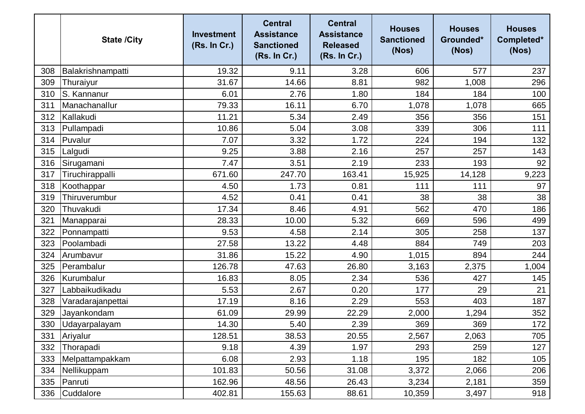|     | <b>State /City</b> | <b>Investment</b><br>(Rs. In Cr.) | <b>Central</b><br><b>Assistance</b><br><b>Sanctioned</b><br>(Rs. In Cr.) | <b>Central</b><br><b>Assistance</b><br><b>Released</b><br>(Rs. In Cr.) | <b>Houses</b><br><b>Sanctioned</b><br>(Nos) | <b>Houses</b><br>Grounded*<br>(Nos) | <b>Houses</b><br>Completed*<br>(Nos) |
|-----|--------------------|-----------------------------------|--------------------------------------------------------------------------|------------------------------------------------------------------------|---------------------------------------------|-------------------------------------|--------------------------------------|
| 308 | Balakrishnampatti  | 19.32                             | 9.11                                                                     | 3.28                                                                   | 606                                         | 577                                 | 237                                  |
| 309 | Thuraiyur          | 31.67                             | 14.66                                                                    | 8.81                                                                   | 982                                         | 1,008                               | 296                                  |
| 310 | S. Kannanur        | 6.01                              | 2.76                                                                     | 1.80                                                                   | 184                                         | 184                                 | 100                                  |
| 311 | Manachanallur      | 79.33                             | 16.11                                                                    | 6.70                                                                   | 1,078                                       | 1,078                               | 665                                  |
| 312 | Kallakudi          | 11.21                             | 5.34                                                                     | 2.49                                                                   | 356                                         | 356                                 | 151                                  |
| 313 | Pullampadi         | 10.86                             | 5.04                                                                     | 3.08                                                                   | 339                                         | 306                                 | 111                                  |
| 314 | Puvalur            | 7.07                              | 3.32                                                                     | 1.72                                                                   | 224                                         | 194                                 | 132                                  |
| 315 | Lalgudi            | 9.25                              | 3.88                                                                     | 2.16                                                                   | 257                                         | 257                                 | 143                                  |
| 316 | Sirugamani         | 7.47                              | 3.51                                                                     | 2.19                                                                   | 233                                         | 193                                 | 92                                   |
| 317 | Tiruchirappalli    | 671.60                            | 247.70                                                                   | 163.41                                                                 | 15,925                                      | 14,128                              | 9,223                                |
| 318 | Koothappar         | 4.50                              | 1.73                                                                     | 0.81                                                                   | 111                                         | 111                                 | 97                                   |
| 319 | Thiruverumbur      | 4.52                              | 0.41                                                                     | 0.41                                                                   | 38                                          | 38                                  | 38                                   |
| 320 | Thuvakudi          | 17.34                             | 8.46                                                                     | 4.91                                                                   | 562                                         | 470                                 | 186                                  |
| 321 | Manapparai         | 28.33                             | 10.00                                                                    | 5.32                                                                   | 669                                         | 596                                 | 499                                  |
| 322 | Ponnampatti        | 9.53                              | 4.58                                                                     | 2.14                                                                   | 305                                         | 258                                 | 137                                  |
| 323 | Poolambadi         | 27.58                             | 13.22                                                                    | 4.48                                                                   | 884                                         | 749                                 | 203                                  |
| 324 | Arumbavur          | 31.86                             | 15.22                                                                    | 4.90                                                                   | 1,015                                       | 894                                 | 244                                  |
| 325 | Perambalur         | 126.78                            | 47.63                                                                    | 26.80                                                                  | 3,163                                       | 2,375                               | 1,004                                |
| 326 | Kurumbalur         | 16.83                             | 8.05                                                                     | 2.34                                                                   | 536                                         | 427                                 | 145                                  |
| 327 | Labbaikudikadu     | 5.53                              | 2.67                                                                     | 0.20                                                                   | 177                                         | 29                                  | 21                                   |
| 328 | Varadarajanpettai  | 17.19                             | 8.16                                                                     | 2.29                                                                   | 553                                         | 403                                 | 187                                  |
| 329 | Jayankondam        | 61.09                             | 29.99                                                                    | 22.29                                                                  | 2,000                                       | 1,294                               | 352                                  |
| 330 | Udayarpalayam      | 14.30                             | 5.40                                                                     | 2.39                                                                   | 369                                         | 369                                 | 172                                  |
| 331 | Ariyalur           | 128.51                            | 38.53                                                                    | 20.55                                                                  | 2,567                                       | 2,063                               | 705                                  |
| 332 | Thorapadi          | 9.18                              | 4.39                                                                     | 1.97                                                                   | 293                                         | 259                                 | 127                                  |
| 333 | Melpattampakkam    | 6.08                              | 2.93                                                                     | 1.18                                                                   | 195                                         | 182                                 | 105                                  |
| 334 | Nellikuppam        | 101.83                            | 50.56                                                                    | 31.08                                                                  | 3,372                                       | 2,066                               | 206                                  |
| 335 | Panruti            | 162.96                            | 48.56                                                                    | 26.43                                                                  | 3,234                                       | 2,181                               | 359                                  |
| 336 | Cuddalore          | 402.81                            | 155.63                                                                   | 88.61                                                                  | 10,359                                      | 3,497                               | 918                                  |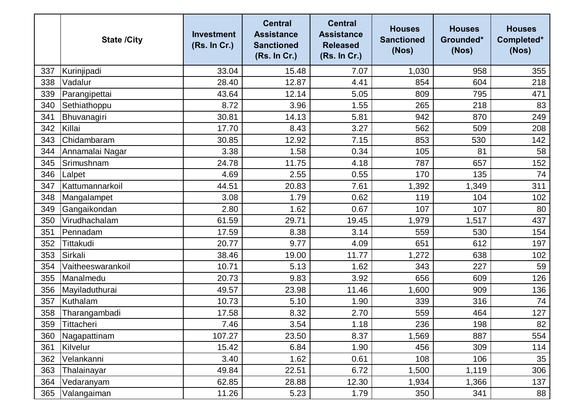|     | <b>State /City</b> | <b>Investment</b><br>(Rs. In Cr.) | <b>Central</b><br><b>Assistance</b><br><b>Sanctioned</b><br>(Rs. In Cr.) | <b>Central</b><br><b>Assistance</b><br><b>Released</b><br>(Rs. In Cr.) | <b>Houses</b><br><b>Sanctioned</b><br>(Nos) | <b>Houses</b><br>Grounded*<br>(Nos) | <b>Houses</b><br>Completed*<br>(Nos) |
|-----|--------------------|-----------------------------------|--------------------------------------------------------------------------|------------------------------------------------------------------------|---------------------------------------------|-------------------------------------|--------------------------------------|
| 337 | Kurinjipadi        | 33.04                             | 15.48                                                                    | 7.07                                                                   | 1,030                                       | 958                                 | 355                                  |
| 338 | Vadalur            | 28.40                             | 12.87                                                                    | 4.41                                                                   | 854                                         | 604                                 | 218                                  |
| 339 | Parangipettai      | 43.64                             | 12.14                                                                    | 5.05                                                                   | 809                                         | 795                                 | 471                                  |
| 340 | Sethiathoppu       | 8.72                              | 3.96                                                                     | 1.55                                                                   | 265                                         | 218                                 | 83                                   |
| 341 | Bhuvanagiri        | 30.81                             | 14.13                                                                    | 5.81                                                                   | 942                                         | 870                                 | 249                                  |
| 342 | Killai             | 17.70                             | 8.43                                                                     | 3.27                                                                   | 562                                         | 509                                 | 208                                  |
| 343 | Chidambaram        | 30.85                             | 12.92                                                                    | 7.15                                                                   | 853                                         | 530                                 | 142                                  |
| 344 | Annamalai Nagar    | 3.38                              | 1.58                                                                     | 0.34                                                                   | 105                                         | 81                                  | 58                                   |
| 345 | Srimushnam         | 24.78                             | 11.75                                                                    | 4.18                                                                   | 787                                         | 657                                 | 152                                  |
| 346 | Lalpet             | 4.69                              | 2.55                                                                     | 0.55                                                                   | 170                                         | 135                                 | 74                                   |
| 347 | Kattumannarkoil    | 44.51                             | 20.83                                                                    | 7.61                                                                   | 1,392                                       | 1,349                               | 311                                  |
| 348 | Mangalampet        | 3.08                              | 1.79                                                                     | 0.62                                                                   | 119                                         | 104                                 | 102                                  |
| 349 | Gangaikondan       | 2.80                              | 1.62                                                                     | 0.67                                                                   | 107                                         | 107                                 | 80                                   |
| 350 | Virudhachalam      | 61.59                             | 29.71                                                                    | 19.45                                                                  | 1,979                                       | 1,517                               | 437                                  |
| 351 | Pennadam           | 17.59                             | 8.38                                                                     | 3.14                                                                   | 559                                         | 530                                 | 154                                  |
| 352 | Tittakudi          | 20.77                             | 9.77                                                                     | 4.09                                                                   | 651                                         | 612                                 | 197                                  |
| 353 | Sirkali            | 38.46                             | 19.00                                                                    | 11.77                                                                  | 1,272                                       | 638                                 | 102                                  |
| 354 | Vaitheeswarankoil  | 10.71                             | 5.13                                                                     | 1.62                                                                   | 343                                         | 227                                 | 59                                   |
| 355 | Manalmedu          | 20.73                             | 9.83                                                                     | 3.92                                                                   | 656                                         | 609                                 | 126                                  |
| 356 | Mayiladuthurai     | 49.57                             | 23.98                                                                    | 11.46                                                                  | 1,600                                       | 909                                 | 136                                  |
| 357 | Kuthalam           | 10.73                             | 5.10                                                                     | 1.90                                                                   | 339                                         | 316                                 | 74                                   |
| 358 | Tharangambadi      | 17.58                             | 8.32                                                                     | 2.70                                                                   | 559                                         | 464                                 | 127                                  |
| 359 | Tittacheri         | 7.46                              | 3.54                                                                     | 1.18                                                                   | 236                                         | 198                                 | 82                                   |
| 360 | Nagapattinam       | 107.27                            | 23.50                                                                    | 8.37                                                                   | 1,569                                       | 887                                 | 554                                  |
| 361 | Kilvelur           | 15.42                             | 6.84                                                                     | 1.90                                                                   | 456                                         | 309                                 | 114                                  |
| 362 | Velankanni         | 3.40                              | 1.62                                                                     | 0.61                                                                   | 108                                         | 106                                 | 35                                   |
| 363 | Thalainayar        | 49.84                             | 22.51                                                                    | 6.72                                                                   | 1,500                                       | 1,119                               | 306                                  |
| 364 | Vedaranyam         | 62.85                             | 28.88                                                                    | 12.30                                                                  | 1,934                                       | 1,366                               | 137                                  |
| 365 | Valangaiman        | 11.26                             | 5.23                                                                     | 1.79                                                                   | 350                                         | 341                                 | 88                                   |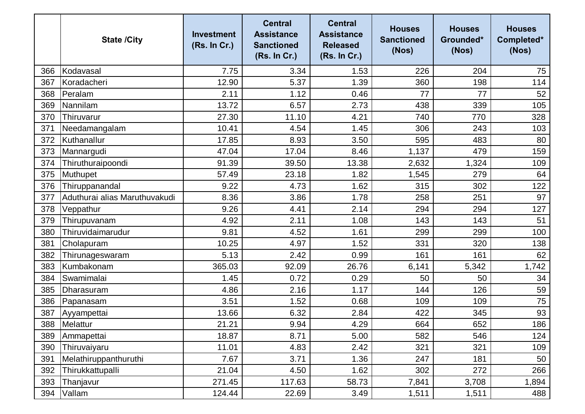|     | <b>State /City</b>            | <b>Investment</b><br>(Rs. In Cr.) | <b>Central</b><br><b>Assistance</b><br><b>Sanctioned</b><br>(Rs. In Cr.) | <b>Central</b><br><b>Assistance</b><br><b>Released</b><br>(Rs. In Cr.) | <b>Houses</b><br><b>Sanctioned</b><br>(Nos) | <b>Houses</b><br>Grounded*<br>(Nos) | <b>Houses</b><br>Completed*<br>(Nos) |
|-----|-------------------------------|-----------------------------------|--------------------------------------------------------------------------|------------------------------------------------------------------------|---------------------------------------------|-------------------------------------|--------------------------------------|
| 366 | Kodavasal                     | 7.75                              | 3.34                                                                     | 1.53                                                                   | 226                                         | 204                                 | 75                                   |
| 367 | Koradacheri                   | 12.90                             | 5.37                                                                     | 1.39                                                                   | 360                                         | 198                                 | 114                                  |
| 368 | Peralam                       | 2.11                              | 1.12                                                                     | 0.46                                                                   | 77                                          | 77                                  | 52                                   |
| 369 | Nannilam                      | 13.72                             | 6.57                                                                     | 2.73                                                                   | 438                                         | 339                                 | 105                                  |
| 370 | Thiruvarur                    | 27.30                             | 11.10                                                                    | 4.21                                                                   | 740                                         | 770                                 | 328                                  |
| 371 | Needamangalam                 | 10.41                             | 4.54                                                                     | 1.45                                                                   | 306                                         | 243                                 | 103                                  |
| 372 | Kuthanallur                   | 17.85                             | 8.93                                                                     | 3.50                                                                   | 595                                         | 483                                 | 80                                   |
| 373 | Mannargudi                    | 47.04                             | 17.04                                                                    | 8.46                                                                   | 1,137                                       | 479                                 | 159                                  |
| 374 | Thiruthuraipoondi             | 91.39                             | 39.50                                                                    | 13.38                                                                  | 2,632                                       | 1,324                               | 109                                  |
| 375 | Muthupet                      | 57.49                             | 23.18                                                                    | 1.82                                                                   | 1,545                                       | 279                                 | 64                                   |
| 376 | Thiruppanandal                | 9.22                              | 4.73                                                                     | 1.62                                                                   | 315                                         | 302                                 | 122                                  |
| 377 | Aduthurai alias Maruthuvakudi | 8.36                              | 3.86                                                                     | 1.78                                                                   | 258                                         | 251                                 | 97                                   |
| 378 | Veppathur                     | 9.26                              | 4.41                                                                     | 2.14                                                                   | 294                                         | 294                                 | 127                                  |
| 379 | Thirupuvanam                  | 4.92                              | 2.11                                                                     | 1.08                                                                   | 143                                         | 143                                 | 51                                   |
| 380 | Thiruvidaimarudur             | 9.81                              | 4.52                                                                     | 1.61                                                                   | 299                                         | 299                                 | 100                                  |
| 381 | Cholapuram                    | 10.25                             | 4.97                                                                     | 1.52                                                                   | 331                                         | 320                                 | 138                                  |
| 382 | Thirunageswaram               | 5.13                              | 2.42                                                                     | 0.99                                                                   | 161                                         | 161                                 | 62                                   |
| 383 | Kumbakonam                    | 365.03                            | 92.09                                                                    | 26.76                                                                  | 6,141                                       | 5,342                               | 1,742                                |
| 384 | Swamimalai                    | 1.45                              | 0.72                                                                     | 0.29                                                                   | 50                                          | 50                                  | 34                                   |
| 385 | Dharasuram                    | 4.86                              | 2.16                                                                     | 1.17                                                                   | 144                                         | 126                                 | 59                                   |
| 386 | Papanasam                     | 3.51                              | 1.52                                                                     | 0.68                                                                   | 109                                         | 109                                 | 75                                   |
| 387 | Ayyampettai                   | 13.66                             | 6.32                                                                     | 2.84                                                                   | 422                                         | 345                                 | 93                                   |
| 388 | Melattur                      | 21.21                             | 9.94                                                                     | 4.29                                                                   | 664                                         | 652                                 | 186                                  |
| 389 | Ammapettai                    | 18.87                             | 8.71                                                                     | 5.00                                                                   | 582                                         | 546                                 | 124                                  |
| 390 | Thiruvaiyaru                  | 11.01                             | 4.83                                                                     | 2.42                                                                   | 321                                         | 321                                 | 109                                  |
| 391 | Melathiruppanthuruthi         | 7.67                              | 3.71                                                                     | 1.36                                                                   | 247                                         | 181                                 | 50                                   |
| 392 | Thirukkattupalli              | 21.04                             | 4.50                                                                     | 1.62                                                                   | 302                                         | 272                                 | 266                                  |
| 393 | Thanjavur                     | 271.45                            | 117.63                                                                   | 58.73                                                                  | 7,841                                       | 3,708                               | 1,894                                |
| 394 | Vallam                        | 124.44                            | 22.69                                                                    | 3.49                                                                   | 1,511                                       | 1,511                               | 488                                  |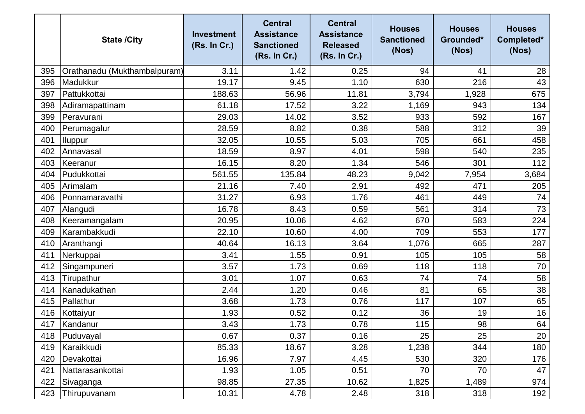|     | <b>State /City</b>           | <b>Investment</b><br>(Rs. In Cr.) | <b>Central</b><br><b>Assistance</b><br><b>Sanctioned</b><br>(Rs. In Cr.) | <b>Central</b><br><b>Assistance</b><br><b>Released</b><br>(Rs. In Cr.) | <b>Houses</b><br><b>Sanctioned</b><br>(Nos) | <b>Houses</b><br>Grounded*<br>(Nos) | <b>Houses</b><br>Completed*<br>(Nos) |
|-----|------------------------------|-----------------------------------|--------------------------------------------------------------------------|------------------------------------------------------------------------|---------------------------------------------|-------------------------------------|--------------------------------------|
| 395 | Orathanadu (Mukthambalpuram) | 3.11                              | 1.42                                                                     | 0.25                                                                   | 94                                          | 41                                  | 28                                   |
| 396 | Madukkur                     | 19.17                             | 9.45                                                                     | 1.10                                                                   | 630                                         | 216                                 | 43                                   |
| 397 | Pattukkottai                 | 188.63                            | 56.96                                                                    | 11.81                                                                  | 3,794                                       | 1,928                               | 675                                  |
| 398 | Adiramapattinam              | 61.18                             | 17.52                                                                    | 3.22                                                                   | 1,169                                       | 943                                 | 134                                  |
| 399 | Peravurani                   | 29.03                             | 14.02                                                                    | 3.52                                                                   | 933                                         | 592                                 | 167                                  |
| 400 | Perumagalur                  | 28.59                             | 8.82                                                                     | 0.38                                                                   | 588                                         | 312                                 | 39                                   |
| 401 | <b>Iluppur</b>               | 32.05                             | 10.55                                                                    | 5.03                                                                   | 705                                         | 661                                 | 458                                  |
| 402 | Annavasal                    | 18.59                             | 8.97                                                                     | 4.01                                                                   | 598                                         | 540                                 | 235                                  |
| 403 | Keeranur                     | 16.15                             | 8.20                                                                     | 1.34                                                                   | 546                                         | 301                                 | 112                                  |
| 404 | Pudukkottai                  | 561.55                            | 135.84                                                                   | 48.23                                                                  | 9,042                                       | 7,954                               | 3,684                                |
| 405 | Arimalam                     | 21.16                             | 7.40                                                                     | 2.91                                                                   | 492                                         | 471                                 | 205                                  |
| 406 | Ponnamaravathi               | 31.27                             | 6.93                                                                     | 1.76                                                                   | 461                                         | 449                                 | 74                                   |
| 407 | Alangudi                     | 16.78                             | 8.43                                                                     | 0.59                                                                   | 561                                         | 314                                 | 73                                   |
| 408 | Keeramangalam                | 20.95                             | 10.06                                                                    | 4.62                                                                   | 670                                         | 583                                 | 224                                  |
| 409 | Karambakkudi                 | 22.10                             | 10.60                                                                    | 4.00                                                                   | 709                                         | 553                                 | 177                                  |
| 410 | Aranthangi                   | 40.64                             | 16.13                                                                    | 3.64                                                                   | 1,076                                       | 665                                 | 287                                  |
| 411 | Nerkuppai                    | 3.41                              | 1.55                                                                     | 0.91                                                                   | 105                                         | 105                                 | 58                                   |
| 412 | Singampuneri                 | 3.57                              | 1.73                                                                     | 0.69                                                                   | 118                                         | 118                                 | 70                                   |
| 413 | Tirupathur                   | 3.01                              | 1.07                                                                     | 0.63                                                                   | 74                                          | 74                                  | 58                                   |
| 414 | Kanadukathan                 | 2.44                              | 1.20                                                                     | 0.46                                                                   | 81                                          | 65                                  | 38                                   |
| 415 | Pallathur                    | 3.68                              | 1.73                                                                     | 0.76                                                                   | 117                                         | 107                                 | 65                                   |
| 416 | Kottaiyur                    | 1.93                              | 0.52                                                                     | 0.12                                                                   | 36                                          | 19                                  | 16                                   |
| 417 | Kandanur                     | 3.43                              | 1.73                                                                     | 0.78                                                                   | 115                                         | 98                                  | 64                                   |
| 418 | Puduvayal                    | 0.67                              | 0.37                                                                     | 0.16                                                                   | 25                                          | 25                                  | 20                                   |
| 419 | Karaikkudi                   | 85.33                             | 18.67                                                                    | 3.28                                                                   | 1,238                                       | 344                                 | 180                                  |
| 420 | Devakottai                   | 16.96                             | 7.97                                                                     | 4.45                                                                   | 530                                         | 320                                 | 176                                  |
| 421 | Nattarasankottai             | 1.93                              | 1.05                                                                     | 0.51                                                                   | 70                                          | 70                                  | 47                                   |
| 422 | Sivaganga                    | 98.85                             | 27.35                                                                    | 10.62                                                                  | 1,825                                       | 1,489                               | 974                                  |
| 423 | Thirupuvanam                 | 10.31                             | 4.78                                                                     | 2.48                                                                   | 318                                         | 318                                 | 192                                  |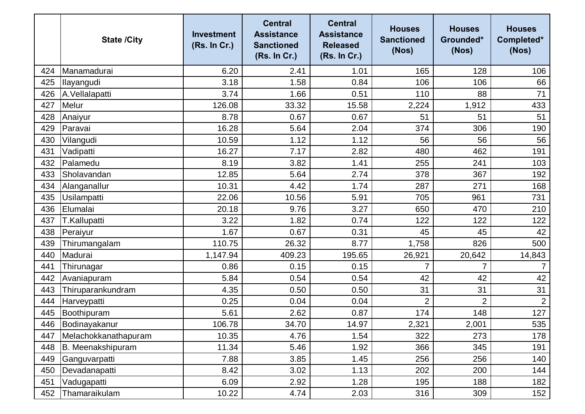|     | <b>State /City</b>   | <b>Investment</b><br>(Rs. In Cr.) | <b>Central</b><br><b>Assistance</b><br><b>Sanctioned</b><br>(Rs. In Cr.) | <b>Central</b><br><b>Assistance</b><br><b>Released</b><br>(Rs. In Cr.) | <b>Houses</b><br><b>Sanctioned</b><br>(Nos) | <b>Houses</b><br>Grounded*<br>(Nos) | <b>Houses</b><br>Completed*<br>(Nos) |
|-----|----------------------|-----------------------------------|--------------------------------------------------------------------------|------------------------------------------------------------------------|---------------------------------------------|-------------------------------------|--------------------------------------|
| 424 | Manamadurai          | 6.20                              | 2.41                                                                     | 1.01                                                                   | 165                                         | 128                                 | 106                                  |
| 425 | Ilayangudi           | 3.18                              | 1.58                                                                     | 0.84                                                                   | 106                                         | 106                                 | 66                                   |
| 426 | A.Vellalapatti       | 3.74                              | 1.66                                                                     | 0.51                                                                   | 110                                         | 88                                  | 71                                   |
| 427 | Melur                | 126.08                            | 33.32                                                                    | 15.58                                                                  | 2,224                                       | 1,912                               | 433                                  |
| 428 | Anaiyur              | 8.78                              | 0.67                                                                     | 0.67                                                                   | 51                                          | 51                                  | 51                                   |
| 429 | Paravai              | 16.28                             | 5.64                                                                     | 2.04                                                                   | 374                                         | 306                                 | 190                                  |
| 430 | Vilangudi            | 10.59                             | 1.12                                                                     | 1.12                                                                   | 56                                          | 56                                  | 56                                   |
| 431 | Vadipatti            | 16.27                             | 7.17                                                                     | 2.82                                                                   | 480                                         | 462                                 | 191                                  |
| 432 | Palamedu             | 8.19                              | 3.82                                                                     | 1.41                                                                   | 255                                         | 241                                 | 103                                  |
| 433 | Sholavandan          | 12.85                             | 5.64                                                                     | 2.74                                                                   | 378                                         | 367                                 | 192                                  |
| 434 | Alanganallur         | 10.31                             | 4.42                                                                     | 1.74                                                                   | 287                                         | 271                                 | 168                                  |
| 435 | Usilampatti          | 22.06                             | 10.56                                                                    | 5.91                                                                   | 705                                         | 961                                 | 731                                  |
| 436 | Elumalai             | 20.18                             | 9.76                                                                     | 3.27                                                                   | 650                                         | 470                                 | 210                                  |
| 437 | T.Kallupatti         | 3.22                              | 1.82                                                                     | 0.74                                                                   | 122                                         | 122                                 | 122                                  |
| 438 | Peraiyur             | 1.67                              | 0.67                                                                     | 0.31                                                                   | 45                                          | 45                                  | 42                                   |
| 439 | Thirumangalam        | 110.75                            | 26.32                                                                    | 8.77                                                                   | 1,758                                       | 826                                 | 500                                  |
| 440 | Madurai              | 1,147.94                          | 409.23                                                                   | 195.65                                                                 | 26,921                                      | 20,642                              | 14,843                               |
| 441 | Thirunagar           | 0.86                              | 0.15                                                                     | 0.15                                                                   | 7                                           | $\overline{7}$                      | $\overline{7}$                       |
| 442 | Avaniapuram          | 5.84                              | 0.54                                                                     | 0.54                                                                   | 42                                          | 42                                  | 42                                   |
| 443 | Thiruparankundram    | 4.35                              | 0.50                                                                     | 0.50                                                                   | 31                                          | 31                                  | 31                                   |
| 444 | Harveypatti          | 0.25                              | 0.04                                                                     | 0.04                                                                   | $\overline{2}$                              | $\overline{2}$                      | 2                                    |
| 445 | Boothipuram          | 5.61                              | 2.62                                                                     | 0.87                                                                   | 174                                         | 148                                 | 127                                  |
| 446 | Bodinayakanur        | 106.78                            | 34.70                                                                    | 14.97                                                                  | 2,321                                       | 2,001                               | 535                                  |
| 447 | Melachokkanathapuram | 10.35                             | 4.76                                                                     | 1.54                                                                   | 322                                         | 273                                 | 178                                  |
| 448 | B. Meenakshipuram    | 11.34                             | 5.46                                                                     | 1.92                                                                   | 366                                         | 345                                 | 191                                  |
| 449 | Ganguvarpatti        | 7.88                              | 3.85                                                                     | 1.45                                                                   | 256                                         | 256                                 | 140                                  |
| 450 | Devadanapatti        | 8.42                              | 3.02                                                                     | 1.13                                                                   | 202                                         | 200                                 | 144                                  |
| 451 | Vadugapatti          | 6.09                              | 2.92                                                                     | 1.28                                                                   | 195                                         | 188                                 | 182                                  |
| 452 | Thamaraikulam        | 10.22                             | 4.74                                                                     | 2.03                                                                   | 316                                         | 309                                 | 152                                  |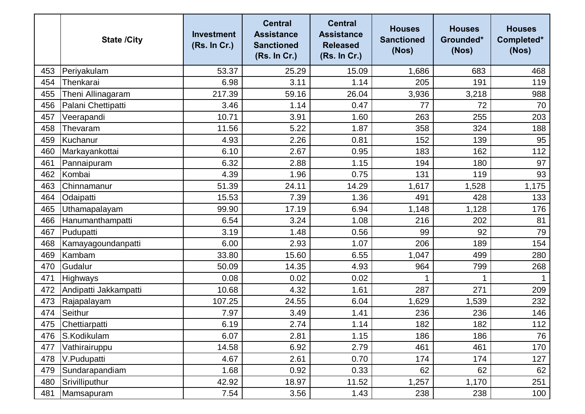|     | <b>State /City</b>    | <b>Investment</b><br>(Rs. In Cr.) | <b>Central</b><br><b>Assistance</b><br><b>Sanctioned</b><br>(Rs. In Cr.) | <b>Central</b><br><b>Assistance</b><br><b>Released</b><br>(Rs. In Cr.) | <b>Houses</b><br><b>Sanctioned</b><br>(Nos) | <b>Houses</b><br>Grounded*<br>(Nos) | <b>Houses</b><br>Completed*<br>(Nos) |
|-----|-----------------------|-----------------------------------|--------------------------------------------------------------------------|------------------------------------------------------------------------|---------------------------------------------|-------------------------------------|--------------------------------------|
| 453 | Periyakulam           | 53.37                             | 25.29                                                                    | 15.09                                                                  | 1,686                                       | 683                                 | 468                                  |
| 454 | Thenkarai             | 6.98                              | 3.11                                                                     | 1.14                                                                   | 205                                         | 191                                 | 119                                  |
| 455 | Theni Allinagaram     | 217.39                            | 59.16                                                                    | 26.04                                                                  | 3,936                                       | 3,218                               | 988                                  |
| 456 | Palani Chettipatti    | 3.46                              | 1.14                                                                     | 0.47                                                                   | 77                                          | 72                                  | 70                                   |
| 457 | Veerapandi            | 10.71                             | 3.91                                                                     | 1.60                                                                   | 263                                         | 255                                 | 203                                  |
| 458 | Thevaram              | 11.56                             | 5.22                                                                     | 1.87                                                                   | 358                                         | 324                                 | 188                                  |
| 459 | Kuchanur              | 4.93                              | 2.26                                                                     | 0.81                                                                   | 152                                         | 139                                 | 95                                   |
| 460 | Markayankottai        | 6.10                              | 2.67                                                                     | 0.95                                                                   | 183                                         | 162                                 | 112                                  |
| 461 | Pannaipuram           | 6.32                              | 2.88                                                                     | 1.15                                                                   | 194                                         | 180                                 | 97                                   |
| 462 | Kombai                | 4.39                              | 1.96                                                                     | 0.75                                                                   | 131                                         | 119                                 | 93                                   |
| 463 | Chinnamanur           | 51.39                             | 24.11                                                                    | 14.29                                                                  | 1,617                                       | 1,528                               | 1,175                                |
| 464 | Odaipatti             | 15.53                             | 7.39                                                                     | 1.36                                                                   | 491                                         | 428                                 | 133                                  |
| 465 | Uthamapalayam         | 99.90                             | 17.19                                                                    | 6.94                                                                   | 1,148                                       | 1,128                               | 176                                  |
| 466 | Hanumanthampatti      | 6.54                              | 3.24                                                                     | 1.08                                                                   | 216                                         | 202                                 | 81                                   |
| 467 | Pudupatti             | 3.19                              | 1.48                                                                     | 0.56                                                                   | 99                                          | 92                                  | 79                                   |
| 468 | Kamayagoundanpatti    | 6.00                              | 2.93                                                                     | 1.07                                                                   | 206                                         | 189                                 | 154                                  |
| 469 | Kambam                | 33.80                             | 15.60                                                                    | 6.55                                                                   | 1,047                                       | 499                                 | 280                                  |
| 470 | Gudalur               | 50.09                             | 14.35                                                                    | 4.93                                                                   | 964                                         | 799                                 | 268                                  |
| 471 | Highways              | 0.08                              | 0.02                                                                     | 0.02                                                                   |                                             | 1                                   |                                      |
| 472 | Andipatti Jakkampatti | 10.68                             | 4.32                                                                     | 1.61                                                                   | 287                                         | 271                                 | 209                                  |
| 473 | Rajapalayam           | 107.25                            | 24.55                                                                    | 6.04                                                                   | 1,629                                       | 1,539                               | 232                                  |
| 474 | Seithur               | 7.97                              | 3.49                                                                     | 1.41                                                                   | 236                                         | 236                                 | 146                                  |
| 475 | Chettiarpatti         | 6.19                              | 2.74                                                                     | 1.14                                                                   | 182                                         | 182                                 | 112                                  |
| 476 | S.Kodikulam           | 6.07                              | 2.81                                                                     | 1.15                                                                   | 186                                         | 186                                 | 76                                   |
| 477 | Vathirairuppu         | 14.58                             | 6.92                                                                     | 2.79                                                                   | 461                                         | 461                                 | 170                                  |
| 478 | V.Pudupatti           | 4.67                              | 2.61                                                                     | 0.70                                                                   | 174                                         | 174                                 | 127                                  |
| 479 | Sundarapandiam        | 1.68                              | 0.92                                                                     | 0.33                                                                   | 62                                          | 62                                  | 62                                   |
| 480 | Srivilliputhur        | 42.92                             | 18.97                                                                    | 11.52                                                                  | 1,257                                       | 1,170                               | 251                                  |
| 481 | Mamsapuram            | 7.54                              | 3.56                                                                     | 1.43                                                                   | 238                                         | 238                                 | 100                                  |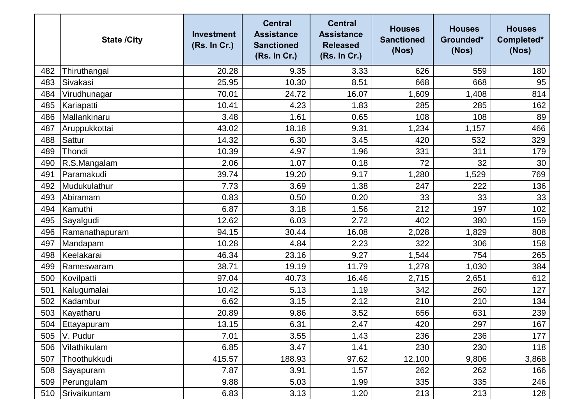|     | <b>State /City</b> | <b>Investment</b><br>(Rs. In Cr.) | <b>Central</b><br><b>Assistance</b><br><b>Sanctioned</b><br>(Rs. In Cr.) | <b>Central</b><br><b>Assistance</b><br><b>Released</b><br>(Rs. In Cr.) | <b>Houses</b><br><b>Sanctioned</b><br>(Nos) | <b>Houses</b><br>Grounded*<br>(Nos) | <b>Houses</b><br>Completed*<br>(Nos) |
|-----|--------------------|-----------------------------------|--------------------------------------------------------------------------|------------------------------------------------------------------------|---------------------------------------------|-------------------------------------|--------------------------------------|
| 482 | Thiruthangal       | 20.28                             | 9.35                                                                     | 3.33                                                                   | 626                                         | 559                                 | 180                                  |
| 483 | Sivakasi           | 25.95                             | 10.30                                                                    | 8.51                                                                   | 668                                         | 668                                 | 95                                   |
| 484 | Virudhunagar       | 70.01                             | 24.72                                                                    | 16.07                                                                  | 1,609                                       | 1,408                               | 814                                  |
| 485 | Kariapatti         | 10.41                             | 4.23                                                                     | 1.83                                                                   | 285                                         | 285                                 | 162                                  |
| 486 | Mallankinaru       | 3.48                              | 1.61                                                                     | 0.65                                                                   | 108                                         | 108                                 | 89                                   |
| 487 | Aruppukkottai      | 43.02                             | 18.18                                                                    | 9.31                                                                   | 1,234                                       | 1,157                               | 466                                  |
| 488 | <b>Sattur</b>      | 14.32                             | 6.30                                                                     | 3.45                                                                   | 420                                         | 532                                 | 329                                  |
| 489 | Thondi             | 10.39                             | 4.97                                                                     | 1.96                                                                   | 331                                         | 311                                 | 179                                  |
| 490 | R.S.Mangalam       | 2.06                              | 1.07                                                                     | 0.18                                                                   | 72                                          | 32                                  | 30                                   |
| 491 | Paramakudi         | 39.74                             | 19.20                                                                    | 9.17                                                                   | 1,280                                       | 1,529                               | 769                                  |
| 492 | Mudukulathur       | 7.73                              | 3.69                                                                     | 1.38                                                                   | 247                                         | 222                                 | 136                                  |
| 493 | Abiramam           | 0.83                              | 0.50                                                                     | 0.20                                                                   | 33                                          | 33                                  | 33                                   |
| 494 | Kamuthi            | 6.87                              | 3.18                                                                     | 1.56                                                                   | 212                                         | 197                                 | 102                                  |
| 495 | Sayalgudi          | 12.62                             | 6.03                                                                     | 2.72                                                                   | 402                                         | 380                                 | 159                                  |
| 496 | Ramanathapuram     | 94.15                             | 30.44                                                                    | 16.08                                                                  | 2,028                                       | 1,829                               | 808                                  |
| 497 | Mandapam           | 10.28                             | 4.84                                                                     | 2.23                                                                   | 322                                         | 306                                 | 158                                  |
| 498 | Keelakarai         | 46.34                             | 23.16                                                                    | 9.27                                                                   | 1,544                                       | 754                                 | 265                                  |
| 499 | Rameswaram         | 38.71                             | 19.19                                                                    | 11.79                                                                  | 1,278                                       | 1,030                               | 384                                  |
| 500 | Kovilpatti         | 97.04                             | 40.73                                                                    | 16.46                                                                  | 2,715                                       | 2,651                               | 612                                  |
| 501 | Kalugumalai        | 10.42                             | 5.13                                                                     | 1.19                                                                   | 342                                         | 260                                 | 127                                  |
| 502 | Kadambur           | 6.62                              | 3.15                                                                     | 2.12                                                                   | 210                                         | 210                                 | 134                                  |
| 503 | Kayatharu          | 20.89                             | 9.86                                                                     | 3.52                                                                   | 656                                         | 631                                 | 239                                  |
| 504 | Ettayapuram        | 13.15                             | 6.31                                                                     | 2.47                                                                   | 420                                         | 297                                 | 167                                  |
| 505 | V. Pudur           | 7.01                              | 3.55                                                                     | 1.43                                                                   | 236                                         | 236                                 | 177                                  |
| 506 | Vilathikulam       | 6.85                              | 3.47                                                                     | 1.41                                                                   | 230                                         | 230                                 | 118                                  |
| 507 | Thoothukkudi       | 415.57                            | 188.93                                                                   | 97.62                                                                  | 12,100                                      | 9,806                               | 3,868                                |
| 508 | Sayapuram          | 7.87                              | 3.91                                                                     | 1.57                                                                   | 262                                         | 262                                 | 166                                  |
| 509 | Perungulam         | 9.88                              | 5.03                                                                     | 1.99                                                                   | 335                                         | 335                                 | 246                                  |
| 510 | Srivaikuntam       | 6.83                              | 3.13                                                                     | 1.20                                                                   | 213                                         | 213                                 | 128                                  |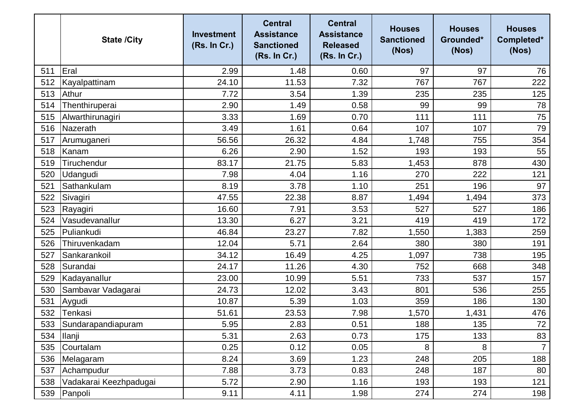|     | <b>State /City</b>     | <b>Investment</b><br>(Rs. In Cr.) | <b>Central</b><br><b>Assistance</b><br><b>Sanctioned</b><br>(Rs. In Cr.) | <b>Central</b><br><b>Assistance</b><br><b>Released</b><br>(Rs. In Cr.) | <b>Houses</b><br><b>Sanctioned</b><br>(Nos) | <b>Houses</b><br>Grounded*<br>(Nos) | <b>Houses</b><br>Completed*<br>(Nos) |
|-----|------------------------|-----------------------------------|--------------------------------------------------------------------------|------------------------------------------------------------------------|---------------------------------------------|-------------------------------------|--------------------------------------|
| 511 | Eral                   | 2.99                              | 1.48                                                                     | 0.60                                                                   | 97                                          | 97                                  | 76                                   |
| 512 | Kayalpattinam          | 24.10                             | 11.53                                                                    | 7.32                                                                   | 767                                         | 767                                 | 222                                  |
| 513 | Athur                  | 7.72                              | 3.54                                                                     | 1.39                                                                   | 235                                         | 235                                 | 125                                  |
| 514 | Thenthiruperai         | 2.90                              | 1.49                                                                     | 0.58                                                                   | 99                                          | 99                                  | 78                                   |
| 515 | Alwarthirunagiri       | 3.33                              | 1.69                                                                     | 0.70                                                                   | 111                                         | 111                                 | 75                                   |
| 516 | Nazerath               | 3.49                              | 1.61                                                                     | 0.64                                                                   | 107                                         | 107                                 | 79                                   |
| 517 | Arumuganeri            | 56.56                             | 26.32                                                                    | 4.84                                                                   | 1,748                                       | 755                                 | 354                                  |
| 518 | Kanam                  | 6.26                              | 2.90                                                                     | 1.52                                                                   | 193                                         | 193                                 | 55                                   |
| 519 | Tiruchendur            | 83.17                             | 21.75                                                                    | 5.83                                                                   | 1,453                                       | 878                                 | 430                                  |
| 520 | Udangudi               | 7.98                              | 4.04                                                                     | 1.16                                                                   | 270                                         | 222                                 | 121                                  |
| 521 | Sathankulam            | 8.19                              | 3.78                                                                     | 1.10                                                                   | 251                                         | 196                                 | 97                                   |
| 522 | Sivagiri               | 47.55                             | 22.38                                                                    | 8.87                                                                   | 1,494                                       | 1,494                               | 373                                  |
| 523 | Rayagiri               | 16.60                             | 7.91                                                                     | 3.53                                                                   | 527                                         | 527                                 | 186                                  |
| 524 | Vasudevanallur         | 13.30                             | 6.27                                                                     | 3.21                                                                   | 419                                         | 419                                 | 172                                  |
| 525 | Puliankudi             | 46.84                             | 23.27                                                                    | 7.82                                                                   | 1,550                                       | 1,383                               | 259                                  |
| 526 | Thiruvenkadam          | 12.04                             | 5.71                                                                     | 2.64                                                                   | 380                                         | 380                                 | 191                                  |
| 527 | Sankarankoil           | 34.12                             | 16.49                                                                    | 4.25                                                                   | 1,097                                       | 738                                 | 195                                  |
| 528 | Surandai               | 24.17                             | 11.26                                                                    | 4.30                                                                   | 752                                         | 668                                 | 348                                  |
| 529 | Kadayanallur           | 23.00                             | 10.99                                                                    | 5.51                                                                   | 733                                         | 537                                 | 157                                  |
| 530 | Sambavar Vadagarai     | 24.73                             | 12.02                                                                    | 3.43                                                                   | 801                                         | 536                                 | 255                                  |
| 531 | Aygudi                 | 10.87                             | 5.39                                                                     | 1.03                                                                   | 359                                         | 186                                 | 130                                  |
| 532 | Tenkasi                | 51.61                             | 23.53                                                                    | 7.98                                                                   | 1,570                                       | 1,431                               | 476                                  |
| 533 | Sundarapandiapuram     | 5.95                              | 2.83                                                                     | 0.51                                                                   | 188                                         | 135                                 | 72                                   |
| 534 | <b>Ilanji</b>          | 5.31                              | 2.63                                                                     | 0.73                                                                   | 175                                         | 133                                 | 83                                   |
| 535 | Courtalam              | 0.25                              | 0.12                                                                     | 0.05                                                                   | 8                                           | 8                                   | $\overline{7}$                       |
| 536 | Melagaram              | 8.24                              | 3.69                                                                     | 1.23                                                                   | 248                                         | 205                                 | 188                                  |
| 537 | Achampudur             | 7.88                              | 3.73                                                                     | 0.83                                                                   | 248                                         | 187                                 | 80                                   |
| 538 | Vadakarai Keezhpadugai | 5.72                              | 2.90                                                                     | 1.16                                                                   | 193                                         | 193                                 | 121                                  |
| 539 | Panpoli                | 9.11                              | 4.11                                                                     | 1.98                                                                   | 274                                         | 274                                 | 198                                  |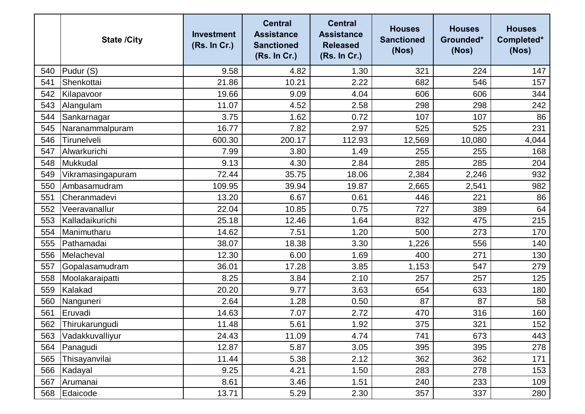|     | <b>State /City</b> | <b>Investment</b><br>(Rs. In Cr.) | <b>Central</b><br><b>Assistance</b><br><b>Sanctioned</b><br>(Rs. In Cr.) | <b>Central</b><br><b>Assistance</b><br><b>Released</b><br>(Rs. In Cr.) | <b>Houses</b><br><b>Sanctioned</b><br>(Nos) | <b>Houses</b><br>Grounded*<br>(Nos) | <b>Houses</b><br>Completed*<br>(Nos) |
|-----|--------------------|-----------------------------------|--------------------------------------------------------------------------|------------------------------------------------------------------------|---------------------------------------------|-------------------------------------|--------------------------------------|
| 540 | Pudur (S)          | 9.58                              | 4.82                                                                     | 1.30                                                                   | 321                                         | 224                                 | 147                                  |
| 541 | Shenkottai         | 21.86                             | 10.21                                                                    | 2.22                                                                   | 682                                         | 546                                 | 157                                  |
| 542 | Kilapavoor         | 19.66                             | 9.09                                                                     | 4.04                                                                   | 606                                         | 606                                 | 344                                  |
| 543 | Alangulam          | 11.07                             | 4.52                                                                     | 2.58                                                                   | 298                                         | 298                                 | 242                                  |
| 544 | Sankarnagar        | 3.75                              | 1.62                                                                     | 0.72                                                                   | 107                                         | 107                                 | 86                                   |
| 545 | Naranammalpuram    | 16.77                             | 7.82                                                                     | 2.97                                                                   | 525                                         | 525                                 | 231                                  |
| 546 | Tirunelveli        | 600.30                            | 200.17                                                                   | 112.93                                                                 | 12,569                                      | 10,080                              | 4,044                                |
| 547 | Alwarkurichi       | 7.99                              | 3.80                                                                     | 1.49                                                                   | 255                                         | 255                                 | 168                                  |
| 548 | Mukkudal           | 9.13                              | 4.30                                                                     | 2.84                                                                   | 285                                         | 285                                 | 204                                  |
| 549 | Vikramasingapuram  | 72.44                             | 35.75                                                                    | 18.06                                                                  | 2,384                                       | 2,246                               | 932                                  |
| 550 | Ambasamudram       | 109.95                            | 39.94                                                                    | 19.87                                                                  | 2,665                                       | 2,541                               | 982                                  |
| 551 | Cheranmadevi       | 13.20                             | 6.67                                                                     | 0.61                                                                   | 446                                         | 221                                 | 86                                   |
| 552 | Veeravanallur      | 22.04                             | 10.85                                                                    | 0.75                                                                   | 727                                         | 389                                 | 64                                   |
| 553 | Kalladaikurichi    | 25.18                             | 12.46                                                                    | 1.64                                                                   | 832                                         | 475                                 | 215                                  |
| 554 | Manimutharu        | 14.62                             | 7.51                                                                     | 1.20                                                                   | 500                                         | 273                                 | 170                                  |
| 555 | Pathamadai         | 38.07                             | 18.38                                                                    | 3.30                                                                   | 1,226                                       | 556                                 | 140                                  |
| 556 | Melacheval         | 12.30                             | 6.00                                                                     | 1.69                                                                   | 400                                         | 271                                 | 130                                  |
| 557 | Gopalasamudram     | 36.01                             | 17.28                                                                    | 3.85                                                                   | 1,153                                       | 547                                 | 279                                  |
| 558 | Moolakaraipatti    | 8.25                              | 3.84                                                                     | 2.10                                                                   | 257                                         | 257                                 | 125                                  |
| 559 | Kalakad            | 20.20                             | 9.77                                                                     | 3.63                                                                   | 654                                         | 633                                 | 180                                  |
| 560 | Nanguneri          | 2.64                              | 1.28                                                                     | 0.50                                                                   | 87                                          | 87                                  | 58                                   |
| 561 | Eruvadi            | 14.63                             | 7.07                                                                     | 2.72                                                                   | 470                                         | 316                                 | 160                                  |
| 562 | Thirukarungudi     | 11.48                             | 5.61                                                                     | 1.92                                                                   | 375                                         | 321                                 | 152                                  |
| 563 | Vadakkuvalliyur    | 24.43                             | 11.09                                                                    | 4.74                                                                   | 741                                         | 673                                 | 443                                  |
| 564 | Panagudi           | 12.87                             | 5.87                                                                     | 3.05                                                                   | 395                                         | 395                                 | 278                                  |
| 565 | Thisayanvilai      | 11.44                             | 5.38                                                                     | 2.12                                                                   | 362                                         | 362                                 | 171                                  |
| 566 | Kadayal            | 9.25                              | 4.21                                                                     | 1.50                                                                   | 283                                         | 278                                 | 153                                  |
| 567 | Arumanai           | 8.61                              | 3.46                                                                     | 1.51                                                                   | 240                                         | 233                                 | 109                                  |
| 568 | Edaicode           | 13.71                             | 5.29                                                                     | 2.30                                                                   | 357                                         | 337                                 | 280                                  |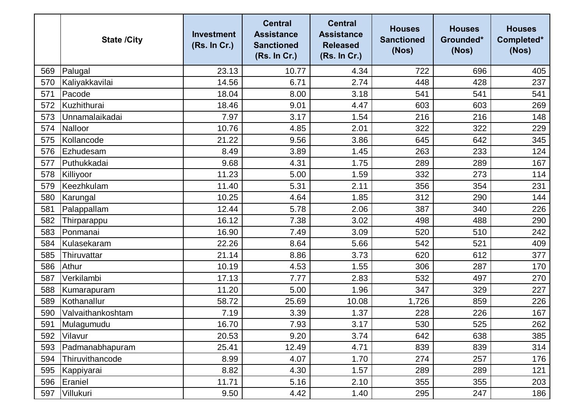|     | <b>State /City</b> | <b>Investment</b><br>(Rs. In Cr.) | <b>Central</b><br><b>Assistance</b><br><b>Sanctioned</b><br>(Rs. In Cr.) | <b>Central</b><br><b>Assistance</b><br><b>Released</b><br>(Rs. In Cr.) | <b>Houses</b><br><b>Sanctioned</b><br>(Nos) | <b>Houses</b><br>Grounded*<br>(Nos) | <b>Houses</b><br>Completed*<br>(Nos) |
|-----|--------------------|-----------------------------------|--------------------------------------------------------------------------|------------------------------------------------------------------------|---------------------------------------------|-------------------------------------|--------------------------------------|
| 569 | Palugal            | 23.13                             | 10.77                                                                    | 4.34                                                                   | 722                                         | 696                                 | 405                                  |
| 570 | Kaliyakkavilai     | 14.56                             | 6.71                                                                     | 2.74                                                                   | 448                                         | 428                                 | 237                                  |
| 571 | Pacode             | 18.04                             | 8.00                                                                     | 3.18                                                                   | 541                                         | 541                                 | 541                                  |
| 572 | Kuzhithurai        | 18.46                             | 9.01                                                                     | 4.47                                                                   | 603                                         | 603                                 | 269                                  |
| 573 | Unnamalaikadai     | 7.97                              | 3.17                                                                     | 1.54                                                                   | 216                                         | 216                                 | 148                                  |
| 574 | Nalloor            | 10.76                             | 4.85                                                                     | 2.01                                                                   | 322                                         | 322                                 | 229                                  |
| 575 | Kollancode         | 21.22                             | 9.56                                                                     | 3.86                                                                   | 645                                         | 642                                 | 345                                  |
| 576 | Ezhudesam          | 8.49                              | 3.89                                                                     | 1.45                                                                   | 263                                         | 233                                 | 124                                  |
| 577 | Puthukkadai        | 9.68                              | 4.31                                                                     | 1.75                                                                   | 289                                         | 289                                 | 167                                  |
| 578 | Killiyoor          | 11.23                             | 5.00                                                                     | 1.59                                                                   | 332                                         | 273                                 | 114                                  |
| 579 | Keezhkulam         | 11.40                             | 5.31                                                                     | 2.11                                                                   | 356                                         | 354                                 | 231                                  |
| 580 | Karungal           | 10.25                             | 4.64                                                                     | 1.85                                                                   | 312                                         | 290                                 | 144                                  |
| 581 | Palappallam        | 12.44                             | 5.78                                                                     | 2.06                                                                   | 387                                         | 340                                 | 226                                  |
| 582 | Thirparappu        | 16.12                             | 7.38                                                                     | 3.02                                                                   | 498                                         | 488                                 | 290                                  |
| 583 | Ponmanai           | 16.90                             | 7.49                                                                     | 3.09                                                                   | 520                                         | 510                                 | 242                                  |
| 584 | Kulasekaram        | 22.26                             | 8.64                                                                     | 5.66                                                                   | 542                                         | 521                                 | 409                                  |
| 585 | Thiruvattar        | 21.14                             | 8.86                                                                     | 3.73                                                                   | 620                                         | 612                                 | 377                                  |
| 586 | Athur              | 10.19                             | 4.53                                                                     | 1.55                                                                   | 306                                         | 287                                 | 170                                  |
| 587 | Verkilambi         | 17.13                             | 7.77                                                                     | 2.83                                                                   | 532                                         | 497                                 | 270                                  |
| 588 | Kumarapuram        | 11.20                             | 5.00                                                                     | 1.96                                                                   | 347                                         | 329                                 | 227                                  |
| 589 | Kothanallur        | 58.72                             | 25.69                                                                    | 10.08                                                                  | 1,726                                       | 859                                 | 226                                  |
| 590 | Valvaithankoshtam  | 7.19                              | 3.39                                                                     | 1.37                                                                   | 228                                         | 226                                 | 167                                  |
|     | 591 Mulagumudu     | 16.70                             | 7.93                                                                     | 3.17                                                                   | 530                                         | 525                                 | 262                                  |
| 592 | Vilavur            | 20.53                             | 9.20                                                                     | 3.74                                                                   | 642                                         | 638                                 | 385                                  |
| 593 | Padmanabhapuram    | 25.41                             | 12.49                                                                    | 4.71                                                                   | 839                                         | 839                                 | 314                                  |
| 594 | Thiruvithancode    | 8.99                              | 4.07                                                                     | 1.70                                                                   | 274                                         | 257                                 | 176                                  |
| 595 | Kappiyarai         | 8.82                              | 4.30                                                                     | 1.57                                                                   | 289                                         | 289                                 | 121                                  |
| 596 | Eraniel            | 11.71                             | 5.16                                                                     | 2.10                                                                   | 355                                         | 355                                 | 203                                  |
| 597 | Villukuri          | 9.50                              | 4.42                                                                     | 1.40                                                                   | 295                                         | 247                                 | 186                                  |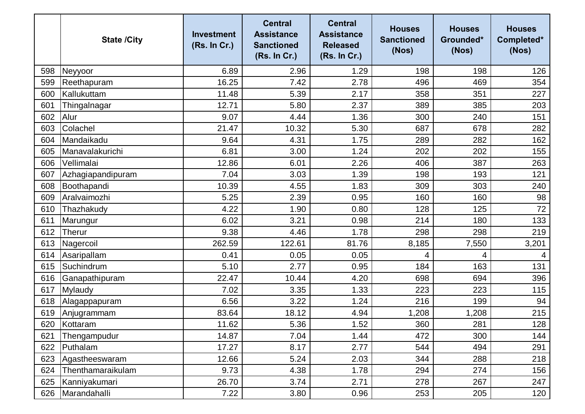|     | <b>State /City</b> | <b>Investment</b><br>(Rs. In Cr.) | <b>Central</b><br><b>Assistance</b><br><b>Sanctioned</b><br>(Rs. In Cr.) | <b>Central</b><br><b>Assistance</b><br><b>Released</b><br>(Rs. In Cr.) | <b>Houses</b><br><b>Sanctioned</b><br>(Nos) | <b>Houses</b><br>Grounded*<br>(Nos) | <b>Houses</b><br>Completed*<br>(Nos) |
|-----|--------------------|-----------------------------------|--------------------------------------------------------------------------|------------------------------------------------------------------------|---------------------------------------------|-------------------------------------|--------------------------------------|
| 598 | Neyyoor            | 6.89                              | 2.96                                                                     | 1.29                                                                   | 198                                         | 198                                 | 126                                  |
| 599 | Reethapuram        | 16.25                             | 7.42                                                                     | 2.78                                                                   | 496                                         | 469                                 | 354                                  |
| 600 | Kallukuttam        | 11.48                             | 5.39                                                                     | 2.17                                                                   | 358                                         | 351                                 | 227                                  |
| 601 | Thingalnagar       | 12.71                             | 5.80                                                                     | 2.37                                                                   | 389                                         | 385                                 | 203                                  |
| 602 | Alur               | 9.07                              | 4.44                                                                     | 1.36                                                                   | 300                                         | 240                                 | 151                                  |
| 603 | Colachel           | 21.47                             | 10.32                                                                    | 5.30                                                                   | 687                                         | 678                                 | 282                                  |
| 604 | Mandaikadu         | 9.64                              | 4.31                                                                     | 1.75                                                                   | 289                                         | 282                                 | 162                                  |
| 605 | Manavalakurichi    | 6.81                              | 3.00                                                                     | 1.24                                                                   | 202                                         | 202                                 | 155                                  |
| 606 | Vellimalai         | 12.86                             | 6.01                                                                     | 2.26                                                                   | 406                                         | 387                                 | 263                                  |
| 607 | Azhagiapandipuram  | 7.04                              | 3.03                                                                     | 1.39                                                                   | 198                                         | 193                                 | 121                                  |
| 608 | Boothapandi        | 10.39                             | 4.55                                                                     | 1.83                                                                   | 309                                         | 303                                 | 240                                  |
| 609 | Aralvaimozhi       | 5.25                              | 2.39                                                                     | 0.95                                                                   | 160                                         | 160                                 | 98                                   |
| 610 | Thazhakudy         | 4.22                              | 1.90                                                                     | 0.80                                                                   | 128                                         | 125                                 | 72                                   |
| 611 | Marungur           | 6.02                              | 3.21                                                                     | 0.98                                                                   | 214                                         | 180                                 | 133                                  |
| 612 | Therur             | 9.38                              | 4.46                                                                     | 1.78                                                                   | 298                                         | 298                                 | 219                                  |
| 613 | Nagercoil          | 262.59                            | 122.61                                                                   | 81.76                                                                  | 8,185                                       | 7,550                               | 3,201                                |
| 614 | Asaripallam        | 0.41                              | 0.05                                                                     | 0.05                                                                   | 4                                           | 4                                   | 4                                    |
| 615 | Suchindrum         | 5.10                              | 2.77                                                                     | 0.95                                                                   | 184                                         | 163                                 | 131                                  |
| 616 | Ganapathipuram     | 22.47                             | 10.44                                                                    | 4.20                                                                   | 698                                         | 694                                 | 396                                  |
| 617 | Mylaudy            | 7.02                              | 3.35                                                                     | 1.33                                                                   | 223                                         | 223                                 | 115                                  |
| 618 | Alagappapuram      | 6.56                              | 3.22                                                                     | 1.24                                                                   | 216                                         | 199                                 | 94                                   |
| 619 | Anjugrammam        | 83.64                             | 18.12                                                                    | 4.94                                                                   | ,208                                        | 1,208                               | 215                                  |
| 620 | Kottaram           | 11.62                             | 5.36                                                                     | 1.52                                                                   | 360                                         | 281                                 | 128                                  |
| 621 | Thengampudur       | 14.87                             | 7.04                                                                     | 1.44                                                                   | 472                                         | 300                                 | 144                                  |
| 622 | Puthalam           | 17.27                             | 8.17                                                                     | 2.77                                                                   | 544                                         | 494                                 | 291                                  |
| 623 | Agastheeswaram     | 12.66                             | 5.24                                                                     | 2.03                                                                   | 344                                         | 288                                 | 218                                  |
| 624 | Thenthamaraikulam  | 9.73                              | 4.38                                                                     | 1.78                                                                   | 294                                         | 274                                 | 156                                  |
| 625 | Kanniyakumari      | 26.70                             | 3.74                                                                     | 2.71                                                                   | 278                                         | 267                                 | 247                                  |
| 626 | Marandahalli       | 7.22                              | 3.80                                                                     | 0.96                                                                   | 253                                         | 205                                 | 120                                  |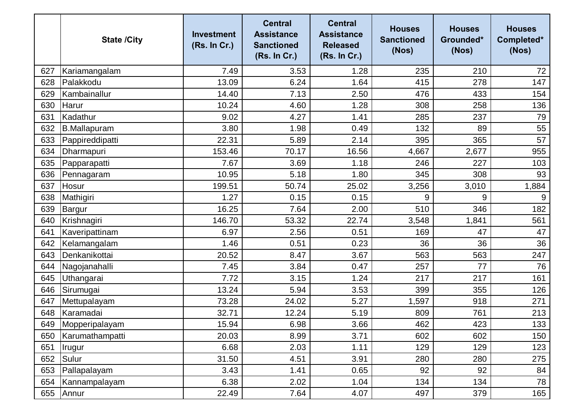|     | <b>State /City</b> | <b>Investment</b><br>(Rs. In Cr.) | <b>Central</b><br><b>Assistance</b><br><b>Sanctioned</b><br>(Rs. In Cr.) | <b>Central</b><br><b>Assistance</b><br><b>Released</b><br>(Rs. In Cr.) | <b>Houses</b><br><b>Sanctioned</b><br>(Nos) | <b>Houses</b><br>Grounded*<br>(Nos) | <b>Houses</b><br>Completed*<br>(Nos) |
|-----|--------------------|-----------------------------------|--------------------------------------------------------------------------|------------------------------------------------------------------------|---------------------------------------------|-------------------------------------|--------------------------------------|
| 627 | Kariamangalam      | 7.49                              | 3.53                                                                     | 1.28                                                                   | 235                                         | 210                                 | 72                                   |
| 628 | Palakkodu          | 13.09                             | 6.24                                                                     | 1.64                                                                   | 415                                         | 278                                 | 147                                  |
| 629 | Kambainallur       | 14.40                             | 7.13                                                                     | 2.50                                                                   | 476                                         | 433                                 | 154                                  |
| 630 | Harur              | 10.24                             | 4.60                                                                     | 1.28                                                                   | 308                                         | 258                                 | 136                                  |
| 631 | Kadathur           | 9.02                              | 4.27                                                                     | 1.41                                                                   | 285                                         | 237                                 | 79                                   |
| 632 | B.Mallapuram       | 3.80                              | 1.98                                                                     | 0.49                                                                   | 132                                         | 89                                  | 55                                   |
| 633 | Pappireddipatti    | 22.31                             | 5.89                                                                     | 2.14                                                                   | 395                                         | 365                                 | 57                                   |
| 634 | Dharmapuri         | 153.46                            | 70.17                                                                    | 16.56                                                                  | 4,667                                       | 2,677                               | 955                                  |
| 635 | Papparapatti       | 7.67                              | 3.69                                                                     | 1.18                                                                   | 246                                         | 227                                 | 103                                  |
| 636 | Pennagaram         | 10.95                             | 5.18                                                                     | 1.80                                                                   | 345                                         | 308                                 | 93                                   |
| 637 | Hosur              | 199.51                            | 50.74                                                                    | 25.02                                                                  | 3,256                                       | 3,010                               | 1,884                                |
| 638 | Mathigiri          | 1.27                              | 0.15                                                                     | 0.15                                                                   | 9                                           | 9                                   | 9                                    |
| 639 | Bargur             | 16.25                             | 7.64                                                                     | 2.00                                                                   | 510                                         | 346                                 | 182                                  |
| 640 | Krishnagiri        | 146.70                            | 53.32                                                                    | 22.74                                                                  | 3,548                                       | 1,841                               | 561                                  |
| 641 | Kaveripattinam     | 6.97                              | 2.56                                                                     | 0.51                                                                   | 169                                         | 47                                  | 47                                   |
| 642 | Kelamangalam       | 1.46                              | 0.51                                                                     | 0.23                                                                   | 36                                          | 36                                  | 36                                   |
| 643 | Denkanikottai      | 20.52                             | 8.47                                                                     | 3.67                                                                   | 563                                         | 563                                 | 247                                  |
| 644 | Nagojanahalli      | 7.45                              | 3.84                                                                     | 0.47                                                                   | 257                                         | 77                                  | 76                                   |
| 645 | Uthangarai         | 7.72                              | 3.15                                                                     | 1.24                                                                   | 217                                         | 217                                 | 161                                  |
| 646 | Sirumugai          | 13.24                             | 5.94                                                                     | 3.53                                                                   | 399                                         | 355                                 | 126                                  |
| 647 | Mettupalayam       | 73.28                             | 24.02                                                                    | 5.27                                                                   | 1,597                                       | 918                                 | 271                                  |
| 648 | Karamadai          | 32.71                             | 12.24                                                                    | 5.19                                                                   | 809                                         | 761                                 | 213                                  |
| 649 | Mopperipalayam     | 15.94                             | 6.98                                                                     | 3.66                                                                   | 462                                         | 423                                 | 133                                  |
| 650 | Karumathampatti    | 20.03                             | 8.99                                                                     | 3.71                                                                   | 602                                         | 602                                 | 150                                  |
| 651 | Irugur             | 6.68                              | 2.03                                                                     | 1.11                                                                   | 129                                         | 129                                 | 123                                  |
| 652 | Sulur              | 31.50                             | 4.51                                                                     | 3.91                                                                   | 280                                         | 280                                 | 275                                  |
| 653 | Pallapalayam       | 3.43                              | 1.41                                                                     | 0.65                                                                   | 92                                          | 92                                  | 84                                   |
| 654 | Kannampalayam      | 6.38                              | 2.02                                                                     | 1.04                                                                   | 134                                         | 134                                 | 78                                   |
| 655 | Annur              | 22.49                             | 7.64                                                                     | 4.07                                                                   | 497                                         | 379                                 | 165                                  |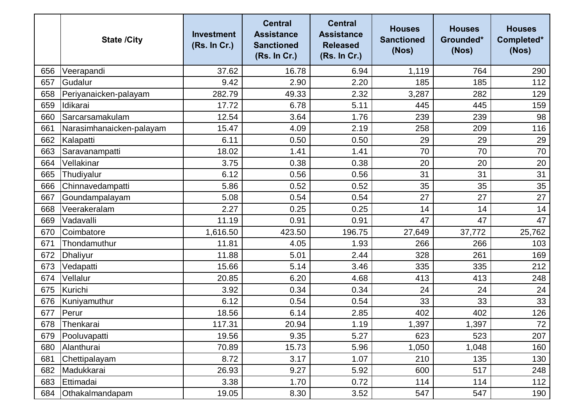|     | <b>State /City</b>       | <b>Investment</b><br>(Rs. In Cr.) | <b>Central</b><br><b>Assistance</b><br><b>Sanctioned</b><br>(Rs. In Cr.) | <b>Central</b><br><b>Assistance</b><br><b>Released</b><br>(Rs. In Cr.) | <b>Houses</b><br><b>Sanctioned</b><br>(Nos) | <b>Houses</b><br>Grounded*<br>(Nos) | <b>Houses</b><br>Completed*<br>(Nos) |
|-----|--------------------------|-----------------------------------|--------------------------------------------------------------------------|------------------------------------------------------------------------|---------------------------------------------|-------------------------------------|--------------------------------------|
| 656 | Veerapandi               | 37.62                             | 16.78                                                                    | 6.94                                                                   | 1,119                                       | 764                                 | 290                                  |
| 657 | Gudalur                  | 9.42                              | 2.90                                                                     | 2.20                                                                   | 185                                         | 185                                 | 112                                  |
| 658 | Periyanaicken-palayam    | 282.79                            | 49.33                                                                    | 2.32                                                                   | 3,287                                       | 282                                 | 129                                  |
| 659 | Idikarai                 | 17.72                             | 6.78                                                                     | 5.11                                                                   | 445                                         | 445                                 | 159                                  |
| 660 | Sarcarsamakulam          | 12.54                             | 3.64                                                                     | 1.76                                                                   | 239                                         | 239                                 | 98                                   |
| 661 | Narasimhanaicken-palayam | 15.47                             | 4.09                                                                     | 2.19                                                                   | 258                                         | 209                                 | 116                                  |
| 662 | Kalapatti                | 6.11                              | 0.50                                                                     | 0.50                                                                   | 29                                          | 29                                  | 29                                   |
| 663 | Saravanampatti           | 18.02                             | 1.41                                                                     | 1.41                                                                   | 70                                          | 70                                  | 70                                   |
| 664 | Vellakinar               | 3.75                              | 0.38                                                                     | 0.38                                                                   | 20                                          | 20                                  | 20                                   |
| 665 | Thudiyalur               | 6.12                              | 0.56                                                                     | 0.56                                                                   | 31                                          | 31                                  | 31                                   |
| 666 | Chinnavedampatti         | 5.86                              | 0.52                                                                     | 0.52                                                                   | 35                                          | 35                                  | 35                                   |
| 667 | Goundampalayam           | 5.08                              | 0.54                                                                     | 0.54                                                                   | 27                                          | 27                                  | 27                                   |
| 668 | Veerakeralam             | 2.27                              | 0.25                                                                     | 0.25                                                                   | 14                                          | 14                                  | 14                                   |
| 669 | Vadavalli                | 11.19                             | 0.91                                                                     | 0.91                                                                   | 47                                          | 47                                  | 47                                   |
| 670 | Coimbatore               | 1,616.50                          | 423.50                                                                   | 196.75                                                                 | 27,649                                      | 37,772                              | 25,762                               |
| 671 | Thondamuthur             | 11.81                             | 4.05                                                                     | 1.93                                                                   | 266                                         | 266                                 | 103                                  |
| 672 | <b>Dhaliyur</b>          | 11.88                             | 5.01                                                                     | 2.44                                                                   | 328                                         | 261                                 | 169                                  |
| 673 | Vedapatti                | 15.66                             | 5.14                                                                     | 3.46                                                                   | 335                                         | 335                                 | 212                                  |
| 674 | Vellalur                 | 20.85                             | 6.20                                                                     | 4.68                                                                   | 413                                         | 413                                 | 248                                  |
| 675 | Kurichi                  | 3.92                              | 0.34                                                                     | 0.34                                                                   | 24                                          | 24                                  | 24                                   |
| 676 | Kuniyamuthur             | 6.12                              | 0.54                                                                     | 0.54                                                                   | 33                                          | 33                                  | 33                                   |
| 677 | Perur                    | 18.56                             | 6.14                                                                     | 2.85                                                                   | 402                                         | 402                                 | 126                                  |
|     | 678 Thenkarai            | 117.31                            | 20.94                                                                    | 1.19                                                                   | 1,397                                       | 1,397                               | 72                                   |
| 679 | Pooluvapatti             | 19.56                             | 9.35                                                                     | 5.27                                                                   | 623                                         | 523                                 | 207                                  |
| 680 | Alanthurai               | 70.89                             | 15.73                                                                    | 5.96                                                                   | 1,050                                       | 1,048                               | 160                                  |
| 681 | Chettipalayam            | 8.72                              | 3.17                                                                     | 1.07                                                                   | 210                                         | 135                                 | 130                                  |
| 682 | Madukkarai               | 26.93                             | 9.27                                                                     | 5.92                                                                   | 600                                         | 517                                 | 248                                  |
| 683 | Ettimadai                | 3.38                              | 1.70                                                                     | 0.72                                                                   | 114                                         | 114                                 | 112                                  |
| 684 | Othakalmandapam          | 19.05                             | 8.30                                                                     | 3.52                                                                   | 547                                         | 547                                 | 190                                  |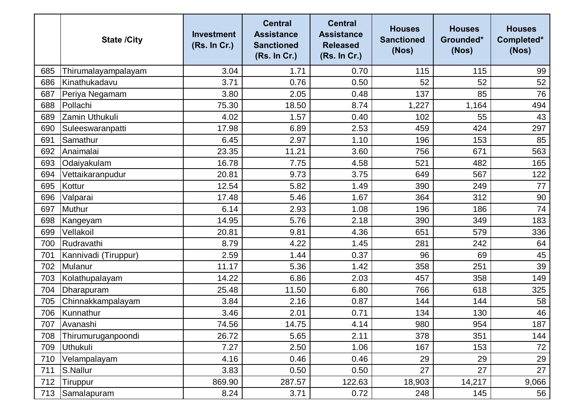|     | <b>State /City</b>   | <b>Investment</b><br>(Rs. In Cr.) | <b>Central</b><br><b>Assistance</b><br><b>Sanctioned</b><br>(Rs. In Cr.) | <b>Central</b><br><b>Assistance</b><br><b>Released</b><br>(Rs. In Cr.) | <b>Houses</b><br><b>Sanctioned</b><br>(Nos) | <b>Houses</b><br>Grounded*<br>(Nos) | <b>Houses</b><br>Completed*<br>(Nos) |
|-----|----------------------|-----------------------------------|--------------------------------------------------------------------------|------------------------------------------------------------------------|---------------------------------------------|-------------------------------------|--------------------------------------|
| 685 | Thirumalayampalayam  | 3.04                              | 1.71                                                                     | 0.70                                                                   | 115                                         | 115                                 | 99                                   |
| 686 | Kinathukadavu        | 3.71                              | 0.76                                                                     | 0.50                                                                   | 52                                          | 52                                  | 52                                   |
| 687 | Periya Negamam       | 3.80                              | 2.05                                                                     | 0.48                                                                   | 137                                         | 85                                  | 76                                   |
| 688 | Pollachi             | 75.30                             | 18.50                                                                    | 8.74                                                                   | 1,227                                       | 1,164                               | 494                                  |
| 689 | Zamin Uthukuli       | 4.02                              | 1.57                                                                     | 0.40                                                                   | 102                                         | 55                                  | 43                                   |
| 690 | Suleeswaranpatti     | 17.98                             | 6.89                                                                     | 2.53                                                                   | 459                                         | 424                                 | 297                                  |
| 691 | Samathur             | 6.45                              | 2.97                                                                     | 1.10                                                                   | 196                                         | 153                                 | 85                                   |
| 692 | Anaimalai            | 23.35                             | 11.21                                                                    | 3.60                                                                   | 756                                         | 671                                 | 563                                  |
| 693 | Odaiyakulam          | 16.78                             | 7.75                                                                     | 4.58                                                                   | 521                                         | 482                                 | 165                                  |
| 694 | Vettaikaranpudur     | 20.81                             | 9.73                                                                     | 3.75                                                                   | 649                                         | 567                                 | 122                                  |
| 695 | Kottur               | 12.54                             | 5.82                                                                     | 1.49                                                                   | 390                                         | 249                                 | 77                                   |
| 696 | Valparai             | 17.48                             | 5.46                                                                     | 1.67                                                                   | 364                                         | 312                                 | 90                                   |
| 697 | <b>Muthur</b>        | 6.14                              | 2.93                                                                     | 1.08                                                                   | 196                                         | 186                                 | 74                                   |
| 698 | Kangeyam             | 14.95                             | 5.76                                                                     | 2.18                                                                   | 390                                         | 349                                 | 183                                  |
| 699 | Vellakoil            | 20.81                             | 9.81                                                                     | 4.36                                                                   | 651                                         | 579                                 | 336                                  |
| 700 | Rudravathi           | 8.79                              | 4.22                                                                     | 1.45                                                                   | 281                                         | 242                                 | 64                                   |
| 701 | Kannivadi (Tiruppur) | 2.59                              | 1.44                                                                     | 0.37                                                                   | 96                                          | 69                                  | 45                                   |
| 702 | Mulanur              | 11.17                             | 5.36                                                                     | 1.42                                                                   | 358                                         | 251                                 | 39                                   |
| 703 | Kolathupalayam       | 14.22                             | 6.86                                                                     | 2.03                                                                   | 457                                         | 358                                 | 149                                  |
| 704 | Dharapuram           | 25.48                             | 11.50                                                                    | 6.80                                                                   | 766                                         | 618                                 | 325                                  |
| 705 | Chinnakkampalayam    | 3.84                              | 2.16                                                                     | 0.87                                                                   | 144                                         | 144                                 | 58                                   |
| 706 | Kunnathur            | 3.46                              | 2.01                                                                     | 0.71                                                                   | 134                                         | 130                                 | 46                                   |
|     | 707 Avanashi         | 74.56                             | 14.75                                                                    | 4.14                                                                   | 980                                         | 954                                 | 187                                  |
| 708 | Thirumuruganpoondi   | 26.72                             | 5.65                                                                     | 2.11                                                                   | 378                                         | 351                                 | 144                                  |
| 709 | <b>Uthukuli</b>      | 7.27                              | 2.50                                                                     | 1.06                                                                   | 167                                         | 153                                 | 72                                   |
| 710 | Velampalayam         | 4.16                              | 0.46                                                                     | 0.46                                                                   | 29                                          | 29                                  | 29                                   |
| 711 | S.Nallur             | 3.83                              | 0.50                                                                     | 0.50                                                                   | 27                                          | 27                                  | 27                                   |
| 712 | Tiruppur             | 869.90                            | 287.57                                                                   | 122.63                                                                 | 18,903                                      | 14,217                              | 9,066                                |
| 713 | Samalapuram          | 8.24                              | 3.71                                                                     | 0.72                                                                   | 248                                         | 145                                 | 56                                   |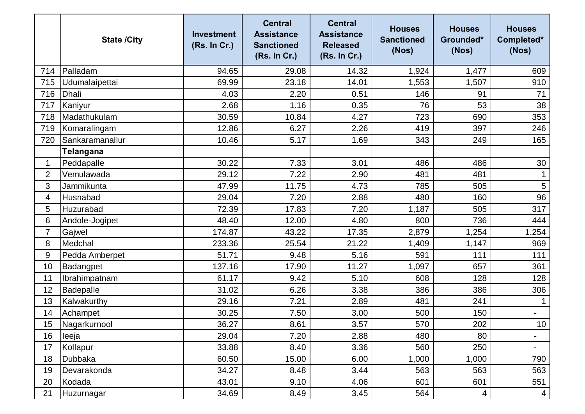|                | <b>State /City</b> | <b>Investment</b><br>(Rs. In Cr.) | <b>Central</b><br><b>Assistance</b><br><b>Sanctioned</b><br>(Rs. In Cr.) | <b>Central</b><br><b>Assistance</b><br><b>Released</b><br>(Rs. In Cr.) | <b>Houses</b><br><b>Sanctioned</b><br>(Nos) | <b>Houses</b><br>Grounded*<br>(Nos) | <b>Houses</b><br>Completed*<br>(Nos) |
|----------------|--------------------|-----------------------------------|--------------------------------------------------------------------------|------------------------------------------------------------------------|---------------------------------------------|-------------------------------------|--------------------------------------|
| 714            | Palladam           | 94.65                             | 29.08                                                                    | 14.32                                                                  | 1,924                                       | 1,477                               | 609                                  |
| 715            | Udumalaipettai     | 69.99                             | 23.18                                                                    | 14.01                                                                  | 1,553                                       | 1,507                               | 910                                  |
| 716            | <b>Dhali</b>       | 4.03                              | 2.20                                                                     | 0.51                                                                   | 146                                         | 91                                  | 71                                   |
| 717            | Kaniyur            | 2.68                              | 1.16                                                                     | 0.35                                                                   | 76                                          | 53                                  | 38                                   |
| 718            | Madathukulam       | 30.59                             | 10.84                                                                    | 4.27                                                                   | 723                                         | 690                                 | 353                                  |
| 719            | Komaralingam       | 12.86                             | 6.27                                                                     | 2.26                                                                   | 419                                         | 397                                 | 246                                  |
| 720            | Sankaramanallur    | 10.46                             | 5.17                                                                     | 1.69                                                                   | 343                                         | 249                                 | 165                                  |
|                | Telangana          |                                   |                                                                          |                                                                        |                                             |                                     |                                      |
| 1              | Peddapalle         | 30.22                             | 7.33                                                                     | 3.01                                                                   | 486                                         | 486                                 | 30                                   |
| $\overline{2}$ | Vemulawada         | 29.12                             | 7.22                                                                     | 2.90                                                                   | 481                                         | 481                                 |                                      |
| 3              | Jammikunta         | 47.99                             | 11.75                                                                    | 4.73                                                                   | 785                                         | 505                                 | $\overline{5}$                       |
| 4              | Husnabad           | 29.04                             | 7.20                                                                     | 2.88                                                                   | 480                                         | 160                                 | 96                                   |
| 5              | Huzurabad          | 72.39                             | 17.83                                                                    | 7.20                                                                   | 1,187                                       | 505                                 | 317                                  |
| 6              | Andole-Jogipet     | 48.40                             | 12.00                                                                    | 4.80                                                                   | 800                                         | 736                                 | 444                                  |
| $\overline{7}$ | Gajwel             | 174.87                            | 43.22                                                                    | 17.35                                                                  | 2,879                                       | 1,254                               | 1,254                                |
| 8              | Medchal            | 233.36                            | 25.54                                                                    | 21.22                                                                  | 1,409                                       | 1,147                               | 969                                  |
| 9              | Pedda Amberpet     | 51.71                             | 9.48                                                                     | 5.16                                                                   | 591                                         | 111                                 | 111                                  |
| 10             | Badangpet          | 137.16                            | 17.90                                                                    | 11.27                                                                  | 1,097                                       | 657                                 | 361                                  |
| 11             | Ibrahimpatnam      | 61.17                             | 9.42                                                                     | 5.10                                                                   | 608                                         | 128                                 | 128                                  |
| 12             | Badepalle          | 31.02                             | 6.26                                                                     | 3.38                                                                   | 386                                         | 386                                 | 306                                  |
| 13             | Kalwakurthy        | 29.16                             | 7.21                                                                     | 2.89                                                                   | 481                                         | 241                                 |                                      |
| 14             | Achampet           | 30.25                             | 7.50                                                                     | 3.00                                                                   | 500                                         | 150                                 |                                      |
| 15             | Nagarkurnool       | 36.27                             | 8.61                                                                     | 3.57                                                                   | 570                                         | 202                                 | 10 <sub>1</sub>                      |
| 16             | leeja              | 29.04                             | 7.20                                                                     | 2.88                                                                   | 480                                         | 80                                  | $\overline{\phantom{a}}$             |
| 17             | Kollapur           | 33.88                             | 8.40                                                                     | 3.36                                                                   | 560                                         | 250                                 | $\blacksquare$                       |
| 18             | Dubbaka            | 60.50                             | 15.00                                                                    | 6.00                                                                   | 1,000                                       | 1,000                               | 790                                  |
| 19             | Devarakonda        | 34.27                             | 8.48                                                                     | 3.44                                                                   | 563                                         | 563                                 | 563                                  |
| 20             | Kodada             | 43.01                             | 9.10                                                                     | 4.06                                                                   | 601                                         | 601                                 | 551                                  |
| 21             | Huzurnagar         | 34.69                             | 8.49                                                                     | 3.45                                                                   | 564                                         | 4                                   | $\overline{4}$                       |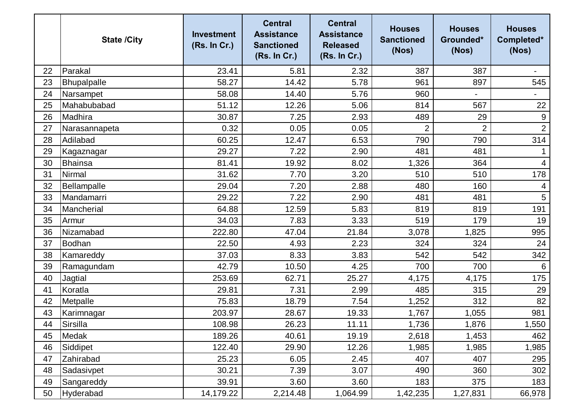|    | <b>State /City</b> | <b>Investment</b><br>(Rs. In Cr.) | <b>Central</b><br><b>Assistance</b><br><b>Sanctioned</b><br>(Rs. In Cr.) | <b>Central</b><br><b>Assistance</b><br><b>Released</b><br>(Rs. In Cr.) | <b>Houses</b><br><b>Sanctioned</b><br>(Nos) | <b>Houses</b><br>Grounded*<br>(Nos) | <b>Houses</b><br>Completed*<br>(Nos) |
|----|--------------------|-----------------------------------|--------------------------------------------------------------------------|------------------------------------------------------------------------|---------------------------------------------|-------------------------------------|--------------------------------------|
| 22 | Parakal            | 23.41                             | 5.81                                                                     | 2.32                                                                   | 387                                         | 387                                 |                                      |
| 23 | Bhupalpalle        | 58.27                             | 14.42                                                                    | 5.78                                                                   | 961                                         | 897                                 | 545                                  |
| 24 | Narsampet          | 58.08                             | 14.40                                                                    | 5.76                                                                   | 960                                         | $\overline{\phantom{0}}$            |                                      |
| 25 | Mahabubabad        | 51.12                             | 12.26                                                                    | 5.06                                                                   | 814                                         | 567                                 | 22                                   |
| 26 | Madhira            | 30.87                             | 7.25                                                                     | 2.93                                                                   | 489                                         | 29                                  | $\boldsymbol{9}$                     |
| 27 | Narasannapeta      | 0.32                              | 0.05                                                                     | 0.05                                                                   | $\overline{2}$                              | $\overline{2}$                      | 2                                    |
| 28 | Adilabad           | 60.25                             | 12.47                                                                    | 6.53                                                                   | 790                                         | 790                                 | 314                                  |
| 29 | Kagaznagar         | 29.27                             | 7.22                                                                     | 2.90                                                                   | 481                                         | 481                                 |                                      |
| 30 | <b>Bhainsa</b>     | 81.41                             | 19.92                                                                    | 8.02                                                                   | 1,326                                       | 364                                 | $\overline{4}$                       |
| 31 | Nirmal             | 31.62                             | 7.70                                                                     | 3.20                                                                   | 510                                         | 510                                 | 178                                  |
| 32 | Bellampalle        | 29.04                             | 7.20                                                                     | 2.88                                                                   | 480                                         | 160                                 | $\overline{4}$                       |
| 33 | Mandamarri         | 29.22                             | 7.22                                                                     | 2.90                                                                   | 481                                         | 481                                 | 5                                    |
| 34 | Mancherial         | 64.88                             | 12.59                                                                    | 5.83                                                                   | 819                                         | 819                                 | 191                                  |
| 35 | Armur              | 34.03                             | 7.83                                                                     | 3.33                                                                   | 519                                         | 179                                 | 19                                   |
| 36 | Nizamabad          | 222.80                            | 47.04                                                                    | 21.84                                                                  | 3,078                                       | 1,825                               | 995                                  |
| 37 | Bodhan             | 22.50                             | 4.93                                                                     | 2.23                                                                   | 324                                         | 324                                 | 24                                   |
| 38 | Kamareddy          | 37.03                             | 8.33                                                                     | 3.83                                                                   | 542                                         | 542                                 | 342                                  |
| 39 | Ramagundam         | 42.79                             | 10.50                                                                    | 4.25                                                                   | 700                                         | 700                                 | 6                                    |
| 40 | Jagtial            | 253.69                            | 62.71                                                                    | 25.27                                                                  | 4,175                                       | 4,175                               | 175                                  |
| 41 | Koratla            | 29.81                             | 7.31                                                                     | 2.99                                                                   | 485                                         | 315                                 | 29                                   |
| 42 | Metpalle           | 75.83                             | 18.79                                                                    | 7.54                                                                   | 1,252                                       | 312                                 | 82                                   |
| 43 | Karimnagar         | 203.97                            | 28.67                                                                    | 19.33                                                                  | 1,767                                       | 1,055                               | 981                                  |
| 44 | Sirsilla           | 108.98                            | 26.23                                                                    | 11.11                                                                  | 1,736                                       | 1,876                               | 1,550                                |
| 45 | Medak              | 189.26                            | 40.61                                                                    | 19.19                                                                  | 2,618                                       | 1,453                               | 462                                  |
| 46 | Siddipet           | 122.40                            | 29.90                                                                    | 12.26                                                                  | 1,985                                       | 1,985                               | 1,985                                |
| 47 | Zahirabad          | 25.23                             | 6.05                                                                     | 2.45                                                                   | 407                                         | 407                                 | 295                                  |
| 48 | Sadasivpet         | 30.21                             | 7.39                                                                     | 3.07                                                                   | 490                                         | 360                                 | 302                                  |
| 49 | Sangareddy         | 39.91                             | 3.60                                                                     | 3.60                                                                   | 183                                         | 375                                 | 183                                  |
| 50 | Hyderabad          | 14,179.22                         | 2,214.48                                                                 | 1,064.99                                                               | 1,42,235                                    | 1,27,831                            | 66,978                               |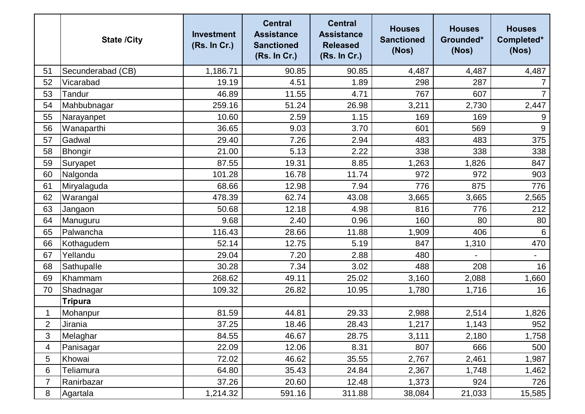|                | <b>State /City</b> | <b>Investment</b><br>(Rs. In Cr.) | <b>Central</b><br><b>Assistance</b><br><b>Sanctioned</b><br>(Rs. In Cr.) | <b>Central</b><br><b>Assistance</b><br><b>Released</b><br>(Rs. In Cr.) | <b>Houses</b><br><b>Sanctioned</b><br>(Nos) | <b>Houses</b><br>Grounded*<br>(Nos) | <b>Houses</b><br>Completed*<br>(Nos) |
|----------------|--------------------|-----------------------------------|--------------------------------------------------------------------------|------------------------------------------------------------------------|---------------------------------------------|-------------------------------------|--------------------------------------|
| 51             | Secunderabad (CB)  | 1,186.71                          | 90.85                                                                    | 90.85                                                                  | 4,487                                       | 4,487                               | 4,487                                |
| 52             | Vicarabad          | 19.19                             | 4.51                                                                     | 1.89                                                                   | 298                                         | 287                                 | $\overline{7}$                       |
| 53             | <b>Tandur</b>      | 46.89                             | 11.55                                                                    | 4.71                                                                   | 767                                         | 607                                 | $\overline{7}$                       |
| 54             | Mahbubnagar        | 259.16                            | 51.24                                                                    | 26.98                                                                  | 3,211                                       | 2,730                               | 2,447                                |
| 55             | Narayanpet         | 10.60                             | 2.59                                                                     | 1.15                                                                   | 169                                         | 169                                 | 9                                    |
| 56             | Wanaparthi         | 36.65                             | 9.03                                                                     | 3.70                                                                   | 601                                         | 569                                 | $9\,$                                |
| 57             | Gadwal             | 29.40                             | 7.26                                                                     | 2.94                                                                   | 483                                         | 483                                 | 375                                  |
| 58             | Bhongir            | 21.00                             | 5.13                                                                     | 2.22                                                                   | 338                                         | 338                                 | 338                                  |
| 59             | Suryapet           | 87.55                             | 19.31                                                                    | 8.85                                                                   | 1,263                                       | 1,826                               | 847                                  |
| 60             | Nalgonda           | 101.28                            | 16.78                                                                    | 11.74                                                                  | 972                                         | 972                                 | 903                                  |
| 61             | Miryalaguda        | 68.66                             | 12.98                                                                    | 7.94                                                                   | 776                                         | 875                                 | 776                                  |
| 62             | Warangal           | 478.39                            | 62.74                                                                    | 43.08                                                                  | 3,665                                       | 3,665                               | 2,565                                |
| 63             | Jangaon            | 50.68                             | 12.18                                                                    | 4.98                                                                   | 816                                         | 776                                 | 212                                  |
| 64             | Manuguru           | 9.68                              | 2.40                                                                     | 0.96                                                                   | 160                                         | 80                                  | 80                                   |
| 65             | Palwancha          | 116.43                            | 28.66                                                                    | 11.88                                                                  | 1,909                                       | 406                                 | 6                                    |
| 66             | Kothagudem         | 52.14                             | 12.75                                                                    | 5.19                                                                   | 847                                         | 1,310                               | 470                                  |
| 67             | Yellandu           | 29.04                             | 7.20                                                                     | 2.88                                                                   | 480                                         |                                     | $\blacksquare$                       |
| 68             | Sathupalle         | 30.28                             | 7.34                                                                     | 3.02                                                                   | 488                                         | 208                                 | 16                                   |
| 69             | Khammam            | 268.62                            | 49.11                                                                    | 25.02                                                                  | 3,160                                       | 2,088                               | 1,660                                |
| 70             | Shadnagar          | 109.32                            | 26.82                                                                    | 10.95                                                                  | 1,780                                       | 1,716                               | 16                                   |
|                | <b>Tripura</b>     |                                   |                                                                          |                                                                        |                                             |                                     |                                      |
| 1              | Mohanpur           | 81.59                             | 44.81                                                                    | 29.33                                                                  | 2,988                                       | 2,514                               | 1,826                                |
| $\overline{2}$ | Jirania            | 37.25                             | 18.46                                                                    | 28.43                                                                  | 1,217                                       | 1,143                               | 952                                  |
| 3              | Melaghar           | 84.55                             | 46.67                                                                    | 28.75                                                                  | 3,111                                       | 2,180                               | 1,758                                |
| 4              | Panisagar          | 22.09                             | 12.06                                                                    | 8.31                                                                   | 807                                         | 666                                 | 500                                  |
| 5              | Khowai             | 72.02                             | 46.62                                                                    | 35.55                                                                  | 2,767                                       | 2,461                               | 1,987                                |
| 6              | Teliamura          | 64.80                             | 35.43                                                                    | 24.84                                                                  | 2,367                                       | 1,748                               | 1,462                                |
| 7              | Ranirbazar         | 37.26                             | 20.60                                                                    | 12.48                                                                  | 1,373                                       | 924                                 | 726                                  |
| 8              | Agartala           | 1,214.32                          | 591.16                                                                   | 311.88                                                                 | 38,084                                      | 21,033                              | 15,585                               |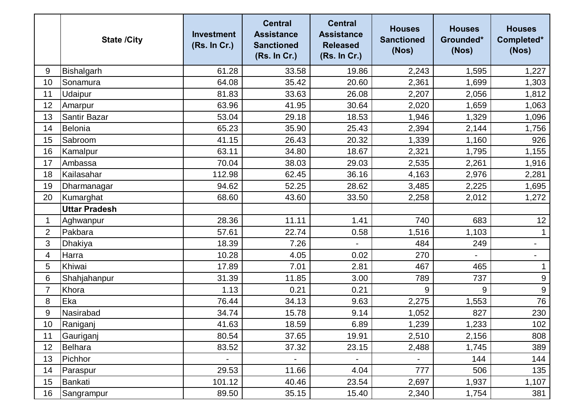|                | <b>State /City</b>   | <b>Investment</b><br>(Rs. In Cr.) | <b>Central</b><br><b>Assistance</b><br><b>Sanctioned</b><br>(Rs. In Cr.) | <b>Central</b><br><b>Assistance</b><br><b>Released</b><br>(Rs. In Cr.) | <b>Houses</b><br><b>Sanctioned</b><br>(Nos) | <b>Houses</b><br>Grounded*<br>(Nos) | <b>Houses</b><br>Completed*<br>(Nos) |
|----------------|----------------------|-----------------------------------|--------------------------------------------------------------------------|------------------------------------------------------------------------|---------------------------------------------|-------------------------------------|--------------------------------------|
| 9              | Bishalgarh           | 61.28                             | 33.58                                                                    | 19.86                                                                  | 2,243                                       | 1,595                               | 1,227                                |
| 10             | Sonamura             | 64.08                             | 35.42                                                                    | 20.60                                                                  | 2,361                                       | 1,699                               | 1,303                                |
| 11             | Udaipur              | 81.83                             | 33.63                                                                    | 26.08                                                                  | 2,207                                       | 2,056                               | 1,812                                |
| 12             | Amarpur              | 63.96                             | 41.95                                                                    | 30.64                                                                  | 2,020                                       | 1,659                               | 1,063                                |
| 13             | Santir Bazar         | 53.04                             | 29.18                                                                    | 18.53                                                                  | 1,946                                       | 1,329                               | 1,096                                |
| 14             | Belonia              | 65.23                             | 35.90                                                                    | 25.43                                                                  | 2,394                                       | 2,144                               | 1,756                                |
| 15             | Sabroom              | 41.15                             | 26.43                                                                    | 20.32                                                                  | 1,339                                       | 1,160                               | 926                                  |
| 16             | Kamalpur             | 63.11                             | 34.80                                                                    | 18.67                                                                  | 2,321                                       | 1,795                               | 1,155                                |
| 17             | Ambassa              | 70.04                             | 38.03                                                                    | 29.03                                                                  | 2,535                                       | 2,261                               | 1,916                                |
| 18             | Kailasahar           | 112.98                            | 62.45                                                                    | 36.16                                                                  | 4,163                                       | 2,976                               | 2,281                                |
| 19             | Dharmanagar          | 94.62                             | 52.25                                                                    | 28.62                                                                  | 3,485                                       | 2,225                               | 1,695                                |
| 20             | Kumarghat            | 68.60                             | 43.60                                                                    | 33.50                                                                  | 2,258                                       | 2,012                               | 1,272                                |
|                | <b>Uttar Pradesh</b> |                                   |                                                                          |                                                                        |                                             |                                     |                                      |
| 1              | Aghwanpur            | 28.36                             | 11.11                                                                    | 1.41                                                                   | 740                                         | 683                                 | 12                                   |
| $\overline{2}$ | Pakbara              | 57.61                             | 22.74                                                                    | 0.58                                                                   | 1,516                                       | 1,103                               | 1                                    |
| 3              | Dhakiya              | 18.39                             | 7.26                                                                     |                                                                        | 484                                         | 249                                 | $\overline{\phantom{a}}$             |
| 4              | Harra                | 10.28                             | 4.05                                                                     | 0.02                                                                   | 270                                         | $\overline{\phantom{0}}$            | $\overline{\phantom{a}}$             |
| 5              | Khiwai               | 17.89                             | 7.01                                                                     | 2.81                                                                   | 467                                         | 465                                 |                                      |
| 6              | Shahjahanpur         | 31.39                             | 11.85                                                                    | 3.00                                                                   | 789                                         | 737                                 | $\boldsymbol{9}$                     |
| 7              | Khora                | 1.13                              | 0.21                                                                     | 0.21                                                                   | 9                                           | 9                                   | $9\,$                                |
| 8              | Eka                  | 76.44                             | 34.13                                                                    | 9.63                                                                   | 2,275                                       | 1,553                               | 76                                   |
| 9              | Nasirabad            | 34.74                             | 15.78                                                                    | 9.14                                                                   | 1,052                                       | 827                                 | 230                                  |
| 10             | Raniganj             | 41.63                             | 18.59                                                                    | 6.89                                                                   | 1,239                                       | 1,233                               | 102                                  |
| 11             | Gauriganj            | 80.54                             | 37.65                                                                    | 19.91                                                                  | 2,510                                       | 2,156                               | 808                                  |
| 12             | Belhara              | 83.52                             | 37.32                                                                    | 23.15                                                                  | 2,488                                       | 1,745                               | 389                                  |
| 13             | Pichhor              |                                   |                                                                          |                                                                        |                                             | 144                                 | 144                                  |
| 14             | Paraspur             | 29.53                             | 11.66                                                                    | 4.04                                                                   | 777                                         | 506                                 | 135                                  |
| 15             | Bankati              | 101.12                            | 40.46                                                                    | 23.54                                                                  | 2,697                                       | 1,937                               | 1,107                                |
| 16             | Sangrampur           | 89.50                             | 35.15                                                                    | 15.40                                                                  | 2,340                                       | 1,754                               | 381                                  |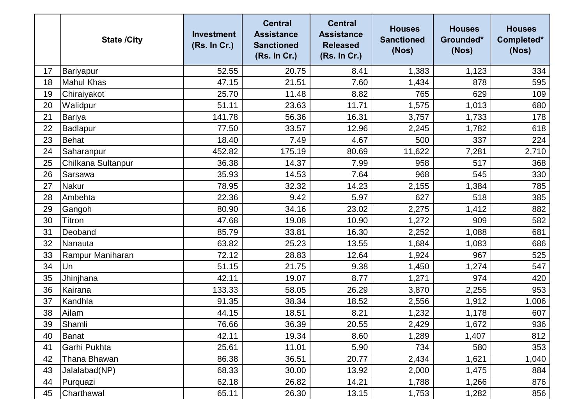|    | <b>State /City</b> | <b>Investment</b><br>(Rs. In Cr.) | <b>Central</b><br><b>Assistance</b><br><b>Sanctioned</b><br>(Rs. In Cr.) | <b>Central</b><br><b>Assistance</b><br><b>Released</b><br>(Rs. In Cr.) | <b>Houses</b><br><b>Sanctioned</b><br>(Nos) | <b>Houses</b><br>Grounded*<br>(Nos) | <b>Houses</b><br>Completed*<br>(Nos) |
|----|--------------------|-----------------------------------|--------------------------------------------------------------------------|------------------------------------------------------------------------|---------------------------------------------|-------------------------------------|--------------------------------------|
| 17 | Bariyapur          | 52.55                             | 20.75                                                                    | 8.41                                                                   | 1,383                                       | 1,123                               | 334                                  |
| 18 | <b>Mahul Khas</b>  | 47.15                             | 21.51                                                                    | 7.60                                                                   | 1,434                                       | 878                                 | 595                                  |
| 19 | Chiraiyakot        | 25.70                             | 11.48                                                                    | 8.82                                                                   | 765                                         | 629                                 | 109                                  |
| 20 | Walidpur           | 51.11                             | 23.63                                                                    | 11.71                                                                  | 1,575                                       | 1,013                               | 680                                  |
| 21 | <b>Bariya</b>      | 141.78                            | 56.36                                                                    | 16.31                                                                  | 3,757                                       | 1,733                               | 178                                  |
| 22 | Badlapur           | 77.50                             | 33.57                                                                    | 12.96                                                                  | 2,245                                       | 1,782                               | 618                                  |
| 23 | <b>Behat</b>       | 18.40                             | 7.49                                                                     | 4.67                                                                   | 500                                         | 337                                 | 224                                  |
| 24 | Saharanpur         | 452.82                            | 175.19                                                                   | 80.69                                                                  | 11,622                                      | 7,281                               | 2,710                                |
| 25 | Chilkana Sultanpur | 36.38                             | 14.37                                                                    | 7.99                                                                   | 958                                         | 517                                 | 368                                  |
| 26 | Sarsawa            | 35.93                             | 14.53                                                                    | 7.64                                                                   | 968                                         | 545                                 | 330                                  |
| 27 | <b>Nakur</b>       | 78.95                             | 32.32                                                                    | 14.23                                                                  | 2,155                                       | 1,384                               | 785                                  |
| 28 | Ambehta            | 22.36                             | 9.42                                                                     | 5.97                                                                   | 627                                         | 518                                 | 385                                  |
| 29 | Gangoh             | 80.90                             | 34.16                                                                    | 23.02                                                                  | 2,275                                       | 1,412                               | 882                                  |
| 30 | Titron             | 47.68                             | 19.08                                                                    | 10.90                                                                  | 1,272                                       | 909                                 | 582                                  |
| 31 | Deoband            | 85.79                             | 33.81                                                                    | 16.30                                                                  | 2,252                                       | 1,088                               | 681                                  |
| 32 | Nanauta            | 63.82                             | 25.23                                                                    | 13.55                                                                  | 1,684                                       | 1,083                               | 686                                  |
| 33 | Rampur Maniharan   | 72.12                             | 28.83                                                                    | 12.64                                                                  | 1,924                                       | 967                                 | 525                                  |
| 34 | Un                 | 51.15                             | 21.75                                                                    | 9.38                                                                   | 1,450                                       | 1,274                               | 547                                  |
| 35 | Jhinjhana          | 42.11                             | 19.07                                                                    | 8.77                                                                   | 1,271                                       | 974                                 | 420                                  |
| 36 | Kairana            | 133.33                            | 58.05                                                                    | 26.29                                                                  | 3,870                                       | 2,255                               | 953                                  |
| 37 | Kandhla            | 91.35                             | 38.34                                                                    | 18.52                                                                  | 2,556                                       | 1,912                               | 1,006                                |
| 38 | Ailam              | 44.15                             | 18.51                                                                    | 8.21                                                                   | 1,232                                       | 1,178                               | 607                                  |
| 39 | Shamli             | 76.66                             | 36.39                                                                    | 20.55                                                                  | 2,429                                       | 1,672                               | 936                                  |
| 40 | <b>Banat</b>       | 42.11                             | 19.34                                                                    | 8.60                                                                   | 1,289                                       | 1,407                               | 812                                  |
| 41 | Garhi Pukhta       | 25.61                             | 11.01                                                                    | 5.90                                                                   | 734                                         | 580                                 | 353                                  |
| 42 | Thana Bhawan       | 86.38                             | 36.51                                                                    | 20.77                                                                  | 2,434                                       | 1,621                               | 1,040                                |
| 43 | Jalalabad(NP)      | 68.33                             | 30.00                                                                    | 13.92                                                                  | 2,000                                       | 1,475                               | 884                                  |
| 44 | Purquazi           | 62.18                             | 26.82                                                                    | 14.21                                                                  | 1,788                                       | 1,266                               | 876                                  |
| 45 | Charthawal         | 65.11                             | 26.30                                                                    | 13.15                                                                  | 1,753                                       | 1,282                               | 856                                  |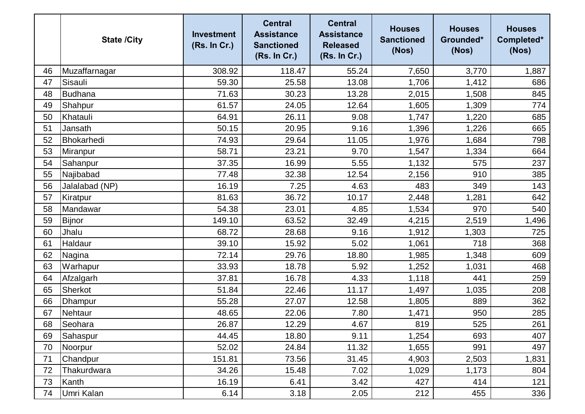|    | <b>State /City</b> | <b>Investment</b><br>(Rs. In Cr.) | <b>Central</b><br><b>Assistance</b><br><b>Sanctioned</b><br>(Rs. In Cr.) | <b>Central</b><br><b>Assistance</b><br><b>Released</b><br>(Rs. In Cr.) | <b>Houses</b><br><b>Sanctioned</b><br>(Nos) | <b>Houses</b><br>Grounded*<br>(Nos) | <b>Houses</b><br>Completed*<br>(Nos) |
|----|--------------------|-----------------------------------|--------------------------------------------------------------------------|------------------------------------------------------------------------|---------------------------------------------|-------------------------------------|--------------------------------------|
| 46 | Muzaffarnagar      | 308.92                            | 118.47                                                                   | 55.24                                                                  | 7,650                                       | 3,770                               | 1,887                                |
| 47 | Sisauli            | 59.30                             | 25.58                                                                    | 13.08                                                                  | 1,706                                       | 1,412                               | 686                                  |
| 48 | <b>Budhana</b>     | 71.63                             | 30.23                                                                    | 13.28                                                                  | 2,015                                       | 1,508                               | 845                                  |
| 49 | Shahpur            | 61.57                             | 24.05                                                                    | 12.64                                                                  | 1,605                                       | 1,309                               | 774                                  |
| 50 | Khatauli           | 64.91                             | 26.11                                                                    | 9.08                                                                   | 1,747                                       | 1,220                               | 685                                  |
| 51 | Jansath            | 50.15                             | 20.95                                                                    | 9.16                                                                   | 1,396                                       | 1,226                               | 665                                  |
| 52 | Bhokarhedi         | 74.93                             | 29.64                                                                    | 11.05                                                                  | 1,976                                       | 1,684                               | 798                                  |
| 53 | Miranpur           | 58.71                             | 23.21                                                                    | 9.70                                                                   | 1,547                                       | 1,334                               | 664                                  |
| 54 | Sahanpur           | 37.35                             | 16.99                                                                    | 5.55                                                                   | 1,132                                       | 575                                 | 237                                  |
| 55 | Najibabad          | 77.48                             | 32.38                                                                    | 12.54                                                                  | 2,156                                       | 910                                 | 385                                  |
| 56 | Jalalabad (NP)     | 16.19                             | 7.25                                                                     | 4.63                                                                   | 483                                         | 349                                 | 143                                  |
| 57 | Kiratpur           | 81.63                             | 36.72                                                                    | 10.17                                                                  | 2,448                                       | 1,281                               | 642                                  |
| 58 | Mandawar           | 54.38                             | 23.01                                                                    | 4.85                                                                   | 1,534                                       | 970                                 | 540                                  |
| 59 | <b>Bijnor</b>      | 149.10                            | 63.52                                                                    | 32.49                                                                  | 4,215                                       | 2,519                               | 1,496                                |
| 60 | Jhalu              | 68.72                             | 28.68                                                                    | 9.16                                                                   | 1,912                                       | 1,303                               | 725                                  |
| 61 | Haldaur            | 39.10                             | 15.92                                                                    | 5.02                                                                   | 1,061                                       | 718                                 | 368                                  |
| 62 | Nagina             | 72.14                             | 29.76                                                                    | 18.80                                                                  | 1,985                                       | 1,348                               | 609                                  |
| 63 | Warhapur           | 33.93                             | 18.78                                                                    | 5.92                                                                   | 1,252                                       | 1,031                               | 468                                  |
| 64 | Afzalgarh          | 37.81                             | 16.78                                                                    | 4.33                                                                   | 1,118                                       | 441                                 | 259                                  |
| 65 | Sherkot            | 51.84                             | 22.46                                                                    | 11.17                                                                  | 1,497                                       | 1,035                               | 208                                  |
| 66 | Dhampur            | 55.28                             | 27.07                                                                    | 12.58                                                                  | 1,805                                       | 889                                 | 362                                  |
| 67 | Nehtaur            | 48.65                             | 22.06                                                                    | 7.80                                                                   | 1,471                                       | 950                                 | 285                                  |
| 68 | Seohara            | 26.87                             | 12.29                                                                    | 4.67                                                                   | 819                                         | 525                                 | 261                                  |
| 69 | Sahaspur           | 44.45                             | 18.80                                                                    | 9.11                                                                   | 1,254                                       | 693                                 | 407                                  |
| 70 | Noorpur            | 52.02                             | 24.84                                                                    | 11.32                                                                  | 1,655                                       | 991                                 | 497                                  |
| 71 | Chandpur           | 151.81                            | 73.56                                                                    | 31.45                                                                  | 4,903                                       | 2,503                               | 1,831                                |
| 72 | Thakurdwara        | 34.26                             | 15.48                                                                    | 7.02                                                                   | 1,029                                       | 1,173                               | 804                                  |
| 73 | Kanth              | 16.19                             | 6.41                                                                     | 3.42                                                                   | 427                                         | 414                                 | 121                                  |
| 74 | Umri Kalan         | 6.14                              | 3.18                                                                     | 2.05                                                                   | 212                                         | 455                                 | 336                                  |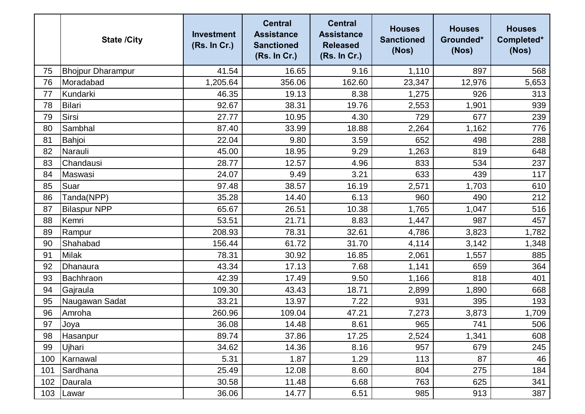|     | <b>State /City</b>       | <b>Investment</b><br>(Rs. In Cr.) | <b>Central</b><br><b>Assistance</b><br><b>Sanctioned</b><br>(Rs. In Cr.) | <b>Central</b><br><b>Assistance</b><br><b>Released</b><br>(Rs. In Cr.) | <b>Houses</b><br><b>Sanctioned</b><br>(Nos) | <b>Houses</b><br>Grounded*<br>(Nos) | <b>Houses</b><br>Completed*<br>(Nos) |
|-----|--------------------------|-----------------------------------|--------------------------------------------------------------------------|------------------------------------------------------------------------|---------------------------------------------|-------------------------------------|--------------------------------------|
| 75  | <b>Bhojpur Dharampur</b> | 41.54                             | 16.65                                                                    | 9.16                                                                   | 1,110                                       | 897                                 | 568                                  |
| 76  | Moradabad                | 1,205.64                          | 356.06                                                                   | 162.60                                                                 | 23,347                                      | 12,976                              | 5,653                                |
| 77  | Kundarki                 | 46.35                             | 19.13                                                                    | 8.38                                                                   | 1,275                                       | 926                                 | 313                                  |
| 78  | <b>Bilari</b>            | 92.67                             | 38.31                                                                    | 19.76                                                                  | 2,553                                       | 1,901                               | 939                                  |
| 79  | Sirsi                    | 27.77                             | 10.95                                                                    | 4.30                                                                   | 729                                         | 677                                 | 239                                  |
| 80  | Sambhal                  | 87.40                             | 33.99                                                                    | 18.88                                                                  | 2,264                                       | 1,162                               | 776                                  |
| 81  | Bahjoi                   | 22.04                             | 9.80                                                                     | 3.59                                                                   | 652                                         | 498                                 | 288                                  |
| 82  | Narauli                  | 45.00                             | 18.95                                                                    | 9.29                                                                   | 1,263                                       | 819                                 | 648                                  |
| 83  | Chandausi                | 28.77                             | 12.57                                                                    | 4.96                                                                   | 833                                         | 534                                 | 237                                  |
| 84  | Maswasi                  | 24.07                             | 9.49                                                                     | 3.21                                                                   | 633                                         | 439                                 | 117                                  |
| 85  | Suar                     | 97.48                             | 38.57                                                                    | 16.19                                                                  | 2,571                                       | 1,703                               | 610                                  |
| 86  | Tanda(NPP)               | 35.28                             | 14.40                                                                    | 6.13                                                                   | 960                                         | 490                                 | 212                                  |
| 87  | <b>Bilaspur NPP</b>      | 65.67                             | 26.51                                                                    | 10.38                                                                  | 1,765                                       | 1,047                               | 516                                  |
| 88  | Kemri                    | 53.51                             | 21.71                                                                    | 8.83                                                                   | 1,447                                       | 987                                 | 457                                  |
| 89  | Rampur                   | 208.93                            | 78.31                                                                    | 32.61                                                                  | 4,786                                       | 3,823                               | 1,782                                |
| 90  | Shahabad                 | 156.44                            | 61.72                                                                    | 31.70                                                                  | 4,114                                       | 3,142                               | 1,348                                |
| 91  | <b>Milak</b>             | 78.31                             | 30.92                                                                    | 16.85                                                                  | 2,061                                       | 1,557                               | 885                                  |
| 92  | Dhanaura                 | 43.34                             | 17.13                                                                    | 7.68                                                                   | 1,141                                       | 659                                 | 364                                  |
| 93  | Bachhraon                | 42.39                             | 17.49                                                                    | 9.50                                                                   | 1,166                                       | 818                                 | 401                                  |
| 94  | Gajraula                 | 109.30                            | 43.43                                                                    | 18.71                                                                  | 2,899                                       | 1,890                               | 668                                  |
| 95  | Naugawan Sadat           | 33.21                             | 13.97                                                                    | 7.22                                                                   | 931                                         | 395                                 | 193                                  |
| 96  | Amroha                   | 260.96                            | 109.04                                                                   | 47.21                                                                  | 7,273                                       | 3,873                               | 1,709                                |
| 97  | Joya                     | 36.08                             | 14.48                                                                    | 8.61                                                                   | 965                                         | 741                                 | 506                                  |
| 98  | Hasanpur                 | 89.74                             | 37.86                                                                    | 17.25                                                                  | 2,524                                       | 1,341                               | 608                                  |
| 99  | Ujhari                   | 34.62                             | 14.36                                                                    | 8.16                                                                   | 957                                         | 679                                 | 245                                  |
| 100 | Karnawal                 | 5.31                              | 1.87                                                                     | 1.29                                                                   | 113                                         | 87                                  | 46                                   |
| 101 | Sardhana                 | 25.49                             | 12.08                                                                    | 8.60                                                                   | 804                                         | 275                                 | 184                                  |
| 102 | Daurala                  | 30.58                             | 11.48                                                                    | 6.68                                                                   | 763                                         | 625                                 | 341                                  |
| 103 | Lawar                    | 36.06                             | 14.77                                                                    | 6.51                                                                   | 985                                         | 913                                 | 387                                  |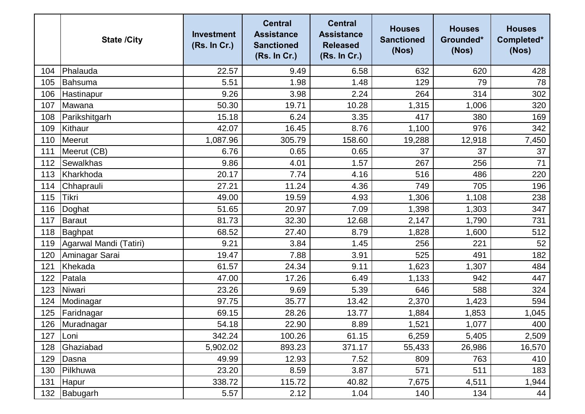|     | <b>State /City</b>     | <b>Investment</b><br>(Rs. In Cr.) | <b>Central</b><br><b>Assistance</b><br><b>Sanctioned</b><br>(Rs. In Cr.) | <b>Central</b><br><b>Assistance</b><br><b>Released</b><br>(Rs. In Cr.) | <b>Houses</b><br><b>Sanctioned</b><br>(Nos) | <b>Houses</b><br>Grounded*<br>(Nos) | <b>Houses</b><br>Completed*<br>(Nos) |
|-----|------------------------|-----------------------------------|--------------------------------------------------------------------------|------------------------------------------------------------------------|---------------------------------------------|-------------------------------------|--------------------------------------|
| 104 | Phalauda               | 22.57                             | 9.49                                                                     | 6.58                                                                   | 632                                         | 620                                 | 428                                  |
| 105 | Bahsuma                | 5.51                              | 1.98                                                                     | 1.48                                                                   | 129                                         | 79                                  | 78                                   |
| 106 | Hastinapur             | 9.26                              | 3.98                                                                     | 2.24                                                                   | 264                                         | 314                                 | 302                                  |
| 107 | Mawana                 | 50.30                             | 19.71                                                                    | 10.28                                                                  | 1,315                                       | 1,006                               | 320                                  |
| 108 | Parikshitgarh          | 15.18                             | 6.24                                                                     | 3.35                                                                   | 417                                         | 380                                 | 169                                  |
| 109 | Kithaur                | 42.07                             | 16.45                                                                    | 8.76                                                                   | 1,100                                       | 976                                 | 342                                  |
| 110 | Meerut                 | 1,087.96                          | 305.79                                                                   | 158.60                                                                 | 19,288                                      | 12,918                              | 7,450                                |
| 111 | Meerut (CB)            | 6.76                              | 0.65                                                                     | 0.65                                                                   | 37                                          | 37                                  | 37                                   |
| 112 | <b>Sewalkhas</b>       | 9.86                              | 4.01                                                                     | 1.57                                                                   | 267                                         | 256                                 | 71                                   |
| 113 | Kharkhoda              | 20.17                             | 7.74                                                                     | 4.16                                                                   | 516                                         | 486                                 | 220                                  |
| 114 | Chhaprauli             | 27.21                             | 11.24                                                                    | 4.36                                                                   | 749                                         | 705                                 | 196                                  |
| 115 | <b>Tikri</b>           | 49.00                             | 19.59                                                                    | 4.93                                                                   | 1,306                                       | 1,108                               | 238                                  |
| 116 | Doghat                 | 51.65                             | 20.97                                                                    | 7.09                                                                   | 1,398                                       | 1,303                               | 347                                  |
| 117 | Baraut                 | 81.73                             | 32.30                                                                    | 12.68                                                                  | 2,147                                       | 1,790                               | 731                                  |
| 118 | Baghpat                | 68.52                             | 27.40                                                                    | 8.79                                                                   | 1,828                                       | 1,600                               | 512                                  |
| 119 | Agarwal Mandi (Tatiri) | 9.21                              | 3.84                                                                     | 1.45                                                                   | 256                                         | 221                                 | 52                                   |
| 120 | Aminagar Sarai         | 19.47                             | 7.88                                                                     | 3.91                                                                   | 525                                         | 491                                 | 182                                  |
| 121 | Khekada                | 61.57                             | 24.34                                                                    | 9.11                                                                   | 1,623                                       | 1,307                               | 484                                  |
| 122 | Patala                 | 47.00                             | 17.26                                                                    | 6.49                                                                   | 1,133                                       | 942                                 | 447                                  |
| 123 | Niwari                 | 23.26                             | 9.69                                                                     | 5.39                                                                   | 646                                         | 588                                 | 324                                  |
| 124 | Modinagar              | 97.75                             | 35.77                                                                    | 13.42                                                                  | 2,370                                       | 1,423                               | 594                                  |
| 125 | Faridnagar             | 69.15                             | 28.26                                                                    | 13.77                                                                  | 1,884                                       | 1,853                               | 1,045                                |
|     | 126 Muradnagar         | 54.18                             | 22.90                                                                    | 8.89                                                                   | 1,521                                       | 1,077                               | 400                                  |
| 127 | Loni                   | 342.24                            | 100.26                                                                   | 61.15                                                                  | 6,259                                       | 5,405                               | 2,509                                |
| 128 | Ghaziabad              | 5,902.02                          | 893.23                                                                   | 371.17                                                                 | 55,433                                      | 26,986                              | 16,570                               |
| 129 | Dasna                  | 49.99                             | 12.93                                                                    | 7.52                                                                   | 809                                         | 763                                 | 410                                  |
| 130 | Pilkhuwa               | 23.20                             | 8.59                                                                     | 3.87                                                                   | 571                                         | 511                                 | 183                                  |
| 131 | Hapur                  | 338.72                            | 115.72                                                                   | 40.82                                                                  | 7,675                                       | 4,511                               | 1,944                                |
| 132 | Babugarh               | 5.57                              | 2.12                                                                     | 1.04                                                                   | 140                                         | 134                                 | 44                                   |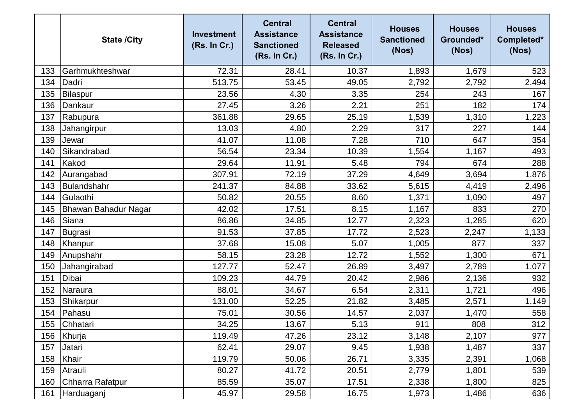|     | <b>State /City</b>   | <b>Investment</b><br>(Rs. In Cr.) | <b>Central</b><br><b>Assistance</b><br><b>Sanctioned</b><br>(Rs. In Cr.) | <b>Central</b><br><b>Assistance</b><br><b>Released</b><br>(Rs. In Cr.) | <b>Houses</b><br><b>Sanctioned</b><br>(Nos) | <b>Houses</b><br>Grounded*<br>(Nos) | <b>Houses</b><br>Completed*<br>(Nos) |
|-----|----------------------|-----------------------------------|--------------------------------------------------------------------------|------------------------------------------------------------------------|---------------------------------------------|-------------------------------------|--------------------------------------|
| 133 | Garhmukhteshwar      | 72.31                             | 28.41                                                                    | 10.37                                                                  | 1,893                                       | 1,679                               | 523                                  |
| 134 | Dadri                | 513.75                            | 53.45                                                                    | 49.05                                                                  | 2,792                                       | 2,792                               | 2,494                                |
| 135 | Bilaspur             | 23.56                             | 4.30                                                                     | 3.35                                                                   | 254                                         | 243                                 | 167                                  |
| 136 | Dankaur              | 27.45                             | 3.26                                                                     | 2.21                                                                   | 251                                         | 182                                 | 174                                  |
| 137 | Rabupura             | 361.88                            | 29.65                                                                    | 25.19                                                                  | 1,539                                       | 1,310                               | 1,223                                |
| 138 | Jahangirpur          | 13.03                             | 4.80                                                                     | 2.29                                                                   | 317                                         | 227                                 | 144                                  |
| 139 | Jewar                | 41.07                             | 11.08                                                                    | 7.28                                                                   | 710                                         | 647                                 | 354                                  |
| 140 | Sikandrabad          | 56.54                             | 23.34                                                                    | 10.39                                                                  | 1,554                                       | 1,167                               | 493                                  |
| 141 | Kakod                | 29.64                             | 11.91                                                                    | 5.48                                                                   | 794                                         | 674                                 | 288                                  |
| 142 | Aurangabad           | 307.91                            | 72.19                                                                    | 37.29                                                                  | 4,649                                       | 3,694                               | 1,876                                |
| 143 | Bulandshahr          | 241.37                            | 84.88                                                                    | 33.62                                                                  | 5,615                                       | 4,419                               | 2,496                                |
| 144 | Gulaothi             | 50.82                             | 20.55                                                                    | 8.60                                                                   | 1,371                                       | 1,090                               | 497                                  |
| 145 | Bhawan Bahadur Nagar | 42.02                             | 17.51                                                                    | 8.15                                                                   | 1,167                                       | 833                                 | 270                                  |
| 146 | Siana                | 86.86                             | 34.85                                                                    | 12.77                                                                  | 2,323                                       | 1,285                               | 620                                  |
| 147 | Bugrasi              | 91.53                             | 37.85                                                                    | 17.72                                                                  | 2,523                                       | 2,247                               | 1,133                                |
| 148 | Khanpur              | 37.68                             | 15.08                                                                    | 5.07                                                                   | 1,005                                       | 877                                 | 337                                  |
| 149 | Anupshahr            | 58.15                             | 23.28                                                                    | 12.72                                                                  | 1,552                                       | 1,300                               | 671                                  |
| 150 | Jahangirabad         | 127.77                            | 52.47                                                                    | 26.89                                                                  | 3,497                                       | 2,789                               | 1,077                                |
| 151 | Dibai                | 109.23                            | 44.79                                                                    | 20.42                                                                  | 2,986                                       | 2,136                               | 932                                  |
| 152 | Naraura              | 88.01                             | 34.67                                                                    | 6.54                                                                   | 2,311                                       | 1,721                               | 496                                  |
| 153 | Shikarpur            | 131.00                            | 52.25                                                                    | 21.82                                                                  | 3,485                                       | 2,571                               | 1,149                                |
| 154 | Pahasu               | 75.01                             | 30.56                                                                    | 14.57                                                                  | 2,037                                       | 1,470                               | 558                                  |
| 155 | Chhatari             | 34.25                             | 13.67                                                                    | 5.13                                                                   | 911                                         | 808                                 | 312                                  |
| 156 | Khurja               | 119.49                            | 47.26                                                                    | 23.12                                                                  | 3,148                                       | 2,107                               | 977                                  |
| 157 | Jatari               | 62.41                             | 29.07                                                                    | 9.45                                                                   | 1,938                                       | 1,487                               | 337                                  |
| 158 | Khair                | 119.79                            | 50.06                                                                    | 26.71                                                                  | 3,335                                       | 2,391                               | 1,068                                |
| 159 | Atrauli              | 80.27                             | 41.72                                                                    | 20.51                                                                  | 2,779                                       | 1,801                               | 539                                  |
| 160 | Chharra Rafatpur     | 85.59                             | 35.07                                                                    | 17.51                                                                  | 2,338                                       | 1,800                               | 825                                  |
| 161 | Harduaganj           | 45.97                             | 29.58                                                                    | 16.75                                                                  | 1,973                                       | 1,486                               | 636                                  |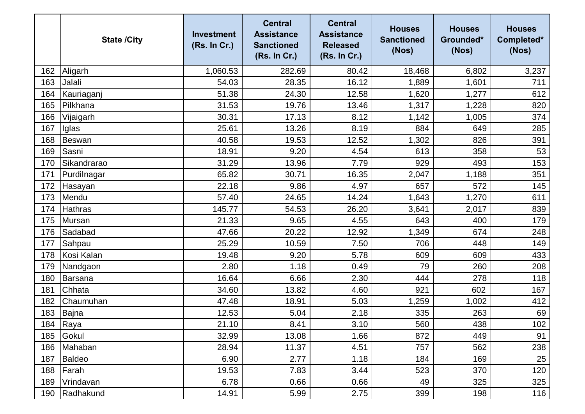|     | <b>State /City</b> | <b>Investment</b><br>(Rs. In Cr.) | <b>Central</b><br><b>Assistance</b><br><b>Sanctioned</b><br>(Rs. In Cr.) | <b>Central</b><br><b>Assistance</b><br><b>Released</b><br>(Rs. In Cr.) | <b>Houses</b><br><b>Sanctioned</b><br>(Nos) | <b>Houses</b><br>Grounded*<br>(Nos) | <b>Houses</b><br>Completed*<br>(Nos) |
|-----|--------------------|-----------------------------------|--------------------------------------------------------------------------|------------------------------------------------------------------------|---------------------------------------------|-------------------------------------|--------------------------------------|
| 162 | Aligarh            | 1,060.53                          | 282.69                                                                   | 80.42                                                                  | 18,468                                      | 6,802                               | 3,237                                |
| 163 | Jalali             | 54.03                             | 28.35                                                                    | 16.12                                                                  | 1,889                                       | 1,601                               | 711                                  |
| 164 | Kauriaganj         | 51.38                             | 24.30                                                                    | 12.58                                                                  | 1,620                                       | 1,277                               | 612                                  |
| 165 | Pilkhana           | 31.53                             | 19.76                                                                    | 13.46                                                                  | 1,317                                       | 1,228                               | 820                                  |
| 166 | Vijaigarh          | 30.31                             | 17.13                                                                    | 8.12                                                                   | 1,142                                       | 1,005                               | 374                                  |
| 167 | Iglas              | 25.61                             | 13.26                                                                    | 8.19                                                                   | 884                                         | 649                                 | 285                                  |
| 168 | Beswan             | 40.58                             | 19.53                                                                    | 12.52                                                                  | 1,302                                       | 826                                 | 391                                  |
| 169 | Sasni              | 18.91                             | 9.20                                                                     | 4.54                                                                   | 613                                         | 358                                 | 53                                   |
| 170 | Sikandrarao        | 31.29                             | 13.96                                                                    | 7.79                                                                   | 929                                         | 493                                 | 153                                  |
| 171 | Purdilnagar        | 65.82                             | 30.71                                                                    | 16.35                                                                  | 2,047                                       | 1,188                               | 351                                  |
| 172 | Hasayan            | 22.18                             | 9.86                                                                     | 4.97                                                                   | 657                                         | 572                                 | 145                                  |
| 173 | Mendu              | 57.40                             | 24.65                                                                    | 14.24                                                                  | 1,643                                       | 1,270                               | 611                                  |
| 174 | <b>Hathras</b>     | 145.77                            | 54.53                                                                    | 26.20                                                                  | 3,641                                       | 2,017                               | 839                                  |
| 175 | Mursan             | 21.33                             | 9.65                                                                     | 4.55                                                                   | 643                                         | 400                                 | 179                                  |
| 176 | Sadabad            | 47.66                             | 20.22                                                                    | 12.92                                                                  | 1,349                                       | 674                                 | 248                                  |
| 177 | Sahpau             | 25.29                             | 10.59                                                                    | 7.50                                                                   | 706                                         | 448                                 | 149                                  |
| 178 | Kosi Kalan         | 19.48                             | 9.20                                                                     | 5.78                                                                   | 609                                         | 609                                 | 433                                  |
| 179 | Nandgaon           | 2.80                              | 1.18                                                                     | 0.49                                                                   | 79                                          | 260                                 | 208                                  |
| 180 | Barsana            | 16.64                             | 6.66                                                                     | 2.30                                                                   | 444                                         | 278                                 | 118                                  |
| 181 | Chhata             | 34.60                             | 13.82                                                                    | 4.60                                                                   | 921                                         | 602                                 | 167                                  |
| 182 | Chaumuhan          | 47.48                             | 18.91                                                                    | 5.03                                                                   | 1,259                                       | 1,002                               | 412                                  |
| 183 | Bajna              | 12.53                             | 5.04                                                                     | 2.18                                                                   | 335                                         | 263                                 | 69                                   |
|     | 184 Raya           | 21.10                             | 8.41                                                                     | 3.10                                                                   | 560                                         | 438                                 | 102                                  |
| 185 | Gokul              | 32.99                             | 13.08                                                                    | 1.66                                                                   | 872                                         | 449                                 | 91                                   |
| 186 | Mahaban            | 28.94                             | 11.37                                                                    | 4.51                                                                   | 757                                         | 562                                 | 238                                  |
| 187 | Baldeo             | 6.90                              | 2.77                                                                     | 1.18                                                                   | 184                                         | 169                                 | 25                                   |
| 188 | Farah              | 19.53                             | 7.83                                                                     | 3.44                                                                   | 523                                         | 370                                 | 120                                  |
| 189 | Vrindavan          | 6.78                              | 0.66                                                                     | 0.66                                                                   | 49                                          | 325                                 | 325                                  |
| 190 | Radhakund          | 14.91                             | 5.99                                                                     | 2.75                                                                   | 399                                         | 198                                 | 116                                  |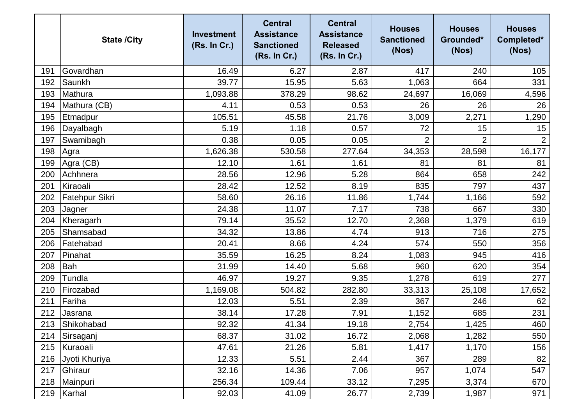|     | <b>State /City</b> | <b>Investment</b><br>(Rs. In Cr.) | <b>Central</b><br><b>Assistance</b><br><b>Sanctioned</b><br>(Rs. In Cr.) | <b>Central</b><br><b>Assistance</b><br><b>Released</b><br>(Rs. In Cr.) | <b>Houses</b><br><b>Sanctioned</b><br>(Nos) | <b>Houses</b><br>Grounded*<br>(Nos) | <b>Houses</b><br>Completed*<br>(Nos) |
|-----|--------------------|-----------------------------------|--------------------------------------------------------------------------|------------------------------------------------------------------------|---------------------------------------------|-------------------------------------|--------------------------------------|
| 191 | Govardhan          | 16.49                             | 6.27                                                                     | 2.87                                                                   | 417                                         | 240                                 | 105                                  |
| 192 | Saunkh             | 39.77                             | 15.95                                                                    | 5.63                                                                   | 1,063                                       | 664                                 | 331                                  |
| 193 | Mathura            | 1,093.88                          | 378.29                                                                   | 98.62                                                                  | 24,697                                      | 16,069                              | 4,596                                |
| 194 | Mathura (CB)       | 4.11                              | 0.53                                                                     | 0.53                                                                   | 26                                          | 26                                  | 26                                   |
| 195 | Etmadpur           | 105.51                            | 45.58                                                                    | 21.76                                                                  | 3,009                                       | 2,271                               | 1,290                                |
| 196 | Dayalbagh          | 5.19                              | 1.18                                                                     | 0.57                                                                   | 72                                          | 15                                  | 15                                   |
| 197 | Swamibagh          | 0.38                              | 0.05                                                                     | 0.05                                                                   | $\overline{2}$                              | $\overline{2}$                      | $\overline{2}$                       |
| 198 | Agra               | 1,626.38                          | 530.58                                                                   | 277.64                                                                 | 34,353                                      | 28,598                              | 16,177                               |
| 199 | Agra (CB)          | 12.10                             | 1.61                                                                     | 1.61                                                                   | 81                                          | 81                                  | 81                                   |
| 200 | Achhnera           | 28.56                             | 12.96                                                                    | 5.28                                                                   | 864                                         | 658                                 | 242                                  |
| 201 | Kiraoali           | 28.42                             | 12.52                                                                    | 8.19                                                                   | 835                                         | 797                                 | 437                                  |
| 202 | Fatehpur Sikri     | 58.60                             | 26.16                                                                    | 11.86                                                                  | 1,744                                       | 1,166                               | 592                                  |
| 203 | Jagner             | 24.38                             | 11.07                                                                    | 7.17                                                                   | 738                                         | 667                                 | 330                                  |
| 204 | Kheragarh          | 79.14                             | 35.52                                                                    | 12.70                                                                  | 2,368                                       | 1,379                               | 619                                  |
| 205 | Shamsabad          | 34.32                             | 13.86                                                                    | 4.74                                                                   | 913                                         | 716                                 | 275                                  |
| 206 | Fatehabad          | 20.41                             | 8.66                                                                     | 4.24                                                                   | 574                                         | 550                                 | 356                                  |
| 207 | Pinahat            | 35.59                             | 16.25                                                                    | 8.24                                                                   | 1,083                                       | 945                                 | 416                                  |
| 208 | Bah                | 31.99                             | 14.40                                                                    | 5.68                                                                   | 960                                         | 620                                 | 354                                  |
| 209 | Tundla             | 46.97                             | 19.27                                                                    | 9.35                                                                   | 1,278                                       | 619                                 | 277                                  |
| 210 | Firozabad          | 1,169.08                          | 504.82                                                                   | 282.80                                                                 | 33,313                                      | 25,108                              | 17,652                               |
| 211 | Fariha             | 12.03                             | 5.51                                                                     | 2.39                                                                   | 367                                         | 246                                 | 62                                   |
| 212 | Jasrana            | 38.14                             | 17.28                                                                    | 7.91                                                                   | 1,152                                       | 685                                 | 231                                  |
| 213 | Shikohabad         | 92.32                             | 41.34                                                                    | 19.18                                                                  | 2,754                                       | 1,425                               | 460                                  |
| 214 | Sirsaganj          | 68.37                             | 31.02                                                                    | 16.72                                                                  | 2,068                                       | 1,282                               | 550                                  |
|     | 215 Kuraoali       | 47.61                             | 21.26                                                                    | 5.81                                                                   | 1,417                                       | 1,170                               | 156                                  |
| 216 | Jyoti Khuriya      | 12.33                             | 5.51                                                                     | 2.44                                                                   | 367                                         | 289                                 | 82                                   |
| 217 | Ghiraur            | 32.16                             | 14.36                                                                    | 7.06                                                                   | 957                                         | 1,074                               | 547                                  |
| 218 | Mainpuri           | 256.34                            | 109.44                                                                   | 33.12                                                                  | 7,295                                       | 3,374                               | 670                                  |
| 219 | Karhal             | 92.03                             | 41.09                                                                    | 26.77                                                                  | 2,739                                       | 1,987                               | 971                                  |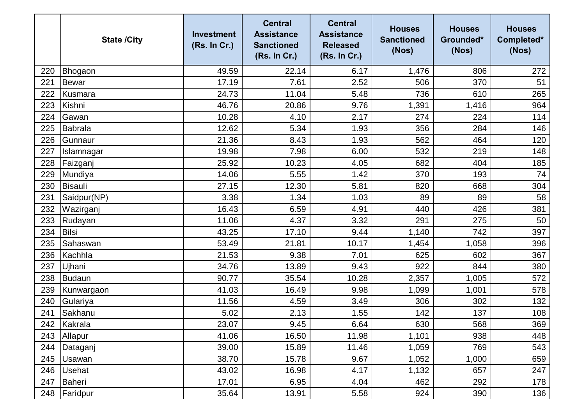|     | <b>State /City</b> | <b>Investment</b><br>(Rs. In Cr.) | <b>Central</b><br><b>Assistance</b><br><b>Sanctioned</b><br>(Rs. In Cr.) | <b>Central</b><br><b>Assistance</b><br><b>Released</b><br>(Rs. In Cr.) | <b>Houses</b><br><b>Sanctioned</b><br>(Nos) | <b>Houses</b><br>Grounded*<br>(Nos) | <b>Houses</b><br>Completed*<br>(Nos) |
|-----|--------------------|-----------------------------------|--------------------------------------------------------------------------|------------------------------------------------------------------------|---------------------------------------------|-------------------------------------|--------------------------------------|
| 220 | Bhogaon            | 49.59                             | 22.14                                                                    | 6.17                                                                   | 1,476                                       | 806                                 | 272                                  |
| 221 | <b>Bewar</b>       | 17.19                             | 7.61                                                                     | 2.52                                                                   | 506                                         | 370                                 | 51                                   |
| 222 | Kusmara            | 24.73                             | 11.04                                                                    | 5.48                                                                   | 736                                         | 610                                 | 265                                  |
| 223 | Kishni             | 46.76                             | 20.86                                                                    | 9.76                                                                   | 1,391                                       | 1,416                               | 964                                  |
| 224 | Gawan              | 10.28                             | 4.10                                                                     | 2.17                                                                   | 274                                         | 224                                 | 114                                  |
| 225 | Babrala            | 12.62                             | 5.34                                                                     | 1.93                                                                   | 356                                         | 284                                 | 146                                  |
| 226 | Gunnaur            | 21.36                             | 8.43                                                                     | 1.93                                                                   | 562                                         | 464                                 | 120                                  |
| 227 | Islamnagar         | 19.98                             | 7.98                                                                     | 6.00                                                                   | 532                                         | 219                                 | 148                                  |
| 228 | Faizganj           | 25.92                             | 10.23                                                                    | 4.05                                                                   | 682                                         | 404                                 | 185                                  |
| 229 | Mundiya            | 14.06                             | 5.55                                                                     | 1.42                                                                   | 370                                         | 193                                 | 74                                   |
| 230 | Bisauli            | 27.15                             | 12.30                                                                    | 5.81                                                                   | 820                                         | 668                                 | 304                                  |
| 231 | Saidpur(NP)        | 3.38                              | 1.34                                                                     | 1.03                                                                   | 89                                          | 89                                  | 58                                   |
| 232 | Wazirganj          | 16.43                             | 6.59                                                                     | 4.91                                                                   | 440                                         | 426                                 | 381                                  |
| 233 | Rudayan            | 11.06                             | 4.37                                                                     | 3.32                                                                   | 291                                         | 275                                 | 50                                   |
| 234 | <b>Bilsi</b>       | 43.25                             | 17.10                                                                    | 9.44                                                                   | 1,140                                       | 742                                 | 397                                  |
| 235 | Sahaswan           | 53.49                             | 21.81                                                                    | 10.17                                                                  | 1,454                                       | 1,058                               | 396                                  |
| 236 | Kachhla            | 21.53                             | 9.38                                                                     | 7.01                                                                   | 625                                         | 602                                 | 367                                  |
| 237 | Ujhani             | 34.76                             | 13.89                                                                    | 9.43                                                                   | 922                                         | 844                                 | 380                                  |
| 238 | Budaun             | 90.77                             | 35.54                                                                    | 10.28                                                                  | 2,357                                       | 1,005                               | 572                                  |
| 239 | Kunwargaon         | 41.03                             | 16.49                                                                    | 9.98                                                                   | 1,099                                       | 1,001                               | 578                                  |
| 240 | Gulariya           | 11.56                             | 4.59                                                                     | 3.49                                                                   | 306                                         | 302                                 | 132                                  |
| 241 | Sakhanu            | 5.02                              | 2.13                                                                     | 1.55                                                                   | 142                                         | 137                                 | 108                                  |
|     | 242 Kakrala        | 23.07                             | 9.45                                                                     | 6.64                                                                   | 630                                         | 568                                 | 369                                  |
| 243 | Allapur            | 41.06                             | 16.50                                                                    | 11.98                                                                  | 1,101                                       | 938                                 | 448                                  |
| 244 | Dataganj           | 39.00                             | 15.89                                                                    | 11.46                                                                  | 1,059                                       | 769                                 | 543                                  |
| 245 | Usawan             | 38.70                             | 15.78                                                                    | 9.67                                                                   | 1,052                                       | 1,000                               | 659                                  |
| 246 | <b>Usehat</b>      | 43.02                             | 16.98                                                                    | 4.17                                                                   | 1,132                                       | 657                                 | 247                                  |
| 247 | Baheri             | 17.01                             | 6.95                                                                     | 4.04                                                                   | 462                                         | 292                                 | 178                                  |
| 248 | Faridpur           | 35.64                             | 13.91                                                                    | 5.58                                                                   | 924                                         | 390                                 | 136                                  |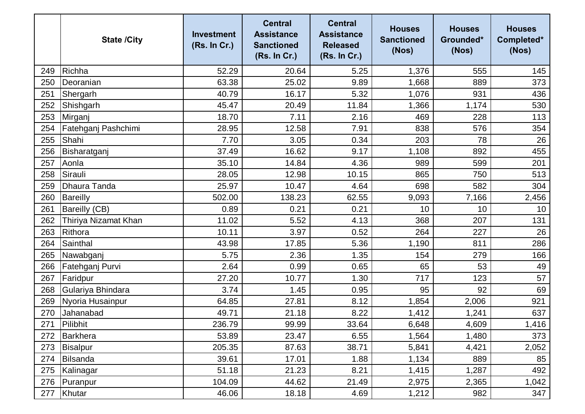|     | <b>State /City</b>   | <b>Investment</b><br>(Rs. In Cr.) | <b>Central</b><br><b>Assistance</b><br><b>Sanctioned</b><br>(Rs. In Cr.) | <b>Central</b><br><b>Assistance</b><br><b>Released</b><br>(Rs. In Cr.) | <b>Houses</b><br><b>Sanctioned</b><br>(Nos) | <b>Houses</b><br>Grounded*<br>(Nos) | <b>Houses</b><br>Completed*<br>(Nos) |
|-----|----------------------|-----------------------------------|--------------------------------------------------------------------------|------------------------------------------------------------------------|---------------------------------------------|-------------------------------------|--------------------------------------|
| 249 | Richha               | 52.29                             | 20.64                                                                    | 5.25                                                                   | 1,376                                       | 555                                 | 145                                  |
| 250 | Deoranian            | 63.38                             | 25.02                                                                    | 9.89                                                                   | 1,668                                       | 889                                 | 373                                  |
| 251 | Shergarh             | 40.79                             | 16.17                                                                    | 5.32                                                                   | 1,076                                       | 931                                 | 436                                  |
| 252 | Shishgarh            | 45.47                             | 20.49                                                                    | 11.84                                                                  | 1,366                                       | 1,174                               | 530                                  |
| 253 | Mirganj              | 18.70                             | 7.11                                                                     | 2.16                                                                   | 469                                         | 228                                 | 113                                  |
| 254 | Fatehganj Pashchimi  | 28.95                             | 12.58                                                                    | 7.91                                                                   | 838                                         | 576                                 | 354                                  |
| 255 | Shahi                | 7.70                              | 3.05                                                                     | 0.34                                                                   | 203                                         | 78                                  | 26                                   |
| 256 | Bisharatganj         | 37.49                             | 16.62                                                                    | 9.17                                                                   | 1,108                                       | 892                                 | 455                                  |
| 257 | Aonla                | 35.10                             | 14.84                                                                    | 4.36                                                                   | 989                                         | 599                                 | 201                                  |
| 258 | Sirauli              | 28.05                             | 12.98                                                                    | 10.15                                                                  | 865                                         | 750                                 | 513                                  |
| 259 | <b>Dhaura Tanda</b>  | 25.97                             | 10.47                                                                    | 4.64                                                                   | 698                                         | 582                                 | 304                                  |
| 260 | Bareilly             | 502.00                            | 138.23                                                                   | 62.55                                                                  | 9,093                                       | 7,166                               | 2,456                                |
| 261 | <b>Bareilly (CB)</b> | 0.89                              | 0.21                                                                     | 0.21                                                                   | 10                                          | 10                                  | 10                                   |
| 262 | Thiriya Nizamat Khan | 11.02                             | 5.52                                                                     | 4.13                                                                   | 368                                         | 207                                 | 131                                  |
| 263 | Rithora              | 10.11                             | 3.97                                                                     | 0.52                                                                   | 264                                         | 227                                 | 26                                   |
| 264 | Sainthal             | 43.98                             | 17.85                                                                    | 5.36                                                                   | 1,190                                       | 811                                 | 286                                  |
| 265 | Nawabganj            | 5.75                              | 2.36                                                                     | 1.35                                                                   | 154                                         | 279                                 | 166                                  |
| 266 | Fatehganj Purvi      | 2.64                              | 0.99                                                                     | 0.65                                                                   | 65                                          | 53                                  | 49                                   |
| 267 | Faridpur             | 27.20                             | 10.77                                                                    | 1.30                                                                   | 717                                         | 123                                 | 57                                   |
| 268 | Gulariya Bhindara    | 3.74                              | 1.45                                                                     | 0.95                                                                   | 95                                          | 92                                  | 69                                   |
| 269 | Nyoria Husainpur     | 64.85                             | 27.81                                                                    | 8.12                                                                   | 1,854                                       | 2,006                               | 921                                  |
| 270 | Jahanabad            | 49.71                             | 21.18                                                                    | 8.22                                                                   | 1,412                                       | 1,241                               | 637                                  |
| 271 | Pilibhit             | 236.79                            | 99.99                                                                    | 33.64                                                                  | 6,648                                       | 4,609                               | 1,416                                |
| 272 | Barkhera             | 53.89                             | 23.47                                                                    | 6.55                                                                   | 1,564                                       | 1,480                               | 373                                  |
| 273 | Bisalpur             | 205.35                            | 87.63                                                                    | 38.71                                                                  | 5,841                                       | 4,421                               | 2,052                                |
| 274 | Bilsanda             | 39.61                             | 17.01                                                                    | 1.88                                                                   | 1,134                                       | 889                                 | 85                                   |
| 275 | Kalinagar            | 51.18                             | 21.23                                                                    | 8.21                                                                   | 1,415                                       | 1,287                               | 492                                  |
| 276 | Puranpur             | 104.09                            | 44.62                                                                    | 21.49                                                                  | 2,975                                       | 2,365                               | 1,042                                |
| 277 | Khutar               | 46.06                             | 18.18                                                                    | 4.69                                                                   | 1,212                                       | 982                                 | 347                                  |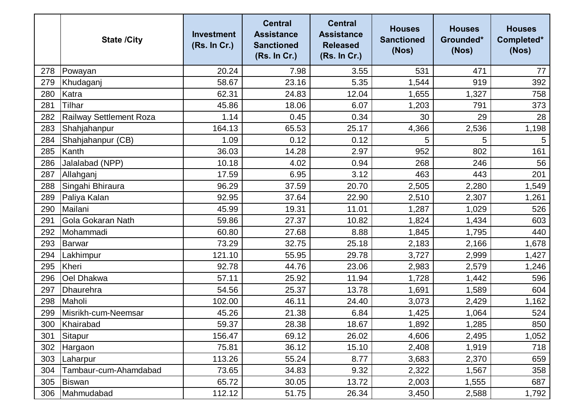|     | <b>State /City</b>      | <b>Investment</b><br>(Rs. In Cr.) | <b>Central</b><br><b>Assistance</b><br><b>Sanctioned</b><br>(Rs. In Cr.) | <b>Central</b><br><b>Assistance</b><br><b>Released</b><br>(Rs. In Cr.) | <b>Houses</b><br><b>Sanctioned</b><br>(Nos) | <b>Houses</b><br>Grounded*<br>(Nos) | <b>Houses</b><br>Completed*<br>(Nos) |
|-----|-------------------------|-----------------------------------|--------------------------------------------------------------------------|------------------------------------------------------------------------|---------------------------------------------|-------------------------------------|--------------------------------------|
| 278 | Powayan                 | 20.24                             | 7.98                                                                     | 3.55                                                                   | 531                                         | 471                                 | 77                                   |
| 279 | Khudaganj               | 58.67                             | 23.16                                                                    | 5.35                                                                   | 1,544                                       | 919                                 | 392                                  |
| 280 | Katra                   | 62.31                             | 24.83                                                                    | 12.04                                                                  | 1,655                                       | 1,327                               | 758                                  |
| 281 | Tilhar                  | 45.86                             | 18.06                                                                    | 6.07                                                                   | 1,203                                       | 791                                 | 373                                  |
| 282 | Railway Settlement Roza | 1.14                              | 0.45                                                                     | 0.34                                                                   | 30                                          | 29                                  | 28                                   |
| 283 | Shahjahanpur            | 164.13                            | 65.53                                                                    | 25.17                                                                  | 4,366                                       | 2,536                               | 1,198                                |
| 284 | Shahjahanpur (CB)       | 1.09                              | 0.12                                                                     | 0.12                                                                   | 5                                           | 5                                   | 5                                    |
| 285 | Kanth                   | 36.03                             | 14.28                                                                    | 2.97                                                                   | 952                                         | 802                                 | 161                                  |
| 286 | Jalalabad (NPP)         | 10.18                             | 4.02                                                                     | 0.94                                                                   | 268                                         | 246                                 | 56                                   |
| 287 | Allahganj               | 17.59                             | 6.95                                                                     | 3.12                                                                   | 463                                         | 443                                 | 201                                  |
| 288 | Singahi Bhiraura        | 96.29                             | 37.59                                                                    | 20.70                                                                  | 2,505                                       | 2,280                               | 1,549                                |
| 289 | Paliya Kalan            | 92.95                             | 37.64                                                                    | 22.90                                                                  | 2,510                                       | 2,307                               | 1,261                                |
| 290 | Mailani                 | 45.99                             | 19.31                                                                    | 11.01                                                                  | 1,287                                       | 1,029                               | 526                                  |
| 291 | Gola Gokaran Nath       | 59.86                             | 27.37                                                                    | 10.82                                                                  | 1,824                                       | 1,434                               | 603                                  |
| 292 | Mohammadi               | 60.80                             | 27.68                                                                    | 8.88                                                                   | 1,845                                       | 1,795                               | 440                                  |
| 293 | Barwar                  | 73.29                             | 32.75                                                                    | 25.18                                                                  | 2,183                                       | 2,166                               | 1,678                                |
| 294 | Lakhimpur               | 121.10                            | 55.95                                                                    | 29.78                                                                  | 3,727                                       | 2,999                               | 1,427                                |
| 295 | <b>Kheri</b>            | 92.78                             | 44.76                                                                    | 23.06                                                                  | 2,983                                       | 2,579                               | 1,246                                |
| 296 | Oel Dhakwa              | 57.11                             | 25.92                                                                    | 11.94                                                                  | 1,728                                       | 1,442                               | 596                                  |
| 297 | Dhaurehra               | 54.56                             | 25.37                                                                    | 13.78                                                                  | 1,691                                       | 1,589                               | 604                                  |
| 298 | Maholi                  | 102.00                            | 46.11                                                                    | 24.40                                                                  | 3,073                                       | 2,429                               | 1,162                                |
| 299 | Misrikh-cum-Neemsar     | 45.26                             | 21.38                                                                    | 6.84                                                                   | 1,425                                       | 1,064                               | 524                                  |
| 300 | Khairabad               | 59.37                             | 28.38                                                                    | 18.67                                                                  | 1,892                                       | 1,285                               | 850                                  |
| 301 | Sitapur                 | 156.47                            | 69.12                                                                    | 26.02                                                                  | 4,606                                       | 2,495                               | 1,052                                |
| 302 | Hargaon                 | 75.81                             | 36.12                                                                    | 15.10                                                                  | 2,408                                       | 1,919                               | 718                                  |
| 303 | Laharpur                | 113.26                            | 55.24                                                                    | 8.77                                                                   | 3,683                                       | 2,370                               | 659                                  |
| 304 | Tambaur-cum-Ahamdabad   | 73.65                             | 34.83                                                                    | 9.32                                                                   | 2,322                                       | 1,567                               | 358                                  |
| 305 | Biswan                  | 65.72                             | 30.05                                                                    | 13.72                                                                  | 2,003                                       | 1,555                               | 687                                  |
| 306 | Mahmudabad              | 112.12                            | 51.75                                                                    | 26.34                                                                  | 3,450                                       | 2,588                               | 1,792                                |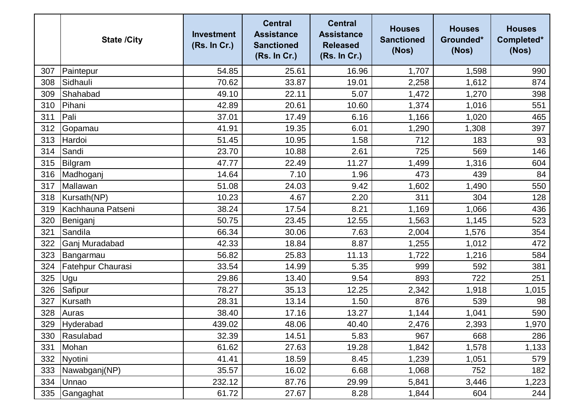|     | <b>State /City</b> | <b>Investment</b><br>(Rs. In Cr.) | <b>Central</b><br><b>Assistance</b><br><b>Sanctioned</b><br>(Rs. In Cr.) | <b>Central</b><br><b>Assistance</b><br><b>Released</b><br>(Rs. In Cr.) | <b>Houses</b><br><b>Sanctioned</b><br>(Nos) | <b>Houses</b><br>Grounded*<br>(Nos) | <b>Houses</b><br>Completed*<br>(Nos) |
|-----|--------------------|-----------------------------------|--------------------------------------------------------------------------|------------------------------------------------------------------------|---------------------------------------------|-------------------------------------|--------------------------------------|
| 307 | Paintepur          | 54.85                             | 25.61                                                                    | 16.96                                                                  | 1,707                                       | 1,598                               | 990                                  |
| 308 | Sidhauli           | 70.62                             | 33.87                                                                    | 19.01                                                                  | 2,258                                       | 1,612                               | 874                                  |
| 309 | Shahabad           | 49.10                             | 22.11                                                                    | 5.07                                                                   | 1,472                                       | 1,270                               | 398                                  |
| 310 | Pihani             | 42.89                             | 20.61                                                                    | 10.60                                                                  | 1,374                                       | 1,016                               | 551                                  |
| 311 | Pali               | 37.01                             | 17.49                                                                    | 6.16                                                                   | 1,166                                       | 1,020                               | 465                                  |
| 312 | Gopamau            | 41.91                             | 19.35                                                                    | 6.01                                                                   | 1,290                                       | 1,308                               | 397                                  |
| 313 | Hardoi             | 51.45                             | 10.95                                                                    | 1.58                                                                   | 712                                         | 183                                 | 93                                   |
| 314 | Sandi              | 23.70                             | 10.88                                                                    | 2.61                                                                   | 725                                         | 569                                 | 146                                  |
| 315 | Bilgram            | 47.77                             | 22.49                                                                    | 11.27                                                                  | 1,499                                       | 1,316                               | 604                                  |
| 316 | Madhoganj          | 14.64                             | 7.10                                                                     | 1.96                                                                   | 473                                         | 439                                 | 84                                   |
| 317 | Mallawan           | 51.08                             | 24.03                                                                    | 9.42                                                                   | 1,602                                       | 1,490                               | 550                                  |
| 318 | Kursath(NP)        | 10.23                             | 4.67                                                                     | 2.20                                                                   | 311                                         | 304                                 | 128                                  |
| 319 | Kachhauna Patseni  | 38.24                             | 17.54                                                                    | 8.21                                                                   | 1,169                                       | 1,066                               | 436                                  |
| 320 | Beniganj           | 50.75                             | 23.45                                                                    | 12.55                                                                  | 1,563                                       | 1,145                               | 523                                  |
| 321 | Sandila            | 66.34                             | 30.06                                                                    | 7.63                                                                   | 2,004                                       | 1,576                               | 354                                  |
| 322 | Ganj Muradabad     | 42.33                             | 18.84                                                                    | 8.87                                                                   | 1,255                                       | 1,012                               | 472                                  |
| 323 | Bangarmau          | 56.82                             | 25.83                                                                    | 11.13                                                                  | 1,722                                       | 1,216                               | 584                                  |
| 324 | Fatehpur Chaurasi  | 33.54                             | 14.99                                                                    | 5.35                                                                   | 999                                         | 592                                 | 381                                  |
| 325 | Ugu                | 29.86                             | 13.40                                                                    | 9.54                                                                   | 893                                         | 722                                 | 251                                  |
| 326 | Safipur            | 78.27                             | 35.13                                                                    | 12.25                                                                  | 2,342                                       | 1,918                               | 1,015                                |
| 327 | Kursath            | 28.31                             | 13.14                                                                    | 1.50                                                                   | 876                                         | 539                                 | 98                                   |
| 328 | Auras              | 38.40                             | 17.16                                                                    | 13.27                                                                  | 1,144                                       | 1,041                               | 590                                  |
| 329 | Hyderabad          | 439.02                            | 48.06                                                                    | 40.40                                                                  | 2,476                                       | 2,393                               | 1,970                                |
| 330 | Rasulabad          | 32.39                             | 14.51                                                                    | 5.83                                                                   | 967                                         | 668                                 | 286                                  |
| 331 | Mohan              | 61.62                             | 27.63                                                                    | 19.28                                                                  | 1,842                                       | 1,578                               | 1,133                                |
| 332 | Nyotini            | 41.41                             | 18.59                                                                    | 8.45                                                                   | 1,239                                       | 1,051                               | 579                                  |
| 333 | Nawabganj(NP)      | 35.57                             | 16.02                                                                    | 6.68                                                                   | 1,068                                       | 752                                 | 182                                  |
| 334 | Unnao              | 232.12                            | 87.76                                                                    | 29.99                                                                  | 5,841                                       | 3,446                               | 1,223                                |
| 335 | Gangaghat          | 61.72                             | 27.67                                                                    | 8.28                                                                   | 1,844                                       | 604                                 | 244                                  |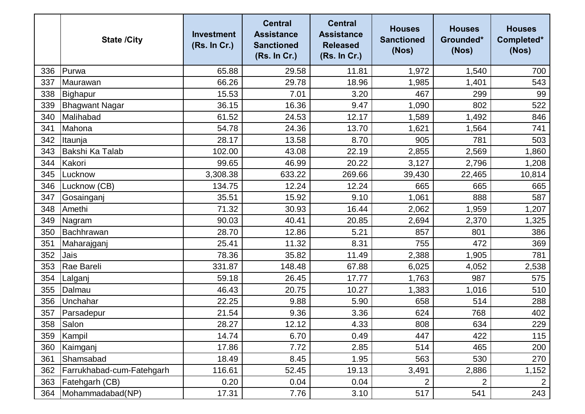|     | <b>State /City</b>        | <b>Investment</b><br>(Rs. In Cr.) | <b>Central</b><br><b>Assistance</b><br><b>Sanctioned</b><br>(Rs. In Cr.) | <b>Central</b><br><b>Assistance</b><br><b>Released</b><br>(Rs. In Cr.) | <b>Houses</b><br><b>Sanctioned</b><br>(Nos) | <b>Houses</b><br>Grounded*<br>(Nos) | <b>Houses</b><br>Completed*<br>(Nos) |
|-----|---------------------------|-----------------------------------|--------------------------------------------------------------------------|------------------------------------------------------------------------|---------------------------------------------|-------------------------------------|--------------------------------------|
| 336 | Purwa                     | 65.88                             | 29.58                                                                    | 11.81                                                                  | 1,972                                       | 1,540                               | 700                                  |
| 337 | Maurawan                  | 66.26                             | 29.78                                                                    | 18.96                                                                  | 1,985                                       | 1,401                               | 543                                  |
| 338 | Bighapur                  | 15.53                             | 7.01                                                                     | 3.20                                                                   | 467                                         | 299                                 | 99                                   |
| 339 | <b>Bhagwant Nagar</b>     | 36.15                             | 16.36                                                                    | 9.47                                                                   | 1,090                                       | 802                                 | 522                                  |
| 340 | Malihabad                 | 61.52                             | 24.53                                                                    | 12.17                                                                  | 1,589                                       | 1,492                               | 846                                  |
| 341 | Mahona                    | 54.78                             | 24.36                                                                    | 13.70                                                                  | 1,621                                       | 1,564                               | 741                                  |
| 342 | Itaunja                   | 28.17                             | 13.58                                                                    | 8.70                                                                   | 905                                         | 781                                 | 503                                  |
| 343 | <b>Bakshi Ka Talab</b>    | 102.00                            | 43.08                                                                    | 22.19                                                                  | 2,855                                       | 2,569                               | 1,860                                |
| 344 | Kakori                    | 99.65                             | 46.99                                                                    | 20.22                                                                  | 3,127                                       | 2,796                               | 1,208                                |
| 345 | Lucknow                   | 3,308.38                          | 633.22                                                                   | 269.66                                                                 | 39,430                                      | 22,465                              | 10,814                               |
| 346 | Lucknow (CB)              | 134.75                            | 12.24                                                                    | 12.24                                                                  | 665                                         | 665                                 | 665                                  |
| 347 | Gosainganj                | 35.51                             | 15.92                                                                    | 9.10                                                                   | 1,061                                       | 888                                 | 587                                  |
| 348 | Amethi                    | 71.32                             | 30.93                                                                    | 16.44                                                                  | 2,062                                       | 1,959                               | 1,207                                |
| 349 | Nagram                    | 90.03                             | 40.41                                                                    | 20.85                                                                  | 2,694                                       | 2,370                               | 1,325                                |
| 350 | Bachhrawan                | 28.70                             | 12.86                                                                    | 5.21                                                                   | 857                                         | 801                                 | 386                                  |
| 351 | Maharajganj               | 25.41                             | 11.32                                                                    | 8.31                                                                   | 755                                         | 472                                 | 369                                  |
| 352 | Jais                      | 78.36                             | 35.82                                                                    | 11.49                                                                  | 2,388                                       | 1,905                               | 781                                  |
| 353 | Rae Bareli                | 331.87                            | 148.48                                                                   | 67.88                                                                  | 6,025                                       | 4,052                               | 2,538                                |
| 354 | Lalganj                   | 59.18                             | 26.45                                                                    | 17.77                                                                  | 1,763                                       | 987                                 | 575                                  |
| 355 | Dalmau                    | 46.43                             | 20.75                                                                    | 10.27                                                                  | 1,383                                       | 1,016                               | 510                                  |
| 356 | Unchahar                  | 22.25                             | 9.88                                                                     | 5.90                                                                   | 658                                         | 514                                 | 288                                  |
| 357 | Parsadepur                | 21.54                             | 9.36                                                                     | 3.36                                                                   | 624                                         | 768                                 | 402                                  |
| 358 | Salon                     | 28.27                             | 12.12                                                                    | 4.33                                                                   | 808                                         | 634                                 | 229                                  |
| 359 | Kampil                    | 14.74                             | 6.70                                                                     | 0.49                                                                   | 447                                         | 422                                 | 115                                  |
| 360 | Kaimganj                  | 17.86                             | 7.72                                                                     | 2.85                                                                   | 514                                         | 465                                 | 200                                  |
| 361 | Shamsabad                 | 18.49                             | 8.45                                                                     | 1.95                                                                   | 563                                         | 530                                 | 270                                  |
| 362 | Farrukhabad-cum-Fatehgarh | 116.61                            | 52.45                                                                    | 19.13                                                                  | 3,491                                       | 2,886                               | 1,152                                |
| 363 | Fatehgarh (CB)            | 0.20                              | 0.04                                                                     | 0.04                                                                   | $\overline{2}$                              | $\overline{2}$                      | $\overline{2}$                       |
| 364 | Mohammadabad(NP)          | 17.31                             | 7.76                                                                     | 3.10                                                                   | 517                                         | 541                                 | 243                                  |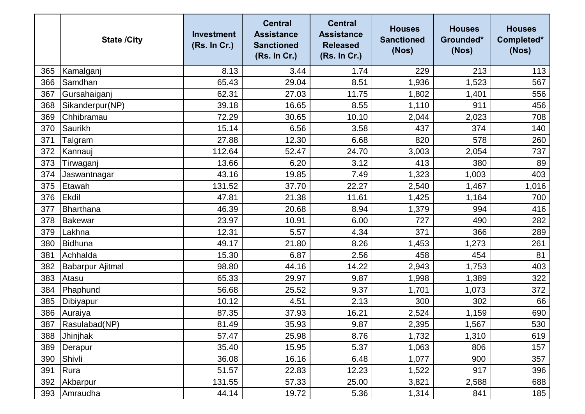|     | <b>State /City</b>      | <b>Investment</b><br>(Rs. In Cr.) | <b>Central</b><br><b>Assistance</b><br><b>Sanctioned</b><br>(Rs. In Cr.) | <b>Central</b><br><b>Assistance</b><br><b>Released</b><br>(Rs. In Cr.) | <b>Houses</b><br><b>Sanctioned</b><br>(Nos) | <b>Houses</b><br>Grounded*<br>(Nos) | <b>Houses</b><br>Completed*<br>(Nos) |
|-----|-------------------------|-----------------------------------|--------------------------------------------------------------------------|------------------------------------------------------------------------|---------------------------------------------|-------------------------------------|--------------------------------------|
| 365 | Kamalganj               | 8.13                              | 3.44                                                                     | 1.74                                                                   | 229                                         | 213                                 | 113                                  |
| 366 | Samdhan                 | 65.43                             | 29.04                                                                    | 8.51                                                                   | 1,936                                       | 1,523                               | 567                                  |
| 367 | Gursahaiganj            | 62.31                             | 27.03                                                                    | 11.75                                                                  | 1,802                                       | 1,401                               | 556                                  |
| 368 | Sikanderpur(NP)         | 39.18                             | 16.65                                                                    | 8.55                                                                   | 1,110                                       | 911                                 | 456                                  |
| 369 | Chhibramau              | 72.29                             | 30.65                                                                    | 10.10                                                                  | 2,044                                       | 2,023                               | 708                                  |
| 370 | Saurikh                 | 15.14                             | 6.56                                                                     | 3.58                                                                   | 437                                         | 374                                 | 140                                  |
| 371 | Talgram                 | 27.88                             | 12.30                                                                    | 6.68                                                                   | 820                                         | 578                                 | 260                                  |
| 372 | Kannauj                 | 112.64                            | 52.47                                                                    | 24.70                                                                  | 3,003                                       | 2,054                               | 737                                  |
| 373 | Tirwaganj               | 13.66                             | 6.20                                                                     | 3.12                                                                   | 413                                         | 380                                 | 89                                   |
| 374 | Jaswantnagar            | 43.16                             | 19.85                                                                    | 7.49                                                                   | 1,323                                       | 1,003                               | 403                                  |
| 375 | Etawah                  | 131.52                            | 37.70                                                                    | 22.27                                                                  | 2,540                                       | 1,467                               | 1,016                                |
| 376 | Ekdil                   | 47.81                             | 21.38                                                                    | 11.61                                                                  | 1,425                                       | 1,164                               | 700                                  |
| 377 | Bharthana               | 46.39                             | 20.68                                                                    | 8.94                                                                   | 1,379                                       | 994                                 | 416                                  |
| 378 | Bakewar                 | 23.97                             | 10.91                                                                    | 6.00                                                                   | 727                                         | 490                                 | 282                                  |
| 379 | Lakhna                  | 12.31                             | 5.57                                                                     | 4.34                                                                   | 371                                         | 366                                 | 289                                  |
| 380 | Bidhuna                 | 49.17                             | 21.80                                                                    | 8.26                                                                   | 1,453                                       | 1,273                               | 261                                  |
| 381 | Achhalda                | 15.30                             | 6.87                                                                     | 2.56                                                                   | 458                                         | 454                                 | 81                                   |
| 382 | <b>Babarpur Ajitmal</b> | 98.80                             | 44.16                                                                    | 14.22                                                                  | 2,943                                       | 1,753                               | 403                                  |
| 383 | Atasu                   | 65.33                             | 29.97                                                                    | 9.87                                                                   | 1,998                                       | 1,389                               | 322                                  |
| 384 | Phaphund                | 56.68                             | 25.52                                                                    | 9.37                                                                   | 1,701                                       | 1,073                               | 372                                  |
| 385 | Dibiyapur               | 10.12                             | 4.51                                                                     | 2.13                                                                   | 300                                         | 302                                 | 66                                   |
| 386 | Auraiya                 | 87.35                             | 37.93                                                                    | 16.21                                                                  | 2,524                                       | 1,159                               | 690                                  |
|     | 387 Rasulabad(NP)       | 81.49                             | 35.93                                                                    | 9.87                                                                   | 2,395                                       | 1,567                               | 530                                  |
| 388 | Jhinjhak                | 57.47                             | 25.98                                                                    | 8.76                                                                   | 1,732                                       | 1,310                               | 619                                  |
| 389 | Derapur                 | 35.40                             | 15.95                                                                    | 5.37                                                                   | 1,063                                       | 806                                 | 157                                  |
| 390 | Shivli                  | 36.08                             | 16.16                                                                    | 6.48                                                                   | 1,077                                       | 900                                 | 357                                  |
| 391 | Rura                    | 51.57                             | 22.83                                                                    | 12.23                                                                  | 1,522                                       | 917                                 | 396                                  |
| 392 | Akbarpur                | 131.55                            | 57.33                                                                    | 25.00                                                                  | 3,821                                       | 2,588                               | 688                                  |
| 393 | Amraudha                | 44.14                             | 19.72                                                                    | 5.36                                                                   | 1,314                                       | 841                                 | 185                                  |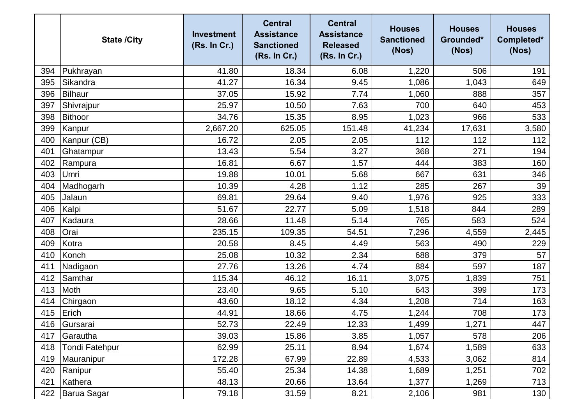|     | <b>State /City</b>    | <b>Investment</b><br>(Rs. In Cr.) | <b>Central</b><br><b>Assistance</b><br><b>Sanctioned</b><br>(Rs. In Cr.) | <b>Central</b><br><b>Assistance</b><br><b>Released</b><br>(Rs. In Cr.) | <b>Houses</b><br><b>Sanctioned</b><br>(Nos) | <b>Houses</b><br>Grounded*<br>(Nos) | <b>Houses</b><br>Completed*<br>(Nos) |
|-----|-----------------------|-----------------------------------|--------------------------------------------------------------------------|------------------------------------------------------------------------|---------------------------------------------|-------------------------------------|--------------------------------------|
| 394 | Pukhrayan             | 41.80                             | 18.34                                                                    | 6.08                                                                   | 1,220                                       | 506                                 | 191                                  |
| 395 | Sikandra              | 41.27                             | 16.34                                                                    | 9.45                                                                   | 1,086                                       | 1,043                               | 649                                  |
| 396 | Bilhaur               | 37.05                             | 15.92                                                                    | 7.74                                                                   | 1,060                                       | 888                                 | 357                                  |
| 397 | Shivrajpur            | 25.97                             | 10.50                                                                    | 7.63                                                                   | 700                                         | 640                                 | 453                                  |
| 398 | Bithoor               | 34.76                             | 15.35                                                                    | 8.95                                                                   | 1,023                                       | 966                                 | 533                                  |
| 399 | Kanpur                | 2,667.20                          | 625.05                                                                   | 151.48                                                                 | 41,234                                      | 17,631                              | 3,580                                |
| 400 | Kanpur (CB)           | 16.72                             | 2.05                                                                     | 2.05                                                                   | 112                                         | 112                                 | 112                                  |
| 401 | Ghatampur             | 13.43                             | 5.54                                                                     | 3.27                                                                   | 368                                         | 271                                 | 194                                  |
| 402 | Rampura               | 16.81                             | 6.67                                                                     | 1.57                                                                   | 444                                         | 383                                 | 160                                  |
| 403 | Umri                  | 19.88                             | 10.01                                                                    | 5.68                                                                   | 667                                         | 631                                 | 346                                  |
| 404 | Madhogarh             | 10.39                             | 4.28                                                                     | 1.12                                                                   | 285                                         | 267                                 | 39                                   |
| 405 | Jalaun                | 69.81                             | 29.64                                                                    | 9.40                                                                   | 1,976                                       | 925                                 | 333                                  |
| 406 | Kalpi                 | 51.67                             | 22.77                                                                    | 5.09                                                                   | 1,518                                       | 844                                 | 289                                  |
| 407 | Kadaura               | 28.66                             | 11.48                                                                    | 5.14                                                                   | 765                                         | 583                                 | 524                                  |
| 408 | Orai                  | 235.15                            | 109.35                                                                   | 54.51                                                                  | 7,296                                       | 4,559                               | 2,445                                |
| 409 | Kotra                 | 20.58                             | 8.45                                                                     | 4.49                                                                   | 563                                         | 490                                 | 229                                  |
| 410 | Konch                 | 25.08                             | 10.32                                                                    | 2.34                                                                   | 688                                         | 379                                 | 57                                   |
| 411 | Nadigaon              | 27.76                             | 13.26                                                                    | 4.74                                                                   | 884                                         | 597                                 | 187                                  |
| 412 | Samthar               | 115.34                            | 46.12                                                                    | 16.11                                                                  | 3,075                                       | 1,839                               | 751                                  |
| 413 | Moth                  | 23.40                             | 9.65                                                                     | 5.10                                                                   | 643                                         | 399                                 | 173                                  |
| 414 | Chirgaon              | 43.60                             | 18.12                                                                    | 4.34                                                                   | 1,208                                       | 714                                 | 163                                  |
| 415 | Erich                 | 44.91                             | 18.66                                                                    | 4.75                                                                   | 1,244                                       | 708                                 | 173                                  |
| 416 | Gursarai              | 52.73                             | 22.49                                                                    | 12.33                                                                  | 1,499                                       | 1,271                               | 447                                  |
| 417 | Garautha              | 39.03                             | 15.86                                                                    | 3.85                                                                   | 1,057                                       | 578                                 | 206                                  |
| 418 | <b>Tondi Fatehpur</b> | 62.99                             | 25.11                                                                    | 8.94                                                                   | 1,674                                       | 1,589                               | 633                                  |
| 419 | Mauranipur            | 172.28                            | 67.99                                                                    | 22.89                                                                  | 4,533                                       | 3,062                               | 814                                  |
| 420 | Ranipur               | 55.40                             | 25.34                                                                    | 14.38                                                                  | 1,689                                       | 1,251                               | 702                                  |
| 421 | Kathera               | 48.13                             | 20.66                                                                    | 13.64                                                                  | 1,377                                       | 1,269                               | 713                                  |
| 422 | Barua Sagar           | 79.18                             | 31.59                                                                    | 8.21                                                                   | 2,106                                       | 981                                 | 130                                  |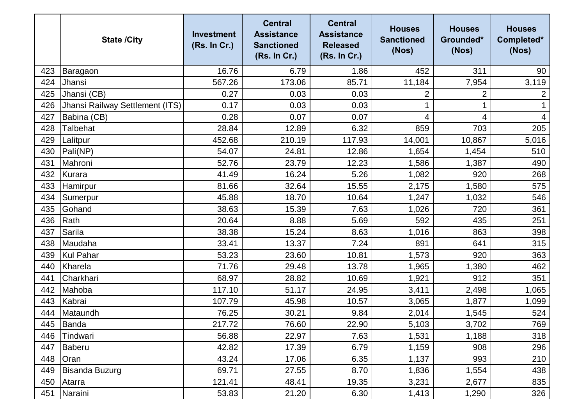|     | <b>State /City</b>              | <b>Investment</b><br>(Rs. In Cr.) | <b>Central</b><br><b>Assistance</b><br><b>Sanctioned</b><br>(Rs. In Cr.) | <b>Central</b><br><b>Assistance</b><br><b>Released</b><br>(Rs. In Cr.) | <b>Houses</b><br><b>Sanctioned</b><br>(Nos) | <b>Houses</b><br>Grounded*<br>(Nos) | <b>Houses</b><br>Completed*<br>(Nos) |
|-----|---------------------------------|-----------------------------------|--------------------------------------------------------------------------|------------------------------------------------------------------------|---------------------------------------------|-------------------------------------|--------------------------------------|
| 423 | Baragaon                        | 16.76                             | 6.79                                                                     | 1.86                                                                   | 452                                         | 311                                 | 90                                   |
| 424 | Jhansi                          | 567.26                            | 173.06                                                                   | 85.71                                                                  | 11,184                                      | 7,954                               | 3,119                                |
| 425 | Jhansi (CB)                     | 0.27                              | 0.03                                                                     | 0.03                                                                   | 2                                           | 2                                   |                                      |
| 426 | Jhansi Railway Settlement (ITS) | 0.17                              | 0.03                                                                     | 0.03                                                                   |                                             |                                     |                                      |
| 427 | Babina (CB)                     | 0.28                              | 0.07                                                                     | 0.07                                                                   | 4                                           | 4                                   | $\overline{4}$                       |
| 428 | <b>Talbehat</b>                 | 28.84                             | 12.89                                                                    | 6.32                                                                   | 859                                         | 703                                 | 205                                  |
| 429 | Lalitpur                        | 452.68                            | 210.19                                                                   | 117.93                                                                 | 14,001                                      | 10,867                              | 5,016                                |
| 430 | Pali(NP)                        | 54.07                             | 24.81                                                                    | 12.86                                                                  | 1,654                                       | 1,454                               | 510                                  |
| 431 | Mahroni                         | 52.76                             | 23.79                                                                    | 12.23                                                                  | 1,586                                       | 1,387                               | 490                                  |
| 432 | Kurara                          | 41.49                             | 16.24                                                                    | 5.26                                                                   | 1,082                                       | 920                                 | 268                                  |
| 433 | Hamirpur                        | 81.66                             | 32.64                                                                    | 15.55                                                                  | 2,175                                       | 1,580                               | 575                                  |
| 434 | Sumerpur                        | 45.88                             | 18.70                                                                    | 10.64                                                                  | 1,247                                       | 1,032                               | 546                                  |
| 435 | Gohand                          | 38.63                             | 15.39                                                                    | 7.63                                                                   | 1,026                                       | 720                                 | 361                                  |
| 436 | Rath                            | 20.64                             | 8.88                                                                     | 5.69                                                                   | 592                                         | 435                                 | 251                                  |
| 437 | Sarila                          | 38.38                             | 15.24                                                                    | 8.63                                                                   | 1,016                                       | 863                                 | 398                                  |
| 438 | Maudaha                         | 33.41                             | 13.37                                                                    | 7.24                                                                   | 891                                         | 641                                 | 315                                  |
| 439 | Kul Pahar                       | 53.23                             | 23.60                                                                    | 10.81                                                                  | 1,573                                       | 920                                 | 363                                  |
| 440 | Kharela                         | 71.76                             | 29.48                                                                    | 13.78                                                                  | 1,965                                       | 1,380                               | 462                                  |
| 441 | Charkhari                       | 68.97                             | 28.82                                                                    | 10.69                                                                  | 1,921                                       | 912                                 | 351                                  |
| 442 | Mahoba                          | 117.10                            | 51.17                                                                    | 24.95                                                                  | 3,411                                       | 2,498                               | 1,065                                |
| 443 | Kabrai                          | 107.79                            | 45.98                                                                    | 10.57                                                                  | 3,065                                       | 1,877                               | 1,099                                |
| 444 | Mataundh                        | 76.25                             | 30.21                                                                    | 9.84                                                                   | 2,014                                       | 1,545                               | 524                                  |
|     | 445 Banda                       | 217.72                            | 76.60                                                                    | 22.90                                                                  | 5,103                                       | 3,702                               | 769                                  |
| 446 | Tindwari                        | 56.88                             | 22.97                                                                    | 7.63                                                                   | 1,531                                       | 1,188                               | 318                                  |
| 447 | Baberu                          | 42.82                             | 17.39                                                                    | 6.79                                                                   | 1,159                                       | 908                                 | 296                                  |
| 448 | <b>Oran</b>                     | 43.24                             | 17.06                                                                    | 6.35                                                                   | 1,137                                       | 993                                 | 210                                  |
| 449 | <b>Bisanda Buzurg</b>           | 69.71                             | 27.55                                                                    | 8.70                                                                   | 1,836                                       | 1,554                               | 438                                  |
| 450 | Atarra                          | 121.41                            | 48.41                                                                    | 19.35                                                                  | 3,231                                       | 2,677                               | 835                                  |
| 451 | Naraini                         | 53.83                             | 21.20                                                                    | 6.30                                                                   | 1,413                                       | 1,290                               | 326                                  |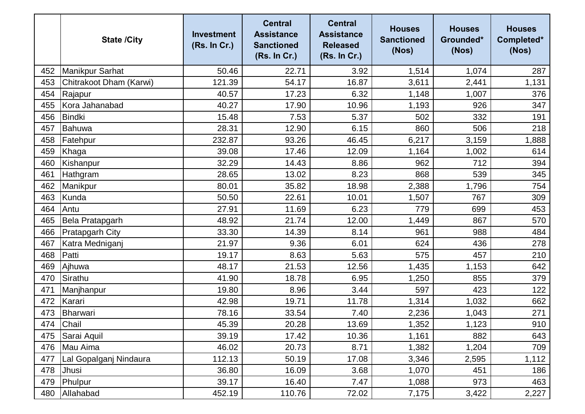|     | <b>State /City</b>      | <b>Investment</b><br>(Rs. In Cr.) | <b>Central</b><br><b>Assistance</b><br><b>Sanctioned</b><br>(Rs. In Cr.) | <b>Central</b><br><b>Assistance</b><br><b>Released</b><br>(Rs. In Cr.) | <b>Houses</b><br><b>Sanctioned</b><br>(Nos) | <b>Houses</b><br>Grounded*<br>(Nos) | <b>Houses</b><br>Completed*<br>(Nos) |
|-----|-------------------------|-----------------------------------|--------------------------------------------------------------------------|------------------------------------------------------------------------|---------------------------------------------|-------------------------------------|--------------------------------------|
| 452 | Manikpur Sarhat         | 50.46                             | 22.71                                                                    | 3.92                                                                   | 1,514                                       | 1,074                               | 287                                  |
| 453 | Chitrakoot Dham (Karwi) | 121.39                            | 54.17                                                                    | 16.87                                                                  | 3,611                                       | 2,441                               | 1,131                                |
| 454 | Rajapur                 | 40.57                             | 17.23                                                                    | 6.32                                                                   | 1,148                                       | 1,007                               | 376                                  |
| 455 | Kora Jahanabad          | 40.27                             | 17.90                                                                    | 10.96                                                                  | 1,193                                       | 926                                 | 347                                  |
| 456 | <b>Bindki</b>           | 15.48                             | 7.53                                                                     | 5.37                                                                   | 502                                         | 332                                 | 191                                  |
| 457 | Bahuwa                  | 28.31                             | 12.90                                                                    | 6.15                                                                   | 860                                         | 506                                 | 218                                  |
| 458 | Fatehpur                | 232.87                            | 93.26                                                                    | 46.45                                                                  | 6,217                                       | 3,159                               | 1,888                                |
| 459 | Khaga                   | 39.08                             | 17.46                                                                    | 12.09                                                                  | 1,164                                       | 1,002                               | 614                                  |
| 460 | Kishanpur               | 32.29                             | 14.43                                                                    | 8.86                                                                   | 962                                         | 712                                 | 394                                  |
| 461 | Hathgram                | 28.65                             | 13.02                                                                    | 8.23                                                                   | 868                                         | 539                                 | 345                                  |
| 462 | Manikpur                | 80.01                             | 35.82                                                                    | 18.98                                                                  | 2,388                                       | 1,796                               | 754                                  |
| 463 | Kunda                   | 50.50                             | 22.61                                                                    | 10.01                                                                  | 1,507                                       | 767                                 | 309                                  |
| 464 | Antu                    | 27.91                             | 11.69                                                                    | 6.23                                                                   | 779                                         | 699                                 | 453                                  |
| 465 | Bela Pratapgarh         | 48.92                             | 21.74                                                                    | 12.00                                                                  | 1,449                                       | 867                                 | 570                                  |
| 466 | <b>Pratapgarh City</b>  | 33.30                             | 14.39                                                                    | 8.14                                                                   | 961                                         | 988                                 | 484                                  |
| 467 | Katra Medniganj         | 21.97                             | 9.36                                                                     | 6.01                                                                   | 624                                         | 436                                 | 278                                  |
| 468 | Patti                   | 19.17                             | 8.63                                                                     | 5.63                                                                   | 575                                         | 457                                 | 210                                  |
| 469 | Ajhuwa                  | 48.17                             | 21.53                                                                    | 12.56                                                                  | 1,435                                       | 1,153                               | 642                                  |
| 470 | Sirathu                 | 41.90                             | 18.78                                                                    | 6.95                                                                   | 1,250                                       | 855                                 | 379                                  |
| 471 | Manjhanpur              | 19.80                             | 8.96                                                                     | 3.44                                                                   | 597                                         | 423                                 | 122                                  |
| 472 | Karari                  | 42.98                             | 19.71                                                                    | 11.78                                                                  | 1,314                                       | 1,032                               | 662                                  |
| 473 | Bharwari                | 78.16                             | 33.54                                                                    | 7.40                                                                   | 2,236                                       | 1,043                               | 271                                  |
| 474 | Chail                   | 45.39                             | 20.28                                                                    | 13.69                                                                  | 1,352                                       | 1,123                               | 910                                  |
| 475 | Sarai Aquil             | 39.19                             | 17.42                                                                    | 10.36                                                                  | 1,161                                       | 882                                 | 643                                  |
| 476 | Mau Aima                | 46.02                             | 20.73                                                                    | 8.71                                                                   | 1,382                                       | 1,204                               | 709                                  |
| 477 | Lal Gopalganj Nindaura  | 112.13                            | 50.19                                                                    | 17.08                                                                  | 3,346                                       | 2,595                               | 1,112                                |
| 478 | Jhusi                   | 36.80                             | 16.09                                                                    | 3.68                                                                   | 1,070                                       | 451                                 | 186                                  |
| 479 | Phulpur                 | 39.17                             | 16.40                                                                    | 7.47                                                                   | 1,088                                       | 973                                 | 463                                  |
| 480 | Allahabad               | 452.19                            | 110.76                                                                   | 72.02                                                                  | 7,175                                       | 3,422                               | 2,227                                |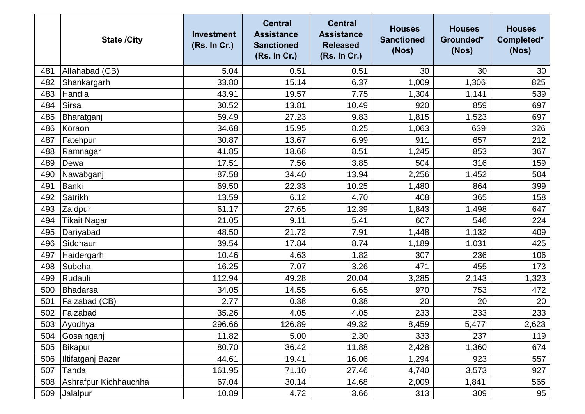|     | <b>State /City</b>    | <b>Investment</b><br>(Rs. In Cr.) | <b>Central</b><br><b>Assistance</b><br><b>Sanctioned</b><br>(Rs. In Cr.) | <b>Central</b><br><b>Assistance</b><br><b>Released</b><br>(Rs. In Cr.) | <b>Houses</b><br><b>Sanctioned</b><br>(Nos) | <b>Houses</b><br>Grounded*<br>(Nos) | <b>Houses</b><br>Completed*<br>(Nos) |
|-----|-----------------------|-----------------------------------|--------------------------------------------------------------------------|------------------------------------------------------------------------|---------------------------------------------|-------------------------------------|--------------------------------------|
| 481 | Allahabad (CB)        | 5.04                              | 0.51                                                                     | 0.51                                                                   | 30                                          | 30                                  | 30                                   |
| 482 | Shankargarh           | 33.80                             | 15.14                                                                    | 6.37                                                                   | 1,009                                       | 1,306                               | 825                                  |
| 483 | Handia                | 43.91                             | 19.57                                                                    | 7.75                                                                   | 1,304                                       | 1,141                               | 539                                  |
| 484 | <b>Sirsa</b>          | 30.52                             | 13.81                                                                    | 10.49                                                                  | 920                                         | 859                                 | 697                                  |
| 485 | Bharatganj            | 59.49                             | 27.23                                                                    | 9.83                                                                   | 1,815                                       | 1,523                               | 697                                  |
| 486 | Koraon                | 34.68                             | 15.95                                                                    | 8.25                                                                   | 1,063                                       | 639                                 | 326                                  |
| 487 | Fatehpur              | 30.87                             | 13.67                                                                    | 6.99                                                                   | 911                                         | 657                                 | 212                                  |
| 488 | Ramnagar              | 41.85                             | 18.68                                                                    | 8.51                                                                   | 1,245                                       | 853                                 | 367                                  |
| 489 | Dewa                  | 17.51                             | 7.56                                                                     | 3.85                                                                   | 504                                         | 316                                 | 159                                  |
| 490 | Nawabganj             | 87.58                             | 34.40                                                                    | 13.94                                                                  | 2,256                                       | 1,452                               | 504                                  |
| 491 | <b>Banki</b>          | 69.50                             | 22.33                                                                    | 10.25                                                                  | 1,480                                       | 864                                 | 399                                  |
| 492 | <b>Satrikh</b>        | 13.59                             | 6.12                                                                     | 4.70                                                                   | 408                                         | 365                                 | 158                                  |
| 493 | Zaidpur               | 61.17                             | 27.65                                                                    | 12.39                                                                  | 1,843                                       | 1,498                               | 647                                  |
| 494 | <b>Tikait Nagar</b>   | 21.05                             | 9.11                                                                     | 5.41                                                                   | 607                                         | 546                                 | 224                                  |
| 495 | Dariyabad             | 48.50                             | 21.72                                                                    | 7.91                                                                   | 1,448                                       | 1,132                               | 409                                  |
| 496 | Siddhaur              | 39.54                             | 17.84                                                                    | 8.74                                                                   | 1,189                                       | 1,031                               | 425                                  |
| 497 | Haidergarh            | 10.46                             | 4.63                                                                     | 1.82                                                                   | 307                                         | 236                                 | 106                                  |
| 498 | Subeha                | 16.25                             | 7.07                                                                     | 3.26                                                                   | 471                                         | 455                                 | 173                                  |
| 499 | Rudauli               | 112.94                            | 49.28                                                                    | 20.04                                                                  | 3,285                                       | 2,143                               | 1,323                                |
| 500 | Bhadarsa              | 34.05                             | 14.55                                                                    | 6.65                                                                   | 970                                         | 753                                 | 472                                  |
| 501 | Faizabad (CB)         | 2.77                              | 0.38                                                                     | 0.38                                                                   | 20                                          | 20                                  | 20                                   |
| 502 | Faizabad              | 35.26                             | 4.05                                                                     | 4.05                                                                   | 233                                         | 233                                 | 233                                  |
| 503 | Ayodhya               | 296.66                            | 126.89                                                                   | 49.32                                                                  | 8,459                                       | 5,477                               | 2,623                                |
| 504 | Gosainganj            | 11.82                             | 5.00                                                                     | 2.30                                                                   | 333                                         | 237                                 | 119                                  |
| 505 | Bikapur               | 80.70                             | 36.42                                                                    | 11.88                                                                  | 2,428                                       | 1,360                               | 674                                  |
| 506 | Iltifatganj Bazar     | 44.61                             | 19.41                                                                    | 16.06                                                                  | 1,294                                       | 923                                 | 557                                  |
| 507 | Tanda                 | 161.95                            | 71.10                                                                    | 27.46                                                                  | 4,740                                       | 3,573                               | 927                                  |
| 508 | Ashrafpur Kichhauchha | 67.04                             | 30.14                                                                    | 14.68                                                                  | 2,009                                       | 1,841                               | 565                                  |
| 509 | Jalalpur              | 10.89                             | 4.72                                                                     | 3.66                                                                   | 313                                         | 309                                 | 95                                   |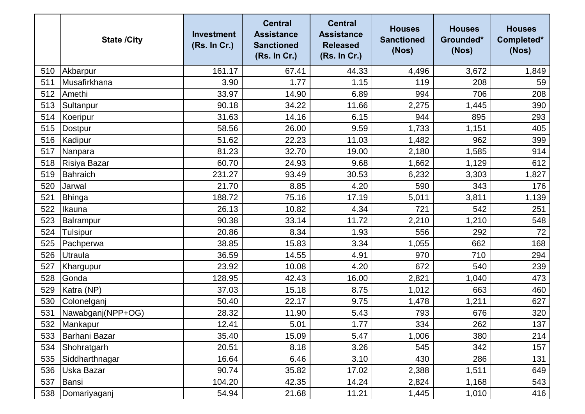|     | <b>State /City</b> | <b>Investment</b><br>(Rs. In Cr.) | <b>Central</b><br><b>Assistance</b><br><b>Sanctioned</b><br>(Rs. In Cr.) | <b>Central</b><br><b>Assistance</b><br><b>Released</b><br>(Rs. In Cr.) | <b>Houses</b><br><b>Sanctioned</b><br>(Nos) | <b>Houses</b><br>Grounded*<br>(Nos) | <b>Houses</b><br>Completed*<br>(Nos) |
|-----|--------------------|-----------------------------------|--------------------------------------------------------------------------|------------------------------------------------------------------------|---------------------------------------------|-------------------------------------|--------------------------------------|
| 510 | Akbarpur           | 161.17                            | 67.41                                                                    | 44.33                                                                  | 4,496                                       | 3,672                               | 1,849                                |
| 511 | Musafirkhana       | 3.90                              | 1.77                                                                     | 1.15                                                                   | 119                                         | 208                                 | 59                                   |
| 512 | Amethi             | 33.97                             | 14.90                                                                    | 6.89                                                                   | 994                                         | 706                                 | 208                                  |
| 513 | Sultanpur          | 90.18                             | 34.22                                                                    | 11.66                                                                  | 2,275                                       | 1,445                               | 390                                  |
| 514 | Koeripur           | 31.63                             | 14.16                                                                    | 6.15                                                                   | 944                                         | 895                                 | 293                                  |
| 515 | <b>Dostpur</b>     | 58.56                             | 26.00                                                                    | 9.59                                                                   | 1,733                                       | 1,151                               | 405                                  |
| 516 | Kadipur            | 51.62                             | 22.23                                                                    | 11.03                                                                  | 1,482                                       | 962                                 | 399                                  |
| 517 | Nanpara            | 81.23                             | 32.70                                                                    | 19.00                                                                  | 2,180                                       | 1,585                               | 914                                  |
| 518 | Risiya Bazar       | 60.70                             | 24.93                                                                    | 9.68                                                                   | 1,662                                       | 1,129                               | 612                                  |
| 519 | Bahraich           | 231.27                            | 93.49                                                                    | 30.53                                                                  | 6,232                                       | 3,303                               | 1,827                                |
| 520 | Jarwal             | 21.70                             | 8.85                                                                     | 4.20                                                                   | 590                                         | 343                                 | 176                                  |
| 521 | Bhinga             | 188.72                            | 75.16                                                                    | 17.19                                                                  | 5,011                                       | 3,811                               | 1,139                                |
| 522 | Ikauna             | 26.13                             | 10.82                                                                    | 4.34                                                                   | 721                                         | 542                                 | 251                                  |
| 523 | Balrampur          | 90.38                             | 33.14                                                                    | 11.72                                                                  | 2,210                                       | 1,210                               | 548                                  |
| 524 | <b>Tulsipur</b>    | 20.86                             | 8.34                                                                     | 1.93                                                                   | 556                                         | 292                                 | 72                                   |
| 525 | Pachperwa          | 38.85                             | 15.83                                                                    | 3.34                                                                   | 1,055                                       | 662                                 | 168                                  |
| 526 | Utraula            | 36.59                             | 14.55                                                                    | 4.91                                                                   | 970                                         | 710                                 | 294                                  |
| 527 | Khargupur          | 23.92                             | 10.08                                                                    | 4.20                                                                   | 672                                         | 540                                 | 239                                  |
| 528 | Gonda              | 128.95                            | 42.43                                                                    | 16.00                                                                  | 2,821                                       | 1,040                               | 473                                  |
| 529 | Katra (NP)         | 37.03                             | 15.18                                                                    | 8.75                                                                   | 1,012                                       | 663                                 | 460                                  |
| 530 | Colonelganj        | 50.40                             | 22.17                                                                    | 9.75                                                                   | 1,478                                       | 1,211                               | 627                                  |
| 531 | Nawabganj(NPP+OG)  | 28.32                             | 11.90                                                                    | 5.43                                                                   | 793                                         | 676                                 | 320                                  |
| 532 | Mankapur           | 12.41                             | 5.01                                                                     | 1.77                                                                   | 334                                         | 262                                 | 137                                  |
| 533 | Barhani Bazar      | 35.40                             | 15.09                                                                    | 5.47                                                                   | 1,006                                       | 380                                 | 214                                  |
| 534 | Shohratgarh        | 20.51                             | 8.18                                                                     | 3.26                                                                   | 545                                         | 342                                 | 157                                  |
| 535 | Siddharthnagar     | 16.64                             | 6.46                                                                     | 3.10                                                                   | 430                                         | 286                                 | 131                                  |
| 536 | Uska Bazar         | 90.74                             | 35.82                                                                    | 17.02                                                                  | 2,388                                       | 1,511                               | 649                                  |
| 537 | Bansi              | 104.20                            | 42.35                                                                    | 14.24                                                                  | 2,824                                       | 1,168                               | 543                                  |
| 538 | Domariyaganj       | 54.94                             | 21.68                                                                    | 11.21                                                                  | 1,445                                       | 1,010                               | 416                                  |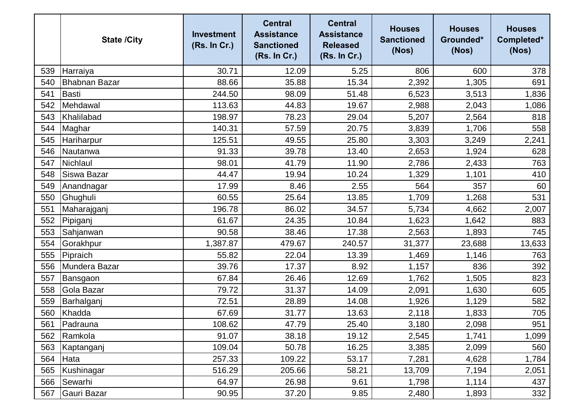|     | <b>State /City</b>   | <b>Investment</b><br>(Rs. In Cr.) | <b>Central</b><br><b>Assistance</b><br><b>Sanctioned</b><br>(Rs. In Cr.) | <b>Central</b><br><b>Assistance</b><br><b>Released</b><br>(Rs. In Cr.) | <b>Houses</b><br><b>Sanctioned</b><br>(Nos) | <b>Houses</b><br>Grounded*<br>(Nos) | <b>Houses</b><br>Completed*<br>(Nos) |
|-----|----------------------|-----------------------------------|--------------------------------------------------------------------------|------------------------------------------------------------------------|---------------------------------------------|-------------------------------------|--------------------------------------|
| 539 | Harraiya             | 30.71                             | 12.09                                                                    | 5.25                                                                   | 806                                         | 600                                 | 378                                  |
| 540 | <b>Bhabnan Bazar</b> | 88.66                             | 35.88                                                                    | 15.34                                                                  | 2,392                                       | 1,305                               | 691                                  |
| 541 | Basti                | 244.50                            | 98.09                                                                    | 51.48                                                                  | 6,523                                       | 3,513                               | 1,836                                |
| 542 | Mehdawal             | 113.63                            | 44.83                                                                    | 19.67                                                                  | 2,988                                       | 2,043                               | 1,086                                |
| 543 | Khalilabad           | 198.97                            | 78.23                                                                    | 29.04                                                                  | 5,207                                       | 2,564                               | 818                                  |
| 544 | Maghar               | 140.31                            | 57.59                                                                    | 20.75                                                                  | 3,839                                       | 1,706                               | 558                                  |
| 545 | <b>Hariharpur</b>    | 125.51                            | 49.55                                                                    | 25.80                                                                  | 3,303                                       | 3,249                               | 2,241                                |
| 546 | Nautanwa             | 91.33                             | 39.78                                                                    | 13.40                                                                  | 2,653                                       | 1,924                               | 628                                  |
| 547 | Nichlaul             | 98.01                             | 41.79                                                                    | 11.90                                                                  | 2,786                                       | 2,433                               | 763                                  |
| 548 | Siswa Bazar          | 44.47                             | 19.94                                                                    | 10.24                                                                  | 1,329                                       | 1,101                               | 410                                  |
| 549 | Anandnagar           | 17.99                             | 8.46                                                                     | 2.55                                                                   | 564                                         | 357                                 | 60                                   |
| 550 | Ghughuli             | 60.55                             | 25.64                                                                    | 13.85                                                                  | 1,709                                       | 1,268                               | 531                                  |
| 551 | Maharajganj          | 196.78                            | 86.02                                                                    | 34.57                                                                  | 5,734                                       | 4,662                               | 2,007                                |
| 552 | Pipiganj             | 61.67                             | 24.35                                                                    | 10.84                                                                  | 1,623                                       | 1,642                               | 883                                  |
| 553 | Sahjanwan            | 90.58                             | 38.46                                                                    | 17.38                                                                  | 2,563                                       | 1,893                               | 745                                  |
| 554 | Gorakhpur            | 1,387.87                          | 479.67                                                                   | 240.57                                                                 | 31,377                                      | 23,688                              | 13,633                               |
| 555 | Pipraich             | 55.82                             | 22.04                                                                    | 13.39                                                                  | 1,469                                       | 1,146                               | 763                                  |
| 556 | Mundera Bazar        | 39.76                             | 17.37                                                                    | 8.92                                                                   | 1,157                                       | 836                                 | 392                                  |
| 557 | Bansgaon             | 67.84                             | 26.46                                                                    | 12.69                                                                  | 1,762                                       | 1,505                               | 823                                  |
| 558 | Gola Bazar           | 79.72                             | 31.37                                                                    | 14.09                                                                  | 2,091                                       | 1,630                               | 605                                  |
| 559 | Barhalganj           | 72.51                             | 28.89                                                                    | 14.08                                                                  | 1,926                                       | 1,129                               | 582                                  |
| 560 | Khadda               | 67.69                             | 31.77                                                                    | 13.63                                                                  | 2,118                                       | 1,833                               | 705                                  |
| 561 | Padrauna             | 108.62                            | 47.79                                                                    | 25.40                                                                  | 3,180                                       | 2,098                               | 951                                  |
| 562 | Ramkola              | 91.07                             | 38.18                                                                    | 19.12                                                                  | 2,545                                       | 1,741                               | 1,099                                |
| 563 | Kaptanganj           | 109.04                            | 50.78                                                                    | 16.25                                                                  | 3,385                                       | 2,099                               | 560                                  |
| 564 | Hata                 | 257.33                            | 109.22                                                                   | 53.17                                                                  | 7,281                                       | 4,628                               | 1,784                                |
| 565 | Kushinagar           | 516.29                            | 205.66                                                                   | 58.21                                                                  | 13,709                                      | 7,194                               | 2,051                                |
| 566 | Sewarhi              | 64.97                             | 26.98                                                                    | 9.61                                                                   | 1,798                                       | 1,114                               | 437                                  |
| 567 | Gauri Bazar          | 90.95                             | 37.20                                                                    | 9.85                                                                   | 2,480                                       | 1,893                               | 332                                  |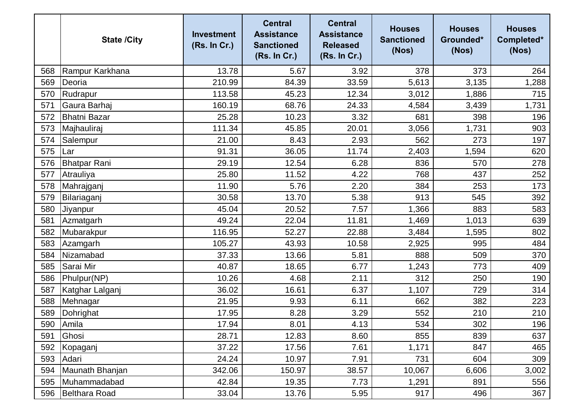|     | <b>State /City</b>  | <b>Investment</b><br>(Rs. In Cr.) | <b>Central</b><br><b>Assistance</b><br><b>Sanctioned</b><br>(Rs. In Cr.) | <b>Central</b><br><b>Assistance</b><br><b>Released</b><br>(Rs. In Cr.) | <b>Houses</b><br><b>Sanctioned</b><br>(Nos) | <b>Houses</b><br>Grounded*<br>(Nos) | <b>Houses</b><br>Completed*<br>(Nos) |
|-----|---------------------|-----------------------------------|--------------------------------------------------------------------------|------------------------------------------------------------------------|---------------------------------------------|-------------------------------------|--------------------------------------|
| 568 | Rampur Karkhana     | 13.78                             | 5.67                                                                     | 3.92                                                                   | 378                                         | 373                                 | 264                                  |
| 569 | Deoria              | 210.99                            | 84.39                                                                    | 33.59                                                                  | 5,613                                       | 3,135                               | 1,288                                |
| 570 | Rudrapur            | 113.58                            | 45.23                                                                    | 12.34                                                                  | 3,012                                       | 1,886                               | 715                                  |
| 571 | Gaura Barhaj        | 160.19                            | 68.76                                                                    | 24.33                                                                  | 4,584                                       | 3,439                               | 1,731                                |
| 572 | <b>Bhatni Bazar</b> | 25.28                             | 10.23                                                                    | 3.32                                                                   | 681                                         | 398                                 | 196                                  |
| 573 | Majhauliraj         | 111.34                            | 45.85                                                                    | 20.01                                                                  | 3,056                                       | 1,731                               | 903                                  |
| 574 | Salempur            | 21.00                             | 8.43                                                                     | 2.93                                                                   | 562                                         | 273                                 | 197                                  |
| 575 | Lar                 | 91.31                             | 36.05                                                                    | 11.74                                                                  | 2,403                                       | 1,594                               | 620                                  |
| 576 | <b>Bhatpar Rani</b> | 29.19                             | 12.54                                                                    | 6.28                                                                   | 836                                         | 570                                 | 278                                  |
| 577 | Atrauliya           | 25.80                             | 11.52                                                                    | 4.22                                                                   | 768                                         | 437                                 | 252                                  |
| 578 | Mahrajganj          | 11.90                             | 5.76                                                                     | 2.20                                                                   | 384                                         | 253                                 | 173                                  |
| 579 | Bilariaganj         | 30.58                             | 13.70                                                                    | 5.38                                                                   | 913                                         | 545                                 | 392                                  |
| 580 | Jiyanpur            | 45.04                             | 20.52                                                                    | 7.57                                                                   | 1,366                                       | 883                                 | 583                                  |
| 581 | Azmatgarh           | 49.24                             | 22.04                                                                    | 11.81                                                                  | 1,469                                       | 1,013                               | 639                                  |
| 582 | Mubarakpur          | 116.95                            | 52.27                                                                    | 22.88                                                                  | 3,484                                       | 1,595                               | 802                                  |
| 583 | Azamgarh            | 105.27                            | 43.93                                                                    | 10.58                                                                  | 2,925                                       | 995                                 | 484                                  |
| 584 | Nizamabad           | 37.33                             | 13.66                                                                    | 5.81                                                                   | 888                                         | 509                                 | 370                                  |
| 585 | Sarai Mir           | 40.87                             | 18.65                                                                    | 6.77                                                                   | 1,243                                       | 773                                 | 409                                  |
| 586 | Phulpur(NP)         | 10.26                             | 4.68                                                                     | 2.11                                                                   | 312                                         | 250                                 | 190                                  |
| 587 | Katghar Lalganj     | 36.02                             | 16.61                                                                    | 6.37                                                                   | 1,107                                       | 729                                 | 314                                  |
| 588 | Mehnagar            | 21.95                             | 9.93                                                                     | 6.11                                                                   | 662                                         | 382                                 | 223                                  |
| 589 | Dohrighat           | 17.95                             | 8.28                                                                     | 3.29                                                                   | 552                                         | 210                                 | 210                                  |
|     | 590 Amila           | 17.94                             | 8.01                                                                     | 4.13                                                                   | 534                                         | 302                                 | 196                                  |
| 591 | Ghosi               | 28.71                             | 12.83                                                                    | 8.60                                                                   | 855                                         | 839                                 | 637                                  |
| 592 | Kopaganj            | 37.22                             | 17.56                                                                    | 7.61                                                                   | 1,171                                       | 847                                 | 465                                  |
| 593 | Adari               | 24.24                             | 10.97                                                                    | 7.91                                                                   | 731                                         | 604                                 | 309                                  |
| 594 | Maunath Bhanjan     | 342.06                            | 150.97                                                                   | 38.57                                                                  | 10,067                                      | 6,606                               | 3,002                                |
| 595 | Muhammadabad        | 42.84                             | 19.35                                                                    | 7.73                                                                   | 1,291                                       | 891                                 | 556                                  |
| 596 | Belthara Road       | 33.04                             | 13.76                                                                    | 5.95                                                                   | 917                                         | 496                                 | 367                                  |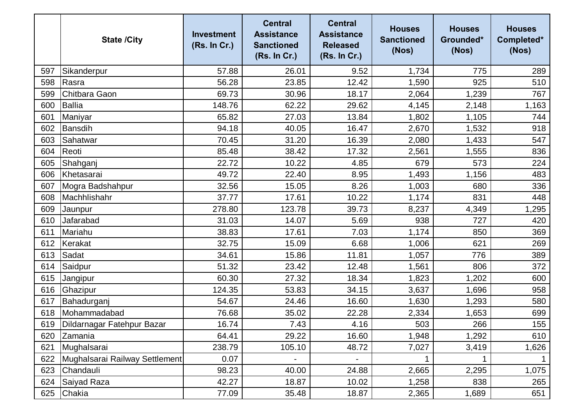|     | <b>State /City</b>             | <b>Investment</b><br>(Rs. In Cr.) | <b>Central</b><br><b>Assistance</b><br><b>Sanctioned</b><br>(Rs. In Cr.) | <b>Central</b><br><b>Assistance</b><br><b>Released</b><br>(Rs. In Cr.) | <b>Houses</b><br><b>Sanctioned</b><br>(Nos) | <b>Houses</b><br>Grounded*<br>(Nos) | <b>Houses</b><br>Completed*<br>(Nos) |
|-----|--------------------------------|-----------------------------------|--------------------------------------------------------------------------|------------------------------------------------------------------------|---------------------------------------------|-------------------------------------|--------------------------------------|
| 597 | Sikanderpur                    | 57.88                             | 26.01                                                                    | 9.52                                                                   | 1,734                                       | 775                                 | 289                                  |
| 598 | Rasra                          | 56.28                             | 23.85                                                                    | 12.42                                                                  | 1,590                                       | 925                                 | 510                                  |
| 599 | Chitbara Gaon                  | 69.73                             | 30.96                                                                    | 18.17                                                                  | 2,064                                       | 1,239                               | 767                                  |
| 600 | <b>Ballia</b>                  | 148.76                            | 62.22                                                                    | 29.62                                                                  | 4,145                                       | 2,148                               | 1,163                                |
| 601 | Maniyar                        | 65.82                             | 27.03                                                                    | 13.84                                                                  | 1,802                                       | 1,105                               | 744                                  |
| 602 | Bansdih                        | 94.18                             | 40.05                                                                    | 16.47                                                                  | 2,670                                       | 1,532                               | 918                                  |
| 603 | Sahatwar                       | 70.45                             | 31.20                                                                    | 16.39                                                                  | 2,080                                       | 1,433                               | 547                                  |
| 604 | Reoti                          | 85.48                             | 38.42                                                                    | 17.32                                                                  | 2,561                                       | 1,555                               | 836                                  |
| 605 | Shahganj                       | 22.72                             | 10.22                                                                    | 4.85                                                                   | 679                                         | 573                                 | 224                                  |
| 606 | Khetasarai                     | 49.72                             | 22.40                                                                    | 8.95                                                                   | 1,493                                       | 1,156                               | 483                                  |
| 607 | Mogra Badshahpur               | 32.56                             | 15.05                                                                    | 8.26                                                                   | 1,003                                       | 680                                 | 336                                  |
| 608 | Machhlishahr                   | 37.77                             | 17.61                                                                    | 10.22                                                                  | 1,174                                       | 831                                 | 448                                  |
| 609 | Jaunpur                        | 278.80                            | 123.78                                                                   | 39.73                                                                  | 8,237                                       | 4,349                               | 1,295                                |
| 610 | Jafarabad                      | 31.03                             | 14.07                                                                    | 5.69                                                                   | 938                                         | 727                                 | 420                                  |
| 611 | Mariahu                        | 38.83                             | 17.61                                                                    | 7.03                                                                   | 1,174                                       | 850                                 | 369                                  |
| 612 | Kerakat                        | 32.75                             | 15.09                                                                    | 6.68                                                                   | 1,006                                       | 621                                 | 269                                  |
| 613 | Sadat                          | 34.61                             | 15.86                                                                    | 11.81                                                                  | 1,057                                       | 776                                 | 389                                  |
| 614 | Saidpur                        | 51.32                             | 23.42                                                                    | 12.48                                                                  | 1,561                                       | 806                                 | 372                                  |
| 615 | Jangipur                       | 60.30                             | 27.32                                                                    | 18.34                                                                  | 1,823                                       | 1,202                               | 600                                  |
| 616 | Ghazipur                       | 124.35                            | 53.83                                                                    | 34.15                                                                  | 3,637                                       | 1,696                               | 958                                  |
| 617 | Bahadurganj                    | 54.67                             | 24.46                                                                    | 16.60                                                                  | 1,630                                       | 1,293                               | 580                                  |
| 618 | Mohammadabad                   | 76.68                             | 35.02                                                                    | 22.28                                                                  | 2,334                                       | 1,653                               | 699                                  |
| 619 | Dildarnagar Fatehpur Bazar     | 16.74                             | 7.43                                                                     | 4.16                                                                   | 503                                         | 266                                 | 155                                  |
| 620 | Zamania                        | 64.41                             | 29.22                                                                    | 16.60                                                                  | 1,948                                       | 1,292                               | 610                                  |
| 621 | Mughalsarai                    | 238.79                            | 105.10                                                                   | 48.72                                                                  | 7,027                                       | 3,419                               | 1,626                                |
| 622 | Mughalsarai Railway Settlement | 0.07                              |                                                                          |                                                                        |                                             |                                     |                                      |
| 623 | Chandauli                      | 98.23                             | 40.00                                                                    | 24.88                                                                  | 2,665                                       | 2,295                               | 1,075                                |
| 624 | Saiyad Raza                    | 42.27                             | 18.87                                                                    | 10.02                                                                  | 1,258                                       | 838                                 | 265                                  |
| 625 | Chakia                         | 77.09                             | 35.48                                                                    | 18.87                                                                  | 2,365                                       | 1,689                               | 651                                  |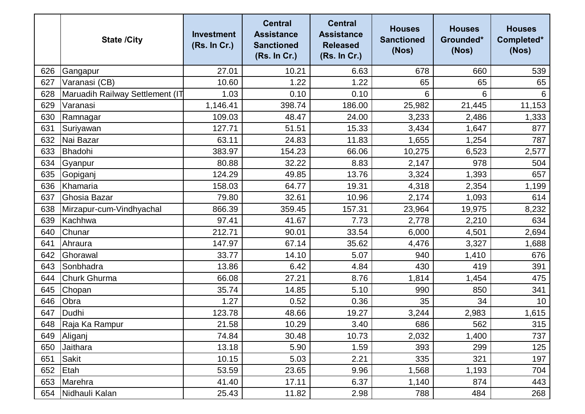|     | <b>State /City</b>              | <b>Investment</b><br>(Rs. In Cr.) | <b>Central</b><br><b>Assistance</b><br><b>Sanctioned</b><br>(Rs. In Cr.) | <b>Central</b><br><b>Assistance</b><br><b>Released</b><br>(Rs. In Cr.) | <b>Houses</b><br><b>Sanctioned</b><br>(Nos) | <b>Houses</b><br>Grounded*<br>(Nos) | <b>Houses</b><br>Completed*<br>(Nos) |
|-----|---------------------------------|-----------------------------------|--------------------------------------------------------------------------|------------------------------------------------------------------------|---------------------------------------------|-------------------------------------|--------------------------------------|
| 626 | Gangapur                        | 27.01                             | 10.21                                                                    | 6.63                                                                   | 678                                         | 660                                 | 539                                  |
| 627 | Varanasi (CB)                   | 10.60                             | 1.22                                                                     | 1.22                                                                   | 65                                          | 65                                  | 65                                   |
| 628 | Maruadih Railway Settlement (IT | 1.03                              | 0.10                                                                     | 0.10                                                                   | 6                                           | 6                                   | 6                                    |
| 629 | Varanasi                        | 1,146.41                          | 398.74                                                                   | 186.00                                                                 | 25,982                                      | 21,445                              | 11,153                               |
| 630 | Ramnagar                        | 109.03                            | 48.47                                                                    | 24.00                                                                  | 3,233                                       | 2,486                               | 1,333                                |
| 631 | Suriyawan                       | 127.71                            | 51.51                                                                    | 15.33                                                                  | 3,434                                       | 1,647                               | 877                                  |
| 632 | Nai Bazar                       | 63.11                             | 24.83                                                                    | 11.83                                                                  | 1,655                                       | 1,254                               | 787                                  |
| 633 | Bhadohi                         | 383.97                            | 154.23                                                                   | 66.06                                                                  | 10,275                                      | 6,523                               | 2,577                                |
| 634 | Gyanpur                         | 80.88                             | 32.22                                                                    | 8.83                                                                   | 2,147                                       | 978                                 | 504                                  |
| 635 | Gopiganj                        | 124.29                            | 49.85                                                                    | 13.76                                                                  | 3,324                                       | 1,393                               | 657                                  |
| 636 | Khamaria                        | 158.03                            | 64.77                                                                    | 19.31                                                                  | 4,318                                       | 2,354                               | 1,199                                |
| 637 | Ghosia Bazar                    | 79.80                             | 32.61                                                                    | 10.96                                                                  | 2,174                                       | 1,093                               | 614                                  |
| 638 | Mirzapur-cum-Vindhyachal        | 866.39                            | 359.45                                                                   | 157.31                                                                 | 23,964                                      | 19,975                              | 8,232                                |
| 639 | Kachhwa                         | 97.41                             | 41.67                                                                    | 7.73                                                                   | 2,778                                       | 2,210                               | 634                                  |
| 640 | Chunar                          | 212.71                            | 90.01                                                                    | 33.54                                                                  | 6,000                                       | 4,501                               | 2,694                                |
| 641 | Ahraura                         | 147.97                            | 67.14                                                                    | 35.62                                                                  | 4,476                                       | 3,327                               | 1,688                                |
| 642 | Ghorawal                        | 33.77                             | 14.10                                                                    | 5.07                                                                   | 940                                         | 1,410                               | 676                                  |
| 643 | Sonbhadra                       | 13.86                             | 6.42                                                                     | 4.84                                                                   | 430                                         | 419                                 | 391                                  |
| 644 | <b>Churk Ghurma</b>             | 66.08                             | 27.21                                                                    | 8.76                                                                   | 1,814                                       | 1,454                               | 475                                  |
| 645 | Chopan                          | 35.74                             | 14.85                                                                    | 5.10                                                                   | 990                                         | 850                                 | 341                                  |
| 646 | Obra                            | 1.27                              | 0.52                                                                     | 0.36                                                                   | 35                                          | 34                                  | 10                                   |
| 647 | Dudhi                           | 123.78                            | 48.66                                                                    | 19.27                                                                  | 3,244                                       | 2,983                               | 1,615                                |
|     | 648 Raja Ka Rampur              | 21.58                             | 10.29                                                                    | 3.40                                                                   | 686                                         | 562                                 | 315                                  |
| 649 | Aliganj                         | 74.84                             | 30.48                                                                    | 10.73                                                                  | 2,032                                       | 1,400                               | 737                                  |
| 650 | Jaithara                        | 13.18                             | 5.90                                                                     | 1.59                                                                   | 393                                         | 299                                 | 125                                  |
| 651 | Sakit                           | 10.15                             | 5.03                                                                     | 2.21                                                                   | 335                                         | 321                                 | 197                                  |
| 652 | Etah                            | 53.59                             | 23.65                                                                    | 9.96                                                                   | 1,568                                       | 1,193                               | 704                                  |
| 653 | Marehra                         | 41.40                             | 17.11                                                                    | 6.37                                                                   | 1,140                                       | 874                                 | 443                                  |
| 654 | Nidhauli Kalan                  | 25.43                             | 11.82                                                                    | 2.98                                                                   | 788                                         | 484                                 | 268                                  |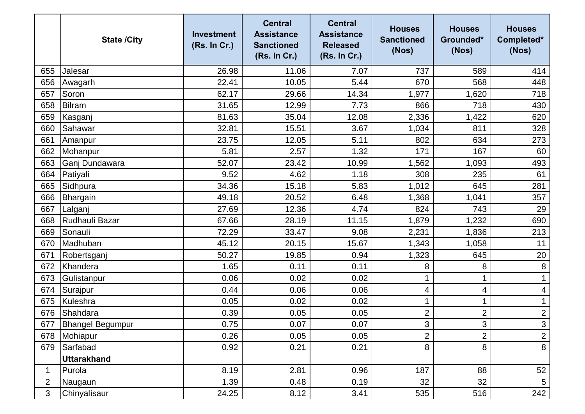|                | <b>State /City</b>      | <b>Investment</b><br>(Rs. In Cr.) | <b>Central</b><br><b>Assistance</b><br><b>Sanctioned</b><br>(Rs. In Cr.) | <b>Central</b><br><b>Assistance</b><br><b>Released</b><br>(Rs. In Cr.) | <b>Houses</b><br><b>Sanctioned</b><br>(Nos) | <b>Houses</b><br>Grounded*<br>(Nos) | <b>Houses</b><br>Completed*<br>(Nos) |
|----------------|-------------------------|-----------------------------------|--------------------------------------------------------------------------|------------------------------------------------------------------------|---------------------------------------------|-------------------------------------|--------------------------------------|
| 655            | Jalesar                 | 26.98                             | 11.06                                                                    | 7.07                                                                   | 737                                         | 589                                 | 414                                  |
| 656            | Awagarh                 | 22.41                             | 10.05                                                                    | 5.44                                                                   | 670                                         | 568                                 | 448                                  |
| 657            | Soron                   | 62.17                             | 29.66                                                                    | 14.34                                                                  | 1,977                                       | 1,620                               | 718                                  |
| 658            | <b>Bilram</b>           | 31.65                             | 12.99                                                                    | 7.73                                                                   | 866                                         | 718                                 | 430                                  |
| 659            | Kasganj                 | 81.63                             | 35.04                                                                    | 12.08                                                                  | 2,336                                       | 1,422                               | 620                                  |
| 660            | Sahawar                 | 32.81                             | 15.51                                                                    | 3.67                                                                   | 1,034                                       | 811                                 | 328                                  |
| 661            | Amanpur                 | 23.75                             | 12.05                                                                    | 5.11                                                                   | 802                                         | 634                                 | 273                                  |
| 662            | Mohanpur                | 5.81                              | 2.57                                                                     | 1.32                                                                   | 171                                         | 167                                 | 60                                   |
| 663            | Ganj Dundawara          | 52.07                             | 23.42                                                                    | 10.99                                                                  | 1,562                                       | 1,093                               | 493                                  |
| 664            | Patiyali                | 9.52                              | 4.62                                                                     | 1.18                                                                   | 308                                         | 235                                 | 61                                   |
| 665            | Sidhpura                | 34.36                             | 15.18                                                                    | 5.83                                                                   | 1,012                                       | 645                                 | 281                                  |
| 666            | Bhargain                | 49.18                             | 20.52                                                                    | 6.48                                                                   | 1,368                                       | 1,041                               | 357                                  |
| 667            | Lalganj                 | 27.69                             | 12.36                                                                    | 4.74                                                                   | 824                                         | 743                                 | 29                                   |
| 668            | Rudhauli Bazar          | 67.66                             | 28.19                                                                    | 11.15                                                                  | 1,879                                       | 1,232                               | 690                                  |
| 669            | Sonauli                 | 72.29                             | 33.47                                                                    | 9.08                                                                   | 2,231                                       | 1,836                               | 213                                  |
| 670            | Madhuban                | 45.12                             | 20.15                                                                    | 15.67                                                                  | 1,343                                       | 1,058                               | 11                                   |
| 671            | Robertsganj             | 50.27                             | 19.85                                                                    | 0.94                                                                   | 1,323                                       | 645                                 | 20                                   |
| 672            | Khandera                | 1.65                              | 0.11                                                                     | 0.11                                                                   | 8                                           | 8                                   | $\, 8$                               |
| 673            | Gulistanpur             | 0.06                              | 0.02                                                                     | 0.02                                                                   |                                             | 1                                   | $\mathbf 1$                          |
| 674            | Surajpur                | 0.44                              | 0.06                                                                     | 0.06                                                                   | 4                                           | 4                                   | 4                                    |
| 675            | Kuleshra                | 0.05                              | 0.02                                                                     | 0.02                                                                   |                                             | 1                                   |                                      |
| 676            | Shahdara                | 0.39                              | 0.05                                                                     | 0.05                                                                   | 2                                           | $\overline{2}$                      | $\overline{c}$                       |
| 677            | <b>Bhangel Begumpur</b> | 0.75                              | 0.07                                                                     | 0.07                                                                   | $\mathbf{3}$                                | $\mathbf{3}$                        | $\mathbf{3}$                         |
| 678            | Mohiapur                | 0.26                              | 0.05                                                                     | 0.05                                                                   | 2                                           | $\overline{2}$                      | $\overline{2}$                       |
| 679            | Sarfabad                | 0.92                              | 0.21                                                                     | 0.21                                                                   | 8                                           | 8                                   | $\,8\,$                              |
|                | <b>Uttarakhand</b>      |                                   |                                                                          |                                                                        |                                             |                                     |                                      |
| 1              | Purola                  | 8.19                              | 2.81                                                                     | 0.96                                                                   | 187                                         | 88                                  | 52                                   |
| $\overline{2}$ | Naugaun                 | 1.39                              | 0.48                                                                     | 0.19                                                                   | 32                                          | 32                                  | $\overline{5}$                       |
| 3              | Chinyalisaur            | 24.25                             | 8.12                                                                     | 3.41                                                                   | 535                                         | 516                                 | 242                                  |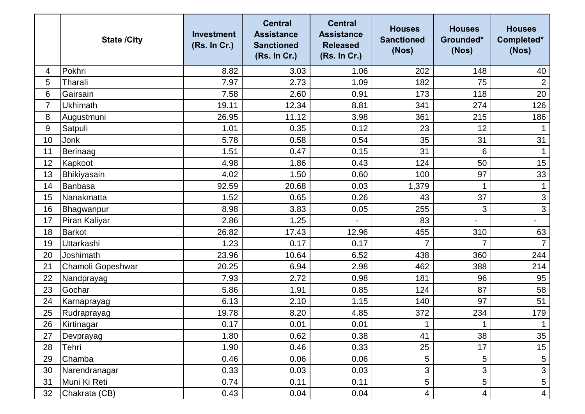|    | <b>State /City</b> | <b>Investment</b><br>(Rs. In Cr.) | <b>Central</b><br><b>Assistance</b><br><b>Sanctioned</b><br>(Rs. In Cr.) | <b>Central</b><br><b>Assistance</b><br><b>Released</b><br>(Rs. In Cr.) | <b>Houses</b><br><b>Sanctioned</b><br>(Nos) | <b>Houses</b><br>Grounded*<br>(Nos) | <b>Houses</b><br>Completed*<br>(Nos) |
|----|--------------------|-----------------------------------|--------------------------------------------------------------------------|------------------------------------------------------------------------|---------------------------------------------|-------------------------------------|--------------------------------------|
| 4  | Pokhri             | 8.82                              | 3.03                                                                     | 1.06                                                                   | 202                                         | 148                                 | 40                                   |
| 5  | Tharali            | 7.97                              | 2.73                                                                     | 1.09                                                                   | 182                                         | 75                                  | $\overline{2}$                       |
| 6  | Gairsain           | 7.58                              | 2.60                                                                     | 0.91                                                                   | 173                                         | 118                                 | 20                                   |
| 7  | <b>Ukhimath</b>    | 19.11                             | 12.34                                                                    | 8.81                                                                   | 341                                         | 274                                 | 126                                  |
| 8  | Augustmuni         | 26.95                             | 11.12                                                                    | 3.98                                                                   | 361                                         | 215                                 | 186                                  |
| 9  | Satpuli            | 1.01                              | 0.35                                                                     | 0.12                                                                   | 23                                          | 12                                  |                                      |
| 10 | Jonk               | 5.78                              | 0.58                                                                     | 0.54                                                                   | 35                                          | 31                                  | 31                                   |
| 11 | Berinaag           | 1.51                              | 0.47                                                                     | 0.15                                                                   | 31                                          | 6                                   |                                      |
| 12 | Kapkoot            | 4.98                              | 1.86                                                                     | 0.43                                                                   | 124                                         | 50                                  | 15                                   |
| 13 | Bhikiyasain        | 4.02                              | 1.50                                                                     | 0.60                                                                   | 100                                         | 97                                  | 33                                   |
| 14 | Banbasa            | 92.59                             | 20.68                                                                    | 0.03                                                                   | 1,379                                       | 1                                   |                                      |
| 15 | Nanakmatta         | 1.52                              | 0.65                                                                     | 0.26                                                                   | 43                                          | 37                                  | $\ensuremath{\mathsf{3}}$            |
| 16 | Bhagwanpur         | 8.98                              | 3.83                                                                     | 0.05                                                                   | 255                                         | 3                                   | 3                                    |
| 17 | Piran Kaliyar      | 2.86                              | 1.25                                                                     |                                                                        | 83                                          |                                     | $\overline{\phantom{a}}$             |
| 18 | <b>Barkot</b>      | 26.82                             | 17.43                                                                    | 12.96                                                                  | 455                                         | 310                                 | 63                                   |
| 19 | <b>Uttarkashi</b>  | 1.23                              | 0.17                                                                     | 0.17                                                                   |                                             | 7                                   | $\overline{7}$                       |
| 20 | Joshimath          | 23.96                             | 10.64                                                                    | 6.52                                                                   | 438                                         | 360                                 | 244                                  |
| 21 | Chamoli Gopeshwar  | 20.25                             | 6.94                                                                     | 2.98                                                                   | 462                                         | 388                                 | 214                                  |
| 22 | Nandprayag         | 7.93                              | 2.72                                                                     | 0.98                                                                   | 181                                         | 96                                  | 95                                   |
| 23 | Gochar             | 5.86                              | 1.91                                                                     | 0.85                                                                   | 124                                         | 87                                  | 58                                   |
| 24 | Karnaprayag        | 6.13                              | 2.10                                                                     | 1.15                                                                   | 140                                         | 97                                  | 51                                   |
| 25 | Rudraprayag        | 19.78                             | 8.20                                                                     | 4.85                                                                   | 372                                         | 234                                 | 179                                  |
| 26 | Kirtinagar         | 0.17                              | 0.01                                                                     | 0.01                                                                   | $\mathbf 1$                                 | $\mathbf 1$                         | $\mathbf 1$                          |
| 27 | Devprayag          | 1.80                              | 0.62                                                                     | 0.38                                                                   | 41                                          | 38                                  | 35                                   |
| 28 | Tehri              | 1.90                              | 0.46                                                                     | 0.33                                                                   | 25                                          | 17                                  | 15                                   |
| 29 | Chamba             | 0.46                              | 0.06                                                                     | 0.06                                                                   | 5                                           | 5                                   | $\sqrt{5}$                           |
| 30 | Narendranagar      | 0.33                              | 0.03                                                                     | 0.03                                                                   | 3                                           | 3                                   | $\mathfrak{S}$                       |
| 31 | Muni Ki Reti       | 0.74                              | 0.11                                                                     | 0.11                                                                   | 5                                           | 5                                   | 5                                    |
| 32 | Chakrata (CB)      | 0.43                              | 0.04                                                                     | 0.04                                                                   | 4                                           | 4                                   | $\overline{4}$                       |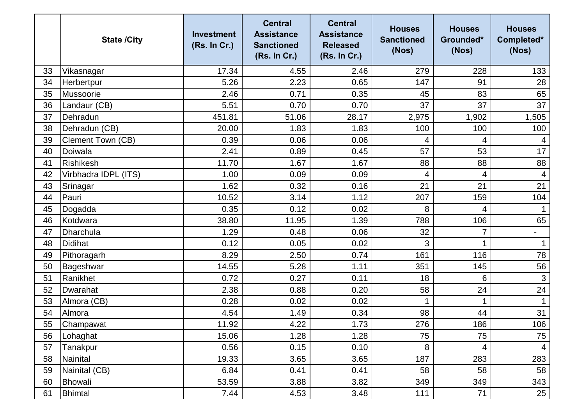|    | <b>State /City</b>       | <b>Investment</b><br>(Rs. In Cr.) | <b>Central</b><br><b>Assistance</b><br><b>Sanctioned</b><br>(Rs. In Cr.) | <b>Central</b><br><b>Assistance</b><br><b>Released</b><br>(Rs. In Cr.) | <b>Houses</b><br><b>Sanctioned</b><br>(Nos) | <b>Houses</b><br>Grounded*<br>(Nos) | <b>Houses</b><br>Completed*<br>(Nos) |
|----|--------------------------|-----------------------------------|--------------------------------------------------------------------------|------------------------------------------------------------------------|---------------------------------------------|-------------------------------------|--------------------------------------|
| 33 | Vikasnagar               | 17.34                             | 4.55                                                                     | 2.46                                                                   | 279                                         | 228                                 | 133                                  |
| 34 | Herbertpur               | 5.26                              | 2.23                                                                     | 0.65                                                                   | 147                                         | 91                                  | 28                                   |
| 35 | Mussoorie                | 2.46                              | 0.71                                                                     | 0.35                                                                   | 45                                          | 83                                  | 65                                   |
| 36 | Landaur (CB)             | 5.51                              | 0.70                                                                     | 0.70                                                                   | 37                                          | 37                                  | 37                                   |
| 37 | Dehradun                 | 451.81                            | 51.06                                                                    | 28.17                                                                  | 2,975                                       | 1,902                               | 1,505                                |
| 38 | Dehradun (CB)            | 20.00                             | 1.83                                                                     | 1.83                                                                   | 100                                         | 100                                 | 100                                  |
| 39 | <b>Clement Town (CB)</b> | 0.39                              | 0.06                                                                     | 0.06                                                                   | 4                                           | 4                                   | 4                                    |
| 40 | Doiwala                  | 2.41                              | 0.89                                                                     | 0.45                                                                   | 57                                          | 53                                  | 17                                   |
| 41 | <b>Rishikesh</b>         | 11.70                             | 1.67                                                                     | 1.67                                                                   | 88                                          | 88                                  | 88                                   |
| 42 | Virbhadra IDPL (ITS)     | 1.00                              | 0.09                                                                     | 0.09                                                                   | 4                                           | 4                                   | $\overline{4}$                       |
| 43 | Srinagar                 | 1.62                              | 0.32                                                                     | 0.16                                                                   | 21                                          | 21                                  | 21                                   |
| 44 | Pauri                    | 10.52                             | 3.14                                                                     | 1.12                                                                   | 207                                         | 159                                 | 104                                  |
| 45 | Dogadda                  | 0.35                              | 0.12                                                                     | 0.02                                                                   | 8                                           | 4                                   |                                      |
| 46 | Kotdwara                 | 38.80                             | 11.95                                                                    | 1.39                                                                   | 788                                         | 106                                 | 65                                   |
| 47 | Dharchula                | 1.29                              | 0.48                                                                     | 0.06                                                                   | 32                                          | $\overline{7}$                      | $\qquad \qquad \blacksquare$         |
| 48 | <b>Didihat</b>           | 0.12                              | 0.05                                                                     | 0.02                                                                   | 3                                           |                                     |                                      |
| 49 | Pithoragarh              | 8.29                              | 2.50                                                                     | 0.74                                                                   | 161                                         | 116                                 | 78                                   |
| 50 | Bageshwar                | 14.55                             | 5.28                                                                     | 1.11                                                                   | 351                                         | 145                                 | 56                                   |
| 51 | Ranikhet                 | 0.72                              | 0.27                                                                     | 0.11                                                                   | 18                                          | 6                                   | $\mathbf{3}$                         |
| 52 | Dwarahat                 | 2.38                              | 0.88                                                                     | 0.20                                                                   | 58                                          | 24                                  | 24                                   |
| 53 | Almora (CB)              | 0.28                              | 0.02                                                                     | 0.02                                                                   |                                             |                                     |                                      |
| 54 | Almora                   | 4.54                              | 1.49                                                                     | 0.34                                                                   | 98                                          | 44                                  | 31                                   |
| 55 | Champawat                | 11.92                             | 4.22                                                                     | 1.73                                                                   | 276                                         | 186                                 | 106                                  |
| 56 | Lohaghat                 | 15.06                             | 1.28                                                                     | 1.28                                                                   | 75                                          | 75                                  | 75                                   |
| 57 | Tanakpur                 | 0.56                              | 0.15                                                                     | 0.10                                                                   | 8                                           | 4                                   | 4                                    |
| 58 | Nainital                 | 19.33                             | 3.65                                                                     | 3.65                                                                   | 187                                         | 283                                 | 283                                  |
| 59 | Nainital (CB)            | 6.84                              | 0.41                                                                     | 0.41                                                                   | 58                                          | 58                                  | 58                                   |
| 60 | Bhowali                  | 53.59                             | 3.88                                                                     | 3.82                                                                   | 349                                         | 349                                 | 343                                  |
| 61 | <b>Bhimtal</b>           | 7.44                              | 4.53                                                                     | 3.48                                                                   | 111                                         | 71                                  | 25                                   |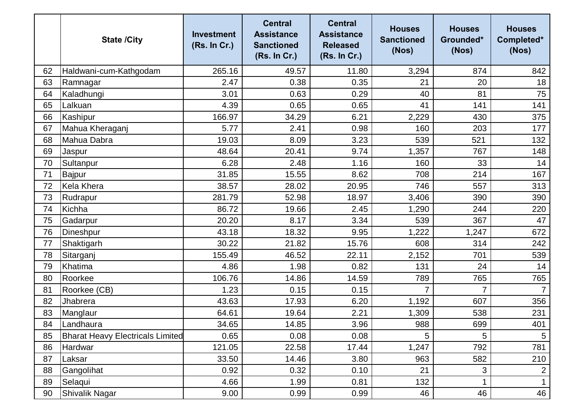|    | <b>State /City</b>                      | <b>Investment</b><br>(Rs. In Cr.) | <b>Central</b><br><b>Assistance</b><br><b>Sanctioned</b><br>(Rs. In Cr.) | <b>Central</b><br><b>Assistance</b><br><b>Released</b><br>(Rs. In Cr.) | <b>Houses</b><br><b>Sanctioned</b><br>(Nos) | <b>Houses</b><br>Grounded*<br>(Nos) | <b>Houses</b><br>Completed*<br>(Nos) |
|----|-----------------------------------------|-----------------------------------|--------------------------------------------------------------------------|------------------------------------------------------------------------|---------------------------------------------|-------------------------------------|--------------------------------------|
| 62 | Haldwani-cum-Kathgodam                  | 265.16                            | 49.57                                                                    | 11.80                                                                  | 3,294                                       | 874                                 | 842                                  |
| 63 | Ramnagar                                | 2.47                              | 0.38                                                                     | 0.35                                                                   | 21                                          | 20                                  | 18                                   |
| 64 | Kaladhungi                              | 3.01                              | 0.63                                                                     | 0.29                                                                   | 40                                          | 81                                  | 75                                   |
| 65 | Lalkuan                                 | 4.39                              | 0.65                                                                     | 0.65                                                                   | 41                                          | 141                                 | 141                                  |
| 66 | Kashipur                                | 166.97                            | 34.29                                                                    | 6.21                                                                   | 2,229                                       | 430                                 | 375                                  |
| 67 | Mahua Kheraganj                         | 5.77                              | 2.41                                                                     | 0.98                                                                   | 160                                         | 203                                 | 177                                  |
| 68 | Mahua Dabra                             | 19.03                             | 8.09                                                                     | 3.23                                                                   | 539                                         | 521                                 | 132                                  |
| 69 | Jaspur                                  | 48.64                             | 20.41                                                                    | 9.74                                                                   | 1,357                                       | 767                                 | 148                                  |
| 70 | Sultanpur                               | 6.28                              | 2.48                                                                     | 1.16                                                                   | 160                                         | 33                                  | 14                                   |
| 71 | Bajpur                                  | 31.85                             | 15.55                                                                    | 8.62                                                                   | 708                                         | 214                                 | 167                                  |
| 72 | <b>Kela Khera</b>                       | 38.57                             | 28.02                                                                    | 20.95                                                                  | 746                                         | 557                                 | 313                                  |
| 73 | Rudrapur                                | 281.79                            | 52.98                                                                    | 18.97                                                                  | 3,406                                       | 390                                 | 390                                  |
| 74 | Kichha                                  | 86.72                             | 19.66                                                                    | 2.45                                                                   | 1,290                                       | 244                                 | 220                                  |
| 75 | Gadarpur                                | 20.20                             | 8.17                                                                     | 3.34                                                                   | 539                                         | 367                                 | 47                                   |
| 76 | Dineshpur                               | 43.18                             | 18.32                                                                    | 9.95                                                                   | ,222                                        | 1,247                               | 672                                  |
| 77 | Shaktigarh                              | 30.22                             | 21.82                                                                    | 15.76                                                                  | 608                                         | 314                                 | 242                                  |
| 78 | Sitarganj                               | 155.49                            | 46.52                                                                    | 22.11                                                                  | 2,152                                       | 701                                 | 539                                  |
| 79 | Khatima                                 | 4.86                              | 1.98                                                                     | 0.82                                                                   | 131                                         | 24                                  | 14                                   |
| 80 | Roorkee                                 | 106.76                            | 14.86                                                                    | 14.59                                                                  | 789                                         | 765                                 | 765                                  |
| 81 | Roorkee (CB)                            | 1.23                              | 0.15                                                                     | 0.15                                                                   | 7                                           | $\overline{7}$                      | $\overline{7}$                       |
| 82 | Jhabrera                                | 43.63                             | 17.93                                                                    | 6.20                                                                   | 1,192                                       | 607                                 | 356                                  |
| 83 | Manglaur                                | 64.61                             | 19.64                                                                    | 2.21                                                                   | 1,309                                       | 538                                 | 231                                  |
| 84 | Landhaura                               | 34.65                             | 14.85                                                                    | 3.96                                                                   | 988                                         | 699                                 | 401                                  |
| 85 | <b>Bharat Heavy Electricals Limited</b> | 0.65                              | 0.08                                                                     | 0.08                                                                   | 5                                           | 5                                   | 5                                    |
| 86 | Hardwar                                 | 121.05                            | 22.58                                                                    | 17.44                                                                  | 1,247                                       | 792                                 | 781                                  |
| 87 | Laksar                                  | 33.50                             | 14.46                                                                    | 3.80                                                                   | 963                                         | 582                                 | 210                                  |
| 88 | Gangolihat                              | 0.92                              | 0.32                                                                     | 0.10                                                                   | 21                                          | 3                                   | $\overline{2}$                       |
| 89 | Selaqui                                 | 4.66                              | 1.99                                                                     | 0.81                                                                   | 132                                         | 1                                   | $\mathbf 1$                          |
| 90 | Shivalik Nagar                          | 9.00                              | 0.99                                                                     | 0.99                                                                   | 46                                          | 46                                  | 46                                   |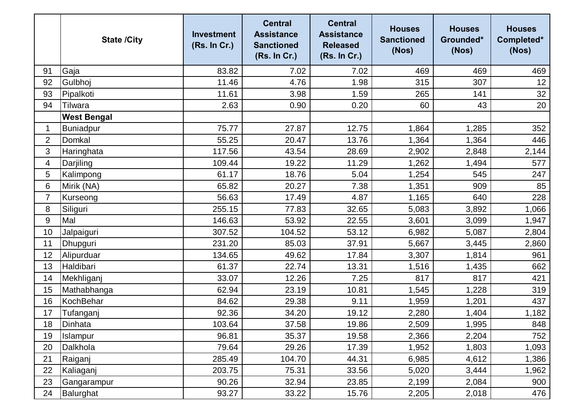|                | <b>State /City</b> | <b>Investment</b><br>(Rs. In Cr.) | <b>Central</b><br><b>Assistance</b><br><b>Sanctioned</b><br>(Rs. In Cr.) | <b>Central</b><br><b>Assistance</b><br><b>Released</b><br>(Rs. In Cr.) | <b>Houses</b><br><b>Sanctioned</b><br>(Nos) | <b>Houses</b><br>Grounded*<br>(Nos) | <b>Houses</b><br>Completed*<br>(Nos) |
|----------------|--------------------|-----------------------------------|--------------------------------------------------------------------------|------------------------------------------------------------------------|---------------------------------------------|-------------------------------------|--------------------------------------|
| 91             | Gaja               | 83.82                             | 7.02                                                                     | 7.02                                                                   | 469                                         | 469                                 | 469                                  |
| 92             | Gulbhoj            | 11.46                             | 4.76                                                                     | 1.98                                                                   | 315                                         | 307                                 | 12                                   |
| 93             | Pipalkoti          | 11.61                             | 3.98                                                                     | 1.59                                                                   | 265                                         | 141                                 | 32                                   |
| 94             | Tilwara            | 2.63                              | 0.90                                                                     | 0.20                                                                   | 60                                          | 43                                  | 20                                   |
|                | <b>West Bengal</b> |                                   |                                                                          |                                                                        |                                             |                                     |                                      |
| 1              | <b>Buniadpur</b>   | 75.77                             | 27.87                                                                    | 12.75                                                                  | 1,864                                       | 1,285                               | 352                                  |
| $\overline{2}$ | Domkal             | 55.25                             | 20.47                                                                    | 13.76                                                                  | 1,364                                       | 1,364                               | 446                                  |
| 3              | Haringhata         | 117.56                            | 43.54                                                                    | 28.69                                                                  | 2,902                                       | 2,848                               | 2,144                                |
| 4              | Darjiling          | 109.44                            | 19.22                                                                    | 11.29                                                                  | 1,262                                       | 1,494                               | 577                                  |
| 5              | Kalimpong          | 61.17                             | 18.76                                                                    | 5.04                                                                   | 1,254                                       | 545                                 | 247                                  |
| 6              | Mirik (NA)         | 65.82                             | 20.27                                                                    | 7.38                                                                   | 1,351                                       | 909                                 | 85                                   |
| 7              | Kurseong           | 56.63                             | 17.49                                                                    | 4.87                                                                   | 1,165                                       | 640                                 | 228                                  |
| 8              | Siliguri           | 255.15                            | 77.83                                                                    | 32.65                                                                  | 5,083                                       | 3,892                               | 1,066                                |
| 9              | Mal                | 146.63                            | 53.92                                                                    | 22.55                                                                  | 3,601                                       | 3,099                               | 1,947                                |
| 10             | Jalpaiguri         | 307.52                            | 104.52                                                                   | 53.12                                                                  | 6,982                                       | 5,087                               | 2,804                                |
| 11             | Dhupguri           | 231.20                            | 85.03                                                                    | 37.91                                                                  | 5,667                                       | 3,445                               | 2,860                                |
| 12             | Alipurduar         | 134.65                            | 49.62                                                                    | 17.84                                                                  | 3,307                                       | 1,814                               | 961                                  |
| 13             | Haldibari          | 61.37                             | 22.74                                                                    | 13.31                                                                  | 1,516                                       | 1,435                               | 662                                  |
| 14             | Mekhliganj         | 33.07                             | 12.26                                                                    | 7.25                                                                   | 817                                         | 817                                 | 421                                  |
| 15             | Mathabhanga        | 62.94                             | 23.19                                                                    | 10.81                                                                  | 1,545                                       | 1,228                               | 319                                  |
| 16             | KochBehar          | 84.62                             | 29.38                                                                    | 9.11                                                                   | 1,959                                       | 1,201                               | 437                                  |
| 17             | Tufanganj          | 92.36                             | 34.20                                                                    | 19.12                                                                  | 2,280                                       | 1,404                               | 1,182                                |
| 18             | Dinhata            | 103.64                            | 37.58                                                                    | 19.86                                                                  | 2,509                                       | 1,995                               | 848                                  |
| 19             | Islampur           | 96.81                             | 35.37                                                                    | 19.58                                                                  | 2,366                                       | 2,204                               | 752                                  |
| 20             | Dalkhola           | 79.64                             | 29.26                                                                    | 17.39                                                                  | 1,952                                       | 1,803                               | 1,093                                |
| 21             | Raiganj            | 285.49                            | 104.70                                                                   | 44.31                                                                  | 6,985                                       | 4,612                               | 1,386                                |
| 22             | Kaliaganj          | 203.75                            | 75.31                                                                    | 33.56                                                                  | 5,020                                       | 3,444                               | 1,962                                |
| 23             | Gangarampur        | 90.26                             | 32.94                                                                    | 23.85                                                                  | 2,199                                       | 2,084                               | 900                                  |
| 24             | Balurghat          | 93.27                             | 33.22                                                                    | 15.76                                                                  | 2,205                                       | 2,018                               | 476                                  |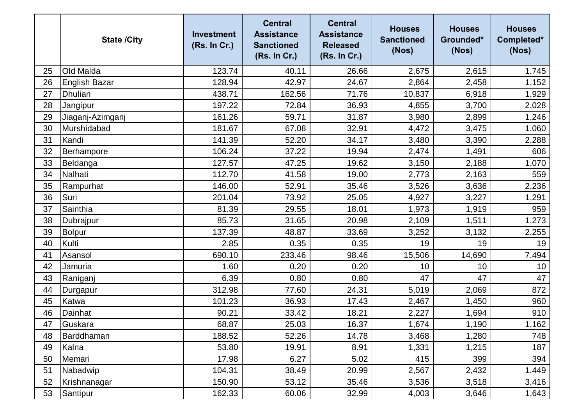|    | <b>State /City</b>   | <b>Investment</b><br>(Rs. In Cr.) | <b>Central</b><br><b>Assistance</b><br><b>Sanctioned</b><br>(Rs. In Cr.) | <b>Central</b><br><b>Assistance</b><br><b>Released</b><br>(Rs. In Cr.) | <b>Houses</b><br><b>Sanctioned</b><br>(Nos) | <b>Houses</b><br>Grounded*<br>(Nos) | <b>Houses</b><br>Completed*<br>(Nos) |
|----|----------------------|-----------------------------------|--------------------------------------------------------------------------|------------------------------------------------------------------------|---------------------------------------------|-------------------------------------|--------------------------------------|
| 25 | Old Malda            | 123.74                            | 40.11                                                                    | 26.66                                                                  | 2,675                                       | 2,615                               | 1,745                                |
| 26 | <b>English Bazar</b> | 128.94                            | 42.97                                                                    | 24.67                                                                  | 2,864                                       | 2,458                               | 1,152                                |
| 27 | <b>Dhulian</b>       | 438.71                            | 162.56                                                                   | 71.76                                                                  | 10,837                                      | 6,918                               | 1,929                                |
| 28 | Jangipur             | 197.22                            | 72.84                                                                    | 36.93                                                                  | 4,855                                       | 3,700                               | 2,028                                |
| 29 | Jiaganj-Azimganj     | 161.26                            | 59.71                                                                    | 31.87                                                                  | 3,980                                       | 2,899                               | 1,246                                |
| 30 | Murshidabad          | 181.67                            | 67.08                                                                    | 32.91                                                                  | 4,472                                       | 3,475                               | 1,060                                |
| 31 | Kandi                | 141.39                            | 52.20                                                                    | 34.17                                                                  | 3,480                                       | 3,390                               | 2,288                                |
| 32 | Berhampore           | 106.24                            | 37.22                                                                    | 19.94                                                                  | 2,474                                       | 1,491                               | 606                                  |
| 33 | Beldanga             | 127.57                            | 47.25                                                                    | 19.62                                                                  | 3,150                                       | 2,188                               | 1,070                                |
| 34 | Nalhati              | 112.70                            | 41.58                                                                    | 19.00                                                                  | 2,773                                       | 2,163                               | 559                                  |
| 35 | Rampurhat            | 146.00                            | 52.91                                                                    | 35.46                                                                  | 3,526                                       | 3,636                               | 2,236                                |
| 36 | Suri                 | 201.04                            | 73.92                                                                    | 25.05                                                                  | 4,927                                       | 3,227                               | 1,291                                |
| 37 | Sainthia             | 81.39                             | 29.55                                                                    | 18.01                                                                  | 1,973                                       | 1,919                               | 959                                  |
| 38 | Dubrajpur            | 85.73                             | 31.65                                                                    | 20.98                                                                  | 2,109                                       | 1,511                               | 1,273                                |
| 39 | Bolpur               | 137.39                            | 48.87                                                                    | 33.69                                                                  | 3,252                                       | 3,132                               | 2,255                                |
| 40 | Kulti                | 2.85                              | 0.35                                                                     | 0.35                                                                   | 19                                          | 19                                  | 19                                   |
| 41 | Asansol              | 690.10                            | 233.46                                                                   | 98.46                                                                  | 15,506                                      | 14,690                              | 7,494                                |
| 42 | Jamuria              | 1.60                              | 0.20                                                                     | 0.20                                                                   | 10                                          | 10                                  | 10                                   |
| 43 | Raniganj             | 6.39                              | 0.80                                                                     | 0.80                                                                   | 47                                          | 47                                  | 47                                   |
| 44 | Durgapur             | 312.98                            | 77.60                                                                    | 24.31                                                                  | 5,019                                       | 2,069                               | 872                                  |
| 45 | Katwa                | 101.23                            | 36.93                                                                    | 17.43                                                                  | 2,467                                       | 1,450                               | 960                                  |
| 46 | Dainhat              | 90.21                             | 33.42                                                                    | 18.21                                                                  | 2,227                                       | 1,694                               | 910                                  |
| 47 | Guskara              | 68.87                             | 25.03                                                                    | 16.37                                                                  | 1,674                                       | 1,190                               | 1,162                                |
| 48 | Barddhaman           | 188.52                            | 52.26                                                                    | 14.78                                                                  | 3,468                                       | 1,280                               | 748                                  |
| 49 | Kalna                | 53.80                             | 19.91                                                                    | 8.91                                                                   | 1,331                                       | 1,215                               | 187                                  |
| 50 | Memari               | 17.98                             | 6.27                                                                     | 5.02                                                                   | 415                                         | 399                                 | 394                                  |
| 51 | Nabadwip             | 104.31                            | 38.49                                                                    | 20.99                                                                  | 2,567                                       | 2,432                               | 1,449                                |
| 52 | Krishnanagar         | 150.90                            | 53.12                                                                    | 35.46                                                                  | 3,536                                       | 3,518                               | 3,416                                |
| 53 | Santipur             | 162.33                            | 60.06                                                                    | 32.99                                                                  | 4,003                                       | 3,646                               | 1,643                                |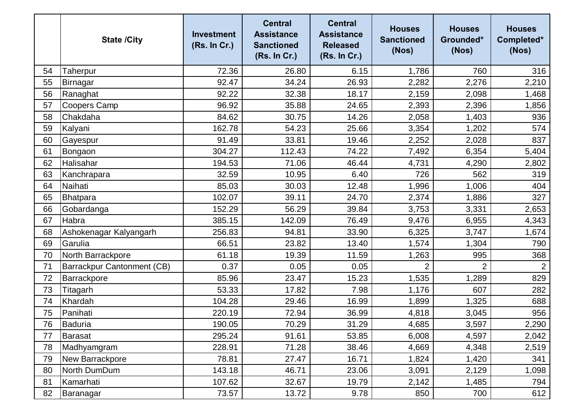|    | <b>State /City</b>         | <b>Investment</b><br>(Rs. In Cr.) | <b>Central</b><br><b>Assistance</b><br><b>Sanctioned</b><br>(Rs. In Cr.) | <b>Central</b><br><b>Assistance</b><br><b>Released</b><br>(Rs. In Cr.) | <b>Houses</b><br><b>Sanctioned</b><br>(Nos) | <b>Houses</b><br>Grounded*<br>(Nos) | <b>Houses</b><br>Completed*<br>(Nos) |
|----|----------------------------|-----------------------------------|--------------------------------------------------------------------------|------------------------------------------------------------------------|---------------------------------------------|-------------------------------------|--------------------------------------|
| 54 | Taherpur                   | 72.36                             | 26.80                                                                    | 6.15                                                                   | 1,786                                       | 760                                 | 316                                  |
| 55 | Birnagar                   | 92.47                             | 34.24                                                                    | 26.93                                                                  | 2,282                                       | 2,276                               | 2,210                                |
| 56 | Ranaghat                   | 92.22                             | 32.38                                                                    | 18.17                                                                  | 2,159                                       | 2,098                               | 1,468                                |
| 57 | Coopers Camp               | 96.92                             | 35.88                                                                    | 24.65                                                                  | 2,393                                       | 2,396                               | 1,856                                |
| 58 | Chakdaha                   | 84.62                             | 30.75                                                                    | 14.26                                                                  | 2,058                                       | 1,403                               | 936                                  |
| 59 | Kalyani                    | 162.78                            | 54.23                                                                    | 25.66                                                                  | 3,354                                       | 1,202                               | 574                                  |
| 60 | Gayespur                   | 91.49                             | 33.81                                                                    | 19.46                                                                  | 2,252                                       | 2,028                               | 837                                  |
| 61 | Bongaon                    | 304.27                            | 112.43                                                                   | 74.22                                                                  | 7,492                                       | 6,354                               | 5,404                                |
| 62 | Halisahar                  | 194.53                            | 71.06                                                                    | 46.44                                                                  | 4,731                                       | 4,290                               | 2,802                                |
| 63 | Kanchrapara                | 32.59                             | 10.95                                                                    | 6.40                                                                   | 726                                         | 562                                 | 319                                  |
| 64 | Naihati                    | 85.03                             | 30.03                                                                    | 12.48                                                                  | 1,996                                       | 1,006                               | 404                                  |
| 65 | Bhatpara                   | 102.07                            | 39.11                                                                    | 24.70                                                                  | 2,374                                       | 1,886                               | 327                                  |
| 66 | Gobardanga                 | 152.29                            | 56.29                                                                    | 39.84                                                                  | 3,753                                       | 3,331                               | 2,653                                |
| 67 | Habra                      | 385.15                            | 142.09                                                                   | 76.49                                                                  | 9,476                                       | 6,955                               | 4,343                                |
| 68 | Ashokenagar Kalyangarh     | 256.83                            | 94.81                                                                    | 33.90                                                                  | 6,325                                       | 3,747                               | 1,674                                |
| 69 | Garulia                    | 66.51                             | 23.82                                                                    | 13.40                                                                  | 1,574                                       | 1,304                               | 790                                  |
| 70 | North Barrackpore          | 61.18                             | 19.39                                                                    | 11.59                                                                  | 1,263                                       | 995                                 | 368                                  |
| 71 | Barrackpur Cantonment (CB) | 0.37                              | 0.05                                                                     | 0.05                                                                   | $\overline{2}$                              | $\overline{2}$                      | $\overline{2}$                       |
| 72 | Barrackpore                | 85.96                             | 23.47                                                                    | 15.23                                                                  | 1,535                                       | 1,289                               | 829                                  |
| 73 | Titagarh                   | 53.33                             | 17.82                                                                    | 7.98                                                                   | 1,176                                       | 607                                 | 282                                  |
| 74 | Khardah                    | 104.28                            | 29.46                                                                    | 16.99                                                                  | 1,899                                       | 1,325                               | 688                                  |
| 75 | Panihati                   | 220.19                            | 72.94                                                                    | 36.99                                                                  | 4,818                                       | 3,045                               | 956                                  |
| 76 | Baduria                    | 190.05                            | 70.29                                                                    | 31.29                                                                  | 4,685                                       | 3,597                               | 2,290                                |
| 77 | <b>Barasat</b>             | 295.24                            | 91.61                                                                    | 53.85                                                                  | 6,008                                       | 4,597                               | 2,042                                |
| 78 | Madhyamgram                | 228.91                            | 71.28                                                                    | 38.46                                                                  | 4,669                                       | 4,348                               | 2,519                                |
| 79 | New Barrackpore            | 78.81                             | 27.47                                                                    | 16.71                                                                  | 1,824                                       | 1,420                               | 341                                  |
| 80 | North DumDum               | 143.18                            | 46.71                                                                    | 23.06                                                                  | 3,091                                       | 2,129                               | 1,098                                |
| 81 | Kamarhati                  | 107.62                            | 32.67                                                                    | 19.79                                                                  | 2,142                                       | 1,485                               | 794                                  |
| 82 | Baranagar                  | 73.57                             | 13.72                                                                    | 9.78                                                                   | 850                                         | 700                                 | 612                                  |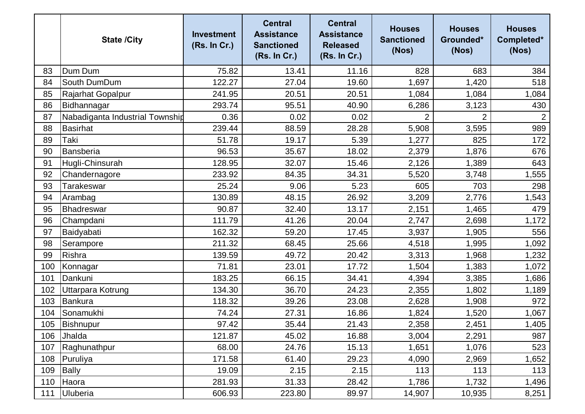|     | <b>State /City</b>              | <b>Investment</b><br>(Rs. In Cr.) | <b>Central</b><br><b>Assistance</b><br><b>Sanctioned</b><br>(Rs. In Cr.) | <b>Central</b><br><b>Assistance</b><br><b>Released</b><br>(Rs. In Cr.) | <b>Houses</b><br><b>Sanctioned</b><br>(Nos) | <b>Houses</b><br>Grounded*<br>(Nos) | <b>Houses</b><br>Completed*<br>(Nos) |
|-----|---------------------------------|-----------------------------------|--------------------------------------------------------------------------|------------------------------------------------------------------------|---------------------------------------------|-------------------------------------|--------------------------------------|
| 83  | Dum Dum                         | 75.82                             | 13.41                                                                    | 11.16                                                                  | 828                                         | 683                                 | 384                                  |
| 84  | South DumDum                    | 122.27                            | 27.04                                                                    | 19.60                                                                  | 1,697                                       | 1,420                               | 518                                  |
| 85  | Rajarhat Gopalpur               | 241.95                            | 20.51                                                                    | 20.51                                                                  | 1,084                                       | 1,084                               | 1,084                                |
| 86  | Bidhannagar                     | 293.74                            | 95.51                                                                    | 40.90                                                                  | 6,286                                       | 3,123                               | 430                                  |
| 87  | Nabadiganta Industrial Township | 0.36                              | 0.02                                                                     | 0.02                                                                   |                                             | $\overline{2}$                      | $\overline{2}$                       |
| 88  | <b>Basirhat</b>                 | 239.44                            | 88.59                                                                    | 28.28                                                                  | 5,908                                       | 3,595                               | 989                                  |
| 89  | Taki                            | 51.78                             | 19.17                                                                    | 5.39                                                                   | 1,277                                       | 825                                 | 172                                  |
| 90  | Bansberia                       | 96.53                             | 35.67                                                                    | 18.02                                                                  | 2,379                                       | 1,876                               | 676                                  |
| 91  | Hugli-Chinsurah                 | 128.95                            | 32.07                                                                    | 15.46                                                                  | 2,126                                       | 1,389                               | 643                                  |
| 92  | Chandernagore                   | 233.92                            | 84.35                                                                    | 34.31                                                                  | 5,520                                       | 3,748                               | 1,555                                |
| 93  | Tarakeswar                      | 25.24                             | 9.06                                                                     | 5.23                                                                   | 605                                         | 703                                 | 298                                  |
| 94  | Arambag                         | 130.89                            | 48.15                                                                    | 26.92                                                                  | 3,209                                       | 2,776                               | 1,543                                |
| 95  | Bhadreswar                      | 90.87                             | 32.40                                                                    | 13.17                                                                  | 2,151                                       | 1,465                               | 479                                  |
| 96  | Champdani                       | 111.79                            | 41.26                                                                    | 20.04                                                                  | 2,747                                       | 2,698                               | 1,172                                |
| 97  | Baidyabati                      | 162.32                            | 59.20                                                                    | 17.45                                                                  | 3,937                                       | 1,905                               | 556                                  |
| 98  | Serampore                       | 211.32                            | 68.45                                                                    | 25.66                                                                  | 4,518                                       | 1,995                               | 1,092                                |
| 99  | Rishra                          | 139.59                            | 49.72                                                                    | 20.42                                                                  | 3,313                                       | 1,968                               | 1,232                                |
| 100 | Konnagar                        | 71.81                             | 23.01                                                                    | 17.72                                                                  | 1,504                                       | 1,383                               | 1,072                                |
| 101 | Dankuni                         | 183.25                            | 66.15                                                                    | 34.41                                                                  | 4,394                                       | 3,385                               | 1,686                                |
| 102 | Uttarpara Kotrung               | 134.30                            | 36.70                                                                    | 24.23                                                                  | 2,355                                       | 1,802                               | 1,189                                |
| 103 | Bankura                         | 118.32                            | 39.26                                                                    | 23.08                                                                  | 2,628                                       | 1,908                               | 972                                  |
| 104 | Sonamukhi                       | 74.24                             | 27.31                                                                    | 16.86                                                                  | 1,824                                       | 1,520                               | 1,067                                |
| 105 | Bishnupur                       | 97.42                             | 35.44                                                                    | 21.43                                                                  | 2,358                                       | 2,451                               | 1,405                                |
| 106 | Jhalda                          | 121.87                            | 45.02                                                                    | 16.88                                                                  | 3,004                                       | 2,291                               | 987                                  |
| 107 | Raghunathpur                    | 68.00                             | 24.76                                                                    | 15.13                                                                  | 1,651                                       | 1,076                               | 523                                  |
| 108 | Puruliya                        | 171.58                            | 61.40                                                                    | 29.23                                                                  | 4,090                                       | 2,969                               | 1,652                                |
| 109 | <b>Bally</b>                    | 19.09                             | 2.15                                                                     | 2.15                                                                   | 113                                         | 113                                 | 113                                  |
| 110 | Haora                           | 281.93                            | 31.33                                                                    | 28.42                                                                  | 1,786                                       | 1,732                               | 1,496                                |
| 111 | Uluberia                        | 606.93                            | 223.80                                                                   | 89.97                                                                  | 14,907                                      | 10,935                              | 8,251                                |